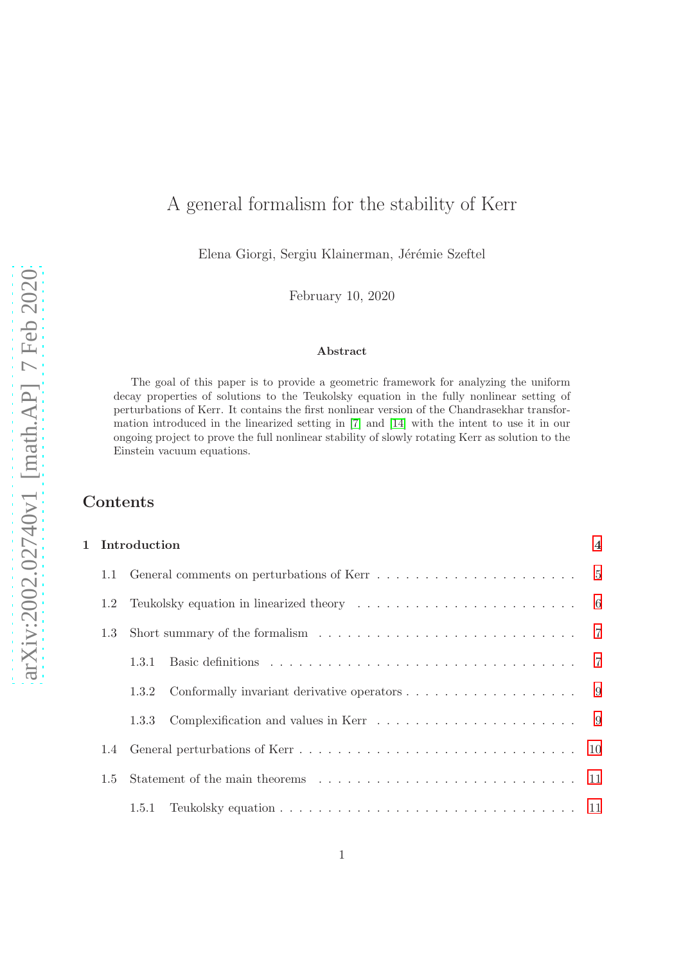# A general formalism for the stability of Kerr

Elena Giorgi, Sergiu Klainerman, Jérémie Szeftel

February 10, 2020

#### Abstract

The goal of this paper is to provide a geometric framework for analyzing the uniform decay properties of solutions to the Teukolsky equation in the fully nonlinear setting of perturbations of Kerr. It contains the first nonlinear version of the Chandrasekhar transformation introduced in the linearized setting in [\[7\]](#page-137-0) and [\[14\]](#page-138-0) with the intent to use it in our ongoing project to prove the full nonlinear stability of slowly rotating Kerr as solution to the Einstein vacuum equations.

# Contents

| 1 Introduction |                                                                                                                                                                                                                              |  |  |  |  |  |
|----------------|------------------------------------------------------------------------------------------------------------------------------------------------------------------------------------------------------------------------------|--|--|--|--|--|
| 1.1            | General comments on perturbations of Kerr $\ldots \ldots \ldots \ldots \ldots \ldots \ldots \ldots \ldots \qquad 5$                                                                                                          |  |  |  |  |  |
| 1.2            | Teukolsky equation in linearized theory $\dots \dots \dots \dots \dots \dots \dots \dots \dots \dots$ 6<br>Short summary of the formalism $\ldots \ldots \ldots \ldots \ldots \ldots \ldots \ldots \ldots \ldots 7$<br>1.3.1 |  |  |  |  |  |
| 1.3            |                                                                                                                                                                                                                              |  |  |  |  |  |
|                |                                                                                                                                                                                                                              |  |  |  |  |  |
|                | 1.3.2                                                                                                                                                                                                                        |  |  |  |  |  |
|                | Complexification and values in Kerr $\ldots \ldots \ldots \ldots \ldots \ldots$ 9<br>1.3.3                                                                                                                                   |  |  |  |  |  |
| $1.4^{\circ}$  |                                                                                                                                                                                                                              |  |  |  |  |  |
| 1.5            |                                                                                                                                                                                                                              |  |  |  |  |  |
|                | 1.5.1                                                                                                                                                                                                                        |  |  |  |  |  |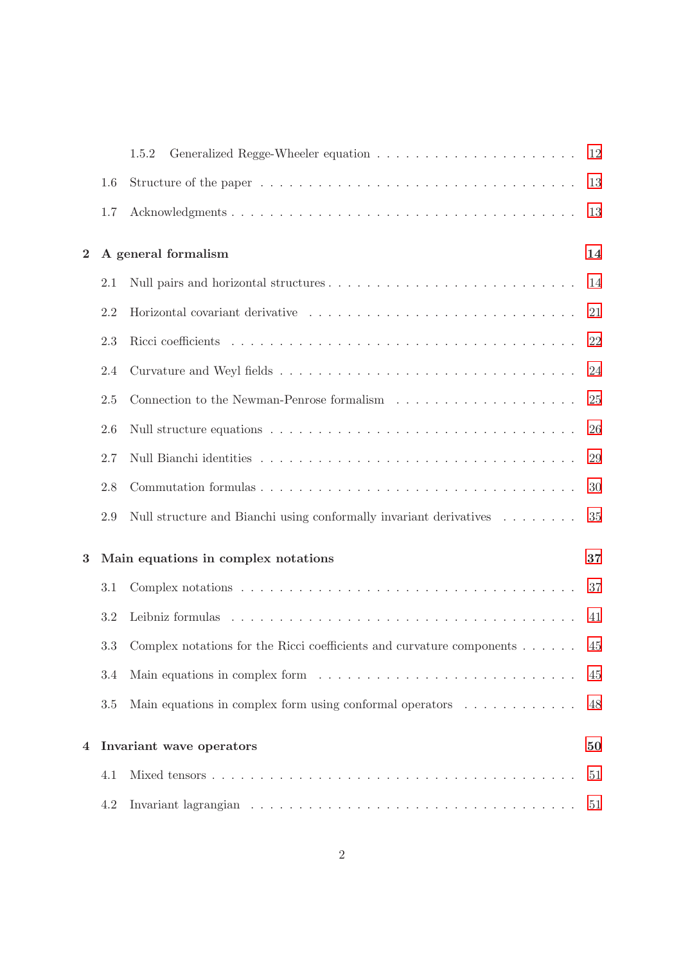|                               |                                     | 1.5.2                                                                                  | 12 |  |
|-------------------------------|-------------------------------------|----------------------------------------------------------------------------------------|----|--|
|                               | 1.6                                 |                                                                                        | 13 |  |
|                               | 1.7                                 |                                                                                        | 13 |  |
| $\bf{2}$                      |                                     | A general formalism                                                                    | 14 |  |
|                               | 2.1                                 |                                                                                        |    |  |
|                               | 2.2                                 |                                                                                        | 21 |  |
|                               | 2.3                                 |                                                                                        | 22 |  |
|                               | 2.4                                 |                                                                                        | 24 |  |
|                               | 2.5                                 |                                                                                        | 25 |  |
|                               | 2.6                                 |                                                                                        | 26 |  |
|                               | 2.7                                 |                                                                                        | 29 |  |
|                               | 2.8                                 |                                                                                        | 30 |  |
|                               | 2.9                                 | Null structure and Bianchi using conformally invariant derivatives                     | 35 |  |
| 3                             | Main equations in complex notations |                                                                                        |    |  |
|                               | 3.1                                 |                                                                                        | 37 |  |
|                               | 3.2                                 |                                                                                        | 41 |  |
|                               | 3.3                                 | Complex notations for the Ricci coefficients and curvature components $\dots \dots$    | 45 |  |
|                               | 3.4                                 |                                                                                        | 45 |  |
|                               | 3.5                                 | Main equations in complex form using conformal operators $\ldots \ldots \ldots \ldots$ | 48 |  |
| Invariant wave operators<br>4 |                                     |                                                                                        | 50 |  |
|                               | 4.1                                 |                                                                                        | 51 |  |
|                               | 4.2                                 |                                                                                        | 51 |  |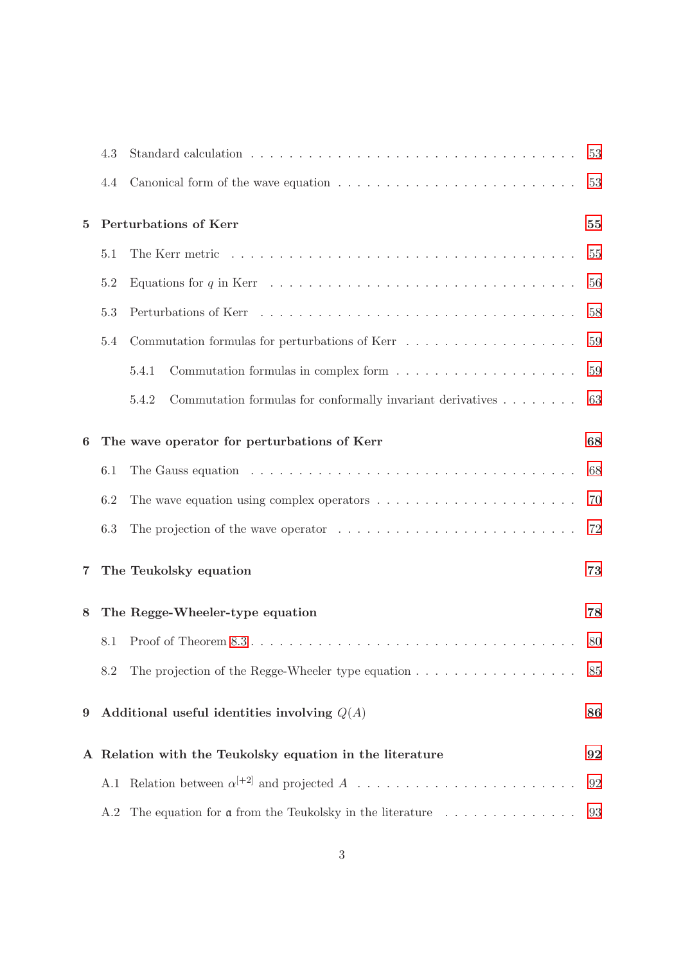|                                                          | 4.3                                           |                                                                                                               | 53 |  |  |  |
|----------------------------------------------------------|-----------------------------------------------|---------------------------------------------------------------------------------------------------------------|----|--|--|--|
|                                                          | 4.4                                           |                                                                                                               | 53 |  |  |  |
| Perturbations of Kerr<br>$\bf{5}$                        |                                               |                                                                                                               |    |  |  |  |
| 5.1                                                      |                                               |                                                                                                               | 55 |  |  |  |
|                                                          | 5.2                                           | Equations for q in Kerr $\dots \dots \dots \dots \dots \dots \dots \dots \dots \dots \dots \dots \dots \dots$ | 56 |  |  |  |
|                                                          | 5.3                                           |                                                                                                               | 58 |  |  |  |
|                                                          | 5.4                                           | Commutation formulas for perturbations of Kerr                                                                | 59 |  |  |  |
|                                                          |                                               | 5.4.1                                                                                                         | 59 |  |  |  |
|                                                          |                                               | Commutation formulas for conformally invariant derivatives<br>5.4.2                                           | 63 |  |  |  |
| The wave operator for perturbations of Kerr<br>6         |                                               |                                                                                                               | 68 |  |  |  |
|                                                          | 6.1                                           |                                                                                                               | 68 |  |  |  |
|                                                          | 6.2                                           | The wave equation using complex operators $\dots \dots \dots \dots \dots \dots \dots \dots$                   | 70 |  |  |  |
|                                                          | 6.3                                           | The projection of the wave operator $\dots \dots \dots \dots \dots \dots \dots \dots \dots \dots$             | 72 |  |  |  |
| 7                                                        |                                               | The Teukolsky equation<br>73                                                                                  |    |  |  |  |
| 8                                                        |                                               | The Regge-Wheeler-type equation                                                                               | 78 |  |  |  |
|                                                          | 8.1                                           |                                                                                                               | 80 |  |  |  |
|                                                          | 8.2                                           | The projection of the Regge-Wheeler type equation $\dots \dots \dots \dots \dots \dots$                       | 85 |  |  |  |
| 9                                                        | Additional useful identities involving $Q(A)$ |                                                                                                               |    |  |  |  |
| A Relation with the Teukolsky equation in the literature |                                               |                                                                                                               |    |  |  |  |
|                                                          |                                               | A.1 Relation between $\alpha^{[+2]}$ and projected A                                                          | 92 |  |  |  |
|                                                          | A.2                                           | The equation for $\mathfrak a$ from the Teukolsky in the literature $\ldots \ldots \ldots \ldots$             | 93 |  |  |  |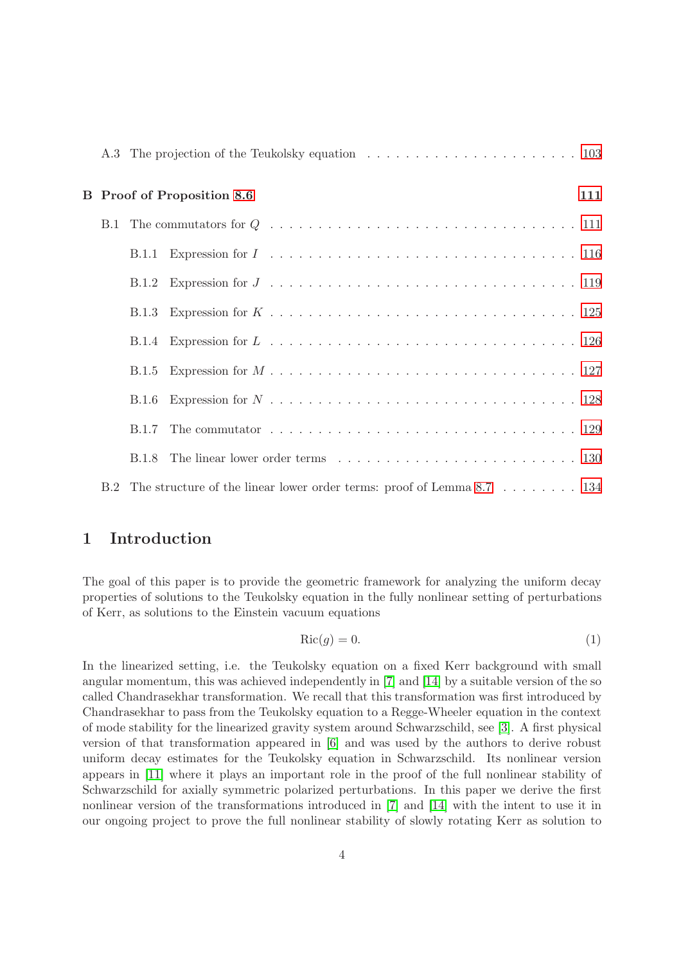|            |       | <b>B</b> Proof of Proposition 8.6                                         | 111 |
|------------|-------|---------------------------------------------------------------------------|-----|
| <b>B.1</b> |       |                                                                           |     |
|            |       |                                                                           |     |
|            |       |                                                                           |     |
|            |       |                                                                           |     |
|            |       |                                                                           |     |
|            |       |                                                                           |     |
|            | B.1.6 |                                                                           |     |
|            |       |                                                                           |     |
|            | B.1.8 |                                                                           |     |
|            |       | B.2 The structure of the linear lower order terms: proof of Lemma 8.7 134 |     |

# <span id="page-3-0"></span>1 Introduction

The goal of this paper is to provide the geometric framework for analyzing the uniform decay properties of solutions to the Teukolsky equation in the fully nonlinear setting of perturbations of Kerr, as solutions to the Einstein vacuum equations

$$
Ric(g) = 0.\t\t(1)
$$

In the linearized setting, i.e. the Teukolsky equation on a fixed Kerr background with small angular momentum, this was achieved independently in [\[7\]](#page-137-0) and [\[14\]](#page-138-0) by a suitable version of the so called Chandrasekhar transformation. We recall that this transformation was first introduced by Chandrasekhar to pass from the Teukolsky equation to a Regge-Wheeler equation in the context of mode stability for the linearized gravity system around Schwarzschild, see [\[3\]](#page-137-1). A first physical version of that transformation appeared in [\[6\]](#page-137-2) and was used by the authors to derive robust uniform decay estimates for the Teukolsky equation in Schwarzschild. Its nonlinear version appears in [\[11\]](#page-137-3) where it plays an important role in the proof of the full nonlinear stability of Schwarzschild for axially symmetric polarized perturbations. In this paper we derive the first nonlinear version of the transformations introduced in [\[7\]](#page-137-0) and [\[14\]](#page-138-0) with the intent to use it in our ongoing project to prove the full nonlinear stability of slowly rotating Kerr as solution to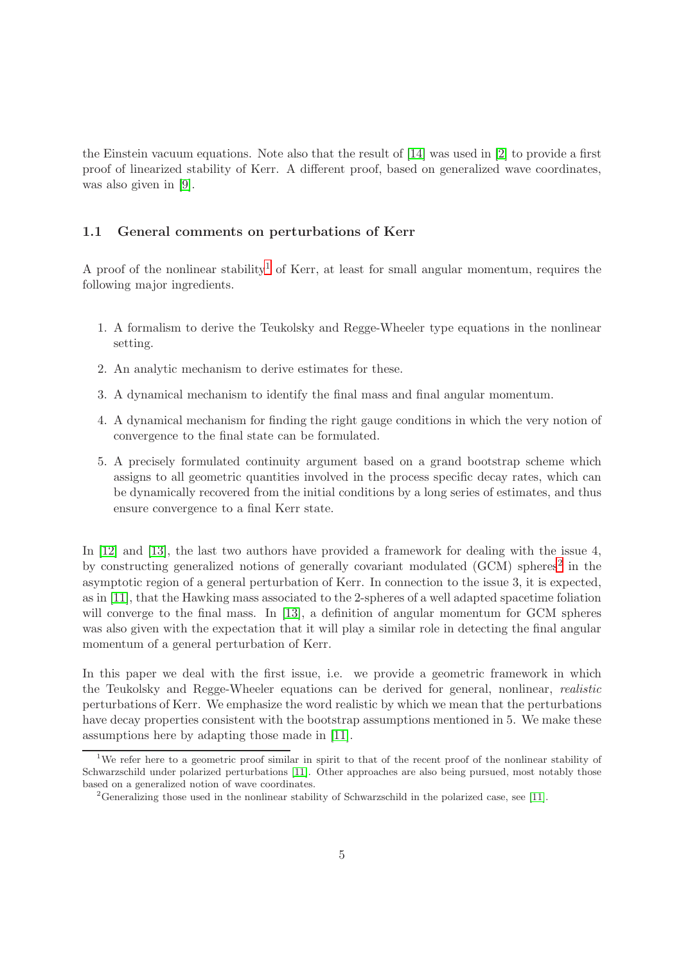the Einstein vacuum equations. Note also that the result of [\[14\]](#page-138-0) was used in [\[2\]](#page-137-4) to provide a first proof of linearized stability of Kerr. A different proof, based on generalized wave coordinates, was also given in [\[9\]](#page-137-5).

#### <span id="page-4-0"></span>1.1 General comments on perturbations of Kerr

A proof of the nonlinear stability<sup>[1](#page-4-1)</sup> of Kerr, at least for small angular momentum, requires the following major ingredients.

- 1. A formalism to derive the Teukolsky and Regge-Wheeler type equations in the nonlinear setting.
- 2. An analytic mechanism to derive estimates for these.
- 3. A dynamical mechanism to identify the final mass and final angular momentum.
- 4. A dynamical mechanism for finding the right gauge conditions in which the very notion of convergence to the final state can be formulated.
- 5. A precisely formulated continuity argument based on a grand bootstrap scheme which assigns to all geometric quantities involved in the process specific decay rates, which can be dynamically recovered from the initial conditions by a long series of estimates, and thus ensure convergence to a final Kerr state.

In  $[12]$  and  $[13]$ , the last two authors have provided a framework for dealing with the issue 4, by constructing generalized notions of generally covariant modulated (GCM) spheres<sup>[2](#page-4-2)</sup> in the asymptotic region of a general perturbation of Kerr. In connection to the issue 3, it is expected, as in [\[11\]](#page-137-3), that the Hawking mass associated to the 2-spheres of a well adapted spacetime foliation will converge to the final mass. In [\[13\]](#page-138-2), a definition of angular momentum for GCM spheres was also given with the expectation that it will play a similar role in detecting the final angular momentum of a general perturbation of Kerr.

In this paper we deal with the first issue, i.e. we provide a geometric framework in which the Teukolsky and Regge-Wheeler equations can be derived for general, nonlinear, realistic perturbations of Kerr. We emphasize the word realistic by which we mean that the perturbations have decay properties consistent with the bootstrap assumptions mentioned in 5. We make these assumptions here by adapting those made in [\[11\]](#page-137-3).

<span id="page-4-1"></span><sup>&</sup>lt;sup>1</sup>We refer here to a geometric proof similar in spirit to that of the recent proof of the nonlinear stability of Schwarzschild under polarized perturbations [\[11\]](#page-137-3). Other approaches are also being pursued, most notably those based on a generalized notion of wave coordinates.

<span id="page-4-2"></span><sup>2</sup>Generalizing those used in the nonlinear stability of Schwarzschild in the polarized case, see [\[11\]](#page-137-3).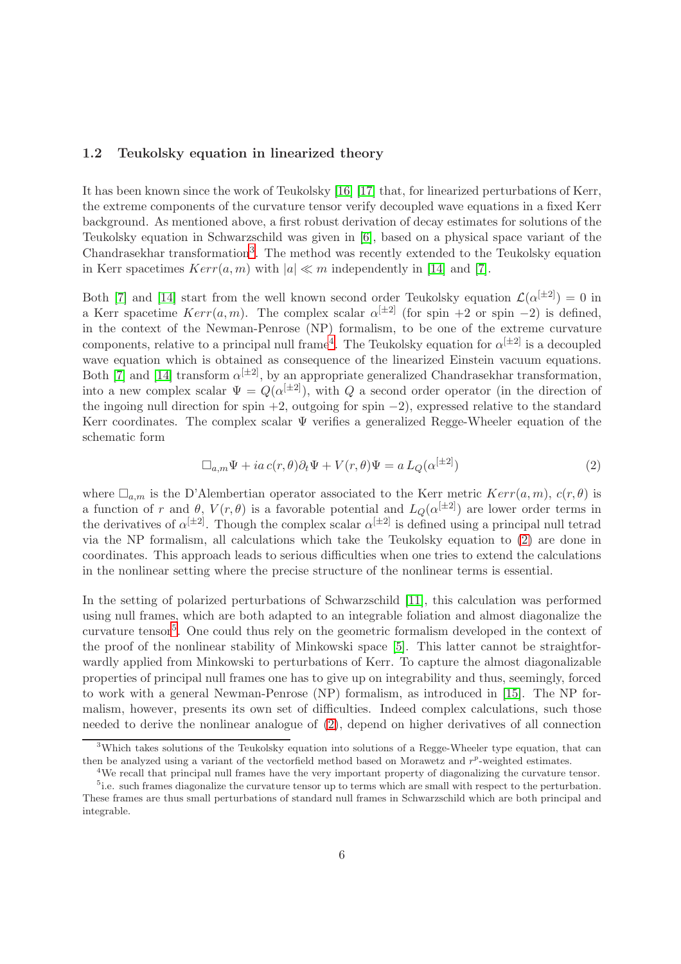#### <span id="page-5-0"></span>1.2 Teukolsky equation in linearized theory

It has been known since the work of Teukolsky [\[16\]](#page-138-3) [\[17\]](#page-138-4) that, for linearized perturbations of Kerr, the extreme components of the curvature tensor verify decoupled wave equations in a fixed Kerr background. As mentioned above, a first robust derivation of decay estimates for solutions of the Teukolsky equation in Schwarzschild was given in [\[6\]](#page-137-2), based on a physical space variant of the Chandrasekhar transformation<sup>[3](#page-5-1)</sup>. The method was recently extended to the Teukolsky equation in Kerr spacetimes  $Kerr(a, m)$  with  $|a| \ll m$  independently in [\[14\]](#page-138-0) and [\[7\]](#page-137-0).

Both [\[7\]](#page-137-0) and [\[14\]](#page-138-0) start from the well known second order Teukolsky equation  $\mathcal{L}(\alpha^{[\pm 2]}) = 0$  in a Kerr spacetime  $Kerr(a, m)$ . The complex scalar  $\alpha^{[\pm 2]}$  (for spin +2 or spin -2) is defined, in the context of the Newman-Penrose (NP) formalism, to be one of the extreme curvature components, relative to a principal null frame<sup>[4](#page-5-2)</sup>. The Teukolsky equation for  $\alpha^{[\pm 2]}$  is a decoupled wave equation which is obtained as consequence of the linearized Einstein vacuum equations. Both [\[7\]](#page-137-0) and [\[14\]](#page-138-0) transform  $\alpha^{[\pm 2]}$ , by an appropriate generalized Chandrasekhar transformation, into a new complex scalar  $\Psi = Q(\alpha^{[\pm 2]})$ , with Q a second order operator (in the direction of the ingoing null direction for spin +2, outgoing for spin  $-2$ ), expressed relative to the standard Kerr coordinates. The complex scalar  $\Psi$  verifies a generalized Regge-Wheeler equation of the schematic form

<span id="page-5-3"></span>
$$
\Box_{a,m} \Psi + ia \, c(r,\theta) \partial_t \Psi + V(r,\theta) \Psi = a \, L_Q(\alpha^{[\pm 2]}) \tag{2}
$$

where  $\Box_{a,m}$  is the D'Alembertian operator associated to the Kerr metric  $Kerr(a, m)$ ,  $c(r, \theta)$  is a function of r and  $\theta$ ,  $V(r, \theta)$  is a favorable potential and  $L_Q(\alpha^{[\pm 2]})$  are lower order terms in the derivatives of  $\alpha^{[\pm 2]}$ . Though the complex scalar  $\alpha^{[\pm 2]}$  is defined using a principal null tetrad via the NP formalism, all calculations which take the Teukolsky equation to [\(2\)](#page-5-3) are done in coordinates. This approach leads to serious difficulties when one tries to extend the calculations in the nonlinear setting where the precise structure of the nonlinear terms is essential.

In the setting of polarized perturbations of Schwarzschild [\[11\]](#page-137-3), this calculation was performed using null frames, which are both adapted to an integrable foliation and almost diagonalize the curvature tensor<sup>[5](#page-5-4)</sup>. One could thus rely on the geometric formalism developed in the context of the proof of the nonlinear stability of Minkowski space [\[5\]](#page-137-6). This latter cannot be straightforwardly applied from Minkowski to perturbations of Kerr. To capture the almost diagonalizable properties of principal null frames one has to give up on integrability and thus, seemingly, forced to work with a general Newman-Penrose (NP) formalism, as introduced in [\[15\]](#page-138-5). The NP formalism, however, presents its own set of difficulties. Indeed complex calculations, such those needed to derive the nonlinear analogue of [\(2\)](#page-5-3), depend on higher derivatives of all connection

<sup>&</sup>lt;sup>3</sup>Which takes solutions of the Teukolsky equation into solutions of a Regge-Wheeler type equation, that can then be analyzed using a variant of the vectorfield method based on Morawetz and  $r<sup>p</sup>$ -weighted estimates.

<span id="page-5-2"></span><span id="page-5-1"></span><sup>4</sup>We recall that principal null frames have the very important property of diagonalizing the curvature tensor. <sup>5</sup>i.e. such frames diagonalize the curvature tensor up to terms which are small with respect to the perturbation.

<span id="page-5-4"></span>These frames are thus small perturbations of standard null frames in Schwarzschild which are both principal and integrable.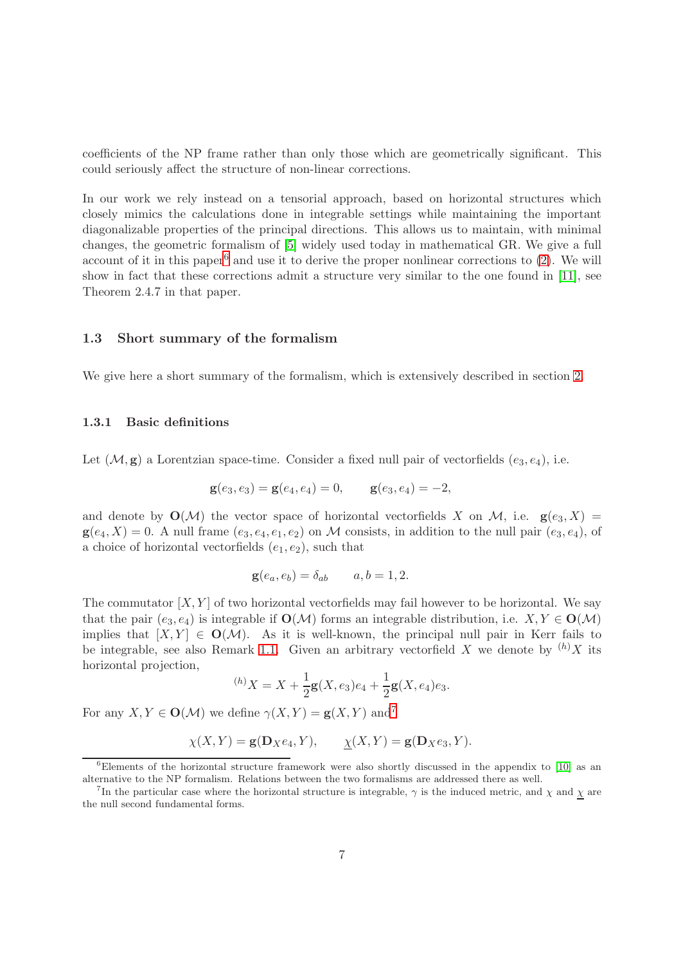coefficients of the NP frame rather than only those which are geometrically significant. This could seriously affect the structure of non-linear corrections.

In our work we rely instead on a tensorial approach, based on horizontal structures which closely mimics the calculations done in integrable settings while maintaining the important diagonalizable properties of the principal directions. This allows us to maintain, with minimal changes, the geometric formalism of [\[5\]](#page-137-6) widely used today in mathematical GR. We give a full account of it in this paper<sup>[6](#page-6-2)</sup> and use it to derive the proper nonlinear corrections to  $(2)$ . We will show in fact that these corrections admit a structure very similar to the one found in [\[11\]](#page-137-3), see Theorem 2.4.7 in that paper.

#### <span id="page-6-0"></span>1.3 Short summary of the formalism

<span id="page-6-1"></span>We give here a short summary of the formalism, which is extensively described in section [2.](#page-13-0)

#### 1.3.1 Basic definitions

Let  $(M, g)$  a Lorentzian space-time. Consider a fixed null pair of vectorfields  $(e_3, e_4)$ , i.e.

$$
\mathbf{g}(e_3, e_3) = \mathbf{g}(e_4, e_4) = 0, \qquad \mathbf{g}(e_3, e_4) = -2,
$$

and denote by  $\mathbf{O}(\mathcal{M})$  the vector space of horizontal vectorfields X on M, i.e.  $\mathbf{g}(e_3, X) =$  $g(e_4, X) = 0$ . A null frame  $(e_3, e_4, e_1, e_2)$  on M consists, in addition to the null pair  $(e_3, e_4)$ , of a choice of horizontal vectorfields  $(e_1, e_2)$ , such that

$$
\mathbf{g}(e_a, e_b) = \delta_{ab} \qquad a, b = 1, 2.
$$

The commutator  $[X, Y]$  of two horizontal vectorfields may fail however to be horizontal. We say that the pair  $(e_3, e_4)$  is integrable if  $\mathbf{O}(\mathcal{M})$  forms an integrable distribution, i.e.  $X, Y \in \mathbf{O}(\mathcal{M})$ implies that  $[X, Y] \in O(M)$ . As it is well-known, the principal null pair in Kerr fails to be integrable, see also Remark [1.1.](#page-7-0) Given an arbitrary vectorfield X we denote by  ${}^{(h)}X$  its horizontal projection,

$$
{}^{(h)}X = X + \frac{1}{2}\mathbf{g}(X, e_3)e_4 + \frac{1}{2}\mathbf{g}(X, e_4)e_3.
$$

For any  $X, Y \in \mathbf{O}(\mathcal{M})$  we define  $\gamma(X, Y) = \mathbf{g}(X, Y)$  and<sup>[7](#page-6-3)</sup>

$$
\chi(X,Y) = \mathbf{g}(\mathbf{D}_X e_4, Y), \qquad \underline{\chi}(X,Y) = \mathbf{g}(\mathbf{D}_X e_3, Y).
$$

<span id="page-6-2"></span> $6$ Elements of the horizontal structure framework were also shortly discussed in the appendix to [\[10\]](#page-137-7) as an alternative to the NP formalism. Relations between the two formalisms are addressed there as well.

<span id="page-6-3"></span><sup>&</sup>lt;sup>7</sup>In the particular case where the horizontal structure is integrable,  $\gamma$  is the induced metric, and  $\chi$  and  $\chi$  are the null second fundamental forms.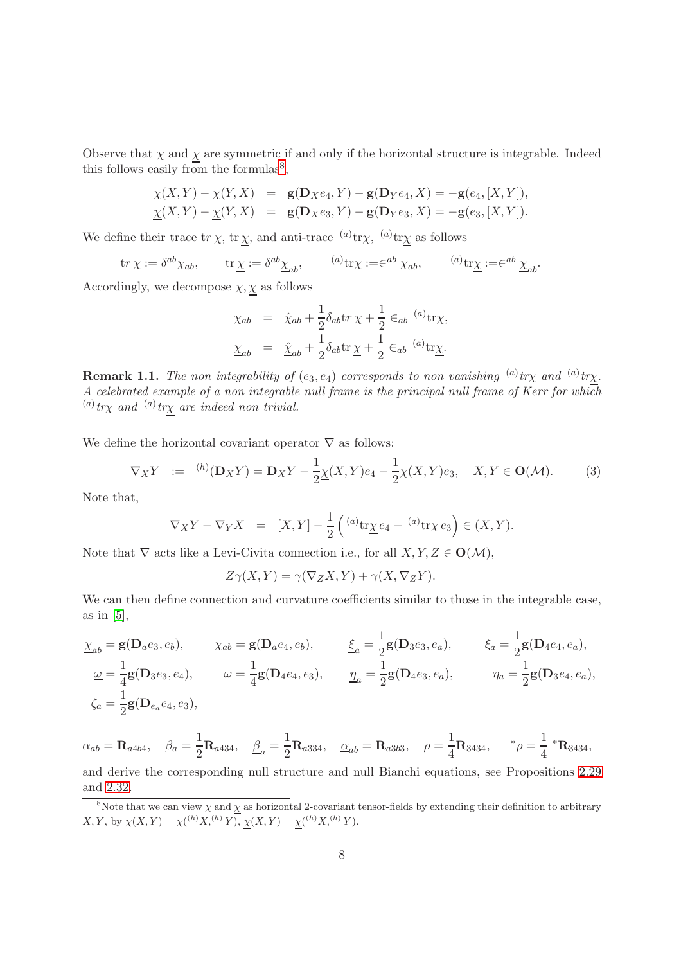Observe that  $\chi$  and  $\chi$  are symmetric if and only if the horizontal structure is integrable. Indeed this follows easily from the formulas<sup>[8](#page-7-1)</sup>,

$$
\chi(X,Y) - \chi(Y,X) = \mathbf{g}(\mathbf{D}_X e_4, Y) - \mathbf{g}(\mathbf{D}_Y e_4, X) = -\mathbf{g}(e_4, [X,Y]), \n \underline{\chi}(X,Y) - \underline{\chi}(Y,X) = \mathbf{g}(\mathbf{D}_X e_3, Y) - \mathbf{g}(\mathbf{D}_Y e_3, X) = -\mathbf{g}(e_3, [X,Y]).
$$

We define their trace  $\mathrm{tr}\,\chi$ ,  $\mathrm{tr}\,\chi$ , and anti-trace  $\mathrm{^{(a)}}\mathrm{tr}\chi$ ,  $\mathrm{^{(a)}}\mathrm{tr}\chi$  as follows

$$
\operatorname{tr}\chi := \delta^{ab}\chi_{ab}, \qquad \operatorname{tr}\underline{\chi} := \delta^{ab}\underline{\chi}_{ab}, \qquad \overset{(a)}{\operatorname{tr}}\chi := \in^{ab}\chi_{ab}, \qquad \overset{(a)}{\operatorname{tr}}\underline{\chi} := \in^{ab}\underline{\chi}_{ab}.
$$

Accordingly, we decompose  $\chi, \chi$  as follows

$$
\chi_{ab} = \hat{\chi}_{ab} + \frac{1}{2} \delta_{ab} \text{tr} \chi + \frac{1}{2} \epsilon_{ab} \stackrel{(a)}{\text{tr}} \chi,
$$
  

$$
\underline{\chi}_{ab} = \hat{\underline{\chi}}_{ab} + \frac{1}{2} \delta_{ab} \text{tr} \underline{\chi} + \frac{1}{2} \epsilon_{ab} \stackrel{(a)}{\text{tr}} \underline{\chi}.
$$

<span id="page-7-0"></span>**Remark 1.1.** The non integrability of  $(e_3, e_4)$  corresponds to non vanishing  $\binom{a}{k}$  tr<sub>X</sub> and  $\binom{a}{k}$ . A celebrated example of a non integrable null frame is the principal null frame of Kerr for which  ${}^{(a)}tr\chi$  and  ${}^{(a)}tr\chi$  are indeed non trivial.

We define the horizontal covariant operator  $\nabla$  as follows:

$$
\nabla_X Y \ := \ {}^{(h)}(\mathbf{D}_X Y) = \mathbf{D}_X Y - \frac{1}{2} \underline{\chi}(X, Y) e_4 - \frac{1}{2} \chi(X, Y) e_3, \quad X, Y \in \mathbf{O}(\mathcal{M}). \tag{3}
$$

Note that,

$$
\nabla_X Y - \nabla_Y X = [X, Y] - \frac{1}{2} \left( {}^{(a)}\text{tr}\underline{\chi} e_4 + {}^{(a)}\text{tr}\chi e_3 \right) \in (X, Y).
$$

Note that  $\nabla$  acts like a Levi-Civita connection i.e., for all  $X, Y, Z \in O(\mathcal{M})$ ,

$$
Z\gamma(X,Y) = \gamma(\nabla_Z X, Y) + \gamma(X, \nabla_Z Y).
$$

We can then define connection and curvature coefficients similar to those in the integrable case, as in  $[5]$ ,

$$
\underline{\chi}_{ab} = \mathbf{g}(\mathbf{D}_a e_3, e_b), \qquad \chi_{ab} = \mathbf{g}(\mathbf{D}_a e_4, e_b), \qquad \underline{\xi}_a = \frac{1}{2} \mathbf{g}(\mathbf{D}_3 e_3, e_a), \qquad \xi_a = \frac{1}{2} \mathbf{g}(\mathbf{D}_4 e_4, e_a), \n\underline{\omega} = \frac{1}{4} \mathbf{g}(\mathbf{D}_3 e_3, e_4), \qquad \omega = \frac{1}{4} \mathbf{g}(\mathbf{D}_4 e_4, e_3), \qquad \underline{\eta}_a = \frac{1}{2} \mathbf{g}(\mathbf{D}_4 e_3, e_a), \qquad \eta_a = \frac{1}{2} \mathbf{g}(\mathbf{D}_3 e_4, e_a), \n\zeta_a = \frac{1}{2} \mathbf{g}(\mathbf{D}_{e_a} e_4, e_3),
$$

 $\alpha_{ab} = \mathbf{R}_{a4b4}, \quad \beta_a = \frac{1}{2}$  $\frac{1}{2}$ **R**<sub>a434</sub>,  $\beta_a = \frac{1}{2}$  $\frac{1}{2}$ **R**<sub>a334</sub>, <u> $\alpha_{ab}$ </u> = **R**<sub>a3b3</sub>,  $\rho = \frac{1}{4}$  $\frac{1}{4}R_{3434}$ ,  $\phi = \frac{1}{4}$  $\frac{1}{4}$  \*R<sub>3434</sub>, and derive the corresponding null structure and null Bianchi equations, see Propositions [2.29](#page-25-1) and [2.32.](#page-28-1)

<span id="page-7-1"></span><sup>&</sup>lt;sup>8</sup>Note that we can view  $\chi$  and  $\chi$  as horizontal 2-covariant tensor-fields by extending their definition to arbitrary  $X, Y$ , by  $\chi(X, Y) = \chi({}^{(h)}X, {}^{(h)}Y), \chi(X, Y) = \chi({}^{(h)}X, {}^{(h)}Y).$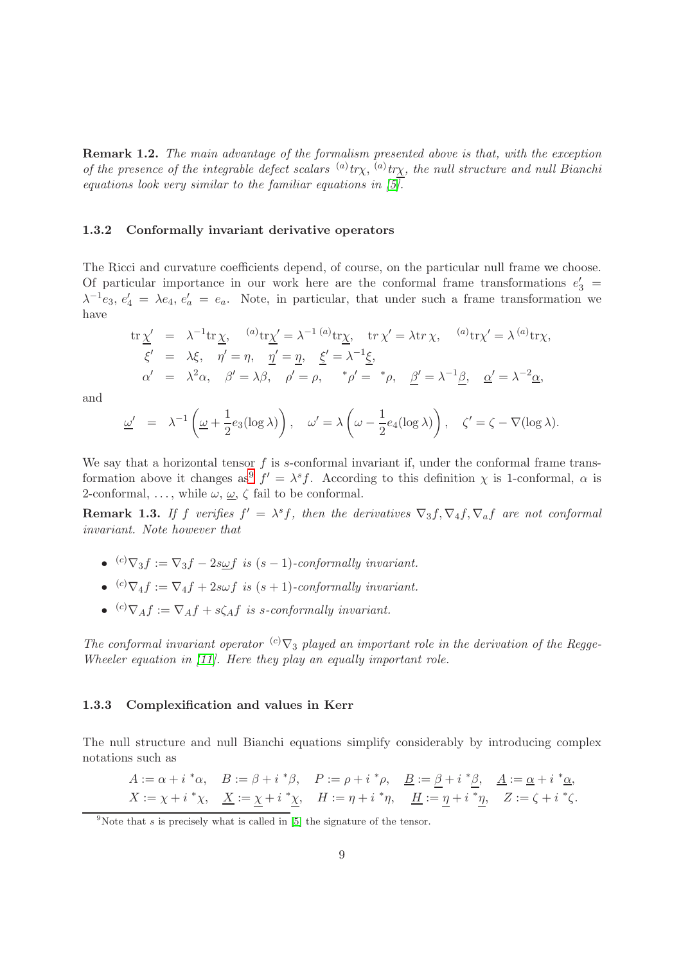Remark 1.2. The main advantage of the formalism presented above is that, with the exception of the presence of the integrable defect scalars  $\binom{a}{x}$  tr<sub> $\chi$ </sub>,  $\chi$ , the null structure and null Bianchi equations look very similar to the familiar equations in  $[5]$ .

#### <span id="page-8-0"></span>1.3.2 Conformally invariant derivative operators

The Ricci and curvature coefficients depend, of course, on the particular null frame we choose. Of particular importance in our work here are the conformal frame transformations  $e'_3$  =  $\lambda^{-1}e_3$ ,  $e'_4 = \lambda e_4$ ,  $e'_a = e_a$ . Note, in particular, that under such a frame transformation we have

$$
\begin{array}{rcl}\n\text{tr}\,\underline{\chi}' &=& \lambda^{-1}\text{tr}\,\underline{\chi}, \quad \text{``a)}\text{tr}\underline{\chi}' = \lambda^{-1} \text{``a)}\text{tr}\underline{\chi}, \quad \text{tr}\,\chi' = \lambda \text{tr}\,\chi, \quad \text{``a)}\text{tr}\chi' = \lambda \text{``a)}\text{tr}\chi, \\
\xi' &=& \lambda\xi, \quad \eta' = \eta, \quad \underline{\eta}' = \underline{\eta}, \quad \underline{\xi}' = \lambda^{-1}\underline{\xi}, \\
\alpha' &=& \lambda^2\alpha, \quad \beta' = \lambda\beta, \quad \rho' = \rho, \quad \text{``$\rho'$ = \text{``$\rho$}, \quad \underline{\beta'} = \lambda^{-1}\underline{\beta}, \quad \underline{\alpha'} = \lambda^{-2}\underline{\alpha},\n\end{array}
$$

and

$$
\underline{\omega}' = \lambda^{-1} \left( \underline{\omega} + \frac{1}{2} e_3(\log \lambda) \right), \quad \underline{\omega}' = \lambda \left( \underline{\omega} - \frac{1}{2} e_4(\log \lambda) \right), \quad \zeta' = \zeta - \nabla(\log \lambda).
$$

We say that a horizontal tensor  $f$  is s-conformal invariant if, under the conformal frame trans-formation above it changes as<sup>[9](#page-8-2)</sup>  $f' = \lambda^s f$ . According to this definition  $\chi$  is 1-conformal,  $\alpha$  is 2-conformal, ..., while  $\omega$ ,  $\underline{\omega}$ ,  $\zeta$  fail to be conformal.

<span id="page-8-3"></span>**Remark 1.3.** If f verifies  $f' = \lambda^s f$ , then the derivatives  $\nabla_3 f$ ,  $\nabla_4 f$ ,  $\nabla_a f$  are not conformal invariant. Note however that

- $^{(c)}\nabla_3 f := \nabla_3 f 2s \underline{\omega} f$  is  $(s-1)$ -conformally invariant.
- $^{(c)}\nabla_4 f := \nabla_4 f + 2s\omega f$  is  $(s + 1)$ -conformally invariant.
- $^{(c)}\nabla_A f := \nabla_A f + s\zeta_A f$  is s-conformally invariant.

The conformal invariant operator  ${}^{(c)}\nabla_3$  played an important role in the derivation of the Regge-Wheeler equation in [\[11\]](#page-137-3). Here they play an equally important role.

#### <span id="page-8-1"></span>1.3.3 Complexification and values in Kerr

The null structure and null Bianchi equations simplify considerably by introducing complex notations such as

$$
A := \alpha + i \,^*\alpha, \quad B := \beta + i \,^*\beta, \quad P := \rho + i \,^*\rho, \quad \underline{B} := \underline{\beta} + i \,^*\underline{\beta}, \quad \underline{A} := \underline{\alpha} + i \,^*\underline{\alpha},
$$

$$
X := \chi + i \,^*\chi, \quad \underline{X} := \underline{\chi} + i \,^*\underline{\chi}, \quad H := \eta + i \,^*\eta, \quad \underline{H} := \underline{\eta} + i \,^*\underline{\eta}, \quad Z := \zeta + i \,^*\zeta.
$$

<span id="page-8-2"></span><sup>&</sup>lt;sup>9</sup>Note that s is precisely what is called in [\[5\]](#page-137-6) the signature of the tensor.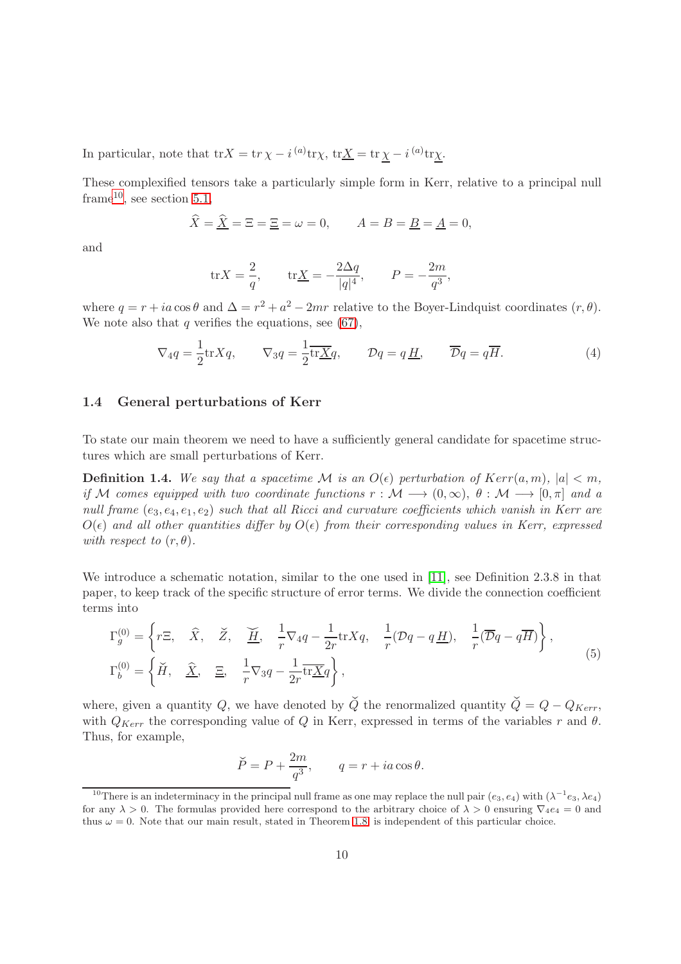In particular, note that  $\text{tr}X = \text{tr}\,\chi - i^{(a)}\text{tr}\chi$ ,  $\text{tr}\underline{X} = \text{tr}\,\underline{\chi} - i^{(a)}\text{tr}\underline{\chi}$ .

These complexified tensors take a particularly simple form in Kerr, relative to a principal null frame<sup>[10](#page-9-1)</sup>, see section [5.1,](#page-54-1)

$$
\widehat{X} = \widehat{\underline{X}} = \Xi = \Xi = \omega = 0, \qquad A = B = \underline{B} = \underline{A} = 0,
$$

and

$$
\text{tr} X = \frac{2}{q}, \qquad \text{tr} \underline{X} = -\frac{2\Delta q}{|q|^4}, \qquad P = -\frac{2m}{q^3},
$$

where  $q = r + ia \cos \theta$  and  $\Delta = r^2 + a^2 - 2mr$  relative to the Boyer-Lindquist coordinates  $(r, \theta)$ . We note also that  $q$  verifies the equations, see [\(67\)](#page-55-1),

$$
\nabla_4 q = \frac{1}{2} \text{tr} X q, \qquad \nabla_3 q = \frac{1}{2} \overline{\text{tr} X} q, \qquad \mathcal{D}q = q \underline{H}, \qquad \overline{\mathcal{D}}q = q \overline{H}. \tag{4}
$$

#### <span id="page-9-0"></span>1.4 General perturbations of Kerr

To state our main theorem we need to have a sufficiently general candidate for spacetime structures which are small perturbations of Kerr.

**Definition 1.4.** We say that a spacetime M is an  $O(\epsilon)$  perturbation of  $Kerr(a, m)$ ,  $|a| < m$ , if M comes equipped with two coordinate functions  $r : \mathcal{M} \longrightarrow (0,\infty), \theta : \mathcal{M} \longrightarrow [0,\pi]$  and a null frame  $(e_3, e_4, e_1, e_2)$  such that all Ricci and curvature coefficients which vanish in Kerr are  $O(\epsilon)$  and all other quantities differ by  $O(\epsilon)$  from their corresponding values in Kerr, expressed with respect to  $(r, \theta)$ .

We introduce a schematic notation, similar to the one used in [\[11\]](#page-137-3), see Definition 2.3.8 in that paper, to keep track of the specific structure of error terms. We divide the connection coefficient terms into

$$
\Gamma_g^{(0)} = \left\{ r\Xi, \quad \widehat{X}, \quad \widecheck{Z}, \quad \underline{\widecheck{H}}, \quad \frac{1}{r} \nabla_4 q - \frac{1}{2r} \text{tr} Xq, \quad \frac{1}{r} (\mathcal{D}q - q\underline{H}), \quad \frac{1}{r} (\overline{\mathcal{D}}q - q\overline{H}) \right\},
$$
\n
$$
\Gamma_b^{(0)} = \left\{ \widecheck{H}, \quad \underline{\widehat{X}}, \quad \underline{\Xi}, \quad \frac{1}{r} \nabla_3 q - \frac{1}{2r} \overline{\text{tr} X} q \right\},
$$
\n(5)

where, given a quantity Q, we have denoted by  $\check{Q}$  the renormalized quantity  $\check{Q} = Q - Q_{Kerr}$ , with  $Q_{Kerr}$  the corresponding value of Q in Kerr, expressed in terms of the variables r and  $\theta$ . Thus, for example,

$$
\breve{P} = P + \frac{2m}{q^3}, \qquad q = r + ia \cos \theta.
$$

<span id="page-9-1"></span><sup>&</sup>lt;sup>10</sup>There is an indeterminacy in the principal null frame as one may replace the null pair  $(e_3, e_4)$  with  $(\lambda^{-1}e_3, \lambda e_4)$ for any  $\lambda > 0$ . The formulas provided here correspond to the arbitrary choice of  $\lambda > 0$  ensuring  $\nabla_4e_4 = 0$  and thus  $\omega = 0$ . Note that our main result, stated in Theorem [1.8,](#page-11-1) is independent of this particular choice.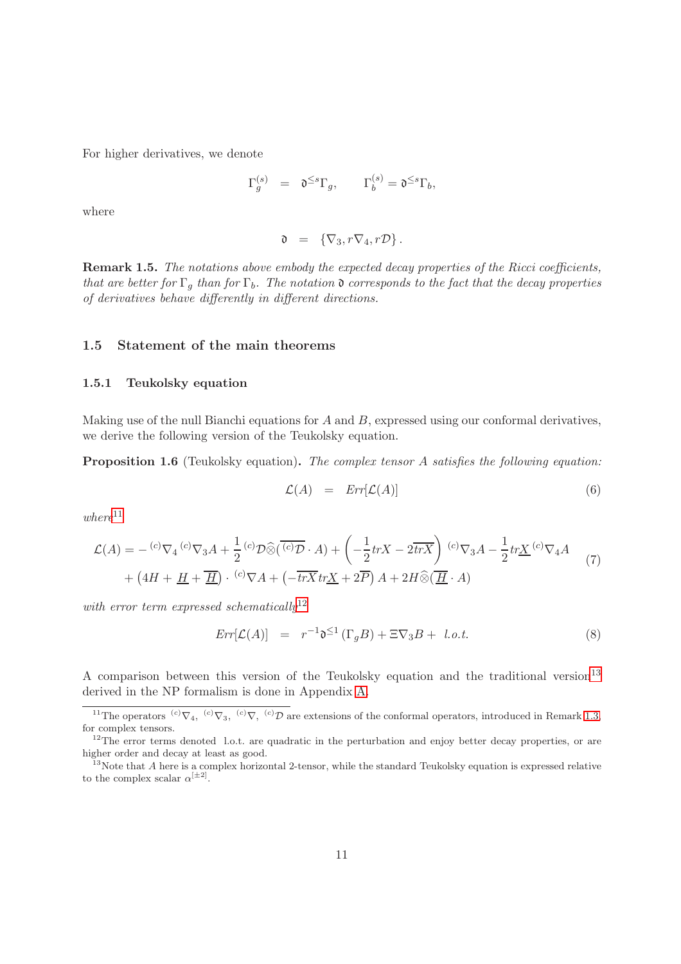For higher derivatives, we denote

$$
\Gamma_g^{(s)} \ \ = \ \ \mathfrak{d}^{\leq s} \Gamma_g, \qquad \Gamma_b^{(s)} = \mathfrak{d}^{\leq s} \Gamma_b,
$$

where

$$
\mathfrak{d} = \{\nabla_3, r\nabla_4, r\mathcal{D}\}.
$$

Remark 1.5. The notations above embody the expected decay properties of the Ricci coefficients, that are better for  $\Gamma_q$  than for  $\Gamma_b$ . The notation  $\mathfrak d$  corresponds to the fact that the decay properties of derivatives behave differently in different directions.

### <span id="page-10-1"></span><span id="page-10-0"></span>1.5 Statement of the main theorems

#### 1.5.1 Teukolsky equation

Making use of the null Bianchi equations for  $A$  and  $B$ , expressed using our conformal derivatives, we derive the following version of the Teukolsky equation.

Proposition 1.6 (Teukolsky equation). The complex tensor A satisfies the following equation:

$$
\mathcal{L}(A) = Err[\mathcal{L}(A)] \tag{6}
$$

 $where$ <sup>[11](#page-10-2)</sup>

$$
\mathcal{L}(A) = - {}^{(c)}\nabla_4 {}^{(c)}\nabla_3 A + \frac{1}{2} {}^{(c)}\mathcal{D}\widehat{\otimes}(\overline{{}^{(c)}\mathcal{D}} \cdot A) + \left(-\frac{1}{2} trX - 2\overline{trX}\right) {}^{(c)}\nabla_3 A - \frac{1}{2} trX {}^{(c)}\nabla_4 A + \left(4H + \underline{H} + \overline{\underline{H}}\right) \cdot {}^{(c)}\nabla A + \left(-\overline{trX} trX + 2\overline{P}\right) A + 2H \widehat{\otimes}(\overline{\underline{H}} \cdot A)
$$
\n(7)

with error term expressed schematically<sup>[12](#page-10-3)</sup>

$$
Err[\mathcal{L}(A)] = r^{-1} \mathfrak{d}^{\leq 1} (\Gamma_g B) + \Xi \nabla_3 B + l.o.t.
$$
 (8)

A comparison between this version of the Teukolsky equation and the traditional version<sup>[13](#page-10-4)</sup> derived in the NP formalism is done in Appendix [A.](#page-91-0)

<span id="page-10-2"></span><sup>&</sup>lt;sup>11</sup>The operators <sup>(c)</sup> $\nabla_4$ , <sup>(c)</sup> $\nabla_3$ , <sup>(c)</sup> $\nabla$ , <sup>(c)</sup> $\nabla$  are extensions of the conformal operators, introduced in Remark [1.3,](#page-8-3) for complex tensors.

<span id="page-10-3"></span> $12$ The error terms denoted l.o.t. are quadratic in the perturbation and enjoy better decay properties, or are higher order and decay at least as good.

<span id="page-10-4"></span> $13$ Note that A here is a complex horizontal 2-tensor, while the standard Teukolsky equation is expressed relative to the complex scalar  $\alpha^{[\pm 2]}$ .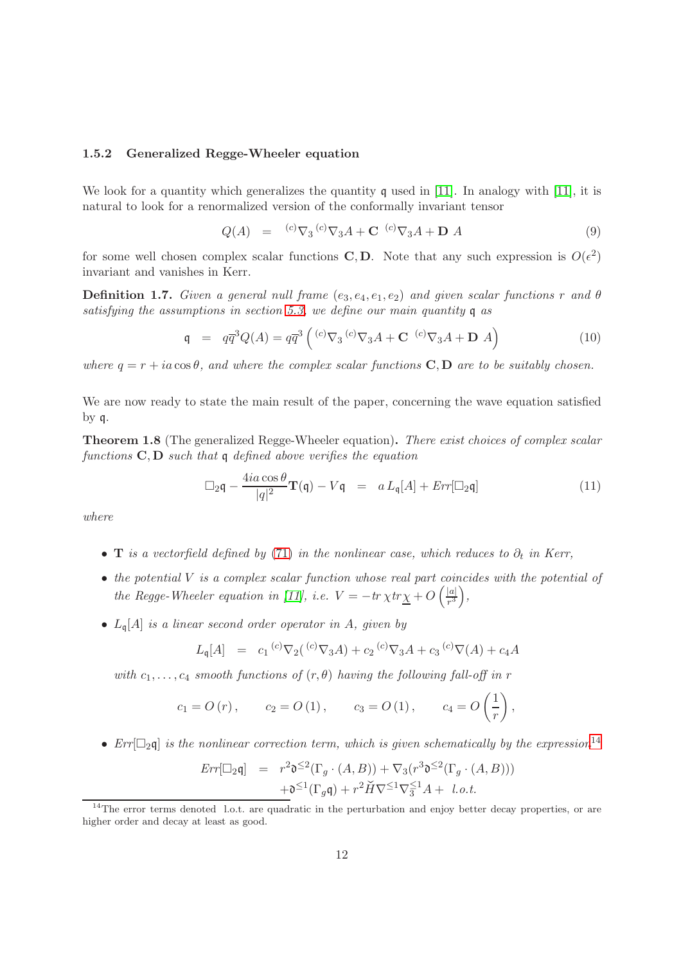#### <span id="page-11-0"></span>1.5.2 Generalized Regge-Wheeler equation

We look for a quantity which generalizes the quantity  $\mathfrak q$  used in [\[11\]](#page-137-3). In analogy with [11], it is natural to look for a renormalized version of the conformally invariant tensor

$$
Q(A) = {}^{(c)}\nabla_3 {}^{(c)}\nabla_3 A + \mathbf{C} {}^{(c)}\nabla_3 A + \mathbf{D} A
$$
 (9)

for some well chosen complex scalar functions **C**, **D**. Note that any such expression is  $O(\epsilon^2)$ invariant and vanishes in Kerr.

**Definition 1.7.** Given a general null frame  $(e_3, e_4, e_1, e_2)$  and given scalar functions r and  $\theta$ satisfying the assumptions in section [5.3,](#page-57-0) we define our main quantity q as

$$
\mathfrak{q} = q\overline{q}^3 Q(A) = q\overline{q}^3 \left( {}^{(c)}\nabla_3 {}^{(c)}\nabla_3 A + \mathbf{C} {}^{(c)}\nabla_3 A + \mathbf{D} A \right)
$$
(10)

where  $q = r + ia \cos \theta$ , and where the complex scalar functions **C**, **D** are to be suitably chosen.

We are now ready to state the main result of the paper, concerning the wave equation satisfied by q.

<span id="page-11-1"></span>Theorem 1.8 (The generalized Regge-Wheeler equation). There exist choices of complex scalar functions  $C, D$  such that q defined above verifies the equation

<span id="page-11-3"></span>
$$
\Box_2 \mathfrak{q} - \frac{4ia\cos\theta}{|q|^2} \mathbf{T}(\mathfrak{q}) - V\mathfrak{q} = a L_{\mathfrak{q}}[A] + Err[\Box_2 \mathfrak{q}]
$$
\n(11)

where

- **T** is a vectorfield defined by [\(71\)](#page-58-2) in the nonlinear case, which reduces to  $\partial_t$  in Kerr,
- $\bullet$  the potential V is a complex scalar function whose real part coincides with the potential of the Regge-Wheeler equation in [\[11\]](#page-137-3), i.e.  $V = -tr \chi tr \chi + O\left(\frac{|a|}{r^3}\right)$  $\frac{|a|}{r^3}\bigg),$
- $L_{\mathfrak{q}}[A]$  is a linear second order operator in A, given by

$$
L_{\mathfrak{q}}[A] = c_1 {}^{(c)}\nabla_2({}^{(c)}\nabla_3 A) + c_2 {}^{(c)}\nabla_3 A + c_3 {}^{(c)}\nabla(A) + c_4 A
$$

with  $c_1, \ldots, c_4$  smooth functions of  $(r, \theta)$  having the following fall-off in r

$$
c_1 = O(r)
$$
,  $c_2 = O(1)$ ,  $c_3 = O(1)$ ,  $c_4 = O\left(\frac{1}{r}\right)$ ,

•  $Err[\Box_2\mathfrak{q}]$  is the nonlinear correction term, which is given schematically by the expression<sup>[14](#page-11-2)</sup>

$$
Err[\Box_2 \mathfrak{q}] = r^2 \mathfrak{d}^{\leq 2}(\Gamma_g \cdot (A, B)) + \nabla_3 (r^3 \mathfrak{d}^{\leq 2}(\Gamma_g \cdot (A, B)))
$$
  
+ 
$$
\mathfrak{d}^{\leq 1}(\Gamma_g \mathfrak{q}) + r^2 \check{H} \nabla^{\leq 1} \nabla_3^{\leq 1} A + l.o.t.
$$

<span id="page-11-2"></span> $14$ The error terms denoted l.o.t. are quadratic in the perturbation and enjoy better decay properties, or are higher order and decay at least as good.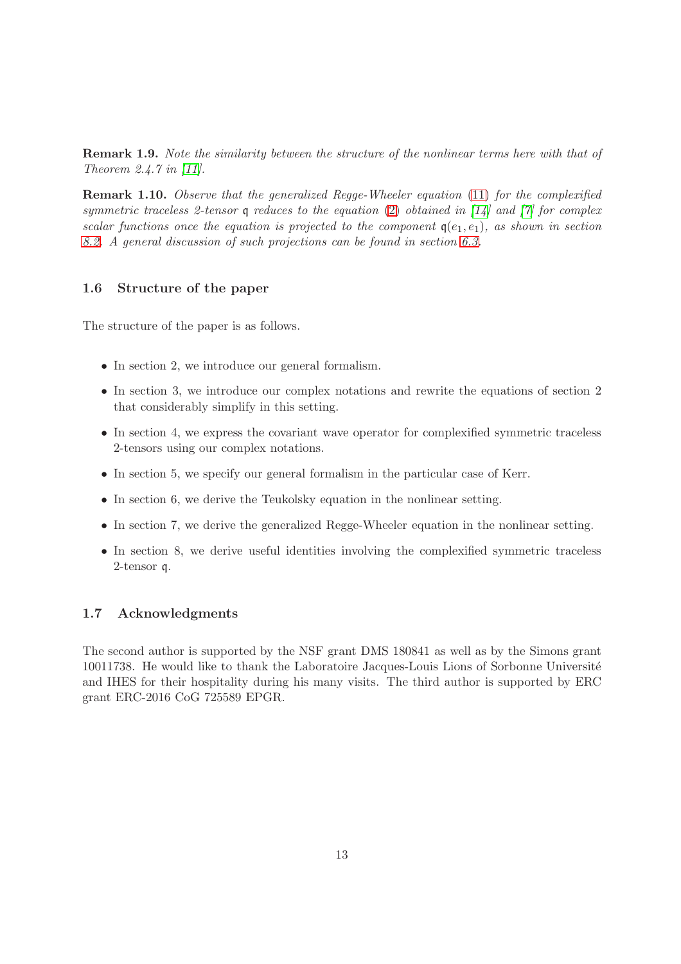Remark 1.9. Note the similarity between the structure of the nonlinear terms here with that of Theorem 2.4.7 in [\[11\]](#page-137-3).

Remark 1.10. Observe that the generalized Regge-Wheeler equation [\(11\)](#page-11-3) for the complexified symmetric traceless 2-tensor q reduces to the equation [\(2\)](#page-5-3) obtained in  $\left[14\right]$  and  $\left[7\right]$  for complex scalar functions once the equation is projected to the component  $q(e_1, e_1)$ , as shown in section [8.2.](#page-84-0) A general discussion of such projections can be found in section [6.3.](#page-71-0)

#### <span id="page-12-0"></span>1.6 Structure of the paper

The structure of the paper is as follows.

- In section 2, we introduce our general formalism.
- In section 3, we introduce our complex notations and rewrite the equations of section 2 that considerably simplify in this setting.
- In section 4, we express the covariant wave operator for complexified symmetric traceless 2-tensors using our complex notations.
- In section 5, we specify our general formalism in the particular case of Kerr.
- In section 6, we derive the Teukolsky equation in the nonlinear setting.
- In section 7, we derive the generalized Regge-Wheeler equation in the nonlinear setting.
- In section 8, we derive useful identities involving the complexified symmetric traceless 2-tensor q.

#### <span id="page-12-1"></span>1.7 Acknowledgments

The second author is supported by the NSF grant DMS 180841 as well as by the Simons grant 10011738. He would like to thank the Laboratoire Jacques-Louis Lions of Sorbonne Universit´e and IHES for their hospitality during his many visits. The third author is supported by ERC grant ERC-2016 CoG 725589 EPGR.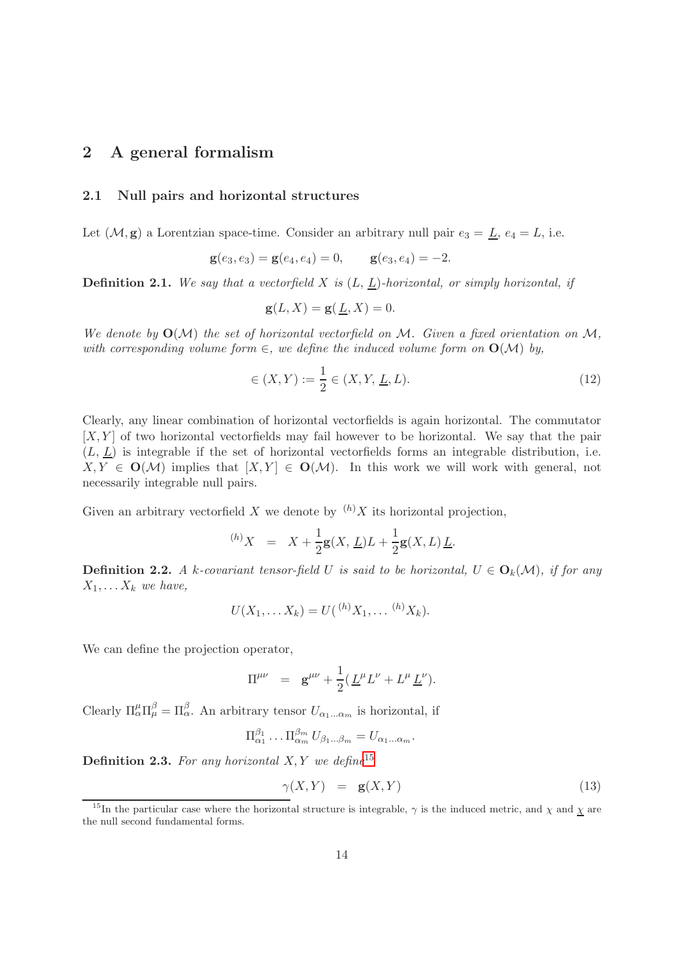## <span id="page-13-1"></span><span id="page-13-0"></span>2 A general formalism

#### 2.1 Null pairs and horizontal structures

Let  $(M, g)$  a Lorentzian space-time. Consider an arbitrary null pair  $e_3 = \underline{L}$ ,  $e_4 = L$ , i.e.

$$
\mathbf{g}(e_3,e_3)=\mathbf{g}(e_4,e_4)=0, \qquad \mathbf{g}(e_3,e_4)=-2.
$$

**Definition 2.1.** We say that a vectorfield X is  $(L, L)$ -horizontal, or simply horizontal, if

$$
\mathbf{g}(L, X) = \mathbf{g}(\underline{L}, X) = 0.
$$

We denote by  $O(\mathcal{M})$  the set of horizontal vectorfield on M. Given a fixed orientation on M, with corresponding volume form  $\in$ , we define the induced volume form on  $O(\mathcal{M})$  by,

$$
\in (X, Y) := \frac{1}{2} \in (X, Y, \underline{L}, L). \tag{12}
$$

Clearly, any linear combination of horizontal vectorfields is again horizontal. The commutator  $[X, Y]$  of two horizontal vectorfields may fail however to be horizontal. We say that the pair  $(L, L)$  is integrable if the set of horizontal vectorfields forms an integrable distribution, i.e.  $X, Y \in \mathbf{O}(\mathcal{M})$  implies that  $[X, Y] \in \mathbf{O}(\mathcal{M})$ . In this work we will work with general, not necessarily integrable null pairs.

Given an arbitrary vectorfield  $X$  we denote by  $(h)X$  its horizontal projection,

$$
^{(h)}X = X + \frac{1}{2}g(X, \underline{L})L + \frac{1}{2}g(X, L)\underline{L}.
$$

**Definition 2.2.** A k-covariant tensor-field U is said to be horizontal,  $U \in O_k(\mathcal{M})$ , if for any  $X_1, \ldots X_k$  we have,

$$
U(X_1, \ldots X_k) = U({^{(h)}X_1, \ldots {^{(h)}X_k}}).
$$

We can define the projection operator,

$$
\Pi^{\mu\nu} = \mathbf{g}^{\mu\nu} + \frac{1}{2} (\underline{L}^{\mu} L^{\nu} + L^{\mu} \underline{L}^{\nu}).
$$

Clearly  $\Pi_{\alpha}^{\mu} \Pi_{\mu}^{\beta} = \Pi_{\alpha}^{\beta}$ . An arbitrary tensor  $U_{\alpha_1...\alpha_m}$  is horizontal, if

$$
\Pi_{\alpha_1}^{\beta_1} \dots \Pi_{\alpha_m}^{\beta_m} U_{\beta_1 \dots \beta_m} = U_{\alpha_1 \dots \alpha_m}.
$$

**Definition 2.3.** For any horizontal  $X, Y$  we define<sup>[15](#page-13-2)</sup>

$$
\gamma(X, Y) = \mathbf{g}(X, Y) \tag{13}
$$

<span id="page-13-2"></span><sup>&</sup>lt;sup>15</sup>In the particular case where the horizontal structure is integrable,  $\gamma$  is the induced metric, and  $\chi$  and  $\chi$  are the null second fundamental forms.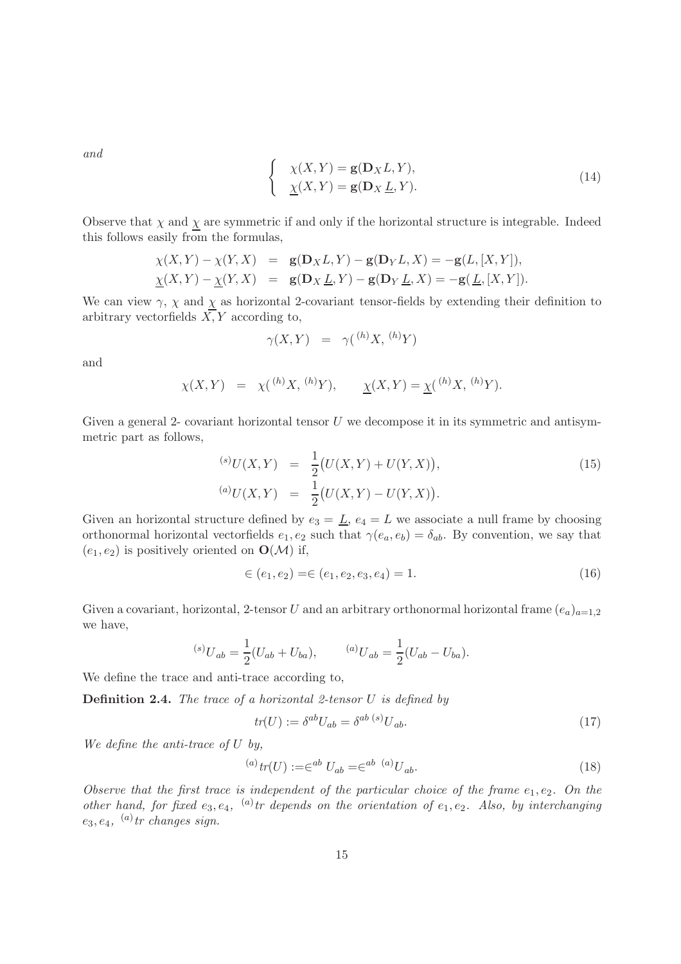and

$$
\begin{cases}\n\chi(X,Y) = \mathbf{g}(\mathbf{D}_X L, Y), \\
\chi(X,Y) = \mathbf{g}(\mathbf{D}_X \underline{L}, Y).\n\end{cases}
$$
\n(14)

Observe that  $\chi$  and  $\underline{\chi}$  are symmetric if and only if the horizontal structure is integrable. Indeed this follows easily from the formulas,

$$
\chi(X,Y) - \chi(Y,X) = \mathbf{g}(\mathbf{D}_X L, Y) - \mathbf{g}(\mathbf{D}_Y L, X) = -\mathbf{g}(L, [X, Y]),
$$
  

$$
\underline{\chi}(X,Y) - \underline{\chi}(Y,X) = \mathbf{g}(\mathbf{D}_X \underline{L}, Y) - \mathbf{g}(\mathbf{D}_Y \underline{L}, X) = -\mathbf{g}(\underline{L}, [X, Y]).
$$

We can view  $\gamma$ ,  $\chi$  and  $\underline{\chi}$  as horizontal 2-covariant tensor-fields by extending their definition to arbitrary vectorfields  $\overline{X}$ , Y according to,

$$
\gamma(X,Y) = \gamma({}^{(h)}X, {}^{(h)}Y)
$$

and

$$
\chi(X,Y) = \chi({}^{(h)}X, {}^{(h)}Y), \qquad \underline{\chi}(X,Y) = \underline{\chi}({}^{(h)}X, {}^{(h)}Y).
$$

Given a general 2- covariant horizontal tensor  $U$  we decompose it in its symmetric and antisymmetric part as follows,

$$
^{(s)}U(X,Y) = \frac{1}{2}(U(X,Y) + U(Y,X)),
$$
  
\n
$$
^{(a)}U(X,Y) = \frac{1}{2}(U(X,Y) - U(Y,X)).
$$
\n(15)

Given an horizontal structure defined by  $e_3 = \underline{L}$ ,  $e_4 = L$  we associate a null frame by choosing orthonormal horizontal vectorfields  $e_1, e_2$  such that  $\gamma(e_a, e_b) = \delta_{ab}$ . By convention, we say that  $(e_1, e_2)$  is positively oriented on  $\mathbf{O}(\mathcal{M})$  if,

$$
\in (e_1, e_2) = \in (e_1, e_2, e_3, e_4) = 1. \tag{16}
$$

Given a covariant, horizontal, 2-tensor U and an arbitrary orthonormal horizontal frame  $(e_a)_{a=1,2}$ we have,

$$
^{(s)}U_{ab} = \frac{1}{2}(U_{ab} + U_{ba}), \qquad \, ^{(a)}U_{ab} = \frac{1}{2}(U_{ab} - U_{ba}).
$$

We define the trace and anti-trace according to,

**Definition 2.4.** The trace of a horizontal 2-tensor  $U$  is defined by

$$
tr(U) := \delta^{ab} U_{ab} = \delta^{ab} (s) U_{ab}.
$$
\n
$$
(17)
$$

We define the anti-trace of U by,

$$
^{(a)}tr(U) := \infty^{ab} U_{ab} = \infty^{ab} {}^{(a)}U_{ab}.
$$
\n(18)

Observe that the first trace is independent of the particular choice of the frame  $e_1, e_2$ . On the other hand, for fixed  $e_3, e_4$ ,  $(a)$  tr depends on the orientation of  $e_1, e_2$ . Also, by interchanging  $e_3, e_4, (a)$  tr changes sign.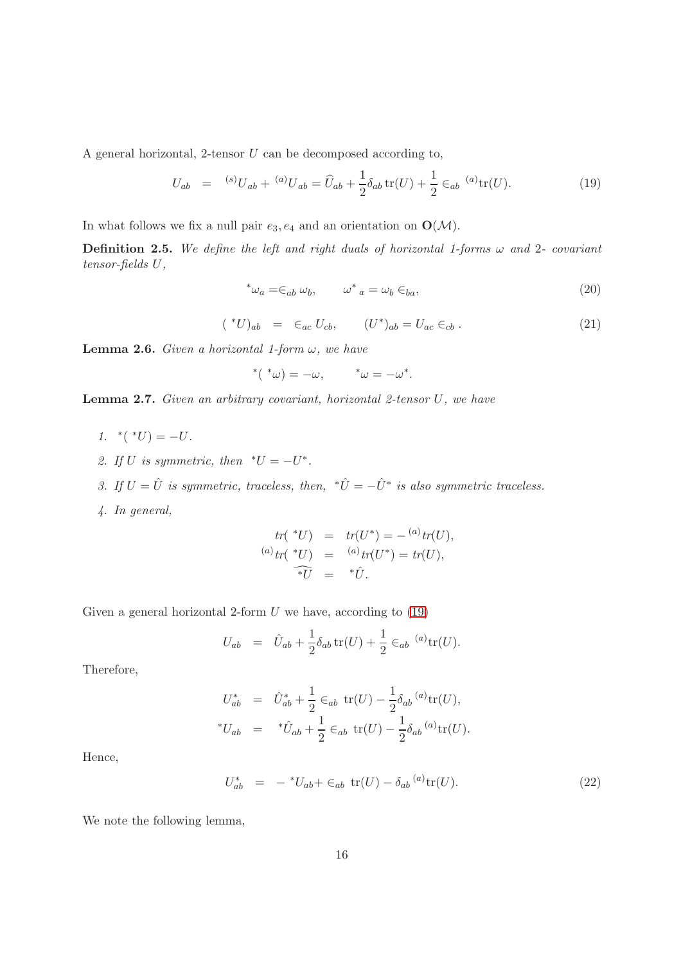A general horizontal, 2-tensor U can be decomposed according to,

<span id="page-15-0"></span>
$$
U_{ab} = {}^{(s)}U_{ab} + {}^{(a)}U_{ab} = \hat{U}_{ab} + \frac{1}{2}\delta_{ab}\operatorname{tr}(U) + \frac{1}{2} \in_{ab} {}^{(a)}\operatorname{tr}(U). \tag{19}
$$

In what follows we fix a null pair  $e_3, e_4$  and an orientation on  $\mathbf{O}(\mathcal{M})$ .

**Definition 2.5.** We define the left and right duals of horizontal 1-forms  $\omega$  and 2- covariant tensor-fields U,

$$
^*\omega_a = \in_{ab} \omega_b, \qquad \omega^*{}_a = \omega_b \in_{ba}, \tag{20}
$$

$$
({}^{*}U)_{ab} = \epsilon_{ac} U_{cb}, \qquad (U^{*})_{ab} = U_{ac} \epsilon_{cb} . \qquad (21)
$$

**Lemma 2.6.** Given a horizontal 1-form  $\omega$ , we have

$$
^{\ast}(*\omega)=-\omega,\qquad\ ^{\ast}\omega=-\omega^{\ast}.
$$

**Lemma 2.7.** Given an arbitrary covariant, horizontal 2-tensor  $U$ , we have

- 1.  $^*(^*U) = -U$ .
- 2. If U is symmetric, then  $^*U = -U^*$ .
- 3. If  $U = \hat{U}$  is symmetric, traceless, then,  $\hat{U} = -\hat{U}^*$  is also symmetric traceless.
- 4. In general,

$$
tr(*U) = tr(U^*) = - {^{(a)}}tr(U),
$$
  
\n
$$
^{(a)}tr(*U) = {^{(a)}}tr(U^*) = tr(U),
$$
  
\n
$$
*\tilde{U} = *\hat{U}.
$$

Given a general horizontal 2-form  $U$  we have, according to  $(19)$ 

$$
U_{ab} = \hat{U}_{ab} + \frac{1}{2} \delta_{ab} \operatorname{tr}(U) + \frac{1}{2} \in_{ab} {}^{(a)} \operatorname{tr}(U).
$$

Therefore,

$$
U_{ab}^{*} = \hat{U}_{ab}^{*} + \frac{1}{2} \epsilon_{ab} \text{ tr}(U) - \frac{1}{2} \delta_{ab} {}^{(a)} \text{tr}(U),
$$
  
\*
$$
U_{ab} = {}^{*}\hat{U}_{ab} + \frac{1}{2} \epsilon_{ab} \text{ tr}(U) - \frac{1}{2} \delta_{ab} {}^{(a)} \text{tr}(U).
$$

Hence,

$$
U_{ab}^* = -{}^*U_{ab} + \epsilon_{ab} \text{ tr}(U) - \delta_{ab} {}^{(a)} \text{ tr}(U). \tag{22}
$$

We note the following lemma,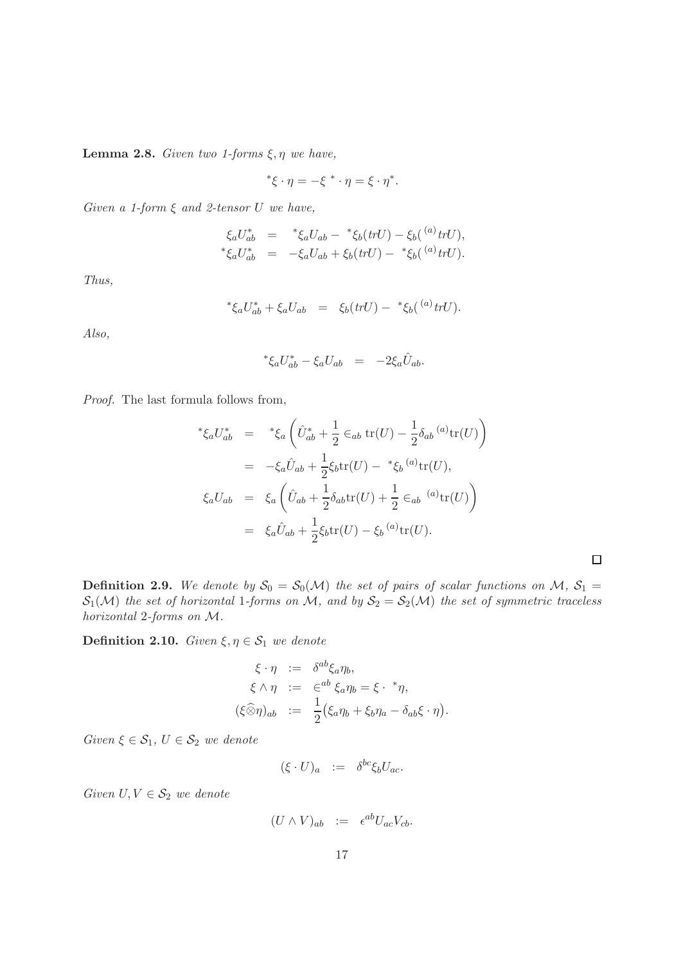Lemma 2.8. Given two 1-forms  $\xi, \eta$  we have,

$$
*\xi \cdot \eta = -\xi \cdot \eta = \xi \cdot \eta^*.
$$

Given a 1-form  $\xi$  and 2-tensor U we have,

$$
\xi_a U_{ab}^* = * \xi_a U_{ab} - * \xi_b (trU) - \xi_b (^{(a)} trU),
$$
  

$$
* \xi_a U_{ab}^* = - \xi_a U_{ab} + \xi_b (trU) - * \xi_b (^{(a)} trU).
$$

Thus,

$$
*\xi_a U_{ab}^* + \xi_a U_{ab} = \xi_b(trU) - * \xi_b({}^{(a)}trU).
$$

Also,

$$
^*\xi_a U_{ab}^* - \xi_a U_{ab} = -2\xi_a \hat{U}_{ab}.
$$

Proof. The last formula follows from,

$$
* \xi_a U_{ab}^* = * \xi_a \left( \hat{U}_{ab}^* + \frac{1}{2} \epsilon_{ab} \text{ tr}(U) - \frac{1}{2} \delta_{ab} {}^{(a)} \text{tr}(U) \right)
$$
  

$$
= - \xi_a \hat{U}_{ab} + \frac{1}{2} \xi_b \text{tr}(U) - * \xi_b {}^{(a)} \text{tr}(U),
$$
  

$$
\xi_a U_{ab} = \xi_a \left( \hat{U}_{ab} + \frac{1}{2} \delta_{ab} \text{tr}(U) + \frac{1}{2} \epsilon_{ab} {}^{(a)} \text{tr}(U) \right)
$$
  

$$
= \xi_a \hat{U}_{ab} + \frac{1}{2} \xi_b \text{tr}(U) - \xi_b {}^{(a)} \text{tr}(U).
$$

 $\Box$ 

**Definition 2.9.** We denote by  $S_0 = S_0(\mathcal{M})$  the set of pairs of scalar functions on M,  $S_1 =$  $S_1(\mathcal{M})$  the set of horizontal 1-forms on M, and by  $S_2 = S_2(\mathcal{M})$  the set of symmetric traceless horizontal 2-forms on M.

Definition 2.10. Given  $\xi, \eta \in S_1$  we denote

$$
\xi \cdot \eta := \delta^{ab} \xi_a \eta_b, \n\xi \wedge \eta := \epsilon^{ab} \xi_a \eta_b = \xi \cdot {}^* \eta, \n(\xi \widehat{\otimes} \eta)_{ab} := \frac{1}{2} (\xi_a \eta_b + \xi_b \eta_a - \delta_{ab} \xi \cdot \eta).
$$

Given  $\xi \in \mathcal{S}_1$ ,  $U \in \mathcal{S}_2$  we denote

$$
(\xi \cdot U)_a := \delta^{bc} \xi_b U_{ac}.
$$

Given  $U, V \in \mathcal{S}_2$  we denote

$$
(U \wedge V)_{ab} := \epsilon^{ab} U_{ac} V_{cb}.
$$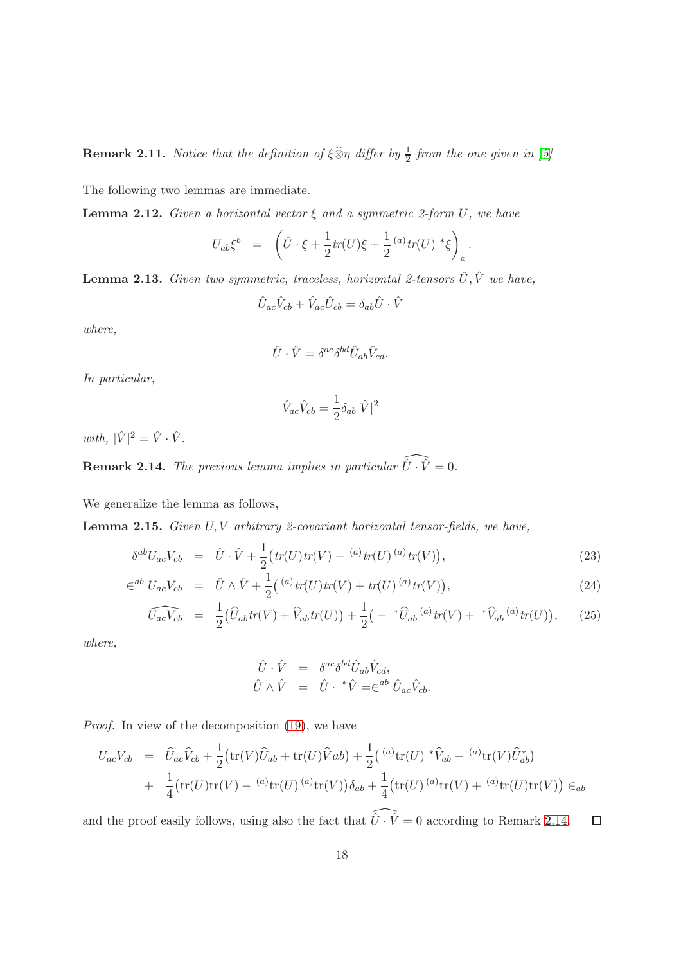**Remark 2.11.** Notice that the definition of  $\xi \widehat{\otimes} \eta$  differ by  $\frac{1}{2}$  from the one given in [\[5\]](#page-137-6)

The following two lemmas are immediate.

**Lemma 2.12.** Given a horizontal vector  $\xi$  and a symmetric 2-form U, we have

$$
U_{ab}\xi^b = \left( \hat{U} \cdot \xi + \frac{1}{2} tr(U)\xi + \frac{1}{2} {}^{(a)} tr(U) \, {}^*\xi \right)_a.
$$

<span id="page-17-2"></span>**Lemma 2.13.** Given two symmetric, traceless, horizontal 2-tensors  $\hat{U}, \hat{V}$  we have,

$$
\hat{U}_{ac}\hat{V}_{cb} + \hat{V}_{ac}\hat{U}_{cb} = \delta_{ab}\hat{U} \cdot \hat{V}
$$

where,

$$
\hat{U} \cdot \hat{V} = \delta^{ac} \delta^{bd} \hat{U}_{ab} \hat{V}_{cd}.
$$

In particular,

$$
\hat{V}_{ac}\hat{V}_{cb} = \frac{1}{2}\delta_{ab}|\hat{V}|^2
$$

with,  $|\hat{V}|^2 = \hat{V} \cdot \hat{V}$ .

<span id="page-17-0"></span>**Remark 2.14.** The previous lemma implies in particular  $\widehat{\hat{U} \cdot \hat{V}} = 0$ .

We generalize the lemma as follows,

<span id="page-17-1"></span>**Lemma 2.15.** Given  $U, V$  arbitrary 2-covariant horizontal tensor-fields, we have,

$$
\delta^{ab}U_{ac}V_{cb} = \hat{U} \cdot \hat{V} + \frac{1}{2} \big( tr(U)tr(V) - {}^{(a)}tr(U) \, {}^{(a)}tr(V) \big), \tag{23}
$$

$$
\in^{ab} U_{ac} V_{cb} = \hat{U} \wedge \hat{V} + \frac{1}{2} ({}^{(a)} \text{tr}(U) \text{tr}(V) + \text{tr}(U) {}^{(a)} \text{tr}(V)), \tag{24}
$$

$$
\widehat{U_{ac}V_{cb}} = \frac{1}{2} (\widehat{U}_{ab}tr(V) + \widehat{V}_{ab}tr(U)) + \frac{1}{2} \left( - \sqrt[t]{\widehat{U}_{ab}^{(a)}} tr(V) + \sqrt[t]{\widehat{V}_{ab}^{(a)}} tr(U) \right), \quad (25)
$$

where,

$$
\hat{U} \cdot \hat{V} = \delta^{ac} \delta^{bd} \hat{U}_{ab} \hat{V}_{cd}, \n\hat{U} \wedge \hat{V} = \hat{U} \cdot {}^{*}\hat{V} = \in^{ab} \hat{U}_{ac} \hat{V}_{cb}.
$$

Proof. In view of the decomposition [\(19\)](#page-15-0), we have

$$
U_{ac}V_{cb} = \hat{U}_{ac}\hat{V}_{cb} + \frac{1}{2}(\text{tr}(V)\hat{U}_{ab} + \text{tr}(U)\hat{V}_{ab}) + \frac{1}{2}({}^{(a)}\text{tr}(U) * \hat{V}_{ab} + {}^{(a)}\text{tr}(V)\hat{U}_{ab}^*)
$$
  
+ 
$$
\frac{1}{4}(\text{tr}(U)\text{tr}(V) - {}^{(a)}\text{tr}(U) {}^{(a)}\text{tr}(V))\delta_{ab} + \frac{1}{4}(\text{tr}(U) {}^{(a)}\text{tr}(V) + {}^{(a)}\text{tr}(U)\text{tr}(V)) \in_{ab}
$$

and the proof easily follows, using also the fact that  $\widehat{\hat{U}\cdot\hat{V}}=0$  according to Remark [2.14.](#page-17-0)  $\Box$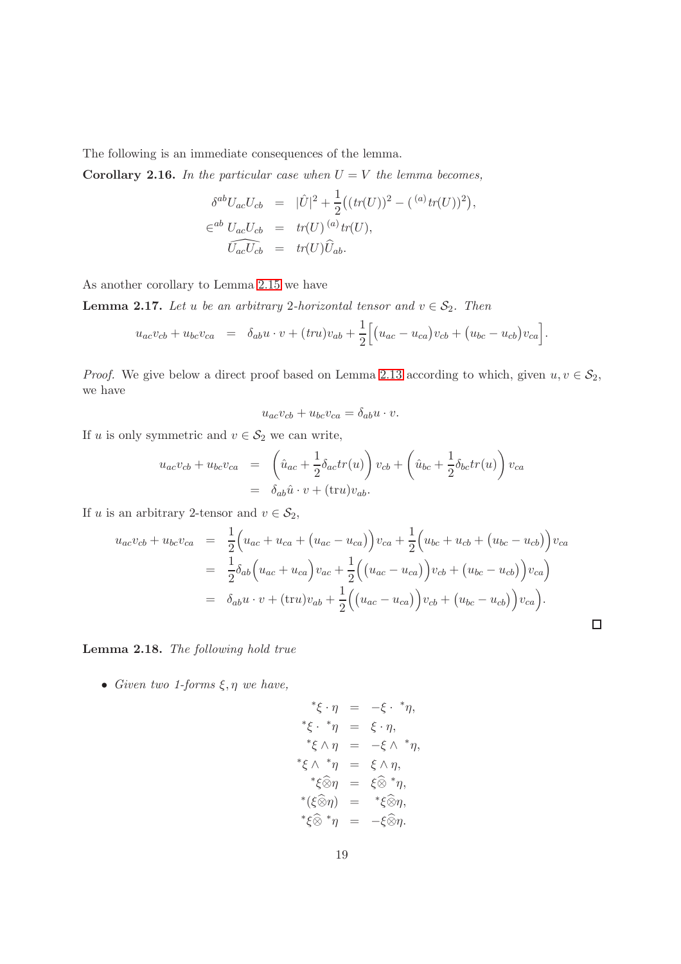The following is an immediate consequences of the lemma.

**Corollary 2.16.** In the particular case when  $U = V$  the lemma becomes,

$$
\delta^{ab}U_{ac}U_{cb} = |\hat{U}|^2 + \frac{1}{2}((tr(U))^2 - (a)tr(U))^2),
$$
  
\n
$$
\epsilon^{ab}U_{ac}U_{cb} = tr(U)^{(a)}tr(U),
$$
  
\n
$$
\widehat{U_{ac}U_{cb}} = tr(U)\widehat{U}_{ab}.
$$

As another corollary to Lemma [2.15](#page-17-1) we have

**Lemma 2.17.** Let u be an arbitrary 2-horizontal tensor and  $v \in S_2$ . Then

$$
u_{ac}v_{cb} + u_{bc}v_{ca} = \delta_{ab}u \cdot v + (tr u)v_{ab} + \frac{1}{2} \Big[ (u_{ac} - u_{ca})v_{cb} + (u_{bc} - u_{cb})v_{ca} \Big].
$$

*Proof.* We give below a direct proof based on Lemma [2.13](#page-17-2) according to which, given  $u, v \in S_2$ , we have

$$
u_{ac}v_{cb} + u_{bc}v_{ca} = \delta_{ab}u \cdot v.
$$

If u is only symmetric and  $v\in\mathcal{S}_2$  we can write,

$$
u_{ac}v_{cb} + u_{bc}v_{ca} = \left(\hat{u}_{ac} + \frac{1}{2}\delta_{ac}tr(u)\right)v_{cb} + \left(\hat{u}_{bc} + \frac{1}{2}\delta_{bc}tr(u)\right)v_{ca}
$$

$$
= \delta_{ab}\hat{u} \cdot v + (\text{tr}u)v_{ab}.
$$

If u is an arbitrary 2-tensor and  $v \in S_2$ ,

$$
u_{ac}v_{cb} + u_{bc}v_{ca} = \frac{1}{2}\Big(u_{ac} + u_{ca} + (u_{ac} - u_{ca})\Big)v_{ca} + \frac{1}{2}\Big(u_{bc} + u_{cb} + (u_{bc} - u_{cb})\Big)v_{ca}
$$
  
=  $\frac{1}{2}\delta_{ab}\Big(u_{ac} + u_{ca}\Big)v_{ac} + \frac{1}{2}\Big(\big(u_{ac} - u_{ca}\big)\Big)v_{cb} + \big(u_{bc} - u_{cb}\big)\Big)v_{ca}\Big)$   
=  $\delta_{ab}u \cdot v + (\text{tr}u)v_{ab} + \frac{1}{2}\Big(\big(u_{ac} - u_{ca}\big)\Big)v_{cb} + \big(u_{bc} - u_{cb}\big)\Big)v_{ca}\Big).$ 

 $\Box$ 

Lemma 2.18. The following hold true

• Given two 1-forms  $\xi, \eta$  we have,

$$
\begin{array}{rcl}\n^* \xi \cdot \eta &=& -\xi \cdot \,^* \eta, \\
^* \xi \cdot \,^* \eta &=& \xi \cdot \eta, \\
^* \xi \wedge \eta &=& -\xi \wedge \,^* \eta, \\
^* \xi \wedge \,^* \eta &=& \xi \wedge \eta, \\
^* \xi \widehat{\otimes} \eta &=& \xi \widehat{\otimes} \,^* \eta, \\
^* (\xi \widehat{\otimes} \eta) &=& ^* \xi \widehat{\otimes} \eta, \\
^* \xi \widehat{\otimes} \,^* \eta &=& -\xi \widehat{\otimes} \eta.\n\end{array}
$$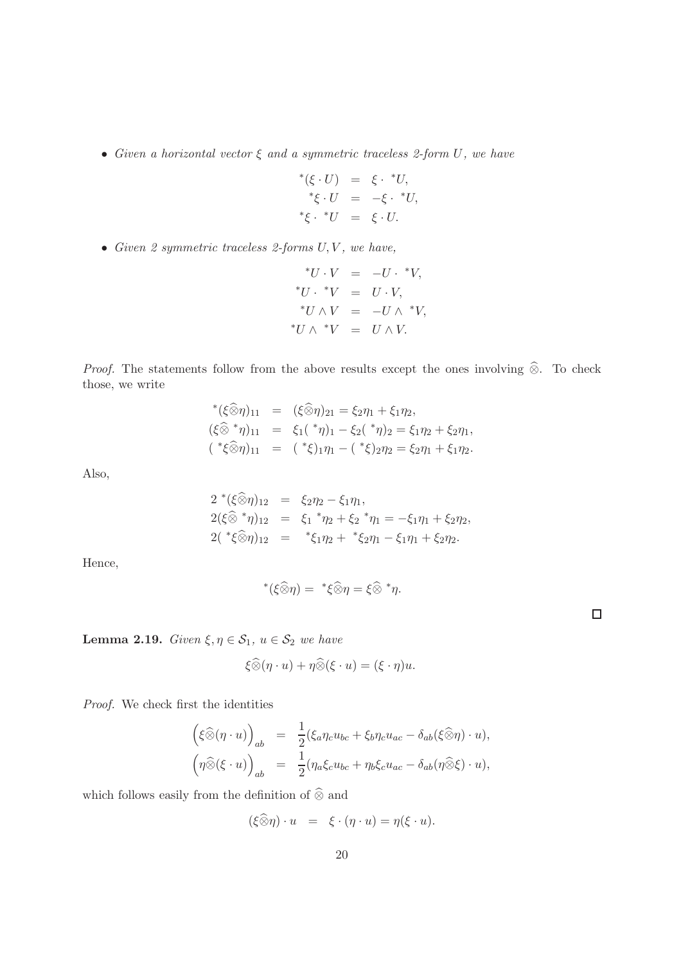• Given a horizontal vector  $\xi$  and a symmetric traceless 2-form U, we have

$$
*(\xi \cdot U) = \xi \cdot *U,
$$
  
\n
$$
*\xi \cdot U = -\xi \cdot *U,
$$
  
\n
$$
*\xi \cdot *U = \xi \cdot U.
$$

• Given 2 symmetric traceless 2-forms  $U, V$ , we have,

$$
*U \cdot V = -U \cdot *V,
$$
  
\n
$$
*U \cdot *V = U \cdot V,
$$
  
\n
$$
*U \wedge V = -U \wedge *V,
$$
  
\n
$$
*U \wedge *V = U \wedge V.
$$

*Proof.* The statements follow from the above results except the ones involving  $\hat{\otimes}$ . To check those, we write

$$
*(\xi \widehat{\otimes} \eta)_{11} = (\xi \widehat{\otimes} \eta)_{21} = \xi_2 \eta_1 + \xi_1 \eta_2,
$$
  
\n
$$
(\xi \widehat{\otimes}^* \eta)_{11} = \xi_1({^*}\eta)_1 - \xi_2({^*}\eta)_2 = \xi_1 \eta_2 + \xi_2 \eta_1,
$$
  
\n
$$
({^*}\xi \widehat{\otimes} \eta)_{11} = ({^*}\xi)_1 \eta_1 - ({^*}\xi)_2 \eta_2 = \xi_2 \eta_1 + \xi_1 \eta_2.
$$

Also,

$$
2^*(\xi \widehat{\otimes} \eta)_{12} = \xi_2 \eta_2 - \xi_1 \eta_1,2(\xi \widehat{\otimes}^* \eta)_{12} = \xi_1^* \eta_2 + \xi_2^* \eta_1 = -\xi_1 \eta_1 + \xi_2 \eta_2,2(*\xi \widehat{\otimes} \eta)_{12} = * \xi_1 \eta_2 + * \xi_2 \eta_1 - \xi_1 \eta_1 + \xi_2 \eta_2.
$$

Hence,

$$
^*(\xi\widehat{\otimes }\eta) = ^*\xi\widehat{\otimes }\eta = \xi\widehat{\otimes } ^*\eta.
$$

Lemma 2.19. Given  $\xi, \eta \in S_1$ ,  $u \in S_2$  we have

$$
\xi \widehat{\otimes} (\eta \cdot u) + \eta \widehat{\otimes} (\xi \cdot u) = (\xi \cdot \eta) u.
$$

Proof. We check first the identities

$$
\begin{array}{rcl}\n\left(\xi\widehat{\otimes}(\eta\cdot u)\right)_{ab} & = & \frac{1}{2}(\xi_a\eta_c u_{bc} + \xi_b\eta_c u_{ac} - \delta_{ab}(\xi\widehat{\otimes}\eta)\cdot u), \\
\left(\eta\widehat{\otimes}(\xi\cdot u)\right)_{ab} & = & \frac{1}{2}(\eta_a\xi_c u_{bc} + \eta_b\xi_c u_{ac} - \delta_{ab}(\eta\widehat{\otimes}\xi)\cdot u),\n\end{array}
$$

which follows easily from the definition of  $\widehat{\otimes}$  and

$$
(\xi \widehat{\otimes} \eta) \cdot u = \xi \cdot (\eta \cdot u) = \eta(\xi \cdot u).
$$

 $\Box$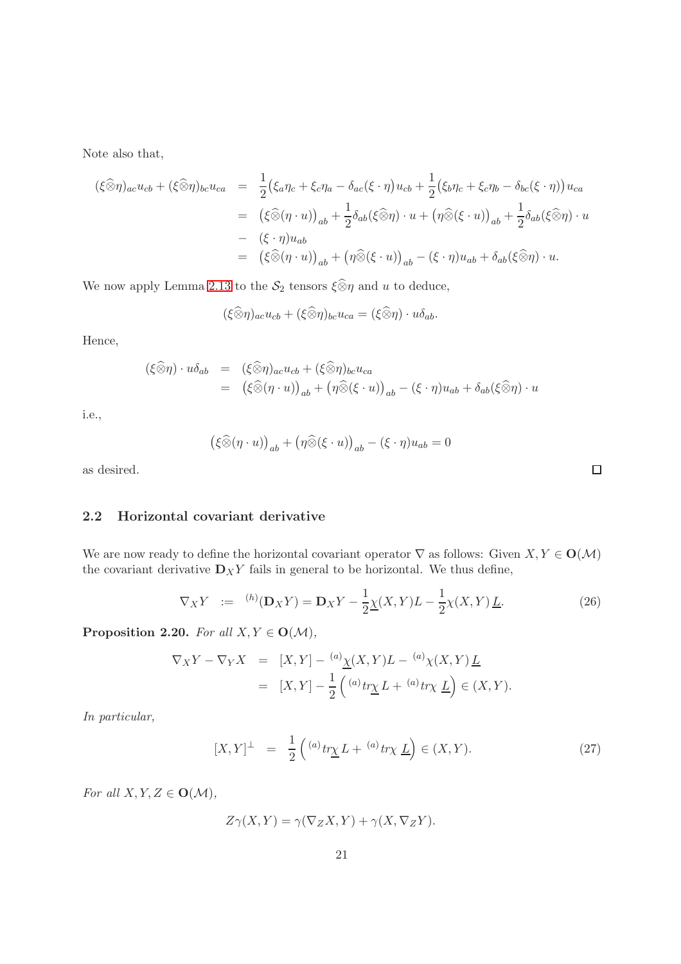Note also that,

$$
\begin{split}\n(\xi \widehat{\otimes} \eta)_{ac} u_{cb} + (\xi \widehat{\otimes} \eta)_{bc} u_{ca} &= \frac{1}{2} \big( \xi_a \eta_c + \xi_c \eta_a - \delta_{ac} (\xi \cdot \eta) u_{cb} + \frac{1}{2} \big( \xi_b \eta_c + \xi_c \eta_b - \delta_{bc} (\xi \cdot \eta) \big) u_{ca} \\
&= \left( \xi \widehat{\otimes} (\eta \cdot u) \right)_{ab} + \frac{1}{2} \delta_{ab} (\xi \widehat{\otimes} \eta) \cdot u + \left( \eta \widehat{\otimes} (\xi \cdot u) \right)_{ab} + \frac{1}{2} \delta_{ab} (\xi \widehat{\otimes} \eta) \cdot u \\
&- \left( \xi \cdot \eta \right) u_{ab} \\
&= \left( \xi \widehat{\otimes} (\eta \cdot u) \right)_{ab} + \left( \eta \widehat{\otimes} (\xi \cdot u) \right)_{ab} - (\xi \cdot \eta) u_{ab} + \delta_{ab} (\xi \widehat{\otimes} \eta) \cdot u.\n\end{split}
$$

We now apply Lemma [2.13](#page-17-2) to the  $\mathcal{S}_2$  tensors  $\xi \widehat{\otimes} \eta$  and u to deduce,

$$
(\xi \widehat{\otimes} \eta)_{ac} u_{cb} + (\xi \widehat{\otimes} \eta)_{bc} u_{ca} = (\xi \widehat{\otimes} \eta) \cdot u \delta_{ab}.
$$

Hence,

$$
\begin{array}{rcl}\n(\xi \widehat{\otimes} \eta) \cdot u \delta_{ab} & = & (\xi \widehat{\otimes} \eta)_{ac} u_{cb} + (\xi \widehat{\otimes} \eta)_{bc} u_{ca} \\
 & = & \left( \xi \widehat{\otimes} (\eta \cdot u) \right)_{ab} + \left( \eta \widehat{\otimes} (\xi \cdot u) \right)_{ab} - (\xi \cdot \eta) u_{ab} + \delta_{ab} (\xi \widehat{\otimes} \eta) \cdot u\n\end{array}
$$

i.e.,

$$
(\xi \widehat{\otimes} (\eta \cdot u))_{ab} + (\eta \widehat{\otimes} (\xi \cdot u))_{ab} - (\xi \cdot \eta)u_{ab} = 0
$$

<span id="page-20-0"></span>as desired.

### 2.2 Horizontal covariant derivative

We are now ready to define the horizontal covariant operator  $\nabla$  as follows: Given  $X, Y \in O(\mathcal{M})$ the covariant derivative  $\mathbf{D}_XY$  fails in general to be horizontal. We thus define,

$$
\nabla_X Y \quad := \quad ^{(h)}(\mathbf{D}_X Y) = \mathbf{D}_X Y - \frac{1}{2} \underline{\chi}(X, Y) L - \frac{1}{2} \chi(X, Y) \underline{L}.
$$
\n
$$
(26)
$$

Proposition 2.20. For all  $X, Y \in O(\mathcal{M})$ ,

$$
\nabla_X Y - \nabla_Y X = [X, Y] - {^{(a)}\underline{\chi}}(X, Y)L - {^{(a)}\chi}(X, Y)\underline{L}
$$
  

$$
= [X, Y] - \frac{1}{2} \left( {^{(a)}tr}\underline{\chi} L + {^{(a)}tr}\underline{\chi} \underline{L} \right) \in (X, Y).
$$

In particular,

$$
[X,Y]^\perp = \frac{1}{2} \left( \binom{a}{x} \frac{t\gamma}{L} + \binom{a}{x} \frac{L}{L} \right) \in (X,Y). \tag{27}
$$

For all  $X, Y, Z \in O(\mathcal{M}),$ 

$$
Z\gamma(X,Y) = \gamma(\nabla_Z X, Y) + \gamma(X, \nabla_Z Y).
$$

 $\Box$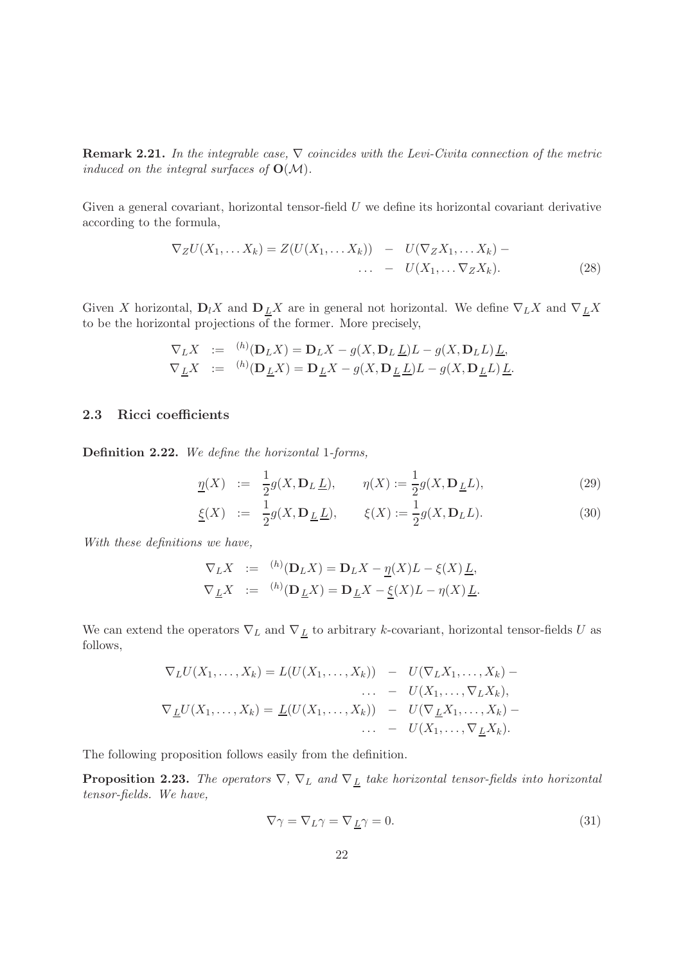**Remark 2.21.** In the integrable case,  $\nabla$  coincides with the Levi-Civita connection of the metric induced on the integral surfaces of  $O(M)$ .

Given a general covariant, horizontal tensor-field  $U$  we define its horizontal covariant derivative according to the formula,

$$
\nabla_Z U(X_1, \dots X_k) = Z(U(X_1, \dots X_k)) - U(\nabla_Z X_1, \dots X_k) - \dots - U(X_1, \dots \nabla_Z X_k).
$$
\n(28)

Given X horizontal,  $D_l X$  and  $D_{\underline{L}} X$  are in general not horizontal. We define  $\nabla_L X$  and  $\nabla_{\underline{L}} X$ to be the horizontal projections of the former. More precisely,

$$
\nabla_L X := {}^{(h)}(\mathbf{D}_L X) = \mathbf{D}_L X - g(X, \mathbf{D}_L \underline{L})L - g(X, \mathbf{D}_L \underline{L}) \underline{L},
$$
  
\n
$$
\nabla_{\underline{L}} X := {}^{(h)}(\mathbf{D}_{\underline{L}} X) = \mathbf{D}_{\underline{L}} X - g(X, \mathbf{D}_{\underline{L}} \underline{L})L - g(X, \mathbf{D}_{\underline{L}} \underline{L}) \underline{L}.
$$

#### <span id="page-21-0"></span>2.3 Ricci coefficients

Definition 2.22. We define the horizontal 1-forms,

$$
\underline{\eta}(X) \quad := \quad \frac{1}{2}g(X, \mathbf{D}_L \underline{L}), \qquad \eta(X) := \frac{1}{2}g(X, \mathbf{D}_L \underline{L}), \tag{29}
$$

$$
\underline{\xi}(X) := \frac{1}{2}g(X, \mathbf{D}_{\underline{L}}\underline{L}), \qquad \xi(X) := \frac{1}{2}g(X, \mathbf{D}_{L}L). \tag{30}
$$

With these definitions we have,

$$
\nabla_L X := {}^{(h)}(\mathbf{D}_L X) = \mathbf{D}_L X - \underline{\eta}(X)L - \xi(X)\underline{L},
$$
  

$$
\nabla_{\underline{L}} X := {}^{(h)}(\mathbf{D}_{\underline{L}} X) = \mathbf{D}_{\underline{L}} X - \underline{\xi}(X)L - \eta(X)\underline{L}.
$$

We can extend the operators  $\nabla_L$  and  $\nabla_{\underline{L}}$  to arbitrary k-covariant, horizontal tensor-fields U as follows,

$$
\nabla_L U(X_1, \dots, X_k) = L(U(X_1, \dots, X_k)) - U(\nabla_L X_1, \dots, X_k) - \dots - U(X_1, \dots, \nabla_L X_k),
$$
  

$$
\nabla_L U(X_1, \dots, X_k) = L(U(X_1, \dots, X_k)) - U(\nabla_L X_1, \dots, X_k) - \dots - U(X_1, \dots, \nabla_L X_k).
$$

The following proposition follows easily from the definition.

**Proposition 2.23.** The operators  $\nabla$ ,  $\nabla$ <sub>L</sub> and  $\nabla$ <sub>L</sub> take horizontal tensor-fields into horizontal tensor-fields. We have,

$$
\nabla \gamma = \nabla_L \gamma = \nabla \underline{L} \gamma = 0. \tag{31}
$$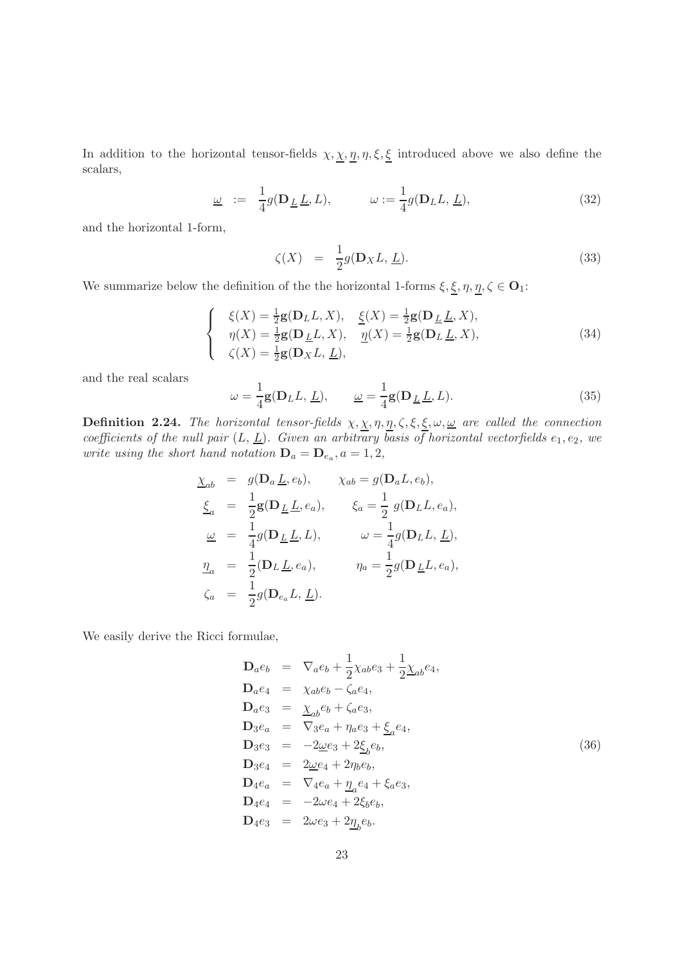In addition to the horizontal tensor-fields  $\chi, \chi, \eta, \eta, \xi, \xi$  introduced above we also define the scalars,

$$
\underline{\omega} := \frac{1}{4} g(\mathbf{D}_{\underline{L}} \underline{L}, L), \qquad \omega := \frac{1}{4} g(\mathbf{D}_{L} L, \underline{L}), \qquad (32)
$$

and the horizontal 1-form,

$$
\zeta(X) = \frac{1}{2}g(\mathbf{D}_X L, \underline{L}).
$$
\n(33)

We summarize below the definition of the the horizontal 1-forms  $\xi,\underline{\xi},\eta,\underline{\eta},\zeta\in\mathbf{O}_1;$ 

$$
\begin{cases}\n\xi(X) = \frac{1}{2}\mathbf{g}(\mathbf{D}_L L, X), & \underline{\xi}(X) = \frac{1}{2}\mathbf{g}(\mathbf{D}_L L, X), \\
\eta(X) = \frac{1}{2}\mathbf{g}(\mathbf{D}_L L, X), & \underline{\eta}(X) = \frac{1}{2}\mathbf{g}(\mathbf{D}_L L, X), \\
\zeta(X) = \frac{1}{2}\mathbf{g}(\mathbf{D}_X L, L),\n\end{cases} (34)
$$

and the real scalars

$$
\omega = \frac{1}{4} \mathbf{g}(\mathbf{D}_L L, \underline{L}), \qquad \underline{\omega} = \frac{1}{4} \mathbf{g}(\mathbf{D}_L \underline{L}, L). \tag{35}
$$

**Definition 2.24.** The horizontal tensor-fields  $\chi$ ,  $\chi$ ,  $\eta$ ,  $\eta$ ,  $\zeta$ ,  $\xi$ ,  $\xi$ ,  $\omega$ ,  $\underline{\omega}$  are called the connection coefficients of the null pair  $(L, \underline{L})$ . Given an arbitrary basis of horizontal vectorfields  $e_1, e_2$ , we write using the short hand notation  $\mathbf{D}_a = \mathbf{D}_{e_a}, a = 1, 2,$ 

$$
\underline{\chi}_{ab} = g(\mathbf{D}_a \underline{L}, e_b), \qquad \chi_{ab} = g(\mathbf{D}_a L, e_b),
$$
  
\n
$$
\underline{\xi}_a = \frac{1}{2} \mathbf{g}(\mathbf{D}_{\underline{L}} \underline{L}, e_a), \qquad \xi_a = \frac{1}{2} g(\mathbf{D}_L L, e_a),
$$
  
\n
$$
\underline{\omega} = \frac{1}{4} g(\mathbf{D}_{\underline{L}} \underline{L}, L), \qquad \omega = \frac{1}{4} g(\mathbf{D}_L L, \underline{L}),
$$
  
\n
$$
\underline{\eta}_a = \frac{1}{2} (\mathbf{D}_L \underline{L}, e_a), \qquad \eta_a = \frac{1}{2} g(\mathbf{D}_{\underline{L}} L, e_a),
$$
  
\n
$$
\zeta_a = \frac{1}{2} g(\mathbf{D}_{e_a} L, \underline{L}).
$$

We easily derive the Ricci formulae,

$$
\mathbf{D}_{a}e_{b} = \nabla_{a}e_{b} + \frac{1}{2}\chi_{ab}e_{3} + \frac{1}{2}\chi_{ab}e_{4},
$$
\n
$$
\mathbf{D}_{a}e_{4} = \chi_{ab}e_{b} - \zeta_{a}e_{4},
$$
\n
$$
\mathbf{D}_{a}e_{3} = \chi_{ab}e_{b} + \zeta_{a}e_{3},
$$
\n
$$
\mathbf{D}_{3}e_{a} = \nabla_{3}e_{a} + \eta_{a}e_{3} + \underline{\xi}_{a}e_{4},
$$
\n
$$
\mathbf{D}_{3}e_{3} = -2\underline{\omega}e_{3} + 2\underline{\xi}_{b}e_{b},
$$
\n
$$
\mathbf{D}_{3}e_{4} = 2\underline{\omega}e_{4} + 2\eta_{b}e_{b},
$$
\n
$$
\mathbf{D}_{4}e_{a} = \nabla_{4}e_{a} + \underline{\eta}_{a}e_{4} + \xi_{a}e_{3},
$$
\n
$$
\mathbf{D}_{4}e_{4} = -2\omega e_{4} + 2\xi_{b}e_{b},
$$
\n
$$
\mathbf{D}_{4}e_{3} = 2\omega e_{3} + 2\underline{\eta}_{b}e_{b}.
$$
\n(36)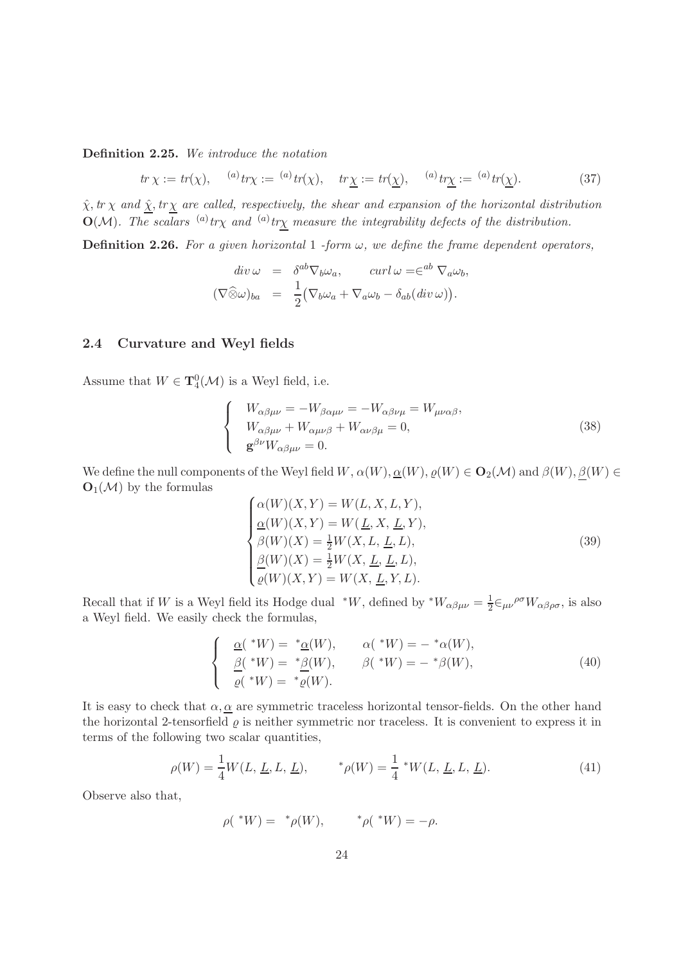Definition 2.25. We introduce the notation

$$
tr \chi := tr(\chi), \quad \stackrel{(a)}{=} tr\chi := \stackrel{(a)}{=} tr(\chi), \quad tr \underline{\chi} := tr(\underline{\chi}), \quad \stackrel{(a)}{=} tr\underline{\chi} := \stackrel{(a)}{=} tr(\underline{\chi}). \tag{37}
$$

 $\hat{\chi}$ ,  $tr \chi$  and  $\hat{\chi}$ ,  $tr \chi$  are called, respectively, the shear and expansion of the horizontal distribution  $O(\mathcal{M})$ . The scalars <sup>(a)</sup>tr<sub>X</sub> and <sup>(a)</sup>tr<sub>X</sub> measure the integrability defects of the distribution.

**Definition 2.26.** For a given horizontal 1 -form  $\omega$ , we define the frame dependent operators,

$$
div \omega = \delta^{ab} \nabla_b \omega_a, \qquad curl \omega = \infty^{ab} \nabla_a \omega_b,
$$
  

$$
(\nabla \widehat{\otimes} \omega)_{ba} = \frac{1}{2} (\nabla_b \omega_a + \nabla_a \omega_b - \delta_{ab} (div \omega)).
$$

#### <span id="page-23-0"></span>2.4 Curvature and Weyl fields

Assume that  $W \in {\bf T}_4^0({\mathcal M})$  is a Weyl field, i.e.

$$
\begin{cases}\nW_{\alpha\beta\mu\nu} = -W_{\beta\alpha\mu\nu} = -W_{\alpha\beta\nu\mu} = W_{\mu\nu\alpha\beta}, \\
W_{\alpha\beta\mu\nu} + W_{\alpha\mu\nu\beta} + W_{\alpha\nu\beta\mu} = 0, \\
\mathbf{g}^{\beta\nu}W_{\alpha\beta\mu\nu} = 0.\n\end{cases} \tag{38}
$$

We define the null components of the Weyl field  $W$ ,  $\alpha(W)$ ,  $\underline{\alpha}(W)$ ,  $\varrho(W) \in O_2(\mathcal{M})$  and  $\beta(W)$ ,  $\underline{\beta}(W) \in$  $O_1(\mathcal{M})$  by the formulas

$$
\begin{cases}\n\alpha(W)(X,Y) = W(L, X, L, Y), \\
\frac{\alpha(W)(X,Y) = W(\underline{L}, X, \underline{L}, Y),}{\beta(W)(X) = \frac{1}{2}W(X, L, \underline{L}, L)}, \\
\frac{\beta(W)(X) = \frac{1}{2}W(X, \underline{L}, \underline{L}, L),}{\varrho(W)(X, Y) = W(X, \underline{L}, Y, L).\n\end{cases}
$$
\n(39)

Recall that if W is a Weyl field its Hodge dual  $*W$ , defined by  $*W_{\alpha\beta\mu\nu}=\frac{1}{2}$  $\frac{1}{2} \in_{\mu\nu}^{\rho\sigma} W_{\alpha\beta\rho\sigma}$ , is also a Weyl field. We easily check the formulas,

$$
\begin{cases}\n\underline{\alpha}(*W) = * \underline{\alpha}(W), & \alpha(*W) = - * \alpha(W), \\
\underline{\beta}(*W) = * \underline{\beta}(W), & \beta(*W) = - * \beta(W), \\
\underline{\rho}(*W) = * \underline{\rho}(W).\n\end{cases} (40)
$$

It is easy to check that  $\alpha, \alpha$  are symmetric traceless horizontal tensor-fields. On the other hand the horizontal 2-tensorfield  $\rho$  is neither symmetric nor traceless. It is convenient to express it in terms of the following two scalar quantities,

$$
\rho(W) = \frac{1}{4}W(L, \underline{L}, L, \underline{L}), \qquad \, ^* \rho(W) = \frac{1}{4} \, ^* W(L, \underline{L}, L, \underline{L}). \tag{41}
$$

Observe also that,

$$
\rho(*W) = * \rho(W), \qquad * \rho(*W) = -\rho.
$$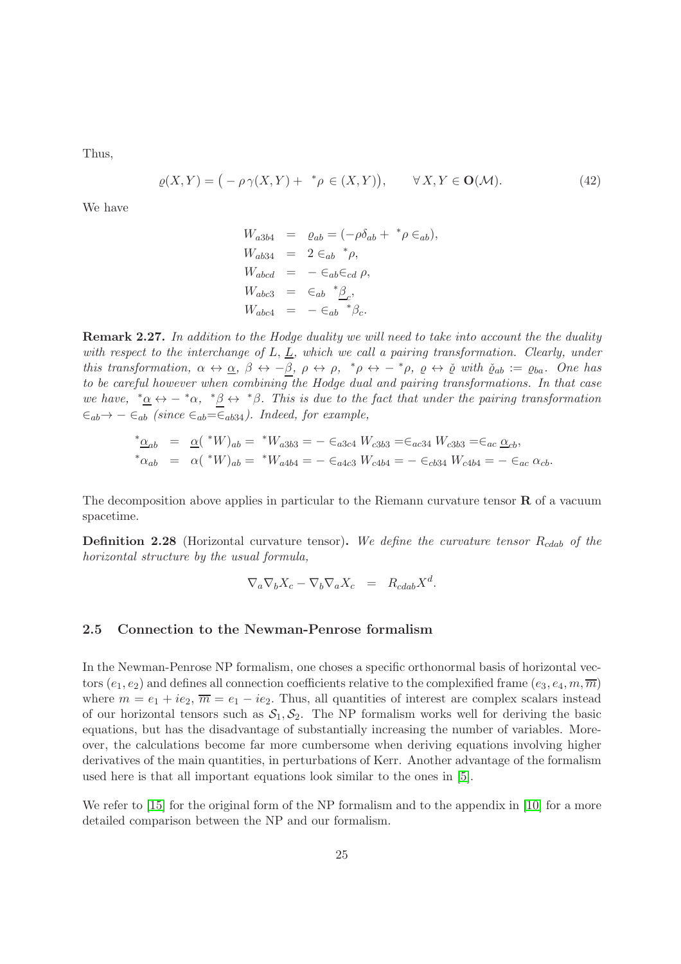Thus,

$$
\varrho(X,Y) = \big( -\rho \gamma(X,Y) + \, ^* \rho \in (X,Y) \big), \qquad \forall \, X,Y \in \mathbf{O}(\mathcal{M}). \tag{42}
$$

We have

$$
W_{a3b4} = \varrho_{ab} = (-\rho \delta_{ab} + {}^*\rho \in_{ab}),
$$
  
\n
$$
W_{ab34} = 2 \in_{ab} {}^*\rho,
$$
  
\n
$$
W_{abcd} = -\in_{ab} \in_{cd} \rho,
$$
  
\n
$$
W_{abc3} = \in_{ab} {}^*\underline{\beta}_c,
$$
  
\n
$$
W_{abcd} = -\in_{ab} {}^*\beta_c.
$$

**Remark 2.27.** In addition to the Hodge duality we will need to take into account the the duality with respect to the interchange of  $L, L$ , which we call a pairing transformation. Clearly, under this transformation,  $\alpha \leftrightarrow \alpha$ ,  $\beta \leftrightarrow -\beta$ ,  $\rho \leftrightarrow \rho$ ,  $^* \rho \leftrightarrow -^* \rho$ ,  $\varrho \leftrightarrow \check{\varrho}$  with  $\check{\varrho}_{ab} := \varrho_{ba}$ . One has to be careful however when combining the Hodge dual and pairing transformations. In that case we have,  $*\alpha \leftrightarrow -*\alpha$ ,  $*\beta \leftrightarrow *\beta$ . This is due to the fact that under the pairing transformation  $∈_{ab} → − ∈_{ab}$  (since  $∈_{ab} = ∈_{ab34}$ ). Indeed, for example,

$$
\begin{array}{rcl}\n^* \underline{\alpha}_{ab} & = & \underline{\alpha} \left( \ ^*W \right)_{ab} = \ ^*W_{a3b3} = - \ \in_{a3c4} W_{c3b3} = \in_{ac34} W_{c3b3} = \in_{ac} \underline{\alpha}_{cb}, \\
^* \alpha_{ab} & = & \alpha \left( \ ^*W \right)_{ab} = \ ^*W_{a4b4} = - \ \in_{a4c3} W_{c4b4} = - \ \in_{cb34} W_{c4b4} = - \ \in_{ac} \alpha_{cb}.\n\end{array}
$$

The decomposition above applies in particular to the Riemann curvature tensor  $\bf{R}$  of a vacuum spacetime.

**Definition 2.28** (Horizontal curvature tensor). We define the curvature tensor  $R_{cdab}$  of the horizontal structure by the usual formula,

$$
\nabla_a \nabla_b X_c - \nabla_b \nabla_a X_c = R_{cdab} X^d.
$$

#### <span id="page-24-0"></span>2.5 Connection to the Newman-Penrose formalism

In the Newman-Penrose NP formalism, one choses a specific orthonormal basis of horizontal vectors  $(e_1, e_2)$  and defines all connection coefficients relative to the complexified frame  $(e_3, e_4, m, \overline{m})$ where  $m = e_1 + ie_2$ ,  $\overline{m} = e_1 - ie_2$ . Thus, all quantities of interest are complex scalars instead of our horizontal tensors such as  $S_1, S_2$ . The NP formalism works well for deriving the basic equations, but has the disadvantage of substantially increasing the number of variables. Moreover, the calculations become far more cumbersome when deriving equations involving higher derivatives of the main quantities, in perturbations of Kerr. Another advantage of the formalism used here is that all important equations look similar to the ones in [\[5\]](#page-137-6).

We refer to [\[15\]](#page-138-5) for the original form of the NP formalism and to the appendix in [\[10\]](#page-137-7) for a more detailed comparison between the NP and our formalism.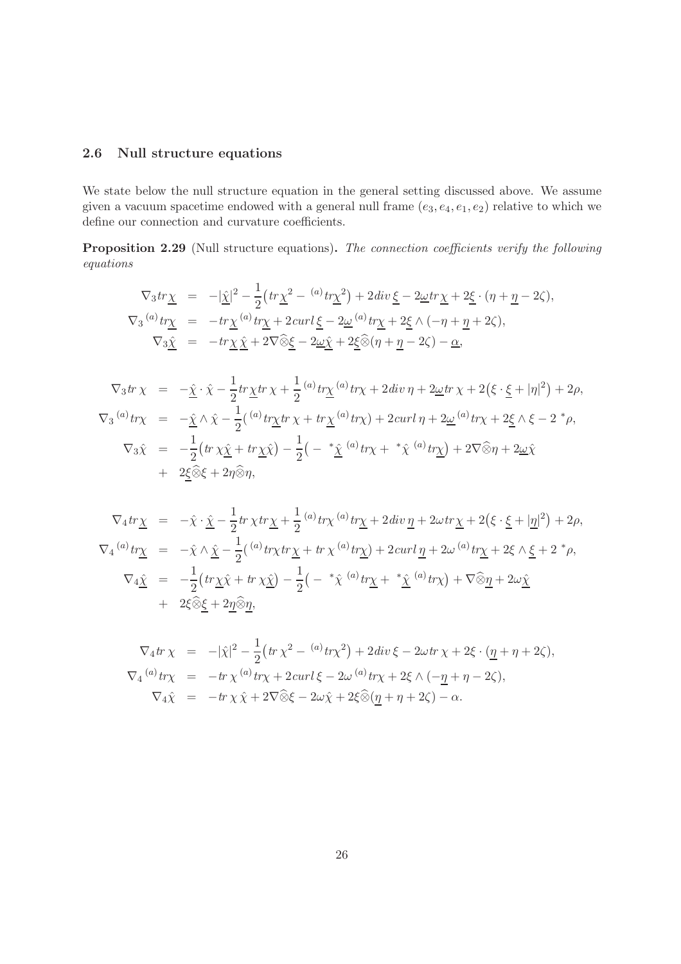### <span id="page-25-0"></span>2.6 Null structure equations

We state below the null structure equation in the general setting discussed above. We assume given a vacuum spacetime endowed with a general null frame  $(e_3, e_4, e_1, e_2)$  relative to which we define our connection and curvature coefficients.

<span id="page-25-1"></span>Proposition 2.29 (Null structure equations). The connection coefficients verify the following equations

$$
\nabla_3 tr \underline{\chi} = -|\underline{\hat{\chi}}|^2 - \frac{1}{2} \left( tr \underline{\chi}^2 - {^{(a)}t} \underline{r} \underline{\chi}^2 \right) + 2 \, div \underline{\xi} - 2 \underline{\omega} tr \underline{\chi} + 2 \underline{\xi} \cdot (\eta + \underline{\eta} - 2 \zeta),
$$
  

$$
\nabla_3 {^{(a)}t} \underline{r} \underline{\chi} = -tr \underline{\chi} {^{(a)}t} \underline{r} \underline{\chi} + 2 \, curl \underline{\xi} - 2 \underline{\omega} {^{(a)}t} \underline{r} \underline{\chi} + 2 \underline{\xi} \wedge (-\eta + \underline{\eta} + 2 \zeta),
$$
  

$$
\nabla_3 \underline{\hat{\chi}} = -tr \underline{\chi} \underline{\hat{\chi}} + 2 \nabla \widehat{\otimes} \underline{\xi} - 2 \underline{\omega} \underline{\hat{\chi}} + 2 \underline{\xi} \widehat{\otimes} (\eta + \underline{\eta} - 2 \zeta) - \underline{\alpha},
$$

$$
\nabla_3 \text{tr} \chi = -\hat{\underline{\chi}} \cdot \hat{\chi} - \frac{1}{2} \text{tr} \underline{\chi} \text{tr} \chi + \frac{1}{2} \,^{(a)} \text{tr} \underline{\chi} \,^{(a)} \text{tr} \chi + 2 \text{div} \, \eta + 2 \underline{\omega} \text{tr} \, \chi + 2 \big( \xi \cdot \underline{\xi} + |\eta|^2 \big) + 2\rho,
$$
\n
$$
\nabla_3 \,^{(a)} \text{tr} \chi = -\hat{\underline{\chi}} \wedge \hat{\chi} - \frac{1}{2} \big( \,^{(a)} \text{tr} \underline{\chi} \text{tr} \, \chi + \text{tr} \underline{\chi} \,^{(a)} \text{tr} \chi \big) + 2 \text{curl} \, \eta + 2 \underline{\omega} \,^{(a)} \text{tr} \chi + 2 \underline{\xi} \wedge \xi - 2 \,^* \rho,
$$
\n
$$
\nabla_3 \hat{\chi} = -\frac{1}{2} \big( \text{tr} \, \chi \hat{\underline{\chi}} + \text{tr} \underline{\chi} \hat{\chi} \big) - \frac{1}{2} \big( - \,^* \underline{\hat{\chi}} \,^{(a)} \text{tr} \chi + \,^* \hat{\chi} \,^{(a)} \text{tr} \underline{\chi} \big) + 2 \nabla \widehat{\otimes} \eta + 2 \underline{\omega} \hat{\chi}
$$
\n
$$
+ 2 \underline{\xi} \widehat{\otimes} \xi + 2 \eta \widehat{\otimes} \eta,
$$

$$
\nabla_4 tr \underline{\chi} = -\hat{\chi} \cdot \underline{\hat{\chi}} - \frac{1}{2} tr \chi tr \underline{\chi} + \frac{1}{2} {}^{(a)} tr \chi {}^{(a)} tr \underline{\chi} + 2 div \underline{\eta} + 2 \omega tr \underline{\chi} + 2 (\xi \cdot \underline{\xi} + |\underline{\eta}|^2) + 2 \rho,
$$
  
\n
$$
\nabla_4 {}^{(a)} tr \underline{\chi} = -\hat{\chi} \wedge \underline{\hat{\chi}} - \frac{1}{2} ({}^{(a)} tr \chi tr \underline{\chi} + tr \chi {}^{(a)} tr \underline{\chi}) + 2 curl \underline{\eta} + 2 \omega {}^{(a)} tr \underline{\chi} + 2 \xi \wedge \underline{\xi} + 2 {}^* \rho,
$$
  
\n
$$
\nabla_4 \underline{\hat{\chi}} = -\frac{1}{2} (tr \underline{\chi} \hat{\chi} + tr \chi \underline{\hat{\chi}}) - \frac{1}{2} ( - {}^* \hat{\chi} {}^{(a)} tr \underline{\chi} + {}^* \underline{\hat{\chi}} {}^{(a)} tr \chi) + \nabla \widehat{\otimes} \underline{\eta} + 2 \omega \underline{\hat{\chi}} + 2 \xi \widehat{\otimes} \underline{\xi} + 2 \underline{\eta} \widehat{\otimes} \underline{\eta},
$$

$$
\nabla_4 tr \chi = -|\hat{\chi}|^2 - \frac{1}{2} \left( tr \chi^2 - {^{(a)}} tr \chi^2 \right) + 2 \operatorname{div} \xi - 2 \omega tr \chi + 2 \xi \cdot (\underline{\eta} + \eta + 2 \zeta),
$$
  
\n
$$
\nabla_4 {^{(a)}} tr \chi = -tr \chi {^{(a)}} tr \chi + 2 \operatorname{curl} \xi - 2 \omega {^{(a)}} tr \chi + 2 \xi \wedge (-\underline{\eta} + \eta - 2 \zeta),
$$
  
\n
$$
\nabla_4 \hat{\chi} = -tr \chi \hat{\chi} + 2 \nabla \widehat{\otimes} \xi - 2 \omega \hat{\chi} + 2 \xi \widehat{\otimes} (\underline{\eta} + \eta + 2 \zeta) - \alpha.
$$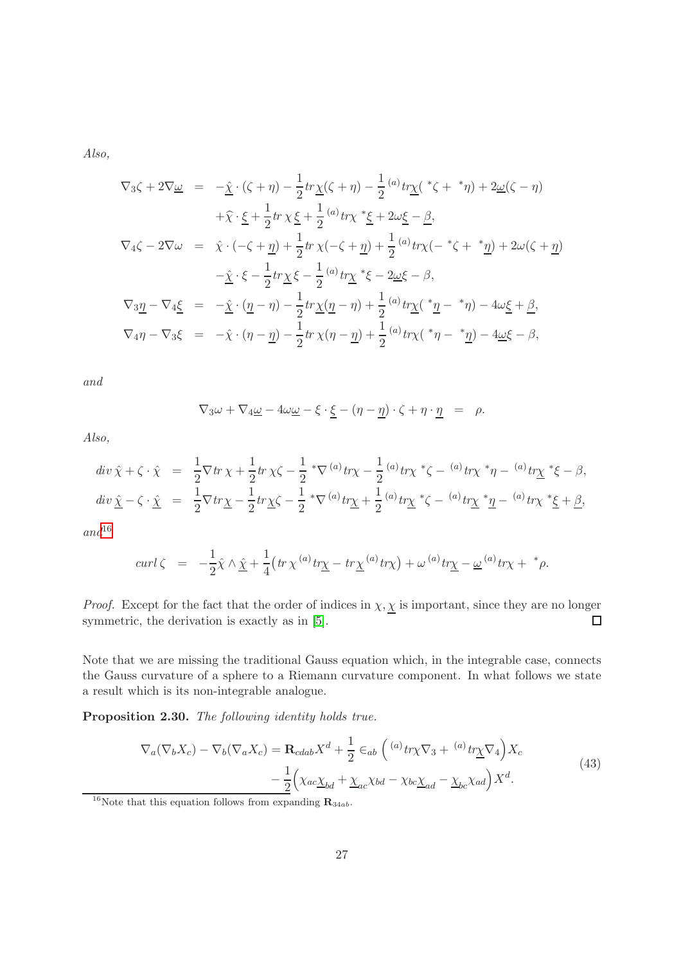Also,

$$
\nabla_3 \zeta + 2\nabla \underline{\omega} = -\underline{\hat{\chi}} \cdot (\zeta + \eta) - \frac{1}{2} tr \underline{\chi}(\zeta + \eta) - \frac{1}{2} (\omega t \underline{r} \underline{\chi}(\gamma t + \gamma \eta) + 2\underline{\omega}(\zeta - \eta) \n+ \widehat{\chi} \cdot \underline{\xi} + \frac{1}{2} tr \chi \underline{\xi} + \frac{1}{2} (\omega t \underline{r} \chi \gamma t + \underline{\xi} t + 2\omega \underline{\xi} - \underline{\beta},
$$
\n
$$
\nabla_4 \zeta - 2\nabla \omega = \widehat{\chi} \cdot (-\zeta + \underline{\eta}) + \frac{1}{2} tr \chi(-\zeta + \underline{\eta}) + \frac{1}{2} (\omega t \underline{r} \chi(-t + \zeta + \gamma \underline{\eta}) + 2\omega(\zeta + \underline{\eta}) \n- \underline{\hat{\chi}} \cdot \xi - \frac{1}{2} tr \underline{\chi} \xi - \frac{1}{2} (\omega t \underline{r} \chi \gamma t + \xi - 2\underline{\omega} \xi - \beta),
$$
\n
$$
\nabla_3 \underline{\eta} - \nabla_4 \underline{\xi} = -\underline{\hat{\chi}} \cdot (\underline{\eta} - \eta) - \frac{1}{2} tr \underline{\chi}(\underline{\eta} - \eta) + \frac{1}{2} (\omega t \underline{r} \chi(\gamma t - \gamma \eta) - 4\omega \underline{\xi} + \underline{\beta},
$$
\n
$$
\nabla_4 \eta - \nabla_3 \xi = -\hat{\chi} \cdot (\eta - \underline{\eta}) - \frac{1}{2} tr \chi(\eta - \underline{\eta}) + \frac{1}{2} (\omega t \underline{r} \chi(\gamma t - \gamma \eta) - 4\omega \underline{\xi} - \beta,
$$

and

$$
\nabla_3 \omega + \nabla_4 \underline{\omega} - 4\omega \underline{\omega} - \xi \cdot \underline{\xi} - (\eta - \underline{\eta}) \cdot \zeta + \eta \cdot \underline{\eta} = \rho.
$$

Also,

$$
div \hat{\chi} + \zeta \cdot \hat{\chi} = \frac{1}{2} \nabla tr \chi + \frac{1}{2} tr \chi \zeta - \frac{1}{2} * \nabla^{(a)} tr \chi - \frac{1}{2} {}^{(a)} tr \chi * \zeta - {}^{(a)} tr \chi * \eta - {}^{(a)} tr \chi * \xi - \beta,
$$
  
\n
$$
div \hat{\chi} - \zeta \cdot \hat{\chi} = \frac{1}{2} \nabla tr \chi - \frac{1}{2} tr \chi \zeta - \frac{1}{2} * \nabla^{(a)} tr \chi + \frac{1}{2} {}^{(a)} tr \chi * \zeta - {}^{(a)} tr \chi * \eta - {}^{(a)} tr \chi * \xi + \beta,
$$

 $and$ <sup>[16](#page-26-0)</sup>

$$
curl \zeta = -\frac{1}{2}\hat{\chi} \wedge \hat{\underline{\chi}} + \frac{1}{4}\left(tr\,\chi^{(a)}\,tr\underline{\chi} - tr\underline{\chi}^{(a)}\,tr\chi\right) + \omega^{(a)}\,tr\underline{\chi} - \underline{\omega}^{(a)}\,tr\chi + \,^*\rho.
$$

*Proof.* Except for the fact that the order of indices in  $\chi, \chi$  is important, since they are no longer symmetric, the derivation is exactly as in [\[5\]](#page-137-6).  $\Box$ 

Note that we are missing the traditional Gauss equation which, in the integrable case, connects the Gauss curvature of a sphere to a Riemann curvature component. In what follows we state a result which is its non-integrable analogue.

Proposition 2.30. The following identity holds true.

$$
\nabla_a(\nabla_b X_c) - \nabla_b(\nabla_a X_c) = \mathbf{R}_{cdab} X^d + \frac{1}{2} \epsilon_{ab} \left( {}^{(a)}tr \chi \nabla_3 + {}^{(a)}tr \chi \nabla_4 \right) X_c
$$
  

$$
- \frac{1}{2} \Big( \chi_{ac} \chi_{bd} + \underline{\chi}_{ac} \chi_{bd} - \chi_{bc} \underline{\chi}_{ad} - \underline{\chi}_{bc} \chi_{ad} \Big) X^d.
$$
 (43)

<span id="page-26-0"></span><sup>&</sup>lt;sup>16</sup>Note that this equation follows from expanding  $\mathbf{R}_{34ab}$ .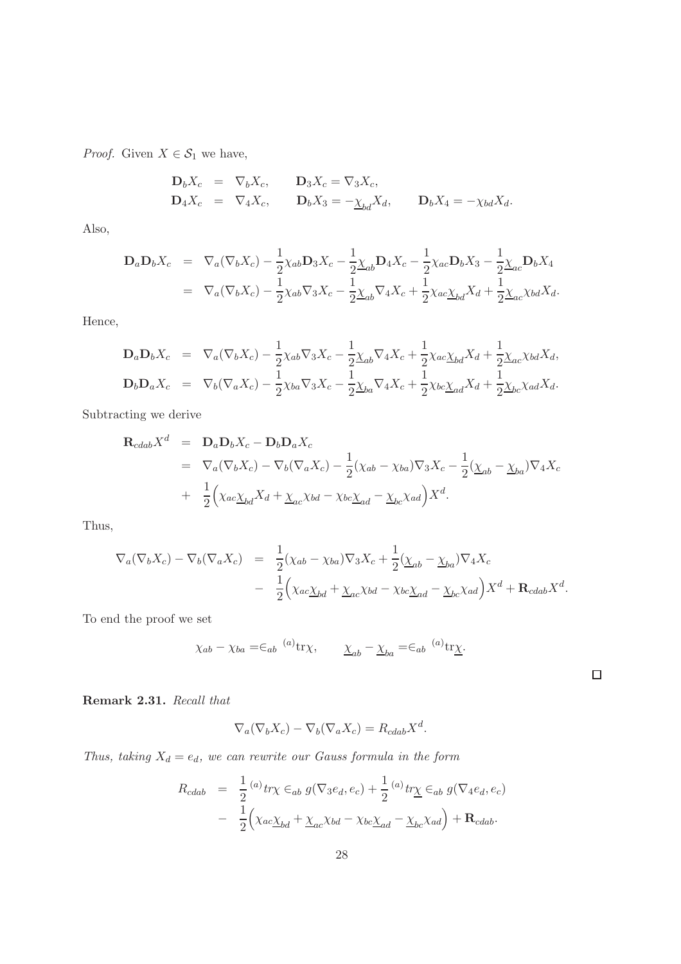*Proof.* Given  $X \in \mathcal{S}_1$  we have,

$$
\begin{array}{rcl}\n\mathbf{D}_b X_c & = & \nabla_b X_c, \\
\mathbf{D}_4 X_c & = & \nabla_4 X_c, \\
\mathbf{D}_4 X_c & = & \nabla_4 X_c, \\
\mathbf{D}_b X_3 & = & -\underline{\chi}_{bd} X_d, \\
\mathbf{D}_b X_4 & = & -\underline{\chi}_{bd} X_d.\n\end{array}
$$

Also,

$$
\mathbf{D}_a \mathbf{D}_b X_c = \nabla_a (\nabla_b X_c) - \frac{1}{2} \chi_{ab} \mathbf{D}_3 X_c - \frac{1}{2} \chi_{ab} \mathbf{D}_4 X_c - \frac{1}{2} \chi_{ac} \mathbf{D}_b X_3 - \frac{1}{2} \chi_{ac} \mathbf{D}_b X_4
$$
\n
$$
= \nabla_a (\nabla_b X_c) - \frac{1}{2} \chi_{ab} \nabla_3 X_c - \frac{1}{2} \chi_{ab} \nabla_4 X_c + \frac{1}{2} \chi_{ac} \chi_{bd} X_d + \frac{1}{2} \chi_{ac} \chi_{bd} X_d.
$$

Hence,

$$
\mathbf{D}_a \mathbf{D}_b X_c = \nabla_a (\nabla_b X_c) - \frac{1}{2} \chi_{ab} \nabla_3 X_c - \frac{1}{2} \chi_{ab} \nabla_4 X_c + \frac{1}{2} \chi_{ac} \chi_{bd} X_d + \frac{1}{2} \chi_{ac} \chi_{bd} X_d,
$$
\n
$$
\mathbf{D}_b \mathbf{D}_a X_c = \nabla_b (\nabla_a X_c) - \frac{1}{2} \chi_{ba} \nabla_3 X_c - \frac{1}{2} \chi_{ba} \nabla_4 X_c + \frac{1}{2} \chi_{bc} \chi_{ad} X_d + \frac{1}{2} \chi_{bc} \chi_{ad} X_d.
$$

Subtracting we derive

$$
\mathbf{R}_{cdab}X^{d} = \mathbf{D}_{a}\mathbf{D}_{b}X_{c} - \mathbf{D}_{b}\mathbf{D}_{a}X_{c}
$$
  
=  $\nabla_{a}(\nabla_{b}X_{c}) - \nabla_{b}(\nabla_{a}X_{c}) - \frac{1}{2}(\chi_{ab} - \chi_{ba})\nabla_{3}X_{c} - \frac{1}{2}(\underline{\chi}_{ab} - \underline{\chi}_{ba})\nabla_{4}X_{c}$   
+  $\frac{1}{2}(\chi_{ac}\underline{\chi}_{bd}X_{d} + \underline{\chi}_{ac}\chi_{bd} - \chi_{bc}\underline{\chi}_{ad} - \underline{\chi}_{bc}\chi_{ad})X^{d}.$ 

Thus,

$$
\nabla_a (\nabla_b X_c) - \nabla_b (\nabla_a X_c) = \frac{1}{2} (\chi_{ab} - \chi_{ba}) \nabla_3 X_c + \frac{1}{2} (\underline{\chi}_{ab} - \underline{\chi}_{ba}) \nabla_4 X_c \n- \frac{1}{2} (\chi_{ac} \underline{\chi}_{bd} + \underline{\chi}_{ac} \chi_{bd} - \chi_{bc} \underline{\chi}_{ad} - \underline{\chi}_{bc} \chi_{ad}) X^d + \mathbf{R}_{cdab} X^d.
$$

To end the proof we set

$$
\chi_{ab} - \chi_{ba} = \epsilon_{ab}^{(a)} \text{tr} \chi, \qquad \underline{\chi}_{ab} - \underline{\chi}_{ba} = \epsilon_{ab}^{(a)} \text{tr} \underline{\chi}.
$$

 $\Box$ 

Remark 2.31. Recall that

$$
\nabla_a(\nabla_b X_c) - \nabla_b(\nabla_a X_c) = R_{cdab} X^d.
$$

Thus, taking  $X_d = e_d$ , we can rewrite our Gauss formula in the form

$$
R_{cdab} = \frac{1}{2} {}^{(a)} tr \chi \in_{ab} g(\nabla_3 e_d, e_c) + \frac{1}{2} {}^{(a)} tr \chi \in_{ab} g(\nabla_4 e_d, e_c)
$$
  

$$
- \frac{1}{2} \Big( \chi_{ac} \chi_{bd} + \chi_{ac} \chi_{bd} - \chi_{bc} \chi_{ad} - \chi_{bc} \chi_{ad} \Big) + \mathbf{R}_{cdab}.
$$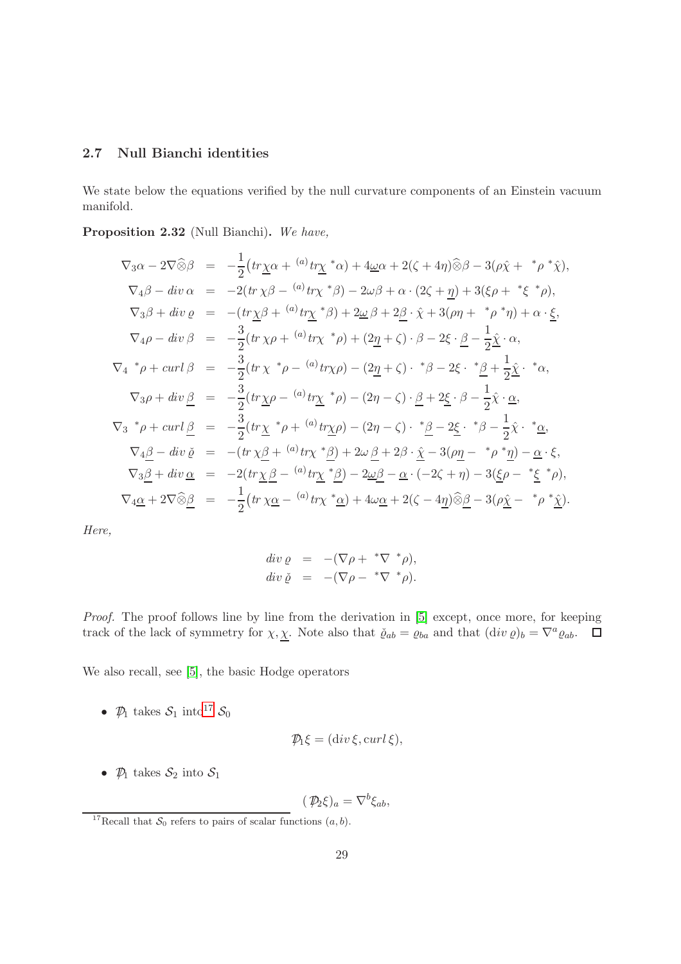### <span id="page-28-0"></span>2.7 Null Bianchi identities

We state below the equations verified by the null curvature components of an Einstein vacuum manifold.

<span id="page-28-1"></span>Proposition 2.32 (Null Bianchi). We have,

$$
\nabla_3 \alpha - 2\nabla \hat{\otimes} \beta = -\frac{1}{2} \left( tr\underline{\chi} \alpha + {}^{(a)}tr\underline{\chi}^* \alpha \right) + 4\underline{\omega} \alpha + 2(\zeta + 4\eta) \hat{\otimes} \beta - 3(\rho \hat{\chi} + {}^{*}\rho {}^{*}\hat{\chi}),
$$
  
\n
$$
\nabla_4 \beta - div \alpha = -2 \left( tr \chi \beta - {}^{(a)}tr \chi {}^{*}\beta \right) - 2\omega \beta + \alpha \cdot (2\zeta + \underline{\eta}) + 3(\xi \rho + {}^{*}\xi {}^{*}\rho),
$$
  
\n
$$
\nabla_3 \beta + div \varrho = -\left( tr\underline{\chi} \beta + {}^{(a)}tr\underline{\chi} {}^{*}\beta \right) + 2\underline{\omega} \beta + 2\underline{\beta} \cdot \hat{\chi} + 3(\rho \eta + {}^{*}\rho {}^{*}\eta) + \alpha \cdot \underline{\xi},
$$
  
\n
$$
\nabla_4 \rho - div \beta = -\frac{3}{2} \left( tr \chi \rho + {}^{(a)}tr \chi {}^{*}\rho \right) + (2\underline{\eta} + \zeta) \cdot \beta - 2\xi \cdot \underline{\beta} - \frac{1}{2} \hat{\underline{\chi}} \cdot \alpha,
$$
  
\n
$$
\nabla_4 {}^{*}\rho + curl \beta = -\frac{3}{2} \left( tr \chi {}^{*}\rho - {}^{(a)}tr \chi \rho \right) - (2\underline{\eta} + \zeta) \cdot {}^{*}\beta - 2\xi \cdot {}^{*}\underline{\beta} + \frac{1}{2} \hat{\underline{\chi}} \cdot {}^{*}\alpha,
$$
  
\n
$$
\nabla_3 \rho + div \underline{\beta} = -\frac{3}{2} \left( tr \chi \rho - {}^{(a)}tr \chi {}^{*}\rho \right) - (2\eta - \zeta) \cdot \underline{\beta} + 2\underline{\xi} \cdot \beta - \frac{1}{2} \hat{\chi} \cdot \underline{\alpha},
$$
  
\n
$$
\nabla_3 {}^{*}\rho + curl \underline{\beta} = -\frac{3}{2} \left( tr \chi {}^{*}\rho + {}^{(a)}tr \chi \rho \right) - (2\eta - \zeta) \cdot {}^{*}\underline{\beta} - 2\underline{\xi} \cdot {}^{*}\beta -
$$

Here,

$$
div \varrho = -(\nabla \rho + \sqrt[*]{\nabla} \sqrt[*]{\rho}),
$$
  

$$
div \check{\varrho} = -(\nabla \rho - \sqrt[*]{\nabla} \sqrt[*]{\rho}).
$$

Proof. The proof follows line by line from the derivation in [\[5\]](#page-137-6) except, once more, for keeping track of the lack of symmetry for  $\chi, \chi$ . Note also that  $\check{\varrho}_{ab} = \varrho_{ba}$  and that  $(\text{div }\varrho)_b = \nabla^a \varrho_{ab}$ .

We also recall, see [\[5\]](#page-137-6), the basic Hodge operators

•  $\mathcal{P}_1$  takes  $\mathcal{S}_1$  into<sup>[17](#page-28-2)</sup>  $\mathcal{S}_0$ 

$$
\mathcal{P}_1 \xi = (\operatorname{div} \xi, \operatorname{curl} \xi),
$$

•  $\mathcal{D}_1$  takes  $\mathcal{S}_2$  into  $\mathcal{S}_1$ 

$$
(\mathcal{P}_2\xi)_a = \nabla^b \xi_{ab},
$$

<span id="page-28-2"></span><sup>&</sup>lt;sup>17</sup>Recall that  $S_0$  refers to pairs of scalar functions  $(a, b)$ .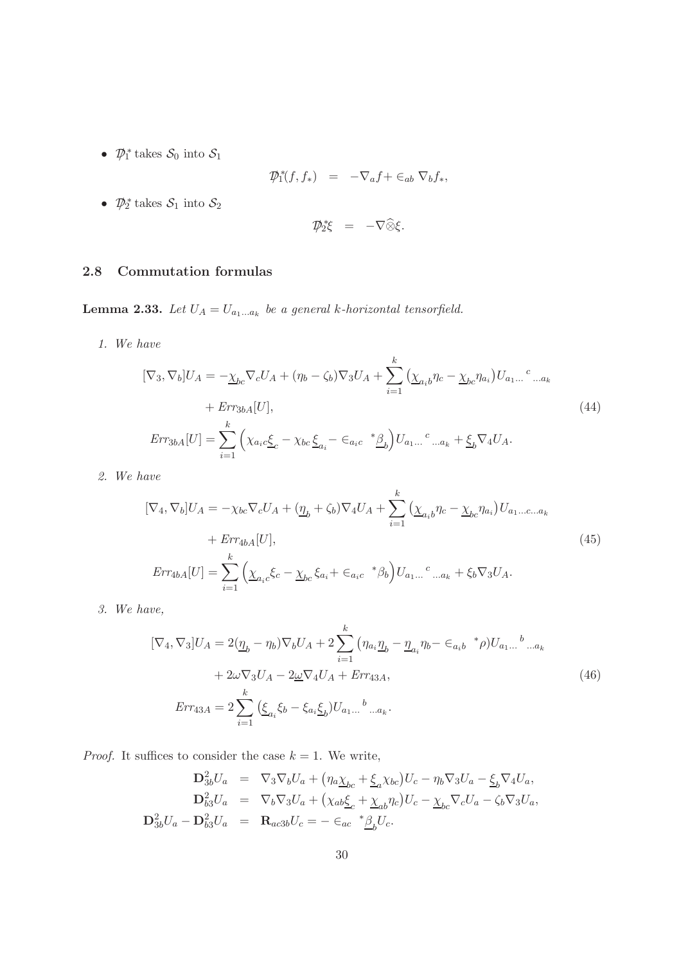•  $\mathcal{D}_1^*$  takes  $\mathcal{S}_0$  into  $\mathcal{S}_1$ 

$$
\mathcal{D}_1^*(f, f_*) = -\nabla_a f + \epsilon_{ab} \nabla_b f_*,
$$

•  $\mathcal{D}_2^*$  takes  $\mathcal{S}_1$  into  $\mathcal{S}_2$ 

$$
\mathcal{D}_2^* \xi = -\nabla \widehat{\otimes} \xi.
$$

# <span id="page-29-0"></span>2.8 Commutation formulas

<span id="page-29-1"></span>**Lemma 2.33.** Let  $U_A = U_{a_1...a_k}$  be a general k-horizontal tensorfield.

1. We have

$$
[\nabla_3, \nabla_b]U_A = -\underline{\chi}_{bc} \nabla_c U_A + (\eta_b - \zeta_b) \nabla_3 U_A + \sum_{i=1}^k (\underline{\chi}_{a_i b} \eta_c - \underline{\chi}_{bc} \eta_{a_i}) U_{a_1...}{}^c ..._{a_k}
$$
  
+  $Err_{3bA}[U],$   

$$
Err_{3bA}[U] = \sum_{i=1}^k (\chi_{a_i c} \underline{\xi}_c - \chi_{bc} \underline{\xi}_{a_i} - \epsilon_{a_i c} \cdot \underline{\beta}_b) U_{a_1...}{}^c ..._{a_k} + \underline{\xi}_b \nabla_4 U_A.
$$
 (44)

2. We have

$$
[\nabla_{4}, \nabla_{b}]U_{A} = -\chi_{bc} \nabla_{c} U_{A} + (\underline{\eta}_{b} + \zeta_{b}) \nabla_{4} U_{A} + \sum_{i=1}^{k} (\underline{\chi}_{a_{i}b} \eta_{c} - \underline{\chi}_{bc} \eta_{a_{i}}) U_{a_{1}...c...a_{k}}
$$
  
+ 
$$
Err_{4bA}[U],
$$
  

$$
Err_{4bA}[U] = \sum_{i=1}^{k} (\underline{\chi}_{a_{i}c} \xi_{c} - \underline{\chi}_{bc} \xi_{a_{i}} + \epsilon_{a_{i}c} \, {}^{*} \beta_{b}) U_{a_{1}...}{}^{c} ..._{a_{k}} + \xi_{b} \nabla_{3} U_{A}.
$$
  
(45)

3. We have,

$$
[\nabla_4, \nabla_3]U_A = 2(\underline{\eta}_b - \eta_b)\nabla_b U_A + 2\sum_{i=1}^k (\eta_{a_i}\underline{\eta}_b - \underline{\eta}_{a_i}\eta_b - \epsilon_{a_i b}^* \rho)U_{a_1...}{}^b..._{a_k}
$$
  
+ 2 $\omega \nabla_3 U_A - 2\underline{\omega} \nabla_4 U_A + Err_{43A},$   

$$
Err_{43A} = 2\sum_{i=1}^k (\underline{\xi}_{a_i}\xi_b - \xi_{a_i}\underline{\xi}_b)U_{a_1...}{}^b..._{a_k}.
$$
 (46)

*Proof.* It suffices to consider the case  $k = 1$ . We write,

$$
\mathbf{D}_{3b}^{2}U_{a} = \nabla_{3}\nabla_{b}U_{a} + \left(\eta_{a}\underline{\chi}_{bc} + \underline{\xi}_{a}\chi_{bc}\right)U_{c} - \eta_{b}\nabla_{3}U_{a} - \underline{\xi}_{b}\nabla_{4}U_{a},
$$
\n
$$
\mathbf{D}_{b3}^{2}U_{a} = \nabla_{b}\nabla_{3}U_{a} + \left(\chi_{ab}\underline{\xi}_{c} + \underline{\chi}_{ab}\eta_{c}\right)U_{c} - \underline{\chi}_{bc}\nabla_{c}U_{a} - \zeta_{b}\nabla_{3}U_{a},
$$
\n
$$
\mathbf{D}_{3b}^{2}U_{a} - \mathbf{D}_{b3}^{2}U_{a} = \mathbf{R}_{ac3b}U_{c} = -\epsilon_{ac} \mathbf{A}_{b}U_{c}.
$$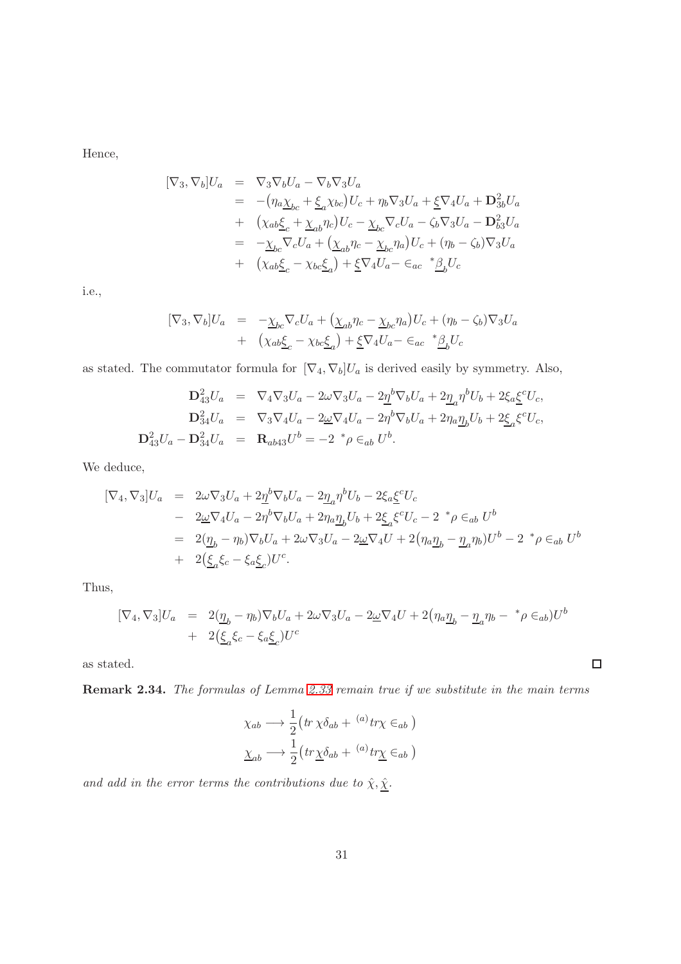Hence,

$$
[\nabla_3, \nabla_b]U_a = \nabla_3 \nabla_b U_a - \nabla_b \nabla_3 U_a
$$
  
\n
$$
= -(\eta_a \chi_{bc} + \xi_a \chi_{bc}) U_c + \eta_b \nabla_3 U_a + \xi \nabla_4 U_a + \mathbf{D}_{3b}^2 U_a
$$
  
\n
$$
+ (\chi_{ab} \xi_c + \chi_{ab} \eta_c) U_c - \chi_{bc} \nabla_c U_a - \zeta_b \nabla_3 U_a - \mathbf{D}_{b3}^2 U_a
$$
  
\n
$$
= -\chi_{bc} \nabla_c U_a + (\chi_{ab} \eta_c - \chi_{bc} \eta_a) U_c + (\eta_b - \zeta_b) \nabla_3 U_a
$$
  
\n
$$
+ (\chi_{ab} \xi_c - \chi_{bc} \xi_a) + \xi \nabla_4 U_a - \xi_{ac} * \underline{\beta}_b U_c
$$

i.e.,

$$
[\nabla_3, \nabla_b]U_a = -\underline{\chi}_{bc}\nabla_c U_a + (\underline{\chi}_{ab}\eta_c - \underline{\chi}_{bc}\eta_a)U_c + (\eta_b - \zeta_b)\nabla_3 U_a
$$
  
+ 
$$
(\chi_{ab}\underline{\xi}_c - \chi_{bc}\underline{\xi}_a) + \underline{\xi}\nabla_4 U_a - \epsilon_{ac} \quad \underset{\sim}{*}\underline{\beta}_b U_c
$$

as stated. The commutator formula for  $[\nabla_4, \nabla_5]U_a$  is derived easily by symmetry. Also,

$$
\mathbf{D}_{43}^{2}U_{a} = \nabla_{4}\nabla_{3}U_{a} - 2\omega\nabla_{3}U_{a} - 2\underline{\eta}^{b}\nabla_{b}U_{a} + 2\underline{\eta}_{a}\eta^{b}U_{b} + 2\xi_{a}\underline{\xi}^{c}U_{c},
$$
\n
$$
\mathbf{D}_{34}^{2}U_{a} = \nabla_{3}\nabla_{4}U_{a} - 2\underline{\omega}\nabla_{4}U_{a} - 2\eta^{b}\nabla_{b}U_{a} + 2\eta_{a}\underline{\eta}_{b}U_{b} + 2\xi_{a}\xi^{c}U_{c},
$$
\n
$$
\mathbf{D}_{43}^{2}U_{a} - \mathbf{D}_{34}^{2}U_{a} = \mathbf{R}_{ab43}U^{b} = -2 \,^{*}\rho \in_{ab} U^{b}.
$$

We deduce,

$$
\begin{array}{rcl}\n[\nabla_4, \nabla_3]U_a &=& 2\omega \nabla_3 U_a + 2\underline{\eta}^b \nabla_b U_a - 2\underline{\eta}_a \eta^b U_b - 2\xi_a \underline{\xi}^c U_c \\
&-& 2\underline{\omega} \nabla_4 U_a - 2\eta^b \nabla_b U_a + 2\eta_a \underline{\eta}_b U_b + 2\xi_a \xi^c U_c - 2 \quad \text{for} \quad b\n\end{array}
$$
\n
$$
\begin{array}{rcl}\n= & 2(\underline{\eta}_b - \eta_b) \nabla_b U_a + 2\omega \nabla_3 U_a - 2\underline{\omega} \nabla_4 U + 2(\eta_a \underline{\eta}_b - \underline{\eta}_a \eta_b) U^b - 2 \quad \text{for} \quad b\n\end{array}
$$
\n
$$
\begin{array}{rcl}\n+ & 2(\underline{\xi}_a \xi_c - \xi_a \underline{\xi}_c) U^c.\n\end{array}
$$

Thus,

$$
[\nabla_4, \nabla_3]U_a = 2(\underline{\eta}_b - \eta_b)\nabla_b U_a + 2\omega \nabla_3 U_a - 2\underline{\omega} \nabla_4 U + 2(\eta_a \underline{\eta}_b - \underline{\eta}_a \eta_b - \rho \epsilon_{ab})U^b
$$
  
+ 2(\underline{\xi}\_a \xi\_c - \xi\_a \underline{\xi}\_c)U^c

as stated.

Remark 2.34. The formulas of Lemma [2.33](#page-29-1) remain true if we substitute in the main terms

$$
\chi_{ab} \longrightarrow \frac{1}{2} \left( tr \chi \delta_{ab} + {}^{(a)}tr \chi \epsilon_{ab} \right)
$$

$$
\underline{\chi}_{ab} \longrightarrow \frac{1}{2} \left( tr \underline{\chi} \delta_{ab} + {}^{(a)}tr \underline{\chi} \epsilon_{ab} \right)
$$

and add in the error terms the contributions due to  $\hat{\chi}, \hat{\underline{\chi}}.$ 

 $\Box$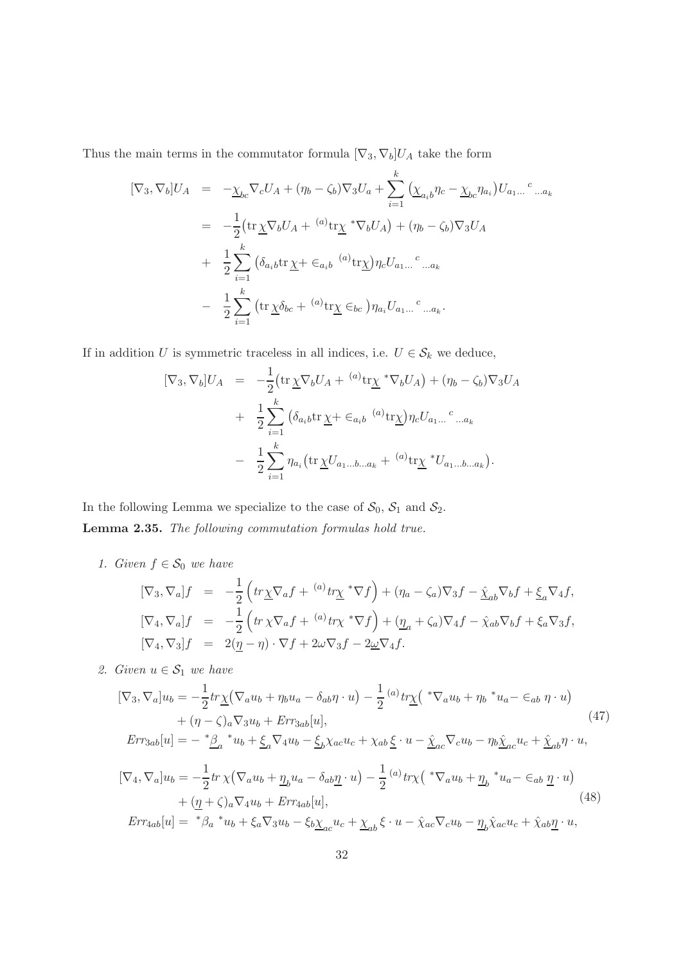Thus the main terms in the commutator formula  $[\nabla_3, \nabla_b]U_A$  take the form

$$
[\nabla_3, \nabla_b]U_A = -\underline{\chi}_{bc} \nabla_c U_A + (\eta_b - \zeta_b) \nabla_3 U_a + \sum_{i=1}^k (\underline{\chi}_{a_i b} \eta_c - \underline{\chi}_{bc} \eta_{a_i}) U_{a_1...}^c ..._{a_k}
$$
  

$$
= -\frac{1}{2} (\text{tr} \underline{\chi} \nabla_b U_A + {}^{(a)} \text{tr} \underline{\chi}^* \nabla_b U_A) + (\eta_b - \zeta_b) \nabla_3 U_A
$$
  

$$
+ \frac{1}{2} \sum_{i=1}^k (\delta_{a_i b} \text{tr} \underline{\chi} + \epsilon_{a_i b} {}^{(a)} \text{tr} \underline{\chi}) \eta_c U_{a_1...}^c ..._{a_k}
$$
  

$$
- \frac{1}{2} \sum_{i=1}^k (\text{tr} \underline{\chi} \delta_{bc} + {}^{(a)} \text{tr} \underline{\chi} \epsilon_{bc}) \eta_{a_i} U_{a_1...}^c ..._{a_k}.
$$

If in addition U is symmetric traceless in all indices, i.e.  $U \in \mathcal{S}_k$  we deduce,

$$
[\nabla_3, \nabla_b]U_A = -\frac{1}{2} (\text{tr}\,\underline{\chi}\nabla_b U_A + {}^{(a)}\text{tr}\underline{\chi}^* \nabla_b U_A) + (\eta_b - \zeta_b) \nabla_3 U_A
$$
  
+ 
$$
\frac{1}{2} \sum_{i=1}^k (\delta_{a_i b} \text{tr}\,\underline{\chi} + \epsilon_{a_i b} {}^{(a)}\text{tr}\underline{\chi}) \eta_c U_{a_1...}{}^c ..._{a_k}
$$
  
- 
$$
\frac{1}{2} \sum_{i=1}^k \eta_{a_i} (\text{tr}\,\underline{\chi} U_{a_1...b...a_k} + {}^{(a)}\text{tr}\underline{\chi}^* U_{a_1...b...a_k}).
$$

In the following Lemma we specialize to the case of  $S_0$ ,  $S_1$  and  $S_2$ . Lemma 2.35. The following commutation formulas hold true.

1. Given  $f \in \mathcal{S}_0$  we have

$$
[\nabla_3, \nabla_a]f = -\frac{1}{2} \left( tr\underline{\chi} \nabla_a f + {}^{(a)}tr\underline{\chi}^* \nabla f \right) + (\eta_a - \zeta_a) \nabla_3 f - \underline{\hat{\chi}}_{ab} \nabla_b f + \underline{\xi}_a \nabla_4 f,
$$
  
\n
$$
[\nabla_4, \nabla_a]f = -\frac{1}{2} \left( tr \, \chi \nabla_a f + {}^{(a)}tr \chi^* \nabla f \right) + (\underline{\eta}_a + \zeta_a) \nabla_4 f - \hat{\chi}_{ab} \nabla_b f + \xi_a \nabla_3 f,
$$
  
\n
$$
[\nabla_4, \nabla_3]f = 2(\underline{\eta} - \eta) \cdot \nabla f + 2\omega \nabla_3 f - 2\underline{\omega} \nabla_4 f.
$$

2. Given  $u \in \mathcal{S}_1$  we have

$$
[\nabla_3, \nabla_a]u_b = -\frac{1}{2}tr\underline{\chi}(\nabla_a u_b + \eta_b u_a - \delta_{ab}\eta \cdot u) - \frac{1}{2}(a)tr\underline{\chi}(\sqrt{*}\nabla_a u_b + \eta_b \sqrt{*}u_a - \epsilon_{ab}\eta \cdot u) + (\eta - \zeta)_a \nabla_3 u_b + Err_{3ab}[u],
$$
\n(47)  
\n
$$
Err_{3ab}[u] = -\sqrt{*}\underline{\beta}_a \sqrt{*}u_b + \underline{\xi}_a \nabla_4 u_b - \underline{\xi}_b \chi_{ac} u_c + \chi_{ab}\underline{\xi} \cdot u - \underline{\chi}_{ac} \nabla_c u_b - \eta_b \underline{\chi}_{ac} u_c + \underline{\chi}_{ab}\eta \cdot u,
$$
\n
$$
[\nabla_4, \nabla_a]u_b = -\frac{1}{2}tr \chi(\nabla_a u_b + \underline{\eta}_b u_a - \delta_{ab}\underline{\eta} \cdot u) - \frac{1}{2}(a)tr\chi(\sqrt{*}\nabla_a u_b + \underline{\eta}_b \sqrt{*}u_a - \epsilon_{ab}\underline{\eta} \cdot u) + (\underline{\eta} + \zeta)_a \nabla_4 u_b + Err_{4ab}[u],
$$
\n(48)

<span id="page-31-0"></span> $Err_{4ab}[u] = {}^*\beta_a {}^*u_b + \xi_a \nabla_3 u_b - \xi_b \chi_{ac} u_c + \chi_{ab} \xi \cdot u - \hat{\chi}_{ac} \nabla_c u_b - \underline{\eta}_b \hat{\chi}_{ac} u_c + \hat{\chi}_{ab} \underline{\eta} \cdot u,$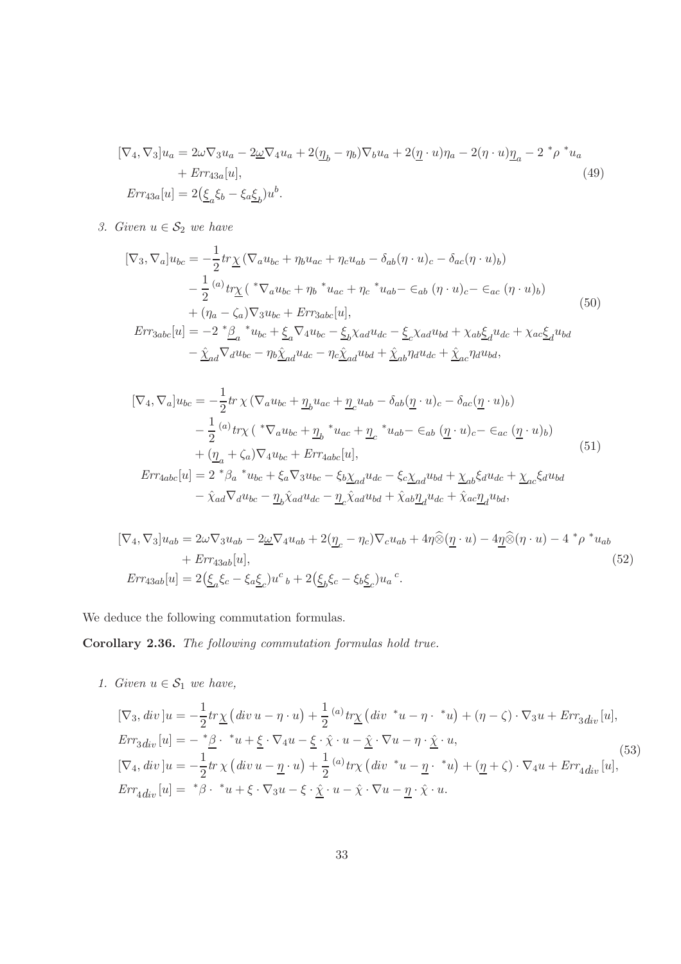$$
[\nabla_4, \nabla_3]u_a = 2\omega \nabla_3 u_a - 2\underline{\omega} \nabla_4 u_a + 2(\underline{\eta}_b - \eta_b) \nabla_b u_a + 2(\underline{\eta} \cdot u)\eta_a - 2(\eta \cdot u)\underline{\eta}_a - 2^* \rho^* u_a
$$
  
+  $Err_{43a}[u],$   

$$
Err_{43a}[u] = 2(\underline{\xi}_a \xi_b - \xi_a \underline{\xi}_b)u^b.
$$
 (49)

3. Given  $u \in \mathcal{S}_2$  we have

$$
[\nabla_3, \nabla_a]u_{bc} = -\frac{1}{2}tr\underline{\chi}(\nabla_a u_{bc} + \eta_b u_{ac} + \eta_c u_{ab} - \delta_{ab}(\eta \cdot u)_c - \delta_{ac}(\eta \cdot u)_b)
$$
  

$$
-\frac{1}{2}^{(a)}tr\underline{\chi}(*\nabla_a u_{bc} + \eta_b * u_{ac} + \eta_c * u_{ab} - \epsilon_{ab}(\eta \cdot u)_c - \epsilon_{ac}(\eta \cdot u)_b)
$$
  

$$
+(\eta_a - \zeta_a)\nabla_3 u_{bc} + Err_{3abc}[u],
$$
  

$$
Err_{3abc}[u] = -2 * \underline{\beta}_a * u_{bc} + \underline{\xi}_a \nabla_4 u_{bc} - \underline{\xi}_b \chi_{ad} u_{dc} - \underline{\xi}_c \chi_{ad} u_{bd} + \chi_{ab} \underline{\xi}_d u_{dc} + \chi_{ac} \underline{\xi}_d u_{bd}
$$
  

$$
-\frac{\hat{\chi}}{\Delta_d} \nabla_d u_{bc} - \eta_b \hat{\chi}_{ad} u_{dc} - \eta_c \hat{\chi}_{ad} u_{bd} + \hat{\chi}_{ab} \eta_d u_{dc} + \hat{\chi}_{ac} \eta_d u_{bd},
$$
 (50)

$$
[\nabla_4, \nabla_a]u_{bc} = -\frac{1}{2}tr\,\chi\,(\nabla_a u_{bc} + \underline{\eta}_b u_{ac} + \underline{\eta}_c u_{ab} - \delta_{ab}(\underline{\eta} \cdot u)_c - \delta_{ac}(\underline{\eta} \cdot u)_b) - \frac{1}{2} (a) tr\chi\,(*\nabla_a u_{bc} + \underline{\eta}_b * u_{ac} + \underline{\eta}_c * u_{ab} - \epsilon_{ab} (\underline{\eta} \cdot u)_c - \epsilon_{ac} (\underline{\eta} \cdot u)_b) + (\underline{\eta}_a + \zeta_a)\nabla_4 u_{bc} + Err_{4abc}[u],
$$
  
\n
$$
Err_{4abc}[u] = 2 * \beta_a * u_{bc} + \xi_a \nabla_3 u_{bc} - \xi_b \underline{\chi}_{ad} u_{dc} - \xi_c \underline{\chi}_{ad} u_{bd} + \underline{\chi}_{ab} \xi_d u_{dc} + \underline{\chi}_{ac} \xi_d u_{bd} - \hat{\chi}_{ad} \nabla_d u_{bc} - \underline{\eta}_b \hat{\chi}_{ad} u_{dc} - \underline{\eta}_c \hat{\chi}_{ad} u_{bd} + \hat{\chi}_{ab} \underline{\eta}_d u_{dc} + \hat{\chi}_{ac} \underline{\eta}_d u_{bd},
$$
\n(51)

<span id="page-32-0"></span>
$$
[\nabla_4, \nabla_3]u_{ab} = 2\omega \nabla_3 u_{ab} - 2\underline{\omega} \nabla_4 u_{ab} + 2(\underline{\eta}_c - \eta_c) \nabla_c u_{ab} + 4\eta \widehat{\otimes} (\underline{\eta} \cdot u) - 4\underline{\eta} \widehat{\otimes} (\eta \cdot u) - 4 \cdot \rho \cdot u_{ab} + Err_{43ab}[u],
$$
\n
$$
Err_{43ab}[u] = 2(\underline{\xi}_a \xi_c - \xi_a \underline{\xi}_c) u^c{}_b + 2(\underline{\xi}_b \xi_c - \xi_b \underline{\xi}_c) u_a{}^c.
$$
\n(52)

We deduce the following commutation formulas.

Corollary 2.36. The following commutation formulas hold true.

1. Given  $u \in S_1$  we have,

$$
[\nabla_3, div]u = -\frac{1}{2}tr\underline{\chi} (div u - \eta \cdot u) + \frac{1}{2} {}^{(a)}tr\underline{\chi} (div \ ^*u - \eta \cdot \ ^*u) + (\eta - \zeta) \cdot \nabla_3 u + Err_{3}div [u],
$$
  
\n
$$
Err_{3}div[u] = -\ ^* \underline{\beta} \cdot \ ^*u + \underline{\xi} \cdot \nabla_4 u - \underline{\xi} \cdot \hat{\chi} \cdot u - \hat{\chi} \cdot \nabla u - \eta \cdot \hat{\chi} \cdot u,
$$
  
\n
$$
[\nabla_4, div]u = -\frac{1}{2}tr \chi (div u - \underline{\eta} \cdot u) + \frac{1}{2} {}^{(a)}tr \chi (div \ ^*u - \underline{\eta} \cdot \ ^*u) + (\underline{\eta} + \zeta) \cdot \nabla_4 u + Err_{4}div [u],
$$
  
\n
$$
Err_{4}div[u] = \ ^* \beta \cdot \ ^*u + \xi \cdot \nabla_3 u - \xi \cdot \hat{\chi} \cdot u - \hat{\chi} \cdot \nabla u - \underline{\eta} \cdot \hat{\chi} \cdot u.
$$
\n(53)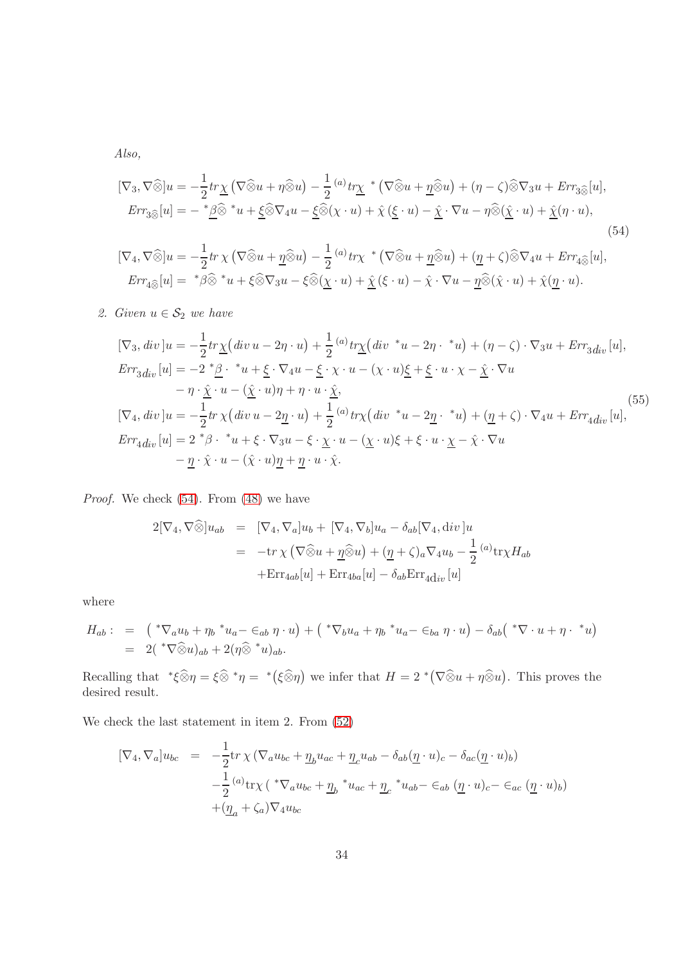Also,

$$
[\nabla_3, \nabla \widehat{\otimes}] u = -\frac{1}{2} tr \underline{\chi} (\nabla \widehat{\otimes} u + \eta \widehat{\otimes} u) - \frac{1}{2} (a) tr \underline{\chi}^* (\nabla \widehat{\otimes} u + \underline{\eta} \widehat{\otimes} u) + (\eta - \zeta) \widehat{\otimes} \nabla_3 u + Err_{3 \widehat{\otimes}} [u],
$$
  
\n
$$
Err_{3 \widehat{\otimes}}[u] = -\frac{*\underline{\beta} \widehat{\otimes}}{2} * u + \underline{\xi} \widehat{\otimes} \nabla_4 u - \underline{\xi} \widehat{\otimes} (\chi \cdot u) + \widehat{\chi} (\underline{\xi} \cdot u) - \underline{\widehat{\chi}} \cdot \nabla u - \eta \widehat{\otimes} (\underline{\widehat{\chi}} \cdot u) + \underline{\widehat{\chi}} (\eta \cdot u),
$$
\n
$$
(54)
$$

<span id="page-33-0"></span>
$$
[\nabla_4, \nabla \widehat{\otimes}] u = -\frac{1}{2} tr \chi \left( \nabla \widehat{\otimes} u + \underline{\eta} \widehat{\otimes} u \right) - \frac{1}{2} (a) tr \chi^* \left( \nabla \widehat{\otimes} u + \underline{\eta} \widehat{\otimes} u \right) + (\underline{\eta} + \zeta) \widehat{\otimes} \nabla_4 u + Err_{4 \widehat{\otimes}} [u],
$$
  
\n
$$
Err_{4 \widehat{\otimes}}[u] = {^* \beta \widehat{\otimes} {}^* u + \xi \widehat{\otimes} \nabla_3 u - \xi \widehat{\otimes} (\underline{\chi} \cdot u) + \underline{\hat{\chi}} (\xi \cdot u) - \widehat{\chi} \cdot \nabla u - \underline{\eta} \widehat{\otimes} (\widehat{\chi} \cdot u) + \widehat{\chi} (\underline{\eta} \cdot u).
$$

2. Given  $u \in \mathcal{S}_2$  we have

$$
[\nabla_3, div]u = -\frac{1}{2}tr\chi\left(\dot{u}v u - 2\eta \cdot u\right) + \frac{1}{2} {}^{(a)}tr\chi\left(\dot{d}v \ ^*u - 2\eta \cdot \ ^*u\right) + (\eta - \zeta) \cdot \nabla_3 u + Err_{3}{}_{div}[u],
$$
  
\n
$$
Err_{3}{}_{div}[u] = -2 \ ^* \underline{\beta} \cdot \ ^*u + \underline{\xi} \cdot \nabla_4 u - \underline{\xi} \cdot \chi \cdot u - (\chi \cdot u)\underline{\xi} + \underline{\xi} \cdot u \cdot \chi - \underline{\hat{\chi}} \cdot \nabla u
$$
  
\n
$$
- \eta \cdot \underline{\hat{\chi}} \cdot u - (\underline{\hat{\chi}} \cdot u)\eta + \eta \cdot u \cdot \underline{\hat{\chi}},
$$
  
\n
$$
[\nabla_4, div]u = -\frac{1}{2}tr\chi\left(\dot{d}v u - 2\underline{\eta} \cdot u\right) + \frac{1}{2} {}^{(a)}tr\chi\left(\dot{d}v \ ^*u - 2\underline{\eta} \cdot \ ^*u\right) + (\underline{\eta} + \zeta) \cdot \nabla_4 u + Err_{4}{}_{div}[u],
$$
  
\n
$$
Err_{4}{}_{div}[u] = 2 \ ^* \beta \cdot \ ^*u + \xi \cdot \nabla_3 u - \xi \cdot \underline{\chi} \cdot u - (\underline{\chi} \cdot u)\xi + \xi \cdot u \cdot \underline{\chi} - \hat{\chi} \cdot \nabla u
$$
  
\n
$$
- \underline{\eta} \cdot \hat{\chi} \cdot u - (\hat{\chi} \cdot u)\underline{\eta} + \underline{\eta} \cdot u \cdot \hat{\chi}.
$$
  
\n(55)

Proof. We check  $(54)$ . From  $(48)$  we have

$$
2[\nabla_4, \nabla \widehat{\otimes}]u_{ab} = [\nabla_4, \nabla_a]u_b + [\nabla_4, \nabla_b]u_a - \delta_{ab}[\nabla_4, \text{div}]u
$$
  

$$
= -\text{tr}\,\chi(\nabla \widehat{\otimes} u + \underline{\eta} \widehat{\otimes} u) + (\underline{\eta} + \zeta)_a \nabla_4 u_b - \frac{1}{2} {}^{(a)}\text{tr}\chi H_{ab}
$$
  

$$
+ \text{Err}_{4ab}[u] + \text{Err}_{4ba}[u] - \delta_{ab} \text{Err}_{4\text{div}}[u]
$$

where

$$
H_{ab} : = (\mathbf{K}_{ab} + \eta_b \mathbf{K}_{ab} - \epsilon_{ab} \eta \cdot u) + (\mathbf{K}_{b} u_a + \eta_b \mathbf{K}_{ba} - \epsilon_{ba} \eta \cdot u) - \delta_{ab} (\mathbf{K}_{a} \nabla \cdot u + \eta \cdot \mathbf{K}_{a})
$$
  
=  $2(\mathbf{K}_{a} \partial u)_{ab} + 2(\eta \hat{\otimes} \mathbf{K}_{a} u)_{ab}.$ 

Recalling that  ${}^*\xi \widehat{\otimes} \eta = \xi \widehat{\otimes} {}^* \eta = {}^* (\xi \widehat{\otimes} \eta)$  we infer that  $H = 2 {}^* (\nabla \widehat{\otimes} u + \eta \widehat{\otimes} u)$ . This proves the desired result.

We check the last statement in item 2. From [\(52\)](#page-32-0) 1

$$
[\nabla_4, \nabla_a]u_{bc} = -\frac{1}{2} \text{tr} \chi \left( \nabla_a u_{bc} + \underline{\eta}_b u_{ac} + \underline{\eta}_c u_{ab} - \delta_{ab} (\underline{\eta} \cdot u)_c - \delta_{ac} (\underline{\eta} \cdot u)_b \right)
$$
  

$$
-\frac{1}{2} {^{(a)} \text{tr} \chi \left( \sqrt[k]{a} u_{bc} + \underline{\eta}_b \sqrt[k]{a} u_{ac} + \underline{\eta}_c \sqrt[k]{a} u_{ab} - \epsilon_{ab} (\underline{\eta} \cdot u)_c - \epsilon_{ac} (\underline{\eta} \cdot u)_b \right)}
$$
  

$$
+ (\underline{\eta}_a + \zeta_a) \nabla_4 u_{bc}
$$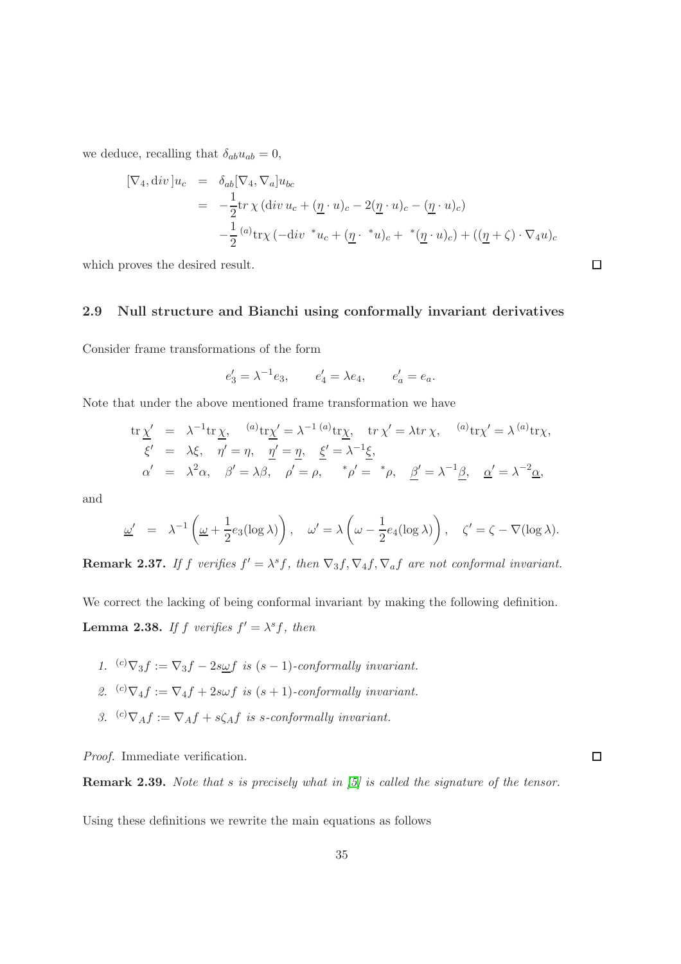we deduce, recalling that  $\delta_{ab}u_{ab} = 0$ ,

$$
\begin{aligned} [\nabla_4, \operatorname{div} ]u_c &= \delta_{ab} [\nabla_4, \nabla_a] u_{bc} \\ &= -\frac{1}{2} \operatorname{tr} \chi \left( \operatorname{div} u_c + (\underline{\eta} \cdot u)_c - 2(\underline{\eta} \cdot u)_c - (\underline{\eta} \cdot u)_c \right) \\ &- \frac{1}{2} \left( \int_a^a \operatorname{tr} \chi \left( -\operatorname{div} \,^* u_c + (\underline{\eta} \cdot \,^* u)_c + \,^* (\underline{\eta} \cdot u)_c \right) + ((\underline{\eta} + \zeta) \cdot \nabla_4 u)_c \right) \end{aligned}
$$

<span id="page-34-0"></span>which proves the desired result.

#### 2.9 Null structure and Bianchi using conformally invariant derivatives

Consider frame transformations of the form

$$
e'_3 = \lambda^{-1} e_3
$$
,  $e'_4 = \lambda e_4$ ,  $e'_a = e_a$ .

Note that under the above mentioned frame transformation we have

$$
\begin{array}{rcl}\n\text{tr}\,\underline{\chi}' &=& \lambda^{-1}\text{tr}\,\underline{\chi}, \quad \text{``a)}\text{tr}\underline{\chi}' = \lambda^{-1} \text{``a)}\text{tr}\underline{\chi}, \quad \text{tr}\,\chi' = \lambda \text{tr}\,\chi, \quad \text{``a)}\text{tr}\chi' = \lambda \text{``a)}\text{tr}\chi, \\
\xi' &=& \lambda\xi, \quad \eta' = \eta, \quad \underline{\eta}' = \underline{\eta}, \quad \underline{\xi}' = \lambda^{-1}\underline{\xi}, \\
\alpha' &=& \lambda^2\alpha, \quad \beta' = \lambda\beta, \quad \rho' = \rho, \quad \text{``$\rho'$ = \text{``$\rho$}, \quad \underline{\beta'} = \lambda^{-1}\underline{\beta}, \quad \underline{\alpha'} = \lambda^{-2}\underline{\alpha},\n\end{array}
$$

and

$$
\underline{\omega}' = \lambda^{-1} \left( \underline{\omega} + \frac{1}{2} e_3(\log \lambda) \right), \quad \underline{\omega}' = \lambda \left( \underline{\omega} - \frac{1}{2} e_4(\log \lambda) \right), \quad \zeta' = \zeta - \nabla(\log \lambda).
$$

**Remark 2.37.** If f verifies  $f' = \lambda^s f$ , then  $\nabla_3 f$ ,  $\nabla_4 f$ ,  $\nabla_a f$  are not conformal invariant.

We correct the lacking of being conformal invariant by making the following definition.

**Lemma 2.38.** If f verifies  $f' = \lambda^s f$ , then

- 1. <sup>(c)</sup> $\nabla_3 f := \nabla_3 f 2s \omega f$  is  $(s-1)$ -conformally invariant.
- 2. <sup>(c)</sup> $\nabla_4 f := \nabla_4 f + 2s\omega f$  is  $(s + 1)$ -conformally invariant.
- 3.  $(c) \nabla_A f := \nabla_A f + s \zeta_A f$  is s-conformally invariant.

Proof. Immediate verification.

Remark 2.39. Note that s is precisely what in [\[5\]](#page-137-6) is called the signature of the tensor.

Using these definitions we rewrite the main equations as follows

 $\Box$ 

 $\Box$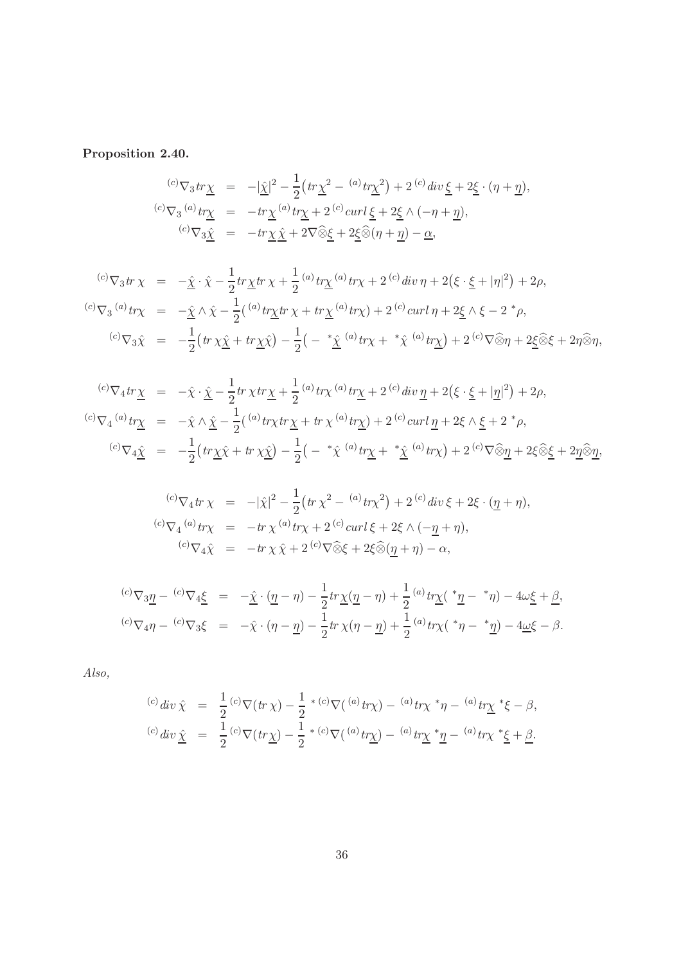# Proposition 2.40.

$$
\begin{array}{rcl}\n^{(c)}\nabla_3 tr \underline{\chi} &=& -|\underline{\hat{\chi}}|^2 - \frac{1}{2} \big( tr \underline{\chi}^2 - \frac{(a)}{2} tr \underline{\chi}^2 \big) + 2 \,^{(c)} \, div \, \underline{\xi} + 2 \underline{\xi} \cdot (\eta + \underline{\eta}), \\
^{(c)}\nabla_3 \,^{(a)} tr \underline{\chi} &=& -tr \underline{\chi}^{(a)} tr \underline{\chi} + 2 \,^{(c)} \, curl \, \underline{\xi} + 2 \underline{\xi} \wedge (-\eta + \underline{\eta}), \\
^{(c)}\nabla_3 \underline{\hat{\chi}} &=& -tr \underline{\chi} \, \underline{\hat{\chi}} + 2 \nabla \widehat{\otimes} \underline{\xi} + 2 \underline{\xi} \widehat{\otimes} (\eta + \underline{\eta}) - \underline{\alpha},\n\end{array}
$$

$$
{}^{(c)}\nabla_3 tr \chi = -\hat{\underline{\chi}} \cdot \hat{\chi} - \frac{1}{2} tr \underline{\chi} tr \chi + \frac{1}{2} {}^{(a)} tr \underline{\chi} {}^{(a)} tr \chi + 2 {}^{(c)} div \eta + 2 (\xi \cdot \underline{\xi} + |\eta|^2) + 2\rho,
$$
  

$$
{}^{(c)}\nabla_3 {}^{(a)} tr \chi = -\hat{\underline{\chi}} \wedge \hat{\chi} - \frac{1}{2} ({}^{(a)} tr \underline{\chi} tr \chi + tr \underline{\chi} {}^{(a)} tr \chi) + 2 {}^{(c)} curl \eta + 2 \underline{\xi} \wedge \xi - 2 {}^{*} \rho,
$$
  

$$
{}^{(c)}\nabla_3 \hat{\chi} = -\frac{1}{2} (tr \chi \hat{\underline{\chi}} + tr \underline{\chi} \hat{\chi}) - \frac{1}{2} ( - {}^{*} \hat{\underline{\chi}} {}^{(a)} tr \chi + {}^{*} \hat{\chi} {}^{(a)} tr \underline{\chi}) + 2 {}^{(c)} \nabla \widehat{\otimes} \eta + 2 \underline{\xi} \widehat{\otimes} \xi + 2 \eta \widehat{\otimes} \eta,
$$

$$
\begin{array}{rcl}\n^{(c)}\nabla_4 tr \underline{\chi} &=& -\hat{\chi} \cdot \underline{\hat{\chi}} - \frac{1}{2} tr \, \chi tr \underline{\chi} + \frac{1}{2} \,^{(a)} tr \chi \,^{(a)} tr \underline{\chi} + 2 \,^{(c)} div \, \underline{\eta} + 2 \big( \xi \cdot \underline{\xi} + |\underline{\eta}|^2 \big) + 2\rho, \\
^{(c)}\nabla_4 \,^{(a)} tr \underline{\chi} &=& -\hat{\chi} \wedge \underline{\hat{\chi}} - \frac{1}{2} \big( \,^{(a)} tr \chi tr \underline{\chi} + tr \, \chi \,^{(a)} tr \underline{\chi} \big) + 2 \,^{(c)} curl \, \underline{\eta} + 2\xi \wedge \underline{\xi} + 2 \,^* \rho, \\
^{(c)}\nabla_4 \underline{\hat{\chi}} &=& -\frac{1}{2} \big( tr \underline{\chi} \hat{\chi} + tr \, \chi \underline{\hat{\chi}} \big) - \frac{1}{2} \big( - \,^* \hat{\chi} \,^{(a)} tr \underline{\chi} + \,^* \underline{\hat{\chi}} \,^{(a)} tr \chi \big) + 2 \,^{(c)} \nabla \widehat{\otimes} \underline{\eta} + 2\xi \widehat{\otimes} \underline{\xi} + 2\underline{\eta} \widehat{\otimes} \underline{\eta},\n\end{array}
$$

$$
{}^{(c)}\nabla_4 tr \chi = -|\hat{\chi}|^2 - \frac{1}{2} \left( tr \chi^2 - {}^{(a)}tr\chi^2 \right) + 2 {}^{(c)}div \xi + 2\xi \cdot (\underline{\eta} + \eta),
$$
  

$$
{}^{(c)}\nabla_4 {}^{(a)}tr\chi = -tr \chi {}^{(a)}tr\chi + 2 {}^{(c)}curl \xi + 2\xi \wedge (-\underline{\eta} + \eta),
$$
  

$$
{}^{(c)}\nabla_4 \hat{\chi} = -tr \chi \hat{\chi} + 2 {}^{(c)}\nabla \hat{\otimes} \xi + 2\xi \hat{\otimes} (\underline{\eta} + \eta) - \alpha,
$$

$$
{}^{(c)}\nabla_3 \underline{\eta} - {}^{(c)}\nabla_4 \underline{\xi} = -\underline{\hat{\chi}} \cdot (\underline{\eta} - \eta) - \frac{1}{2} tr \underline{\chi} (\underline{\eta} - \eta) + \frac{1}{2} {}^{(a)} tr \underline{\chi} ( \stackrel{*}{{}_\mathcal{I}} - {}^{*}\eta) - 4\omega \underline{\xi} + \underline{\beta},
$$
  

$$
{}^{(c)}\nabla_4 \eta - {}^{(c)}\nabla_3 \xi = -\hat{\chi} \cdot (\eta - \underline{\eta}) - \frac{1}{2} tr \chi (\eta - \underline{\eta}) + \frac{1}{2} {}^{(a)} tr \chi ( \stackrel{*}{{}_\mathcal{I}} - {}^{*}\underline{\eta}) - 4\underline{\omega} \xi - \beta.
$$

Also,

$$
{}^{(c)}div \hat{\chi} = \frac{1}{2} {}^{(c)}\nabla (tr \chi) - \frac{1}{2} {}^{*(c)}\nabla ({}^{(a)}tr\chi) - {}^{(a)}tr\chi {}^{*}\eta - {}^{(a)}tr\chi {}^{*}\xi - \beta,
$$
  

$$
{}^{(c)}div \hat{\chi} = \frac{1}{2} {}^{(c)}\nabla (tr\underline{\chi}) - \frac{1}{2} {}^{*(c)}\nabla ({}^{(a)}tr\underline{\chi}) - {}^{(a)}tr\underline{\chi} {}^{*}\underline{\eta} - {}^{(a)}tr\chi {}^{*}\underline{\xi} + \underline{\beta}.
$$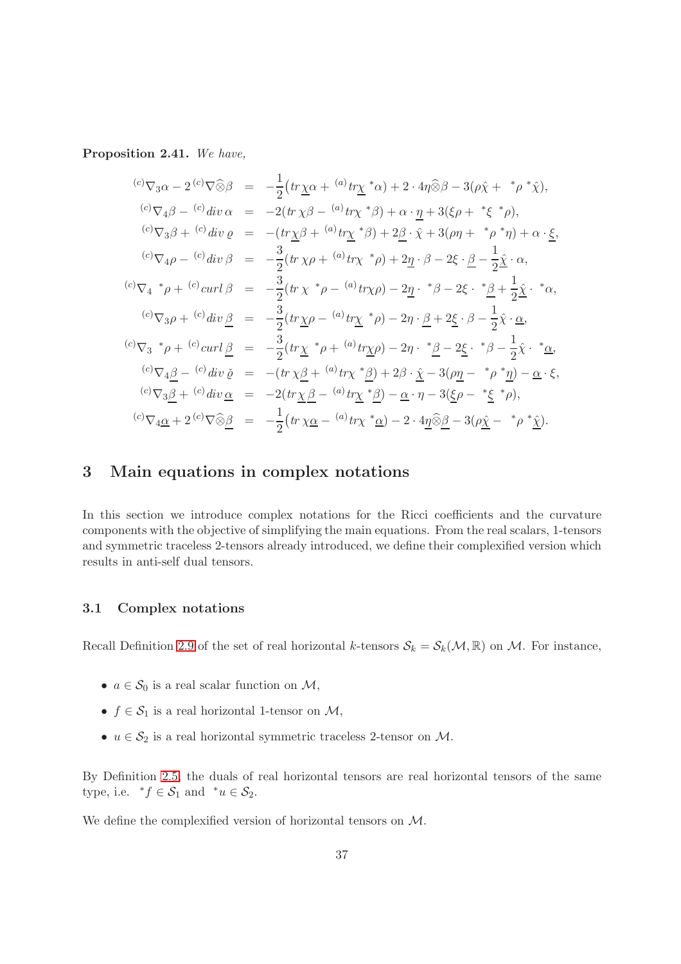Proposition 2.41. We have,

$$
{}^{(c)}\nabla_3\alpha - 2\,{}^{(c)}\nabla\widehat{\otimes}\beta = -\frac{1}{2}\left(tr\underline{\chi}\alpha + {}^{(a)}tr\underline{\chi}^*\alpha\right) + 2\cdot 4\eta\widehat{\otimes}\beta - 3(\rho\widehat{\chi} + {}^{*}\rho^*\widehat{\chi}),
$$
  

$$
{}^{(c)}\nabla_4\beta - {}^{(c)}div\alpha = -2\left(tr\underline{\chi}\beta - {}^{(a)}tr\underline{\chi}^*\beta\right) + \alpha\cdot\underline{\eta} + 3(\xi\rho + {}^{*}\xi^*\rho),
$$
  

$$
{}^{(c)}\nabla_3\beta + {}^{(c)}div\varrho = -\left(tr\underline{\chi}\beta + {}^{(a)}tr\underline{\chi}^*\beta\right) + 2\underline{\beta}\cdot\widehat{\chi} + 3(\rho\eta + {}^{*}\rho^*\eta) + \alpha\cdot\underline{\xi},
$$
  

$$
{}^{(c)}\nabla_4\rho - {}^{(c)}div\beta = -\frac{3}{2}\left(tr\underline{\chi}\rho + {}^{(a)}tr\underline{\chi}^*\rho\right) + 2\underline{\eta}\cdot\beta - 2\xi\cdot\underline{\beta} - \frac{1}{2}\widehat{\underline{\chi}}\cdot\alpha,
$$
  

$$
{}^{(c)}\nabla_4{}^*\rho + {}^{(c)}curl\beta = -\frac{3}{2}\left(tr\underline{\chi}\rho - {}^{(a)}tr\underline{\chi}^*\rho\right) - 2\eta\cdot{}^*\beta - 2\xi\cdot{}^*\underline{\beta} + \frac{1}{2}\widehat{\underline{\chi}}\cdot{}^*\alpha,
$$
  

$$
{}^{(c)}\nabla_3\rho + {}^{(c)}div\underline{\beta} = -\frac{3}{2}\left(tr\underline{\chi}\rho - {}^{(a)}tr\underline{\chi}^*\rho\right) - 2\eta\cdot{}^*\underline{\beta} - 2\xi\cdot{}^*\underline{\beta} - \frac{1}{2}\widehat{\chi}\cdot{}^*\underline{\alpha},
$$
  

$$
{}^{(c)}\nabla_3{}^*\rho + {}^{(c)}curl\underline{\beta} = -\frac{3}{2}\left(tr\underline{\chi}^*\rho + {}^{(a)}tr\underline{\chi}\rho\right) - 2\eta\cdot{}^*\underline{\beta} - 2\xi
$$

# 3 Main equations in complex notations

In this section we introduce complex notations for the Ricci coefficients and the curvature components with the objective of simplifying the main equations. From the real scalars, 1-tensors and symmetric traceless 2-tensors already introduced, we define their complexified version which results in anti-self dual tensors.

#### 3.1 Complex notations

Recall Definition [2.9](#page-16-0) of the set of real horizontal k-tensors  $S_k = S_k(\mathcal{M}, \mathbb{R})$  on M. For instance,

- $a \in \mathcal{S}_0$  is a real scalar function on  $\mathcal{M}$ ,
- $f \in \mathcal{S}_1$  is a real horizontal 1-tensor on  $\mathcal{M}$ ,
- $u \in \mathcal{S}_2$  is a real horizontal symmetric traceless 2-tensor on  $\mathcal{M}$ .

By Definition [2.5,](#page-15-0) the duals of real horizontal tensors are real horizontal tensors of the same type, i.e.  $*f \in S_1$  and  $*u \in S_2$ .

We define the complexified version of horizontal tensors on M.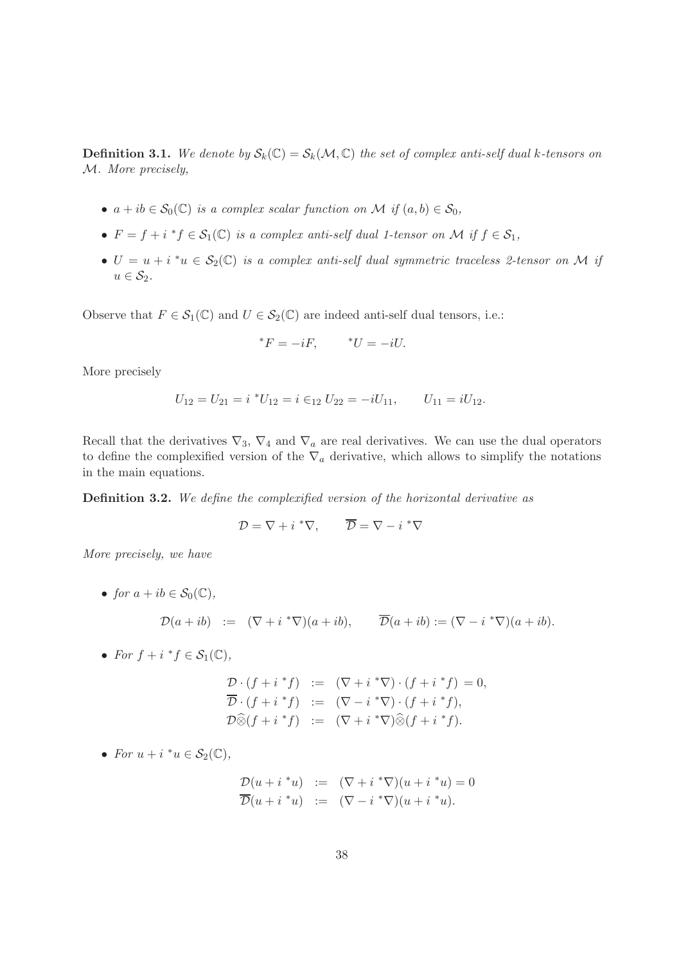**Definition 3.1.** We denote by  $S_k(\mathbb{C}) = S_k(\mathcal{M}, \mathbb{C})$  the set of complex anti-self dual k-tensors on M. More precisely,

- $a + ib \in \mathcal{S}_0(\mathbb{C})$  is a complex scalar function on M if  $(a, b) \in \mathcal{S}_0$ ,
- $F = f + i * f \in S_1(\mathbb{C})$  is a complex anti-self dual 1-tensor on M if  $f \in S_1$ ,
- $U = u + i * u \in S_2(\mathbb{C})$  is a complex anti-self dual symmetric traceless 2-tensor on M if  $u \in \mathcal{S}_2$ .

Observe that  $F \in \mathcal{S}_1(\mathbb{C})$  and  $U \in \mathcal{S}_2(\mathbb{C})$  are indeed anti-self dual tensors, i.e.:

$$
^*F = -iF, \qquad ^*U = -iU.
$$

More precisely

$$
U_{12} = U_{21} = i \, {}^*U_{12} = i \, \in_{12} U_{22} = -iU_{11}, \qquad U_{11} = iU_{12}.
$$

Recall that the derivatives  $\nabla_3$ ,  $\nabla_4$  and  $\nabla_a$  are real derivatives. We can use the dual operators to define the complexified version of the  $\nabla_a$  derivative, which allows to simplify the notations in the main equations.

Definition 3.2. We define the complexified version of the horizontal derivative as

$$
\mathcal{D} = \nabla + i \, {}^* \nabla, \qquad \overline{\mathcal{D}} = \nabla - i \, {}^* \nabla
$$

More precisely, we have

• for  $a + ib \in \mathcal{S}_0(\mathbb{C}),$ 

$$
\mathcal{D}(a+ib) \quad := \quad (\nabla + i \sqrt[k \nabla)(a+ib), \qquad \overline{\mathcal{D}}(a+ib) := (\nabla - i \sqrt[k \nabla)(a+ib).
$$

• For  $f + i * f \in \mathcal{S}_1(\mathbb{C}),$ 

$$
\begin{array}{rcl}\n\mathcal{D} \cdot (f + i \, ^*f) & := & (\nabla + i \, ^* \nabla) \cdot (f + i \, ^* f) = 0, \\
\overline{\mathcal{D}} \cdot (f + i \, ^* f) & := & (\nabla - i \, ^* \nabla) \cdot (f + i \, ^* f), \\
\mathcal{D} \widehat{\otimes} (f + i \, ^* f) & := & (\nabla + i \, ^* \nabla) \widehat{\otimes} (f + i \, ^* f).\n\end{array}
$$

• For  $u + i * u \in \mathcal{S}_2(\mathbb{C}),$ 

$$
\mathcal{D}(u+i^*u) := (\nabla+i^*\nabla)(u+i^*u) = 0
$$
  

$$
\overline{\mathcal{D}}(u+i^*u) := (\nabla-i^*\nabla)(u+i^*u).
$$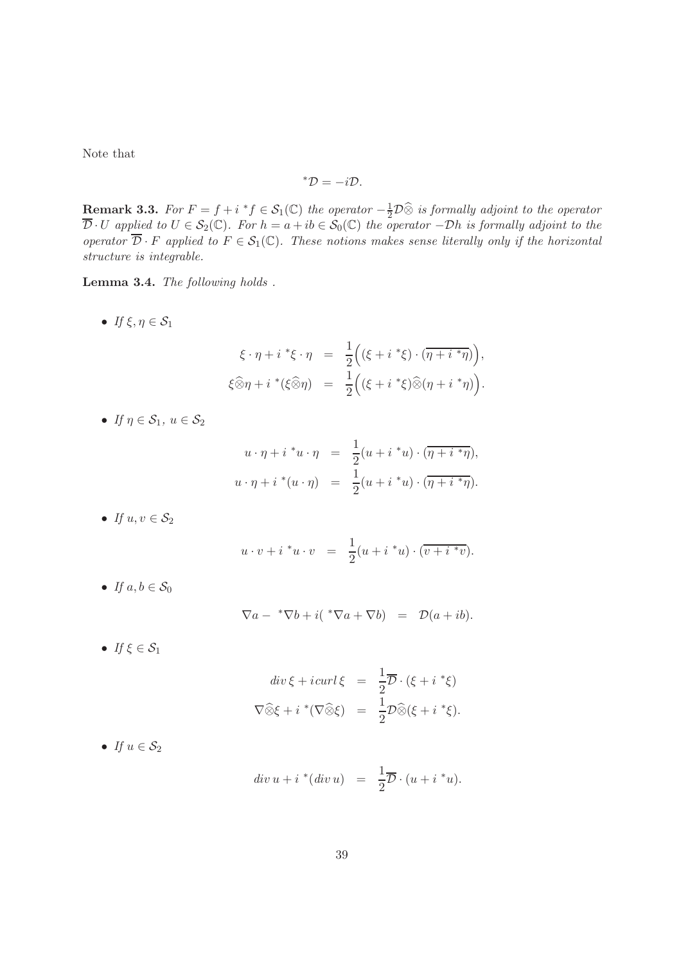Note that

$$
^{\ast }\mathcal{D}=-i\mathcal{D}.
$$

**Remark 3.3.** For  $F = f + i * f \in S_1(\mathbb{C})$  the operator  $-\frac{1}{2}\mathcal{D}\hat{\otimes}$  is formally adjoint to the operator  $\overline{\mathcal{D}} \cdot U$  applied to  $U \in \mathcal{S}_2(\mathbb{C})$ . For  $h = a + ib \in \mathcal{S}_0(\mathbb{C})$  the operator  $-Dh$  is formally adjoint to the operator  $\overline{\mathcal{D}} \cdot F$  applied to  $F \in \mathcal{S}_1(\mathbb{C})$ . These notions makes sense literally only if the horizontal structure is integrable.

Lemma 3.4. The following holds .

• If  $\xi, \eta \in \mathcal{S}_1$ 

$$
\xi \cdot \eta + i \cdot \xi \cdot \eta = \frac{1}{2} \Big( (\xi + i \cdot \xi) \cdot (\overline{\eta + i \cdot \eta}) \Big),
$$
  

$$
\xi \widehat{\otimes} \eta + i \cdot \xi(\widehat{\otimes} \eta) = \frac{1}{2} \Big( (\xi + i \cdot \xi) \widehat{\otimes} (\eta + i \cdot \eta) \Big).
$$

• If  $\eta \in \mathcal{S}_1$ ,  $u \in \mathcal{S}_2$ 

$$
u \cdot \eta + i * u \cdot \eta = \frac{1}{2}(u + i * u) \cdot (\overline{\eta + i * \eta}),
$$
  

$$
u \cdot \eta + i * (u \cdot \eta) = \frac{1}{2}(u + i * u) \cdot (\overline{\eta + i * \eta}).
$$

• If  $u, v \in \mathcal{S}_2$ 

$$
u \cdot v + i * u \cdot v = \frac{1}{2}(u + i * u) \cdot (\overline{v + i * v}).
$$

• If  $a, b \in S_0$ 

$$
\nabla a - {}^{*}\nabla b + i({}^{*}\nabla a + \nabla b) = \mathcal{D}(a + ib).
$$

• If  $\xi \in \mathcal{S}_1$ 

$$
div \xi + i \operatorname{curl} \xi = \frac{1}{2} \overline{\mathcal{D}} \cdot (\xi + i \cdot \xi)
$$

$$
\nabla \widehat{\otimes} \xi + i \cdot \nabla \widehat{\otimes} \xi = \frac{1}{2} \mathcal{D} \widehat{\otimes} (\xi + i \cdot \xi).
$$

• If  $u \in \mathcal{S}_2$ 

$$
div\ u + i\ ^*(div\ u)\ \ =\ \ \frac{1}{2}\overline{\mathcal{D}}\cdot(u + i\ ^*u).
$$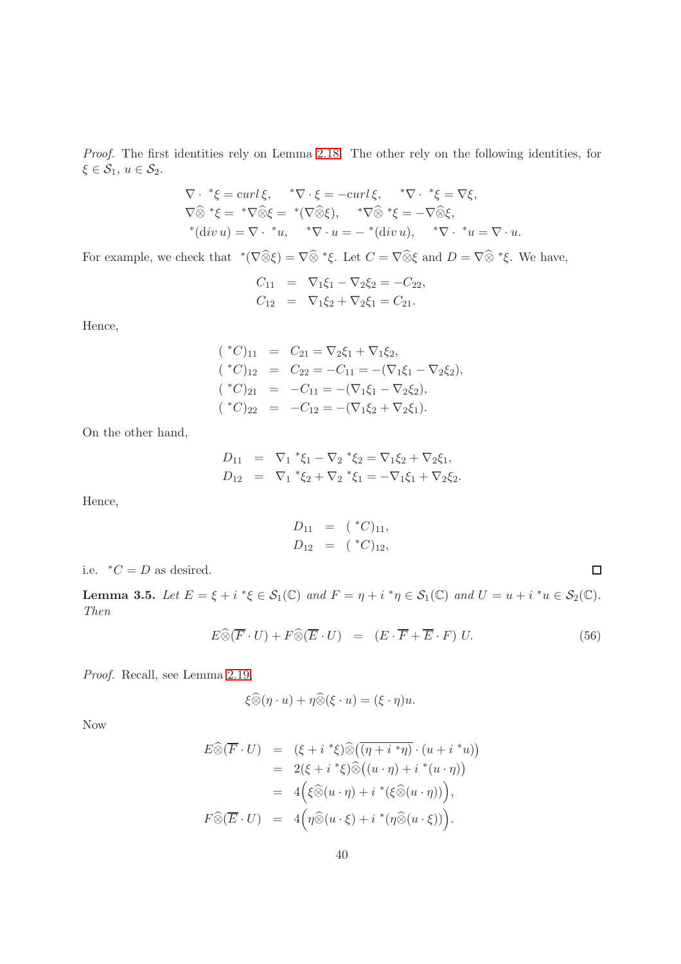Proof. The first identities rely on Lemma [2.18.](#page-18-0) The other rely on the following identities, for  $\xi \in \mathcal{S}_1, u \in \mathcal{S}_2.$ 

$$
\nabla \cdot {}^*\xi = \operatorname{curl} \xi, \quad {}^*\nabla \cdot \xi = -\operatorname{curl} \xi, \quad {}^*\nabla \cdot {}^*\xi = \nabla \xi,
$$
  

$$
\nabla \widehat{\otimes} {}^*\xi = {}^*\nabla \widehat{\otimes} \xi = {}^*\nabla \widehat{\otimes} \xi), \quad {}^*\nabla \widehat{\otimes} {}^*\xi = -\nabla \widehat{\otimes} \xi,
$$
  

$$
{}^*(\text{div } u) = \nabla \cdot {}^*u, \quad {}^*\nabla \cdot u = - {}^*(\text{div } u), \quad {}^*\nabla \cdot {}^*u = \nabla \cdot u.
$$

For example, we check that  $\sqrt[e]{\widehat{\otimes}\xi} = \nabla \widehat{\otimes} \sqrt[e]{\xi}$ . Let  $C = \nabla \widehat{\otimes}\xi$  and  $D = \nabla \widehat{\otimes} \sqrt[e]{\xi}$ . We have,

$$
C_{11} = \nabla_1 \xi_1 - \nabla_2 \xi_2 = -C_{22},
$$
  
\n
$$
C_{12} = \nabla_1 \xi_2 + \nabla_2 \xi_1 = C_{21}.
$$

Hence,

$$
({^*C})_{11} = C_{21} = \nabla_2 \xi_1 + \nabla_1 \xi_2,
$$
  
\n
$$
({^*C})_{12} = C_{22} = -C_{11} = -(\nabla_1 \xi_1 - \nabla_2 \xi_2),
$$
  
\n
$$
({^*C})_{21} = -C_{11} = -(\nabla_1 \xi_1 - \nabla_2 \xi_2),
$$
  
\n
$$
({^*C})_{22} = -C_{12} = -(\nabla_1 \xi_2 + \nabla_2 \xi_1).
$$

On the other hand,

$$
D_{11} = \nabla_1 * \xi_1 - \nabla_2 * \xi_2 = \nabla_1 \xi_2 + \nabla_2 \xi_1,
$$
  
\n
$$
D_{12} = \nabla_1 * \xi_2 + \nabla_2 * \xi_1 = -\nabla_1 \xi_1 + \nabla_2 \xi_2.
$$

Hence,

$$
D_{11} = ({}^*C)_{11},
$$
  
\n
$$
D_{12} = ({}^*C)_{12},
$$

i.e.  $*C = D$  as desired.

**Lemma 3.5.** Let  $E = \xi + i^* \xi \in S_1(\mathbb{C})$  and  $F = \eta + i^* \eta \in S_1(\mathbb{C})$  and  $U = u + i^* u \in S_2(\mathbb{C})$ . Then

$$
E \widehat{\otimes} (\overline{F} \cdot U) + F \widehat{\otimes} (\overline{E} \cdot U) = (E \cdot \overline{F} + \overline{E} \cdot F) U.
$$
 (56)

 $\Box$ 

Proof. Recall, see Lemma [2.19,](#page-19-0)

$$
\xi \widehat{\otimes} (\eta \cdot u) + \eta \widehat{\otimes} (\xi \cdot u) = (\xi \cdot \eta) u.
$$

Now

$$
E \widehat{\otimes} (\overline{F} \cdot U) = (\xi + i * \xi) \widehat{\otimes} ((\eta + i * \eta) \cdot (u + i * u))
$$
  
\n
$$
= 2(\xi + i * \xi) \widehat{\otimes} ((u \cdot \eta) + i * (u \cdot \eta))
$$
  
\n
$$
= 4(\xi \widehat{\otimes} (u \cdot \eta) + i * (\xi \widehat{\otimes} (u \cdot \eta)))
$$
  
\n
$$
F \widehat{\otimes} (\overline{E} \cdot U) = 4(\eta \widehat{\otimes} (u \cdot \xi) + i * (\eta \widehat{\otimes} (u \cdot \xi))).
$$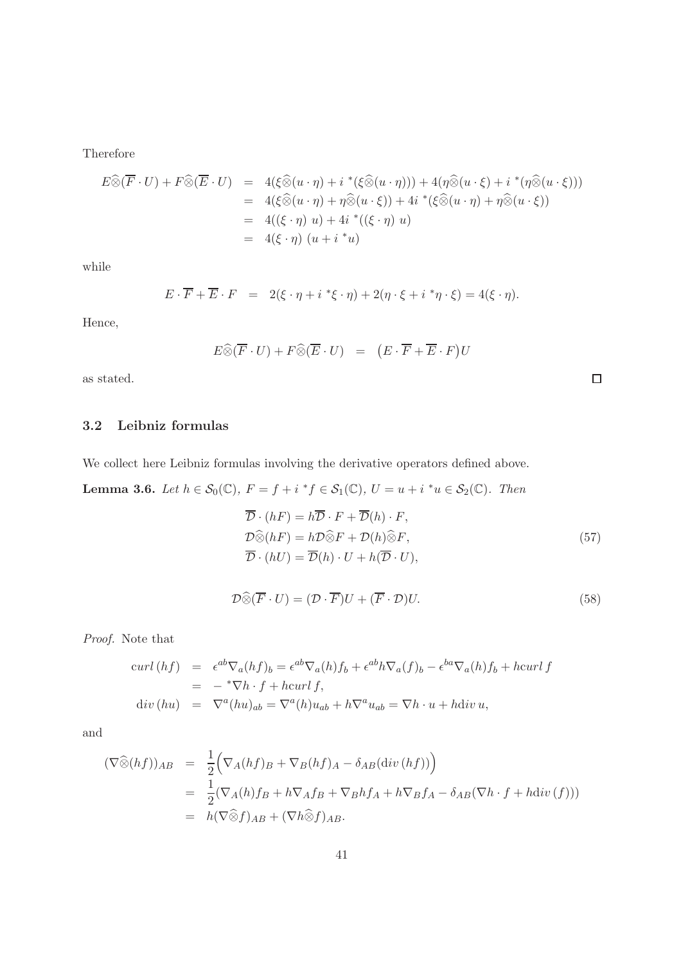Therefore

$$
E \widehat{\otimes} (\overline{F} \cdot U) + F \widehat{\otimes} (\overline{E} \cdot U) = 4(\xi \widehat{\otimes} (u \cdot \eta) + i^* (\xi \widehat{\otimes} (u \cdot \eta))) + 4(\eta \widehat{\otimes} (u \cdot \xi) + i^* (\eta \widehat{\otimes} (u \cdot \xi)))
$$
  
\n
$$
= 4(\xi \widehat{\otimes} (u \cdot \eta) + \eta \widehat{\otimes} (u \cdot \xi)) + 4i^* (\xi \widehat{\otimes} (u \cdot \eta) + \eta \widehat{\otimes} (u \cdot \xi))
$$
  
\n
$$
= 4((\xi \cdot \eta) u) + 4i^* ((\xi \cdot \eta) u)
$$
  
\n
$$
= 4(\xi \cdot \eta) (u + i^* u)
$$

while

$$
E \cdot \overline{F} + \overline{E} \cdot F = 2(\xi \cdot \eta + i \cdot \xi \cdot \eta) + 2(\eta \cdot \xi + i \cdot \eta \cdot \xi) = 4(\xi \cdot \eta).
$$

Hence,

$$
E \widehat{\otimes} (\overline{F} \cdot U) + F \widehat{\otimes} (\overline{E} \cdot U) = (E \cdot \overline{F} + \overline{E} \cdot F)U
$$

as stated.

## 3.2 Leibniz formulas

We collect here Leibniz formulas involving the derivative operators defined above.

**Lemma 3.6.** Let  $h \in S_0(\mathbb{C})$ ,  $F = f + i * f \in S_1(\mathbb{C})$ ,  $U = u + i * u \in S_2(\mathbb{C})$ . Then

$$
\overline{\mathcal{D}} \cdot (hF) = h\overline{\mathcal{D}} \cdot F + \overline{\mathcal{D}}(h) \cdot F,
$$
  
\n
$$
\mathcal{D}\widehat{\otimes}(hF) = h\mathcal{D}\widehat{\otimes}F + \mathcal{D}(h)\widehat{\otimes}F,
$$
  
\n
$$
\overline{\mathcal{D}} \cdot (hU) = \overline{\mathcal{D}}(h) \cdot U + h(\overline{\mathcal{D}} \cdot U),
$$
\n(57)

 $\Box$ 

$$
\mathcal{D}\widehat{\otimes}(\overline{F}\cdot U)=(\mathcal{D}\cdot\overline{F})U+(\overline{F}\cdot\mathcal{D})U.
$$
\n(58)

Proof. Note that

$$
\begin{array}{rcl}\n\text{curl}\,(hf) & = & \epsilon^{ab}\nabla_a(hf)_b = \epsilon^{ab}\nabla_a(h)f_b + \epsilon^{ab}h\nabla_a(f)_b - \epsilon^{ba}\nabla_a(h)f_b + \text{hcurl}\,f \\
& = & -\,^*\nabla h \cdot f + \text{hcurl}\,f, \\
\text{div}\,(hu) & = & \nabla^a(hu)_{ab} = \nabla^a(h)u_{ab} + h\nabla^a u_{ab} = \nabla h \cdot u + \text{hdiv}\,u,\n\end{array}
$$

and

$$
(\nabla \widehat{\otimes} (hf))_{AB} = \frac{1}{2} \Big( \nabla_A (hf)_B + \nabla_B (hf)_A - \delta_{AB} (\text{div} (hf)) \Big) = \frac{1}{2} (\nabla_A (h) f_B + h \nabla_A f_B + \nabla_B h f_A + h \nabla_B f_A - \delta_{AB} (\nabla h \cdot f + h \text{div} (f))) = h (\nabla \widehat{\otimes} f)_{AB} + (\nabla h \widehat{\otimes} f)_{AB}.
$$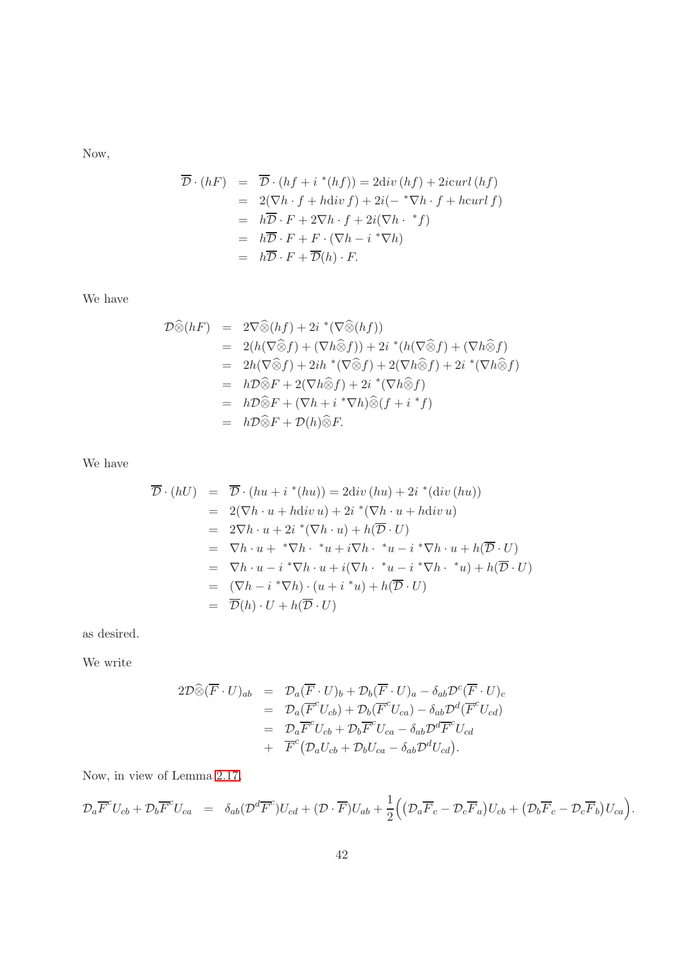Now,

$$
\overline{\mathcal{D}} \cdot (hF) = \overline{\mathcal{D}} \cdot (hf + i * (hf)) = 2 \text{div}(hf) + 2 \text{icurl}(hf)
$$
  
\n
$$
= 2(\nabla h \cdot f + h \text{div} f) + 2i(- * \nabla h \cdot f + h \text{curl} f)
$$
  
\n
$$
= h\overline{\mathcal{D}} \cdot F + 2 \nabla h \cdot f + 2i(\nabla h \cdot * f)
$$
  
\n
$$
= h\overline{\mathcal{D}} \cdot F + F \cdot (\nabla h - i * \nabla h)
$$
  
\n
$$
= h\overline{\mathcal{D}} \cdot F + \overline{\mathcal{D}}(h) \cdot F.
$$

We have

$$
\mathcal{D}\widehat{\otimes}(hF) = 2\nabla\widehat{\otimes}(hf) + 2i^*(\nabla\widehat{\otimes}(hf))
$$
  
\n
$$
= 2(h(\nabla\widehat{\otimes}f) + (\nabla h\widehat{\otimes}f)) + 2i^*(h(\nabla\widehat{\otimes}f) + (\nabla h\widehat{\otimes}f))
$$
  
\n
$$
= 2h(\nabla\widehat{\otimes}f) + 2ih^*(\nabla\widehat{\otimes}f) + 2(\nabla h\widehat{\otimes}f) + 2i^*(\nabla h\widehat{\otimes}f)
$$
  
\n
$$
= h\mathcal{D}\widehat{\otimes}F + 2(\nabla h\widehat{\otimes}f) + 2i^*(\nabla h\widehat{\otimes}f)
$$
  
\n
$$
= h\mathcal{D}\widehat{\otimes}F + (\nabla h + i^*\nabla h)\widehat{\otimes}(f + i^*f)
$$
  
\n
$$
= h\mathcal{D}\widehat{\otimes}F + \mathcal{D}(h)\widehat{\otimes}F.
$$

We have

$$
\overline{\mathcal{D}} \cdot (hU) = \overline{\mathcal{D}} \cdot (hu + i^*(hu)) = 2 \text{div} (hu) + 2i^*(\text{div} (hu))
$$
  
\n
$$
= 2(\nabla h \cdot u + h \text{div} u) + 2i^*(\nabla h \cdot u + h \text{div} u)
$$
  
\n
$$
= 2\nabla h \cdot u + 2i^*(\nabla h \cdot u) + h(\overline{\mathcal{D}} \cdot U)
$$
  
\n
$$
= \nabla h \cdot u + * \nabla h \cdot * u + i \nabla h \cdot * u - i^* \nabla h \cdot u + h(\overline{\mathcal{D}} \cdot U)
$$
  
\n
$$
= \nabla h \cdot u - i^* \nabla h \cdot u + i(\nabla h \cdot * u - i^* \nabla h \cdot * u) + h(\overline{\mathcal{D}} \cdot U)
$$
  
\n
$$
= (\nabla h - i^* \nabla h) \cdot (u + i^* u) + h(\overline{\mathcal{D}} \cdot U)
$$
  
\n
$$
= \overline{\mathcal{D}}(h) \cdot U + h(\overline{\mathcal{D}} \cdot U)
$$

as desired.

We write

$$
2\mathcal{D}\widehat{\otimes}(\overline{F}\cdot U)_{ab} = \mathcal{D}_a(\overline{F}\cdot U)_b + \mathcal{D}_b(\overline{F}\cdot U)_a - \delta_{ab}\mathcal{D}^c(\overline{F}\cdot U)_c
$$
  
\n
$$
= \mathcal{D}_a(\overline{F}^c U_{cb}) + \mathcal{D}_b(\overline{F}^c U_{ca}) - \delta_{ab}\mathcal{D}^d(\overline{F}^c U_{cd})
$$
  
\n
$$
= \mathcal{D}_a\overline{F}^c U_{cb} + \mathcal{D}_b\overline{F}^c U_{ca} - \delta_{ab}\mathcal{D}^d\overline{F}^c U_{cd}
$$
  
\n
$$
+ \overline{F}^c (\mathcal{D}_a U_{cb} + \mathcal{D}_b U_{ca} - \delta_{ab}\mathcal{D}^d U_{cd}).
$$

Now, in view of Lemma [2.17,](#page-18-1)

$$
\mathcal{D}_a \overline{F}^c U_{cb} + \mathcal{D}_b \overline{F}^c U_{ca} = \delta_{ab} (\mathcal{D}^d \overline{F}^c) U_{cd} + (\mathcal{D} \cdot \overline{F}) U_{ab} + \frac{1}{2} ((\mathcal{D}_a \overline{F}_c - \mathcal{D}_c \overline{F}_a) U_{cb} + (\mathcal{D}_b \overline{F}_c - \mathcal{D}_c \overline{F}_b) U_{ca}).
$$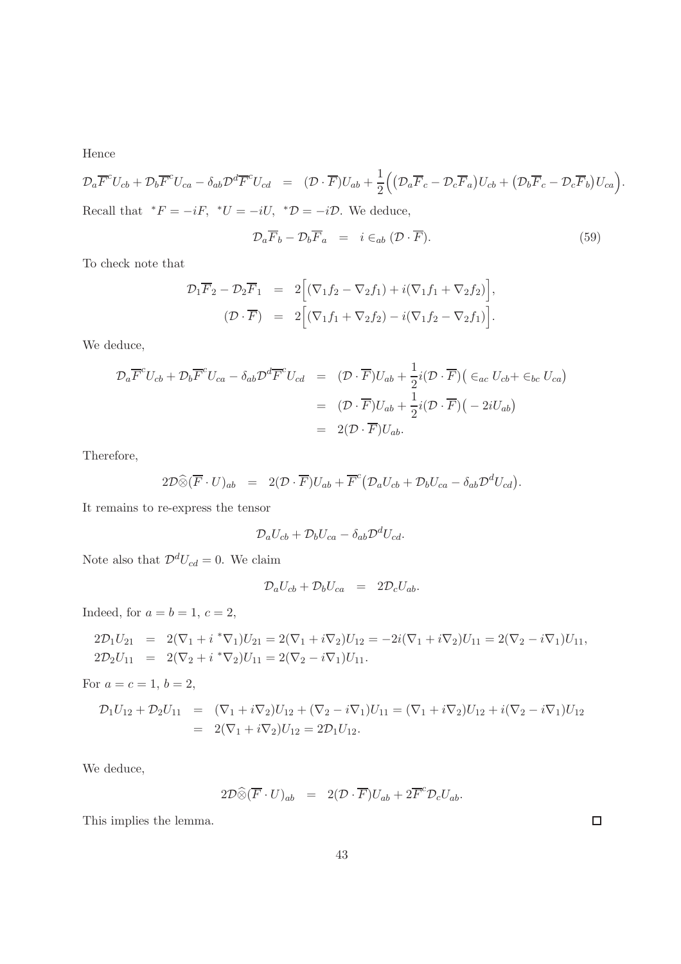Hence

$$
\mathcal{D}_a \overline{F}^c U_{cb} + \mathcal{D}_b \overline{F}^c U_{ca} - \delta_{ab} \mathcal{D}^d \overline{F}^c U_{cd} = (\mathcal{D} \cdot \overline{F}) U_{ab} + \frac{1}{2} \Big( \big( \mathcal{D}_a \overline{F}_c - \mathcal{D}_c \overline{F}_a \big) U_{cb} + \big( \mathcal{D}_b \overline{F}_c - \mathcal{D}_c \overline{F}_b \big) U_{ca} \Big).
$$
  
Recall that  $^*F = -iF$ ,  $^*U = -iU$ ,  $^*\mathcal{D} = -i\mathcal{D}$ . We deduce,

$$
\mathcal{D}_a \overline{F}_b - \mathcal{D}_b \overline{F}_a = i \in_{ab} (\mathcal{D} \cdot \overline{F}). \tag{59}
$$

To check note that

$$
\mathcal{D}_1 \overline{F}_2 - \mathcal{D}_2 \overline{F}_1 = 2 \Big[ (\nabla_1 f_2 - \nabla_2 f_1) + i (\nabla_1 f_1 + \nabla_2 f_2) \Big],
$$
  

$$
(\mathcal{D} \cdot \overline{F}) = 2 \Big[ (\nabla_1 f_1 + \nabla_2 f_2) - i (\nabla_1 f_2 - \nabla_2 f_1) \Big].
$$

We deduce,

$$
\mathcal{D}_a \overline{F}^c U_{cb} + \mathcal{D}_b \overline{F}^c U_{ca} - \delta_{ab} \mathcal{D}^d \overline{F}^c U_{cd} = (\mathcal{D} \cdot \overline{F}) U_{ab} + \frac{1}{2} i (\mathcal{D} \cdot \overline{F}) \left( \epsilon_{ac} U_{cb} + \epsilon_{bc} U_{ca} \right)
$$
  

$$
= (\mathcal{D} \cdot \overline{F}) U_{ab} + \frac{1}{2} i (\mathcal{D} \cdot \overline{F}) \left( -2i U_{ab} \right)
$$
  

$$
= 2(\mathcal{D} \cdot \overline{F}) U_{ab}.
$$

Therefore,

$$
2\mathcal{D}\widehat{\otimes}(\overline{F}\cdot U)_{ab} = 2(\mathcal{D}\cdot\overline{F})U_{ab} + \overline{F}^c(\mathcal{D}_a U_{cb} + \mathcal{D}_b U_{ca} - \delta_{ab}\mathcal{D}^d U_{cd}).
$$

It remains to re-express the tensor

$$
\mathcal{D}_a U_{cb} + \mathcal{D}_b U_{ca} - \delta_{ab} \mathcal{D}^d U_{cd}.
$$

Note also that  $\mathcal{D}^d U_{cd} = 0$ . We claim

$$
\mathcal{D}_a U_{cb} + \mathcal{D}_b U_{ca} = 2 \mathcal{D}_c U_{ab}.
$$

Indeed, for  $a = b = 1, c = 2$ ,

$$
2\mathcal{D}_1 U_{21} = 2(\nabla_1 + i^* \nabla_1) U_{21} = 2(\nabla_1 + i \nabla_2) U_{12} = -2i(\nabla_1 + i \nabla_2) U_{11} = 2(\nabla_2 - i \nabla_1) U_{11},
$$
  
\n
$$
2\mathcal{D}_2 U_{11} = 2(\nabla_2 + i^* \nabla_2) U_{11} = 2(\nabla_2 - i \nabla_1) U_{11}.
$$

For  $a = c = 1, b = 2$ ,

$$
\mathcal{D}_1 U_{12} + \mathcal{D}_2 U_{11} = (\nabla_1 + i \nabla_2) U_{12} + (\nabla_2 - i \nabla_1) U_{11} = (\nabla_1 + i \nabla_2) U_{12} + i (\nabla_2 - i \nabla_1) U_{12}
$$
  
=  $2(\nabla_1 + i \nabla_2) U_{12} = 2 \mathcal{D}_1 U_{12}.$ 

We deduce,

$$
2\mathcal{D}\widehat{\otimes}(\overline{F}\cdot U)_{ab} = 2(\mathcal{D}\cdot\overline{F})U_{ab} + 2\overline{F}^c\mathcal{D}_c U_{ab}.
$$

This implies the lemma.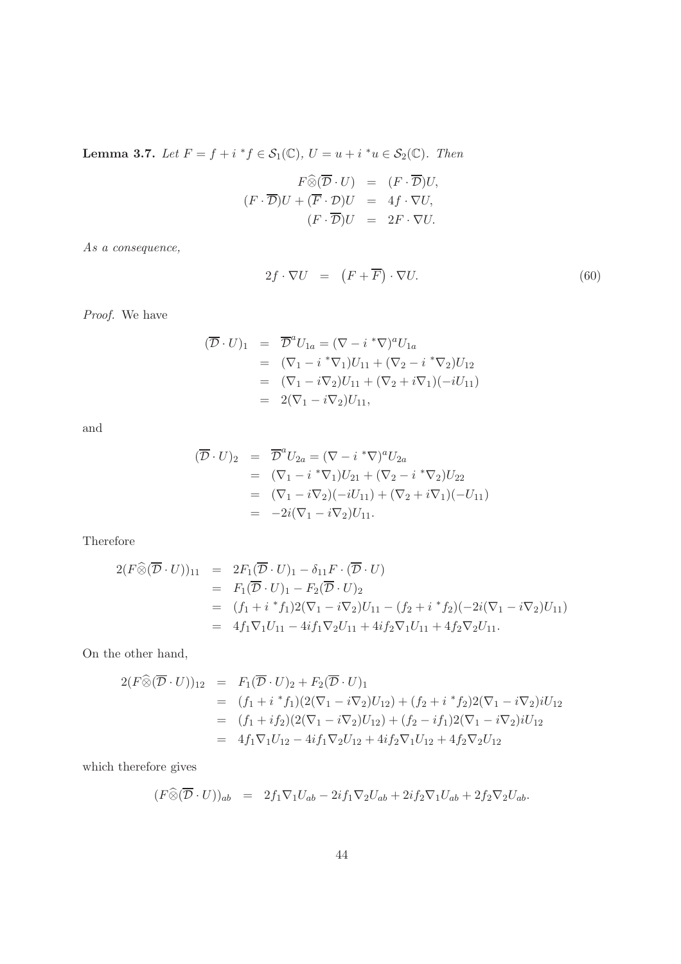**Lemma 3.7.** Let  $F = f + i * f \in S_1(\mathbb{C}), U = u + i * u \in S_2(\mathbb{C}).$  Then

$$
F \widehat{\otimes} (\overline{\mathcal{D}} \cdot U) = (F \cdot \overline{\mathcal{D}})U,
$$
  

$$
(F \cdot \overline{\mathcal{D}})U + (\overline{F} \cdot \mathcal{D})U = 4f \cdot \nabla U,
$$
  

$$
(F \cdot \overline{\mathcal{D}})U = 2F \cdot \nabla U.
$$

As a consequence,

$$
2f \cdot \nabla U = (F + \overline{F}) \cdot \nabla U. \tag{60}
$$

Proof. We have

$$
(\overline{\mathcal{D}} \cdot U)_1 = \overline{\mathcal{D}}^a U_{1a} = (\nabla - i^* \nabla)^a U_{1a}
$$
  
\n
$$
= (\nabla_1 - i^* \nabla_1) U_{11} + (\nabla_2 - i^* \nabla_2) U_{12}
$$
  
\n
$$
= (\nabla_1 - i \nabla_2) U_{11} + (\nabla_2 + i \nabla_1)(-iU_{11})
$$
  
\n
$$
= 2(\nabla_1 - i \nabla_2) U_{11},
$$

and

$$
(\overline{\mathcal{D}} \cdot U)_2 = \overline{\mathcal{D}}^a U_{2a} = (\nabla - i^* \nabla)^a U_{2a}
$$
  
\n
$$
= (\nabla_1 - i^* \nabla_1) U_{21} + (\nabla_2 - i^* \nabla_2) U_{22}
$$
  
\n
$$
= (\nabla_1 - i \nabla_2)(-iU_{11}) + (\nabla_2 + i \nabla_1)(-U_{11})
$$
  
\n
$$
= -2i(\nabla_1 - i \nabla_2) U_{11}.
$$

Therefore

$$
2(F\widehat{\otimes}(\overline{\mathcal{D}}\cdot U))_{11} = 2F_1(\overline{\mathcal{D}}\cdot U)_1 - \delta_{11}F\cdot(\overline{\mathcal{D}}\cdot U)
$$
  
\n
$$
= F_1(\overline{\mathcal{D}}\cdot U)_1 - F_2(\overline{\mathcal{D}}\cdot U)_2
$$
  
\n
$$
= (f_1 + i * f_1)2(\nabla_1 - i\nabla_2)U_{11} - (f_2 + i * f_2)(-2i(\nabla_1 - i\nabla_2)U_{11})
$$
  
\n
$$
= 4f_1\nabla_1 U_{11} - 4if_1\nabla_2 U_{11} + 4if_2\nabla_1 U_{11} + 4f_2\nabla_2 U_{11}.
$$

On the other hand,

$$
2(F\widehat{\otimes}(\overline{\mathcal{D}}\cdot U))_{12} = F_1(\overline{\mathcal{D}}\cdot U)_2 + F_2(\overline{\mathcal{D}}\cdot U)_1
$$
  
\n
$$
= (f_1 + i * f_1)(2(\nabla_1 - i\nabla_2)U_{12}) + (f_2 + i * f_2)2(\nabla_1 - i\nabla_2)iU_{12}
$$
  
\n
$$
= (f_1 + if_2)(2(\nabla_1 - i\nabla_2)U_{12}) + (f_2 - if_1)2(\nabla_1 - i\nabla_2)iU_{12}
$$
  
\n
$$
= 4f_1\nabla_1U_{12} - 4if_1\nabla_2U_{12} + 4if_2\nabla_1U_{12} + 4f_2\nabla_2U_{12}
$$

which therefore gives

$$
(F\widehat{\otimes}(\overline{\mathcal{D}}\cdot U))_{ab} = 2f_1\nabla_1 U_{ab} - 2if_1\nabla_2 U_{ab} + 2if_2\nabla_1 U_{ab} + 2f_2\nabla_2 U_{ab}.
$$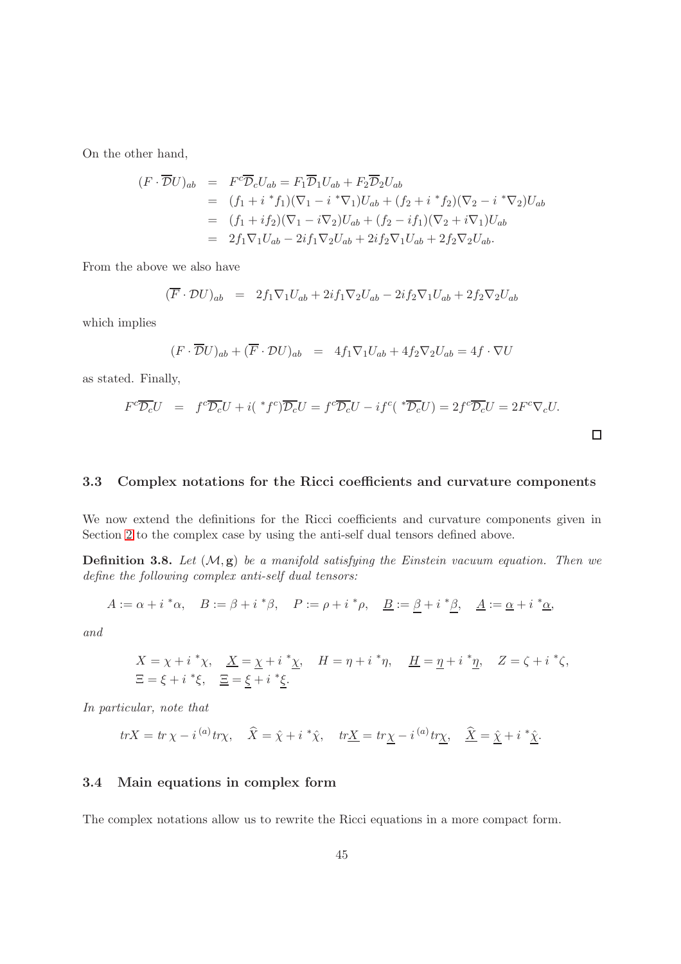On the other hand,

$$
(F \cdot \overline{\mathcal{D}}U)_{ab} = F^c \overline{\mathcal{D}}_c U_{ab} = F_1 \overline{\mathcal{D}}_1 U_{ab} + F_2 \overline{\mathcal{D}}_2 U_{ab}
$$
  
\n
$$
= (f_1 + i * f_1)(\nabla_1 - i * \nabla_1) U_{ab} + (f_2 + i * f_2)(\nabla_2 - i * \nabla_2) U_{ab}
$$
  
\n
$$
= (f_1 + if_2)(\nabla_1 - i \nabla_2) U_{ab} + (f_2 - if_1)(\nabla_2 + i \nabla_1) U_{ab}
$$
  
\n
$$
= 2f_1 \nabla_1 U_{ab} - 2if_1 \nabla_2 U_{ab} + 2if_2 \nabla_1 U_{ab} + 2f_2 \nabla_2 U_{ab}.
$$

From the above we also have

$$
(\overline{F} \cdot \mathcal{D}U)_{ab} = 2f_1 \nabla_1 U_{ab} + 2if_1 \nabla_2 U_{ab} - 2if_2 \nabla_1 U_{ab} + 2f_2 \nabla_2 U_{ab}
$$

which implies

$$
(F \cdot \overline{\mathcal{D}}U)_{ab} + (\overline{F} \cdot \mathcal{D}U)_{ab} = 4f_1 \nabla_1 U_{ab} + 4f_2 \nabla_2 U_{ab} = 4f \cdot \nabla U
$$

as stated. Finally,

$$
F^c \overline{\mathcal{D}_c} U = f^c \overline{\mathcal{D}_c} U + i({}^*f^c) \overline{\mathcal{D}_c} U = f^c \overline{\mathcal{D}_c} U - i f^c({}^* \overline{\mathcal{D}_c} U) = 2f^c \overline{\mathcal{D}_c} U = 2F^c \nabla_c U.
$$

#### 3.3 Complex notations for the Ricci coefficients and curvature components

We now extend the definitions for the Ricci coefficients and curvature components given in Section [2](#page-13-0) to the complex case by using the anti-self dual tensors defined above.

**Definition 3.8.** Let  $(M, g)$  be a manifold satisfying the Einstein vacuum equation. Then we define the following complex anti-self dual tensors:

$$
A := \alpha + i \,^* \alpha, \quad B := \beta + i \,^* \beta, \quad P := \rho + i \,^* \rho, \quad \underline{B} := \beta + i \,^* \beta, \quad \underline{A} := \underline{\alpha} + i \,^* \underline{\alpha},
$$

and

$$
X = \chi + i \,^* \chi, \quad \underline{X} = \underline{\chi} + i \,^* \underline{\chi}, \quad H = \eta + i \,^* \eta, \quad \underline{H} = \underline{\eta} + i \,^* \underline{\eta}, \quad Z = \zeta + i \,^* \zeta,
$$
  

$$
\Xi = \xi + i \,^* \xi, \quad \underline{\Xi} = \underline{\xi} + i \,^* \underline{\xi}.
$$

In particular, note that

$$
trX = tr \chi - i^{(a)} tr \chi, \quad \widehat{X} = \widehat{\chi} + i^* \widehat{\chi}, \quad tr \underline{X} = tr \underline{\chi} - i^{(a)} tr \underline{\chi}, \quad \underline{\widehat{X}} = \underline{\widehat{\chi}} + i^* \underline{\widehat{\chi}}.
$$

#### 3.4 Main equations in complex form

The complex notations allow us to rewrite the Ricci equations in a more compact form.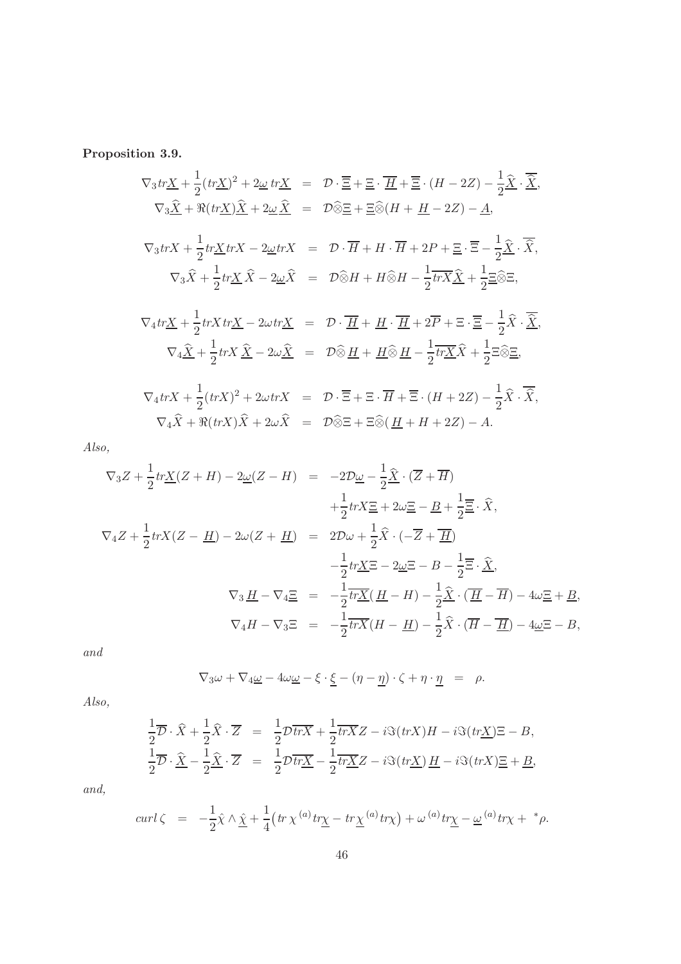Proposition 3.9.

$$
\nabla_3 tr \underline{X} + \frac{1}{2} (tr \underline{X})^2 + 2 \underline{\omega} tr \underline{X} = \mathcal{D} \cdot \overline{\Xi} + \underline{\Xi} \cdot \overline{H} + \overline{\Xi} \cdot (H - 2Z) - \frac{1}{2} \hat{\underline{X}} \cdot \overline{\hat{\underline{X}}},
$$
  
\n
$$
\nabla_3 \underline{\hat{X}} + \Re(tr \underline{X}) \underline{\hat{X}} + 2 \underline{\omega} \underline{\hat{X}} = \mathcal{D} \widehat{\otimes} \underline{E} + \underline{\Xi} \widehat{\otimes} (H + \underline{H} - 2Z) - \underline{A},
$$
  
\n
$$
\nabla_3 tr \underline{X} + \frac{1}{2} tr \underline{X} tr X - 2 \underline{\omega} tr X = \mathcal{D} \cdot \overline{H} + H \cdot \overline{H} + 2P + \underline{\Xi} \cdot \overline{\Xi} - \frac{1}{2} \underline{\hat{X}} \cdot \overline{\hat{X}},
$$
  
\n
$$
\nabla_3 \widehat{X} + \frac{1}{2} tr \underline{X} \widehat{X} - 2 \underline{\omega} \widehat{X} = \mathcal{D} \widehat{\otimes} H + H \widehat{\otimes} H - \frac{1}{2} tr \overline{X} \underline{\hat{X}} + \frac{1}{2} \underline{\Xi} \widehat{\otimes} \Xi,
$$
  
\n
$$
\nabla_4 tr \underline{X} + \frac{1}{2} tr X tr \underline{X} - 2 \omega tr \underline{X} = \mathcal{D} \cdot \overline{H} + \underline{H} \cdot \overline{H} + 2\overline{P} + \Xi \cdot \overline{\Xi} - \frac{1}{2} \widehat{X} \cdot \overline{\hat{X}},
$$
  
\n
$$
\nabla_4 \underline{\hat{X}} + \frac{1}{2} tr X \underline{\hat{X}} - 2 \omega \underline{\hat{X}} = \mathcal{D} \widehat{\otimes} \underline{H} + \underline{H} \widehat{\otimes} \underline{H} - \frac{1}{2} tr \underline{X} \widehat{X} + \frac{1}{2} \Xi \widehat{\otimes} \Xi,
$$
  
\n
$$
\nabla_4 tr X + \frac{1}{2} (tr X)^2 + 2 \omega tr X = \mathcal
$$

Also,

$$
\nabla_3 Z + \frac{1}{2} tr\underline{X}(Z + H) - 2\underline{\omega}(Z - H) = -2\mathcal{D}\underline{\omega} - \frac{1}{2}\widehat{\underline{X}} \cdot (\overline{Z} + \overline{H})
$$
  
\n
$$
+ \frac{1}{2} trX \underline{\Xi} + 2\omega \underline{\Xi} - \underline{B} + \frac{1}{2}\overline{\Xi} \cdot \widehat{X},
$$
  
\n
$$
\nabla_4 Z + \frac{1}{2} trX(Z - \underline{H}) - 2\omega(Z + \underline{H}) = 2\mathcal{D}\omega + \frac{1}{2}\widehat{X} \cdot (-\overline{Z} + \overline{\underline{H}})
$$
  
\n
$$
- \frac{1}{2} tr\underline{X} \Xi - 2\underline{\omega} \Xi - B - \frac{1}{2}\overline{\Xi} \cdot \widehat{\underline{X}},
$$
  
\n
$$
\nabla_3 \underline{H} - \nabla_4 \underline{\Xi} = -\frac{1}{2}\overline{tr}\underline{X}(H - H) - \frac{1}{2}\widehat{X} \cdot (\overline{H} - \overline{H}) - 4\omega \underline{\Xi} + \underline{B},
$$
  
\n
$$
\nabla_4 H - \nabla_3 \Xi = -\frac{1}{2}\overline{trX}(H - \underline{H}) - \frac{1}{2}\widehat{X} \cdot (\overline{H} - \overline{H}) - 4\omega \Xi - B,
$$

and

$$
\nabla_3 \omega + \nabla_4 \underline{\omega} - 4 \omega \underline{\omega} - \xi \cdot \underline{\xi} - (\eta - \underline{\eta}) \cdot \zeta + \eta \cdot \underline{\eta} = \rho.
$$

Also,

$$
\frac{1}{2}\overline{\mathcal{D}}\cdot\widehat{X} + \frac{1}{2}\widehat{X}\cdot\overline{Z} = \frac{1}{2}\mathcal{D}\overline{trX} + \frac{1}{2}\overline{trX}Z - i\Im(trX)H - i\Im(tr\underline{X})\Xi - B,
$$
  

$$
\frac{1}{2}\overline{\mathcal{D}}\cdot\widehat{\underline{X}} - \frac{1}{2}\widehat{\underline{X}}\cdot\overline{Z} = \frac{1}{2}\mathcal{D}\overline{tr\underline{X}} - \frac{1}{2}\overline{tr\underline{X}}Z - i\Im(tr\underline{X})\underline{H} - i\Im(tr\underline{X})\underline{\Xi} + \underline{B},
$$

and,

$$
curl \zeta = -\frac{1}{2}\hat{\chi} \wedge \hat{\underline{\chi}} + \frac{1}{4}\left(tr\,\chi^{(a)}\,tr\underline{\chi} - tr\underline{\chi}^{(a)}\,tr\chi\right) + \omega^{(a)}\,tr\underline{\chi} - \underline{\omega}^{(a)}\,tr\chi + \,^*\rho.
$$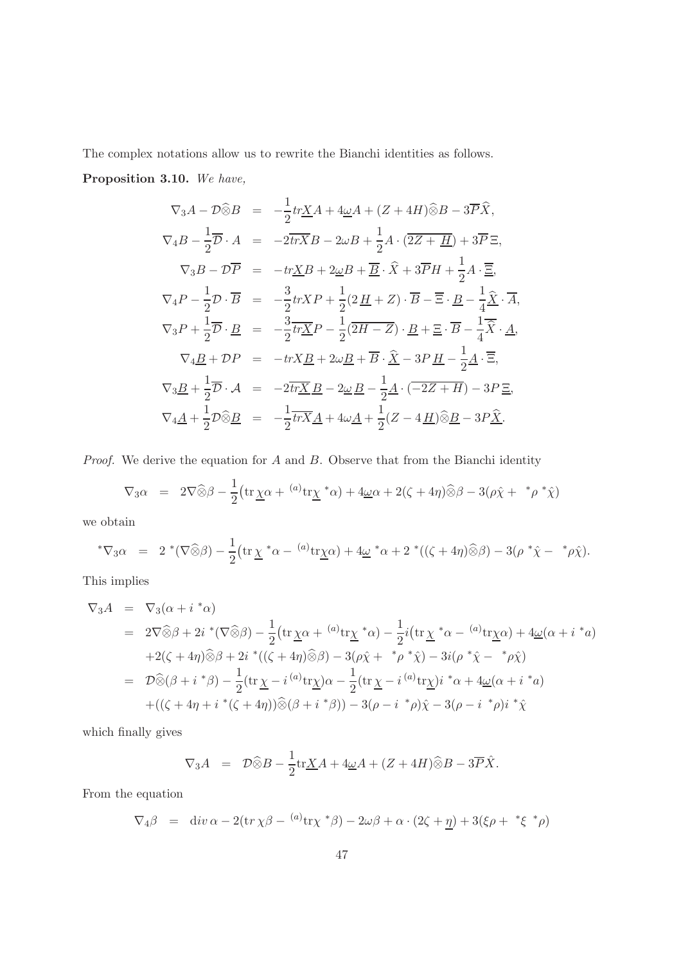The complex notations allow us to rewrite the Bianchi identities as follows. Proposition 3.10. We have,

$$
\nabla_3 A - \mathcal{D}\widehat{\otimes} B = -\frac{1}{2} tr \underline{X} A + 4\underline{\omega} A + (Z + 4H)\widehat{\otimes} B - 3\overline{P}\widehat{X},
$$
  

$$
\nabla_4 B - \frac{1}{2}\overline{\partial} \cdot A = -2\overline{tr}\overline{X}B - 2\omega B + \frac{1}{2}A \cdot (2\overline{Z + \underline{H}}) + 3\overline{P}\Xi,
$$
  

$$
\nabla_3 B - \mathcal{D}\overline{P} = -tr \underline{X}B + 2\underline{\omega}B + \overline{B} \cdot \widehat{X} + 3\overline{P}H + \frac{1}{2}A \cdot \overline{\Xi},
$$
  

$$
\nabla_4 P - \frac{1}{2}\mathcal{D} \cdot \overline{B} = -\frac{3}{2}tr \underline{X}P + \frac{1}{2}(2\underline{H} + \underline{Z}) \cdot \overline{B} - \overline{\Xi} \cdot \underline{B} - \frac{1}{4}\underline{\widehat{X}} \cdot \overline{A},
$$
  

$$
\nabla_3 P + \frac{1}{2}\overline{\partial} \cdot \underline{B} = -\frac{3}{2}tr \underline{X}P - \frac{1}{2}(2\overline{H} - \overline{Z}) \cdot \underline{B} + \underline{\Xi} \cdot \overline{B} - \frac{1}{4}\overline{\widehat{X}} \cdot \underline{A},
$$
  

$$
\nabla_4 \underline{B} + \mathcal{D}P = -tr \underline{X} \underline{B} + 2\omega \underline{B} + \overline{B} \cdot \underline{\widehat{X}} - 3P \underline{H} - \frac{1}{2}\underline{A} \cdot \overline{\Xi},
$$
  

$$
\nabla_3 \underline{B} + \frac{1}{2}\overline{\partial} \cdot \underline{A} = -2\overline{tr}\underline{X} \underline{B} - 2\underline{\omega} \underline{B} - \frac{1}{2}\underline{A} \cdot \overline{(-2\overline{Z} + \overline{H})} - 3P \underline{\Xi},
$$
  

$$
\nabla_4 \underline{A} + \frac{1}{2}\mathcal{D}\widehat{\otimes} \underline{B} = -\frac{1}{2}\overline{tr}\
$$

*Proof.* We derive the equation for  $A$  and  $B$ . Observe that from the Bianchi identity

$$
\nabla_3 \alpha = 2 \nabla \widehat{\otimes} \beta - \frac{1}{2} \big( \operatorname{tr} \underline{\chi} \alpha + \binom{a}{x} \operatorname{tr} \underline{\chi}^* \alpha \big) + 4 \underline{\omega} \alpha + 2(\zeta + 4\eta) \widehat{\otimes} \beta - 3(\rho \widehat{\chi} + \binom{*} {\rho}^* \widehat{\chi})
$$

we obtain

$$
^*\nabla_3\alpha = 2^*(\nabla\widehat{\otimes}\beta) - \frac{1}{2}\left(\operatorname{tr}\underline{\chi}^*\alpha - {^{(a)}}\operatorname{tr}\underline{\chi}\alpha\right) + 4\underline{\omega}^*\alpha + 2^*((\zeta + 4\eta)\widehat{\otimes}\beta) - 3(\rho^*\hat{\chi} - \mathbf{P}\hat{\chi}).
$$

This implies

$$
\nabla_3 A = \nabla_3(\alpha + i^*\alpha)
$$
  
\n
$$
= 2\nabla\widehat{\otimes}\beta + 2i^*(\nabla\widehat{\otimes}\beta) - \frac{1}{2}(\text{tr}\chi\alpha + {^{(a)}\text{tr}\chi^*\alpha}) - \frac{1}{2}i(\text{tr}\chi^*\alpha - {^{(a)}\text{tr}\chi\alpha}) + 4\underline{\omega}(\alpha + i^*\alpha)
$$
  
\n
$$
+ 2(\zeta + 4\eta)\widehat{\otimes}\beta + 2i^*((\zeta + 4\eta)\widehat{\otimes}\beta) - 3(\rho\widehat{\chi} + {^*\rho^*\widehat{\chi}}) - 3i(\rho^*\widehat{\chi} - {^*\rho\widehat{\chi}})
$$
  
\n
$$
= \mathcal{D}\widehat{\otimes}(\beta + i^*\beta) - \frac{1}{2}(\text{tr}\chi - i {^{(a)}\text{tr}\chi})\alpha - \frac{1}{2}(\text{tr}\chi - i {^{(a)}\text{tr}\chi})i^*\alpha + 4\underline{\omega}(\alpha + i^*\alpha)
$$
  
\n
$$
+ ((\zeta + 4\eta + i^*(\zeta + 4\eta))\widehat{\otimes}(\beta + i^*\beta)) - 3(\rho - i^*\rho)\widehat{\chi} - 3(\rho - i^*\rho)i^*\widehat{\chi}
$$

which finally gives

$$
\nabla_3 A = \mathcal{D}\widehat{\otimes}B - \frac{1}{2}\mathrm{tr}\underline{X}A + 4\underline{\omega}A + (Z + 4H)\widehat{\otimes}B - 3\overline{P}\hat{X}.
$$

From the equation

$$
\nabla_4 \beta = \text{div} \, \alpha - 2(\text{tr} \, \chi \beta - \frac{(a)}{\text{tr} \chi} \, \ast \beta) - 2\omega \beta + \alpha \cdot (2\zeta + \underline{\eta}) + 3(\xi \rho + \frac{\kappa}{\zeta} \, \ast \rho)
$$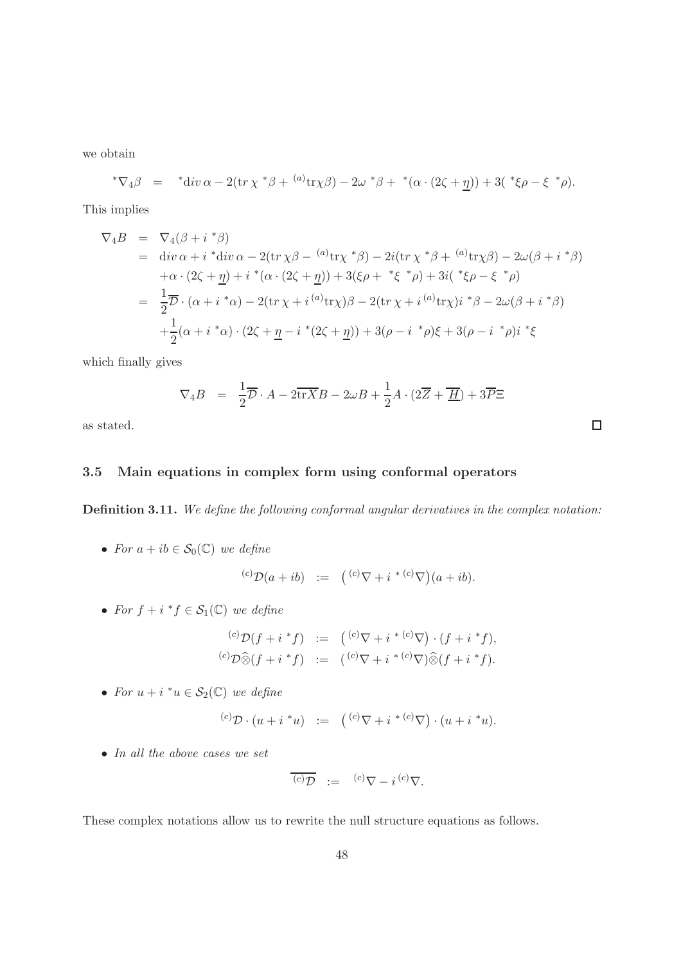we obtain

$$
{}^*\nabla_4 \beta = {}^* \text{div} \, \alpha - 2(\text{tr} \, \chi \, {}^*\beta + {}^{(a)} \text{tr} \chi \beta) - 2\omega {}^*\beta + {}^*(\alpha \cdot (2\zeta + \underline{\eta})) + 3({}^*\xi \rho - \xi {}^*\rho).
$$

This implies

$$
\nabla_{4}B = \nabla_{4}(\beta + i \, {}^{*}\beta)
$$
\n
$$
= \text{div}\,\alpha + i \, {}^{*}\text{div}\,\alpha - 2(\text{tr}\,\chi\beta - \, {}^{(a)}\text{tr}\chi \, {}^{*}\beta) - 2i(\text{tr}\,\chi \, {}^{*}\beta + \, {}^{(a)}\text{tr}\chi\beta) - 2\omega(\beta + i \, {}^{*}\beta)
$$
\n
$$
+ \alpha \cdot (2\zeta + \underline{\eta}) + i \, {}^{*}(\alpha \cdot (2\zeta + \underline{\eta})) + 3(\xi\rho + \, {}^{*}\xi \, {}^{*}\rho) + 3i(\, {}^{*}\xi\rho - \xi \, {}^{*}\rho)
$$
\n
$$
= \frac{1}{2}\overline{\mathcal{D}} \cdot (\alpha + i \, {}^{*}\alpha) - 2(\text{tr}\,\chi + i \, {}^{(a)}\text{tr}\chi)\beta - 2(\text{tr}\,\chi + i \, {}^{(a)}\text{tr}\chi)i \, {}^{*}\beta - 2\omega(\beta + i \, {}^{*}\beta)
$$
\n
$$
+ \frac{1}{2}(\alpha + i \, {}^{*}\alpha) \cdot (2\zeta + \underline{\eta} - i \, {}^{*}(2\zeta + \underline{\eta})) + 3(\rho - i \, {}^{*}\rho)\xi + 3(\rho - i \, {}^{*}\rho)i \, {}^{*}\xi
$$

which finally gives

$$
\nabla_4 B = \frac{1}{2}\overline{\mathcal{D}} \cdot A - 2\overline{\text{tr}X}B - 2\omega B + \frac{1}{2}A \cdot (2\overline{Z} + \overline{\underline{H}}) + 3\overline{P}\Xi
$$

as stated.

## 3.5 Main equations in complex form using conformal operators

Definition 3.11. We define the following conformal angular derivatives in the complex notation:

• For  $a + ib \in \mathcal{S}_0(\mathbb{C})$  we define

$$
{}^{(c)}\mathcal{D}(a+ib) \;\; := \;\; \bigl( {}^{(c)}\nabla + i \; {}^{* \; (c)}\nabla \bigr)(a+ib).
$$

• For  $f + i * f \in S_1(\mathbb{C})$  we define

$$
\begin{array}{rcl}\n^{(c)}\mathcal{D}(f+i*f) & := & \left( \binom{(c)}{\nabla} + i^{*(c)}\nabla \right) \cdot (f+i*f), \\
^{(c)}\mathcal{D}\widehat{\otimes}(f+i*f) & := & \left( \binom{(c)}{\nabla} + i^{*(c)}\nabla \right) \widehat{\otimes}(f+i*f).\n\end{array}
$$

• For  $u + i * u \in S_2(\mathbb{C})$  we define

$$
{}^{(c)}\mathcal{D} \cdot (u + i \, {}^*u) \; := \; \left( {}^{(c)}\nabla + i \, {}^*{}^{(c)}\nabla \right) \cdot (u + i \, {}^*u).
$$

• In all the above cases we set

$$
\overline{(c)}\overline{\mathcal{D}} := (c)\nabla - i (c)\nabla.
$$

These complex notations allow us to rewrite the null structure equations as follows.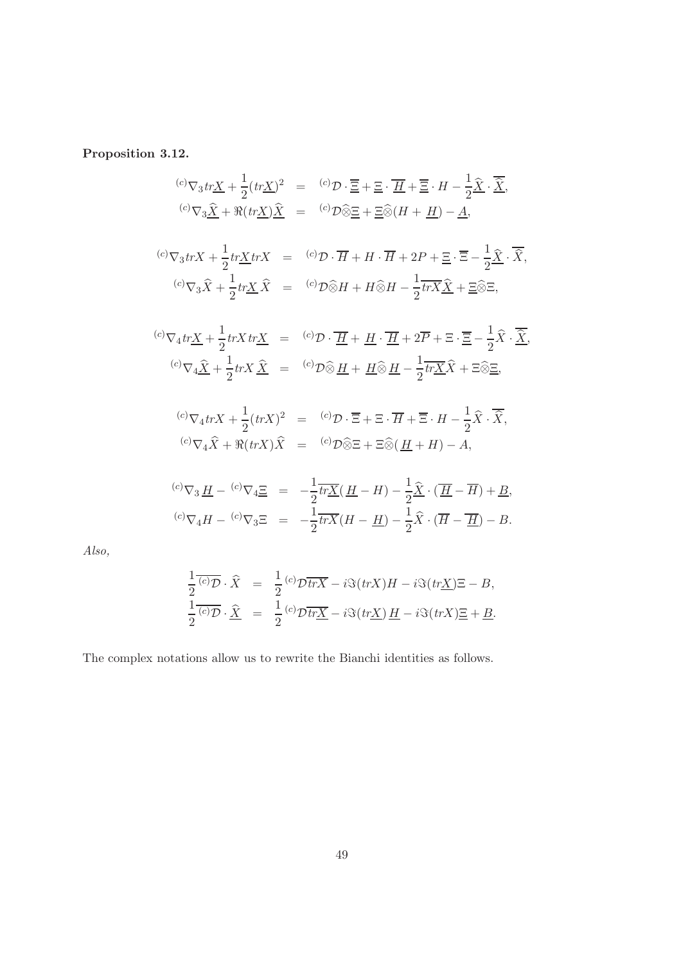Proposition 3.12.

$$
{}^{(c)}\nabla_3 tr \underline{X} + \frac{1}{2} (tr \underline{X})^2 = {}^{(c)}\mathcal{D} \cdot \overline{\underline{E}} + \underline{E} \cdot \overline{H} + \overline{\underline{E}} \cdot H - \frac{1}{2} \hat{X} \cdot \overline{\hat{X}},
$$
  
\n
$$
{}^{(c)}\nabla_3 \hat{X} + \Re(tr \underline{X}) \hat{X} = {}^{(c)}\mathcal{D} \hat{\otimes} \underline{E} + \underline{E} \hat{\otimes} (H + \underline{H}) - \underline{A},
$$
  
\n
$$
{}^{(c)}\nabla_3 tr X + \frac{1}{2} tr \underline{X} tr X = {}^{(c)}\mathcal{D} \cdot \overline{H} + H \cdot \overline{H} + 2P + \underline{E} \cdot \overline{\Xi} - \frac{1}{2} \hat{X} \cdot \overline{\hat{X}},
$$
  
\n
$$
{}^{(c)}\nabla_3 \hat{X} + \frac{1}{2} tr \underline{X} \hat{X} = {}^{(c)}\mathcal{D} \hat{\otimes} H + H \hat{\otimes} H - \frac{1}{2} tr \overline{X} \hat{X} + \underline{E} \hat{\otimes} \Xi,
$$
  
\n
$$
{}^{(c)}\nabla_4 tr \underline{X} + \frac{1}{2} tr X tr \underline{X} = {}^{(c)}\mathcal{D} \cdot \overline{\underline{H}} + \underline{H} \cdot \overline{\underline{H}} + 2\overline{P} + \Xi \cdot \overline{\Xi} - \frac{1}{2} \hat{X} \cdot \overline{\hat{X}},
$$
  
\n
$$
{}^{(c)}\nabla_4 \hat{X} + \frac{1}{2} tr X \hat{X} = {}^{(c)}\mathcal{D} \hat{\otimes} \underline{H} + \underline{H} \hat{\otimes} \underline{H} - \frac{1}{2} tr \underline{X} \hat{X} + \Xi \hat{\otimes} \Xi,
$$
  
\n
$$
{}^{(c)}\nabla_4 tr X + \frac{1}{2} (tr X)^2 = {}^{(c)}\mathcal{D} \cdot \overline{\Xi} + \Xi \cdot \overline{H} + \overline{\Xi} \cdot H - \frac{1}{2} \hat{X} \cdot \overline{\hat{X}},
$$

Also,

$$
\frac{1}{2}\overline{(c)}\overline{\mathcal{D}}\cdot\widehat{X} = \frac{1}{2}\overline{(c)}\overline{\mathcal{D}\overline{trX}} - i\Im(trX)H - i\Im(tr\underline{X})\Xi - B,
$$
  

$$
\frac{1}{2}\overline{(c)}\overline{\mathcal{D}}\cdot\widehat{\underline{X}} = \frac{1}{2}\overline{(c)}\overline{\mathcal{D}\overline{tr\underline{X}}} - i\Im(tr\underline{X})\underline{H} - i\Im(trX)\underline{\Xi} + \underline{B}.
$$

The complex notations allow us to rewrite the Bianchi identities as follows.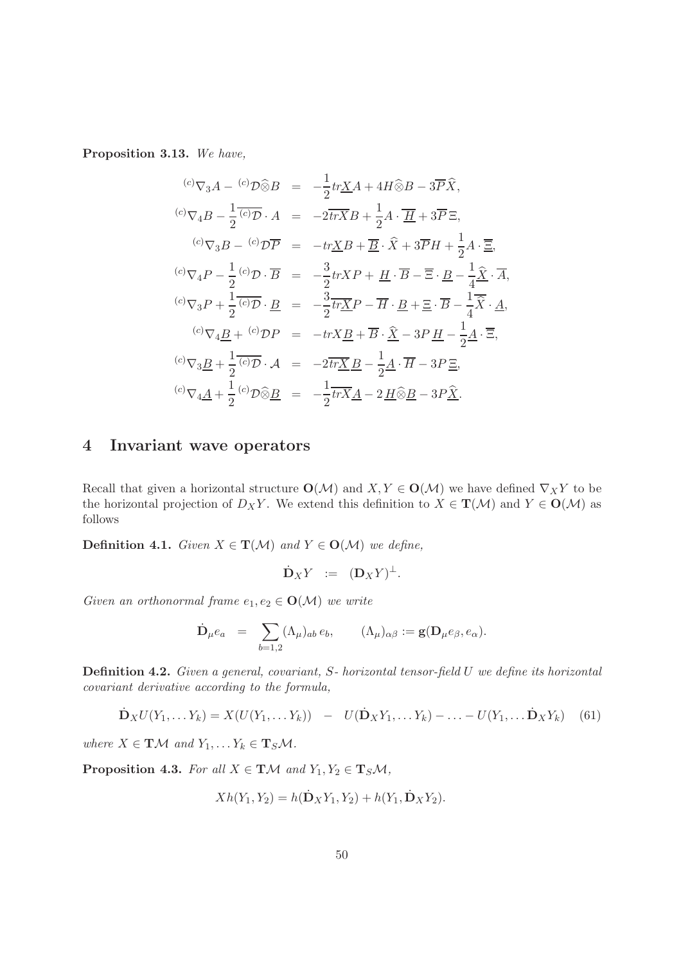Proposition 3.13. We have,

$$
{}^{(c)}\nabla_3 A - {}^{(c)}\mathcal{D}\hat{\otimes} B = -\frac{1}{2} tr \underline{X} A + 4H \hat{\otimes} B - 3\overline{P} \hat{X},
$$
  

$$
{}^{(c)}\nabla_4 B - \frac{1}{2} {}^{(c)}\mathcal{D} \cdot A = -2\overline{tr} \overline{X} B + \frac{1}{2} A \cdot \overline{H} + 3\overline{P} \Xi,
$$
  

$$
{}^{(c)}\nabla_3 B - {}^{(c)}\mathcal{D} \overline{P} = -tr \underline{X} B + \overline{B} \cdot \hat{X} + 3\overline{P} H + \frac{1}{2} A \cdot \overline{\Xi},
$$
  

$$
{}^{(c)}\nabla_4 P - \frac{1}{2} {}^{(c)}\mathcal{D} \cdot \overline{B} = -\frac{3}{2} tr X P + \underline{H} \cdot \overline{B} - \overline{\Xi} \cdot \underline{B} - \frac{1}{4} \hat{\underline{X}} \cdot \overline{A},
$$
  

$$
{}^{(c)}\nabla_3 P + \frac{1}{2} {}^{(c)}\mathcal{D} \cdot \underline{B} = -\frac{3}{2} tr \underline{X} P - \overline{H} \cdot \underline{B} + \overline{\Xi} \cdot \overline{B} - \frac{1}{4} \overline{\hat{X}} \cdot \underline{A},
$$
  

$$
{}^{(c)}\nabla_4 \underline{B} + {}^{(c)}\mathcal{D} P = -tr X \underline{B} + \overline{B} \cdot \hat{\underline{X}} - 3P \underline{H} - \frac{1}{2} \underline{A} \cdot \overline{\Xi},
$$
  

$$
{}^{(c)}\nabla_3 \underline{B} + \frac{1}{2} {}^{(c)}\mathcal{D} \cdot \underline{A} = -2\overline{tr} \underline{X} \underline{B} - \frac{1}{2} \underline{A} \cdot \overline{H} - 3P \underline{\Xi},
$$
  

$$
{}^{(c)}\nabla_4 \underline{A} + \frac{1}{2} {}^{(c)}\mathcal{D} \hat{\otimes} \underline{B} = -\frac{1}{2} tr X \underline{A} - 2 \underline{H} \hat{\otimes} \
$$

# 4 Invariant wave operators

Recall that given a horizontal structure  $O(\mathcal{M})$  and  $X, Y \in O(\mathcal{M})$  we have defined  $\nabla_X Y$  to be the horizontal projection of  $D_X Y$ . We extend this definition to  $X \in \mathbf{T}(\mathcal{M})$  and  $Y \in \mathbf{O}(\mathcal{M})$  as follows

**Definition 4.1.** Given  $X \in T(M)$  and  $Y \in O(M)$  we define,

$$
\dot{\mathbf{D}}_XY \ := \ (\mathbf{D}_XY)^{\perp}.
$$

Given an orthonormal frame  $e_1, e_2 \in \mathbf{O}(\mathcal{M})$  we write

$$
\dot{\mathbf{D}}_\mu e_a\ \ =\ \ \sum_{b=1,2} (\Lambda_\mu)_{ab}\, e_b, \qquad (\Lambda_\mu)_{\alpha\beta}:=\mathbf{g}(\mathbf{D}_\mu e_\beta,e_\alpha).
$$

Definition 4.2. Given a general, covariant, S- horizontal tensor-field U we define its horizontal covariant derivative according to the formula,

$$
\dot{\mathbf{D}}_X U(Y_1, \dots Y_k) = X(U(Y_1, \dots Y_k)) - U(\dot{\mathbf{D}}_X Y_1, \dots Y_k) - \dots - U(Y_1, \dots \dot{\mathbf{D}}_X Y_k)
$$
(61)

where  $X \in \mathbf{T} \mathcal{M}$  and  $Y_1, \ldots Y_k \in \mathbf{T}_S \mathcal{M}$ .

**Proposition 4.3.** For all  $X \in T\mathcal{M}$  and  $Y_1, Y_2 \in T_S\mathcal{M}$ ,

$$
Xh(Y_1, Y_2) = h(\dot{\mathbf{D}}_X Y_1, Y_2) + h(Y_1, \dot{\mathbf{D}}_X Y_2).
$$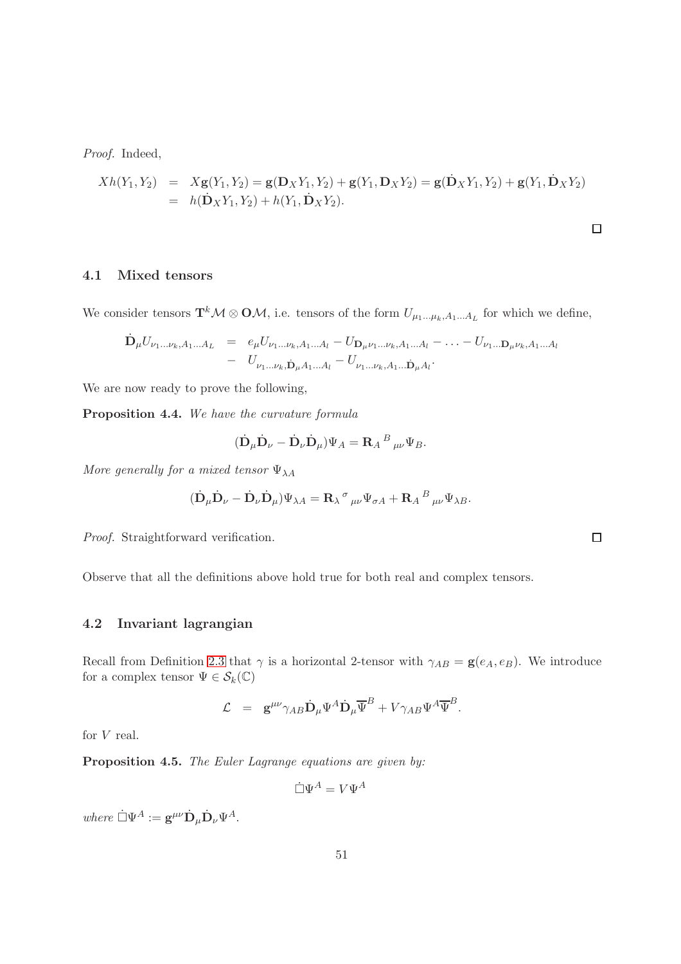Proof. Indeed,

$$
Xh(Y_1, Y_2) = Xg(Y_1, Y_2) = g(D_XY_1, Y_2) + g(Y_1, D_XY_2) = g(D_XY_1, Y_2) + g(Y_1, D_XY_2)
$$
  
=  $h(D_XY_1, Y_2) + h(Y_1, D_XY_2).$ 

$$
\Box
$$

#### 4.1 Mixed tensors

We consider tensors  $\mathbf{T}^k \mathcal{M} \otimes \mathbf{O} \mathcal{M}$ , i.e. tensors of the form  $U_{\mu_1...\mu_k,A_1...A_L}$  for which we define,

$$
\dot{\mathbf{D}}_{\mu} U_{\nu_1...\nu_k, A_1...A_L} = e_{\mu} U_{\nu_1...\nu_k, A_1...A_l} - U_{\mathbf{D}_{\mu}\nu_1...\nu_k, A_1...A_l} - \dots - U_{\nu_1...\mathbf{D}_{\mu}\nu_k, A_1...A_l} \n- U_{\nu_1...\nu_k, \dot{\mathbf{D}}_{\mu}A_1...A_l} - U_{\nu_1...\nu_k, A_1...\dot{\mathbf{D}}_{\mu}A_l}.
$$

We are now ready to prove the following,

Proposition 4.4. We have the curvature formula

$$
(\dot{\mathbf{D}}_{\mu}\dot{\mathbf{D}}_{\nu} - \dot{\mathbf{D}}_{\nu}\dot{\mathbf{D}}_{\mu})\Psi_{A} = \mathbf{R}_{A}{}^{B}{}_{\mu\nu}\Psi_{B}.
$$

More generally for a mixed tensor  $\Psi_{\lambda A}$ 

$$
(\dot{\mathbf{D}}_{\mu}\dot{\mathbf{D}}_{\nu} - \dot{\mathbf{D}}_{\nu}\dot{\mathbf{D}}_{\mu})\Psi_{\lambda A} = \mathbf{R}_{\lambda}{}^{\sigma}{}_{\mu\nu}\Psi_{\sigma A} + \mathbf{R}_{A}{}^{B}{}_{\mu\nu}\Psi_{\lambda B}.
$$

Proof. Straightforward verification.

Observe that all the definitions above hold true for both real and complex tensors.

#### 4.2 Invariant lagrangian

Recall from Definition [2.3](#page-13-1) that  $\gamma$  is a horizontal 2-tensor with  $\gamma_{AB} = \mathbf{g}(e_A, e_B)$ . We introduce for a complex tensor  $\Psi\in\mathcal{S}_k(\mathbb{C})$ 

$$
\mathcal{L} = \mathbf{g}^{\mu\nu} \gamma_{AB} \dot{\mathbf{D}}_{\mu} \Psi^A \dot{\mathbf{D}}_{\mu} \overline{\Psi}^B + V \gamma_{AB} \Psi^A \overline{\Psi}^B.
$$

for V real.

Proposition 4.5. The Euler Lagrange equations are given by:

 $\dot{\Box}\Psi^A = V\Psi^A$ 

where  $\dot{\Box}\Psi^A := \mathbf{g}^{\mu\nu} \dot{\mathbf{D}}_{\mu} \dot{\mathbf{D}}_{\nu} \Psi^A.$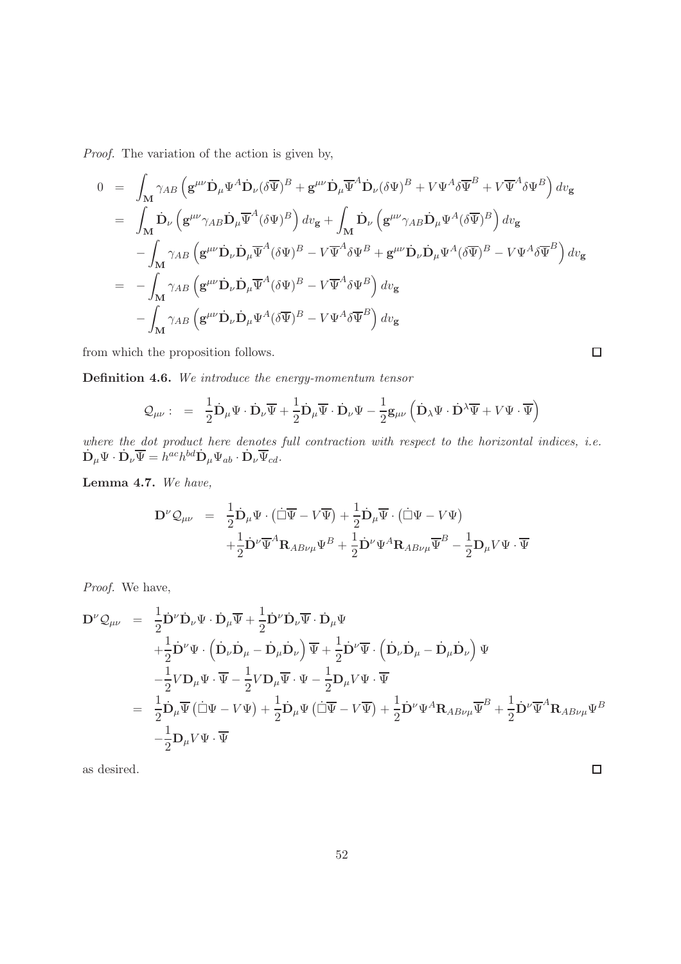Proof. The variation of the action is given by,

$$
0 = \int_{\mathbf{M}} \gamma_{AB} \left( \mathbf{g}^{\mu\nu} \dot{\mathbf{D}}_{\mu} \Psi^{A} \dot{\mathbf{D}}_{\nu} (\delta \overline{\Psi})^{B} + \mathbf{g}^{\mu\nu} \dot{\mathbf{D}}_{\mu} \overline{\Psi}^{A} \dot{\mathbf{D}}_{\nu} (\delta \Psi)^{B} + V \Psi^{A} \delta \overline{\Psi}^{B} + V \overline{\Psi}^{A} \delta \Psi^{B} \right) dv_{\mathbf{g}}
$$
  
\n
$$
= \int_{\mathbf{M}} \dot{\mathbf{D}}_{\nu} \left( \mathbf{g}^{\mu\nu} \gamma_{AB} \dot{\mathbf{D}}_{\mu} \overline{\Psi}^{A} (\delta \Psi)^{B} \right) dv_{\mathbf{g}} + \int_{\mathbf{M}} \dot{\mathbf{D}}_{\nu} \left( \mathbf{g}^{\mu\nu} \gamma_{AB} \dot{\mathbf{D}}_{\mu} \Psi^{A} (\delta \overline{\Psi})^{B} \right) dv_{\mathbf{g}}
$$
  
\n
$$
- \int_{\mathbf{M}} \gamma_{AB} \left( \mathbf{g}^{\mu\nu} \dot{\mathbf{D}}_{\nu} \dot{\mathbf{D}}_{\mu} \overline{\Psi}^{A} (\delta \Psi)^{B} - V \overline{\Psi}^{A} \delta \Psi^{B} + \mathbf{g}^{\mu\nu} \dot{\mathbf{D}}_{\nu} \dot{\mathbf{D}}_{\mu} \Psi^{A} (\delta \overline{\Psi})^{B} - V \Psi^{A} \delta \overline{\Psi}^{B} \right) dv_{\mathbf{g}}
$$
  
\n
$$
= - \int_{\mathbf{M}} \gamma_{AB} \left( \mathbf{g}^{\mu\nu} \dot{\mathbf{D}}_{\nu} \dot{\mathbf{D}}_{\mu} \overline{\Psi}^{A} (\delta \Psi)^{B} - V \overline{\Psi}^{A} \delta \Psi^{B} \right) dv_{\mathbf{g}}
$$
  
\n
$$
- \int_{\mathbf{M}} \gamma_{AB} \left( \mathbf{g}^{\mu\nu} \dot{\mathbf{D}}_{\nu} \dot{\mathbf{D}}_{\mu} \Psi^{A} (\delta \overline{\Psi})^{B} - V \Psi^{A} \delta \overline{\Psi}^{B} \right) dv_{\mathbf{g}}
$$

from which the proposition follows.

Definition 4.6. We introduce the energy-momentum tensor

$$
\mathcal{Q}_{\mu\nu}: = \frac{1}{2}\dot{\mathbf{D}}_{\mu}\Psi \cdot \dot{\mathbf{D}}_{\nu}\overline{\Psi} + \frac{1}{2}\dot{\mathbf{D}}_{\mu}\overline{\Psi} \cdot \dot{\mathbf{D}}_{\nu}\Psi - \frac{1}{2}\mathbf{g}_{\mu\nu}\left(\dot{\mathbf{D}}_{\lambda}\Psi \cdot \dot{\mathbf{D}}^{\lambda}\overline{\Psi} + V\Psi \cdot \overline{\Psi}\right)
$$

where the dot product here denotes full contraction with respect to the horizontal indices, i.e.  $\dot{\mathbf{D}}_{\mu}\Psi\cdot\dot{\mathbf{D}}_{\nu}\overline{\Psi}=h^{ac}h^{bd}\dot{\mathbf{D}}_{\mu}\Psi_{ab}\cdot\dot{\mathbf{D}}_{\nu}\overline{\Psi}_{cd}.$ 

Lemma 4.7. We have,

$$
\mathbf{D}^{\nu}\mathcal{Q}_{\mu\nu} = \frac{1}{2}\dot{\mathbf{D}}_{\mu}\Psi \cdot (\dot{\Box}\overline{\Psi} - V\overline{\Psi}) + \frac{1}{2}\dot{\mathbf{D}}_{\mu}\overline{\Psi} \cdot (\dot{\Box}\Psi - V\Psi) \n+ \frac{1}{2}\dot{\mathbf{D}}^{\nu}\overline{\Psi}^{A}\mathbf{R}_{AB\nu\mu}\Psi^{B} + \frac{1}{2}\dot{\mathbf{D}}^{\nu}\Psi^{A}\mathbf{R}_{AB\nu\mu}\overline{\Psi}^{B} - \frac{1}{2}\mathbf{D}_{\mu}V\Psi \cdot \overline{\Psi}
$$

Proof. We have,

$$
\mathbf{D}^{\nu}\mathcal{Q}_{\mu\nu} = \frac{1}{2}\dot{\mathbf{D}}^{\nu}\dot{\mathbf{D}}_{\nu}\Psi \cdot \dot{\mathbf{D}}_{\mu}\overline{\Psi} + \frac{1}{2}\dot{\mathbf{D}}^{\nu}\dot{\mathbf{D}}_{\nu}\overline{\Psi} \cdot \dot{\mathbf{D}}_{\mu}\Psi \n+ \frac{1}{2}\dot{\mathbf{D}}^{\nu}\Psi \cdot (\dot{\mathbf{D}}_{\nu}\dot{\mathbf{D}}_{\mu} - \dot{\mathbf{D}}_{\mu}\dot{\mathbf{D}}_{\nu}) \overline{\Psi} + \frac{1}{2}\dot{\mathbf{D}}^{\nu}\overline{\Psi} \cdot (\dot{\mathbf{D}}_{\nu}\dot{\mathbf{D}}_{\mu} - \dot{\mathbf{D}}_{\mu}\dot{\mathbf{D}}_{\nu}) \Psi \n- \frac{1}{2}V\mathbf{D}_{\mu}\Psi \cdot \overline{\Psi} - \frac{1}{2}V\mathbf{D}_{\mu}\overline{\Psi} \cdot \Psi - \frac{1}{2}\mathbf{D}_{\mu}V\Psi \cdot \overline{\Psi} \n= \frac{1}{2}\dot{\mathbf{D}}_{\mu}\overline{\Psi} (\dot{\mathbf{\Box}}\Psi - V\Psi) + \frac{1}{2}\dot{\mathbf{D}}_{\mu}\Psi (\dot{\mathbf{\Box}}\overline{\Psi} - V\overline{\Psi}) + \frac{1}{2}\dot{\mathbf{D}}^{\nu}\Psi^{A}\mathbf{R}_{AB\nu\mu}\overline{\Psi}^{B} + \frac{1}{2}\dot{\mathbf{D}}^{\nu}\overline{\Psi}^{A}\mathbf{R}_{AB\nu\mu}\Psi^{B} \n- \frac{1}{2}\mathbf{D}_{\mu}V\Psi \cdot \overline{\Psi}
$$

as desired.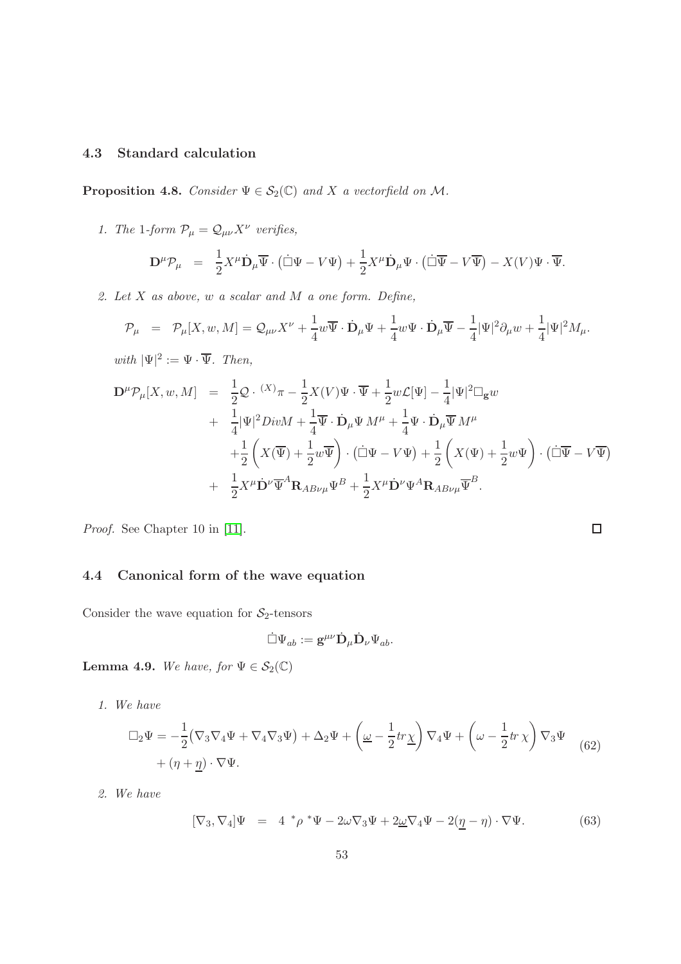## 4.3 Standard calculation

**Proposition 4.8.** Consider  $\Psi \in S_2(\mathbb{C})$  and X a vectorfield on M.

1. The 1-form  $\mathcal{P}_{\mu} = \mathcal{Q}_{\mu\nu} X^{\nu}$  verifies,

$$
\mathbf{D}^{\mu}\mathcal{P}_{\mu} = \frac{1}{2}X^{\mu}\dot{\mathbf{D}}_{\mu}\overline{\Psi}\cdot(\dot{\Box}\Psi - V\Psi) + \frac{1}{2}X^{\mu}\dot{\mathbf{D}}_{\mu}\Psi\cdot(\dot{\Box}\overline{\Psi} - V\overline{\Psi}) - X(V)\Psi\cdot\overline{\Psi}.
$$

2. Let X as above, w a scalar and M a one form. Define,

$$
\mathcal{P}_{\mu} = \mathcal{P}_{\mu}[X, w, M] = \mathcal{Q}_{\mu\nu}X^{\nu} + \frac{1}{4}w\overline{\Psi}\cdot\dot{\mathbf{D}}_{\mu}\Psi + \frac{1}{4}w\Psi\cdot\dot{\mathbf{D}}_{\mu}\overline{\Psi} - \frac{1}{4}|\Psi|^{2}\partial_{\mu}w + \frac{1}{4}|\Psi|^{2}M_{\mu}.
$$

with  $|\Psi|^2 := \Psi \cdot \overline{\Psi}$ . Then,

$$
\mathbf{D}^{\mu}\mathcal{P}_{\mu}[X, w, M] = \frac{1}{2}\mathcal{Q} \cdot {}^{(X)}\pi - \frac{1}{2}X(V)\Psi \cdot \overline{\Psi} + \frac{1}{2}w\mathcal{L}[\Psi] - \frac{1}{4}|\Psi|^{2}\Box_{\mathbf{g}}w \n+ \frac{1}{4}|\Psi|^{2}DivM + \frac{1}{4}\overline{\Psi} \cdot \dot{\mathbf{D}}_{\mu}\Psi M^{\mu} + \frac{1}{4}\Psi \cdot \dot{\mathbf{D}}_{\mu}\overline{\Psi} M^{\mu} \n+ \frac{1}{2}\left(X(\overline{\Psi}) + \frac{1}{2}w\overline{\Psi}\right) \cdot (\dot{\Box}\Psi - V\Psi) + \frac{1}{2}\left(X(\Psi) + \frac{1}{2}w\Psi\right) \cdot (\dot{\Box}\overline{\Psi} - V\overline{\Psi}) \n+ \frac{1}{2}X^{\mu}\dot{\mathbf{D}}^{\nu}\overline{\Psi}^{A}\mathbf{R}_{AB\nu\mu}\Psi^{B} + \frac{1}{2}X^{\mu}\dot{\mathbf{D}}^{\nu}\Psi^{A}\mathbf{R}_{AB\nu\mu}\overline{\Psi}^{B}.
$$

 $\Box$ 

Proof. See Chapter 10 in [\[11\]](#page-137-0).

## 4.4 Canonical form of the wave equation

Consider the wave equation for  $S_2$ -tensors

$$
\dot{\Box}\Psi_{ab}:=\mathbf{g}^{\mu\nu}\dot{\mathbf{D}}_{\mu}\dot{\mathbf{D}}_{\nu}\Psi_{ab}.
$$

Lemma 4.9. We have, for  $\Psi \in \mathcal{S}_2(\mathbb{C})$ 

1. We have

$$
\Box_2 \Psi = -\frac{1}{2} (\nabla_3 \nabla_4 \Psi + \nabla_4 \nabla_3 \Psi) + \Delta_2 \Psi + \left( \underline{\omega} - \frac{1}{2} tr \underline{\chi} \right) \nabla_4 \Psi + \left( \omega - \frac{1}{2} tr \chi \right) \nabla_3 \Psi
$$
  
+  $(\eta + \underline{\eta}) \cdot \nabla \Psi.$  (62)

2. We have

$$
[\nabla_3, \nabla_4] \Psi = 4 * \rho * \Psi - 2\omega \nabla_3 \Psi + 2\omega \nabla_4 \Psi - 2(\underline{\eta} - \eta) \cdot \nabla \Psi.
$$
 (63)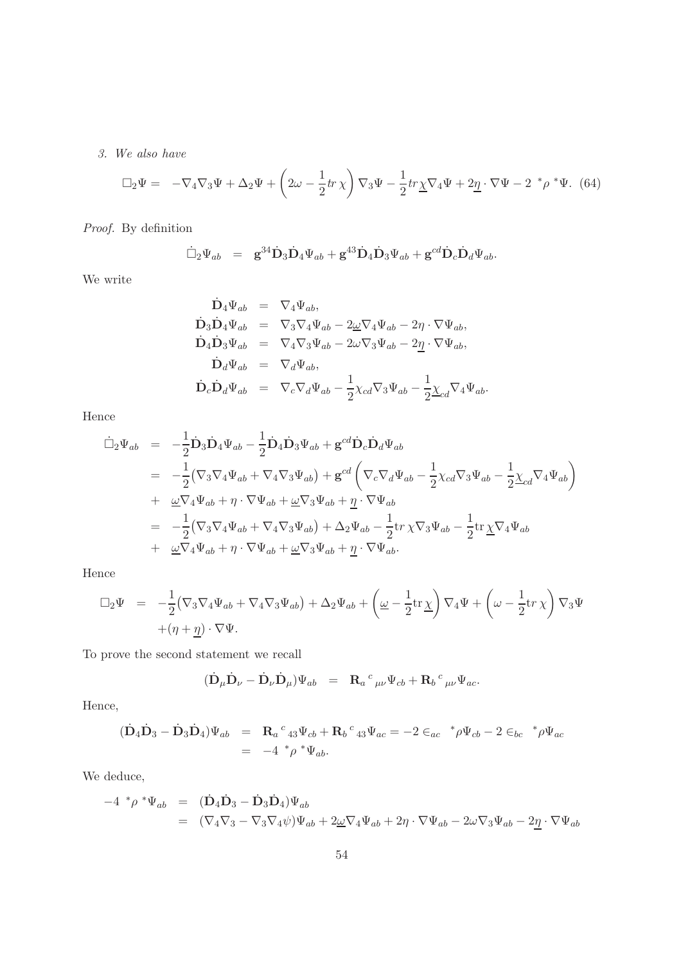3. We also have

<span id="page-53-0"></span>
$$
\Box_2 \Psi = -\nabla_4 \nabla_3 \Psi + \Delta_2 \Psi + \left(2\omega - \frac{1}{2}tr\chi\right) \nabla_3 \Psi - \frac{1}{2}tr\chi \nabla_4 \Psi + 2\underline{\eta} \cdot \nabla \Psi - 2 \,^* \rho \,^* \Psi. \tag{64}
$$

Proof. By definition

$$
\dot{\Box}_2 \Psi_{ab} = \mathbf{g}^{34} \dot{\mathbf{D}}_3 \dot{\mathbf{D}}_4 \Psi_{ab} + \mathbf{g}^{43} \dot{\mathbf{D}}_4 \dot{\mathbf{D}}_3 \Psi_{ab} + \mathbf{g}^{cd} \dot{\mathbf{D}}_c \dot{\mathbf{D}}_d \Psi_{ab}.
$$

We write

$$
\begin{array}{rcl} \dot{\mathbf{D}}_4\Psi_{ab} &=& \nabla_4\Psi_{ab},\\ \dot{\mathbf{D}}_3\dot{\mathbf{D}}_4\Psi_{ab} &=& \nabla_3\nabla_4\Psi_{ab} - 2\underline{\omega}\nabla_4\Psi_{ab} - 2\eta\cdot\nabla\Psi_{ab},\\ \dot{\mathbf{D}}_4\dot{\mathbf{D}}_3\Psi_{ab} &=& \nabla_4\nabla_3\Psi_{ab} - 2\omega\nabla_3\Psi_{ab} - 2\underline{\eta}\cdot\nabla\Psi_{ab},\\ \dot{\mathbf{D}}_d\Psi_{ab} &=& \nabla_d\Psi_{ab},\\ \dot{\mathbf{D}}_c\dot{\mathbf{D}}_d\Psi_{ab} &=& \nabla_c\nabla_d\Psi_{ab} - \frac{1}{2}\chi_{cd}\nabla_3\Psi_{ab} - \frac{1}{2}\underline{\chi}_{cd}\nabla_4\Psi_{ab}. \end{array}
$$

Hence

$$
\begin{split}\n\dot{\Box}_{2}\Psi_{ab} &= -\frac{1}{2}\dot{\mathbf{D}}_{3}\dot{\mathbf{D}}_{4}\Psi_{ab} - \frac{1}{2}\dot{\mathbf{D}}_{4}\dot{\mathbf{D}}_{3}\Psi_{ab} + \mathbf{g}^{cd}\dot{\mathbf{D}}_{c}\dot{\mathbf{D}}_{d}\Psi_{ab} \\
&= -\frac{1}{2}(\nabla_{3}\nabla_{4}\Psi_{ab} + \nabla_{4}\nabla_{3}\Psi_{ab}) + \mathbf{g}^{cd}\left(\nabla_{c}\nabla_{d}\Psi_{ab} - \frac{1}{2}\chi_{cd}\nabla_{3}\Psi_{ab} - \frac{1}{2}\chi_{cd}\nabla_{4}\Psi_{ab}\right) \\
&+ \underline{\omega}\nabla_{4}\Psi_{ab} + \eta \cdot \nabla\Psi_{ab} + \underline{\omega}\nabla_{3}\Psi_{ab} + \underline{\eta} \cdot \nabla\Psi_{ab} \\
&= -\frac{1}{2}(\nabla_{3}\nabla_{4}\Psi_{ab} + \nabla_{4}\nabla_{3}\Psi_{ab}) + \Delta_{2}\Psi_{ab} - \frac{1}{2}\text{tr}\,\chi\nabla_{3}\Psi_{ab} - \frac{1}{2}\text{tr}\,\chi\nabla_{4}\Psi_{ab} \\
&+ \underline{\omega}\nabla_{4}\Psi_{ab} + \eta \cdot \nabla\Psi_{ab} + \underline{\omega}\nabla_{3}\Psi_{ab} + \underline{\eta} \cdot \nabla\Psi_{ab}.\n\end{split}
$$

Hence

$$
\Box_2 \Psi = -\frac{1}{2} (\nabla_3 \nabla_4 \Psi_{ab} + \nabla_4 \nabla_3 \Psi_{ab}) + \Delta_2 \Psi_{ab} + \left( \underline{\omega} - \frac{1}{2} \text{tr} \underline{\chi} \right) \nabla_4 \Psi + \left( \omega - \frac{1}{2} \text{tr} \underline{\chi} \right) \nabla_3 \Psi
$$
  
+  $(\eta + \underline{\eta}) \cdot \nabla \Psi.$ 

To prove the second statement we recall

$$
(\dot{\mathbf{D}}_{\mu}\dot{\mathbf{D}}_{\nu} - \dot{\mathbf{D}}_{\nu}\dot{\mathbf{D}}_{\mu})\Psi_{ab} = \mathbf{R}_{a}{}^{c}{}_{\mu\nu}\Psi_{cb} + \mathbf{R}_{b}{}^{c}{}_{\mu\nu}\Psi_{ac}.
$$

Hence,

$$
(\dot{\mathbf{D}}_4 \dot{\mathbf{D}}_3 - \dot{\mathbf{D}}_3 \dot{\mathbf{D}}_4) \Psi_{ab} = \mathbf{R}_a{}^c{}_{43} \Psi_{cb} + \mathbf{R}_b{}^c{}_{43} \Psi_{ac} = -2 \in_{ac} {}^* \rho \Psi_{cb} - 2 \in_{bc} {}^* \rho \Psi_{ac}
$$
  
= -4 \* \rho \* \Psi\_{ab}.

We deduce,

$$
-4 \, ^*\rho \, ^*\Psi_{ab} = (\dot{\mathbf{D}}_4 \dot{\mathbf{D}}_3 - \dot{\mathbf{D}}_3 \dot{\mathbf{D}}_4)\Psi_{ab}
$$
  
=\n
$$
(\nabla_4 \nabla_3 - \nabla_3 \nabla_4 \psi)\Psi_{ab} + 2\underline{\omega} \nabla_4 \Psi_{ab} + 2\eta \cdot \nabla \Psi_{ab} - 2\omega \nabla_3 \Psi_{ab} - 2\underline{\eta} \cdot \nabla \Psi_{ab}
$$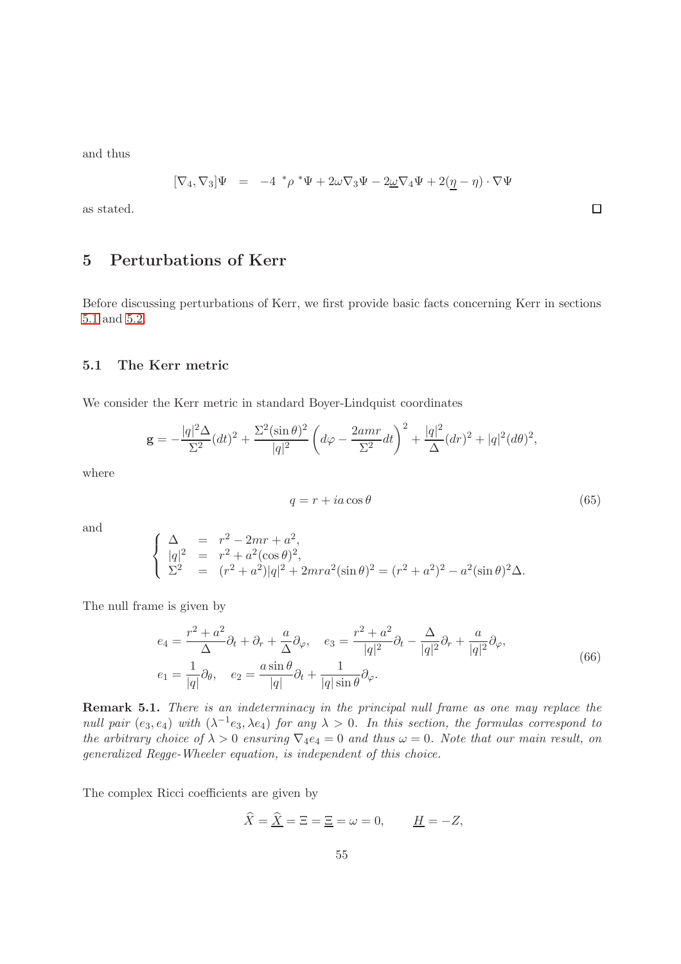and thus

$$
[\nabla_4, \nabla_3] \Psi = -4 \, \sqrt[*]{\rho} \, \sqrt[*]{\Psi} + 2\omega \nabla_3 \Psi - 2\underline{\omega} \nabla_4 \Psi + 2(\underline{\eta} - \eta) \cdot \nabla \Psi
$$

as stated.

# 5 Perturbations of Kerr

<span id="page-54-0"></span>Before discussing perturbations of Kerr, we first provide basic facts concerning Kerr in sections [5.1](#page-54-0) and [5.2.](#page-55-0)

#### 5.1 The Kerr metric

We consider the Kerr metric in standard Boyer-Lindquist coordinates

$$
\mathbf{g} = -\frac{|q|^2 \Delta}{\Sigma^2} (dt)^2 + \frac{\Sigma^2 (\sin \theta)^2}{|q|^2} \left( d\varphi - \frac{2amr}{\Sigma^2} dt \right)^2 + \frac{|q|^2}{\Delta} (dr)^2 + |q|^2 (d\theta)^2,
$$

where

<span id="page-54-1"></span>
$$
q = r + ia \cos \theta \tag{65}
$$

 $\Box$ 

and

$$
\begin{cases}\n\Delta = r^2 - 2mr + a^2, \\
|q|^2 = r^2 + a^2(\cos \theta)^2, \\
\Sigma^2 = (r^2 + a^2)|q|^2 + 2mr a^2(\sin \theta)^2 = (r^2 + a^2)^2 - a^2(\sin \theta)^2 \Delta.\n\end{cases}
$$

The null frame is given by

$$
e_4 = \frac{r^2 + a^2}{\Delta} \partial_t + \partial_r + \frac{a}{\Delta} \partial_\varphi, \quad e_3 = \frac{r^2 + a^2}{|q|^2} \partial_t - \frac{\Delta}{|q|^2} \partial_r + \frac{a}{|q|^2} \partial_\varphi,
$$
  
\n
$$
e_1 = \frac{1}{|q|} \partial_\theta, \quad e_2 = \frac{a \sin \theta}{|q|} \partial_t + \frac{1}{|q| \sin \theta} \partial_\varphi.
$$
\n(66)

Remark 5.1. There is an indeterminacy in the principal null frame as one may replace the null pair  $(e_3, e_4)$  with  $(\lambda^{-1}e_3, \lambda e_4)$  for any  $\lambda > 0$ . In this section, the formulas correspond to the arbitrary choice of  $\lambda > 0$  ensuring  $\nabla_4 e_4 = 0$  and thus  $\omega = 0$ . Note that our main result, on generalized Regge-Wheeler equation, is independent of this choice.

The complex Ricci coefficients are given by

$$
\widehat{X} = \widehat{\underline{X}} = \Xi = \Xi = \omega = 0, \qquad \underline{H} = -Z,
$$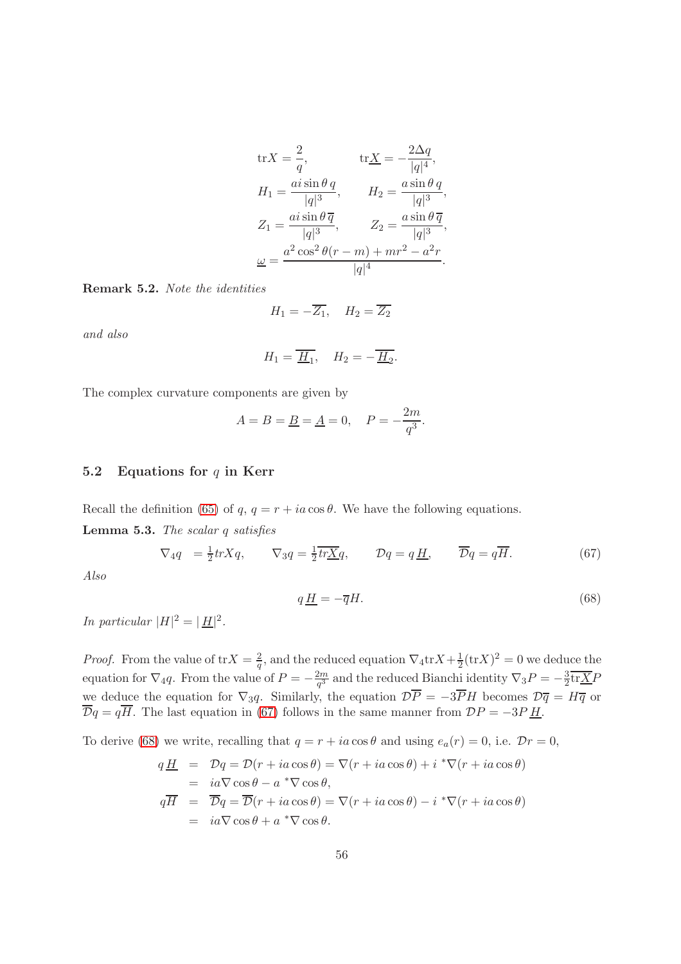$$
\text{tr}X = \frac{2}{q}, \qquad \text{tr}\underline{X} = -\frac{2\Delta q}{|q|^4},
$$
\n
$$
H_1 = \frac{a i \sin \theta q}{|q|^3}, \qquad H_2 = \frac{a \sin \theta q}{|q|^3},
$$
\n
$$
Z_1 = \frac{a i \sin \theta \overline{q}}{|q|^3}, \qquad Z_2 = \frac{a \sin \theta \overline{q}}{|q|^3},
$$
\n
$$
\underline{\omega} = \frac{a^2 \cos^2 \theta (r - m) + mr^2 - a^2 r}{|q|^4}.
$$

Remark 5.2. Note the identities

$$
H_1 = -\overline{Z_1}, \quad H_2 = \overline{Z_2}
$$

and also

$$
H_1 = \overline{\underline{H}_1}, \quad H_2 = -\overline{\underline{H}_2}.
$$

The complex curvature components are given by

$$
A = B = \underline{B} = \underline{A} = 0, \quad P = -\frac{2m}{q^3}.
$$

#### <span id="page-55-0"></span>5.2 Equations for  $q$  in Kerr

Recall the definition [\(65\)](#page-54-1) of q,  $q = r + ia \cos \theta$ . We have the following equations.

Lemma 5.3. The scalar q satisfies

<span id="page-55-1"></span>
$$
\nabla_4 q = \frac{1}{2} tr X q, \qquad \nabla_3 q = \frac{1}{2} \overline{tr X q}, \qquad Dq = q \underline{H}, \qquad \overline{D}q = q \overline{H}.
$$
 (67)

Also

<span id="page-55-2"></span>
$$
q\underline{H} = -\overline{q}H.\tag{68}
$$

In particular  $|H|^2 = |\underline{H}|^2$ .

*Proof.* From the value of  $\text{tr}X = \frac{2}{a}$  $\frac{2}{q}$ , and the reduced equation  $\nabla_4 \text{tr} X + \frac{1}{2}$  $\frac{1}{2}$ (trX)<sup>2</sup> = 0 we deduce the equation for  $\nabla_4 q$ . From the value of  $P = -\frac{2m}{q^3}$  $\frac{2m}{q^3}$  and the reduced Bianchi identity  $\nabla_3 P = -\frac{3}{2}$  $\frac{3}{2}$ tr $\underline{X}F$ we deduce the equation for  $\nabla_3 q$ . Similarly, the equation  $\mathcal{D}\overline{P} = -3\overline{P}H$  becomes  $\mathcal{D}\overline{q} = H\overline{q}$  or  $\overline{\mathcal{D}}q = q\overline{H}$ . The last equation in [\(67\)](#page-55-1) follows in the same manner from  $\mathcal{D}P = -3P \underline{H}$ .

To derive [\(68\)](#page-55-2) we write, recalling that  $q = r + ia \cos \theta$  and using  $e_a(r) = 0$ , i.e.  $\mathcal{D}r = 0$ ,

$$
q\underline{H} = Dq = D(r + ia\cos\theta) = \nabla(r + ia\cos\theta) + i^* \nabla(r + ia\cos\theta)
$$
  
=  $i a \nabla \cos\theta - a^* \nabla \cos\theta$ ,  

$$
q\overline{H} = \overline{D}q = \overline{D}(r + ia\cos\theta) = \nabla(r + ia\cos\theta) - i^* \nabla(r + ia\cos\theta)
$$
  
=  $i a \nabla \cos\theta + a^* \nabla \cos\theta$ .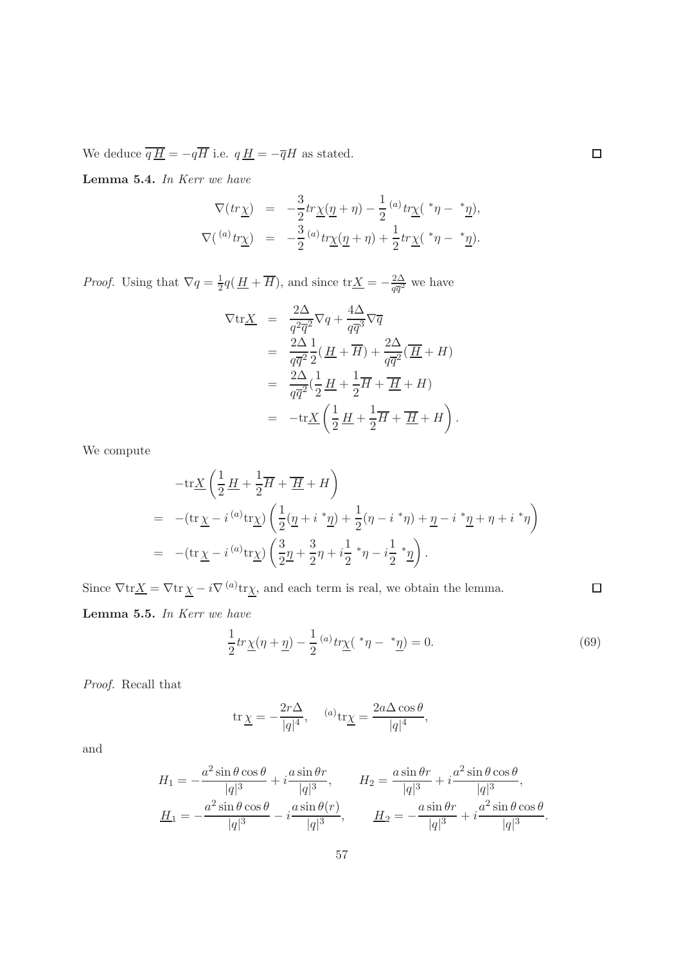We deduce  $\overline{q\underline{H}} = -q\overline{H}$  i.e.  $q\underline{H} = -\overline{q}H$  as stated.

Lemma 5.4. In Kerr we have

$$
\nabla(tr\underline{\chi}) = -\frac{3}{2}tr\underline{\chi}(\underline{\eta} + \eta) - \frac{1}{2} {}^{(a)}tr\underline{\chi}({}^*\eta - {}^*\underline{\eta}),
$$
  

$$
\nabla({}^{(a)}tr\underline{\chi}) = -\frac{3}{2} {}^{(a)}tr\underline{\chi}(\underline{\eta} + \eta) + \frac{1}{2}tr\underline{\chi}({}^*\eta - {}^*\underline{\eta}).
$$

*Proof.* Using that  $\nabla q = \frac{1}{2}$  $\frac{1}{2}q(\underline{H} + \overline{H})$ , and since  $\text{tr}\underline{X} = -\frac{2\Delta}{q\overline{q}^2}$  $rac{2\Delta}{q\overline{q}^2}$  we have

$$
\nabla \text{tr}\underline{X} = \frac{2\Delta}{q^2 \overline{q}^2} \nabla q + \frac{4\Delta}{q \overline{q}^3} \nabla \overline{q}
$$
  
\n
$$
= \frac{2\Delta}{q \overline{q}^2} \frac{1}{2} (\underline{H} + \overline{H}) + \frac{2\Delta}{q \overline{q}^2} (\overline{\underline{H}} + H)
$$
  
\n
$$
= \frac{2\Delta}{q \overline{q}^2} (\frac{1}{2} \underline{H} + \frac{1}{2} \overline{H} + \overline{H} + H)
$$
  
\n
$$
= -\text{tr}\underline{X} (\frac{1}{2} \underline{H} + \frac{1}{2} \overline{H} + \overline{H} + H).
$$

We compute

$$
-{\rm tr}\underline{X}\left(\frac{1}{2}\underline{H}+\frac{1}{2}\overline{H}+\overline{\underline{H}}+H\right)
$$
  
=\ -({\rm tr}\,\underline{\chi}-i^{(a)}{\rm tr}\underline{\chi})\left(\frac{1}{2}(\underline{\eta}+i^\*\underline{\eta})+\frac{1}{2}(\eta-i^\*\eta)+\underline{\eta}-i^\*\underline{\eta}+\eta+i^\*\eta\right)  
=\ -({\rm tr}\,\underline{\chi}-i^{(a)}{\rm tr}\underline{\chi})\left(\frac{3}{2}\underline{\eta}+\frac{3}{2}\eta+i\frac{1}{2}\*\eta-i\frac{1}{2}\*\underline{\eta}\right).

Since  $\nabla \text{tr} \underline{X} = \nabla \text{tr} \underline{\chi} - i \nabla^{(a)} \text{tr} \underline{\chi}$ , and each term is real, we obtain the lemma.

Lemma 5.5. In Kerr we have

$$
\frac{1}{2}tr\underline{\chi}(\eta+\underline{\eta}) - \frac{1}{2} {}^{(a)}tr\underline{\chi}({}^*\eta-{}^*\underline{\eta}) = 0.
$$
\n(69)

Proof. Recall that

$$
\operatorname{tr} \underline{\chi} = -\frac{2r\Delta}{|q|^4}, \quad \text{ (a) } \operatorname{tr} \underline{\chi} = \frac{2a\Delta\cos\theta}{|q|^4},
$$

and

$$
H_1 = -\frac{a^2 \sin \theta \cos \theta}{|q|^3} + i \frac{a \sin \theta r}{|q|^3}, \qquad H_2 = \frac{a \sin \theta r}{|q|^3} + i \frac{a^2 \sin \theta \cos \theta}{|q|^3},
$$
  

$$
\underline{H}_1 = -\frac{a^2 \sin \theta \cos \theta}{|q|^3} - i \frac{a \sin \theta (r)}{|q|^3}, \qquad \underline{H}_2 = -\frac{a \sin \theta r}{|q|^3} + i \frac{a^2 \sin \theta \cos \theta}{|q|^3}.
$$

 $\Box$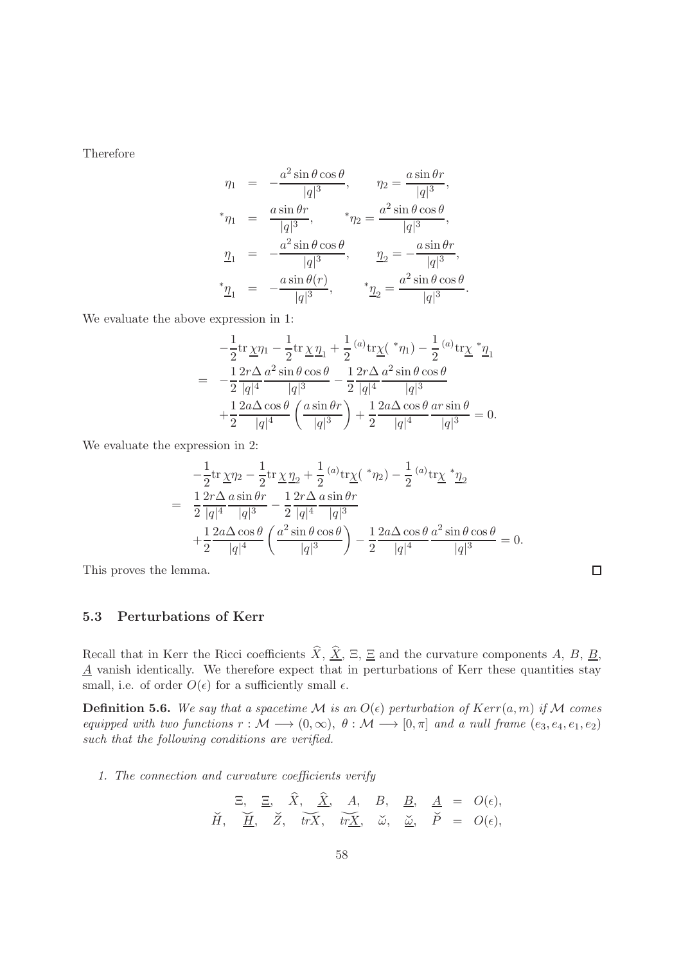Therefore

$$
\eta_1 = -\frac{a^2 \sin \theta \cos \theta}{|q|^3}, \qquad \eta_2 = \frac{a \sin \theta r}{|q|^3},
$$
  
\n
$$
{}^* \eta_1 = \frac{a \sin \theta r}{|q|^3}, \qquad {}^* \eta_2 = \frac{a^2 \sin \theta \cos \theta}{|q|^3},
$$
  
\n
$$
\eta_1 = -\frac{a^2 \sin \theta \cos \theta}{|q|^3}, \qquad \underline{\eta}_2 = -\frac{a \sin \theta r}{|q|^3},
$$
  
\n
$$
{}^* \underline{\eta}_1 = -\frac{a \sin \theta (r)}{|q|^3}, \qquad {}^* \underline{\eta}_2 = \frac{a^2 \sin \theta \cos \theta}{|q|^3}.
$$

We evaluate the above expression in 1:

$$
-\frac{1}{2} \text{tr} \underline{\chi} \eta_1 - \frac{1}{2} \text{tr} \underline{\chi} \underline{\eta}_1 + \frac{1}{2} {^{(a)}} \text{tr} \underline{\chi} ({^*}\eta_1) - \frac{1}{2} {^{(a)}} \text{tr} \underline{\chi} {^*}\underline{\eta}_1
$$
  
= 
$$
-\frac{1}{2} \frac{2r\Delta}{|q|^4} \frac{a^2 \sin \theta \cos \theta}{|q|^3} - \frac{1}{2} \frac{2r\Delta}{|q|^4} \frac{a^2 \sin \theta \cos \theta}{|q|^3}
$$

$$
+\frac{1}{2} \frac{2a\Delta \cos \theta}{|q|^4} \left(\frac{a \sin \theta r}{|q|^3}\right) + \frac{1}{2} \frac{2a\Delta \cos \theta}{|q|^4} \frac{a r \sin \theta}{|q|^3} = 0.
$$

We evaluate the expression in 2:

$$
-\frac{1}{2} \text{tr} \underline{\chi} \eta_2 - \frac{1}{2} \text{tr} \underline{\chi} \underline{\eta}_2 + \frac{1}{2} {}^{(a)} \text{tr} \underline{\chi} ({}^* \eta_2) - \frac{1}{2} {}^{(a)} \text{tr} \underline{\chi} {}^* \underline{\eta}_2
$$
  
= 
$$
\frac{1}{2} \frac{2r \Delta}{|q|^4} \frac{a \sin \theta r}{|q|^3} - \frac{1}{2} \frac{2r \Delta}{|q|^4} \frac{a \sin \theta r}{|q|^3}
$$

$$
+ \frac{1}{2} \frac{2a \Delta \cos \theta}{|q|^4} \left( \frac{a^2 \sin \theta \cos \theta}{|q|^3} \right) - \frac{1}{2} \frac{2a \Delta \cos \theta}{|q|^4} \frac{a^2 \sin \theta \cos \theta}{|q|^3} = 0.
$$

This proves the lemma.

#### 5.3 Perturbations of Kerr

Recall that in Kerr the Ricci coefficients  $\hat{X}, \hat{X}, \Xi, \Xi$  and the curvature components A, B, <u>B</u>,  $\underline{A}$  vanish identically. We therefore expect that in perturbations of Kerr these quantities stay small, i.e. of order  $O(\epsilon)$  for a sufficiently small  $\epsilon$ .

**Definition 5.6.** We say that a spacetime M is an  $O(\epsilon)$  perturbation of  $Kerr(a, m)$  if M comes equipped with two functions  $r : \mathcal{M} \longrightarrow (0, \infty), \theta : \mathcal{M} \longrightarrow [0, \pi]$  and a null frame  $(e_3, e_4, e_1, e_2)$ such that the following conditions are verified.

1. The connection and curvature coefficients verify

$$
\Xi, \quad \Xi, \quad \widehat{X}, \quad \widehat{X}, \quad A, \quad B, \quad \underline{B}, \quad \underline{A} = O(\epsilon), \n\widetilde{H}, \quad \widetilde{\underline{H}}, \quad \widetilde{Z}, \quad \widetilde{trX}, \quad \widetilde{tr}\underline{X}, \quad \widetilde{\omega}, \quad \widetilde{\underline{\omega}}, \quad \widetilde{P} = O(\epsilon),
$$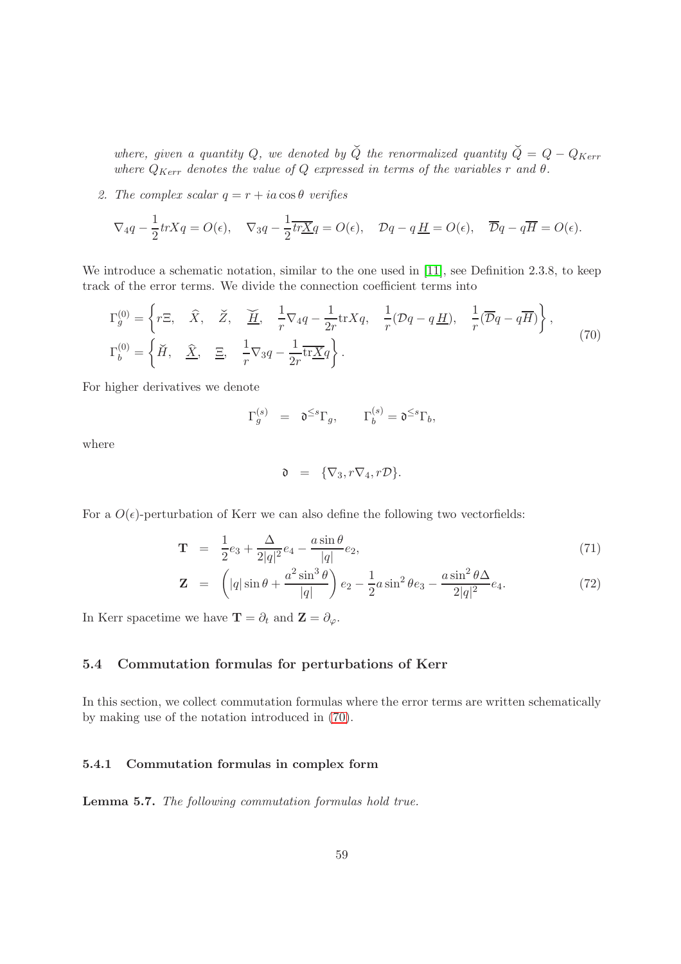where, given a quantity Q, we denoted by  $\check{Q}$  the renormalized quantity  $\check{Q} = Q - Q_{Kerr}$ where  $Q_{Kerr}$  denotes the value of  $Q$  expressed in terms of the variables r and  $\theta$ .

2. The complex scalar  $q = r + ia \cos \theta$  verifies

$$
\nabla_4 q - \frac{1}{2} tr X q = O(\epsilon), \quad \nabla_3 q - \frac{1}{2} \overline{tr X q} = O(\epsilon), \quad \mathcal{D}q - q \underline{H} = O(\epsilon), \quad \overline{\mathcal{D}}q - q \overline{H} = O(\epsilon).
$$

We introduce a schematic notation, similar to the one used in [\[11\]](#page-137-0), see Definition 2.3.8, to keep track of the error terms. We divide the connection coefficient terms into

<span id="page-58-0"></span>
$$
\Gamma_g^{(0)} = \left\{ r\Xi, \quad \widehat{X}, \quad \widecheck{Z}, \quad \underline{\widetilde{H}}, \quad \frac{1}{r} \nabla_4 q - \frac{1}{2r} \text{tr} X q, \quad \frac{1}{r} (\mathcal{D}q - q\underline{H}), \quad \frac{1}{r} (\overline{\mathcal{D}}q - q\overline{H}) \right\},
$$
\n
$$
\Gamma_b^{(0)} = \left\{ \widecheck{H}, \quad \widehat{\underline{X}}, \quad \underline{\Xi}, \quad \frac{1}{r} \nabla_3 q - \frac{1}{2r} \overline{\text{tr} X} q \right\}.
$$
\n(70)

For higher derivatives we denote

$$
\Gamma_g^{(s)} = \mathfrak{d}^{\leq s} \Gamma_g, \qquad \Gamma_b^{(s)} = \mathfrak{d}^{\leq s} \Gamma_b,
$$

where

$$
\mathfrak{d} = {\nabla_3, r\nabla_4, r\mathcal{D}}.
$$

For a  $O(\epsilon)$ -perturbation of Kerr we can also define the following two vectorfields:

$$
\mathbf{T} = \frac{1}{2}e_3 + \frac{\Delta}{2|q|^2}e_4 - \frac{a\sin\theta}{|q|}e_2,
$$
\n(71)

$$
\mathbf{Z} = \left( |q| \sin \theta + \frac{a^2 \sin^3 \theta}{|q|} \right) e_2 - \frac{1}{2} a \sin^2 \theta e_3 - \frac{a \sin^2 \theta \Delta}{2|q|^2} e_4.
$$
 (72)

In Kerr spacetime we have  $\mathbf{T} = \partial_t$  and  $\mathbf{Z} = \partial_{\varphi}$ .

#### 5.4 Commutation formulas for perturbations of Kerr

In this section, we collect commutation formulas where the error terms are written schematically by making use of the notation introduced in [\(70\)](#page-58-0).

#### 5.4.1 Commutation formulas in complex form

Lemma 5.7. The following commutation formulas hold true.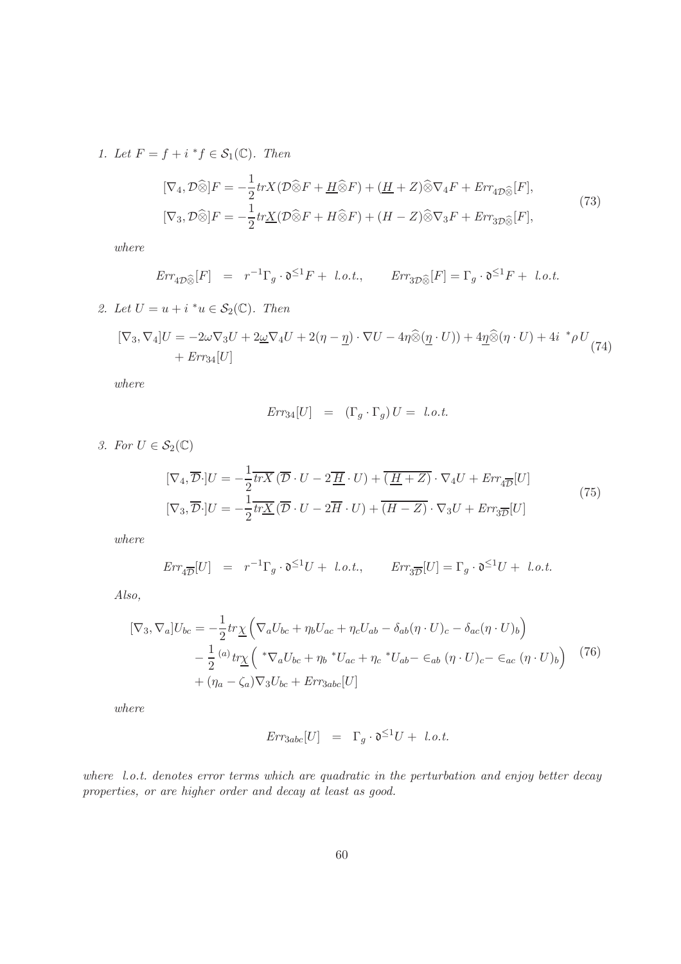1. Let  $F = f + i * f \in S_1(\mathbb{C})$ . Then

<span id="page-59-0"></span>
$$
[\nabla_4, \mathcal{D}\widehat{\otimes}]F = -\frac{1}{2}trX(\mathcal{D}\widehat{\otimes}F + \underline{H}\widehat{\otimes}F) + (\underline{H} + Z)\widehat{\otimes}\nabla_4F + Err_{4\mathcal{D}\widehat{\otimes}}[F],
$$
  
\n
$$
[\nabla_3, \mathcal{D}\widehat{\otimes}]F = -\frac{1}{2}tr\underline{X}(\mathcal{D}\widehat{\otimes}F + H\widehat{\otimes}F) + (H - Z)\widehat{\otimes}\nabla_3F + Err_{3\mathcal{D}\widehat{\otimes}}[F],
$$
\n(73)

where

$$
Err_{4\mathcal{D}\widehat{\otimes}}[F] = r^{-1}\Gamma_g \cdot \mathfrak{d}^{\leq 1}F + l.o.t., \quad Err_{3\mathcal{D}\widehat{\otimes}}[F] = \Gamma_g \cdot \mathfrak{d}^{\leq 1}F + l.o.t.
$$

2. Let 
$$
U = u + i * u \in S_2(\mathbb{C})
$$
. Then

<span id="page-59-1"></span>
$$
[\nabla_3, \nabla_4]U = -2\omega \nabla_3 U + 2\underline{\omega} \nabla_4 U + 2(\eta - \underline{\eta}) \cdot \nabla U - 4\eta \widehat{\otimes} (\underline{\eta} \cdot U)) + 4\underline{\eta} \widehat{\otimes} (\eta \cdot U) + 4i \stackrel{*}{\rightarrow} \rho U_{(74)} + Err_{34}[U]
$$

where

$$
Err_{34}[U] = (\Gamma_g \cdot \Gamma_g) U = l.o.t.
$$

3. For  $U \in \mathcal{S}_2(\mathbb{C})$ 

$$
[\nabla_4, \overline{\mathcal{D}} \cdot] U = -\frac{1}{2} \overline{trX} \left( \overline{\mathcal{D}} \cdot U - 2 \overline{\underline{H}} \cdot U \right) + \overline{\underline{(H+Z)}} \cdot \nabla_4 U + \underline{Err}_{4\overline{\mathcal{D}}} [U]
$$
  
\n
$$
[\nabla_3, \overline{\mathcal{D}} \cdot] U = -\frac{1}{2} \overline{trX} \left( \overline{\mathcal{D}} \cdot U - 2 \overline{H} \cdot U \right) + \overline{\underline{(H-Z)}} \cdot \nabla_3 U + \underline{Err}_{3\overline{\mathcal{D}}} [U]
$$
\n(75)

where

$$
\textit{Err}_{4\overline{\mathcal{D}}}[U] \;\; = \;\; r^{-1}\Gamma_g \cdot \mathfrak{d}^{\leq 1}U + \; \textit{l.o.t.}, \qquad \textit{Err}_{3\overline{\mathcal{D}}}[U] = \Gamma_g \cdot \mathfrak{d}^{\leq 1}U + \; \textit{l.o.t.}
$$

Also,

<span id="page-59-2"></span>
$$
[\nabla_3, \nabla_a]U_{bc} = -\frac{1}{2}tr\underline{\chi}\left(\nabla_a U_{bc} + \eta_b U_{ac} + \eta_c U_{ab} - \delta_{ab}(\eta \cdot U)_c - \delta_{ac}(\eta \cdot U)_b\right) - \frac{1}{2} \frac{(a)}{2} tr\underline{\chi}\left( \sqrt[k]{\nabla_a U_{bc}} + \eta_b \sqrt[k]{U_{ac}} + \eta_c \sqrt[k]{U_{ab}} - \epsilon_{ab} (\eta \cdot U)_c - \epsilon_{ac} (\eta \cdot U)_b \right) \tag{76} + (\eta_a - \zeta_a)\nabla_3 U_{bc} + Err_{3abc}[U]
$$

where

$$
Err_{3abc}[U] = \Gamma_g \cdot \mathfrak{d}^{\leq 1}U + l.o.t.
$$

where l.o.t. denotes error terms which are quadratic in the perturbation and enjoy better decay properties, or are higher order and decay at least as good.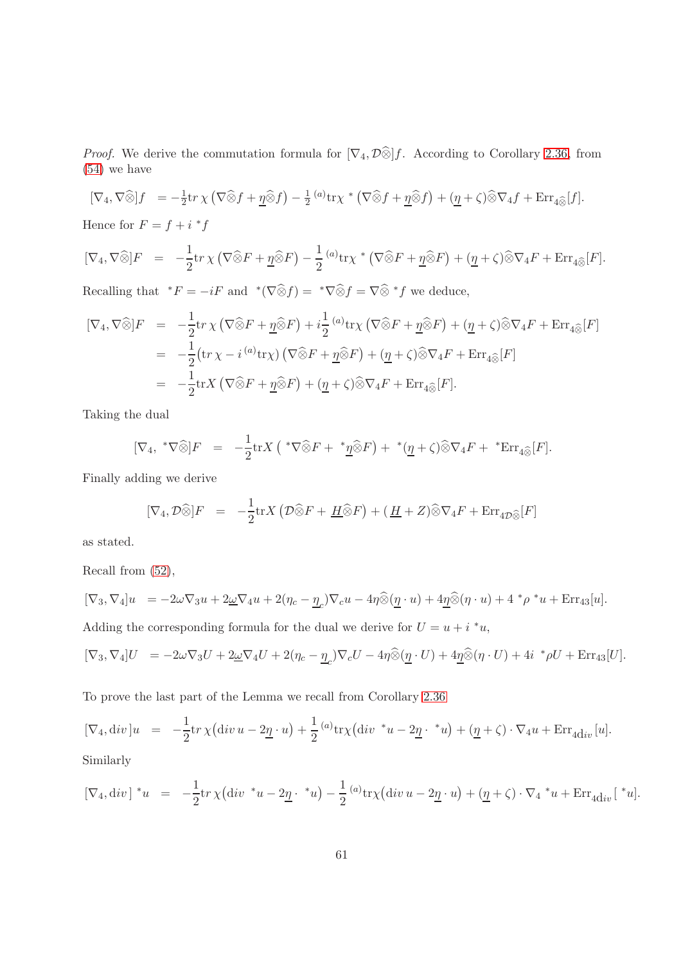*Proof.* We derive the commutation formula for  $[\nabla_4, \mathcal{D}\hat{\otimes}]\hat{f}$ . According to Corollary [2.36,](#page-32-0) from [\(54\)](#page-33-0) we have

$$
[\nabla_4, \nabla \widehat{\otimes}]f = -\frac{1}{2} \text{tr} \,\chi \left( \nabla \widehat{\otimes} f + \underline{\eta} \widehat{\otimes} f \right) - \frac{1}{2} \, {^{(a)}} \text{tr} \chi^* \left( \nabla \widehat{\otimes} f + \underline{\eta} \widehat{\otimes} f \right) + (\underline{\eta} + \zeta) \widehat{\otimes} \nabla_4 f + \text{Err}_{4 \widehat{\otimes}} [f].
$$

Hence for  $F = f + i * f$ 

$$
[\nabla_4, \nabla \widehat{\otimes}]F = -\frac{1}{2} \text{tr} \chi \left( \nabla \widehat{\otimes} F + \underline{\eta} \widehat{\otimes} F \right) - \frac{1}{2} {}^{(a)} \text{tr} \chi^* \left( \nabla \widehat{\otimes} F + \underline{\eta} \widehat{\otimes} F \right) + (\underline{\eta} + \zeta) \widehat{\otimes} \nabla_4 F + \text{Err}_{4 \widehat{\otimes}} [F].
$$

Recalling that  ${}^*F = -iF$  and  ${}^*({\nabla} \widehat{\otimes} f) = {}^*{\nabla} \widehat{\otimes} f = {\nabla} \widehat{\otimes} {}^*f$  we deduce,

$$
[\nabla_4, \nabla \widehat{\otimes}]F = -\frac{1}{2} \text{tr} \chi \left( \nabla \widehat{\otimes} F + \underline{\eta} \widehat{\otimes} F \right) + i\frac{1}{2} \left( \omega \text{tr} \chi \left( \nabla \widehat{\otimes} F + \underline{\eta} \widehat{\otimes} F \right) + (\underline{\eta} + \zeta) \widehat{\otimes} \nabla_4 F + \text{Err}_{4 \widehat{\otimes}} [F] \right)
$$
  
\n
$$
= -\frac{1}{2} (\text{tr} \chi - i \omega \text{tr} \chi) \left( \nabla \widehat{\otimes} F + \underline{\eta} \widehat{\otimes} F \right) + (\underline{\eta} + \zeta) \widehat{\otimes} \nabla_4 F + \text{Err}_{4 \widehat{\otimes}} [F]
$$
  
\n
$$
= -\frac{1}{2} \text{tr} X \left( \nabla \widehat{\otimes} F + \underline{\eta} \widehat{\otimes} F \right) + (\underline{\eta} + \zeta) \widehat{\otimes} \nabla_4 F + \text{Err}_{4 \widehat{\otimes}} [F].
$$

Taking the dual

$$
[\nabla_4, \sqrt[*]{\otimes}]F = -\frac{1}{2}\text{tr}X\left(\sqrt[*]{\otimes}F + \sqrt[*]{\otimes}F\right) + \sqrt[*]{(\underline{\eta} + \zeta)\widehat{\otimes}}\nabla_4F + \sqrt[*]{\text{Err}_{4\widehat{\otimes}}}[F].
$$

Finally adding we derive

$$
[\nabla_4, \mathcal{D}\widehat{\otimes}]F = -\frac{1}{2}\text{tr}X(\mathcal{D}\widehat{\otimes}F + \underline{H}\widehat{\otimes}F) + (\underline{H} + Z)\widehat{\otimes}\nabla_4F + \text{Err}_{4\mathcal{D}\widehat{\otimes}}[F]
$$

as stated.

Recall from [\(52\)](#page-32-1),

$$
[\nabla_3, \nabla_4]u = -2\omega \nabla_3 u + 2\underline{\omega} \nabla_4 u + 2(\eta_c - \underline{\eta}_c) \nabla_c u - 4\eta \widehat{\otimes} (\underline{\eta} \cdot u) + 4\underline{\eta} \widehat{\otimes} (\eta \cdot u) + 4 \cdot \rho \cdot u + \text{Err}_{43}[u].
$$
  
Adding the corresponding formula for the dual we derive for  $U = u + i \cdot u$ ,

$$
[\nabla_3, \nabla_4]U = -2\omega \nabla_3 U + 2\underline{\omega} \nabla_4 U + 2(\eta_c - \underline{\eta}_c) \nabla_c U - 4\eta \widehat{\otimes} (\underline{\eta} \cdot U) + 4\underline{\eta} \widehat{\otimes} (\eta \cdot U) + 4i \, {}^*\rho U + \text{Err}_{43}[U].
$$

To prove the last part of the Lemma we recall from Corollary [2.36](#page-32-0)

$$
[\nabla_4, \operatorname{div} ]u = -\frac{1}{2} \operatorname{tr} \chi (\operatorname{div} u - 2\underline{\eta} \cdot u) + \frac{1}{2} {}^{(a)}\operatorname{tr} \chi (\operatorname{div} {}^*u - 2\underline{\eta} {}^{\cdot} {}^*u) + (\underline{\eta} + \zeta) \cdot \nabla_4 u + \operatorname{Err}_{4\mathrm{div}} [u].
$$

Similarly

$$
[\nabla_4, \operatorname{div}]^{*}u = -\frac{1}{2}\operatorname{tr}\chi(\operatorname{div}^{*}u - 2\underline{\eta} \cdot {}^{*}u) - \frac{1}{2} {}^{(a)}\operatorname{tr}\chi(\operatorname{div} u - 2\underline{\eta} \cdot u) + (\underline{\eta} + \zeta) \cdot \nabla_4 {}^{*}u + \operatorname{Err}_{4\mathrm{div}}[{}^{*}u].
$$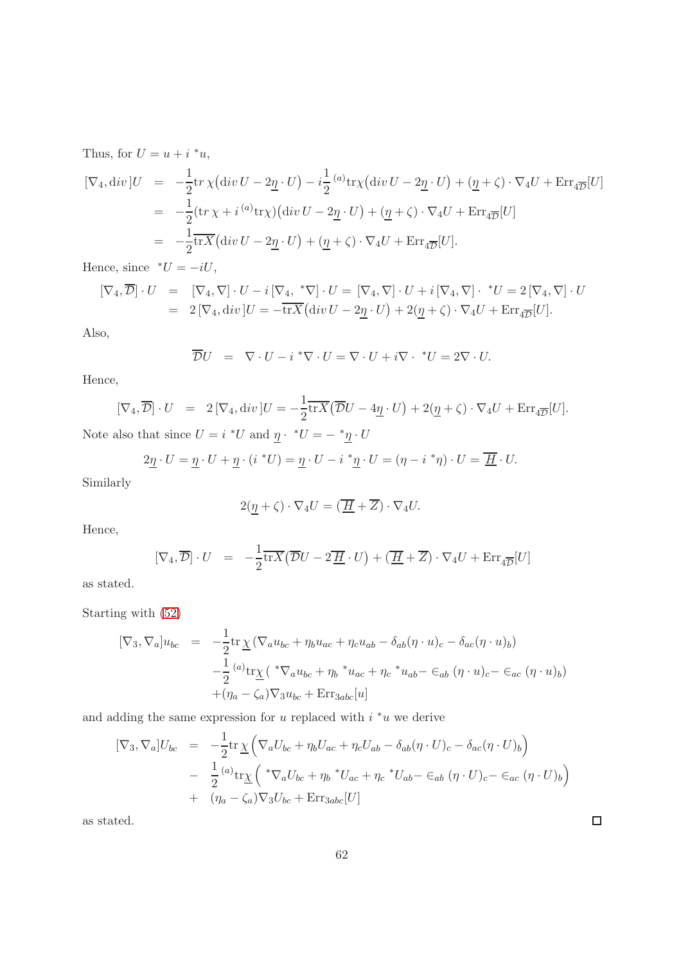Thus, for  $U = u + i * u$ ,

$$
[\nabla_4, \operatorname{div} ]U = -\frac{1}{2} \text{tr} \chi (\operatorname{div} U - 2\underline{\eta} \cdot U) - i \frac{1}{2} {}^{(a)} \text{tr} \chi (\operatorname{div} U - 2\underline{\eta} \cdot U) + (\underline{\eta} + \zeta) \cdot \nabla_4 U + \operatorname{Err}_{4\overline{D}} [U]
$$
  
\n
$$
= -\frac{1}{2} (\text{tr} \chi + i {}^{(a)} \text{tr} \chi) (\operatorname{div} U - 2\underline{\eta} \cdot U) + (\underline{\eta} + \zeta) \cdot \nabla_4 U + \operatorname{Err}_{4\overline{D}} [U]
$$
  
\n
$$
= -\frac{1}{2} \overline{\text{tr} X} (\operatorname{div} U - 2\underline{\eta} \cdot U) + (\underline{\eta} + \zeta) \cdot \nabla_4 U + \operatorname{Err}_{4\overline{D}} [U].
$$

Hence, since  $\sqrt[t]{U} = -iU$ ,

$$
\begin{array}{rcl}\n\left[\nabla_4, \overline{\mathcal{D}}\right] \cdot U & = & \left[\nabla_4, \nabla\right] \cdot U - i\left[\nabla_4, \sqrt{\nabla}\right] \cdot U = \left[\nabla_4, \nabla\right] \cdot U + i\left[\nabla_4, \nabla\right] \cdot \sqrt[U]{U} = 2\left[\nabla_4, \nabla\right] \cdot U \\
& = & 2\left[\nabla_4, \text{div}\right] U = -\overline{\text{tr}X}\left(\text{div}\,U - 2\underline{\eta} \cdot U\right) + 2(\underline{\eta} + \zeta) \cdot \nabla_4 U + \text{Err}_{4\overline{\mathcal{D}}}[U].\n\end{array}
$$

Also,

$$
\overline{\mathcal{D}}U = \nabla \cdot U - i \sqrt[k \nabla \cdot U = \nabla \cdot U + i \nabla \cdot \sqrt[k \nabla] U = 2 \nabla \cdot U.
$$

Hence,

$$
[\nabla_4, \overline{\mathcal{D}}] \cdot U = 2 [\nabla_4, \text{div}] U = -\frac{1}{2} \overline{\text{tr}X} (\overline{\mathcal{D}}U - 4\underline{\eta} \cdot U) + 2(\underline{\eta} + \zeta) \cdot \nabla_4 U + \text{Err}_{4\overline{\mathcal{D}}}[U].
$$

Note also that since  $U = i *U$  and  $\underline{\eta} \cdot *U = - * \underline{\eta} \cdot U$ 

$$
2\underline{\eta} \cdot U = \underline{\eta} \cdot U + \underline{\eta} \cdot (i^*U) = \underline{\eta} \cdot U - i^* \underline{\eta} \cdot U = (\eta - i^* \eta) \cdot U = \underline{\overline{H}} \cdot U.
$$

Similarly

$$
2(\underline{\eta} + \zeta) \cdot \nabla_4 U = (\overline{\underline{H}} + \overline{Z}) \cdot \nabla_4 U.
$$

Hence,

$$
[\nabla_4, \overline{\mathcal{D}}] \cdot U = -\frac{1}{2} \overline{\text{tr}X} (\overline{\mathcal{D}}U - 2\overline{\underline{H}} \cdot U) + (\overline{\underline{H}} + \overline{Z}) \cdot \nabla_4 U + \text{Err}_{4\overline{\mathcal{D}}}[U]
$$

as stated.

Starting with [\(52\)](#page-32-1)

$$
[\nabla_3, \nabla_a]u_{bc} = -\frac{1}{2} \text{tr}\underline{\chi} (\nabla_a u_{bc} + \eta_b u_{ac} + \eta_c u_{ab} - \delta_{ab} (\eta \cdot u)_c - \delta_{ac} (\eta \cdot u)_b)
$$
  

$$
-\frac{1}{2} {^{(a)} \text{tr}\underline{\chi}} ({^* \nabla_a u_{bc} + \eta_b {^* u_{ac} + \eta_c {^* u_{ab} - \epsilon_{ab} (\eta \cdot u)_c - \epsilon_{ac} (\eta \cdot u)_b})}
$$
  

$$
+ (\eta_a - \zeta_a) \nabla_3 u_{bc} + \text{Err}_{3abc}[u]
$$

and adding the same expression for  $u$  replaced with  $i * u$  we derive

$$
[\nabla_3, \nabla_a]U_{bc} = -\frac{1}{2} \text{tr} \underline{\chi} \left( \nabla_a U_{bc} + \eta_b U_{ac} + \eta_c U_{ab} - \delta_{ab} (\eta \cdot U)_c - \delta_{ac} (\eta \cdot U)_b \right)
$$
  

$$
- \frac{1}{2} {^{(a)} \text{tr} \underline{\chi}} \left( * \nabla_a U_{bc} + \eta_b * U_{ac} + \eta_c * U_{ab} - \epsilon_{ab} (\eta \cdot U)_c - \epsilon_{ac} (\eta \cdot U)_b \right)
$$
  

$$
+ (\eta_a - \zeta_a) \nabla_3 U_{bc} + \text{Err}_{3abc} [U]
$$

as stated.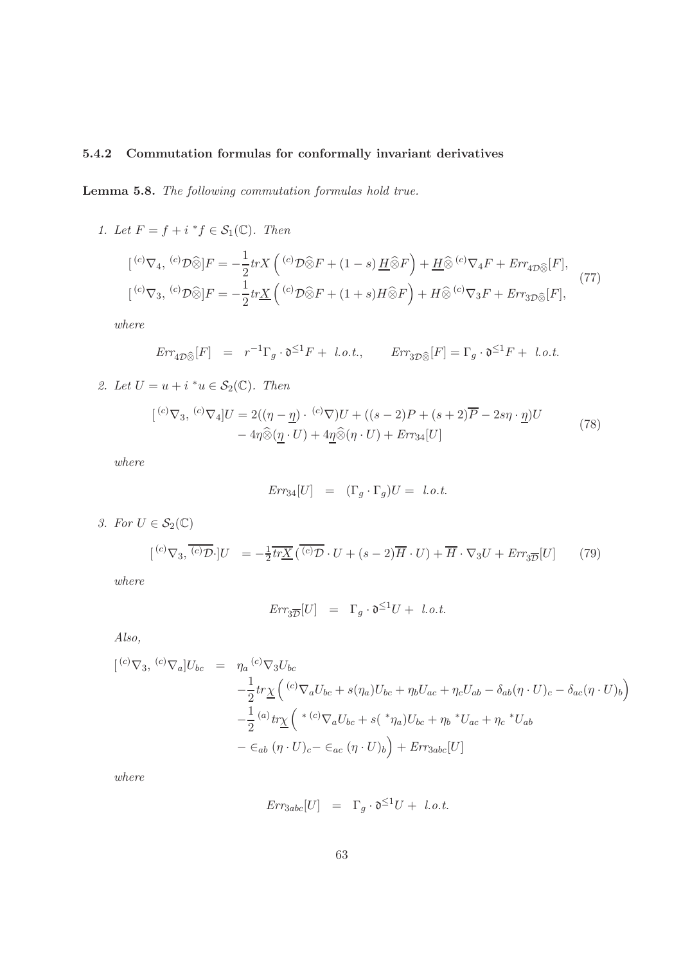## 5.4.2 Commutation formulas for conformally invariant derivatives

Lemma 5.8. The following commutation formulas hold true.

1. Let  $F = f + i * f \in S_1(\mathbb{C})$ . Then

$$
\begin{aligned}\n[{}^{(c)}\nabla_4, {}^{(c)}\mathcal{D}\widehat{\otimes} ]F &= -\frac{1}{2} tr X \left( {}^{(c)}\mathcal{D}\widehat{\otimes} F + (1-s) \underline{H}\widehat{\otimes} F \right) + \underline{H}\widehat{\otimes} {}^{(c)}\nabla_4 F + Err_{4\mathcal{D}\widehat{\otimes}} [F], \\
[{}^{(c)}\nabla_3, {}^{(c)}\mathcal{D}\widehat{\otimes} ]F &= -\frac{1}{2} tr \underline{X} \left( {}^{(c)}\mathcal{D}\widehat{\otimes} F + (1+s)H\widehat{\otimes} F \right) + H\widehat{\otimes} {}^{(c)}\nabla_3 F + Err_{3\mathcal{D}\widehat{\otimes}} [F],\n\end{aligned}\n\tag{77}
$$

where

$$
Err_{4D\widehat{\otimes}}[F] = r^{-1}\Gamma_g \cdot \mathfrak{d}^{\leq 1}F + l.o.t., \quad Err_{3D\widehat{\otimes}}[F] = \Gamma_g \cdot \mathfrak{d}^{\leq 1}F + l.o.t.
$$

2. Let  $U = u + i * u \in S_2(\mathbb{C})$ . Then

$$
[{}^{(c)}\nabla_3, {}^{(c)}\nabla_4]U = 2((\eta - \underline{\eta}) \cdot {}^{(c)}\nabla)U + ((s - 2)P + (s + 2)\overline{P} - 2s\eta \cdot \underline{\eta})U - 4\eta \widehat{\otimes} (\underline{\eta} \cdot U) + 4\underline{\eta} \widehat{\otimes} (\eta \cdot U) + Err_{34}[U]
$$
\n(78)

where

$$
Err_{34}[U] = (\Gamma_g \cdot \Gamma_g)U = l.o.t.
$$

3. For  $U \in \mathcal{S}_2(\mathbb{C})$ 

<span id="page-62-0"></span>
$$
[{}^{(c)}\nabla_3, \overline{{}^{(c)}\mathcal{D}} \cdot]U = -\frac{1}{2}\overline{tr\underline{X}}(\overline{{}^{(c)}\mathcal{D}} \cdot U + (s-2)\overline{H} \cdot U) + \overline{H} \cdot \nabla_3 U + \underline{Err}_{3\overline{D}}[U] \tag{79}
$$

where

$$
Err_{3\overline{D}}[U] = \Gamma_g \cdot \mathfrak{d}^{\leq 1}U + l.o.t.
$$

Also,

$$
\begin{aligned}\n[{}^{(c)}\nabla_3, {}^{(c)}\nabla_a]U_{bc} &= \eta_a \, {}^{(c)}\nabla_3 U_{bc} \\
&\quad -\frac{1}{2} tr \underline{\chi} \left( {}^{(c)}\nabla_a U_{bc} + s(\eta_a) U_{bc} + \eta_b U_{ac} + \eta_c U_{ab} - \delta_{ab} (\eta \cdot U)_c - \delta_{ac} (\eta \cdot U)_b \right) \\
&\quad -\frac{1}{2} \, {}^{(a)}\nabla_3 \underline{\chi} \left( {}^{* (c)}\nabla_a U_{bc} + s \left( {}^{*} \eta_a \right) U_{bc} + \eta_b {}^{*}U_{ac} + \eta_c {}^{*}U_{ab} \right. \\
&\quad - \in_{ab} (\eta \cdot U)_c - \in_{ac} (\eta \cdot U)_b \right) + \text{Err}_{3abc} [U]\n\end{aligned}
$$

where

$$
Err_{3abc}[U] = \Gamma_g \cdot \mathfrak{d}^{\leq 1}U + l.o.t.
$$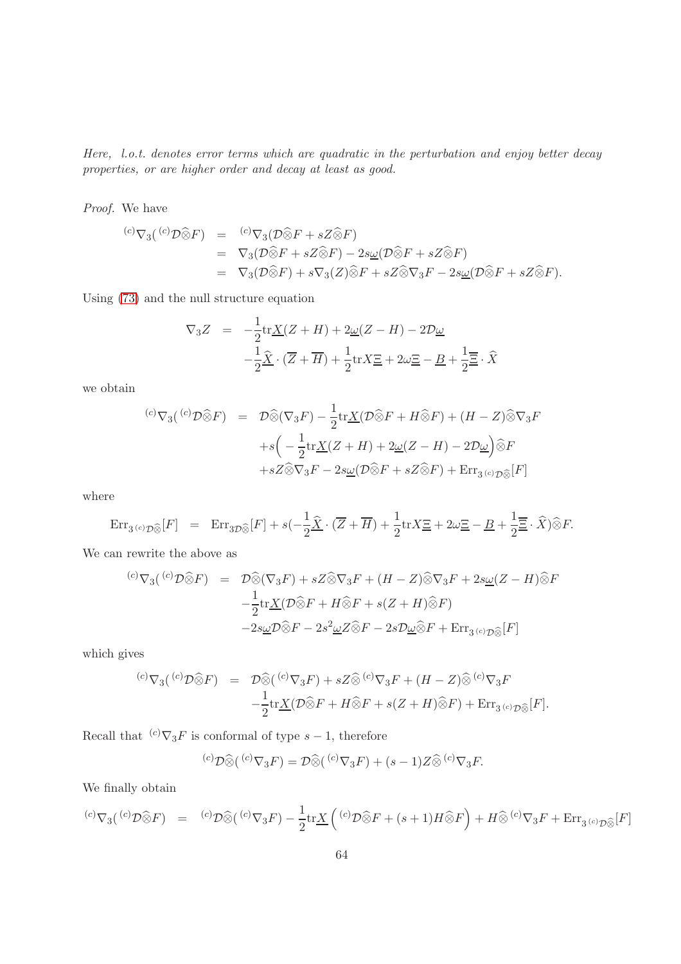Here, l.o.t. denotes error terms which are quadratic in the perturbation and enjoy better decay properties, or are higher order and decay at least as good.

Proof. We have

$$
\begin{array}{rcl}\n^{(c)}\nabla_3(^{(c)}\mathcal{D}\widehat{\otimes}F) & = & {^{(c)}}\nabla_3(\mathcal{D}\widehat{\otimes}F + sZ\widehat{\otimes}F) \\
 & = & \nabla_3(\mathcal{D}\widehat{\otimes}F + sZ\widehat{\otimes}F) - 2s\underline{\omega}(\mathcal{D}\widehat{\otimes}F + sZ\widehat{\otimes}F) \\
 & = & \nabla_3(\mathcal{D}\widehat{\otimes}F) + s\nabla_3(Z)\widehat{\otimes}F + sZ\widehat{\otimes}\nabla_3F - 2s\underline{\omega}(\mathcal{D}\widehat{\otimes}F + sZ\widehat{\otimes}F).\n\end{array}
$$

Using [\(73\)](#page-59-0) and the null structure equation

$$
\nabla_3 Z = -\frac{1}{2} \text{tr}\underline{X}(Z+H) + 2\underline{\omega}(Z-H) - 2\mathcal{D}\underline{\omega}
$$

$$
-\frac{1}{2}\widehat{X}\cdot(\overline{Z}+\overline{H}) + \frac{1}{2}\text{tr}X\Xi + 2\omega\Xi - \underline{B} + \frac{1}{2}\overline{\Xi}\cdot\widehat{X}
$$

we obtain

$$
\begin{array}{rcl}\n^{(c)}\nabla_3(^{(c)}\mathcal{D}\widehat{\otimes}F) &=& \mathcal{D}\widehat{\otimes}(\nabla_3 F) - \frac{1}{2}\text{tr}\underline{X}(\mathcal{D}\widehat{\otimes}F + H\widehat{\otimes}F) + (H - Z)\widehat{\otimes}\nabla_3 F \\
 & &+ s\left(-\frac{1}{2}\text{tr}\underline{X}(Z + H) + 2\underline{\omega}(Z - H) - 2\mathcal{D}\underline{\omega}\right)\widehat{\otimes}F \\
 &+ sZ\widehat{\otimes}\nabla_3 F - 2s\underline{\omega}(\mathcal{D}\widehat{\otimes}F + sZ\widehat{\otimes}F) + \text{Err}_{3^{(c)}\mathcal{D}\widehat{\otimes}}[F]\n\end{array}
$$

where

$$
\text{Err}_{3^{(c)}\mathcal{D}\widehat{\otimes}}[F] = \text{Err}_{3\mathcal{D}\widehat{\otimes}}[F] + s\left(-\frac{1}{2}\widehat{\underline{X}}\cdot(\overline{Z} + \overline{H}) + \frac{1}{2}\text{tr}X\underline{\Xi} + 2\omega\underline{\Xi} - \underline{B} + \frac{1}{2}\overline{\Xi}\cdot\widehat{X}\right)\widehat{\otimes}F.
$$

We can rewrite the above as

$$
\begin{array}{rcl}\n\text{(c)}\nabla_3(\text{ }^{(c)}\mathcal{D}\widehat{\otimes}F) &=& \mathcal{D}\widehat{\otimes}(\nabla_3F) + sZ\widehat{\otimes}\nabla_3F + (H - Z)\widehat{\otimes}\nabla_3F + 2s\underline{\omega}(Z - H)\widehat{\otimes}F \\
&- \frac{1}{2}\text{tr}\underline{X}(\mathcal{D}\widehat{\otimes}F + H\widehat{\otimes}F + s(Z + H)\widehat{\otimes}F) \\
&- 2s\underline{\omega}\mathcal{D}\widehat{\otimes}F - 2s^2\underline{\omega}Z\widehat{\otimes}F - 2s\mathcal{D}\underline{\omega}\widehat{\otimes}F + \text{Err}_{3(c)\mathcal{D}\widehat{\otimes}}[F]\n\end{array}
$$

which gives

$$
{}^{(c)}\nabla_3({}^{(c)}\mathcal{D}\widehat{\otimes}F) = \mathcal{D}\widehat{\otimes}({}^{(c)}\nabla_3F) + sZ\widehat{\otimes}{}^{(c)}\nabla_3F + (H-Z)\widehat{\otimes}{}^{(c)}\nabla_3F
$$
  

$$
-\frac{1}{2}\text{tr}\underline{X}(\mathcal{D}\widehat{\otimes}F + H\widehat{\otimes}F + s(Z+H)\widehat{\otimes}F) + \text{Err}_{3({}^c)\mathcal{D}\widehat{\otimes}}[F].
$$

Recall that <sup>(c)</sup> $\nabla_3 F$  is conformal of type  $s - 1$ , therefore

 $\mathcal{L}^{(c)}\mathcal{D}\widehat{\otimes}$ ( $\mathcal{L}^{(c)}\nabla_3F$ ) =  $\mathcal{D}\widehat{\otimes}$ ( $\mathcal{L}^{(c)}\nabla_3F$ ) + (s - 1)Z $\widehat{\otimes}$ <sup>(c)</sup> $\nabla_3F$ .

We finally obtain

$$
{}^{(c)}\nabla_3({}^{(c)}\mathcal{D}\widehat{\otimes}F) = {}^{(c)}\mathcal{D}\widehat{\otimes}({}^{(c)}\nabla_3F) - \frac{1}{2}\text{tr}\underline{X}({}^{(c)}\mathcal{D}\widehat{\otimes}F + (s+1)H\widehat{\otimes}F) + H\widehat{\otimes}{}^{(c)}\nabla_3F + \text{Err}_{3}{}_{(c)}\mathcal{D}\widehat{\otimes}[F]
$$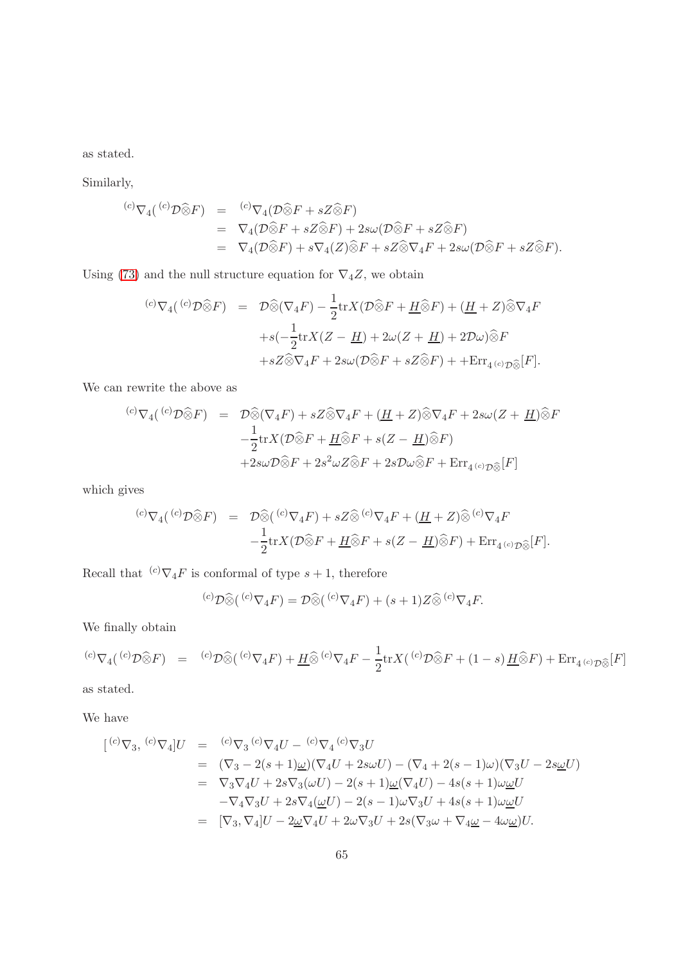as stated.

Similarly,

$$
\begin{array}{rcl}\n^{(c)}\nabla_4(^{(c)}\mathcal{D}\widehat{\otimes}F) &=& {^{(c)}}\nabla_4(\mathcal{D}\widehat{\otimes}F + sZ\widehat{\otimes}F) \\
&=& \nabla_4(\mathcal{D}\widehat{\otimes}F + sZ\widehat{\otimes}F) + 2s\omega(\mathcal{D}\widehat{\otimes}F + sZ\widehat{\otimes}F) \\
&=& \nabla_4(\mathcal{D}\widehat{\otimes}F) + s\nabla_4(Z)\widehat{\otimes}F + sZ\widehat{\otimes}\nabla_4F + 2s\omega(\mathcal{D}\widehat{\otimes}F + sZ\widehat{\otimes}F).\n\end{array}
$$

Using [\(73\)](#page-59-0) and the null structure equation for  $\nabla_4 Z$ , we obtain

$$
\begin{array}{rcl}\n\langle c \rangle \nabla_4(\langle c \rangle \mathcal{D} \widehat{\otimes} F) &=& \mathcal{D} \widehat{\otimes} (\nabla_4 F) - \frac{1}{2} \text{tr} X (\mathcal{D} \widehat{\otimes} F + \underline{H} \widehat{\otimes} F) + (\underline{H} + Z) \widehat{\otimes} \nabla_4 F \\
& &+ s \left( -\frac{1}{2} \text{tr} X (Z - \underline{H}) + 2\omega (Z + \underline{H}) + 2\mathcal{D}\omega \right) \widehat{\otimes} F \\
&+ s Z \widehat{\otimes} \nabla_4 F + 2s \omega (\mathcal{D} \widehat{\otimes} F + s Z \widehat{\otimes} F) + + \text{Err}_{4(c) \mathcal{D} \widehat{\otimes}} [F].\n\end{array}
$$

We can rewrite the above as

$$
\begin{array}{rcl}\n\text{(c)}\nabla_4(\text{(c)}\mathcal{D}\widehat{\otimes}F) &=& \mathcal{D}\widehat{\otimes}(\nabla_4 F) + sZ\widehat{\otimes}\nabla_4 F + (\underline{H} + Z)\widehat{\otimes}\nabla_4 F + 2s\omega(Z + \underline{H})\widehat{\otimes}F \\
&- \frac{1}{2}\text{tr}X(\mathcal{D}\widehat{\otimes}F + \underline{H}\widehat{\otimes}F + s(Z - \underline{H})\widehat{\otimes}F) \\
& & + 2s\omega\mathcal{D}\widehat{\otimes}F + 2s^2\omega Z\widehat{\otimes}F + 2s\mathcal{D}\omega\widehat{\otimes}F + \text{Err}_{4}(\mathrm{c})\mathcal{D}\widehat{\otimes}[F]\n\end{array}
$$

which gives

$$
\begin{array}{rcl}\n^{(c)}\nabla_4(^{(c)}\mathcal{D}\widehat{\otimes}F) &=& \mathcal{D}\widehat{\otimes}(^{(c)}\nabla_4 F) + sZ\widehat{\otimes}^{(c)}\nabla_4 F + (\underline{H} + Z)\widehat{\otimes}^{(c)}\nabla_4 F \\
&- \frac{1}{2}\text{tr}X(\mathcal{D}\widehat{\otimes}F + \underline{H}\widehat{\otimes}F + s(Z - \underline{H})\widehat{\otimes}F) + \text{Err}_{4^{(c)}\mathcal{D}\widehat{\otimes}}[F].\n\end{array}
$$

Recall that  ${}^{(c)}\nabla_4 F$  is conformal of type  $s + 1$ , therefore

 $({}^{(c)}\mathcal{D}\widehat{\otimes}({}^{(c)}\nabla_4 F) = \mathcal{D}\widehat{\otimes}({}^{(c)}\nabla_4 F) + (s+1)Z\widehat{\otimes}{}^{(c)}\nabla_4 F.$ 

We finally obtain

$$
{}^{(c)}\nabla_4({}^{(c)}\mathcal{D}\widehat{\otimes}F) = {}^{(c)}\mathcal{D}\widehat{\otimes}({}^{(c)}\nabla_4 F) + \underline{H}\widehat{\otimes}{}^{(c)}\nabla_4 F - \frac{1}{2}\text{tr}X({}^{(c)}\mathcal{D}\widehat{\otimes}F + (1-s)\underline{H}\widehat{\otimes}F) + \text{Err}_{4~^{(c)}\mathcal{D}\widehat{\otimes}}[F]
$$

as stated.

We have

$$
\begin{array}{rcl}\n[{}^{(c)}\nabla_3, {}^{(c)}\nabla_4]U & = & {}^{(c)}\nabla_3 \, {}^{(c)}\nabla_4 U - {}^{(c)}\nabla_4 \, {}^{(c)}\nabla_3 U \\
& = & (\nabla_3 - 2(s+1)\underline{\omega})(\nabla_4 U + 2s\omega U) - (\nabla_4 + 2(s-1)\omega)(\nabla_3 U - 2s\underline{\omega}U) \\
& = & \nabla_3 \nabla_4 U + 2s\nabla_3(\omega U) - 2(s+1)\underline{\omega}(\nabla_4 U) - 4s(s+1)\omega \underline{\omega}U \\
& - \nabla_4 \nabla_3 U + 2s\nabla_4 (\underline{\omega}U) - 2(s-1)\omega\nabla_3 U + 4s(s+1)\omega \underline{\omega}U \\
& = & [\nabla_3, \nabla_4]U - 2\underline{\omega}\nabla_4 U + 2\omega\nabla_3 U + 2s(\nabla_3 \omega + \nabla_4 \underline{\omega} - 4\omega \underline{\omega})U.\n\end{array}
$$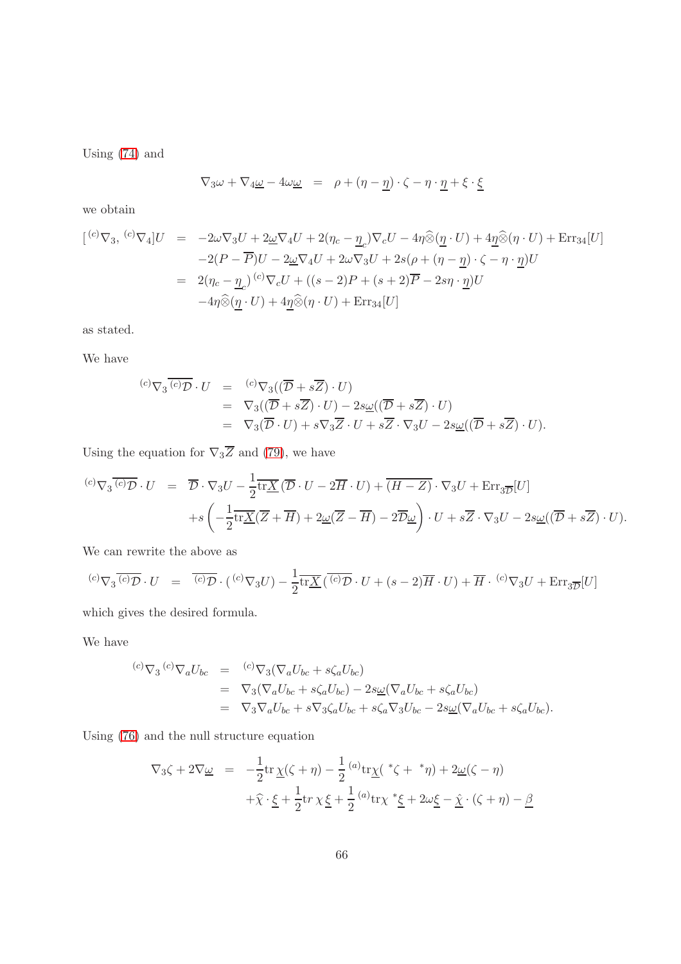Using [\(74\)](#page-59-1) and

$$
\nabla_3 \omega + \nabla_4 \underline{\omega} - 4\omega \underline{\omega} = \rho + (\eta - \underline{\eta}) \cdot \zeta - \eta \cdot \underline{\eta} + \xi \cdot \underline{\xi}
$$

we obtain

$$
\begin{array}{rcl}\n[{}^{(c)}\nabla_3, {}^{(c)}\nabla_4]U & = & -2\omega\nabla_3 U + 2\underline{\omega}\nabla_4 U + 2(\eta_c - \underline{\eta}_c)\nabla_c U - 4\eta\widehat{\otimes}(\underline{\eta} \cdot U) + 4\underline{\eta}\widehat{\otimes}(\eta \cdot U) + \text{Err}_{34}[U] \\
 & -2(P - \overline{P})U - 2\underline{\omega}\nabla_4 U + 2\omega\nabla_3 U + 2s(\rho + (\eta - \underline{\eta}) \cdot \zeta - \eta \cdot \underline{\eta})U \\
 & = & 2(\eta_c - \underline{\eta}_c)^{(c)}\nabla_c U + ((s - 2)P + (s + 2)\overline{P} - 2s\eta \cdot \underline{\eta})U \\
 & & -4\eta\widehat{\otimes}(\underline{\eta} \cdot U) + 4\underline{\eta}\widehat{\otimes}(\eta \cdot U) + \text{Err}_{34}[U]\n\end{array}
$$

as stated.

We have

$$
\begin{array}{rcl}\n^{(c)}\nabla_3 \overline{(c)} \mathcal{D} \cdot U & = & ^{(c)}\nabla_3 ((\overline{\mathcal{D}} + s\overline{Z}) \cdot U) \\
& = & \nabla_3 ((\overline{\mathcal{D}} + s\overline{Z}) \cdot U) - 2s\underline{\omega} ((\overline{\mathcal{D}} + s\overline{Z}) \cdot U) \\
& = & \nabla_3 (\overline{\mathcal{D}} \cdot U) + s\nabla_3 \overline{Z} \cdot U + s\overline{Z} \cdot \nabla_3 U - 2s\underline{\omega} ((\overline{\mathcal{D}} + s\overline{Z}) \cdot U).\n\end{array}
$$

Using the equation for  $\nabla_3 \overline{Z}$  and [\(79\)](#page-62-0), we have

$$
\begin{array}{rcl}\n\langle c \rangle \nabla_3 \overline{\langle c \rangle \mathcal{D}} \cdot U &=& \overline{\mathcal{D}} \cdot \nabla_3 U - \frac{1}{2} \overline{\text{tr}\underline{X}} \left( \overline{\mathcal{D}} \cdot U - 2\overline{H} \cdot U \right) + \overline{(H - Z)} \cdot \nabla_3 U + \text{Err}_{3\overline{\mathcal{D}}} [U] \\
&+ s \left( -\frac{1}{2} \overline{\text{tr}\underline{X}} (\overline{Z} + \overline{H}) + 2\underline{\omega} (\overline{Z} - \overline{H}) - 2\overline{\mathcal{D}} \underline{\omega} \right) \cdot U + s \overline{Z} \cdot \nabla_3 U - 2s \underline{\omega} ((\overline{\mathcal{D}} + s \overline{Z}) \cdot U).\n\end{array}
$$

We can rewrite the above as

$$
{}^{(c)}\nabla_3 \overline{{}^{(c)}\mathcal{D}} \cdot U = \overline{{}^{(c)}\mathcal{D}} \cdot ({}^{(c)}\nabla_3 U) - \frac{1}{2} \overline{\text{tr}\underline{X}} (\overline{{}^{(c)}\mathcal{D}} \cdot U + (s-2)\overline{H} \cdot U) + \overline{H} \cdot {}^{(c)}\nabla_3 U + \text{Err}_{3\overline{D}}[U]
$$

which gives the desired formula.

We have

$$
\begin{array}{rcl}\n^{(c)}\nabla_3 \,^{(c)}\nabla_a U_{bc} & = & ^{(c)}\nabla_3 (\nabla_a U_{bc} + s\zeta_a U_{bc}) \\
& = & \nabla_3 (\nabla_a U_{bc} + s\zeta_a U_{bc}) - 2s\underline{\omega}(\nabla_a U_{bc} + s\zeta_a U_{bc}) \\
& = & \nabla_3 \nabla_a U_{bc} + s\nabla_3 \zeta_a U_{bc} + s\zeta_a \nabla_3 U_{bc} - 2s\underline{\omega}(\nabla_a U_{bc} + s\zeta_a U_{bc}).\n\end{array}
$$

Using [\(76\)](#page-59-2) and the null structure equation

$$
\nabla_3 \zeta + 2\nabla \underline{\omega} = -\frac{1}{2} \text{tr} \underline{\chi}(\zeta + \eta) - \frac{1}{2} {^{(a)}} \text{tr} \underline{\chi}({^*}\zeta + {^*}\eta) + 2 \underline{\omega}(\zeta - \eta)
$$

$$
+ \widehat{\chi} \cdot \underline{\xi} + \frac{1}{2} \text{tr} \chi \underline{\xi} + \frac{1}{2} {^{(a)}} \text{tr} \chi {^*}\underline{\xi} + 2 \omega \underline{\xi} - \widehat{\chi} \cdot (\zeta + \eta) - \underline{\beta}
$$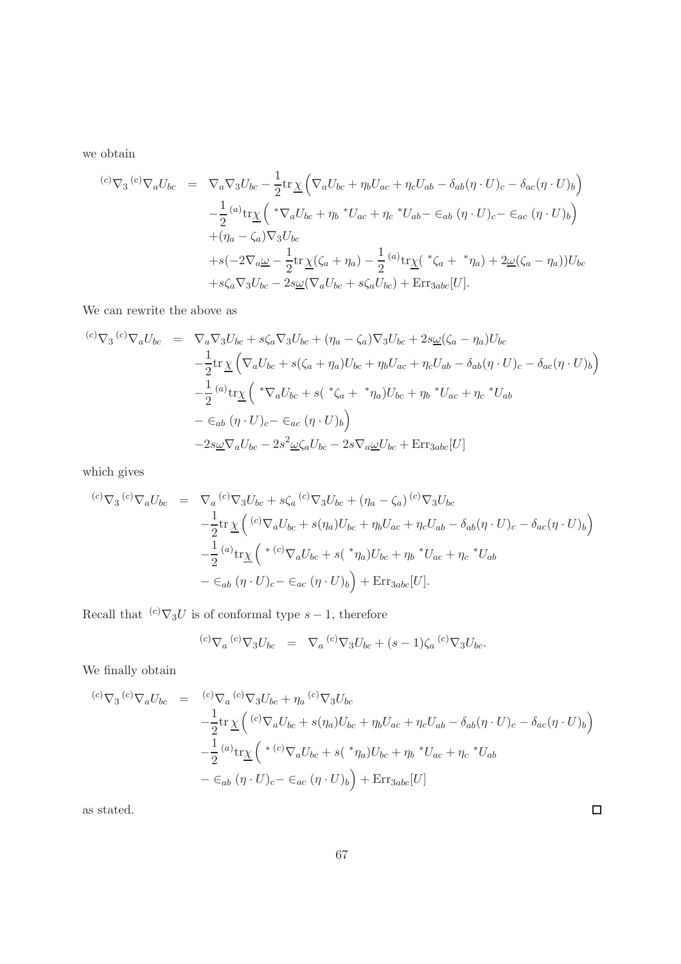we obtain

$$
\begin{split}\n\text{(c)} \nabla_3 \text{ }^{(c)} \nabla_a U_{bc} &= \nabla_a \nabla_3 U_{bc} - \frac{1}{2} \text{tr} \underline{\chi} \left( \nabla_a U_{bc} + \eta_b U_{ac} + \eta_c U_{ab} - \delta_{ab} (\eta \cdot U)_c - \delta_{ac} (\eta \cdot U)_b \right) \\
&\quad - \frac{1}{2} \left( \alpha \right) \text{tr} \underline{\chi} \left( \sqrt[k]{a} U_{bc} + \eta_b \sqrt[k]{a} U_{ac} + \eta_c \sqrt[k]{a} U_{ab} - \epsilon_{ab} (\eta \cdot U)_c - \epsilon_{ac} (\eta \cdot U)_b \right) \\
&\quad + (\eta_a - \zeta_a) \nabla_3 U_{bc} \\
&\quad + s(-2 \nabla_a \underline{\omega} - \frac{1}{2} \text{tr} \underline{\chi} (\zeta_a + \eta_a) - \frac{1}{2} \left( \alpha \right) \text{tr} \underline{\chi} (\sqrt[k]{a} + \sqrt[k]{a} + \eta_a) + 2 \underline{\omega} (\zeta_a - \eta_a) \right) U_{bc} \\
&\quad + s \zeta_a \nabla_3 U_{bc} - 2s \underline{\omega} (\nabla_a U_{bc} + s \zeta_a U_{bc}) + \text{Err}_{3abc} [U].\n\end{split}
$$

We can rewrite the above as

$$
\begin{split}\n\text{(c)} \nabla_3 \text{ }^{(c)} \nabla_a U_{bc} &= \nabla_a \nabla_3 U_{bc} + s \zeta_a \nabla_3 U_{bc} + (\eta_a - \zeta_a) \nabla_3 U_{bc} + 2s \underline{\omega} (\zeta_a - \eta_a) U_{bc} \\
&- \frac{1}{2} \text{tr} \underline{\chi} \left( \nabla_a U_{bc} + s(\zeta_a + \eta_a) U_{bc} + \eta_b U_{ac} + \eta_c U_{ab} - \delta_{ab} (\eta \cdot U)_c - \delta_{ac} (\eta \cdot U)_b \right) \\
&- \frac{1}{2} \left( \omega_{\text{tr}} \underline{\chi} \left( \sqrt[k]{a} U_{bc} + s(\sqrt[k]{a} + \sqrt[k]{a} + \eta_b) U_{bc} + \eta_b \sqrt[k]{a} U_{ac} + \eta_c \sqrt[k]{a} \right) \\
&- \varepsilon_{ab} (\eta \cdot U)_{c} - \varepsilon_{ac} (\eta \cdot U)_{b} \right) \\
&- 2s \underline{\omega} \nabla_a U_{bc} - 2s^2 \underline{\omega} \zeta_a U_{bc} - 2s \nabla_a \underline{\omega} U_{bc} + \text{Err}_{3abc} [U]\n\end{split}
$$

which gives

$$
\begin{array}{rcl}\n^{(c)}\nabla_3 \,^{(c)}\nabla_a U_{bc} & = & \nabla_a \,^{(c)}\nabla_3 U_{bc} + s\zeta_a \,^{(c)}\nabla_3 U_{bc} + (\eta_a - \zeta_a) \,^{(c)}\nabla_3 U_{bc} \\
 & -\frac{1}{2} \text{tr} \, \underline{\chi} \left( \,^{(c)}\nabla_a U_{bc} + s(\eta_a) U_{bc} + \eta_b U_{ac} + \eta_c U_{ab} - \delta_{ab} (\eta \cdot U)_c - \delta_{ac} (\eta \cdot U)_b \right) \\
 & -\frac{1}{2} \,^{(a)}\text{tr} \underline{\chi} \left( \,^{*(c)}\nabla_a U_{bc} + s(\,^{*}\eta_a) U_{bc} + \eta_b \,^{*}U_{ac} + \eta_c \,^{*}U_{ab} \right. \\
 & & - \in_{ab} (\eta \cdot U)_c - \in_{ac} (\eta \cdot U)_b \right) + \text{Err}_{3abc} [U].\n\end{array}
$$

Recall that  $(c) \nabla_3 U$  is of conformal type  $s - 1$ , therefore

$$
{}^{(c)}\nabla_a {}^{(c)}\nabla_3 U_{bc} = \nabla_a {}^{(c)}\nabla_3 U_{bc} + (s-1)\zeta_a {}^{(c)}\nabla_3 U_{bc}.
$$

We finally obtain

$$
\begin{array}{rcl}\n\text{(c)}\nabla_3 \text{ }^{(c)}\nabla_a U_{bc} & = & \text{ }^{(c)}\nabla_3 U_{bc} + \eta_a \text{ }^{(c)}\nabla_3 U_{bc} \\
 & -\frac{1}{2} \text{tr} \underline{\chi} \left( \text{ }^{(c)}\nabla_a U_{bc} + s(\eta_a) U_{bc} + \eta_b U_{ac} + \eta_c U_{ab} - \delta_{ab} (\eta \cdot U)_c - \delta_{ac} (\eta \cdot U)_b \right) \\
 & -\frac{1}{2} \text{ }^{(a)}\text{tr} \underline{\chi} \left( \text{ }^{*(c)}\nabla_a U_{bc} + s(\text{ }^{*}\eta_a) U_{bc} + \eta_b \text{ }^{*}U_{ac} + \eta_c \text{ }^{*}U_{ab} \right. \\
 & & - \in_{ab} (\eta \cdot U)_c - \in_{ac} (\eta \cdot U)_b \right) + \text{Err}_{3abc}[U]\n\end{array}
$$

as stated.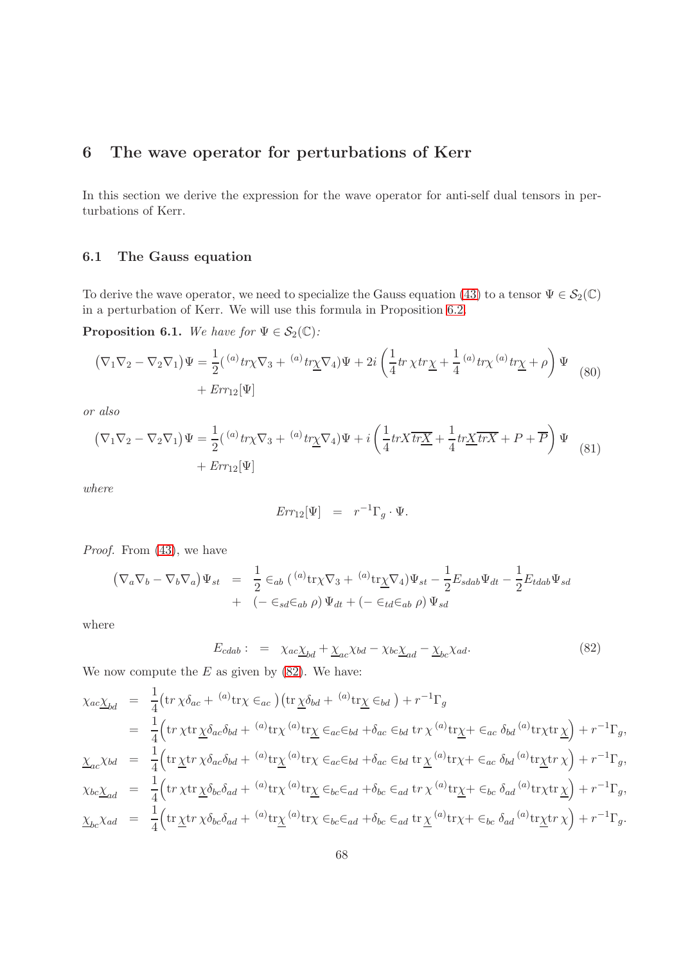# 6 The wave operator for perturbations of Kerr

In this section we derive the expression for the wave operator for anti-self dual tensors in perturbations of Kerr.

## 6.1 The Gauss equation

To derive the wave operator, we need to specialize the Gauss equation [\(43\)](#page-26-0) to a tensor  $\Psi \in \mathcal{S}_2(\mathbb{C})$ in a perturbation of Kerr. We will use this formula in Proposition [6.2.](#page-69-0)

**Proposition 6.1.** We have for  $\Psi \in \mathcal{S}_2(\mathbb{C})$ :

$$
\left(\nabla_1\nabla_2 - \nabla_2\nabla_1\right)\Psi = \frac{1}{2}\left({}^{(a)}tr\chi\nabla_3 + {}^{(a)}tr\chi\nabla_4\right)\Psi + 2i\left(\frac{1}{4}tr\chi tr\chi + \frac{1}{4}{}^{(a)}tr\chi\left({}^{a)}tr\chi + \rho\right)\Psi
$$
  
+ 
$$
Err_{12}[\Psi]
$$
 (80)

or also

<span id="page-67-1"></span>
$$
\begin{aligned} \left(\nabla_1 \nabla_2 - \nabla_2 \nabla_1\right) \Psi &= \frac{1}{2} \left( \,^{(a)} \operatorname{tr} \chi \nabla_3 + \,^{(a)} \operatorname{tr} \chi \nabla_4 \right) \Psi + i \left( \frac{1}{4} \operatorname{tr} X \overline{\operatorname{tr} X} + \frac{1}{4} \operatorname{tr} \underline{X} \overline{\operatorname{tr} X} + P + \overline{P} \right) \Psi \\ &+ \operatorname{Err}_{12}[\Psi] \end{aligned} \tag{81}
$$

where

$$
Err_{12}[\Psi] = r^{-1}\Gamma_g \cdot \Psi.
$$

Proof. From  $(43)$ , we have

$$
(\nabla_a \nabla_b - \nabla_b \nabla_a) \Psi_{st} = \frac{1}{2} \epsilon_{ab} (^{(a)} \text{tr} \chi \nabla_3 + ^{(a)} \text{tr} \chi \nabla_4) \Psi_{st} - \frac{1}{2} E_{sdab} \Psi_{dt} - \frac{1}{2} E_{tdab} \Psi_{sd}
$$
  
+ 
$$
(- \epsilon_{sd} \epsilon_{ab} \rho) \Psi_{dt} + (- \epsilon_{td} \epsilon_{ab} \rho) \Psi_{sd}
$$

where

<span id="page-67-0"></span>
$$
E_{cdab}: = \chi_{ac}\chi_{bd} + \chi_{ac}\chi_{bd} - \chi_{bc}\chi_{ad} - \chi_{bc}\chi_{ad}.
$$
\n(82)

We now compute the  $E$  as given by  $(82)$ . We have:

$$
\chi_{ac}\underline{\chi}_{bd} = \frac{1}{4} \left( \text{tr}\,\chi\delta_{ac} + {}^{(a)}\text{tr}\chi \in_{ac} \right) \left( \text{tr}\,\underline{\chi}\delta_{bd} + {}^{(a)}\text{tr}\chi \in_{bd} \right) + r^{-1}\Gamma_g
$$
\n
$$
= \frac{1}{4} \left( \text{tr}\,\chi\text{tr}\,\underline{\chi}\delta_{ac}\delta_{bd} + {}^{(a)}\text{tr}\chi \in_{ac}\in_{bd} + \delta_{ac}\in_{bd} \text{tr}\,\chi \in_{ac}\delta_{bd} {}^{(a)}\text{tr}\chi\text{tr}\,\underline{\chi} \right) + r^{-1}\Gamma_g,
$$
\n
$$
\underline{\chi}_{ac}\chi_{bd} = \frac{1}{4} \left( \text{tr}\,\chi\text{tr}\,\chi\delta_{ac}\delta_{bd} + {}^{(a)}\text{tr}\chi \in_{ac}\in_{bd} + \delta_{ac}\in_{bd} \text{tr}\,\chi \in_{ac}\delta_{bd} {}^{(a)}\text{tr}\chi + \epsilon_{ac}\delta_{bd} {}^{(a)}\text{tr}\chi\text{tr}\,\chi \right) + r^{-1}\Gamma_g,
$$
\n
$$
\chi_{bc}\underline{\chi}_{ad} = \frac{1}{4} \left( \text{tr}\,\chi\text{tr}\,\chi\delta_{bc}\delta_{ad} + {}^{(a)}\text{tr}\chi \in_{bc}\in_{ad} + \delta_{bc}\in_{ad} \text{tr}\,\chi \in_{ac}\delta_{ad} {}^{(a)}\text{tr}\chi + \epsilon_{bc}\delta_{ad} {}^{(a)}\text{tr}\chi\text{tr}\,\chi \right) + r^{-1}\Gamma_g,
$$
\n
$$
\underline{\chi}_{bc}\chi_{ad} = \frac{1}{4} \left( \text{tr}\,\chi\text{tr}\,\chi\delta_{bc}\delta_{ad} + {}^{(a)}\text{tr}\chi \in_{bc}\in_{ad} + \delta_{bc}\in_{ad} \text{tr}\,\chi \in_{ac}\delta_{ad} {}^{(a)}\text{tr}\chi + \epsilon_{bc}\delta_{ad} {}^{(a)}\text{tr}\chi\text{tr}\,\chi \right) + r^{-1}\Gamma_g.
$$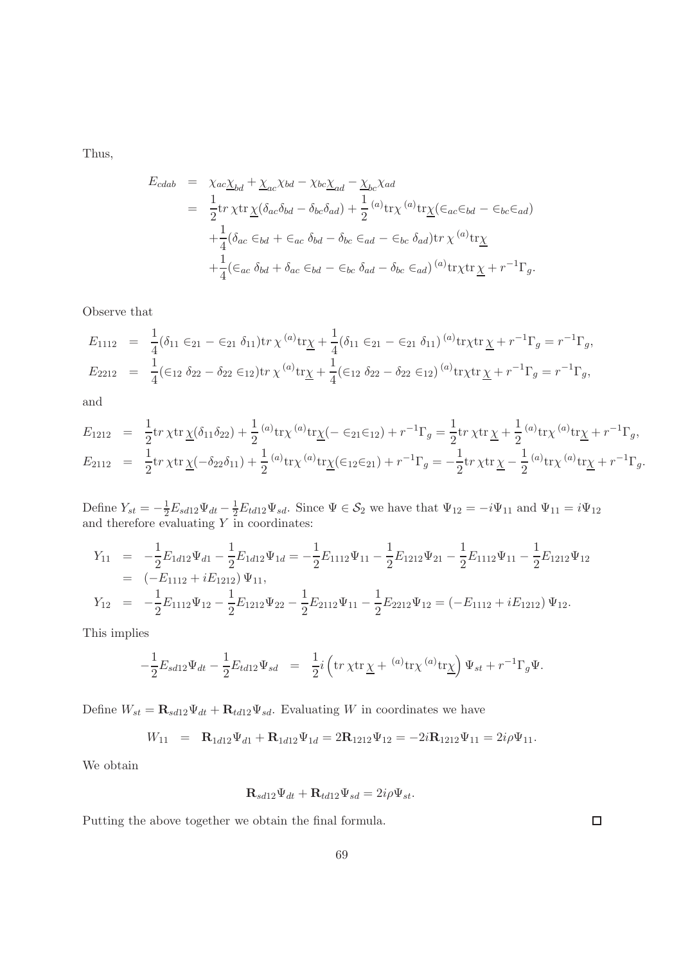Thus,

$$
E_{cdab} = \chi_{ac}\chi_{bd} + \chi_{ac}\chi_{bd} - \chi_{bc}\chi_{ad} - \chi_{bc}\chi_{ad}
$$
  
\n
$$
= \frac{1}{2}\text{tr}\,\chi\text{tr}\,\underline{\chi}(\delta_{ac}\delta_{bd} - \delta_{bc}\delta_{ad}) + \frac{1}{2} {}^{(a)}\text{tr}\chi^{(a)}\text{tr}\underline{\chi}(\epsilon_{ac}\epsilon_{bd} - \epsilon_{bc}\epsilon_{ad})
$$
  
\n
$$
+ \frac{1}{4}(\delta_{ac}\epsilon_{bd} + \epsilon_{ac}\delta_{bd} - \delta_{bc}\epsilon_{ad} - \epsilon_{bc}\delta_{ad})\text{tr}\,\chi^{(a)}\text{tr}\underline{\chi}
$$
  
\n
$$
+ \frac{1}{4}(\epsilon_{ac}\,\delta_{bd} + \delta_{ac}\epsilon_{bd} - \epsilon_{bc}\,\delta_{ad} - \delta_{bc}\epsilon_{ad}) {}^{(a)}\text{tr}\chi\text{tr}\,\underline{\chi} + r^{-1}\Gamma_{g}.
$$

Observe that

$$
E_{1112} = \frac{1}{4} (\delta_{11} \epsilon_{21} - \epsilon_{21} \delta_{11}) \text{tr} \chi^{(a)} \text{tr} \underline{\chi} + \frac{1}{4} (\delta_{11} \epsilon_{21} - \epsilon_{21} \delta_{11})^{(a)} \text{tr} \chi \text{tr} \underline{\chi} + r^{-1} \Gamma_g = r^{-1} \Gamma_g,
$$
  
\n
$$
E_{2212} = \frac{1}{4} (\epsilon_{12} \delta_{22} - \delta_{22} \epsilon_{12}) \text{tr} \chi^{(a)} \text{tr} \underline{\chi} + \frac{1}{4} (\epsilon_{12} \delta_{22} - \delta_{22} \epsilon_{12})^{(a)} \text{tr} \chi \text{tr} \underline{\chi} + r^{-1} \Gamma_g = r^{-1} \Gamma_g,
$$

and

$$
E_{1212} = \frac{1}{2} \text{tr} \chi \text{tr} \underline{\chi} (\delta_{11} \delta_{22}) + \frac{1}{2} {}^{(a)} \text{tr} \chi {}^{(a)} \text{tr} \underline{\chi} (-\epsilon_{21} \epsilon_{12}) + r^{-1} \Gamma_g = \frac{1}{2} \text{tr} \chi \text{tr} \underline{\chi} + \frac{1}{2} {}^{(a)} \text{tr} \chi {}^{(a)} \text{tr} \underline{\chi} + r^{-1} \Gamma_g,
$$
  
\n
$$
E_{2112} = \frac{1}{2} \text{tr} \chi \text{tr} \underline{\chi} (-\delta_{22} \delta_{11}) + \frac{1}{2} {}^{(a)} \text{tr} \chi {}^{(a)} \text{tr} \underline{\chi} (\epsilon_{12} \epsilon_{21}) + r^{-1} \Gamma_g = -\frac{1}{2} \text{tr} \chi \text{tr} \underline{\chi} - \frac{1}{2} {}^{(a)} \text{tr} \chi {}^{(a)} \text{tr} \underline{\chi} + r^{-1} \Gamma_g.
$$

Define  $Y_{st} = -\frac{1}{2}E_{sd12}\Psi_{dt} - \frac{1}{2}E_{td12}\Psi_{sd}$ . Since  $\Psi \in \mathcal{S}_2$  we have that  $\Psi_{12} = -i\Psi_{11}$  and  $\Psi_{11} = i\Psi_{12}$ and therefore evaluating  $Y$  in coordinates:

$$
Y_{11} = -\frac{1}{2} E_{1d12} \Psi_{d1} - \frac{1}{2} E_{1d12} \Psi_{1d} = -\frac{1}{2} E_{1112} \Psi_{11} - \frac{1}{2} E_{1212} \Psi_{21} - \frac{1}{2} E_{1112} \Psi_{11} - \frac{1}{2} E_{1212} \Psi_{12}
$$
  
\n
$$
= (-E_{1112} + iE_{1212}) \Psi_{11},
$$
  
\n
$$
Y_{12} = -\frac{1}{2} E_{1112} \Psi_{12} - \frac{1}{2} E_{1212} \Psi_{22} - \frac{1}{2} E_{2112} \Psi_{11} - \frac{1}{2} E_{2212} \Psi_{12} = (-E_{1112} + iE_{1212}) \Psi_{12}.
$$

This implies

$$
-\frac{1}{2}E_{sd12}\Psi_{dt} - \frac{1}{2}E_{td12}\Psi_{sd} = \frac{1}{2}i\left(\text{tr}\,\chi\text{tr}\,\underline{\chi} + {}^{(a)}\text{tr}\chi\,{}^{(a)}\text{tr}\underline{\chi}\right)\Psi_{st} + r^{-1}\Gamma_g\Psi.
$$

Define  $W_{st} = \mathbf{R}_{sd12} \Psi_{dt} + \mathbf{R}_{td12} \Psi_{sd}$ . Evaluating W in coordinates we have

$$
W_{11} = \mathbf{R}_{1d12} \Psi_{d1} + \mathbf{R}_{1d12} \Psi_{1d} = 2\mathbf{R}_{1212} \Psi_{12} = -2i \mathbf{R}_{1212} \Psi_{11} = 2i \rho \Psi_{11}.
$$

We obtain

$$
\mathbf{R}_{sd12}\Psi_{dt} + \mathbf{R}_{td12}\Psi_{sd} = 2i\rho\Psi_{st}.
$$

Putting the above together we obtain the final formula.

69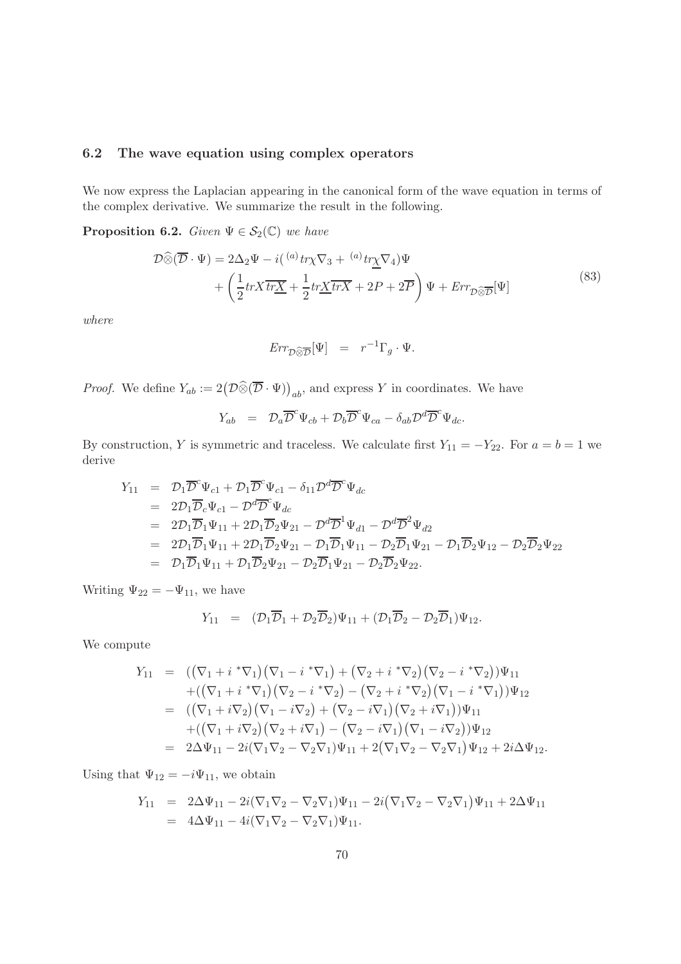#### 6.2 The wave equation using complex operators

We now express the Laplacian appearing in the canonical form of the wave equation in terms of the complex derivative. We summarize the result in the following.

<span id="page-69-0"></span>**Proposition 6.2.** Given  $\Psi \in \mathcal{S}_2(\mathbb{C})$  we have

<span id="page-69-1"></span>
$$
\mathcal{D}\widehat{\otimes}(\overline{\mathcal{D}}\cdot\Psi) = 2\Delta_2\Psi - i({^{(a)}tr}\chi\nabla_3 + {^{(a)}tr}\chi\nabla_4)\Psi \n+ \left(\frac{1}{2}trX\overline{tr}\underline{X} + \frac{1}{2}tr\underline{X}\overline{trX} + 2P + 2\overline{P}\right)\Psi + Err_{\mathcal{D}\widehat{\otimes}\overline{\mathcal{D}}}[\Psi]
$$
\n(83)

where

$$
Err_{\mathcal{D}\widehat{\otimes}\overline{\mathcal{D}}}[\Psi] = r^{-1}\Gamma_g \cdot \Psi.
$$

*Proof.* We define  $Y_{ab} := 2(\mathcal{D}\widehat{\otimes}(\overline{\mathcal{D}} \cdot \Psi))_{ab}$ , and express Y in coordinates. We have

$$
Y_{ab} = \mathcal{D}_a \overline{\mathcal{D}}^c \Psi_{cb} + \mathcal{D}_b \overline{\mathcal{D}}^c \Psi_{ca} - \delta_{ab} \mathcal{D}^d \overline{\mathcal{D}}^c \Psi_{dc}.
$$

By construction, Y is symmetric and traceless. We calculate first  $Y_{11} = -Y_{22}$ . For  $a = b = 1$  we derive

$$
Y_{11} = \mathcal{D}_1 \overline{\mathcal{D}}^c \Psi_{c1} + \mathcal{D}_1 \overline{\mathcal{D}}^c \Psi_{c1} - \delta_{11} \mathcal{D}^d \overline{\mathcal{D}}^c \Psi_{dc}
$$
  
\n
$$
= 2\mathcal{D}_1 \overline{\mathcal{D}}_c \Psi_{c1} - \mathcal{D}^d \overline{\mathcal{D}}^c \Psi_{dc}
$$
  
\n
$$
= 2\mathcal{D}_1 \overline{\mathcal{D}}_1 \Psi_{11} + 2\mathcal{D}_1 \overline{\mathcal{D}}_2 \Psi_{21} - \mathcal{D}^d \overline{\mathcal{D}}^1 \Psi_{d1} - \mathcal{D}^d \overline{\mathcal{D}}^2 \Psi_{d2}
$$
  
\n
$$
= 2\mathcal{D}_1 \overline{\mathcal{D}}_1 \Psi_{11} + 2\mathcal{D}_1 \overline{\mathcal{D}}_2 \Psi_{21} - \mathcal{D}_1 \overline{\mathcal{D}}_1 \Psi_{11} - \mathcal{D}_2 \overline{\mathcal{D}}_1 \Psi_{21} - \mathcal{D}_1 \overline{\mathcal{D}}_2 \Psi_{12} - \mathcal{D}_2 \overline{\mathcal{D}}_2 \Psi_{22}
$$
  
\n
$$
= \mathcal{D}_1 \overline{\mathcal{D}}_1 \Psi_{11} + \mathcal{D}_1 \overline{\mathcal{D}}_2 \Psi_{21} - \mathcal{D}_2 \overline{\mathcal{D}}_1 \Psi_{21} - \mathcal{D}_2 \overline{\mathcal{D}}_2 \Psi_{22}.
$$

Writing  $\Psi_{22} = -\Psi_{11}$ , we have

$$
Y_{11} = (\mathcal{D}_1 \overline{\mathcal{D}}_1 + \mathcal{D}_2 \overline{\mathcal{D}}_2) \Psi_{11} + (\mathcal{D}_1 \overline{\mathcal{D}}_2 - \mathcal{D}_2 \overline{\mathcal{D}}_1) \Psi_{12}.
$$

We compute

$$
Y_{11} = ((\nabla_1 + i * \nabla_1)(\nabla_1 - i * \nabla_1) + (\nabla_2 + i * \nabla_2)(\nabla_2 - i * \nabla_2))\Psi_{11} + ((\nabla_1 + i * \nabla_1)(\nabla_2 - i * \nabla_2) - (\nabla_2 + i * \nabla_2)(\nabla_1 - i * \nabla_1))\Psi_{12} = ((\nabla_1 + i \nabla_2)(\nabla_1 - i \nabla_2) + (\nabla_2 - i \nabla_1)(\nabla_2 + i \nabla_1))\Psi_{11} + ((\nabla_1 + i \nabla_2)(\nabla_2 + i \nabla_1) - (\nabla_2 - i \nabla_1)(\nabla_1 - i \nabla_2))\Psi_{12} = 2\Delta\Psi_{11} - 2i(\nabla_1\nabla_2 - \nabla_2\nabla_1)\Psi_{11} + 2(\nabla_1\nabla_2 - \nabla_2\nabla_1)\Psi_{12} + 2i\Delta\Psi_{12}.
$$

Using that  $\Psi_{12} = -i\Psi_{11}$ , we obtain

$$
Y_{11} = 2\Delta\Psi_{11} - 2i(\nabla_1\nabla_2 - \nabla_2\nabla_1)\Psi_{11} - 2i(\nabla_1\nabla_2 - \nabla_2\nabla_1)\Psi_{11} + 2\Delta\Psi_{11}
$$
  
=  $4\Delta\Psi_{11} - 4i(\nabla_1\nabla_2 - \nabla_2\nabla_1)\Psi_{11}.$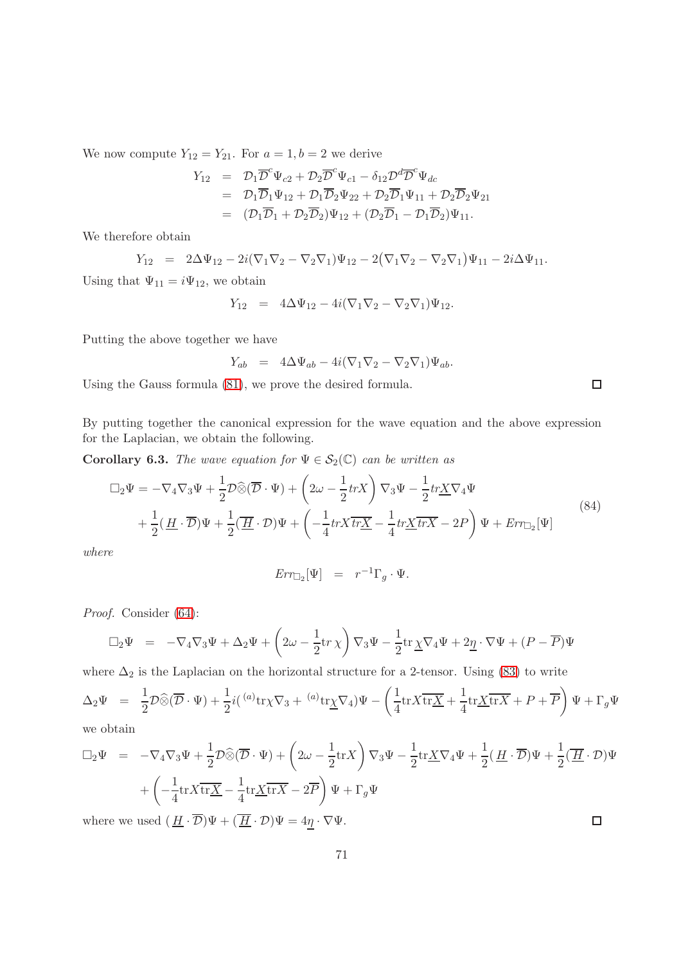We now compute  $Y_{12} = Y_{21}$ . For  $a = 1, b = 2$  we derive

$$
Y_{12} = \mathcal{D}_1 \overline{\mathcal{D}}^c \Psi_{c2} + \mathcal{D}_2 \overline{\mathcal{D}}^c \Psi_{c1} - \delta_{12} \mathcal{D}^d \overline{\mathcal{D}}^c \Psi_{dc}
$$
  
\n
$$
= \mathcal{D}_1 \overline{\mathcal{D}}_1 \Psi_{12} + \mathcal{D}_1 \overline{\mathcal{D}}_2 \Psi_{22} + \mathcal{D}_2 \overline{\mathcal{D}}_1 \Psi_{11} + \mathcal{D}_2 \overline{\mathcal{D}}_2 \Psi_{21}
$$
  
\n
$$
= (\mathcal{D}_1 \overline{\mathcal{D}}_1 + \mathcal{D}_2 \overline{\mathcal{D}}_2) \Psi_{12} + (\mathcal{D}_2 \overline{\mathcal{D}}_1 - \mathcal{D}_1 \overline{\mathcal{D}}_2) \Psi_{11}.
$$

We therefore obtain

$$
Y_{12} = 2\Delta\Psi_{12} - 2i(\nabla_1\nabla_2 - \nabla_2\nabla_1)\Psi_{12} - 2(\nabla_1\nabla_2 - \nabla_2\nabla_1)\Psi_{11} - 2i\Delta\Psi_{11}.
$$

Using that  $\Psi_{11} = i\Psi_{12}$ , we obtain

$$
Y_{12} = 4\Delta\Psi_{12} - 4i(\nabla_1\nabla_2 - \nabla_2\nabla_1)\Psi_{12}.
$$

Putting the above together we have

$$
Y_{ab} = 4\Delta\Psi_{ab} - 4i(\nabla_1\nabla_2 - \nabla_2\nabla_1)\Psi_{ab}.
$$

Using the Gauss formula [\(81\)](#page-67-1), we prove the desired formula.

By putting together the canonical expression for the wave equation and the above expression for the Laplacian, we obtain the following.

<span id="page-70-0"></span>**Corollary 6.3.** The wave equation for  $\Psi \in \mathcal{S}_2(\mathbb{C})$  can be written as

$$
\Box_2 \Psi = -\nabla_4 \nabla_3 \Psi + \frac{1}{2} \mathcal{D} \widehat{\otimes} (\overline{\mathcal{D}} \cdot \Psi) + \left(2\omega - \frac{1}{2} trX\right) \nabla_3 \Psi - \frac{1}{2} tr \underline{X} \nabla_4 \Psi + \frac{1}{2} (\underline{H} \cdot \overline{\mathcal{D}}) \Psi + \frac{1}{2} (\overline{H} \cdot \mathcal{D}) \Psi + \left(-\frac{1}{4} trX \overline{tr} \underline{X} - \frac{1}{4} tr \underline{X} \overline{tr} \overline{X} - 2P\right) \Psi + Err\Box_2 [\Psi]
$$
\n(84)

where

$$
Err_{\Box_2}[\Psi] = r^{-1} \Gamma_g \cdot \Psi.
$$

Proof. Consider [\(64\)](#page-53-0):

$$
\Box_2 \Psi = -\nabla_4 \nabla_3 \Psi + \Delta_2 \Psi + \left(2\omega - \frac{1}{2} \text{tr} \chi \right) \nabla_3 \Psi - \frac{1}{2} \text{tr} \underline{\chi} \nabla_4 \Psi + 2\underline{\eta} \cdot \nabla \Psi + (P - \overline{P}) \Psi
$$

where  $\Delta_2$  is the Laplacian on the horizontal structure for a 2-tensor. Using [\(83\)](#page-69-1) to write

$$
\Delta_2 \Psi = \frac{1}{2} \mathcal{D} \widehat{\otimes} (\overline{\mathcal{D}} \cdot \Psi) + \frac{1}{2} i ( \ ^{(a)} \text{tr} \chi \nabla_3 + \ ^{(a)} \text{tr} \underline{\chi} \nabla_4 ) \Psi - \left( \frac{1}{4} \text{tr} X \overline{\text{tr} \underline{X}} + \frac{1}{4} \text{tr} \underline{X} \overline{\text{tr} X} + P + \overline{P} \right) \Psi + \Gamma_g \Psi
$$

we obtain

$$
\Box_2 \Psi = -\nabla_4 \nabla_3 \Psi + \frac{1}{2} \mathcal{D} \widehat{\otimes} (\overline{\mathcal{D}} \cdot \Psi) + \left(2\omega - \frac{1}{2} \text{tr} X\right) \nabla_3 \Psi - \frac{1}{2} \text{tr} \underline{X} \nabla_4 \Psi + \frac{1}{2} (\underline{H} \cdot \overline{\mathcal{D}}) \Psi + \frac{1}{2} (\overline{H} \cdot \mathcal{D}) \Psi
$$
  
+  $\left(-\frac{1}{4} \text{tr} X \overline{\text{tr} \underline{X}} - \frac{1}{4} \text{tr} \underline{X} \overline{\text{tr} X} - 2\overline{P}\right) \Psi + \Gamma_g \Psi$   
where we used  $(H \cdot \overline{\mathcal{D}}) \Psi + (\overline{H} \cdot \mathcal{D}) \Psi = 4\eta \cdot \nabla \Psi.$ 

where we used  $(\,\underline{H}\cdot \overline{\mathcal{D}}) \Psi + (\overline{\,\underline{H}}\cdot \mathcal{D}) \Psi = 4 \underline{\eta} \cdot \nabla \Psi.$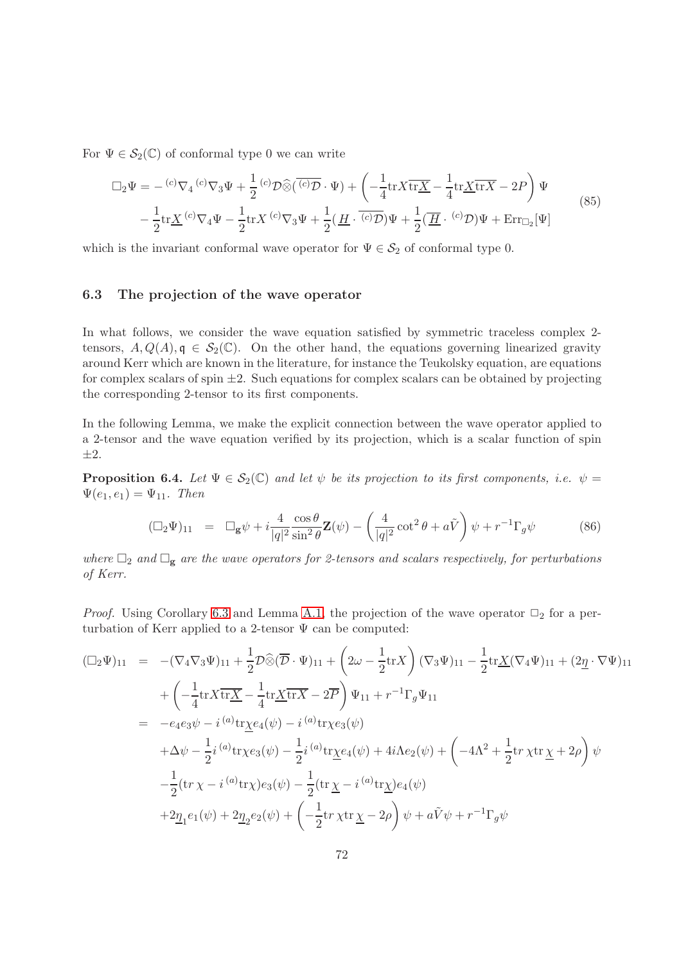For  $\Psi \in \mathcal{S}_2(\mathbb{C})$  of conformal type 0 we can write

$$
\Box_2 \Psi = - {}^{(c)}\nabla_4 {}^{(c)}\nabla_3 \Psi + \frac{1}{2} {}^{(c)}\mathcal{D}\widehat{\otimes} (\overline{{}^{(c)}\mathcal{D}} \cdot \Psi) + \left( -\frac{1}{4} \text{tr} X \overline{\text{tr}X} - \frac{1}{4} \text{tr} \underline{X} \overline{\text{tr}X} - 2P \right) \Psi \n- \frac{1}{2} \text{tr} \underline{X} {}^{(c)}\nabla_4 \Psi - \frac{1}{2} \text{tr} X {}^{(c)}\nabla_3 \Psi + \frac{1}{2} (\underline{H} \cdot {}^{(c)}\mathcal{D}) \Psi + \frac{1}{2} (\overline{H} \cdot {}^{(c)}\mathcal{D}) \Psi + \text{Err}_{\Box_2} [\Psi]
$$
\n(85)

which is the invariant conformal wave operator for  $\Psi \in \mathcal{S}_2$  of conformal type 0.

#### 6.3 The projection of the wave operator

In what follows, we consider the wave equation satisfied by symmetric traceless complex 2 tensors,  $A, Q(A), \mathfrak{q} \in \mathcal{S}_2(\mathbb{C})$ . On the other hand, the equations governing linearized gravity around Kerr which are known in the literature, for instance the Teukolsky equation, are equations for complex scalars of spin  $\pm 2$ . Such equations for complex scalars can be obtained by projecting the corresponding 2-tensor to its first components.

In the following Lemma, we make the explicit connection between the wave operator applied to a 2-tensor and the wave equation verified by its projection, which is a scalar function of spin  $\pm 2$ .

**Proposition 6.4.** Let  $\Psi \in S_2(\mathbb{C})$  and let  $\psi$  be its projection to its first components, i.e.  $\psi =$  $\Psi(e_1, e_1) = \Psi_{11}$ . Then

$$
(\Box_2 \Psi)_{11} = \Box_g \psi + i \frac{4}{|q|^2} \frac{\cos \theta}{\sin^2 \theta} \mathbf{Z}(\psi) - \left(\frac{4}{|q|^2} \cot^2 \theta + a\tilde{V}\right) \psi + r^{-1} \Gamma_g \psi \tag{86}
$$

where  $\Box_2$  and  $\Box_g$  are the wave operators for 2-tensors and scalars respectively, for perturbations of Kerr.

*Proof.* Using Corollary [6.3](#page-70-0) and Lemma [A.1,](#page-103-0) the projection of the wave operator  $\Box_2$  for a perturbation of Kerr applied to a 2-tensor  $\Psi$  can be computed:

$$
(\Box_2 \Psi)_{11} = -(\nabla_4 \nabla_3 \Psi)_{11} + \frac{1}{2} \mathcal{D} \widehat{\otimes} (\overline{\mathcal{D}} \cdot \Psi)_{11} + (2\omega - \frac{1}{2} \text{tr} X) (\nabla_3 \Psi)_{11} - \frac{1}{2} \text{tr} \underline{X} (\nabla_4 \Psi)_{11} + (2\underline{\eta} \cdot \nabla \Psi)_{11} + \left( -\frac{1}{4} \text{tr} X \overline{\text{tr} X} - \frac{1}{4} \text{tr} \underline{X} \overline{\text{tr} X} - 2\overline{\mathcal{P}} \right) \Psi_{11} + r^{-1} \Gamma_g \Psi_{11} = -e_4 e_3 \psi - i^{(a)} \text{tr} \underline{\chi} e_4(\psi) - i^{(a)} \text{tr} \underline{\chi} e_3(\psi) + \Delta \psi - \frac{1}{2} i^{(a)} \text{tr} \underline{\chi} e_3(\psi) - \frac{1}{2} i^{(a)} \text{tr} \underline{\chi} e_4(\psi) + 4i \Lambda e_2(\psi) + \left( -4\Lambda^2 + \frac{1}{2} \text{tr} \, \underline{\chi} \text{tr} \, \underline{\chi} + 2\rho \right) \psi - \frac{1}{2} (\text{tr} \, \underline{\chi} - i^{(a)} \text{tr} \underline{\chi}) e_3(\psi) - \frac{1}{2} (\text{tr} \, \underline{\chi} - i^{(a)} \text{tr} \underline{\chi}) e_4(\psi) + 2\underline{\eta}_1 e_1(\psi) + 2\underline{\eta}_2 e_2(\psi) + \left( -\frac{1}{2} \text{tr} \, \underline{\chi} \text{tr} \, \underline{\chi} - 2\rho \right) \psi + a \tilde{V} \psi + r^{-1} \Gamma_g \psi
$$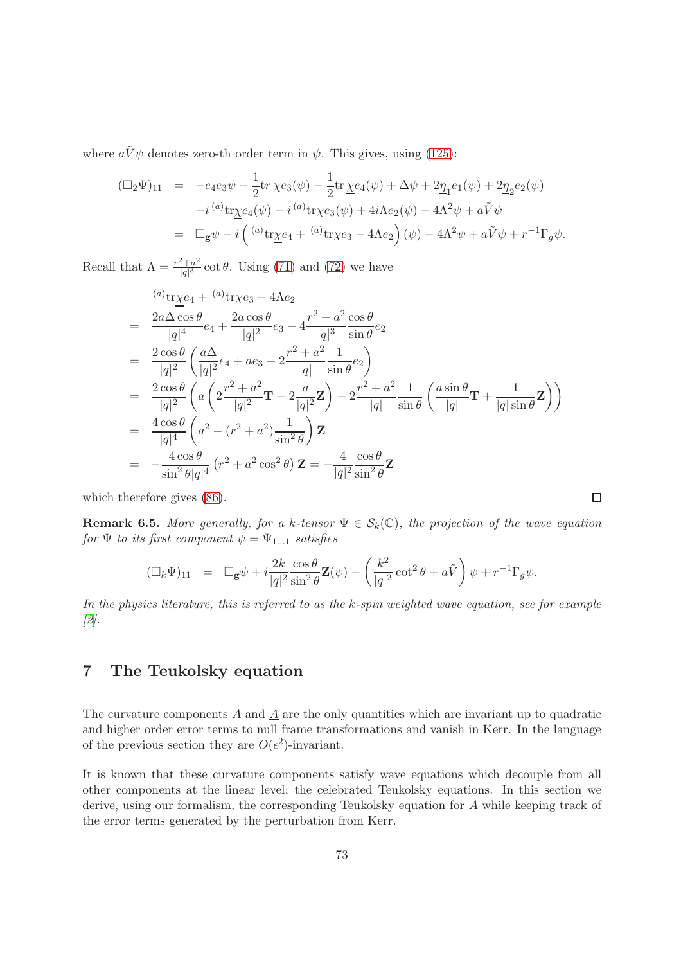where  $a\tilde{V}\psi$  denotes zero-th order term in  $\psi$ . This gives, using [\(125\)](#page-109-0):

$$
\begin{array}{rcl}\n(\Box_2 \Psi)_{11} & = & -e_4 e_3 \psi - \frac{1}{2} \text{tr} \ \chi e_3(\psi) - \frac{1}{2} \text{tr} \ \chi e_4(\psi) + \Delta \psi + 2 \underline{\eta}_1 e_1(\psi) + 2 \underline{\eta}_2 e_2(\psi) \\
&- i \,^{(a)} \text{tr} \chi e_4(\psi) - i \,^{(a)} \text{tr} \chi e_3(\psi) + 4i \Lambda e_2(\psi) - 4\Lambda^2 \psi + a \tilde{V} \psi \\
& = & \Box_g \psi - i \left( \,^{(a)} \text{tr} \chi e_4 + \,^{(a)} \text{tr} \chi e_3 - 4\Lambda e_2 \right)(\psi) - 4\Lambda^2 \psi + a \tilde{V} \psi + r^{-1} \Gamma_g \psi.\n\end{array}
$$

Recall that  $\Lambda = \frac{r^2 + a^2}{|a|^3}$  $\frac{d^2+a^2}{|q|^3} \cot \theta$ . Using [\(71\)](#page-58-0) and [\(72\)](#page-58-0) we have

$$
\begin{split}\n&= \frac{2a\Delta\cos\theta}{|q|^4}e_4 + \frac{2a\cos\theta}{|q|^2}e_3 - 4\frac{r^2 + a^2\cos\theta}{|q|^3\sin\theta}e_2 \\
&= \frac{2\cos\theta}{|q|^2}\left(\frac{a\Delta}{|q|^2}e_4 + ae_3 - 2\frac{r^2 + a^2}{|q|}\frac{1}{\sin\theta}e_2\right) \\
&= \frac{2\cos\theta}{|q|^2}\left(a\left(2\frac{r^2 + a^2}{|q|^2}\mathbf{T} + 2\frac{a}{|q|^2}\mathbf{Z}\right) - 2\frac{r^2 + a^2}{|q|}\frac{1}{\sin\theta}\left(\frac{a\sin\theta}{|q|}\mathbf{T} + \frac{1}{|q|\sin\theta}\mathbf{Z}\right)\right) \\
&= \frac{4\cos\theta}{|q|^4}\left(a^2 - (r^2 + a^2)\frac{1}{\sin^2\theta}\right)\mathbf{Z} \\
&= -\frac{4\cos\theta}{\sin^2\theta|q|^4}\left(r^2 + a^2\cos^2\theta\right)\mathbf{Z} = -\frac{4}{|q|^2}\frac{\cos\theta}{\sin^2\theta}\mathbf{Z}\n\end{split}
$$

which therefore gives [\(86\)](#page-71-0).

**Remark 6.5.** More generally, for a k-tensor  $\Psi \in S_k(\mathbb{C})$ , the projection of the wave equation for  $\Psi$  to its first component  $\psi = \Psi_{1...1}$  satisfies

 $\Box$ 

$$
(\Box_k \Psi)_{11} = \Box_g \psi + i \frac{2k}{|q|^2} \frac{\cos \theta}{\sin^2 \theta} \mathbf{Z}(\psi) - \left(\frac{k^2}{|q|^2} \cot^2 \theta + a\tilde{V}\right) \psi + r^{-1} \Gamma_g \psi.
$$

In the physics literature, this is referred to as the k-spin weighted wave equation, see for example [\[2\]](#page-137-0).

## 7 The Teukolsky equation

The curvature components  $A$  and  $\underline{A}$  are the only quantities which are invariant up to quadratic and higher order error terms to null frame transformations and vanish in Kerr. In the language of the previous section they are  $O(\epsilon^2)$ -invariant.

It is known that these curvature components satisfy wave equations which decouple from all other components at the linear level; the celebrated Teukolsky equations. In this section we derive, using our formalism, the corresponding Teukolsky equation for A while keeping track of the error terms generated by the perturbation from Kerr.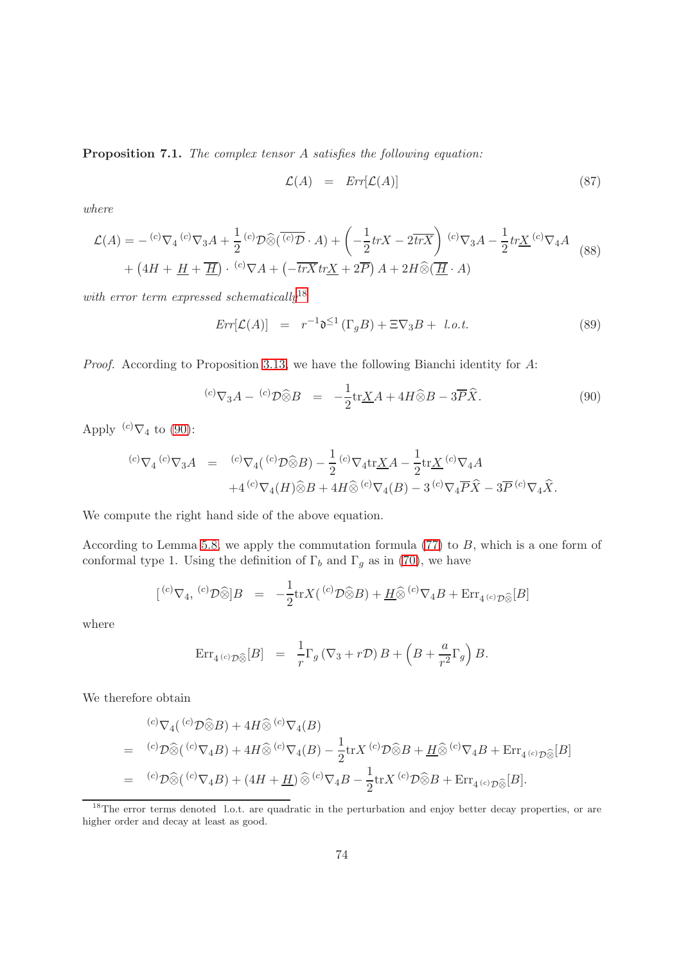<span id="page-73-3"></span>Proposition 7.1. The complex tensor A satisfies the following equation:

<span id="page-73-2"></span>
$$
\mathcal{L}(A) = Err[\mathcal{L}(A)] \tag{87}
$$

where

$$
\mathcal{L}(A) = - {}^{(c)}\nabla_4 {}^{(c)}\nabla_3 A + \frac{1}{2} {}^{(c)}\mathcal{D}\widehat{\otimes}(\overline{{}^{(c)}\mathcal{D}} \cdot A) + \left(-\frac{1}{2} trX - 2\overline{trX}\right) {}^{(c)}\nabla_3 A - \frac{1}{2} trX {}^{(c)}\nabla_4 A
$$
  
+ 
$$
\left(4H + \underline{H} + \overline{H}\right) \cdot {}^{(c)}\nabla A + \left(-\overline{trX} trX + 2\overline{P}\right)A + 2H\widehat{\otimes}(\overline{H} \cdot A)
$$
 (88)

with error term expressed schematically<sup>[18](#page-73-0)</sup>

$$
Err[\mathcal{L}(A)] = r^{-1}\mathfrak{d}^{\leq 1}(\Gamma_g B) + \Xi \nabla_3 B + l.o.t.
$$
\n(89)

Proof. According to Proposition [3.13,](#page-49-0) we have the following Bianchi identity for A:

<span id="page-73-1"></span>
$$
{}^{(c)}\nabla_3 A - {}^{(c)}\mathcal{D}\widehat{\otimes} B = -\frac{1}{2} \text{tr} \underline{X} A + 4H \widehat{\otimes} B - 3\overline{P} \widehat{X}.
$$
\n(90)

Apply  ${}^{(c)}\nabla_4$  to [\(90\)](#page-73-1):

$$
{}^{(c)}\nabla_4 {}^{(c)}\nabla_3 A = {}^{(c)}\nabla_4 ({}^{(c)}\mathcal{D}\widehat{\otimes}B) - \frac{1}{2} {}^{(c)}\nabla_4 \text{tr}\underline{X}A - \frac{1}{2} \text{tr}\underline{X} {}^{(c)}\nabla_4 A + 4 {}^{(c)}\nabla_4 (H)\widehat{\otimes}B + 4H\widehat{\otimes} {}^{(c)}\nabla_4 (B) - 3 {}^{(c)}\nabla_4 \overline{P}\widehat{X} - 3\overline{P} {}^{(c)}\nabla_4 \widehat{X}.
$$

We compute the right hand side of the above equation.

According to Lemma [5.8,](#page-62-0) we apply the commutation formula  $(77)$  to B, which is a one form of conformal type 1. Using the definition of  $\Gamma_b$  and  $\Gamma_g$  as in [\(70\)](#page-58-1), we have

$$
[{^{(c)}\nabla_4}, {^{(c)}\mathcal{D}}\widehat{\otimes}]B = -\frac{1}{2}\text{tr}X({^{(c)}\mathcal{D}}\widehat{\otimes}B) + \underline{H}\widehat{\otimes} {^{(c)}\nabla_4}B + \text{Err}_{4 {^{(c)}\mathcal{D}}\widehat{\otimes}}[B]
$$

where

$$
\operatorname{Err}_{4^{(c)}\mathcal{D}\widehat{\otimes}}[B] = \frac{1}{r}\Gamma_g(\nabla_3 + r\mathcal{D})B + \left(B + \frac{a}{r^2}\Gamma_g\right)B.
$$

We therefore obtain

$$
\begin{split}\n&^{(c)}\nabla_4(^{(c)}\mathcal{D}\widehat{\otimes}B) + 4H \widehat{\otimes}^{(c)}\nabla_4(B) \\
&= {}^{(c)}\mathcal{D}\widehat{\otimes} (^{(c)}\nabla_4B) + 4H \widehat{\otimes}^{(c)}\nabla_4(B) - \frac{1}{2}\text{tr}X^{(c)}\mathcal{D}\widehat{\otimes}B + \underline{H}\widehat{\otimes}^{(c)}\nabla_4B + \text{Err}_{4^{(c)}\mathcal{D}\widehat{\otimes}}[B] \\
&= {}^{(c)}\mathcal{D}\widehat{\otimes} (^{(c)}\nabla_4B) + (4H + \underline{H})\widehat{\otimes}^{(c)}\nabla_4B - \frac{1}{2}\text{tr}X^{(c)}\mathcal{D}\widehat{\otimes}B + \text{Err}_{4^{(c)}\mathcal{D}\widehat{\otimes}}[B].\n\end{split}
$$

<span id="page-73-0"></span><sup>&</sup>lt;sup>18</sup>The error terms denoted l.o.t. are quadratic in the perturbation and enjoy better decay properties, or are higher order and decay at least as good.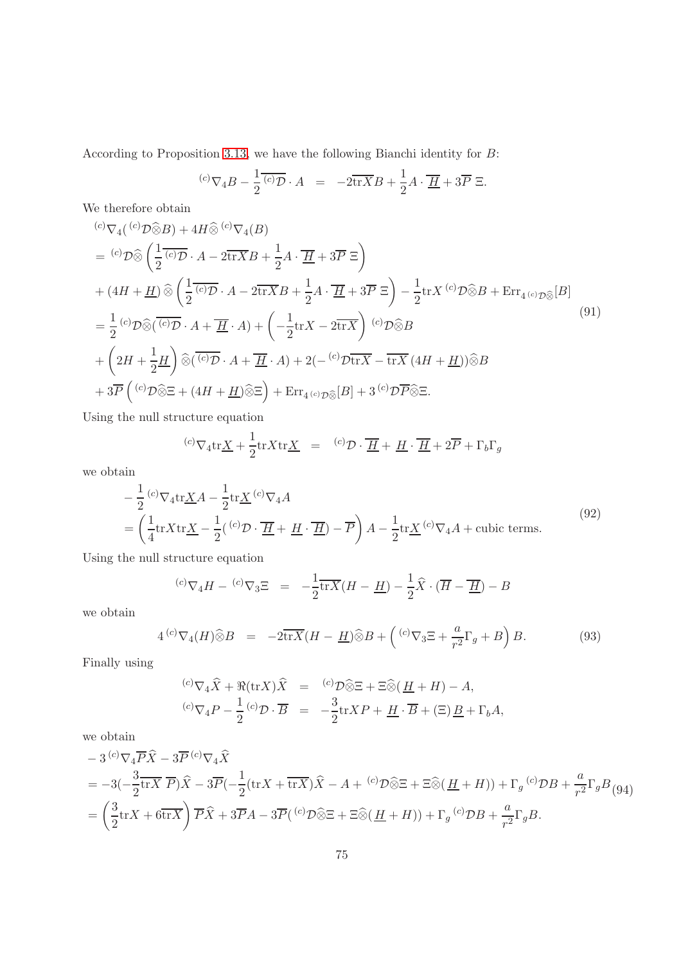According to Proposition [3.13,](#page-49-0) we have the following Bianchi identity for B:

$$
{}^{(c)}\nabla_4 B - \frac{1}{2} \overline{{}^{(c)}\mathcal{D}} \cdot A = -2\overline{\text{tr}X}B + \frac{1}{2}A \cdot \overline{\underline{H}} + 3\overline{P} \Xi.
$$

We therefore obtain

<span id="page-74-0"></span>
$$
(c) \nabla_4 (c) \nabla_4 (c) \nabla_4 (E) \\
= (c) \nabla_4 \left( \frac{1}{2} \overline{(c)} \mathcal{D} \cdot A - 2 \overline{\text{tr} X} B + \frac{1}{2} A \cdot \overline{H} + 3 \overline{P} \Xi \right) \\
+ (4H + \underline{H}) \hat{\otimes} \left( \frac{1}{2} \overline{(c)} \mathcal{D} \cdot A - 2 \overline{\text{tr} X} B + \frac{1}{2} A \cdot \overline{H} + 3 \overline{P} \Xi \right) - \frac{1}{2} \text{tr} X^{(c)} \mathcal{D} \hat{\otimes} B + \text{Err}_{4(c) \mathcal{D} \hat{\otimes}} [B] \\
= \frac{1}{2} (c) \mathcal{D} \hat{\otimes} (\overline{(c)} \mathcal{D} \cdot A + \overline{H} \cdot A) + \left( -\frac{1}{2} \text{tr} X - 2 \overline{\text{tr} X} \right) (c) \mathcal{D} \hat{\otimes} B \\
+ \left( 2H + \frac{1}{2} \underline{H} \right) \hat{\otimes} (\overline{c} \partial \overline{D} \cdot A + \overline{H} \cdot A) + 2(- \overline{c} \partial \overline{\text{tr} X} - \overline{\text{tr} X} (4H + \underline{H}) ) \hat{\otimes} B \\
+ 3\overline{P} \left( \overline{(c)} \mathcal{D} \hat{\otimes} \Xi + (4H + \underline{H}) \hat{\otimes} \Xi \right) + \text{Err}_{4(c) \mathcal{D} \hat{\otimes}} [B] + 3 \overline{(c)} \mathcal{D} \overline{P} \hat{\otimes} \Xi.
$$
\n
$$
(91)
$$

Using the null structure equation

$$
{}^{(c)}\nabla_4 \text{tr}\underline{X} + \frac{1}{2} \text{tr}X \text{tr}\underline{X} = {}^{(c)}\mathcal{D} \cdot \overline{\underline{H}} + \underline{H} \cdot \overline{\underline{H}} + 2\overline{P} + \Gamma_b \Gamma_g
$$

we obtain

<span id="page-74-1"></span>
$$
-\frac{1}{2}^{(c)}\nabla_4 \text{tr}\underline{X}A - \frac{1}{2} \text{tr}\underline{X}^{(c)}\nabla_4 A
$$
  
= 
$$
\left(\frac{1}{4} \text{tr}X \text{tr}\underline{X} - \frac{1}{2}({}^{(c)}\mathcal{D}\cdot\overline{\underline{H}} + \underline{H}\cdot\overline{\underline{H}}) - \overline{P}\right)A - \frac{1}{2} \text{tr}\underline{X}^{(c)}\nabla_4 A + \text{cubic terms.}
$$
 (92)

Using the null structure equation

$$
{}^{(c)}\nabla_4 H - {}^{(c)}\nabla_3 \Xi = -\frac{1}{2} \overline{\text{tr}X}(H - \underline{H}) - \frac{1}{2}\widehat{X} \cdot (\overline{H} - \overline{H}) - B
$$

we obtain

<span id="page-74-2"></span>
$$
4^{(c)}\nabla_4(H)\widehat{\otimes}B = -2\overline{\text{tr}X}(H - \underline{H})\widehat{\otimes}B + ({}^{(c)}\nabla_3\Xi + \frac{a}{r^2}\Gamma_g + B)B. \tag{93}
$$

Finally using

$$
{}^{(c)}\nabla_4 \hat{X} + \Re(\text{tr}X)\hat{X} = {}^{(c)}\mathcal{D}\hat{\otimes}\Xi + \Xi\hat{\otimes}(\underline{H} + H) - A,
$$
  

$$
{}^{(c)}\nabla_4 P - \frac{1}{2}{}^{(c)}\mathcal{D}\cdot\overline{B} = -\frac{3}{2}\text{tr}XP + \underline{H}\cdot\overline{B} + (\Xi)\underline{B} + \Gamma_bA,
$$

we obtain

<span id="page-74-3"></span>
$$
- 3 {^{(c)}} \nabla_4 \overline{P} \hat{X} - 3 \overline{P} {^{(c)}} \nabla_4 \hat{X}
$$
  
=  $-3(-\frac{3}{2} \text{tr} \overline{X} \ \overline{P}) \hat{X} - 3 \overline{P}(-\frac{1}{2} (\text{tr} X + \overline{\text{tr} X}) \hat{X} - A + {^{(c)}} \mathcal{D} \widehat{\otimes} \Xi + \Xi \widehat{\otimes} (\underline{H} + H)) + \Gamma_g {^{(c)}} \mathcal{D}B + \frac{a}{r^2} \Gamma_g B$   
=  $(\frac{3}{2} \text{tr} X + 6 \text{tr} \overline{X}) \overline{P} \hat{X} + 3 \overline{P} A - 3 \overline{P}({^{(c)}} \mathcal{D} \widehat{\otimes} \Xi + \Xi \widehat{\otimes} (\underline{H} + H)) + \Gamma_g {^{(c)}} \mathcal{D}B + \frac{a}{r^2} \Gamma_g B.$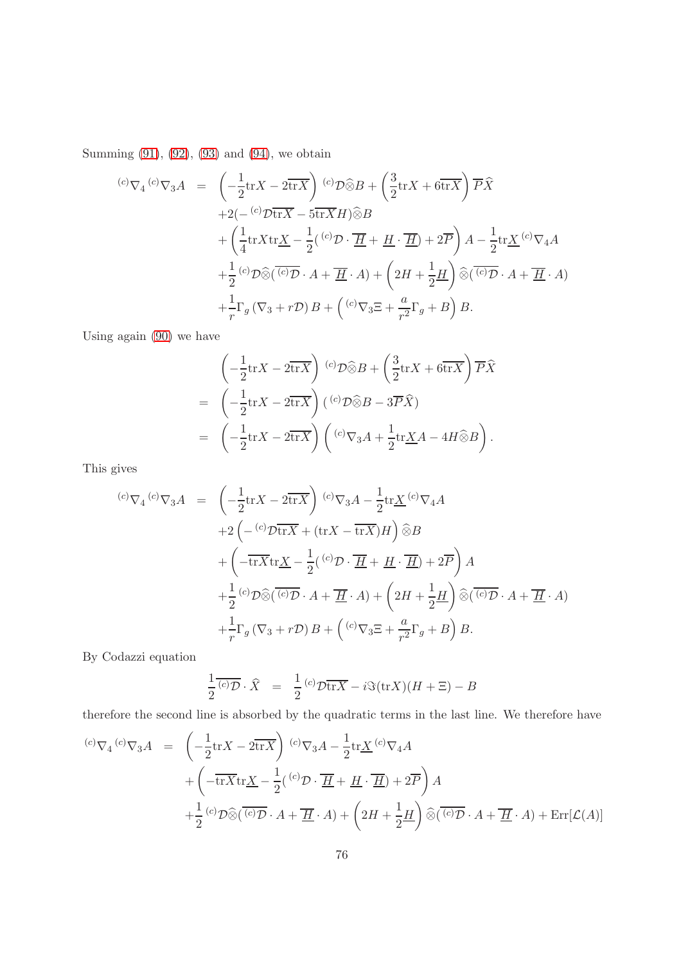Summing [\(91\)](#page-74-0), [\(92\)](#page-74-1), [\(93\)](#page-74-2) and [\(94\)](#page-74-3), we obtain

$$
\begin{array}{lll}\n^{(c)}\nabla_4 \,^{(c)}\nabla_3 A &=& \left(-\frac{1}{2}\text{tr}X - 2\overline{\text{tr}X}\right) \,^{(c)}\mathcal{D}\widehat{\otimes}B + \left(\frac{3}{2}\text{tr}X + 6\overline{\text{tr}X}\right)\overline{P}\widehat{X} \\
& &+ 2\left(-\,^{(c)}\mathcal{D}\overline{\text{tr}X} - 5\overline{\text{tr}X}H\right)\widehat{\otimes}B \\
&+ \left(\frac{1}{4}\text{tr}X\text{tr}\underline{X} - \frac{1}{2}\left(\,^{(c)}\mathcal{D}\cdot\overline{\underline{H}} + \underline{H}\cdot\overline{\underline{H}}\right) + 2\overline{P}\right)A - \frac{1}{2}\text{tr}\underline{X}\,^{(c)}\nabla_4A \\
&+ \frac{1}{2}\left(\,^{(c)}\mathcal{D}\widehat{\otimes}\left(\overline{\,\mathcal{C}}\right)\overline{\mathcal{D}}\cdot A + \overline{\underline{H}}\cdot A\right) + \left(2H + \frac{1}{2}\underline{H}\right)\widehat{\otimes}\left(\overline{\,\mathcal{C}}\right)\overline{\mathcal{D}}\cdot A + \overline{\underline{H}}\cdot A) \\
&+ \frac{1}{r}\Gamma_g\left(\nabla_3 + r\mathcal{D}\right)B + \left(\,^{(c)}\nabla_3\Xi + \frac{a}{r^2}\Gamma_g + B\right)B.\n\end{array}
$$

Using again [\(90\)](#page-73-1) we have

$$
\begin{aligned}\n&\left(-\frac{1}{2}\text{tr}X - 2\overline{\text{tr}X}\right) \,^{(c)}\mathcal{D}\widehat{\otimes}B + \left(\frac{3}{2}\text{tr}X + 6\overline{\text{tr}X}\right)\overline{P}\widehat{X} \\
&= \left(-\frac{1}{2}\text{tr}X - 2\overline{\text{tr}X}\right) \left(^{(c)}\mathcal{D}\widehat{\otimes}B - 3\overline{P}\widehat{X}\right) \\
&= \left(-\frac{1}{2}\text{tr}X - 2\overline{\text{tr}X}\right) \left(^{(c)}\nabla_3A + \frac{1}{2}\text{tr}\underline{X}A - 4H\widehat{\otimes}B\right).\n\end{aligned}
$$

This gives

$$
{}^{(c)}\nabla_4 {}^{(c)}\nabla_3 A = \left(-\frac{1}{2} \text{tr} X - 2 \overline{\text{tr} X}\right) {}^{(c)}\nabla_3 A - \frac{1}{2} \text{tr} \underline{X} {}^{(c)}\nabla_4 A
$$
  
+2\left(-\frac{c}{2} \overline{\text{tr} X} + (\text{tr} X - \overline{\text{tr} X}) H\right) \widehat{\otimes} B  
+ \left(-\overline{\text{tr} X} \text{tr} \underline{X} - \frac{1}{2} ({}^{(c)}\mathcal{D} \cdot \overline{\underline{H}} + \underline{H} \cdot \overline{\underline{H}}) + 2\overline{P}\right) A  
+ \frac{1}{2} {}^{(c)}\mathcal{D} \widehat{\otimes} (\overline{{}^{(c)}\mathcal{D}} \cdot A + \overline{\underline{H}} \cdot A) + \left(2H + \frac{1}{2} \underline{H}\right) \widehat{\otimes} (\overline{{}^{(c)}\mathcal{D}} \cdot A + \overline{\underline{H}} \cdot A)  
+ \frac{1}{r} \Gamma\_g (\nabla\_3 + r\mathcal{D}) B + ({}^{(c)}\nabla\_3 \Xi + \frac{a}{r^2} \Gamma\_g + B) B.

By Codazzi equation

$$
\frac{1}{2} \overline{(c)} \mathcal{D} \cdot \widehat{X} = \frac{1}{2} \overline{(c)} \mathcal{D} \overline{\text{tr}X} - i \Im(\text{tr}X)(H + \Xi) - B
$$

therefore the second line is absorbed by the quadratic terms in the last line. We therefore have

$$
{}^{(c)}\nabla_4 {}^{(c)}\nabla_3 A = \left(-\frac{1}{2}\text{tr}X - 2\overline{\text{tr}X}\right) {}^{(c)}\nabla_3 A - \frac{1}{2}\text{tr}\underline{X} {}^{(c)}\nabla_4 A + \left(-\overline{\text{tr}X}\text{tr}\underline{X} - \frac{1}{2}({}^{(c)}\mathcal{D} \cdot \overline{\underline{H}} + \underline{H} \cdot \overline{\underline{H}}) + 2\overline{P}\right) A + \frac{1}{2} {}^{(c)}\mathcal{D}\widehat{\otimes}(\overline{{}^{(c)}\mathcal{D}} \cdot A + \overline{\underline{H}} \cdot A) + \left(2H + \frac{1}{2}\underline{H}\right)\widehat{\otimes}(\overline{{}^{(c)}\mathcal{D}} \cdot A + \overline{\underline{H}} \cdot A) + \text{Err}[\mathcal{L}(A)]
$$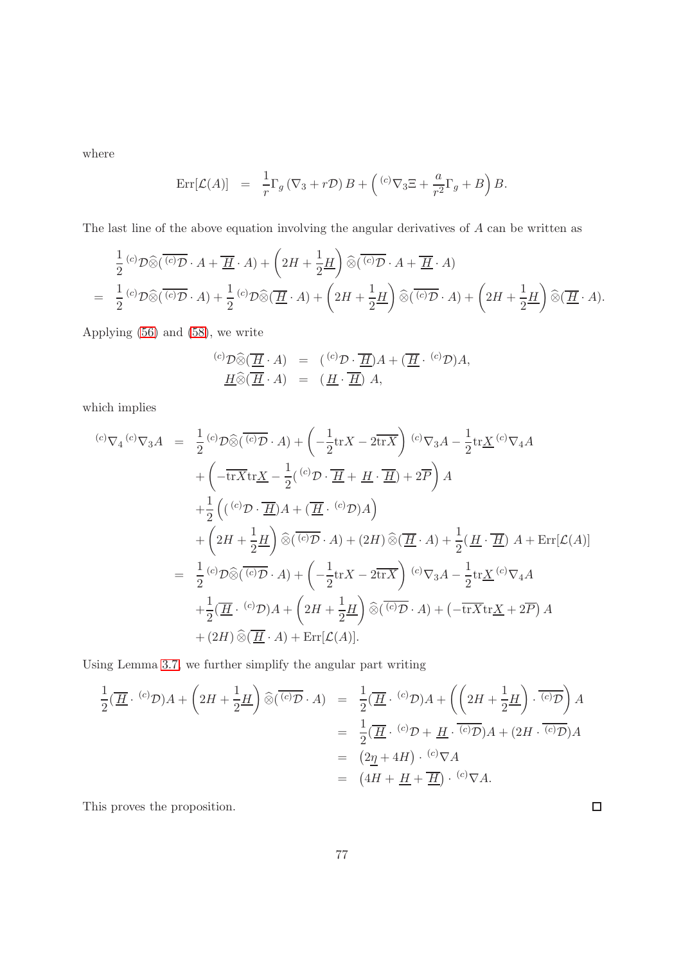where

$$
Err[\mathcal{L}(A)] = \frac{1}{r} \Gamma_g (\nabla_3 + r\mathcal{D}) B + (C^{\circ} \nabla_3 \Xi + \frac{a}{r^2} \Gamma_g + B) B.
$$

The last line of the above equation involving the angular derivatives of A can be written as

$$
\frac{1}{2} {^{(c)}\mathcal{D}} \widehat{\otimes} (\overline{{^{(c)}\mathcal{D}}} \cdot A + \overline{H} \cdot A) + \left(2H + \frac{1}{2}H\right) \widehat{\otimes} (\overline{{^{(c)}\mathcal{D}}} \cdot A + \overline{H} \cdot A) \n= \frac{1}{2} {^{(c)}\mathcal{D}} \widehat{\otimes} (\overline{{^{(c)}\mathcal{D}}} \cdot A) + \frac{1}{2} {^{(c)}\mathcal{D}} \widehat{\otimes} (\overline{H} \cdot A) + \left(2H + \frac{1}{2}H\right) \widehat{\otimes} (\overline{{^{(c)}\mathcal{D}}} \cdot A) + \left(2H + \frac{1}{2}H\right) \widehat{\otimes} (\overline{H} \cdot A).
$$

Applying [\(56\)](#page-39-0) and [\(58\)](#page-40-0), we write

$$
\begin{array}{rcl}\n^{(c)}\mathcal{D}\widehat{\otimes}(\overline{\underline{H}}\cdot A) & = & \left(^{(c)}\mathcal{D}\cdot\overline{\underline{H}}\right)A + (\overline{\underline{H}}\cdot\,^{(c)}\mathcal{D})A, \\
\overline{H}\widehat{\otimes}(\overline{\underline{H}}\cdot A) & = & \left(\underline{H}\cdot\overline{\underline{H}}\right)A,\n\end{array}
$$

which implies

$$
\begin{split}\n\text{(c)} \nabla_4 \text{ }^{(c)} \nabla_3 A &= \frac{1}{2} \text{ }^{(c)} \mathcal{D} \widehat{\otimes} (\overline{\text{ }^{(c)} \mathcal{D}} \cdot A) + \left( -\frac{1}{2} \text{tr} X - 2 \overline{\text{tr} X} \right) \text{ }^{(c)} \nabla_3 A - \frac{1}{2} \text{tr} \underline{X} \text{ }^{(c)} \nabla_4 A \\
&+ \left( -\overline{\text{tr} X} \text{tr} \underline{X} - \frac{1}{2} \text{ }^{(c)} \mathcal{D} \cdot \overline{\underline{H}} + \underline{H} \cdot \overline{\underline{H}} \right) + 2\overline{P} \right) A \\
&+ \frac{1}{2} \left( \left( \text{ }^{(c)} \mathcal{D} \cdot \overline{\underline{H}} \right) A + \left( \overline{\underline{H}} \cdot \text{ }^{(c)} \mathcal{D} \right) A \right) \\
&+ \left( 2H + \frac{1}{2} \underline{H} \right) \widehat{\otimes} (\overline{\text{ }^{(c)} \mathcal{D}} \cdot A) + (2H) \widehat{\otimes} (\overline{\underline{H}} \cdot A) + \frac{1}{2} (\underline{H} \cdot \overline{\underline{H}}) A + \text{Err}[\mathcal{L}(A)] \\
&= \frac{1}{2} \text{ }^{(c)} \mathcal{D} \widehat{\otimes} (\overline{\text{ }^{(c)} \mathcal{D}} \cdot A) + \left( -\frac{1}{2} \text{tr} X - 2 \overline{\text{tr} X} \right) \text{ }^{(c)} \nabla_3 A - \frac{1}{2} \text{tr} \underline{X} \text{ }^{(c)} \nabla_4 A \\
&+ \frac{1}{2} (\overline{H} \cdot \text{ }^{(c)} \mathcal{D}) A + \left( 2H + \frac{1}{2} \underline{H} \right) \widehat{\otimes} (\overline{\text{ }^{(c)} \mathcal{D}} \cdot A) + \left( -\overline{\text{tr} X} \text{tr} \underline{X} + 2\overline{P} \right) A \\
&+ (2H) \widehat{\otimes} (\overline{H} \cdot A) + \text{Err}[\mathcal{L}(A)].\n\end{split}
$$

Using Lemma [3.7,](#page-43-0) we further simplify the angular part writing

$$
\frac{1}{2}(\overline{H} \cdot {^{(c)}\mathcal{D}})A + \left(2H + \frac{1}{2}\underline{H}\right)\widehat{\otimes}(\overline{{^{(c)}\mathcal{D}}} \cdot A) = \frac{1}{2}(\overline{H} \cdot {^{(c)}\mathcal{D}})A + \left(\left(2H + \frac{1}{2}\underline{H}\right) \cdot \overline{{^{(c)}\mathcal{D}}}\right)A
$$
\n
$$
= \frac{1}{2}(\overline{H} \cdot {^{(c)}\mathcal{D}} + \underline{H} \cdot \overline{{^{(c)}\mathcal{D}}})A + (2H \cdot \overline{{^{(c)}\mathcal{D}}})A
$$
\n
$$
= (2\underline{\eta} + 4H) \cdot {^{(c)}\nabla}A
$$
\n
$$
= (4H + \underline{H} + \overline{H}) \cdot {^{(c)}\nabla}A.
$$

This proves the proposition.

 $\Box$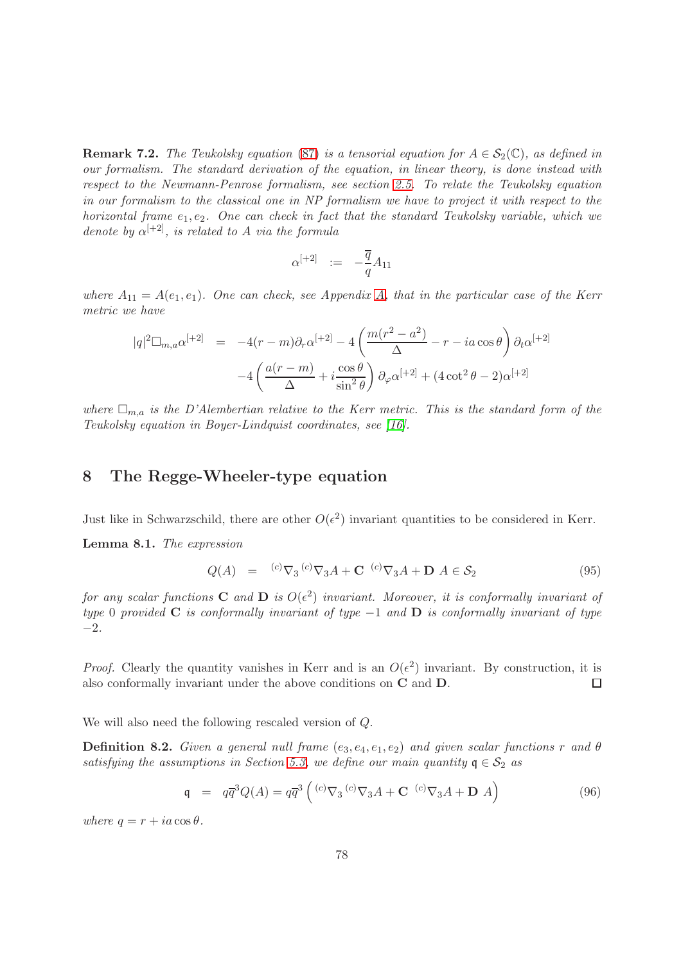**Remark 7.2.** The Teukolsky equation [\(87\)](#page-73-2) is a tensorial equation for  $A \in S_2(\mathbb{C})$ , as defined in our formalism. The standard derivation of the equation, in linear theory, is done instead with respect to the Newmann-Penrose formalism, see section [2.5.](#page-24-0) To relate the Teukolsky equation in our formalism to the classical one in NP formalism we have to project it with respect to the horizontal frame  $e_1, e_2$ . One can check in fact that the standard Teukolsky variable, which we denote by  $\alpha^{[+2]}$ , is related to A via the formula

$$
\alpha^{[+2]} \hspace{2mm} := \hspace{2mm} -\frac{\overline{q}}{q} A_{11}
$$

where  $A_{11} = A(e_1, e_1)$ . One can check, see Appendix [A,](#page-91-0) that in the particular case of the Kerr metric we have

$$
|q|^2 \Box_{m,a} \alpha^{[+2]} = -4(r-m)\partial_r \alpha^{[+2]} - 4\left(\frac{m(r^2 - a^2)}{\Delta} - r - ia\cos\theta\right)\partial_t \alpha^{[+2]} - 4\left(\frac{a(r-m)}{\Delta} + i\frac{\cos\theta}{\sin^2\theta}\right)\partial_\varphi \alpha^{[+2]} + (4\cot^2\theta - 2)\alpha^{[+2]}
$$

where  $\Box_{m,a}$  is the D'Alembertian relative to the Kerr metric. This is the standard form of the Teukolsky equation in Boyer-Lindquist coordinates, see [\[16\]](#page-138-0).

### 8 The Regge-Wheeler-type equation

<span id="page-77-1"></span>Just like in Schwarzschild, there are other  $O(\epsilon^2)$  invariant quantities to be considered in Kerr. Lemma 8.1. The expression

<span id="page-77-0"></span>
$$
Q(A) = {}^{(c)}\nabla_3 {}^{(c)}\nabla_3 A + \mathbf{C} {}^{(c)}\nabla_3 A + \mathbf{D} A \in \mathcal{S}_2
$$
\n(95)

for any scalar functions **C** and **D** is  $O(\epsilon^2)$  invariant. Moreover, it is conformally invariant of type 0 provided C is conformally invariant of type  $-1$  and D is conformally invariant of type −2.

*Proof.* Clearly the quantity vanishes in Kerr and is an  $O(\epsilon^2)$  invariant. By construction, it is also conformally invariant under the above conditions on C and D.  $\Box$ 

We will also need the following rescaled version of Q.

**Definition 8.2.** Given a general null frame  $(e_3, e_4, e_1, e_2)$  and given scalar functions r and  $\theta$ satisfying the assumptions in Section [5.3,](#page-57-0) we define our main quantity  $q \in S_2$  as

$$
\mathbf{q} = q\overline{q}^{3}Q(A) = q\overline{q}^{3}\left({}^{(c)}\nabla_{3}{}^{(c)}\nabla_{3}A + \mathbf{C}{}^{(c)}\nabla_{3}A + \mathbf{D}A\right)
$$
(96)

where  $q = r + ia \cos \theta$ .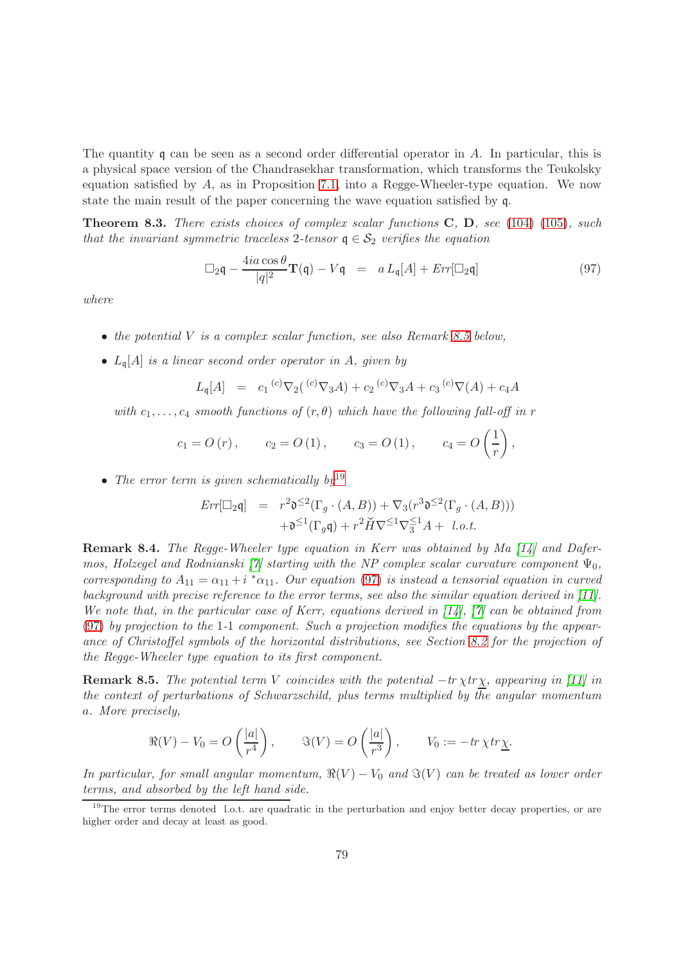The quantity q can be seen as a second order differential operator in A. In particular, this is a physical space version of the Chandrasekhar transformation, which transforms the Teukolsky equation satisfied by  $A$ , as in Proposition [7.1,](#page-73-3) into a Regge-Wheeler-type equation. We now state the main result of the paper concerning the wave equation satisfied by q.

<span id="page-78-3"></span>**Theorem 8.3.** There exists choices of complex scalar functions  $C$ ,  $D$ , see [\(104\)](#page-80-0) [\(105\)](#page-81-0), such that the invariant symmetric traceless 2-tensor  $q \in S_2$  verifies the equation

<span id="page-78-2"></span>
$$
\Box_2 \mathbf{q} - \frac{4ia\cos\theta}{|q|^2} \mathbf{T}(\mathbf{q}) - V\mathbf{q} = a L_{\mathbf{q}}[A] + Err[\Box_2 \mathbf{q}]
$$
\n(97)

where

- $\bullet$  the potential V is a complex scalar function, see also Remark [8.5](#page-78-0) below,
- $L_{\mathfrak{q}}[A]$  is a linear second order operator in A, given by

$$
L_{\mathfrak{q}}[A] = c_1 {}^{(c)}\nabla_2({}^{(c)}\nabla_3 A) + c_2 {}^{(c)}\nabla_3 A + c_3 {}^{(c)}\nabla(A) + c_4 A
$$

with  $c_1, \ldots, c_4$  smooth functions of  $(r, \theta)$  which have the following fall-off in r

$$
c_1 = O(r)
$$
,  $c_2 = O(1)$ ,  $c_3 = O(1)$ ,  $c_4 = O(\frac{1}{r})$ ,

• The error term is given schematically  $by^{19}$  $by^{19}$  $by^{19}$ 

$$
Err[\Box_2 \mathfrak{q}] = r^2 \mathfrak{d}^{\leq 2}(\Gamma_g \cdot (A, B)) + \nabla_3 (r^3 \mathfrak{d}^{\leq 2}(\Gamma_g \cdot (A, B)))
$$

$$
+ \mathfrak{d}^{\leq 1}(\Gamma_g \mathfrak{q}) + r^2 \check{H} \nabla^{\leq 1} \nabla_3^{\leq 1} A + l.o.t.
$$

Remark 8.4. The Regge-Wheeler type equation in Kerr was obtained by Ma [\[14\]](#page-138-1) and Dafer-mos, Holzegel and Rodnianski [\[7\]](#page-137-1) starting with the NP complex scalar curvature component  $\Psi_0$ , corresponding to  $A_{11} = \alpha_{11} + i * \alpha_{11}$ . Our equation [\(97\)](#page-78-2) is instead a tensorial equation in curved background with precise reference to the error terms, see also the similar equation derived in [\[11\]](#page-137-2). We note that, in the particular case of Kerr, equations derived in  $[14]$ ,  $[7]$  can be obtained from [\(97\)](#page-78-2) by projection to the 1-1 component. Such a projection modifies the equations by the appearance of Christoffel symbols of the horizontal distributions, see Section [8.2](#page-84-0) for the projection of the Regge-Wheeler type equation to its first component.

<span id="page-78-0"></span>**Remark 8.5.** The potential term V coincides with the potential  $-tr \chi tr \chi$ , appearing in [\[11\]](#page-137-2) in the context of perturbations of Schwarzschild, plus terms multiplied by the angular momentum a. More precisely,

$$
\Re(V) - V_0 = O\left(\frac{|a|}{r^4}\right), \qquad \Im(V) = O\left(\frac{|a|}{r^3}\right), \qquad V_0 := -\operatorname{tr} \chi \operatorname{tr} \underline{\chi}.
$$

In particular, for small angular momentum,  $\Re(V) - V_0$  and  $\Im(V)$  can be treated as lower order terms, and absorbed by the left hand side.

<span id="page-78-1"></span><sup>&</sup>lt;sup>19</sup>The error terms denoted l.o.t. are quadratic in the perturbation and enjoy better decay properties, or are higher order and decay at least as good.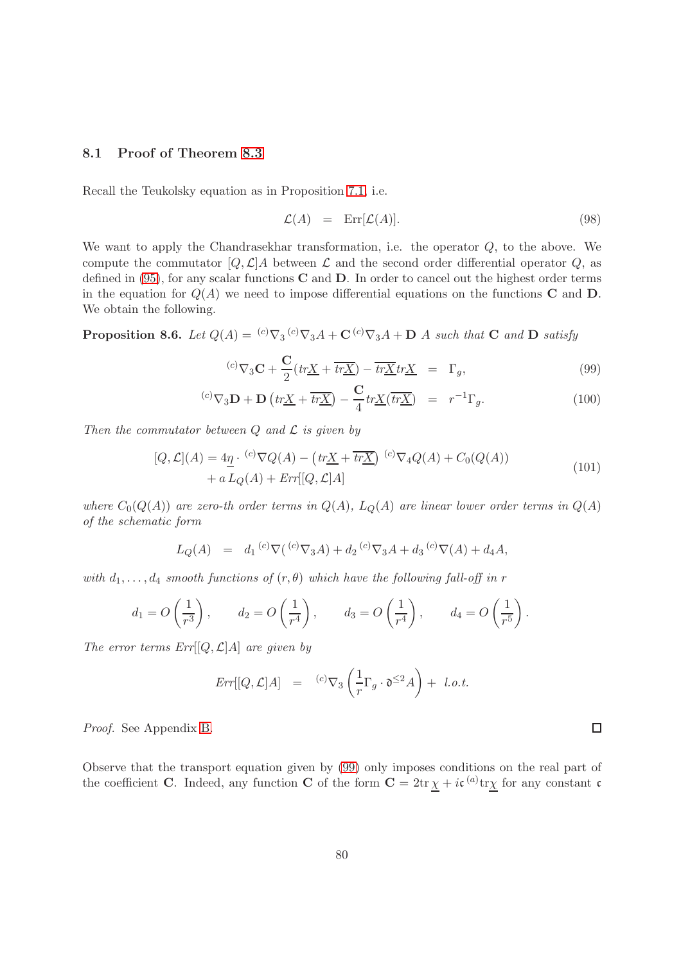#### 8.1 Proof of Theorem [8.3](#page-78-3)

Recall the Teukolsky equation as in Proposition [7.1,](#page-73-3) i.e.

<span id="page-79-2"></span>
$$
\mathcal{L}(A) = \operatorname{Err}[\mathcal{L}(A)]. \tag{98}
$$

We want to apply the Chandrasekhar transformation, i.e. the operator  $Q$ , to the above. We compute the commutator  $[Q, \mathcal{L}]$ A between  $\mathcal L$  and the second order differential operator  $Q$ , as defined in  $(95)$ , for any scalar functions **C** and **D**. In order to cancel out the highest order terms in the equation for  $Q(A)$  we need to impose differential equations on the functions **C** and **D**. We obtain the following.

<span id="page-79-1"></span>**Proposition 8.6.** Let  $Q(A) = {^{(c)}\nabla_3} {^{(c)}\nabla_3} A + \mathbf{C} {^{(c)}\nabla_3} A + \mathbf{D} A$  such that C and D satisfy

<span id="page-79-0"></span>
$$
{}^{(c)}\nabla_3 \mathbf{C} + \frac{\mathbf{C}}{2} \left( tr \underline{X} + \overline{tr \underline{X}} \right) - \overline{tr \underline{X}} tr \underline{X} = \Gamma_g,
$$
\n(99)

$$
^{(c)}\nabla_3 \mathbf{D} + \mathbf{D} \left( tr\underline{X} + \overline{tr\underline{X}} \right) - \frac{\mathbf{C}}{4} tr\underline{X} (\overline{tr\underline{X}}) = r^{-1} \Gamma_g. \tag{100}
$$

Then the commutator between  $Q$  and  $\mathcal L$  is given by

$$
[Q, \mathcal{L}](A) = 4\underline{\eta} \cdot {}^{(c)}\nabla Q(A) - \left( tr\underline{X} + \overline{tr\underline{X}} \right) {}^{(c)}\nabla_4 Q(A) + C_0(Q(A)) + a L_Q(A) + Err[[Q, \mathcal{L}]A]
$$
\n(101)

where  $C_0(Q(A))$  are zero-th order terms in  $Q(A)$ ,  $L_Q(A)$  are linear lower order terms in  $Q(A)$ of the schematic form

$$
L_Q(A) = d_1 {}^{(c)} \nabla ({}^{(c)} \nabla_3 A) + d_2 {}^{(c)} \nabla_3 A + d_3 {}^{(c)} \nabla (A) + d_4 A,
$$

with  $d_1, \ldots, d_4$  smooth functions of  $(r, \theta)$  which have the following fall-off in r

$$
d_1 = O\left(\frac{1}{r^3}\right)
$$
,  $d_2 = O\left(\frac{1}{r^4}\right)$ ,  $d_3 = O\left(\frac{1}{r^4}\right)$ ,  $d_4 = O\left(\frac{1}{r^5}\right)$ .

The error terms  $Err[[Q, \mathcal{L}]A]$  are given by

$$
Err[[Q,\mathcal{L}]A] = {}^{(c)}\nabla_3 \left(\frac{1}{r}\Gamma_g \cdot \mathfrak{d}^{\leq 2}A\right) + l.o.t.
$$

Proof. See Appendix [B.](#page-110-0)

Observe that the transport equation given by [\(99\)](#page-79-0) only imposes conditions on the real part of the coefficient C. Indeed, any function C of the form  $C = 2tr \chi + i\mathfrak{c}^{(a)}tr\chi$  for any constant c

 $\Box$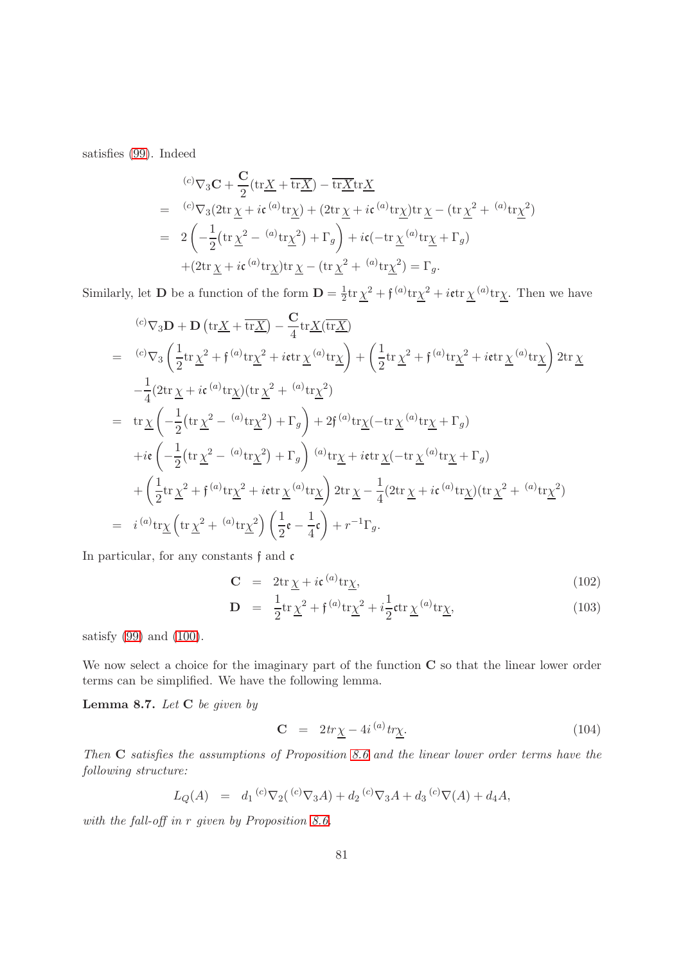satisfies [\(99\)](#page-79-0). Indeed

$$
\begin{split}\n&^{(c)}\nabla_3 \mathbf{C} + \frac{\mathbf{C}}{2} (\text{tr}\underline{X} + \overline{\text{tr}\underline{X}}) - \overline{\text{tr}\underline{X}} \text{tr}\underline{X} \\
&= \ {}^{(c)}\nabla_3 (2 \text{tr}\,\underline{\chi} + i\mathfrak{c} \, {}^{(a)}\text{tr}\underline{\chi}) + (2 \text{tr}\,\underline{\chi} + i\mathfrak{c} \, {}^{(a)}\text{tr}\underline{\chi}) \text{tr}\,\underline{\chi} - (\text{tr}\,\underline{\chi}^2 + {}^{(a)}\text{tr}\underline{\chi}^2) \\
&= 2 \left( -\frac{1}{2} (\text{tr}\,\underline{\chi}^2 - {}^{(a)}\text{tr}\underline{\chi}^2) + \Gamma_g \right) + i\mathfrak{c} (-\text{tr}\,\underline{\chi} \, {}^{(a)}\text{tr}\underline{\chi} + \Gamma_g) \\
&+ (2 \text{tr}\,\underline{\chi} + i\mathfrak{c} \, {}^{(a)}\text{tr}\underline{\chi}) \text{tr}\,\underline{\chi} - (\text{tr}\,\underline{\chi}^2 + {}^{(a)}\text{tr}\underline{\chi}^2) = \Gamma_g.\n\end{split}
$$

Similarly, let **D** be a function of the form  $D = \frac{1}{2}$  $\frac{1}{2} \text{tr} \underline{\chi}^2 + \mathfrak{f}^{(a)} \text{tr} \underline{\chi}^2 + i \mathfrak{e} \text{tr} \underline{\chi}^{(a)} \text{tr} \underline{\chi}.$  Then we have

$$
{}^{(c)}\nabla_{3}\mathbf{D} + \mathbf{D} (\text{tr}\underline{X} + \overline{\text{tr}\underline{X}}) - \frac{\mathbf{C}}{4} \text{tr}\underline{X}(\overline{\text{tr}\underline{X}})
$$
  
\n
$$
= {}^{(c)}\nabla_{3} \left( \frac{1}{2} \text{tr}\,\underline{\chi}^{2} + \mathfrak{f}^{(a)} \text{tr}\underline{\chi}^{2} + i \text{etr}\,\underline{\chi}^{(a)} \text{tr}\underline{\chi} \right) + \left( \frac{1}{2} \text{tr}\,\underline{\chi}^{2} + \mathfrak{f}^{(a)} \text{tr}\underline{\chi}^{2} + i \text{etr}\,\underline{\chi}^{(a)} \text{tr}\underline{\chi} \right) 2 \text{tr}\,\underline{\chi}^{2}
$$
  
\n
$$
- \frac{1}{4} (2 \text{tr}\,\underline{\chi} + i \mathfrak{c}^{(a)} \text{tr}\underline{\chi}) (\text{tr}\,\underline{\chi}^{2} + {}^{(a)} \text{tr}\underline{\chi}^{2})
$$
  
\n
$$
= \text{tr}\,\underline{\chi} \left( -\frac{1}{2} (\text{tr}\,\underline{\chi}^{2} - {}^{(a)} \text{tr}\underline{\chi}^{2}) + \Gamma_{g} \right) + 2 \mathfrak{f}^{(a)} \text{tr}\underline{\chi} (- \text{tr}\,\underline{\chi}^{(a)} \text{tr}\underline{\chi} + \Gamma_{g})
$$
  
\n
$$
+ i \mathfrak{e} \left( -\frac{1}{2} (\text{tr}\,\underline{\chi}^{2} - {}^{(a)} \text{tr}\underline{\chi}^{2}) + \Gamma_{g} \right) {}^{(a)} \text{tr}\underline{\chi} + i \text{etr}\,\underline{\chi} (- \text{tr}\,\underline{\chi}^{(a)} \text{tr}\underline{\chi} + \Gamma_{g})
$$
  
\n
$$
+ \left( \frac{1}{2} \text{tr}\,\underline{\chi}^{2} + \mathfrak{f}^{(a)} \text{tr}\underline{\chi}^{2} + i \text{etr}\,\underline{\chi}^{(a)} \text{tr}\underline{\chi} \right) 2 \text{tr}\,\underline{\chi} - \frac{1}{4} (2 \text{tr}\,\underline{\chi} + i \mathfrak{c}^{(a)} \text{tr}\underline{\chi}) (\text{tr}\,\underline
$$

In particular, for any constants f and c

$$
\mathbf{C} = 2\mathrm{tr}\,\underline{\chi} + i\mathfrak{c}^{(a)}\mathrm{tr}\underline{\chi},\tag{102}
$$

$$
\mathbf{D} = \frac{1}{2} \text{tr} \underline{\chi}^2 + \mathfrak{f}^{(a)} \text{tr} \underline{\chi}^2 + i \frac{1}{2} \text{tr} \underline{\chi}^{(a)} \text{tr} \underline{\chi}, \qquad (103)
$$

satisfy [\(99\)](#page-79-0) and [\(100\)](#page-79-0).

We now select a choice for the imaginary part of the function  $C$  so that the linear lower order terms can be simplified. We have the following lemma.

**Lemma 8.7.** Let  $C$  be given by

<span id="page-80-0"></span>
$$
\mathbf{C} = 2tr\underline{\chi} - 4i^{(a)}tr\underline{\chi}.
$$
 (104)

Then C satisfies the assumptions of Proposition [8.6](#page-79-1) and the linear lower order terms have the following structure:

$$
L_Q(A) = d_1^{(c)} \nabla_2({}^{(c)} \nabla_3 A) + d_2^{(c)} \nabla_3 A + d_3^{(c)} \nabla(A) + d_4 A,
$$

with the fall-off in r given by Proposition [8.6.](#page-79-1)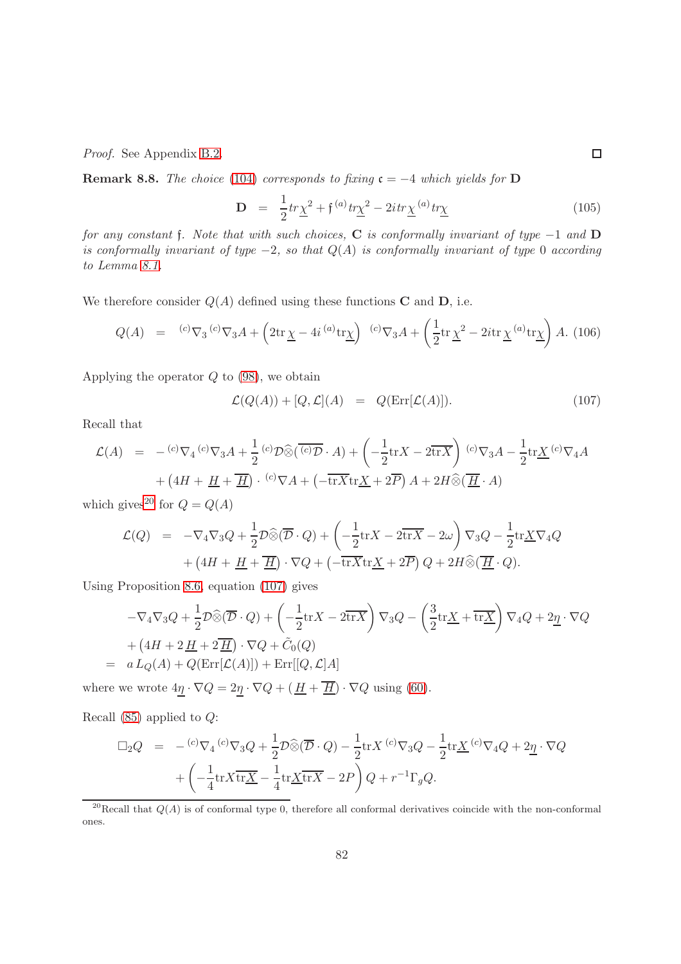Proof. See Appendix [B.2.](#page-133-0)

**Remark 8.8.** The choice [\(104\)](#page-80-0) corresponds to fixing  $c = -4$  which yields for D

<span id="page-81-0"></span>
$$
\mathbf{D} = \frac{1}{2}tr\underline{\chi}^2 + \mathfrak{f}^{(a)}tr\underline{\chi}^2 - 2itr\underline{\chi}^{(a)}tr\underline{\chi}
$$
 (105)

for any constant f. Note that with such choices, C is conformally invariant of type  $-1$  and D is conformally invariant of type  $-2$ , so that  $Q(A)$  is conformally invariant of type 0 according to Lemma [8.1.](#page-77-1)

We therefore consider  $Q(A)$  defined using these functions **C** and **D**, i.e.

$$
Q(A) = {}^{(c)}\nabla_3 {}^{(c)}\nabla_3 A + \left(2\mathrm{tr}\,\underline{\chi} - 4i \, {}^{(a)}\mathrm{tr}\underline{\chi}\right) {}^{(c)}\nabla_3 A + \left(\frac{1}{2}\mathrm{tr}\,\underline{\chi}^2 - 2i\mathrm{tr}\,\underline{\chi} {}^{(a)}\mathrm{tr}\underline{\chi}\right) A. \tag{106}
$$

Applying the operator  $Q$  to  $(98)$ , we obtain

<span id="page-81-2"></span>
$$
\mathcal{L}(Q(A)) + [Q, \mathcal{L}](A) = Q(\text{Err}[\mathcal{L}(A)]). \tag{107}
$$

Recall that

$$
\mathcal{L}(A) = - {^{(c)}\nabla_4} {^{(c)}\nabla_3} A + \frac{1}{2} {^{(c)}\mathcal{D}} \widehat{\otimes} \left( \overline{{^{(c)}\mathcal{D}}} \cdot A \right) + \left( -\frac{1}{2} \text{tr} X - 2 \overline{\text{tr} X} \right) {^{(c)}\nabla_3} A - \frac{1}{2} \text{tr} \underline{X} {^{(c)}\nabla_4} A
$$
  
+ \left( 4H + \underline{H} + \overline{\underline{H}} \right) \cdot {^{(c)}\nabla} A + \left( -\overline{\text{tr} X} \text{tr} \underline{X} + 2\overline{P} \right) A + 2H \widehat{\otimes} \left( \overline{\underline{H}} \cdot A \right)

which gives<sup>[20](#page-81-1)</sup> for  $Q = Q(A)$ 

$$
\mathcal{L}(Q) = -\nabla_4 \nabla_3 Q + \frac{1}{2} \mathcal{D} \widehat{\otimes} (\overline{\mathcal{D}} \cdot Q) + \left( -\frac{1}{2} \text{tr} X - 2 \overline{\text{tr} X} - 2\omega \right) \nabla_3 Q - \frac{1}{2} \text{tr} \underline{X} \nabla_4 Q
$$

$$
+ \left( 4H + \underline{H} + \overline{\underline{H}} \right) \cdot \nabla Q + \left( -\overline{\text{tr} X} \text{tr} \underline{X} + 2\overline{P} \right) Q + 2H \widehat{\otimes} (\overline{\underline{H}} \cdot Q).
$$

Using Proposition [8.6,](#page-79-1) equation [\(107\)](#page-81-2) gives

$$
-\nabla_4 \nabla_3 Q + \frac{1}{2} \mathcal{D} \widehat{\otimes} (\overline{\mathcal{D}} \cdot Q) + \left( -\frac{1}{2} \text{tr} X - 2 \overline{\text{tr} X} \right) \nabla_3 Q - \left( \frac{3}{2} \text{tr} \underline{X} + \overline{\text{tr} \underline{X}} \right) \nabla_4 Q + 2 \underline{\eta} \cdot \nabla Q
$$
  
+ 
$$
\left( 4H + 2 \underline{H} + 2 \underline{\overline{H}} \right) \cdot \nabla Q + \widetilde{C}_0(Q)
$$
  
=  $a L_Q(A) + Q(\text{Err}[\mathcal{L}(A)]) + \text{Err}[[Q, \mathcal{L}]A]$ 

where we wrote  $4\underline{\eta} \cdot \nabla Q = 2\underline{\eta} \cdot \nabla Q + (\underline{H} + \overline{\underline{H}}) \cdot \nabla Q$  using [\(60\)](#page-43-1).

Recall  $(85)$  applied to  $Q$ :

$$
\Box_2 Q = -\,^{(c)} \nabla_4 \, {^{(c)}} \nabla_3 Q + \frac{1}{2} \mathcal{D} \widehat{\otimes} (\overline{\mathcal{D}} \cdot Q) - \frac{1}{2} \text{tr} X \, {^{(c)}} \nabla_3 Q - \frac{1}{2} \text{tr} \underline{X} \, {^{(c)}} \nabla_4 Q + 2 \underline{\eta} \cdot \nabla Q
$$

$$
+ \left( -\frac{1}{4} \text{tr} X \overline{\text{tr} \underline{X}} - \frac{1}{4} \text{tr} \underline{X} \overline{\text{tr} X} - 2P \right) Q + r^{-1} \Gamma_g Q.
$$

<span id="page-81-1"></span><sup>20</sup>Recall that  $Q(A)$  is of conformal type 0, therefore all conformal derivatives coincide with the non-conformal ones.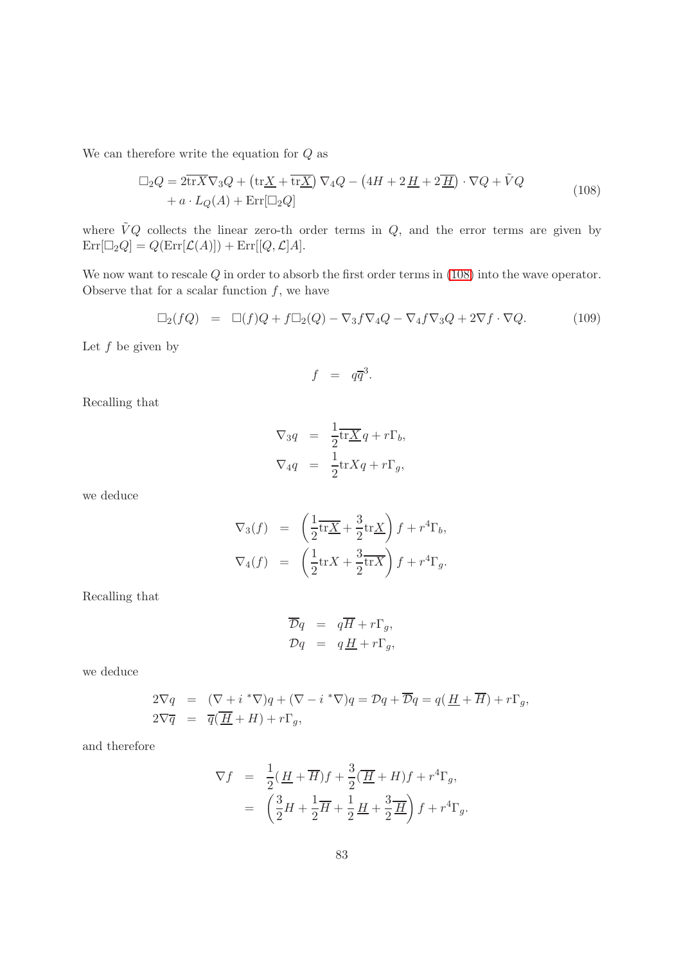We can therefore write the equation for  $Q$  as

<span id="page-82-0"></span>
$$
\Box_2 Q = 2\overline{\text{tr}X}\nabla_3 Q + (\text{tr}\underline{X} + \overline{\text{tr}\underline{X}})\nabla_4 Q - (4H + 2\underline{H} + 2\underline{H})\cdot \nabla Q + \tilde{V}Q + a \cdot L_Q(A) + \text{Err}[\Box_2 Q]
$$
\n(108)

where  $\tilde{V}Q$  collects the linear zero-th order terms in  $Q$ , and the error terms are given by  $\mathrm{Err}[\Box_2 Q] = Q(\mathrm{Err}[\mathcal{L}(A)]) + \mathrm{Err}[[Q, \mathcal{L}]A].$ 

We now want to rescale  $Q$  in order to absorb the first order terms in [\(108\)](#page-82-0) into the wave operator. Observe that for a scalar function  $f$ , we have

<span id="page-82-1"></span>
$$
\Box_2(fQ) = \Box(f)Q + f\Box_2(Q) - \nabla_3 f \nabla_4 Q - \nabla_4 f \nabla_3 Q + 2\nabla f \cdot \nabla Q. \tag{109}
$$

Let  $f$  be given by

$$
f = q\overline{q}^3.
$$

Recalling that

$$
\nabla_3 q = \frac{1}{2} \overline{\text{tr}\underline{X}} q + r \Gamma_b,
$$
  

$$
\nabla_4 q = \frac{1}{2} \text{tr} X q + r \Gamma_g,
$$

we deduce

$$
\nabla_3(f) = \left(\frac{1}{2}\overline{\text{tr}\underline{X}} + \frac{3}{2}\text{tr}\underline{X}\right)f + r^4\Gamma_b,
$$
  

$$
\nabla_4(f) = \left(\frac{1}{2}\text{tr}\underline{X} + \frac{3}{2}\overline{\text{tr}\underline{X}}\right)f + r^4\Gamma_g.
$$

Recalling that

$$
\overline{\mathcal{D}}q = q\overline{H} + r\Gamma_g,
$$
  

$$
\mathcal{D}q = q\underline{H} + r\Gamma_g,
$$

we deduce

$$
2\nabla q = (\nabla + i * \nabla)q + (\nabla - i * \nabla)q = \mathcal{D}q + \overline{\mathcal{D}}q = q(\underline{H} + \overline{H}) + r\Gamma_g,
$$
  

$$
2\nabla \overline{q} = \overline{q}(\overline{H} + H) + r\Gamma_g,
$$

and therefore

$$
\nabla f = \frac{1}{2}(\underline{H} + \overline{H})f + \frac{3}{2}(\overline{H} + H)f + r^4\Gamma_g,
$$
  

$$
= \left(\frac{3}{2}H + \frac{1}{2}\overline{H} + \frac{1}{2}\underline{H} + \frac{3}{2}\overline{H}\right)f + r^4\Gamma_g.
$$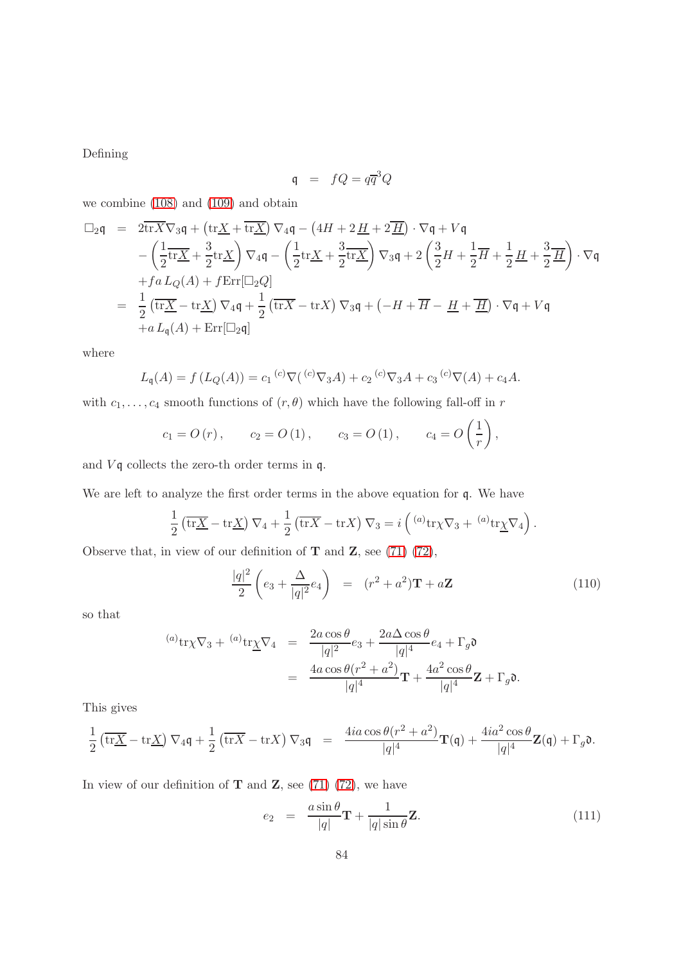Defining

$$
\mathfrak{q} = fQ = q\overline{q}^3Q
$$

we combine [\(108\)](#page-82-0) and [\(109\)](#page-82-1) and obtain

$$
\Box_2 \mathbf{q} = 2\overline{\mathrm{tr}X}\nabla_3 \mathbf{q} + (\mathrm{tr}\underline{X} + \overline{\mathrm{tr}\underline{X}}) \nabla_4 \mathbf{q} - (4H + 2\underline{H} + 2\underline{H}) \cdot \nabla \mathbf{q} + V\mathbf{q}
$$
  
\n
$$
- \left(\frac{1}{2}\overline{\mathrm{tr}\underline{X}} + \frac{3}{2}\mathrm{tr}\underline{X}\right) \nabla_4 \mathbf{q} - \left(\frac{1}{2}\mathrm{tr}\underline{X} + \frac{3}{2}\overline{\mathrm{tr}\underline{X}}\right) \nabla_3 \mathbf{q} + 2\left(\frac{3}{2}H + \frac{1}{2}\overline{H} + \frac{1}{2}\underline{H} + \frac{3}{2}\overline{H}\right) \cdot \nabla \mathbf{q}
$$
  
\n
$$
+ fa L_Q(A) + f \operatorname{Err}[\Box_2 Q]
$$
  
\n
$$
= \frac{1}{2} \left(\overline{\mathrm{tr}\underline{X}} - \mathrm{tr}\underline{X}\right) \nabla_4 \mathbf{q} + \frac{1}{2} \left(\overline{\mathrm{tr}X} - \mathrm{tr}X\right) \nabla_3 \mathbf{q} + \left(-H + \overline{H} - \underline{H} + \overline{H}\right) \cdot \nabla \mathbf{q} + V\mathbf{q}
$$
  
\n
$$
+ a L_{\mathbf{q}}(A) + \operatorname{Err}[\Box_2 \mathbf{q}]
$$

where

$$
L_{\mathfrak{q}}(A) = f(L_{Q}(A)) = c_{1}^{(c)} \nabla({}^{(c)} \nabla_{3} A) + c_{2}^{(c)} \nabla_{3} A + c_{3}^{(c)} \nabla(A) + c_{4} A.
$$

with  $c_1, \ldots, c_4$  smooth functions of  $(r, \theta)$  which have the following fall-off in r

$$
c_1 = O(r)
$$
,  $c_2 = O(1)$ ,  $c_3 = O(1)$ ,  $c_4 = O(\frac{1}{r})$ ,

and  $V\mathfrak{q}$  collects the zero-th order terms in  $\mathfrak{q}$ .

We are left to analyze the first order terms in the above equation for q. We have

$$
\frac{1}{2} \left( \overline{\text{tr}\underline{X}} - \text{tr}\underline{X} \right) \nabla_4 + \frac{1}{2} \left( \overline{\text{tr}X} - \text{tr}X \right) \nabla_3 = i \left( \binom{a}{x} \text{tr}\nabla_3 + \binom{a}{x} \text{tr}\nabla_4 \right).
$$

Observe that, in view of our definition of  $T$  and  $Z$ , see [\(71\) \(72\)](#page-58-0),

$$
\frac{|q|^2}{2} \left( e_3 + \frac{\Delta}{|q|^2} e_4 \right) = (r^2 + a^2) \mathbf{T} + a \mathbf{Z}
$$
 (110)

so that

$$
\begin{array}{rcl}\n^{(a)}\text{tr}\chi\nabla_{3} + \ ^{(a)}\text{tr}\underline{\chi}\nabla_{4} & = & \frac{2a\cos\theta}{|q|^{2}}e_{3} + \frac{2a\Delta\cos\theta}{|q|^{4}}e_{4} + \Gamma_{g}\mathfrak{d} \\
& = & \frac{4a\cos\theta(r^{2} + a^{2})}{|q|^{4}}\mathbf{T} + \frac{4a^{2}\cos\theta}{|q|^{4}}\mathbf{Z} + \Gamma_{g}\mathfrak{d}.\n\end{array}
$$

This gives

$$
\frac{1}{2}\left(\overline{\mathrm{tr}\underline{X}}-\mathrm{tr}\underline{X}\right)\nabla_4\mathfrak{q}+\frac{1}{2}\left(\overline{\mathrm{tr}X}-\mathrm{tr}X\right)\nabla_3\mathfrak{q} \;\;=\;\; \frac{4ia\cos\theta(r^2+a^2)}{|q|^4}\mathbf{T}(\mathfrak{q})+\frac{4ia^2\cos\theta}{|q|^4}\mathbf{Z}(\mathfrak{q})+\Gamma_g\mathfrak{d}.
$$

In view of our definition of  $T$  and  $Z$ , see [\(71\) \(72\)](#page-58-0), we have

$$
e_2 = \frac{a \sin \theta}{|q|} \mathbf{T} + \frac{1}{|q| \sin \theta} \mathbf{Z}.
$$
 (111)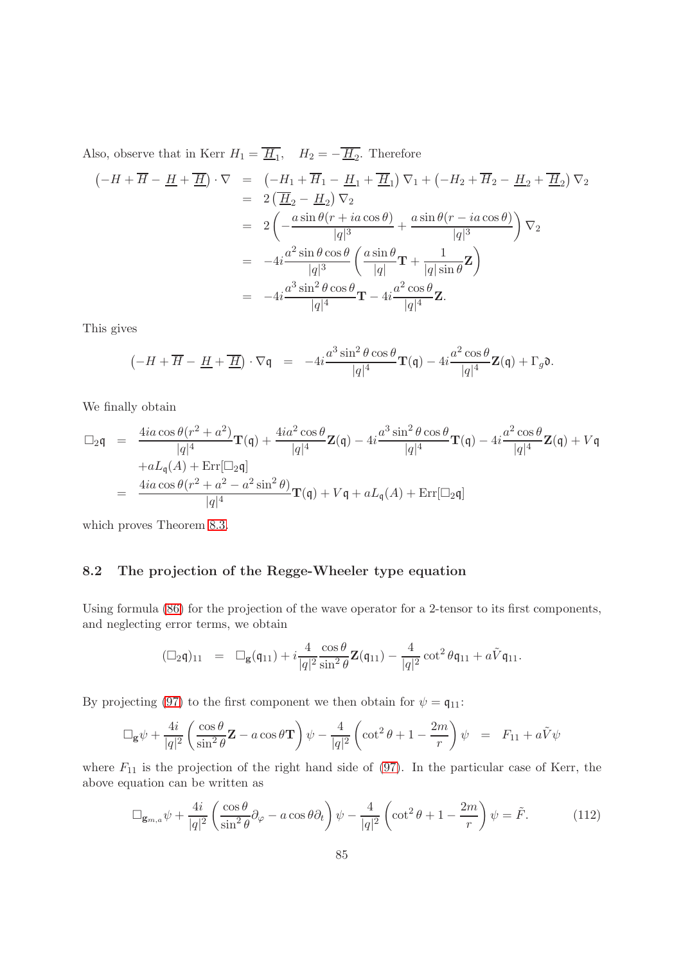Also, observe that in Kerr  $H_1 = \underline{H}_1$ ,  $H_2 = -\underline{H}_2$ . Therefore

$$
\begin{aligned}\n\left(-H + \overline{H} - \underline{H} + \overline{\underline{H}}\right) \cdot \nabla &= \left(-H_1 + \overline{H}_1 - \underline{H}_1 + \overline{\underline{H}}_1\right) \nabla_1 + \left(-H_2 + \overline{H}_2 - \underline{H}_2 + \overline{\underline{H}}_2\right) \nabla_2 \\
&= 2\left(\underline{\overline{H}}_2 - \underline{H}_2\right) \nabla_2 \\
&= 2\left(-\frac{a \sin \theta (r + ia \cos \theta)}{|q|^3} + \frac{a \sin \theta (r - ia \cos \theta)}{|q|^3}\right) \nabla_2 \\
&= -4i \frac{a^2 \sin \theta \cos \theta}{|q|^3} \left(\frac{a \sin \theta}{|q|} \mathbf{T} + \frac{1}{|q| \sin \theta} \mathbf{Z}\right) \\
&= -4i \frac{a^3 \sin^2 \theta \cos \theta}{|q|^4} \mathbf{T} - 4i \frac{a^2 \cos \theta}{|q|^4} \mathbf{Z}.\n\end{aligned}
$$

This gives

$$
\left(-H+\overline{H}-\underline{H}+\overline{H}\right)\cdot\nabla\mathfrak{q} = -4i\frac{a^3\sin^2\theta\cos\theta}{|q|^4}\mathbf{T}(\mathfrak{q}) - 4i\frac{a^2\cos\theta}{|q|^4}\mathbf{Z}(\mathfrak{q}) + \Gamma_g\mathfrak{d}.
$$

We finally obtain

$$
\Box_2 \mathfrak{q} = \frac{4ia \cos \theta (r^2 + a^2)}{|q|^4} \mathbf{T}(\mathfrak{q}) + \frac{4ia^2 \cos \theta}{|q|^4} \mathbf{Z}(\mathfrak{q}) - 4i \frac{a^3 \sin^2 \theta \cos \theta}{|q|^4} \mathbf{T}(\mathfrak{q}) - 4i \frac{a^2 \cos \theta}{|q|^4} \mathbf{Z}(\mathfrak{q}) + V\mathfrak{q}
$$
  
+ aL<sub>q</sub>(A) + Err[\Box\_2 \mathfrak{q}]  
= 
$$
\frac{4ia \cos \theta (r^2 + a^2 - a^2 \sin^2 \theta)}{|q|^4} \mathbf{T}(\mathfrak{q}) + V\mathfrak{q} + aL_{\mathfrak{q}}(A) + Err[\Box_2 \mathfrak{q}]
$$

<span id="page-84-0"></span>which proves Theorem [8.3.](#page-78-3)

#### 8.2 The projection of the Regge-Wheeler type equation

Using formula [\(86\)](#page-71-0) for the projection of the wave operator for a 2-tensor to its first components, and neglecting error terms, we obtain

$$
(\Box_2 \mathfrak{q})_{11} = \Box_g(\mathfrak{q}_{11}) + i \frac{4}{|q|^2} \frac{\cos \theta}{\sin^2 \theta} \mathbf{Z}(\mathfrak{q}_{11}) - \frac{4}{|q|^2} \cot^2 \theta \mathfrak{q}_{11} + a\tilde{V}\mathfrak{q}_{11}.
$$

By projecting [\(97\)](#page-78-2) to the first component we then obtain for  $\psi = \mathfrak{q}_{11}$ :

$$
\Box_{\mathbf{g}} \psi + \frac{4i}{|q|^2} \left( \frac{\cos \theta}{\sin^2 \theta} \mathbf{Z} - a \cos \theta \mathbf{T} \right) \psi - \frac{4}{|q|^2} \left( \cot^2 \theta + 1 - \frac{2m}{r} \right) \psi = F_{11} + a\tilde{V}\psi
$$

where  $F_{11}$  is the projection of the right hand side of [\(97\)](#page-78-2). In the particular case of Kerr, the above equation can be written as

<span id="page-84-1"></span>
$$
\Box_{\mathbf{g}_{m,a}} \psi + \frac{4i}{|q|^2} \left( \frac{\cos \theta}{\sin^2 \theta} \partial_{\varphi} - a \cos \theta \partial_t \right) \psi - \frac{4}{|q|^2} \left( \cot^2 \theta + 1 - \frac{2m}{r} \right) \psi = \tilde{F}.
$$
 (112)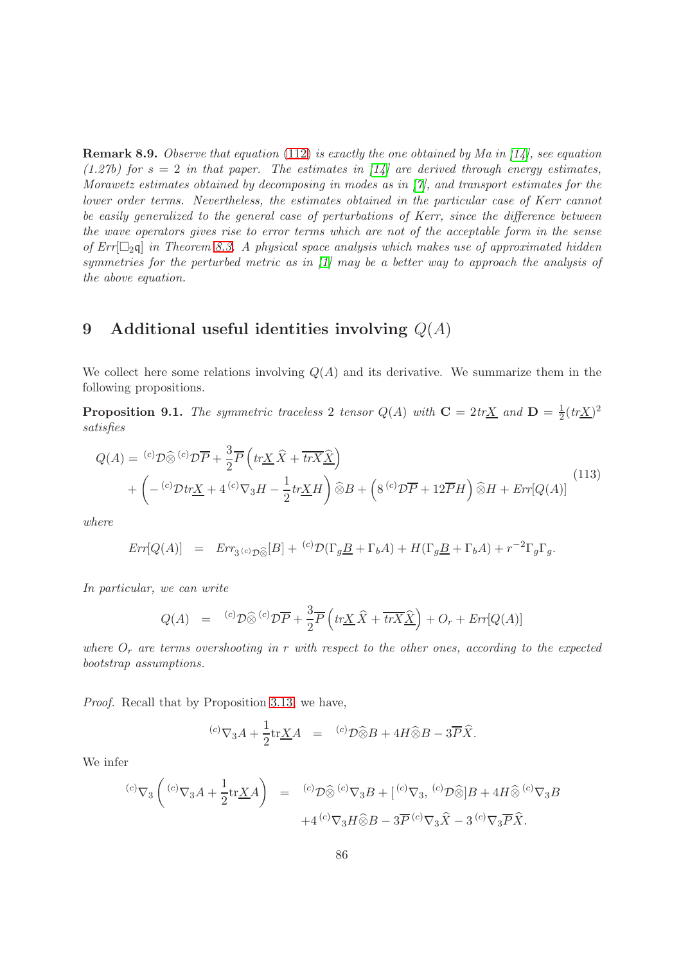**Remark 8.9.** Observe that equation [\(112\)](#page-84-1) is exactly the one obtained by Ma in [\[14\]](#page-138-1), see equation (1.27b) for  $s = 2$  in that paper. The estimates in [\[14\]](#page-138-1) are derived through energy estimates, Morawetz estimates obtained by decomposing in modes as in [\[7\]](#page-137-1), and transport estimates for the lower order terms. Nevertheless, the estimates obtained in the particular case of Kerr cannot be easily generalized to the general case of perturbations of Kerr, since the difference between the wave operators gives rise to error terms which are not of the acceptable form in the sense of  $Err[\Box_2]$  in Theorem [8.3.](#page-78-3) A physical space analysis which makes use of approximated hidden symmetries for the perturbed metric as in [\[1\]](#page-137-3) may be a better way to approach the analysis of the above equation.

## 9 Additional useful identities involving  $Q(A)$

We collect here some relations involving  $Q(A)$  and its derivative. We summarize them in the following propositions.

**Proposition 9.1.** The symmetric traceless 2 tensor  $Q(A)$  with  $C = 2tr\underline{X}$  and  $D = \frac{1}{2}$  $\frac{1}{2}(tr\underline{X})^2$ satisfies

<span id="page-85-0"></span>
$$
Q(A) = {}^{(c)}\mathcal{D}\widehat{\otimes} {}^{(c)}\mathcal{D}\overline{P} + \frac{3}{2}\overline{P}\left(tr\underline{X}\,\widehat{X} + \overline{tr}\overline{X}\,\widehat{\underline{X}}\right) + \left(-{}^{(c)}\mathcal{D}tr\underline{X} + 4{}^{(c)}\nabla_3H - \frac{1}{2}tr\underline{X}H\right)\widehat{\otimes}B + \left(8{}^{(c)}\mathcal{D}\overline{P} + 12\overline{P}H\right)\widehat{\otimes}H + Err[Q(A)]
$$
\n(113)

where

$$
Err[Q(A)] = Err_{3(c)\mathcal{D}\hat{\otimes}}[B] + {^{(c)}\mathcal{D}}(\Gamma_g \underline{B} + \Gamma_b A) + H(\Gamma_g \underline{B} + \Gamma_b A) + r^{-2}\Gamma_g \Gamma_g.
$$

In particular, we can write

$$
Q(A) = {}^{(c)}\mathcal{D}\widehat{\otimes} {}^{(c)}\mathcal{D}\overline{P} + \frac{3}{2}\overline{P}\left(tr\underline{X}\widehat{X} + \overline{tr}\overline{X}\widehat{\underline{X}}\right) + O_r + Err[Q(A)]
$$

where  $O_r$  are terms overshooting in r with respect to the other ones, according to the expected bootstrap assumptions.

Proof. Recall that by Proposition [3.13,](#page-49-0) we have,

$$
{}^{(c)}\nabla_3 A + \frac{1}{2} \text{tr} \underline{X} A = {}^{(c)}\mathcal{D} \widehat{\otimes} B + 4H \widehat{\otimes} B - 3\overline{P} \widehat{X}.
$$

We infer

$$
\begin{array}{rcl}\n^{(c)}\nabla_3\left( \begin{array}{cc}\n^{(c)}\nabla_3 A + \frac{1}{2}\text{tr}\underline{X}A\n\end{array}\right) & = & ^{(c)}\mathcal{D}\widehat{\otimes} \begin{array}{cc}\n^{(c)}\nabla_3 B + \left[\begin{array}{cc}\n^{(c)}\nabla_3, \end{array}\right]\left(\begin{array}{cc}\n^{(c)}\nabla_3 B + 4H\widehat{\otimes} \begin{array}{cc}\n^{(c)}\nabla_3 B + 4H\widehat{\otimes} \end{array}\right)\n\end{array} + 4\left(\begin{array}{cc}\n^{(c)}\nabla_3 H\widehat{\otimes} B - 3\overline{P} \begin{array}{cc}\n^{(c)}\nabla_3 \widehat{X} - 3 \end{array}\right)\n^{(c)}\nabla_3 \overline{P}\widehat{X}.\n\end{array}
$$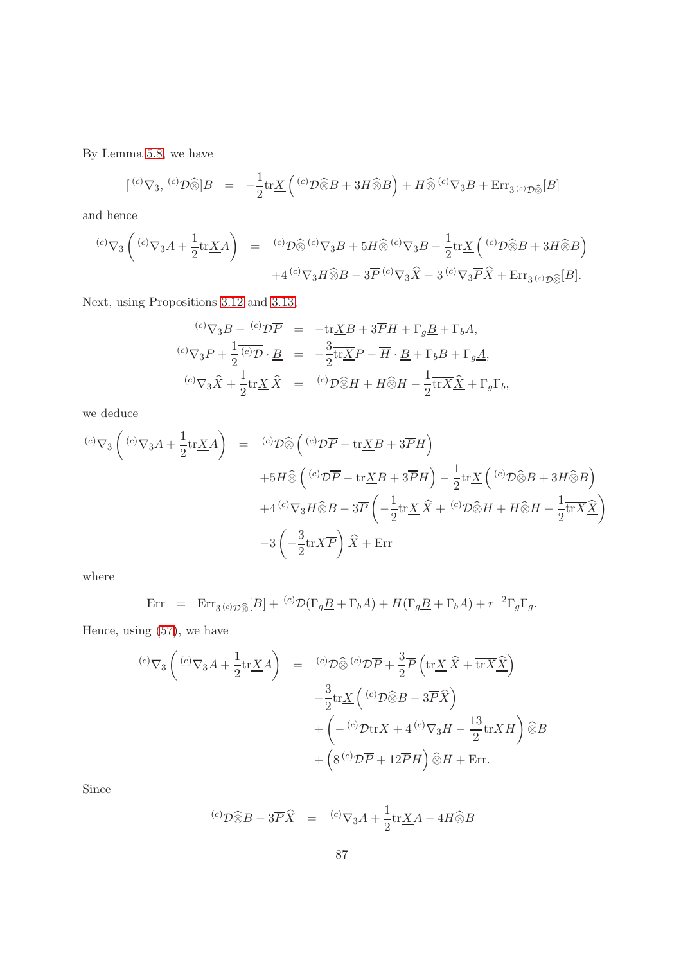By Lemma [5.8,](#page-62-0) we have

$$
[{^{(c)}\nabla_3}, {^{(c)}\mathcal{D}}\widehat{\otimes}]B = -\frac{1}{2}\text{tr}\underline{X}({^{(c)}\mathcal{D}}\widehat{\otimes}B + 3H\widehat{\otimes}B) + H\widehat{\otimes} {^{(c)}\nabla_3B} + \text{Err}_{3}{^{(c)}\mathcal{D}}\widehat{\otimes}[B]
$$

and hence

$$
\begin{array}{rcl} {}^{(c)}\nabla_3\left( \right. ^{(c)}\nabla_3A+\frac{1}{2}\text{tr}\underline{X}A \right) & = & {}^{(c)}\mathcal{D}\widehat{\otimes} \left. {}^{(c)}\nabla_3B+5H\widehat{\otimes} \left. {}^{(c)}\nabla_3B-\frac{1}{2}\text{tr}\underline{X} \left( \right. ^{(c)}\mathcal{D}\widehat{\otimes}B+3H\widehat{\otimes}B \right) \right. \\ & & \left. {}^{+(c)}\nabla_3H\widehat{\otimes}B-3\overline{P} \left. {}^{(c)}\nabla_3\widehat{X}-3\left. {}^{(c)}\nabla_3\overline{P}\widehat{X}+\mathrm{Err}_{3\left( c\right)}\underline{\wp}_{\widehat{\otimes}}[B] .\right. \right. \end{array}
$$

Next, using Propositions [3.12](#page-48-0) and [3.13,](#page-49-0)

$$
\begin{array}{rcl}\n^{(c)}\nabla_3 B - \frac{(c)}{\mathcal{D}} \overline{P} & = & -\text{tr}\underline{X}B + 3\overline{P}H + \Gamma_g \underline{B} + \Gamma_b A, \\
^{(c)}\nabla_3 P + \frac{1}{2} \overline{^{(c)}\mathcal{D}} \cdot \underline{B} & = & -\frac{3}{2} \overline{\text{tr}\underline{X}} P - \overline{H} \cdot \underline{B} + \Gamma_b B + \Gamma_g \underline{A}, \\
^{(c)}\nabla_3 \widehat{X} + \frac{1}{2} \text{tr}\underline{X} \widehat{X} & = & {^{(c)}\mathcal{D}} \widehat{\otimes} H + H \widehat{\otimes} H - \frac{1}{2} \overline{\text{tr}\underline{X}} \widehat{\underline{X}} + \Gamma_g \Gamma_b,\n\end{array}
$$

we deduce

$$
\begin{aligned}\n\left(^{(c)}\nabla_{3}A + \frac{1}{2}\text{tr}\underline{X}A\right) &= \left(^{(c)}\mathcal{D}\widehat{\otimes}\left(^{(c)}\mathcal{D}\overline{P} - \text{tr}\underline{X}B + 3\overline{P}H\right) \\
&\quad + 5H\widehat{\otimes}\left(^{(c)}\mathcal{D}\overline{P} - \text{tr}\underline{X}B + 3\overline{P}H\right) - \frac{1}{2}\text{tr}\underline{X}\left(^{(c)}\mathcal{D}\widehat{\otimes}B + 3H\widehat{\otimes}B\right) \\
&\quad + 4\left(^{(c)}\nabla_{3}H\widehat{\otimes}B - 3\overline{P}\left(-\frac{1}{2}\text{tr}\underline{X}\,\hat{X} + {^{(c)}\mathcal{D}\widehat{\otimes}H} + H\widehat{\otimes}H - \frac{1}{2}\overline{\text{tr}\,X}\,\hat{\underline{X}}\right) \\
&\quad - 3\left(-\frac{3}{2}\text{tr}\underline{X}\overline{P}\right)\hat{X} + \text{Err}\n\end{aligned}
$$

where

$$
\text{Err} = \text{Err}_{3^{(c)}\mathcal{D}\widehat{\otimes}}[B] + {^{(c)}\mathcal{D}(\Gamma_g \underline{B} + \Gamma_b A) + H(\Gamma_g \underline{B} + \Gamma_b A) + r^{-2} \Gamma_g \Gamma_g}.
$$

Hence, using [\(57\)](#page-40-1), we have

$$
\begin{array}{rcl}\n^{(c)}\nabla_3\left( \ ^{(c)}\nabla_3A+\frac{1}{2}\text{tr}\underline{X}A \right)&=& {^{(c)}}\mathcal{D}\widehat{\otimes} {^{(c)}}\mathcal{D}\overline{P}+\frac{3}{2}\overline{P}\left(\text{tr}\underline{X}\,\hat{X}+\overline{\text{tr}X}\underline{\hat{X}}\right)\\ &&\\ &&-\frac{3}{2}\text{tr}\underline{X}\left({^{(c)}}\mathcal{D}\widehat{\otimes}B-3\overline{P}\widehat{X}\right)\\ &&+\left(-{^{(c)}}\mathcal{D}\text{tr}\underline{X}+4{^{(c)}}\nabla_3H-\frac{13}{2}\text{tr}\underline{X}H\right)\widehat{\otimes}B\\ &&+\left(8{^{(c)}}\mathcal{D}\overline{P}+12\overline{P}H\right)\widehat{\otimes}H+\text{Err}.\n\end{array}
$$

Since

$$
{}^{(c)}\mathcal{D}\widehat{\otimes}B - 3\overline{P}\widehat{X} = {}^{(c)}\nabla_3A + \frac{1}{2}\text{tr}\underline{X}A - 4H\widehat{\otimes}B
$$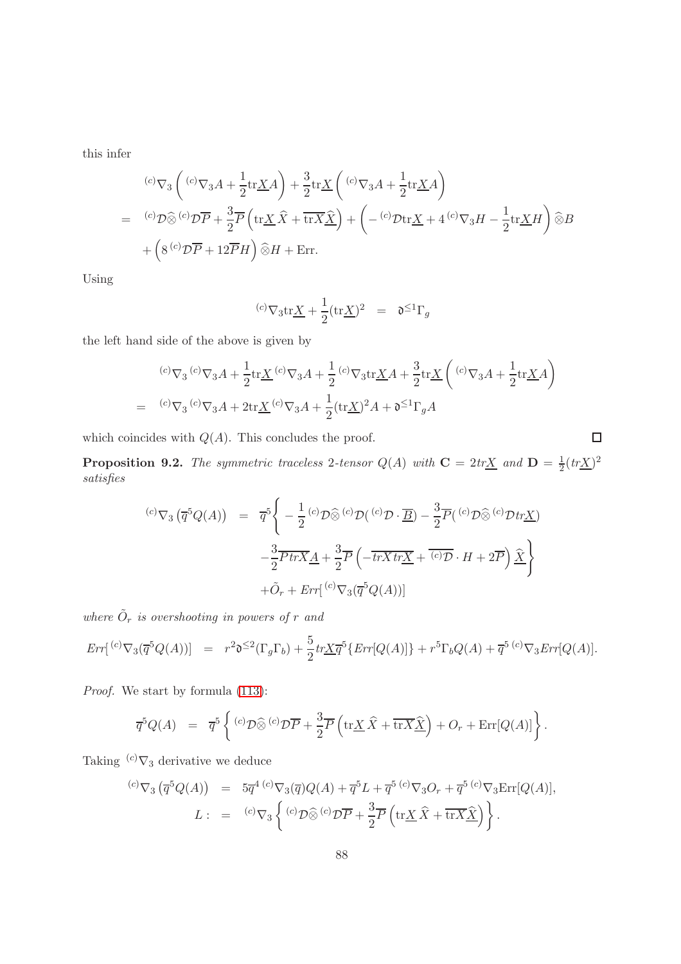this infer

$$
\begin{aligned}\n&^{(c)}\nabla_3\left({}^{(c)}\nabla_3A+\frac{1}{2}\text{tr}\underline{X}A\right)+\frac{3}{2}\text{tr}\underline{X}\left({}^{(c)}\nabla_3A+\frac{1}{2}\text{tr}\underline{X}A\right)\\
&=\phantom{(\stackrel{c)}{\int}}\left({}^{(c)}\mathcal{D}\widehat{\otimes}{}^{(c)}\mathcal{D}\overline{P}+\frac{3}{2}\overline{P}\left(\text{tr}\underline{X}\,\widehat{X}+\overline{\text{tr}X}\underline{\hat{X}}\right)+\left(-\phantom{(\stackrel{c)}{\int}}\mathcal{D}\text{tr}\underline{X}+4\phantom{(\stackrel{c)}{\int}}\nabla_3H-\frac{1}{2}\text{tr}\underline{X}H\right)\widehat{\otimes}B\\
&+\left(8\phantom{(\stackrel{c)}{\int}}\mathcal{D}\overline{P}+12\overline{P}H\right)\widehat{\otimes}H+\text{Err}.\n\end{aligned}
$$

Using

$$
{}^{(c)}\nabla_3 \text{tr}\underline{X} + \frac{1}{2} (\text{tr}\underline{X})^2 = \mathfrak{d}^{\leq 1} \Gamma_g
$$

the left hand side of the above is given by

$$
\begin{array}{lll} &&^{(c)}\nabla_3 \, ^{(c)}\nabla_3 A + \frac{1}{2} \text{tr}\underline{X} \, ^{(c)}\nabla_3 A + \frac{1}{2} \, ^{(c)}\nabla_3 \text{tr}\underline{X} A + \frac{3}{2} \text{tr}\underline{X} \left( \, ^{(c)}\nabla_3 A + \frac{1}{2} \text{tr}\underline{X} A \right) \\[2mm] &= & ^{(c)}\nabla_3 \, ^{(c)}\nabla_3 A + 2 \text{tr}\underline{X} \, ^{(c)}\nabla_3 A + \frac{1}{2} (\text{tr}\underline{X})^2 A + \mathfrak{d}^{\leq 1} \Gamma_g A \end{array}
$$

 $\Box$ 

which coincides with  $Q(A)$ . This concludes the proof.

**Proposition 9.2.** The symmetric traceless 2-tensor  $Q(A)$  with  $C = 2tr\underline{X}$  and  $D = \frac{1}{2}(tr\underline{X})^2$ satisfies

$$
\begin{array}{rcl}\n\text{(c)}\nabla_3\left(\overline{q}^5Q(A)\right) & = & \overline{q}^5 \Bigg\{-\frac{1}{2}\,^{(c)}\mathcal{D}\widehat{\otimes}{}^{(c)}\mathcal{D}\left({}^{(c)}\mathcal{D}\cdot\overline{B}\right) - \frac{3}{2}\overline{P}\left({}^{(c)}\mathcal{D}\widehat{\otimes}{}^{(c)}\mathcal{D}tr\underline{X}\right) \\
& & -\frac{3}{2}\overline{P}tr\overline{X}\underline{A} + \frac{3}{2}\overline{P}\left(-\overline{tr}\overline{X}tr\underline{X} + \overline{{}^{(c)}\mathcal{D}}\cdot H + 2\overline{P}\right)\widehat{\underline{X}}\Bigg\} \\
& & + \tilde{O}_r + Err\big({}^{(c)}\nabla_3(\overline{q}^5Q(A))\big]\n\end{array}
$$

where  $\tilde{O}_r$  is overshooting in powers of r and

$$
Err[{^{(c)}\nabla_3(\overline{q}^5Q(A))}] = r^2\mathfrak{d}^{\leq 2}(\Gamma_g\Gamma_b) + \frac{5}{2}tr\underline{X}\overline{q}^5\{Err[Q(A)]\} + r^5\Gamma_bQ(A) + \overline{q}^{5~(c)}\nabla_3Err[Q(A)].
$$

Proof. We start by formula [\(113\)](#page-85-0):

$$
\overline{q}^{5}Q(A) = \overline{q}^{5}\left\{ {}^{(c)}\mathcal{D}\widehat{\otimes}{}^{(c)}\mathcal{D}\overline{P} + \frac{3}{2}\overline{P}\left(\text{tr}\underline{X}\,\widehat{X} + \overline{\text{tr}X}\underline{\widehat{X}}\right) + O_{r} + \text{Err}[Q(A)]\right\}.
$$

Taking  ${}^{(c)}\nabla_3$  derivative we deduce

$$
^{(c)}\nabla_3\left(\overline{q}^5Q(A)\right) = 5\overline{q}^{4}(c)\nabla_3(\overline{q})Q(A) + \overline{q}^5L + \overline{q}^{5}(c)\nabla_3O_r + \overline{q}^{5}(c)\nabla_3\text{Err}[Q(A)],
$$
  

$$
L: = {}^{(c)}\nabla_3\left\{{}^{(c)}\mathcal{D}\widehat{\otimes}{}^{(c)}\mathcal{D}\overline{P} + \frac{3}{2}\overline{P}\left(\text{tr}\underline{X}\,\widehat{X} + \overline{\text{tr}X}\underline{\widehat{X}}\right)\right\}.
$$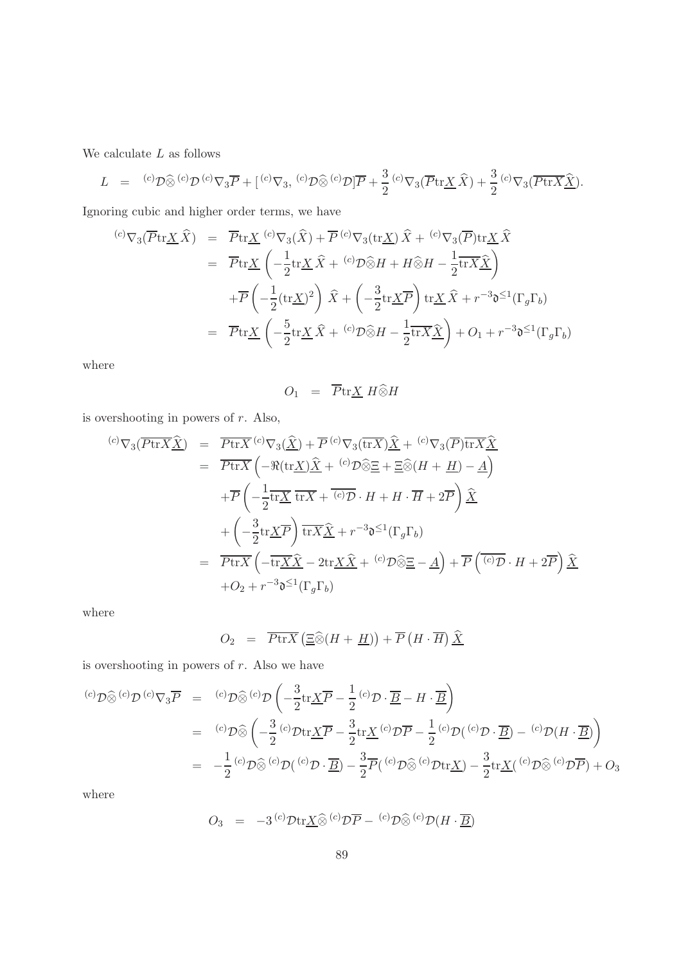We calculate  $L$  as follows

$$
L = {}^{(c)}\mathcal{D}\widehat{\otimes} {}^{(c)}\mathcal{D} {}^{(c)}\nabla_3 \overline{P} + [{}^{(c)}\nabla_3, {}^{(c)}\mathcal{D}\widehat{\otimes} {}^{(c)}\mathcal{D}] \overline{P} + \frac{3}{2} {}^{(c)}\nabla_3(\overline{P}\text{tr}\underline{X}\widehat{X}) + \frac{3}{2} {}^{(c)}\nabla_3(\overline{P}\text{tr}\overline{X}\widehat{\underline{X}}).
$$

Ignoring cubic and higher order terms, we have

$$
\begin{aligned}\n\text{(c)} \nabla_3(\overline{P} \text{tr}\underline{X} \widehat{X}) &= \overline{P} \text{tr}\underline{X} \, \, \overset{(c)}{\nabla_3} (\widehat{X}) + \overline{P} \, \overset{(c)}{\nabla_3} (\text{tr}\underline{X}) \, \widehat{X} + \, \overset{(c)}{\nabla_3} (\overline{P}) \text{tr}\underline{X} \, \widehat{X} \\
&= \overline{P} \text{tr}\underline{X} \, \left( -\frac{1}{2} \text{tr}\underline{X} \, \widehat{X} + \, \overset{(c)}{\nabla_2} \widehat{\otimes} H + H \widehat{\otimes} H - \frac{1}{2} \overline{\text{tr}} \underline{X} \widehat{\underline{X}} \right) \\
&\quad + \overline{P} \left( -\frac{1}{2} (\text{tr}\underline{X})^2 \right) \widehat{X} + \left( -\frac{3}{2} \text{tr}\underline{X} \overline{P} \right) \text{tr}\underline{X} \, \widehat{X} + r^{-3} \mathfrak{d}^{\leq 1} (\Gamma_g \Gamma_b) \\
&= \overline{P} \text{tr}\underline{X} \left( -\frac{5}{2} \text{tr}\underline{X} \, \widehat{X} + \, \overset{(c)}{\nabla_2} \widehat{\otimes} H - \frac{1}{2} \overline{\text{tr}} \underline{X} \widehat{\underline{X}} \right) + O_1 + r^{-3} \mathfrak{d}^{\leq 1} (\Gamma_g \Gamma_b)\n\end{aligned}
$$

where

$$
O_1 = \overline{P} \text{tr} \underline{X} \ H \widehat{\otimes} H
$$

is overshooting in powers of  $r$ . Also,

$$
\begin{split}\n\text{^{(c)}}\nabla_{3}(\overline{P \text{tr} X \hat{\underline{X}}}) &= \overline{P \text{tr} X} \, \text{^{(c)}}\nabla_{3}(\widehat{\underline{X}}) + \overline{P} \, \text{^{(c)}}\nabla_{3}(\overline{\text{tr} X}) \hat{\underline{X}} + \text{^{(c)}}\nabla_{3}(\overline{P}) \overline{\text{tr} X} \hat{\underline{X}} \\
&= \overline{P \text{tr} X} \left( -\Re(\text{tr} \underline{X}) \hat{\underline{X}} + \text{^{(c)}}\mathcal{D} \hat{\underline{\otimes}} \underline{E} + \underline{\Xi} \hat{\underline{\otimes}} (H + \underline{H}) - \underline{A} \right) \\
&\quad + \overline{P} \left( -\frac{1}{2} \overline{\text{tr} \underline{X}} \, \overline{\text{tr} X} + \overline{\text{^{(c)}}\mathcal{D}} \cdot H + H \cdot \overline{H} + 2\overline{P} \right) \hat{\underline{X}} \\
&\quad + \left( -\frac{3}{2} \text{tr} \underline{X} \overline{P} \right) \overline{\text{tr} X} \hat{\underline{X}} + r^{-3} \mathfrak{d}^{\leq 1} (\Gamma_{g} \Gamma_{b}) \\
&= \overline{P \text{tr} X} \left( -\overline{\text{tr} \underline{X} \hat{X}} - 2 \text{tr} \underline{X} \hat{X} + \text{^{(c)}}\mathcal{D} \hat{\underline{\otimes}} \underline{E} - \underline{A} \right) + \overline{P} \left( \overline{\text{^{(c)}}\mathcal{D}} \cdot H + 2\overline{P} \right) \hat{\underline{X}} \\
&\quad + O_{2} + r^{-3} \mathfrak{d}^{\leq 1} (\Gamma_{g} \Gamma_{b})\n\end{split}
$$

where

$$
O_2 = \overline{P \text{tr} X} \left( \underline{\Xi} \widehat{\otimes} (H + \underline{H}) \right) + \overline{P} \left( H \cdot \overline{H} \right) \underline{\widehat{X}}
$$

is overshooting in powers of  $r$ . Also we have

$$
\begin{array}{rcl}\n^{(c)}\mathcal{D}\widehat{\otimes}{}^{(c)}\mathcal{D}{}^{(c)}\nabla_{3}\overline{P} & = & {^{(c)}}\mathcal{D}\widehat{\otimes}{}^{(c)}\mathcal{D}\left(-\frac{3}{2}\text{tr}\underline{X}\overline{P}-\frac{1}{2}{}^{(c)}\mathcal{D}\cdot\overline{\underline{B}}-H\cdot\overline{\underline{B}}\right) \\
& = & {^{(c)}}\mathcal{D}\widehat{\otimes}\left(-\frac{3}{2}{}^{(c)}\mathcal{D}\text{tr}\underline{X}\overline{P}-\frac{3}{2}\text{tr}\underline{X}{}^{(c)}\mathcal{D}\overline{P}-\frac{1}{2}{}^{(c)}\mathcal{D}({}^{(c)}\mathcal{D}\cdot\overline{\underline{B}})-{}^{(c)}\mathcal{D}(H\cdot\overline{\underline{B}})\right) \\
& = & -\frac{1}{2}{}^{(c)}\mathcal{D}\widehat{\otimes}{}^{(c)}\mathcal{D}({}^{(c)}\mathcal{D}\cdot\overline{\underline{B}})-\frac{3}{2}\overline{P}({}^{(c)}\mathcal{D}\widehat{\otimes}{}^{(c)}\mathcal{D}\text{tr}\underline{X})-\frac{3}{2}\text{tr}\underline{X}({}^{(c)}\mathcal{D}\widehat{\otimes}{}^{(c)}\mathcal{D}\overline{P})+O_{3}\n\end{array}
$$

where

$$
O_3 = -3^{(c)} \mathcal{D} \text{tr} \underline{X} \widehat{\otimes} {^{(c)} \mathcal{D} \overline{P}} - {^{(c)} \mathcal{D} \widehat{\otimes} {^{(c)} \mathcal{D}} (H \cdot \underline{\overline{B}})}
$$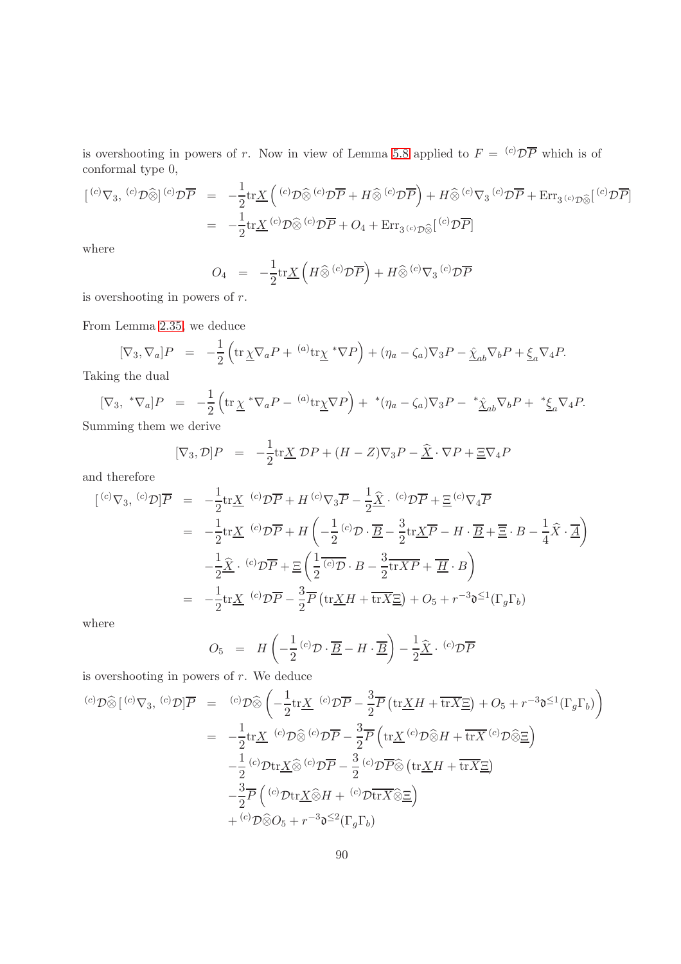is overshooting in powers of r. Now in view of Lemma [5.8](#page-62-0) applied to  $F = {}^{(c)}\mathcal{D}\overline{P}$  which is of conformal type 0,

$$
\begin{array}{rcl}\n[{}^{(c)}\nabla_{3},{}^{(c)}\mathcal{D}\widehat{\otimes}]{}^{(c)}\mathcal{D}\overline{P} & = & -\frac{1}{2}\text{tr}\underline{X}\left({}^{(c)}\mathcal{D}\widehat{\otimes}{}^{(c)}\mathcal{D}\overline{P} + H\widehat{\otimes}{}^{(c)}\mathcal{D}\overline{P}\right) + H\widehat{\otimes}{}^{(c)}\nabla_{3}{}^{(c)}\mathcal{D}\overline{P} + \text{Err}_{3\,^{(c)}\mathcal{D}\widehat{\otimes}}[{}^{(c)}\mathcal{D}\overline{P}]\n\\
& = & -\frac{1}{2}\text{tr}\underline{X}\left({}^{(c)}\mathcal{D}\widehat{\otimes}{}^{(c)}\mathcal{D}\overline{P} + O_{4} + \text{Err}_{3\,^{(c)}\mathcal{D}\widehat{\otimes}}[{}^{(c)}\mathcal{D}\overline{P}]\n\end{array}
$$

where

$$
O_4 = -\frac{1}{2} \text{tr} \underline{X} \left( H \widehat{\otimes}^{(c)} \mathcal{D} \overline{P} \right) + H \widehat{\otimes}^{(c)} \nabla_3 {^{(c)} \mathcal{D} \overline{P}}
$$

is overshooting in powers of r.

From Lemma [2.35,](#page-31-0) we deduce

$$
[\nabla_3, \nabla_a]P = -\frac{1}{2} \left( \text{tr}\,\underline{\chi} \nabla_a P + {}^{(a)} \text{tr}\underline{\chi}^* \nabla P \right) + (\eta_a - \zeta_a) \nabla_3 P - \hat{\underline{\chi}}_{ab} \nabla_b P + \underline{\xi}_a \nabla_4 P.
$$

Taking the dual

$$
[\nabla_3, \sqrt[*]{a}]P = -\frac{1}{2} \left( \text{tr} \underline{\chi}^* \nabla_a P - {}^{(a)} \text{tr} \underline{\chi} \nabla P \right) + {}^*(\eta_a - \zeta_a) \nabla_3 P - {}^*\underline{\hat{\chi}}_{ab} \nabla_b P + {}^*\underline{\xi}_a \nabla_4 P.
$$

Summing them we derive

$$
[\nabla_3, \mathcal{D}]P = -\frac{1}{2} \text{tr} \underline{X} \ \mathcal{D}P + (H - Z)\nabla_3 P - \underline{\widehat{X}} \cdot \nabla P + \underline{\Xi} \nabla_4 P
$$

and therefore

$$
[{}^{(c)}\nabla_3, {}^{(c)}\mathcal{D}] \overline{P} = -\frac{1}{2} \text{tr}\underline{X} {}^{(c)}\mathcal{D}\overline{P} + H {}^{(c)}\nabla_3 \overline{P} - \frac{1}{2} \hat{\underline{X}} {}^{(c)}\mathcal{D}\overline{P} + \underline{E} {}^{(c)}\nabla_4 \overline{P}
$$
  
\n
$$
= -\frac{1}{2} \text{tr}\underline{X} {}^{(c)}\mathcal{D}\overline{P} + H \left( -\frac{1}{2} {}^{(c)}\mathcal{D} \cdot \underline{B} - \frac{3}{2} \text{tr}\underline{X}\overline{P} - H \cdot \underline{B} + \overline{\underline{E}} \cdot B - \frac{1}{4} \hat{X} \cdot \underline{A} \right)
$$
  
\n
$$
- \frac{1}{2} \hat{\underline{X}} {}^{(c)}\mathcal{D}\overline{P} + \underline{E} \left( \frac{1}{2} {}^{(c)}\mathcal{D} \cdot B - \frac{3}{2} \text{tr}\overline{X}P + \underline{H} \cdot B \right)
$$
  
\n
$$
= -\frac{1}{2} \text{tr}\underline{X} {}^{(c)}\mathcal{D}\overline{P} - \frac{3}{2} \overline{P} \left( \text{tr}\underline{X}H + \overline{\text{tr}}\overline{X}\underline{E} \right) + O_5 + r^{-3} \mathfrak{d}^{\leq 1} (\Gamma_g \Gamma_b)
$$

where

$$
O_5 = H\left(-\frac{1}{2} \, {}^{(c)}\mathcal{D} \cdot \overline{\underline{B}} - H \cdot \overline{\underline{B}}\right) - \frac{1}{2} \widehat{\underline{X}} \cdot {}^{(c)}\mathcal{D} \overline{P}
$$

is overshooting in powers of  $r$ . We deduce

$$
\begin{array}{rcl}\n^{(c)}\mathcal{D}\widehat{\otimes}\left[ \ {^{(c)}\nabla}_3,\ {^{(c)}\mathcal{D}} \right] & \overline{P} & = & {^{(c)}\mathcal{D}\widehat{\otimes}} \left( -\frac{1}{2} \text{tr}\underline{X} \ {^{(c)}\mathcal{D}\overline{P}} - \frac{3}{2} \overline{P} \left( \text{tr}\underline{X}H + \overline{\text{tr}X}\underline{E} \right) + O_5 + r^{-3} \mathfrak{d}^{\leq 1} (\Gamma_g \Gamma_b) \right) \\
& = & -\frac{1}{2} \text{tr}\underline{X} \ {^{(c)}\mathcal{D}\widehat{\otimes}} {^{(c)}\mathcal{D}\overline{P}} - \frac{3}{2} \overline{P} \left( \text{tr}\underline{X} \ {^{(c)}\mathcal{D}\widehat{\otimes}H} + \overline{\text{tr}X} {^{(c)}\mathcal{D}\widehat{\otimes}\underline{E}} \right) \\
& -\frac{1}{2} {^{(c)}\mathcal{D}\text{tr}\underline{X}\widehat{\otimes}} {^{(c)}\mathcal{D}\overline{P}} - \frac{3}{2} {^{(c)}\mathcal{D}\overline{P}\widehat{\otimes}} \left( \text{tr}\underline{X}H + \overline{\text{tr}X}\underline{E} \right) \\
& -\frac{3}{2} \overline{P} \left( {^{(c)}\mathcal{D}\text{tr}\underline{X}\widehat{\otimes}H + {^{(c)}\mathcal{D}\text{tr}X}\widehat{\otimes}\underline{E}} \right) \\
& & + {^{(c)}\mathcal{D}\widehat{\otimes}O_5} + r^{-3}\mathfrak{d}^{\leq 2}(\Gamma_g\Gamma_b)\n\end{array}
$$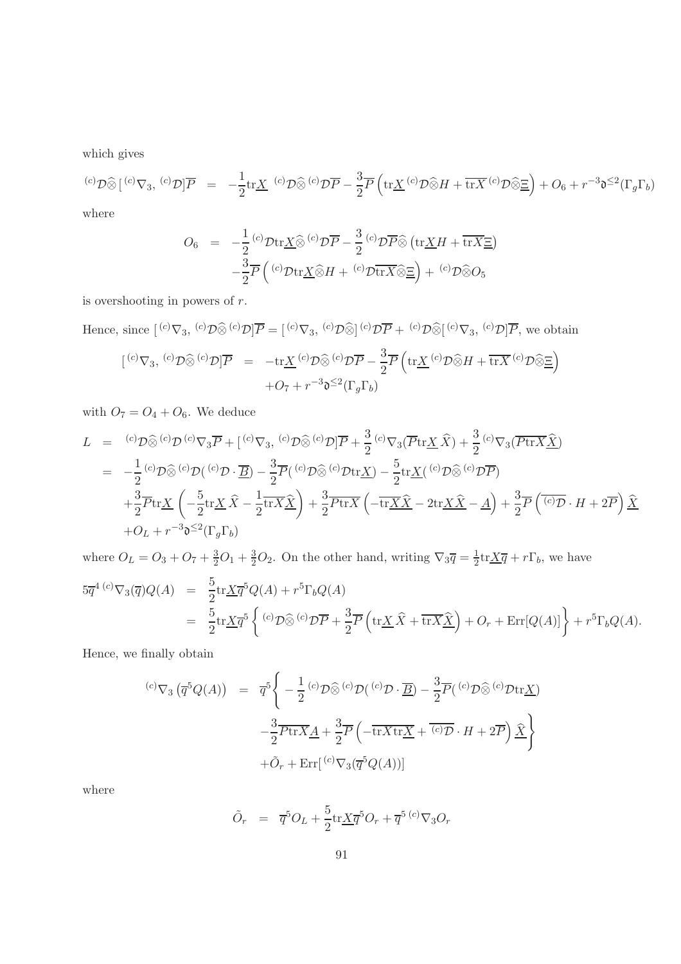which gives

$$
{}^{(c)}\mathcal{D}\widehat{\otimes}\left[{}^{(c)}\nabla_3,\ {}^{(c)}\mathcal{D}\right]\overline{P} \quad = \quad -\frac{1}{2}\mathrm{tr}\underline{X} \quad {}^{(c)}\mathcal{D}\widehat{\otimes}{}^{(c)}\mathcal{D}\overline{P} - \frac{3}{2}\overline{P}\left(\mathrm{tr}\underline{X} \ {}^{(c)}\mathcal{D}\widehat{\otimes}H + \overline{\mathrm{tr}X} \ {}^{(c)}\mathcal{D}\widehat{\otimes}\underline{\Xi}\right) + O_6 + r^{-3}\mathfrak{d}^{\leq 2}(\Gamma_g\Gamma_b)
$$

where

$$
O_6 = -\frac{1}{2} {}^{(c)}\mathcal{D} \text{tr} \underline{X} \widehat{\otimes} {}^{(c)}\mathcal{D} \overline{P} - \frac{3}{2} {}^{(c)}\mathcal{D} \overline{P} \widehat{\otimes} (\text{tr} \underline{X} H + \overline{\text{tr} X} \underline{E})
$$

$$
-\frac{3}{2} \overline{P} \left( {}^{(c)}\mathcal{D} \text{tr} \underline{X} \widehat{\otimes} H + {}^{(c)}\mathcal{D} \overline{\text{tr} X} \widehat{\otimes} \underline{E} \right) + {}^{(c)}\mathcal{D} \widehat{\otimes} O_5
$$

is overshooting in powers of r.

Hence, since  $[{}^{(c)}\nabla_3, {}^{(c)}\mathcal{D}\widehat{\otimes} {}^{(c)}\mathcal{D}] \overline{P} = [{}^{(c)}\nabla_3, {}^{(c)}\mathcal{D}\widehat{\otimes} ]{}^{(c)}\mathcal{D}\overline{P} + {}^{(c)}\mathcal{D}\widehat{\otimes} [{}^{(c)}\nabla_3, {}^{(c)}\mathcal{D}] \overline{P}$ , we obtain

$$
\begin{array}{rcl}\n\left[ \,^{(c)}\nabla_{3},\,^{(c)}\mathcal{D}\widehat{\otimes}{}^{(c)}\mathcal{D}\right]\overline{P} & = & -\mathrm{tr}\underline{X}^{\,(c)}\mathcal{D}\widehat{\otimes}{}^{(c)}\mathcal{D}\overline{P} - \frac{3}{2}\overline{P}\left(\mathrm{tr}\underline{X}^{\,(c)}\mathcal{D}\widehat{\otimes}H + \overline{\mathrm{tr}X}^{\,(c)}\mathcal{D}\widehat{\otimes}\underline{\Xi}\right) \\
& & + O_{7} + r^{-3}\mathfrak{d}^{\leq 2}(\Gamma_{g}\Gamma_{b})\n\end{array}
$$

with  $O_7 = O_4 + O_6$ . We deduce

$$
L = {}^{(c)}\mathcal{D}\widehat{\otimes} {}^{(c)}\mathcal{D} {}^{(c)}\nabla_3 \overline{P} + [{}^{(c)}\nabla_3, {}^{(c)}\mathcal{D}\widehat{\otimes} {}^{(c)}\mathcal{D}] \overline{P} + \frac{3}{2} {}^{(c)}\nabla_3 (\overline{P} \text{tr}\underline{X} \widehat{X}) + \frac{3}{2} {}^{(c)}\nabla_3 (\overline{P} \text{tr}\underline{X} \widehat{\underline{X}})
$$
  
\n
$$
= -\frac{1}{2} {}^{(c)}\mathcal{D}\widehat{\otimes} {}^{(c)}\mathcal{D} ({}^{(c)}\mathcal{D} \cdot \overline{\underline{B}}) - \frac{3}{2} \overline{P} ({}^{(c)}\mathcal{D}\widehat{\otimes} {}^{(c)}\mathcal{D} \text{tr}\underline{X}) - \frac{5}{2} \text{tr}\underline{X} ({}^{(c)}\mathcal{D}\widehat{\otimes} {}^{(c)}\mathcal{D}\overline{P})
$$
  
\n
$$
+ \frac{3}{2} \overline{P} \text{tr}\underline{X} \left( -\frac{5}{2} \text{tr}\underline{X} \widehat{X} - \frac{1}{2} \text{tr}\underline{X} \widehat{\underline{X}} \right) + \frac{3}{2} \overline{P} \text{tr}\underline{X} \left( -\overline{\text{tr}\underline{X} \widehat{X}} - 2 \text{tr}\underline{X} \widehat{X} - \underline{A} \right) + \frac{3}{2} \overline{P} \left( \overline{{}^{(c)}\mathcal{D}} \cdot H + 2\overline{P} \right) \widehat{\underline{X}}
$$
  
\n
$$
+ O_L + r^{-3} \mathfrak{d}^{\leq 2} (\Gamma_g \Gamma_b)
$$

where  $O_L = O_3 + O_7 + \frac{3}{2}O_1 + \frac{3}{2}O_2$ . On the other hand, writing  $\nabla_3 \overline{q} = \frac{1}{2}$  $\frac{1}{2} \text{tr} \underline{X} \overline{q} + r \Gamma_b$ , we have  $5\overline{q}^{4\;(c)}\nabla_{3}(\overline{q})Q(A) = \frac{5}{2}\text{tr}\underline{X}\overline{q}^{5}Q(A) + r^{5}\Gamma_{b}Q(A)$  $=\frac{5}{2}$  $\frac{5}{2} \text{tr} \underline{X} \overline{q}^5 \left\{ {}^{(c)} \mathcal{D} \widehat{\otimes} {}^{(c)} \mathcal{D} \overline{P} + \frac{3}{2} \right\}$  $\frac{3}{2} \overline{P} \left( \text{tr} \underline{X} \widehat{X} + \overline{\text{tr}X} \underline{\widehat{X}} \right) + O_r + \text{Err}[Q(A)] \right\} + r^5 \Gamma_b Q(A).$ 

Hence, we finally obtain

$$
\begin{array}{rcl}\n\text{(c)}\nabla_3\left(\overline{q}^5Q(A)\right) & = & \overline{q}^5 \Bigg\{-\frac{1}{2}\,^{(c)}\mathcal{D}\widehat{\otimes}{}^{(c)}\mathcal{D}\left({}^{(c)}\mathcal{D}\cdot\overline{B}\right)-\frac{3}{2}\overline{P}\left({}^{(c)}\mathcal{D}\widehat{\otimes}{}^{(c)}\mathcal{D}\text{tr}\underline{X}\right) \\
& & -\frac{3}{2}\overline{P\text{tr}X}\underline{A}+\frac{3}{2}\overline{P}\left(-\overline{\text{tr}X\text{tr}\underline{X}}+\overline{{}^{(c)}\mathcal{D}}\cdot H+2\overline{P}\right)\widehat{\underline{X}}\Bigg\} \\
& & & +\tilde{O}_r+\text{Err}\big[{}^{(c)}\nabla_3(\overline{q}^5Q(A))\big]\n\end{array}
$$

where

$$
\tilde{O}_r = \overline{q}^5 O_L + \frac{5}{2} \text{tr} \underline{X} \overline{q}^5 O_r + \overline{q}^{5 (c)} \nabla_3 O_r
$$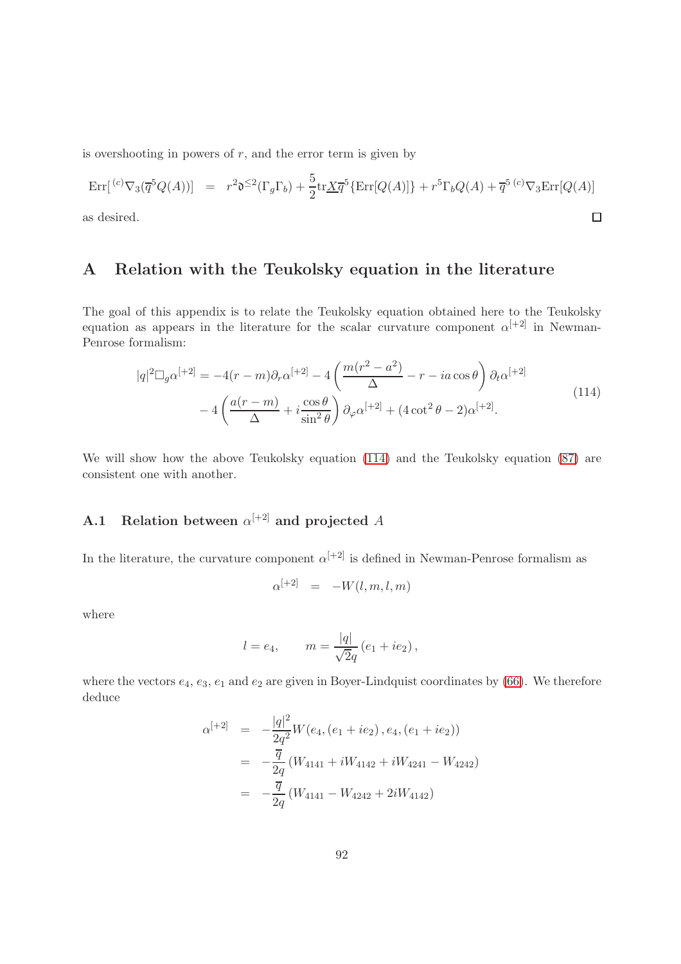is overshooting in powers of  $r$ , and the error term is given by

$$
\operatorname{Err}[\,^{(c)}\nabla_3(\overline{q}^5Q(A))] \quad = \quad r^2\mathfrak{d}^{\leq 2}(\Gamma_g\Gamma_b) + \frac{5}{2}\operatorname{tr}\underline{X}\overline{q}^5\{\operatorname{Err}[Q(A)]\} + r^5\Gamma_bQ(A) + \overline{q}^{5\,(c)}\nabla_3\operatorname{Err}[Q(A)]
$$
\nas desired.

<span id="page-91-0"></span>as desired.

# A Relation with the Teukolsky equation in the literature

The goal of this appendix is to relate the Teukolsky equation obtained here to the Teukolsky equation as appears in the literature for the scalar curvature component  $\alpha^{[+2]}$  in Newman-Penrose formalism:

<span id="page-91-1"></span>
$$
|q|^2 \Box_g \alpha^{[+2]} = -4(r-m)\partial_r \alpha^{[+2]} - 4\left(\frac{m(r^2 - a^2)}{\Delta} - r - ia\cos\theta\right)\partial_t \alpha^{[+2]} - 4\left(\frac{a(r-m)}{\Delta} + i\frac{\cos\theta}{\sin^2\theta}\right)\partial_\varphi \alpha^{[+2]} + (4\cot^2\theta - 2)\alpha^{[+2]}.
$$
\n(114)

We will show how the above Teukolsky equation  $(114)$  and the Teukolsky equation  $(87)$  are consistent one with another.

#### A.1 Relation between  $\alpha^{[+2]}$  and projected A

In the literature, the curvature component  $\alpha^{[+2]}$  is defined in Newman-Penrose formalism as

$$
\alpha^{[+2]} = -W(l, m, l, m)
$$

where

$$
l = e_4,
$$
  $m = \frac{|q|}{\sqrt{2}q} (e_1 + ie_2),$ 

where the vectors  $e_4, e_3, e_1$  and  $e_2$  are given in Boyer-Lindquist coordinates by [\(66\)](#page-54-0). We therefore deduce

$$
\alpha^{[+2]} = -\frac{|q|^2}{2q^2} W(e_4, (e_1 + ie_2), e_4, (e_1 + ie_2))
$$
  
= 
$$
-\frac{\overline{q}}{2q} (W_{4141} + iW_{4142} + iW_{4241} - W_{4242})
$$
  
= 
$$
-\frac{\overline{q}}{2q} (W_{4141} - W_{4242} + 2iW_{4142})
$$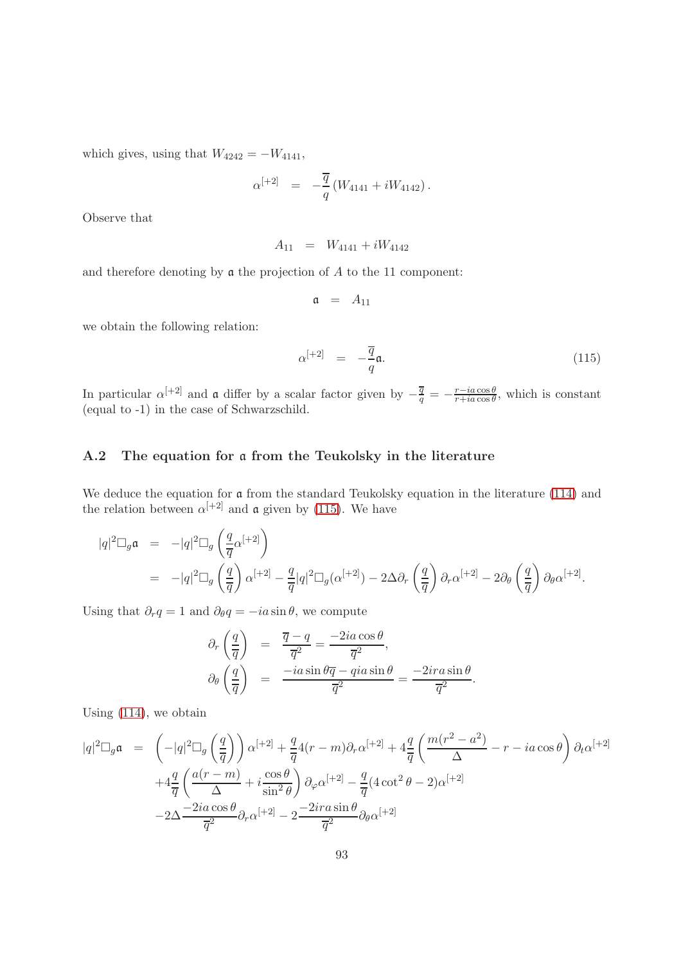which gives, using that  $W_{4242} = -W_{4141}$ ,

$$
\alpha^{[+2]} \;\; = \;\; -\frac{\overline{q}}{q} \left( W_{4141} + i W_{4142} \right).
$$

Observe that

$$
A_{11} = W_{4141} + iW_{4142}
$$

and therefore denoting by  $\mathfrak a$  the projection of  $A$  to the 11 component:

$$
\mathfrak{a} = A_{11}
$$

we obtain the following relation:

<span id="page-92-0"></span>
$$
\alpha^{[+2]} = -\frac{\overline{q}}{q}\mathfrak{a}.\tag{115}
$$

In particular  $\alpha^{[+2]}$  and  $\alpha$  differ by a scalar factor given by  $-\frac{\overline{q}}{q} = -\frac{r-i a \cos \theta}{r+i a \cos \theta}$  $\frac{r - ia \cos \theta}{r + ia \cos \theta}$ , which is constant (equal to -1) in the case of Schwarzschild.

#### A.2 The equation for a from the Teukolsky in the literature

We deduce the equation for a from the standard Teukolsky equation in the literature [\(114\)](#page-91-1) and the relation between  $\alpha^{[+2]}$  and **a** given by [\(115\)](#page-92-0). We have

$$
|q|^2 \Box_g \mathfrak{a} = -|q|^2 \Box_g \left(\frac{q}{\overline{q}} \alpha^{[+2]}\right)
$$
  
=  $-|q|^2 \Box_g \left(\frac{q}{\overline{q}}\right) \alpha^{[+2]} - \frac{q}{\overline{q}} |q|^2 \Box_g (\alpha^{[+2]}) - 2 \Delta \partial_r \left(\frac{q}{\overline{q}}\right) \partial_r \alpha^{[+2]} - 2 \partial_\theta \left(\frac{q}{\overline{q}}\right) \partial_\theta \alpha^{[+2]}.$ 

Using that  $\partial_r q = 1$  and  $\partial_\theta q = -ia \sin \theta$ , we compute

$$
\partial_r \left( \frac{q}{\overline{q}} \right) = \frac{\overline{q} - q}{\overline{q}^2} = \frac{-2ia \cos \theta}{\overline{q}^2},
$$
  

$$
\partial_\theta \left( \frac{q}{\overline{q}} \right) = \frac{-ia \sin \theta \overline{q} - qia \sin \theta}{\overline{q}^2} = \frac{-2ira \sin \theta}{\overline{q}^2}.
$$

Using [\(114\)](#page-91-1), we obtain

$$
|q|^2 \Box_g \mathfrak{a} = \left(-|q|^2 \Box_g \left(\frac{q}{\overline{q}}\right)\right) \alpha^{[+2]} + \frac{q}{\overline{q}} 4(r-m) \partial_r \alpha^{[+2]} + 4\frac{q}{\overline{q}} \left(\frac{m(r^2 - a^2)}{\Delta} - r - ia \cos \theta\right) \partial_t \alpha^{[+2]} + 4\frac{q}{\overline{q}} \left(\frac{a(r-m)}{\Delta} + i \frac{\cos \theta}{\sin^2 \theta}\right) \partial_\varphi \alpha^{[+2]} - \frac{q}{\overline{q}} (4 \cot^2 \theta - 2) \alpha^{[+2]} - 2\Delta \frac{-2ia \cos \theta}{\overline{q}^2} \partial_r \alpha^{[+2]} - 2\frac{-2ira \sin \theta}{\overline{q}^2} \partial_\theta \alpha^{[+2]}
$$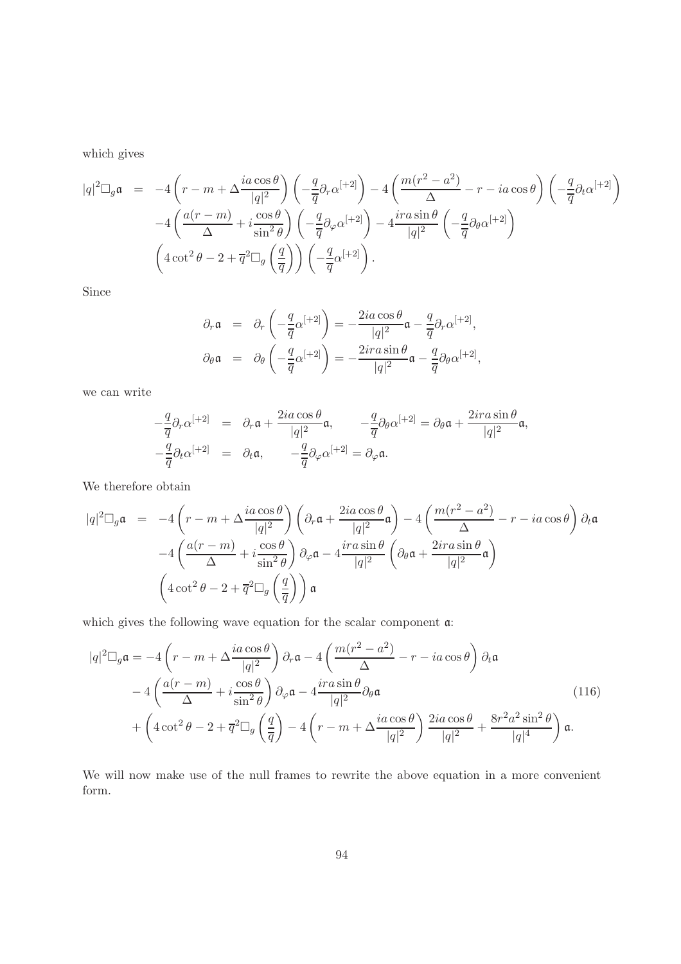which gives

$$
|q|^2 \Box_g \mathfrak{a} = -4\left(r - m + \Delta \frac{ia \cos \theta}{|q|^2}\right) \left(-\frac{q}{\overline{q}} \partial_r \alpha^{[+2]}\right) - 4\left(\frac{m(r^2 - a^2)}{\Delta} - r - ia \cos \theta\right) \left(-\frac{q}{\overline{q}} \partial_t \alpha^{[+2]}\right) -4\left(\frac{a(r - m)}{\Delta} + i \frac{\cos \theta}{\sin^2 \theta}\right) \left(-\frac{q}{\overline{q}} \partial_\varphi \alpha^{[+2]}\right) - 4 \frac{ira \sin \theta}{|q|^2} \left(-\frac{q}{\overline{q}} \partial_\theta \alpha^{[+2]}\right) \left(4 \cot^2 \theta - 2 + \overline{q}^2 \Box_g \left(\frac{q}{\overline{q}}\right)\right) \left(-\frac{q}{\overline{q}} \alpha^{[+2]}\right).
$$

Since

$$
\partial_r \mathfrak{a} = \partial_r \left( -\frac{q}{\overline{q}} \alpha^{[+2]} \right) = -\frac{2ia \cos \theta}{|q|^2} \mathfrak{a} - \frac{q}{\overline{q}} \partial_r \alpha^{[+2]},
$$
  

$$
\partial_\theta \mathfrak{a} = \partial_\theta \left( -\frac{q}{\overline{q}} \alpha^{[+2]} \right) = -\frac{2ira \sin \theta}{|q|^2} \mathfrak{a} - \frac{q}{\overline{q}} \partial_\theta \alpha^{[+2]},
$$

we can write

$$
-\frac{q}{\overline{q}}\partial_r\alpha^{[+2]} = \partial_r\mathfrak{a} + \frac{2ia\cos\theta}{|q|^2}\mathfrak{a}, \qquad -\frac{q}{\overline{q}}\partial_\theta\alpha^{[+2]} = \partial_\theta\mathfrak{a} + \frac{2ira\sin\theta}{|q|^2}\mathfrak{a},
$$
  

$$
-\frac{q}{\overline{q}}\partial_t\alpha^{[+2]} = \partial_t\mathfrak{a}, \qquad -\frac{q}{\overline{q}}\partial_\varphi\alpha^{[+2]} = \partial_\varphi\mathfrak{a}.
$$

We therefore obtain

$$
|q|^2 \Box_g \mathfrak{a} = -4\left(r - m + \Delta \frac{i a \cos \theta}{|q|^2}\right) \left(\partial_r \mathfrak{a} + \frac{2i a \cos \theta}{|q|^2} \mathfrak{a}\right) - 4\left(\frac{m(r^2 - a^2)}{\Delta} - r - i a \cos \theta\right) \partial_t \mathfrak{a}
$$

$$
-4\left(\frac{a(r - m)}{\Delta} + i \frac{\cos \theta}{\sin^2 \theta}\right) \partial_\varphi \mathfrak{a} - 4\frac{ir a \sin \theta}{|q|^2} \left(\partial_\theta \mathfrak{a} + \frac{2i r a \sin \theta}{|q|^2} \mathfrak{a}\right)
$$

$$
\left(4 \cot^2 \theta - 2 + \overline{q}^2 \Box_g \left(\frac{q}{\overline{q}}\right)\right) \mathfrak{a}
$$

which gives the following wave equation for the scalar component a:

<span id="page-93-0"></span>
$$
|q|^2 \Box_g \mathfrak{a} = -4 \left( r - m + \Delta \frac{ia \cos \theta}{|q|^2} \right) \partial_r \mathfrak{a} - 4 \left( \frac{m(r^2 - a^2)}{\Delta} - r - ia \cos \theta \right) \partial_t \mathfrak{a}
$$
  

$$
-4 \left( \frac{a(r - m)}{\Delta} + i \frac{\cos \theta}{\sin^2 \theta} \right) \partial_\varphi \mathfrak{a} - 4 \frac{ira \sin \theta}{|q|^2} \partial_\theta \mathfrak{a}
$$
  

$$
+ \left( 4 \cot^2 \theta - 2 + \overline{q}^2 \Box_g \left( \frac{q}{\overline{q}} \right) - 4 \left( r - m + \Delta \frac{ia \cos \theta}{|q|^2} \right) \frac{2ia \cos \theta}{|q|^2} + \frac{8r^2 a^2 \sin^2 \theta}{|q|^4} \right) \mathfrak{a}.
$$
 (116)

We will now make use of the null frames to rewrite the above equation in a more convenient form.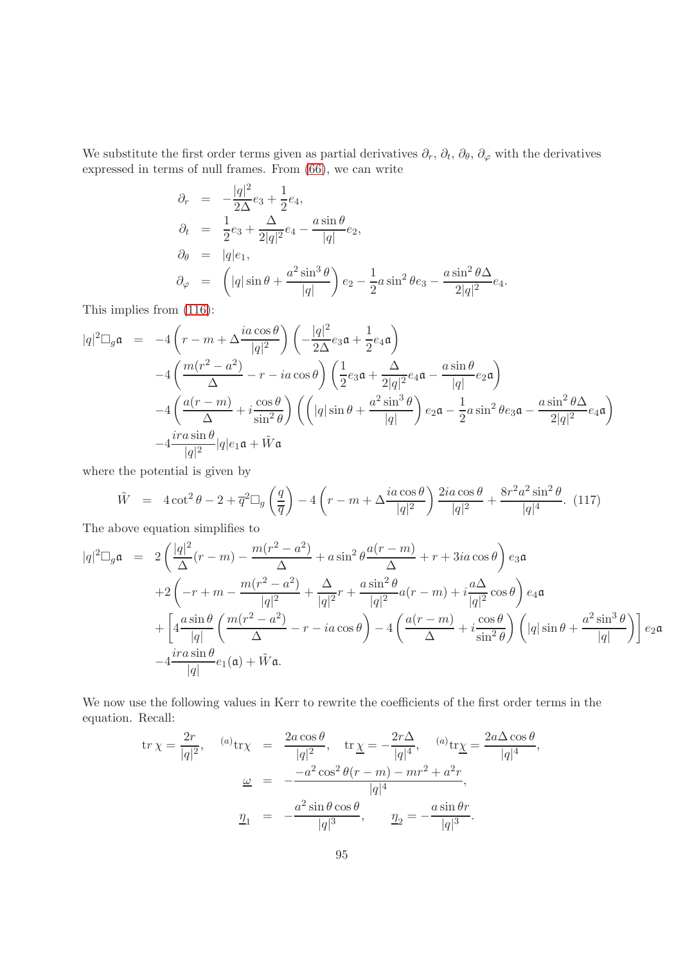We substitute the first order terms given as partial derivatives  $\partial_r$ ,  $\partial_t$ ,  $\partial_\theta$ ,  $\partial_\varphi$  with the derivatives expressed in terms of null frames. From [\(66\)](#page-54-0), we can write

$$
\partial_r = -\frac{|q|^2}{2\Delta} e_3 + \frac{1}{2} e_4, \n\partial_t = \frac{1}{2} e_3 + \frac{\Delta}{2|q|^2} e_4 - \frac{a \sin \theta}{|q|} e_2, \n\partial_\theta = |q|e_1, \n\partial_\varphi = \left(|q| \sin \theta + \frac{a^2 \sin^3 \theta}{|q|}\right) e_2 - \frac{1}{2} a \sin^2 \theta e_3 - \frac{a \sin^2 \theta \Delta}{2|q|^2} e_4.
$$

This implies from [\(116\)](#page-93-0):

$$
|q|^2 \Box_g \mathfrak{a} = -4\left(r - m + \Delta \frac{ia \cos \theta}{|q|^2}\right) \left(-\frac{|q|^2}{2\Delta} e_3 \mathfrak{a} + \frac{1}{2} e_4 \mathfrak{a}\right)
$$
  

$$
-4\left(\frac{m(r^2 - a^2)}{\Delta} - r - ia \cos \theta\right) \left(\frac{1}{2} e_3 \mathfrak{a} + \frac{\Delta}{2|q|^2} e_4 \mathfrak{a} - \frac{a \sin \theta}{|q|} e_2 \mathfrak{a}\right)
$$
  

$$
-4\left(\frac{a(r - m)}{\Delta} + i \frac{\cos \theta}{\sin^2 \theta}\right) \left(\left(|q|\sin \theta + \frac{a^2 \sin^3 \theta}{|q|}\right) e_2 \mathfrak{a} - \frac{1}{2} a \sin^2 \theta e_3 \mathfrak{a} - \frac{a \sin^2 \theta \Delta}{2|q|^2} e_4 \mathfrak{a}\right)
$$
  

$$
-4 \frac{ir a \sin \theta}{|q|^2} |q| e_1 \mathfrak{a} + \tilde{W} \mathfrak{a}
$$

where the potential is given by

$$
\tilde{W} = 4 \cot^2 \theta - 2 + \overline{q}^2 \Box_g \left(\frac{q}{\overline{q}}\right) - 4 \left(r - m + \Delta \frac{ia \cos \theta}{|q|^2}\right) \frac{2ia \cos \theta}{|q|^2} + \frac{8r^2 a^2 \sin^2 \theta}{|q|^4}.
$$
 (117)

The above equation simplifies to

$$
|q|^2 \Box_g \mathfrak{a} = 2\left(\frac{|q|^2}{\Delta}(r-m) - \frac{m(r^2 - a^2)}{\Delta} + a\sin^2\theta \frac{a(r-m)}{\Delta} + r + 3ia\cos\theta\right) e_3 \mathfrak{a}
$$
  
+2\left(-r+m - \frac{m(r^2 - a^2)}{|q|^2} + \frac{\Delta}{|q|^2}r + \frac{a\sin^2\theta}{|q|^2}a(r-m) + i\frac{a\Delta}{|q|^2}\cos\theta\right) e\_4 \mathfrak{a}  
+ \left[4\frac{a\sin\theta}{|q|}\left(\frac{m(r^2 - a^2)}{\Delta} - r - ia\cos\theta\right) - 4\left(\frac{a(r-m)}{\Delta} + i\frac{\cos\theta}{\sin^2\theta}\right)\left(|q|\sin\theta + \frac{a^2\sin^3\theta}{|q|}\right)\right] e\_2 \mathfrak{a}  
-4\frac{ira\sin\theta}{|q|} e\_1(\mathfrak{a}) + \tilde{W}\mathfrak{a}.

We now use the following values in Kerr to rewrite the coefficients of the first order terms in the equation. Recall:

$$
\text{tr}\,\chi = \frac{2r}{|q|^2}, \quad \text{(a)}\text{tr}\chi = \frac{2a\cos\theta}{|q|^2}, \quad \text{tr}\,\chi = -\frac{2r\Delta}{|q|^4}, \quad \text{(a)}\text{tr}\chi = \frac{2a\Delta\cos\theta}{|q|^4},
$$
\n
$$
\underline{\omega} = -\frac{-a^2\cos^2\theta(r-m) - mr^2 + a^2r}{|q|^4},
$$
\n
$$
\underline{\eta}_1 = -\frac{a^2\sin\theta\cos\theta}{|q|^3}, \quad \underline{\eta}_2 = -\frac{a\sin\theta r}{|q|^3}.
$$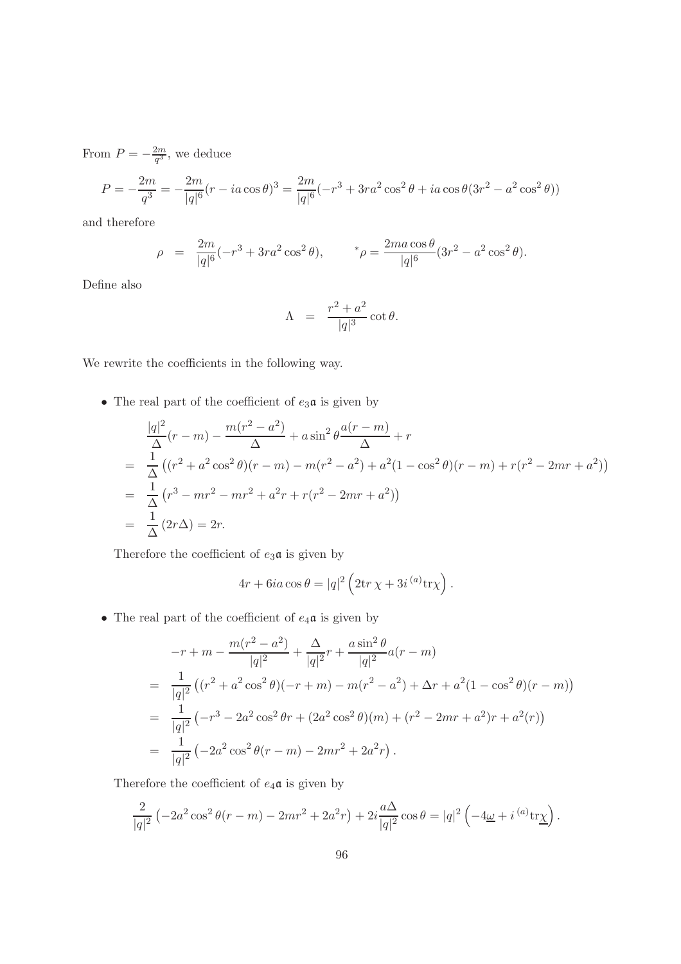From  $P = -\frac{2m}{q^3}$  $\frac{2m}{q^3}$ , we deduce

$$
P = -\frac{2m}{q^3} = -\frac{2m}{|q|^6} (r - ia \cos \theta)^3 = \frac{2m}{|q|^6} (-r^3 + 3ra^2 \cos^2 \theta + ia \cos \theta (3r^2 - a^2 \cos^2 \theta))
$$

and therefore

$$
\rho = \frac{2m}{|q|^6}(-r^3 + 3ra^2\cos^2\theta), \qquad \gamma = \frac{2ma\cos\theta}{|q|^6}(3r^2 - a^2\cos^2\theta).
$$

Define also

$$
\Lambda = \frac{r^2 + a^2}{|q|^3} \cot \theta.
$$

We rewrite the coefficients in the following way.

 $\bullet~$  The real part of the coefficient of  $e_3\mathfrak{a}$  is given by

$$
\frac{|q|^2}{\Delta}(r-m) - \frac{m(r^2 - a^2)}{\Delta} + a\sin^2\theta \frac{a(r-m)}{\Delta} + r
$$
\n
$$
= \frac{1}{\Delta}((r^2 + a^2\cos^2\theta)(r-m) - m(r^2 - a^2) + a^2(1 - \cos^2\theta)(r-m) + r(r^2 - 2mr + a^2))
$$
\n
$$
= \frac{1}{\Delta}(r^3 - mr^2 - mr^2 + a^2r + r(r^2 - 2mr + a^2))
$$
\n
$$
= \frac{1}{\Delta}(2r\Delta) = 2r.
$$

Therefore the coefficient of  $e_3\mathfrak{a}$  is given by

$$
4r + 6ia\cos\theta = |q|^2 \left(2\mathrm{tr}\,\chi + 3i^{(a)}\mathrm{tr}\chi\right).
$$

• The real part of the coefficient of  $e_4\mathfrak{a}$  is given by

$$
-r + m - \frac{m(r^2 - a^2)}{|q|^2} + \frac{\Delta}{|q|^2}r + \frac{a\sin^2\theta}{|q|^2}a(r - m)
$$
  
= 
$$
\frac{1}{|q|^2}((r^2 + a^2\cos^2\theta)(-r + m) - m(r^2 - a^2) + \Delta r + a^2(1 - \cos^2\theta)(r - m))
$$
  
= 
$$
\frac{1}{|q|^2}(-r^3 - 2a^2\cos^2\theta r + (2a^2\cos^2\theta)(m) + (r^2 - 2mr + a^2)r + a^2(r))
$$
  
= 
$$
\frac{1}{|q|^2}(-2a^2\cos^2\theta(r - m) - 2mr^2 + 2a^2r).
$$

Therefore the coefficient of  $e_4\mathfrak{a}$  is given by

$$
\frac{2}{|q|^2} \left(-2a^2 \cos^2 \theta(r-m) - 2mr^2 + 2a^2r\right) + 2i \frac{a\Delta}{|q|^2} \cos \theta = |q|^2 \left(-4\underline{\omega} + i^{(a)} \text{tr}\underline{\chi}\right).
$$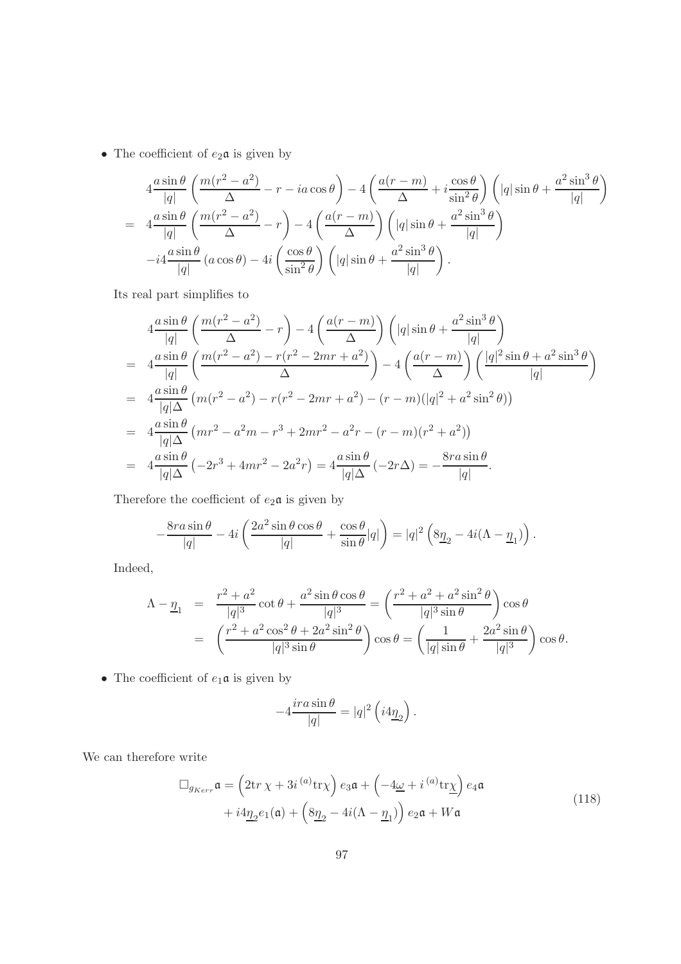• The coefficient of  $e_2 \mathfrak{a}$  is given by

$$
4\frac{a\sin\theta}{|q|}\left(\frac{m(r^2-a^2)}{\Delta}-r-ia\cos\theta\right)-4\left(\frac{a(r-m)}{\Delta}+i\frac{\cos\theta}{\sin^2\theta}\right)\left(|q|\sin\theta+\frac{a^2\sin^3\theta}{|q|}\right)
$$
  
= 
$$
4\frac{a\sin\theta}{|q|}\left(\frac{m(r^2-a^2)}{\Delta}-r\right)-4\left(\frac{a(r-m)}{\Delta}\right)\left(|q|\sin\theta+\frac{a^2\sin^3\theta}{|q|}\right)
$$
  

$$
-i4\frac{a\sin\theta}{|q|}\left(a\cos\theta\right)-4i\left(\frac{\cos\theta}{\sin^2\theta}\right)\left(|q|\sin\theta+\frac{a^2\sin^3\theta}{|q|}\right).
$$

Its real part simplifies to

$$
4\frac{a\sin\theta}{|q|}\left(\frac{m(r^2-a^2)}{\Delta}-r\right)-4\left(\frac{a(r-m)}{\Delta}\right)\left(|q|\sin\theta+\frac{a^2\sin^3\theta}{|q|}\right)
$$
  
=  $4\frac{a\sin\theta}{|q|}\left(\frac{m(r^2-a^2)-r(r^2-2mr+a^2)}{\Delta}\right)-4\left(\frac{a(r-m)}{\Delta}\right)\left(\frac{|q|^2\sin\theta+a^2\sin^3\theta}{|q|}\right)$   
=  $4\frac{a\sin\theta}{|q|\Delta}\left(m(r^2-a^2)-r(r^2-2mr+a^2)-(r-m)(|q|^2+a^2\sin^2\theta)\right)$   
=  $4\frac{a\sin\theta}{|q|\Delta}\left(mr^2-a^2m-r^3+2mr^2-a^2r-(r-m)(r^2+a^2)\right)$   
=  $4\frac{a\sin\theta}{|q|\Delta}\left(-2r^3+4mr^2-2a^2r\right)=4\frac{a\sin\theta}{|q|\Delta}\left(-2r\Delta\right)=-\frac{8ra\sin\theta}{|q|}.$ 

Therefore the coefficient of  $e_2\mathfrak{a}$  is given by

$$
-\frac{8ra\sin\theta}{|q|} - 4i\left(\frac{2a^2\sin\theta\cos\theta}{|q|} + \frac{\cos\theta}{\sin\theta}|q|\right) = |q|^2\left(8\underline{\eta}_2 - 4i(\Lambda - \underline{\eta}_1)\right).
$$

Indeed,

$$
\Lambda - \underline{\eta}_1 = \frac{r^2 + a^2}{|q|^3} \cot \theta + \frac{a^2 \sin \theta \cos \theta}{|q|^3} = \left(\frac{r^2 + a^2 + a^2 \sin^2 \theta}{|q|^3 \sin \theta}\right) \cos \theta \n= \left(\frac{r^2 + a^2 \cos^2 \theta + 2a^2 \sin^2 \theta}{|q|^3 \sin \theta}\right) \cos \theta = \left(\frac{1}{|q|\sin \theta} + \frac{2a^2 \sin \theta}{|q|^3}\right) \cos \theta.
$$

 $\bullet\,$  The coefficient of  $e_1\mathfrak{a}$  is given by

$$
-4\frac{ira\sin\theta}{|q|} = |q|^2 \left(i4\underline{\eta}_2\right).
$$

We can therefore write

$$
\Box_{g_{Kerr}} \mathfrak{a} = \left(2\text{tr}\,\chi + 3i^{(a)}\text{tr}\chi\right) e_3 \mathfrak{a} + \left(-4\underline{\omega} + i^{(a)}\text{tr}\chi\right) e_4 \mathfrak{a}
$$
  
+  $i4\underline{\eta}_2 e_1(\mathfrak{a}) + \left(8\underline{\eta}_2 - 4i(\Lambda - \underline{\eta}_1)\right) e_2 \mathfrak{a} + W\mathfrak{a}$  (118)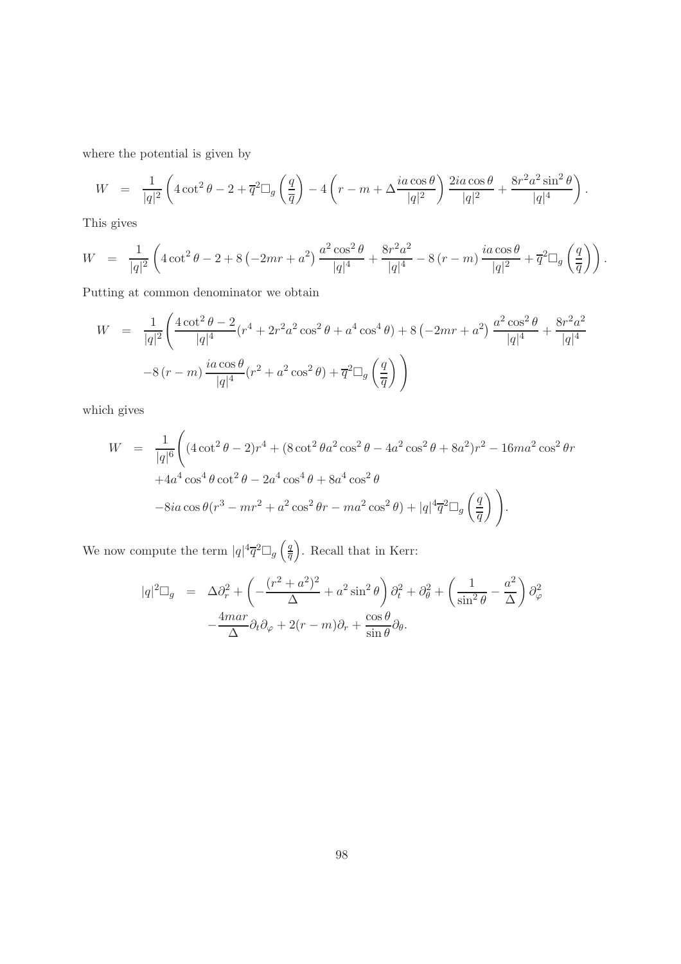where the potential is given by

$$
W = \frac{1}{|q|^2} \left( 4 \cot^2 \theta - 2 + \overline{q}^2 \square_g \left( \frac{q}{\overline{q}} \right) - 4 \left( r - m + \Delta \frac{ia \cos \theta}{|q|^2} \right) \frac{2ia \cos \theta}{|q|^2} + \frac{8r^2 a^2 \sin^2 \theta}{|q|^4} \right).
$$

This gives

$$
W = \frac{1}{|q|^2} \left( 4 \cot^2 \theta - 2 + 8 \left( -2mr + a^2 \right) \frac{a^2 \cos^2 \theta}{|q|^4} + \frac{8r^2 a^2}{|q|^4} - 8 \left( r - m \right) \frac{ia \cos \theta}{|q|^2} + \overline{q}^2 \square_g \left( \frac{q}{\overline{q}} \right) \right).
$$

Putting at common denominator we obtain

$$
W = \frac{1}{|q|^2} \left( \frac{4 \cot^2 \theta - 2}{|q|^4} (r^4 + 2r^2 a^2 \cos^2 \theta + a^4 \cos^4 \theta) + 8 \left( -2mr + a^2 \right) \frac{a^2 \cos^2 \theta}{|q|^4} + \frac{8r^2 a^2}{|q|^4} \right)
$$
  

$$
-8 (r - m) \frac{i a \cos \theta}{|q|^4} (r^2 + a^2 \cos^2 \theta) + \overline{q}^2 \square_g \left( \frac{q}{\overline{q}} \right) \right)
$$

which gives

$$
W = \frac{1}{|q|^6} \left( (4 \cot^2 \theta - 2)r^4 + (8 \cot^2 \theta a^2 \cos^2 \theta - 4a^2 \cos^2 \theta + 8a^2)r^2 - 16ma^2 \cos^2 \theta r + 4a^4 \cos^4 \theta \cot^2 \theta - 2a^4 \cos^4 \theta + 8a^4 \cos^2 \theta
$$
  

$$
-8ia \cos \theta (r^3 - mr^2 + a^2 \cos^2 \theta r - ma^2 \cos^2 \theta) + |q|^4 \overline{q}^2 \square_g \left(\frac{q}{\overline{q}}\right) \right).
$$

We now compute the term  $|q|^4 \overline{q}^2 \Box_g \left(\frac{q}{\overline{q}}\right)$  $\overline{q}$ . Recall that in Kerr:

$$
|q|^2 \Box_g = \Delta \partial_r^2 + \left( -\frac{(r^2 + a^2)^2}{\Delta} + a^2 \sin^2 \theta \right) \partial_t^2 + \partial_\theta^2 + \left( \frac{1}{\sin^2 \theta} - \frac{a^2}{\Delta} \right) \partial_\varphi^2
$$

$$
-\frac{4mar}{\Delta} \partial_t \partial_\varphi + 2(r - m) \partial_r + \frac{\cos \theta}{\sin \theta} \partial_\theta.
$$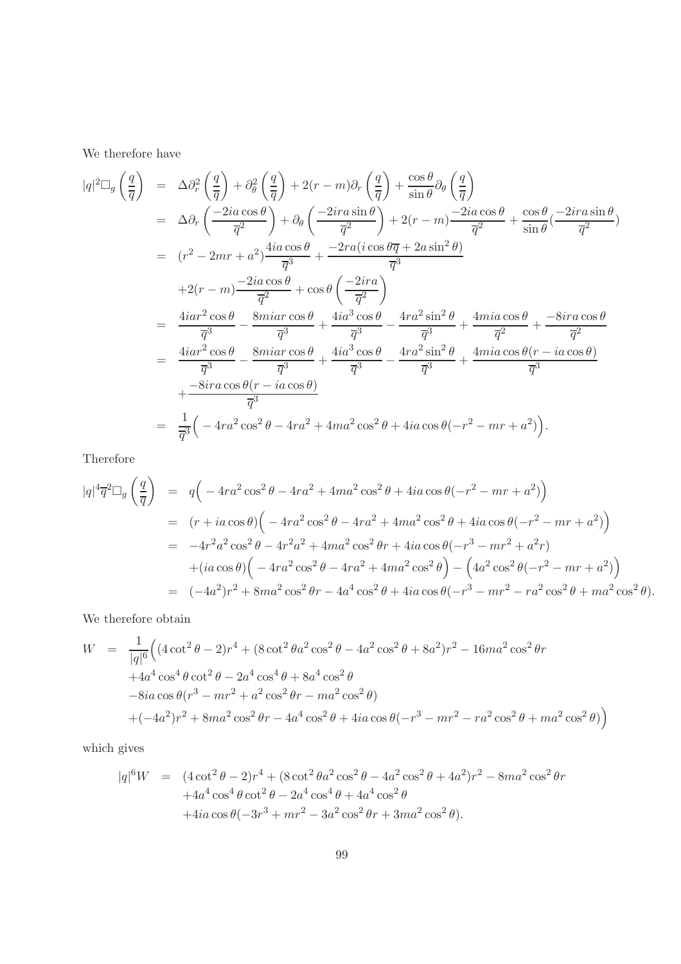We therefore have

$$
|q|^{2}\Box_{g}\left(\frac{q}{\overline{q}}\right) = \Delta\partial_{r}^{2}\left(\frac{q}{\overline{q}}\right) + \partial_{\theta}^{2}\left(\frac{q}{\overline{q}}\right) + 2(r - m)\partial_{r}\left(\frac{q}{\overline{q}}\right) + \frac{\cos\theta}{\sin\theta}\partial_{\theta}\left(\frac{q}{\overline{q}}\right)
$$
  
\n
$$
= \Delta\partial_{r}\left(\frac{-2ia\cos\theta}{\overline{q}^{2}}\right) + \partial_{\theta}\left(\frac{-2ira\sin\theta}{\overline{q}^{2}}\right) + 2(r - m)\frac{-2ia\cos\theta}{\overline{q}^{2}} + \frac{\cos\theta}{\sin\theta}\left(\frac{-2ira\sin\theta}{\overline{q}^{2}}\right)
$$
  
\n
$$
= (r^{2} - 2mr + a^{2})\frac{4ia\cos\theta}{\overline{q}^{3}} + \frac{-2ra(i\cos\theta\overline{q} + 2a\sin^{2}\theta)}{\overline{q}^{3}}
$$
  
\n
$$
+ 2(r - m)\frac{-2ia\cos\theta}{\overline{q}^{2}} + \cos\theta\left(\frac{-2ira}{\overline{q}^{2}}\right)
$$
  
\n
$$
= \frac{4iar^{2}\cos\theta}{\overline{q}^{3}} - \frac{8miar\cos\theta}{\overline{q}^{3}} + \frac{4ia^{3}\cos\theta}{\overline{q}^{3}} - \frac{4ra^{2}\sin^{2}\theta}{\overline{q}^{3}} + \frac{4mi a\cos\theta}{\overline{q}^{2}} + \frac{-8ira\cos\theta}{\overline{q}^{2}}
$$
  
\n
$$
= \frac{4iar^{2}\cos\theta}{\overline{q}^{3}} - \frac{8miar\cos\theta}{\overline{q}^{3}} + \frac{4ia^{3}\cos\theta}{\overline{q}^{3}} - \frac{4ra^{2}\sin^{2}\theta}{\overline{q}^{3}} + \frac{4mi a\cos\theta(r - ia\cos\theta)}{\overline{q}^{3}}
$$
  
\n
$$
+ \frac{-8ira\cos\theta(r - ia\cos\theta)}{\overline{q}^{3}}
$$
  
\n
$$
= \frac{1}{\overline{q}^{3}}\left(-4ra^{2}\cos^{2}\theta -
$$

Therefore

$$
|q|^4 \overline{q}^2 \Box_g \left(\frac{q}{\overline{q}}\right) = q\Big(-4ra^2 \cos^2 \theta - 4ra^2 + 4ma^2 \cos^2 \theta + 4ia \cos \theta(-r^2 - mr + a^2)\Big)
$$
  
\n
$$
= (r + ia \cos \theta)\Big(-4ra^2 \cos^2 \theta - 4ra^2 + 4ma^2 \cos^2 \theta + 4ia \cos \theta(-r^2 - mr + a^2)\Big)
$$
  
\n
$$
= -4r^2a^2 \cos^2 \theta - 4r^2a^2 + 4ma^2 \cos^2 \theta r + 4ia \cos \theta(-r^3 - mr^2 + a^2r)
$$
  
\n
$$
+ (ia \cos \theta)\Big(-4ra^2 \cos^2 \theta - 4ra^2 + 4ma^2 \cos^2 \theta\Big) - \Big(4a^2 \cos^2 \theta(-r^2 - mr + a^2)\Big)
$$
  
\n
$$
= (-4a^2)r^2 + 8ma^2 \cos^2 \theta r - 4a^4 \cos^2 \theta + 4ia \cos \theta(-r^3 - mr^2 - ra^2 \cos^2 \theta + ma^2 \cos^2 \theta).
$$

We therefore obtain

$$
W = \frac{1}{|q|^6} \Big( (4 \cot^2 \theta - 2)r^4 + (8 \cot^2 \theta a^2 \cos^2 \theta - 4a^2 \cos^2 \theta + 8a^2)r^2 - 16ma^2 \cos^2 \theta r + 4a^4 \cos^4 \theta \cot^2 \theta - 2a^4 \cos^4 \theta + 8a^4 \cos^2 \theta - 8ia \cos \theta (r^3 - mr^2 + a^2 \cos^2 \theta r - ma^2 \cos^2 \theta) + (-4a^2)r^2 + 8ma^2 \cos^2 \theta r - 4a^4 \cos^2 \theta + 4ia \cos \theta (-r^3 - mr^2 - ra^2 \cos^2 \theta + ma^2 \cos^2 \theta) \Big)
$$

which gives

$$
|q|^{6}W = (4 \cot^{2} \theta - 2)r^{4} + (8 \cot^{2} \theta a^{2} \cos^{2} \theta - 4a^{2} \cos^{2} \theta + 4a^{2})r^{2} - 8ma^{2} \cos^{2} \theta r
$$
  
+4a<sup>4</sup> cos<sup>4</sup> \theta cot<sup>2</sup> \theta - 2a<sup>4</sup> cos<sup>4</sup> \theta + 4a<sup>4</sup> cos<sup>2</sup> \theta  
+4ia cos \theta(-3r<sup>3</sup> + mr<sup>2</sup> - 3a<sup>2</sup> cos<sup>2</sup> \theta r + 3ma<sup>2</sup> cos<sup>2</sup> \theta).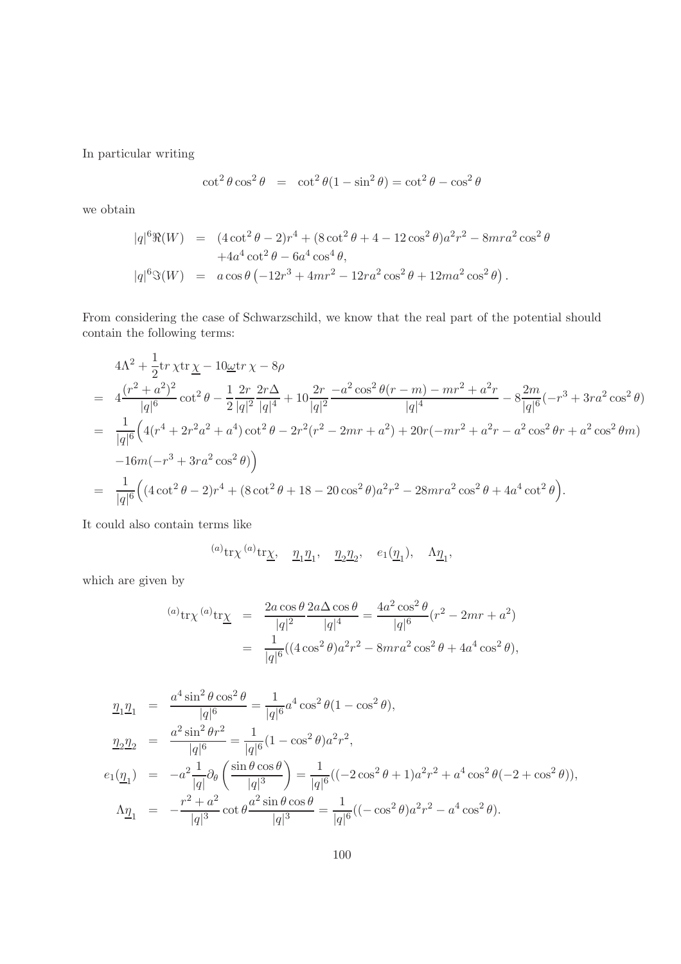In particular writing

$$
\cot^2 \theta \cos^2 \theta = \cot^2 \theta (1 - \sin^2 \theta) = \cot^2 \theta - \cos^2 \theta
$$

we obtain

$$
|q|^{6}\Re(W) = (4 \cot^{2} \theta - 2)r^{4} + (8 \cot^{2} \theta + 4 - 12 \cos^{2} \theta)a^{2}r^{2} - 8mr a^{2} \cos^{2} \theta
$$
  
+4a<sup>4</sup> \cot^{2} \theta - 6a<sup>4</sup> \cos<sup>4</sup> \theta,  

$$
|q|^{6}\Im(W) = a \cos \theta (-12r^{3} + 4mr^{2} - 12ra^{2} \cos^{2} \theta + 12ma^{2} \cos^{2} \theta).
$$

From considering the case of Schwarzschild, we know that the real part of the potential should contain the following terms:

$$
4\Lambda^2 + \frac{1}{2} \text{tr} \chi \text{tr} \underline{\chi} - 10 \underline{\omega} \text{tr} \chi - 8\rho
$$
  
= 
$$
4 \frac{(r^2 + a^2)^2}{|q|^6} \cot^2 \theta - \frac{1}{2} \frac{2r}{|q|^2} \frac{2r\Delta}{|q|^4} + 10 \frac{2r}{|q|^2} \frac{-a^2 \cos^2 \theta (r - m) - mr^2 + a^2r}{|q|^4} - 8 \frac{2m}{|q|^6} (-r^3 + 3ra^2 \cos^2 \theta)
$$
  
= 
$$
\frac{1}{|q|^6} \Big( 4(r^4 + 2r^2a^2 + a^4) \cot^2 \theta - 2r^2(r^2 - 2mr + a^2) + 20r(-mr^2 + a^2r - a^2 \cos^2 \theta r + a^2 \cos^2 \theta m)
$$
  
- 
$$
-16m(-r^3 + 3ra^2 \cos^2 \theta) \Big)
$$
  
= 
$$
\frac{1}{|q|^6} \Big( (4 \cot^2 \theta - 2)r^4 + (8 \cot^2 \theta + 18 - 20 \cos^2 \theta)a^2r^2 - 28mr a^2 \cos^2 \theta + 4a^4 \cot^2 \theta \Big).
$$

It could also contain terms like

$$
^{(a)}\mathrm{tr}\chi^{(a)}\mathrm{tr}\underline{\chi}, \quad \underline{\eta}_1 \underline{\eta}_1, \quad \underline{\eta}_2 \underline{\eta}_2, \quad e_1(\underline{\eta}_1), \quad \Lambda \underline{\eta}_1,
$$

which are given by

$$
^{(a)}tr\chi^{(a)}tr\underline{\chi} = \frac{2a\cos\theta}{|q|^2} \frac{2a\Delta\cos\theta}{|q|^4} = \frac{4a^2\cos^2\theta}{|q|^6} (r^2 - 2mr + a^2)
$$
  
= 
$$
\frac{1}{|q|^6} ((4\cos^2\theta)a^2r^2 - 8mra^2\cos^2\theta + 4a^4\cos^2\theta),
$$

$$
\begin{split}\n\frac{\eta_1 \eta_1}{\eta_2 \eta_2} &= \frac{a^4 \sin^2 \theta \cos^2 \theta}{|q|^6} = \frac{1}{|q|^6} a^4 \cos^2 \theta (1 - \cos^2 \theta), \\
\frac{\eta_2 \eta_2}{\eta_2 \eta_2} &= \frac{a^2 \sin^2 \theta r^2}{|q|^6} = \frac{1}{|q|^6} (1 - \cos^2 \theta) a^2 r^2, \\
e_1(\underline{\eta}_1) &= -a^2 \frac{1}{|q|} \partial_\theta \left( \frac{\sin \theta \cos \theta}{|q|^3} \right) = \frac{1}{|q|^6} ((-2 \cos^2 \theta + 1) a^2 r^2 + a^4 \cos^2 \theta (-2 + \cos^2 \theta)), \\
\Lambda \underline{\eta}_1 &= -\frac{r^2 + a^2}{|q|^3} \cot \theta \frac{a^2 \sin \theta \cos \theta}{|q|^3} = \frac{1}{|q|^6} ((-\cos^2 \theta) a^2 r^2 - a^4 \cos^2 \theta).\n\end{split}
$$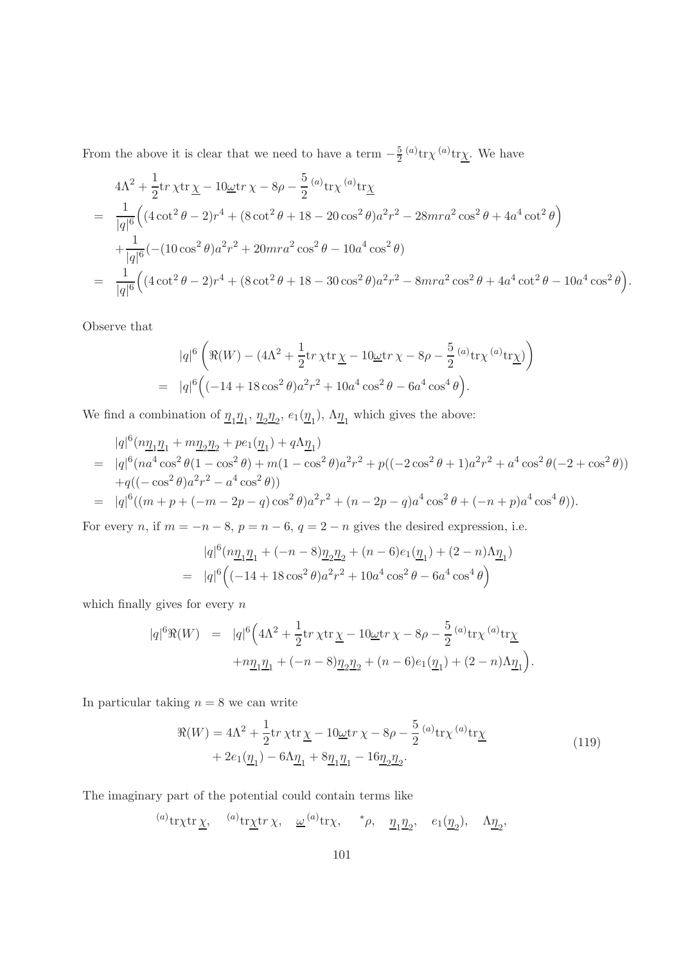From the above it is clear that we need to have a term  $-\frac{5}{2}$  $\frac{5}{2}$ <sup>(a)</sup>tr $\chi$ <sup>(a)</sup>tr $\chi$ . We have

$$
4\Lambda^2 + \frac{1}{2} \text{tr} \chi \text{tr} \underline{\chi} - 10 \underline{\omega} \text{tr} \chi - 8\rho - \frac{5}{2} {}^{(a)} \text{tr} \chi {}^{(a)} \text{tr} \underline{\chi}
$$
  
= 
$$
\frac{1}{|q|^6} \Big( (4 \cot^2 \theta - 2) r^4 + (8 \cot^2 \theta + 18 - 20 \cos^2 \theta) a^2 r^2 - 28 m r a^2 \cos^2 \theta + 4 a^4 \cot^2 \theta \Big)
$$
  
+ 
$$
\frac{1}{|q|^6} (-(10 \cos^2 \theta) a^2 r^2 + 20 m r a^2 \cos^2 \theta - 10 a^4 \cos^2 \theta)
$$
  
= 
$$
\frac{1}{|q|^6} \Big( (4 \cot^2 \theta - 2) r^4 + (8 \cot^2 \theta + 18 - 30 \cos^2 \theta) a^2 r^2 - 8 m r a^2 \cos^2 \theta + 4 a^4 \cot^2 \theta - 10 a^4 \cos^2 \theta \Big).
$$

Observe that

$$
|q|^{6} \left( \Re(W) - (4\Lambda^{2} + \frac{1}{2} \text{tr} \chi \text{tr} \underline{\chi} - 10 \underline{\omega} \text{tr} \chi - 8\rho - \frac{5}{2} {}^{(a)} \text{tr} \chi {}^{(a)} \text{tr} \underline{\chi}) \right)
$$
  
= 
$$
|q|^{6} \left( (-14 + 18 \cos^{2} \theta) a^{2} r^{2} + 10 a^{4} \cos^{2} \theta - 6 a^{4} \cos^{4} \theta \right).
$$

We find a combination of  $\underline{\eta_1}\underline{\eta_1}$ ,  $\underline{\eta_2}\underline{\eta_2}$ ,  $e_1(\underline{\eta_1})$ ,  $\Lambda \underline{\eta_1}$  which gives the above:

$$
|q|^{6}(n\underline{\eta}_{1}\underline{\eta}_{1} + m\underline{\eta}_{2}\underline{\eta}_{2} + pe_{1}(\underline{\eta}_{1}) + q\Lambda \underline{\eta}_{1})
$$
\n
$$
= |q|^{6}(na^{4}\cos^{2}\theta(1-\cos^{2}\theta) + m(1-\cos^{2}\theta)a^{2}r^{2} + p((-2\cos^{2}\theta+1)a^{2}r^{2} + a^{4}\cos^{2}\theta(-2+\cos^{2}\theta))
$$
\n
$$
+q((- \cos^{2}\theta)a^{2}r^{2} - a^{4}\cos^{2}\theta))
$$
\n
$$
= |q|^{6}((m+p+(-m-2p-q)\cos^{2}\theta)a^{2}r^{2} + (n-2p-q)a^{4}\cos^{2}\theta + (-n+p)a^{4}\cos^{4}\theta)).
$$

For every n, if  $m = -n - 8$ ,  $p = n - 6$ ,  $q = 2 - n$  gives the desired expression, i.e.

$$
|q|^{6}(n\underline{\eta}_{1}\underline{\eta}_{1} + (-n-8)\underline{\eta}_{2}\underline{\eta}_{2} + (n-6)e_{1}(\underline{\eta}_{1}) + (2-n)\Lambda \underline{\eta}_{1})
$$
  
= 
$$
|q|^{6} \Big( (-14+18\cos^{2}\theta)a^{2}r^{2} + 10a^{4}\cos^{2}\theta - 6a^{4}\cos^{4}\theta \Big)
$$

which finally gives for every  $n$ 

$$
\begin{array}{rcl} |q|^{6} \Re(W) & = & |q|^{6} \Big( 4 \Lambda^{2} + \frac{1}{2} \text{tr} \, \chi \text{tr} \, \underline{\chi} - 10 \underline{\omega} \text{tr} \, \chi - 8 \rho - \frac{5}{2} \, {^{(a)}} \text{tr} \chi \, {^{(a)}} \text{tr} \underline{\chi} \\[2mm] & & + n \underline{\eta}_{1} \underline{\eta}_{1} + (-n-8) \underline{\eta}_{2} \underline{\eta}_{2} + (n-6) e_{1} (\underline{\eta}_{1}) + (2-n) \Lambda \underline{\eta}_{1} \Big). \end{array}
$$

In particular taking  $n = 8$  we can write

$$
\mathcal{R}(W) = 4\Lambda^2 + \frac{1}{2} \text{tr} \chi \text{tr} \underline{\chi} - 10 \underline{\omega} \text{tr} \chi - 8\rho - \frac{5}{2} {}^{(a)} \text{tr} \chi {}^{(a)} \text{tr} \underline{\chi} + 2e_1(\underline{\eta}_1) - 6\Lambda \underline{\eta}_1 + 8 \underline{\eta}_1 \underline{\eta}_1 - 16 \underline{\eta}_2 \underline{\eta}_2.
$$
\n(119)

The imaginary part of the potential could contain terms like

(a) tr x tr x,  $\omega^{(a)}$  tr x,  $\omega^{(a)}$  tr x,  $\phi$ ,  $\eta_1 \eta_2$ ,  $e_1(\eta_2)$ ,  $\Lambda \eta_2$ ,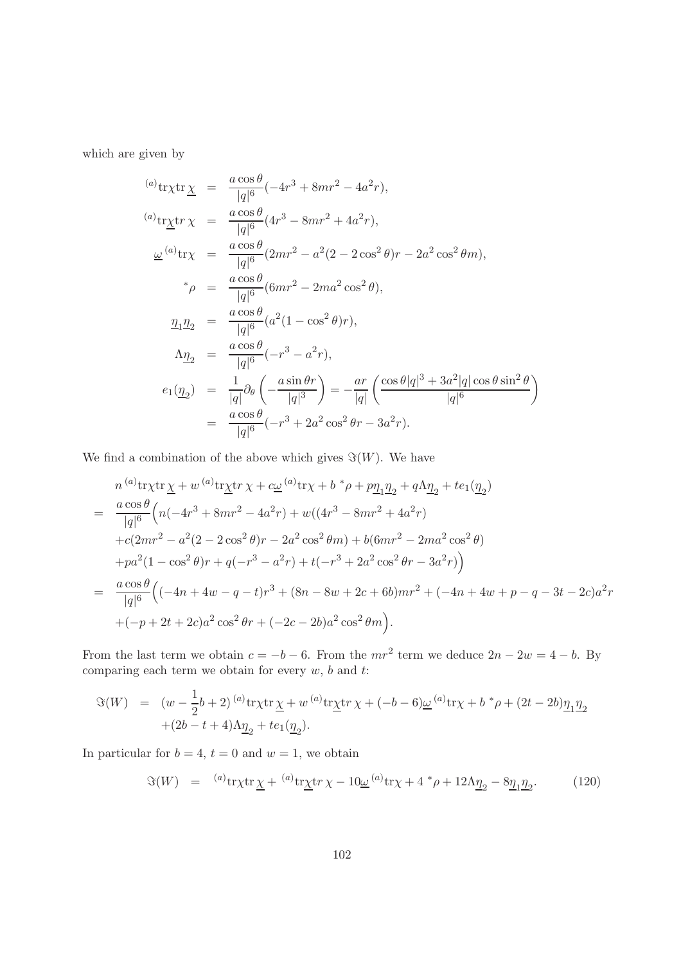which are given by

$$
\begin{array}{rcl}\n^{(a)} \text{tr}\chi \text{tr}\; \underline{\chi} &=& \frac{a\cos\theta}{|q|^6}(-4r^3 + 8mr^2 - 4a^2r), \\
^{(a)} \text{tr}\underline{\chi}\text{tr}\; \chi &=& \frac{a\cos\theta}{|q|^6}(4r^3 - 8mr^2 + 4a^2r), \\
& \underline{\omega}^{(a)} \text{tr}\chi &=& \frac{a\cos\theta}{|q|^6}(2mr^2 - a^2(2 - 2\cos^2\theta)r - 2a^2\cos^2\theta m), \\
& * \rho &=& \frac{a\cos\theta}{|q|^6}(6mr^2 - 2ma^2\cos^2\theta), \\
& \underline{\eta_1\eta_2} &=& \frac{a\cos\theta}{|q|^6}(a^2(1 - \cos^2\theta)r), \\
& \underline{\Lambda\eta_2} &=& \frac{a\cos\theta}{|q|^6}(-r^3 - a^2r), \\
& e_1(\underline{\eta_2}) &=& \frac{1}{|q|}\partial_\theta\left(-\frac{a\sin\theta r}{|q|^3}\right) = -\frac{ar}{|q|}\left(\frac{\cos\theta|q|^3 + 3a^2|q|\cos\theta\sin^2\theta}{|q|^6}\right) \\
&=& \frac{a\cos\theta}{|q|^6}(-r^3 + 2a^2\cos^2\theta r - 3a^2r).\n\end{array}
$$

We find a combination of the above which gives  $\Im(W)$ . We have

$$
n^{(a)} \text{tr}\chi \text{tr}\chi + w^{(a)} \text{tr}\chi \text{tr}\chi + c\underline{\omega}^{(a)} \text{tr}\chi + b^* \rho + p\underline{\eta_1 \eta_2} + q\Lambda \underline{\eta_2} + te_1(\underline{\eta_2})
$$
  
= 
$$
\frac{a \cos \theta}{|q|^6} \left( n(-4r^3 + 8mr^2 - 4a^2r) + w((4r^3 - 8mr^2 + 4a^2r) + c(2mr^2 - a^2(2 - 2\cos^2\theta)r - 2a^2\cos^2\theta m) + b(6mr^2 - 2ma^2\cos^2\theta) + pa^2(1 - \cos^2\theta)r + q(-r^3 - a^2r) + t(-r^3 + 2a^2\cos^2\theta r - 3a^2r) \right)
$$
  
= 
$$
\frac{a \cos \theta}{|q|^6} \left( (-4n + 4w - q - t)r^3 + (8n - 8w + 2c + 6b)mr^2 + (-4n + 4w + p - q - 3t - 2c)a^2r + (-p + 2t + 2c)a^2\cos^2\theta r + (-2c - 2b)a^2\cos^2\theta m \right).
$$

From the last term we obtain  $c = -b - 6$ . From the  $mr^2$  term we deduce  $2n - 2w = 4 - b$ . By comparing each term we obtain for every  $w$ ,  $b$  and  $t$ :

$$
\Im(W) = (w - \frac{1}{2}b + 2)^{(a)} \text{tr} \chi \text{tr} \chi + w^{(a)} \text{tr} \chi \text{tr} \chi + (-b - 6) \underline{\omega}^{(a)} \text{tr} \chi + b^* \rho + (2t - 2b) \underline{\eta}_1 \underline{\eta}_2 + (2b - t + 4) \Lambda \underline{\eta}_2 + t e_1 (\underline{\eta}_2).
$$

In particular for  $b = 4$ ,  $t = 0$  and  $w = 1$ , we obtain

$$
\Im(W) = {}^{(a)}tr\chi tr \underline{\chi} + {}^{(a)}tr\underline{\chi}tr\chi - 10\underline{\omega}^{(a)}tr\chi + 4 \, {}^*\rho + 12\Lambda \underline{\eta}_2 - 8\underline{\eta}_1 \underline{\eta}_2. \tag{120}
$$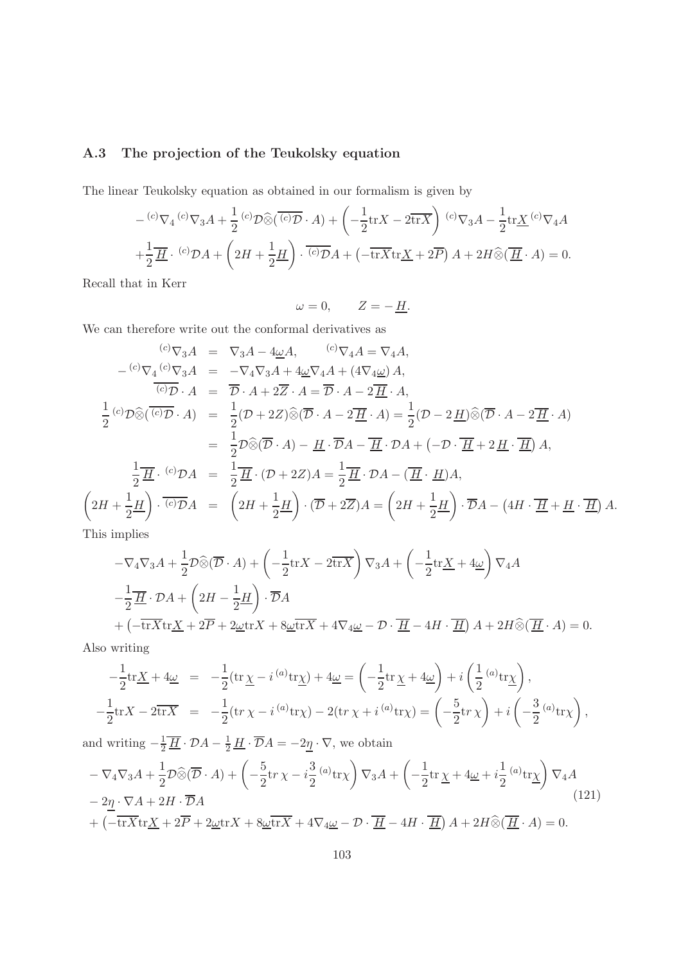## A.3 The projection of the Teukolsky equation

The linear Teukolsky equation as obtained in our formalism is given by

$$
- {}^{(c)}\nabla_4 {}^{(c)}\nabla_3 A + \frac{1}{2} {}^{(c)}\mathcal{D}\hat{\otimes} (\overline{{}^{(c)}\mathcal{D}} \cdot A) + \left(-\frac{1}{2} \text{tr} X - 2 \overline{\text{tr} X}\right) {}^{(c)}\nabla_3 A - \frac{1}{2} \text{tr} \underline{X} {}^{(c)}\nabla_4 A
$$
  
+ 
$$
\frac{1}{2} \underline{H} \cdot {}^{(c)}\mathcal{D}A + \left(2H + \frac{1}{2} \underline{H}\right) \cdot \overline{{}^{(c)}\mathcal{D}}A + \left(-\overline{\text{tr} X} \text{tr} \underline{X} + 2\overline{P}\right) A + 2H \hat{\otimes} (\underline{H} \cdot A) = 0.
$$

Recall that in Kerr

 $\omega = 0, \qquad Z = -\underline{H}.$ 

We can therefore write out the conformal derivatives as

$$
\begin{aligned}\n\frac{\partial}{\partial \nabla_3 A} &= \nabla_3 A - 4\underline{\omega}A, \quad \frac{\partial}{\partial \nabla_4 A} = \nabla_4 A, \\
-\frac{\partial}{\partial \nabla_4} \frac{\partial}{\partial \nabla_3 A} &= -\nabla_4 \nabla_3 A + 4\underline{\omega} \nabla_4 A + (4\nabla_4 \underline{\omega}) A, \\
\frac{\partial}{\partial \nabla \cdot A} &= \overline{\mathcal{D}} \cdot A + 2\overline{Z} \cdot A = \overline{\mathcal{D}} \cdot A - 2\overline{H} \cdot A, \\
\frac{1}{2} \left( \partial \mathcal{D} \hat{\otimes} \left( \overline{\partial \partial} \right) \cdot A \right) &= \frac{1}{2} (\mathcal{D} + 2Z) \hat{\otimes} \left( \overline{\mathcal{D}} \cdot A - 2\overline{H} \cdot A \right) = \frac{1}{2} (\mathcal{D} - 2\underline{H}) \hat{\otimes} \left( \overline{\mathcal{D}} \cdot A - 2\overline{H} \cdot A \right) \\
&= \frac{1}{2} \mathcal{D} \hat{\otimes} \left( \overline{\mathcal{D}} \cdot A \right) - \underline{H} \cdot \overline{\mathcal{D}} A - \overline{H} \cdot \mathcal{D} A + \left( -\mathcal{D} \cdot \overline{H} + 2\underline{H} \cdot \overline{H} \right) A, \\
\frac{1}{2} \overline{H} \cdot \frac{\partial}{\partial \mathcal{D}} A &= \frac{1}{2} \overline{H} \cdot (\mathcal{D} + 2Z) A = \frac{1}{2} \overline{H} \cdot \mathcal{D} A - \left( \overline{H} \cdot \underline{H} \right) A, \\
2H + \frac{1}{2} \underline{H} \right) \cdot \overline{\left( \partial \mathcal{D}} A &= \left( 2H + \frac{1}{2} \underline{H} \right) \cdot \left( \overline{\mathcal{D}} + 2\overline{Z} \right) A = \left( 2H + \frac{1}{2} \underline{H} \right) \cdot \overline{\mathcal{D}} A - \left( 4H \cdot \overline{H} + \underline{H} \cdot \overline{H} \right) A.\
$$

This implies

 $\sqrt{2}$ 

$$
-\nabla_4 \nabla_3 A + \frac{1}{2} \mathcal{D} \widehat{\otimes} (\overline{\mathcal{D}} \cdot A) + \left( -\frac{1}{2} \text{tr} X - 2 \overline{\text{tr} X} \right) \nabla_3 A + \left( -\frac{1}{2} \text{tr} \underline{X} + 4 \underline{\omega} \right) \nabla_4 A
$$
  

$$
-\frac{1}{2} \overline{H} \cdot \mathcal{D} A + \left( 2H - \frac{1}{2} \underline{H} \right) \cdot \overline{\mathcal{D}} A
$$
  

$$
+ \left( -\overline{\text{tr} X} \text{tr} \underline{X} + 2 \overline{P} + 2 \underline{\omega} \text{tr} X + 8 \underline{\omega} \overline{\text{tr} X} + 4 \nabla_4 \underline{\omega} - \mathcal{D} \cdot \overline{\underline{H}} - 4H \cdot \overline{\underline{H}} \right) A + 2H \widehat{\otimes} (\overline{\underline{H}} \cdot A) = 0.
$$

Also writing

$$
-\frac{1}{2}\mathrm{tr}\underline{X} + 4\underline{\omega} = -\frac{1}{2}(\mathrm{tr}\,\underline{\chi} - i^{(a)}\mathrm{tr}\underline{\chi}) + 4\underline{\omega} = \left(-\frac{1}{2}\mathrm{tr}\,\underline{\chi} + 4\underline{\omega}\right) + i\left(\frac{1}{2}^{(a)}\mathrm{tr}\underline{\chi}\right),
$$
  

$$
-\frac{1}{2}\mathrm{tr}X - 2\overline{\mathrm{tr}X} = -\frac{1}{2}(\mathrm{tr}\,\chi - i^{(a)}\mathrm{tr}\chi) - 2(\mathrm{tr}\,\chi + i^{(a)}\mathrm{tr}\chi) = \left(-\frac{5}{2}\mathrm{tr}\,\chi\right) + i\left(-\frac{3}{2}^{(a)}\mathrm{tr}\chi\right),
$$

and writing  $-\frac{1}{2}\overline{\underline{H}} \cdot \mathcal{D}A - \frac{1}{2}\underline{H} \cdot \overline{\mathcal{D}}A = -2\underline{\eta} \cdot \nabla$ , we obtain

<span id="page-102-0"></span>
$$
-\nabla_4 \nabla_3 A + \frac{1}{2} \mathcal{D} \widehat{\otimes} (\overline{\mathcal{D}} \cdot A) + \left( -\frac{5}{2} \text{tr} \chi - i \frac{3}{2} {}^{(a)} \text{tr} \chi \right) \nabla_3 A + \left( -\frac{1}{2} \text{tr} \chi + 4 \underline{\omega} + i \frac{1}{2} {}^{(a)} \text{tr} \chi \right) \nabla_4 A
$$
  
\n
$$
- 2 \underline{\eta} \cdot \nabla A + 2H \cdot \overline{\mathcal{D}} A
$$
  
\n
$$
+ \left( -\overline{\text{tr} X} \text{tr} \underline{X} + 2 \overline{P} + 2 \underline{\omega} \text{tr} X + 8 \underline{\omega} \overline{\text{tr} X} + 4 \nabla_4 \underline{\omega} - \mathcal{D} \cdot \overline{\underline{H}} - 4H \cdot \overline{\underline{H}} \right) A + 2H \widehat{\otimes} (\overline{\underline{H}} \cdot A) = 0.
$$
  
\n(121)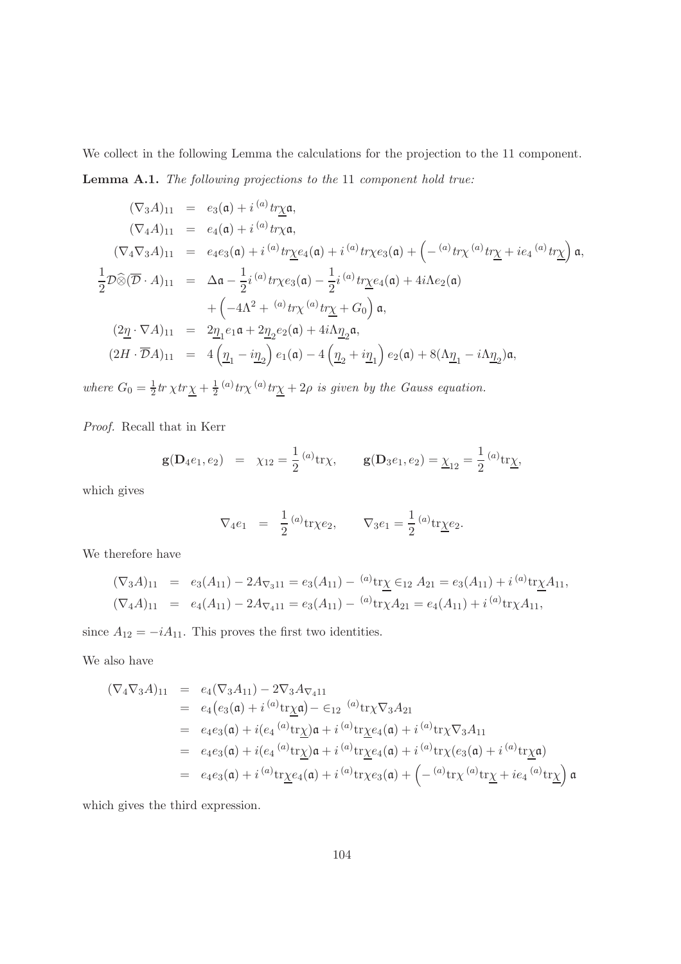<span id="page-103-0"></span>We collect in the following Lemma the calculations for the projection to the 11 component. Lemma A.1. The following projections to the 11 component hold true:

 $(\nabla_3 A)_{11} = e_3(\mathfrak{a}) + i^{(a)} tr \chi \mathfrak{a},$  $(\nabla_4 A)_{11} = e_4(\mathfrak{a}) + i^{(a)} tr \chi \mathfrak{a},$  $(\nabla_4\nabla_3 A)_{11}$  =  $e_4e_3(\mathfrak{a}) + i^{(a)}tr\chi e_4(\mathfrak{a}) + i^{(a)}tr\chi e_3(\mathfrak{a}) + \left(-\frac{(a)}{tr\chi} \frac{tr\chi}{\mu} + ie_4 \frac{(a)}{tr\chi}\right) \mathfrak{a},$ 1  $\frac{1}{2}\mathcal{D}\widehat{\otimes}(\overline{\mathcal{D}}\cdot A)_{11}$  =  $\Delta \mathfrak{a} - \frac{1}{2}$  $\frac{1}{2}i^{(a)}tr\chi e_3(\mathfrak{a})-\frac{1}{2}$  $\frac{1}{2}i^{(a)}tr\underline{\chi}e_4(\mathfrak{a})+4i\Lambda e_2(\mathfrak{a})$  $+\left(-4\Lambda^2+\right.^{(a)}tr\chi\left.\right.^{(a)}tr\underline{\chi}+G_0\right)\mathfrak{a},$  $(2\underline{\eta} \cdot \nabla A)_{11}$  =  $2\underline{\eta}_1 e_1 \mathfrak{a} + 2\underline{\eta}_2 e_2(\mathfrak{a}) + 4i\Lambda \underline{\eta}_2 \mathfrak{a},$  $(2H \cdot \overline{\mathcal{D}}A)_{11}$  =  $4\left(\underline{\eta}_1 - i\underline{\eta}_2\right)e_1(\mathfrak{a}) - 4\left(\underline{\eta}_2 + i\underline{\eta}_1\right)e_2(\mathfrak{a}) + 8(\Lambda \underline{\eta}_1 - i\Lambda \underline{\eta}_2)\mathfrak{a},$ 

where  $G_0 = \frac{1}{2}$  $rac{1}{2}tr\,\chi tr\underline{\chi}+\frac{1}{2}$  $\frac{1}{2}$ <sup>(a)</sup>tr<sub>X</sub><sup>(a)</sup>tr<sub>X</sub> + 2*ρ* is given by the Gauss equation.

Proof. Recall that in Kerr

$$
\mathbf{g}(\mathbf{D}_4e_1, e_2) = \chi_{12} = \frac{1}{2} {}^{(a)}\mathrm{tr} \chi, \qquad \mathbf{g}(\mathbf{D}_3e_1, e_2) = \underline{\chi}_{12} = \frac{1}{2} {}^{(a)}\mathrm{tr} \underline{\chi},
$$

which gives

$$
\nabla_4 e_1 = \frac{1}{2} {}^{(a)}\text{tr} \chi e_2, \qquad \nabla_3 e_1 = \frac{1}{2} {}^{(a)}\text{tr} \underline{\chi} e_2.
$$

We therefore have

$$
(\nabla_3 A)_{11} = e_3(A_{11}) - 2A_{\nabla_3 11} = e_3(A_{11}) - {^{(a)}}{\text{tr}}_X \in_{12} A_{21} = e_3(A_{11}) + i {^{(a)}}{\text{tr}}_X A_{11},
$$
  

$$
(\nabla_4 A)_{11} = e_4(A_{11}) - 2A_{\nabla_4 11} = e_3(A_{11}) - {^{(a)}}{\text{tr}}_X A_{21} = e_4(A_{11}) + i {^{(a)}}{\text{tr}}_X A_{11},
$$

since  $A_{12} = -iA_{11}$ . This proves the first two identities.

We also have

$$
(\nabla_4 \nabla_3 A)_{11} = e_4 (\nabla_3 A_{11}) - 2 \nabla_3 A_{\nabla_4 11}
$$
  
\n
$$
= e_4 (e_3(\mathfrak{a}) + i^{(a)} tr \chi \mathfrak{a}) - \epsilon_{12}^{(a)} tr \chi \nabla_3 A_{21}
$$
  
\n
$$
= e_4 e_3(\mathfrak{a}) + i(e_4^{(a)} tr \chi) \mathfrak{a} + i^{(a)} tr \chi e_4(\mathfrak{a}) + i^{(a)} tr \chi \nabla_3 A_{11}
$$
  
\n
$$
= e_4 e_3(\mathfrak{a}) + i(e_4^{(a)} tr \chi) \mathfrak{a} + i^{(a)} tr \chi e_4(\mathfrak{a}) + i^{(a)} tr \chi (e_3(\mathfrak{a}) + i^{(a)} tr \chi \mathfrak{a})
$$
  
\n
$$
= e_4 e_3(\mathfrak{a}) + i^{(a)} tr \chi e_4(\mathfrak{a}) + i^{(a)} tr \chi e_3(\mathfrak{a}) + \left( -\frac{(a)}{4} tr \chi \frac{(a)}{4} tr \chi + ie_4^{(a)} tr \chi \right) \mathfrak{a}
$$

which gives the third expression.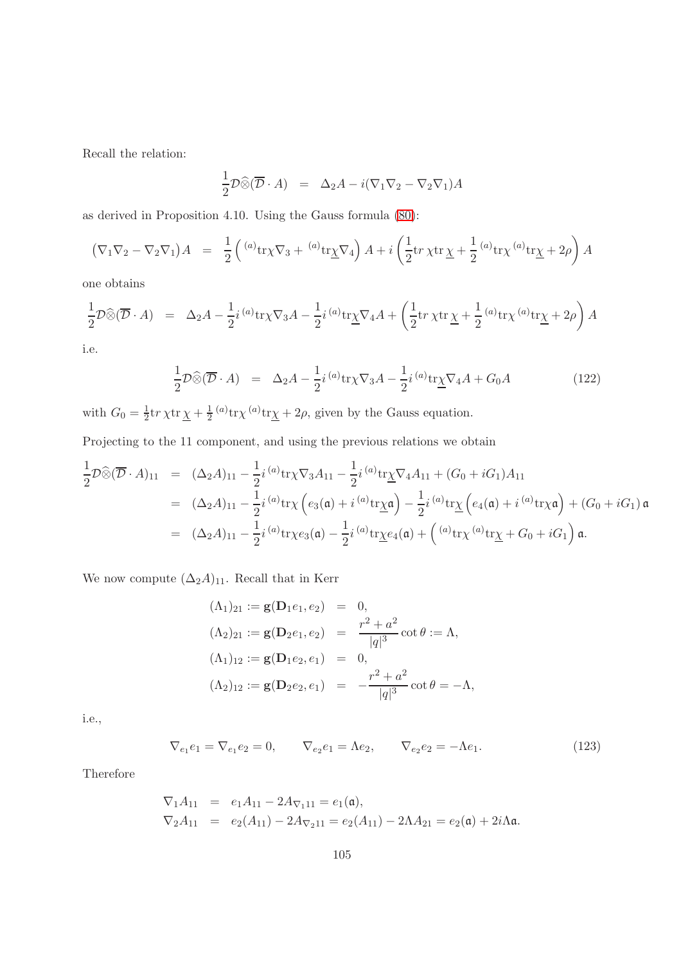Recall the relation:

$$
\frac{1}{2}\mathcal{D}\widehat{\otimes}(\overline{\mathcal{D}}\cdot A) = \Delta_2 A - i(\nabla_1\nabla_2 - \nabla_2\nabla_1)A
$$

as derived in Proposition 4.10. Using the Gauss formula [\(80\)](#page-67-0):

$$
(\nabla_1 \nabla_2 - \nabla_2 \nabla_1) A = \frac{1}{2} \left( {}^{(a)} \text{tr} \chi \nabla_3 + {}^{(a)} \text{tr} \chi \nabla_4 \right) A + i \left( \frac{1}{2} \text{tr} \chi \text{tr} \chi + \frac{1}{2} {}^{(a)} \text{tr} \chi {}^{(a)} \text{tr} \chi + 2\rho \right) A
$$

one obtains

$$
\frac{1}{2}\mathcal{D}\widehat{\otimes}(\overline{\mathcal{D}}\cdot A) = \Delta_2 A - \frac{1}{2}i^{(a)}\text{tr}\chi\nabla_3 A - \frac{1}{2}i^{(a)}\text{tr}\underline{\chi}\nabla_4 A + \left(\frac{1}{2}\text{tr}\,\chi\text{tr}\,\underline{\chi} + \frac{1}{2}^{(a)}\text{tr}\chi^{(a)}\text{tr}\underline{\chi} + 2\rho\right)A
$$

i.e.

<span id="page-104-0"></span>
$$
\frac{1}{2}\mathcal{D}\widehat{\otimes}(\overline{\mathcal{D}}\cdot A) = \Delta_2 A - \frac{1}{2}i^{(a)}\text{tr}\chi\nabla_3 A - \frac{1}{2}i^{(a)}\text{tr}\underline{\chi}\nabla_4 A + G_0 A
$$
\n(122)

with  $G_0 = \frac{1}{2}$  $\frac{1}{2}$ tr  $\chi$ tr  $\underline{\chi} + \frac{1}{2}$  $\frac{1}{2}$ <sup>(a)</sup>tr<sub>X</sub><sup>(a)</sup>tr<sub>X</sub> + 2 $\rho$ , given by the Gauss equation.

Projecting to the 11 component, and using the previous relations we obtain

$$
\frac{1}{2}\mathcal{D}\widehat{\otimes}(\overline{\mathcal{D}}\cdot A)_{11} = (\Delta_2 A)_{11} - \frac{1}{2}i^{(a)}tr\chi\nabla_3 A_{11} - \frac{1}{2}i^{(a)}tr\chi\nabla_4 A_{11} + (G_0 + iG_1)A_{11}
$$
\n
$$
= (\Delta_2 A)_{11} - \frac{1}{2}i^{(a)}tr\chi\left(e_3(\mathfrak{a}) + i^{(a)}tr\chi\mathfrak{a}\right) - \frac{1}{2}i^{(a)}tr\chi\left(e_4(\mathfrak{a}) + i^{(a)}tr\chi\mathfrak{a}\right) + (G_0 + iG_1)\mathfrak{a}
$$
\n
$$
= (\Delta_2 A)_{11} - \frac{1}{2}i^{(a)}tr\chi e_3(\mathfrak{a}) - \frac{1}{2}i^{(a)}tr\chi e_4(\mathfrak{a}) + \left(\alpha^a tr\chi\right)^{(a)}tr\chi + G_0 + iG_1\mathfrak{a}.
$$

We now compute  $(\Delta_2 A)_{11}.$  Recall that in Kerr

$$
(\Lambda_1)_{21} := \mathbf{g}(\mathbf{D}_1 e_1, e_2) = 0,
$$
  
\n
$$
(\Lambda_2)_{21} := \mathbf{g}(\mathbf{D}_2 e_1, e_2) = \frac{r^2 + a^2}{|q|^3} \cot \theta := \Lambda,
$$
  
\n
$$
(\Lambda_1)_{12} := \mathbf{g}(\mathbf{D}_1 e_2, e_1) = 0,
$$
  
\n
$$
(\Lambda_2)_{12} := \mathbf{g}(\mathbf{D}_2 e_2, e_1) = -\frac{r^2 + a^2}{|q|^3} \cot \theta = -\Lambda,
$$

i.e.,

$$
\nabla_{e_1} e_1 = \nabla_{e_1} e_2 = 0, \qquad \nabla_{e_2} e_1 = \Lambda e_2, \qquad \nabla_{e_2} e_2 = -\Lambda e_1.
$$
\n(123)

Therefore

$$
\nabla_1 A_{11} = e_1 A_{11} - 2A_{\nabla_1 11} = e_1(\mathfrak{a}),
$$
  
\n
$$
\nabla_2 A_{11} = e_2(A_{11}) - 2A_{\nabla_2 11} = e_2(A_{11}) - 2\Lambda A_{21} = e_2(\mathfrak{a}) + 2i\Lambda \mathfrak{a}.
$$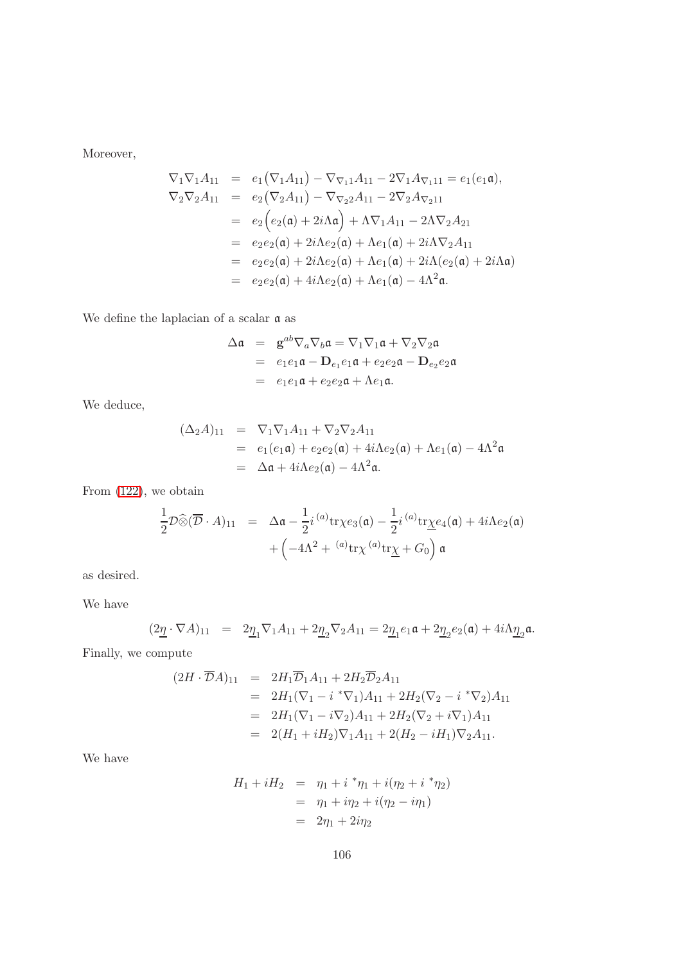Moreover,

$$
\nabla_1 \nabla_1 A_{11} = e_1 (\nabla_1 A_{11}) - \nabla_{\nabla_1 1} A_{11} - 2 \nabla_1 A_{\nabla_1 11} = e_1 (e_1 \mathfrak{a}), \n\nabla_2 \nabla_2 A_{11} = e_2 (\nabla_2 A_{11}) - \nabla_{\nabla_2 2} A_{11} - 2 \nabla_2 A_{\nabla_2 11} \n= e_2 (e_2(\mathfrak{a}) + 2i \Lambda \mathfrak{a}) + \Lambda \nabla_1 A_{11} - 2 \Lambda \nabla_2 A_{21} \n= e_2 e_2(\mathfrak{a}) + 2i \Lambda e_2(\mathfrak{a}) + \Lambda e_1(\mathfrak{a}) + 2i \Lambda \nabla_2 A_{11} \n= e_2 e_2(\mathfrak{a}) + 2i \Lambda e_2(\mathfrak{a}) + \Lambda e_1(\mathfrak{a}) + 2i \Lambda (e_2(\mathfrak{a}) + 2i \Lambda \mathfrak{a}) \n= e_2 e_2(\mathfrak{a}) + 4i \Lambda e_2(\mathfrak{a}) + \Lambda e_1(\mathfrak{a}) - 4\Lambda^2 \mathfrak{a}.
$$

We define the laplacian of a scalar  $\frak a$  as

$$
\Delta \mathfrak{a} = \mathbf{g}^{ab} \nabla_a \nabla_b \mathfrak{a} = \nabla_1 \nabla_1 \mathfrak{a} + \nabla_2 \nabla_2 \mathfrak{a}
$$
  
=  $e_1 e_1 \mathfrak{a} - \mathbf{D}_{e_1} e_1 \mathfrak{a} + e_2 e_2 \mathfrak{a} - \mathbf{D}_{e_2} e_2 \mathfrak{a}$   
=  $e_1 e_1 \mathfrak{a} + e_2 e_2 \mathfrak{a} + \Lambda e_1 \mathfrak{a}$ .

We deduce,

$$
(\Delta_2 A)_{11} = \nabla_1 \nabla_1 A_{11} + \nabla_2 \nabla_2 A_{11}
$$
  
\n
$$
= e_1(e_1 \mathfrak{a}) + e_2 e_2(\mathfrak{a}) + 4i \Lambda e_2(\mathfrak{a}) + \Lambda e_1(\mathfrak{a}) - 4\Lambda^2 \mathfrak{a}
$$
  
\n
$$
= \Delta \mathfrak{a} + 4i \Lambda e_2(\mathfrak{a}) - 4\Lambda^2 \mathfrak{a}.
$$

From [\(122\)](#page-104-0), we obtain

$$
\frac{1}{2}\mathcal{D}\widehat{\otimes}(\overline{\mathcal{D}}\cdot A)_{11} = \Delta \mathfrak{a} - \frac{1}{2}i^{(a)}\text{tr}\chi e_3(\mathfrak{a}) - \frac{1}{2}i^{(a)}\text{tr}\underline{\chi} e_4(\mathfrak{a}) + 4i\Lambda e_2(\mathfrak{a})
$$

$$
+ \left(-4\Lambda^2 + {^{(a)}\text{tr}\chi}^{(a)}\text{tr}\underline{\chi} + G_0\right)\mathfrak{a}
$$

as desired.

We have

$$
(2\underline{\eta}\cdot \nabla A)_{11} = 2\underline{\eta}_1 \nabla_1 A_{11} + 2\underline{\eta}_2 \nabla_2 A_{11} = 2\underline{\eta}_1 e_1 \mathfrak{a} + 2\underline{\eta}_2 e_2(\mathfrak{a}) + 4i\Lambda \underline{\eta}_2 \mathfrak{a}.
$$

Finally, we compute

$$
(2H \cdot \overline{\mathcal{D}}A)_{11} = 2H_1 \overline{\mathcal{D}}_1 A_{11} + 2H_2 \overline{\mathcal{D}}_2 A_{11}
$$
  
=  $2H_1 (\nabla_1 - i * \nabla_1) A_{11} + 2H_2 (\nabla_2 - i * \nabla_2) A_{11}$   
=  $2H_1 (\nabla_1 - i \nabla_2) A_{11} + 2H_2 (\nabla_2 + i \nabla_1) A_{11}$   
=  $2(H_1 + iH_2) \nabla_1 A_{11} + 2(H_2 - iH_1) \nabla_2 A_{11}.$ 

We have

$$
H_1 + iH_2 = \eta_1 + i * \eta_1 + i(\eta_2 + i * \eta_2)
$$
  
=  $\eta_1 + i\eta_2 + i(\eta_2 - i\eta_1)$   
=  $2\eta_1 + 2i\eta_2$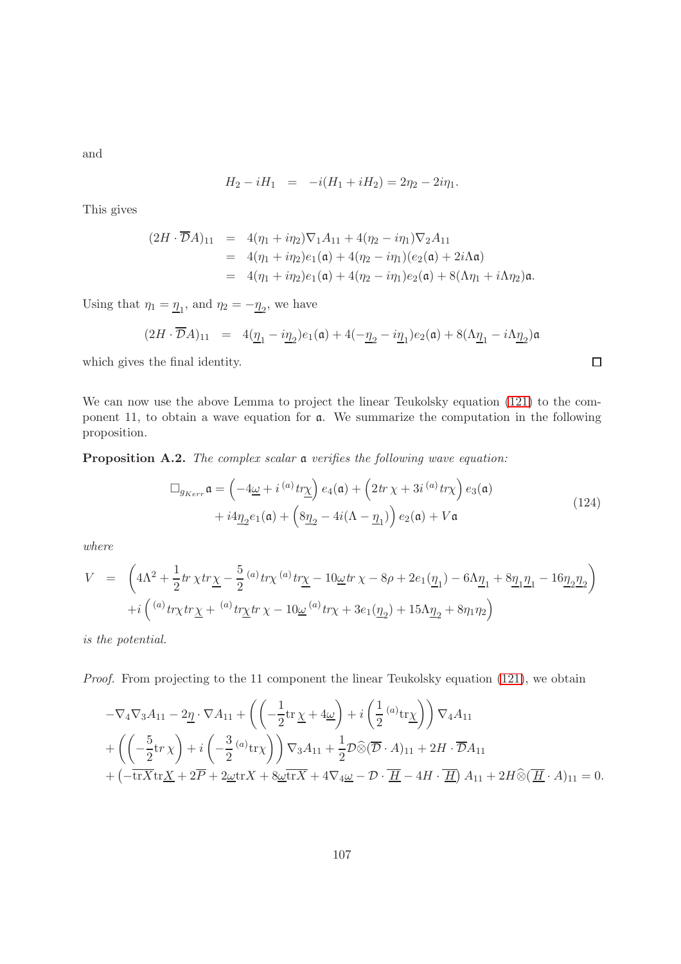and

$$
H_2 - iH_1 = -i(H_1 + iH_2) = 2\eta_2 - 2i\eta_1.
$$

This gives

$$
(2H \cdot \overline{\mathcal{D}}A)_{11} = 4(\eta_1 + i\eta_2)\nabla_1 A_{11} + 4(\eta_2 - i\eta_1)\nabla_2 A_{11}
$$
  
= 4(\eta\_1 + i\eta\_2)e\_1(\mathfrak{a}) + 4(\eta\_2 - i\eta\_1)(e\_2(\mathfrak{a}) + 2i\Lambda \mathfrak{a})  
= 4(\eta\_1 + i\eta\_2)e\_1(\mathfrak{a}) + 4(\eta\_2 - i\eta\_1)e\_2(\mathfrak{a}) + 8(\Lambda\eta\_1 + i\Lambda\eta\_2)\mathfrak{a}.

Using that  $\eta_1 = \underline{\eta}_1$ , and  $\eta_2 = -\underline{\eta}_2$ , we have

$$
(2H \cdot \overline{\mathcal{D}}A)_{11} = 4(\underline{\eta}_1 - i\underline{\eta}_2)e_1(\mathfrak{a}) + 4(-\underline{\eta}_2 - i\underline{\eta}_1)e_2(\mathfrak{a}) + 8(\Lambda \underline{\eta}_1 - i\Lambda \underline{\eta}_2)\mathfrak{a}
$$

which gives the final identity.

We can now use the above Lemma to project the linear Teukolsky equation [\(121\)](#page-102-0) to the component 11, to obtain a wave equation for a. We summarize the computation in the following proposition.

Proposition A.2. The complex scalar a verifies the following wave equation:

$$
\Box_{g_{Kerr}} \mathfrak{a} = \left(-4\underline{\omega} + i^{(a)}tr\underline{\chi}\right) e_4(\mathfrak{a}) + \left(2tr\,\chi + 3i^{(a)}tr\chi\right) e_3(\mathfrak{a}) \n+ i4\underline{\eta}_2 e_1(\mathfrak{a}) + \left(8\underline{\eta}_2 - 4i(\Lambda - \underline{\eta}_1)\right) e_2(\mathfrak{a}) + V\mathfrak{a}
$$
\n(124)

 $\Box$ 

where

$$
\begin{array}{lcl} V & = & \left(4 \Lambda^2 + \frac{1}{2} tr\, \chi tr \underline{\chi} - \frac{5}{2} \, ^{(a)} tr \chi \, ^{(a)} tr \underline{\chi} - 10 \underline{\omega} tr \, \chi - 8 \rho + 2 e_1 (\underline{\eta}_1) - 6 \Lambda \underline{\eta}_1 + 8 \underline{\eta}_1 \underline{\eta}_1 - 16 \underline{\eta}_2 \underline{\eta}_2 \right) \\ & & \displaystyle \qquad + i \left( \, ^{(a)} tr \chi tr \, \underline{\chi} + \, ^{(a)} tr \underline{\chi} tr \, \chi - 10 \underline{\omega} \, ^{(a)} tr \chi + 3 e_1 (\underline{\eta}_2) + 15 \Lambda \underline{\eta}_2 + 8 \eta_1 \eta_2 \right) \end{array}
$$

is the potential.

Proof. From projecting to the 11 component the linear Teukolsky equation [\(121\)](#page-102-0), we obtain

$$
-\nabla_4 \nabla_3 A_{11} - 2\underline{\eta} \cdot \nabla A_{11} + \left( \left( -\frac{1}{2} \text{tr} \underline{\chi} + 4\underline{\omega} \right) + i \left( \frac{1}{2} {}^{(a)} \text{tr} \underline{\chi} \right) \right) \nabla_4 A_{11} + \left( \left( -\frac{5}{2} \text{tr} \chi \right) + i \left( -\frac{3}{2} {}^{(a)} \text{tr} \chi \right) \right) \nabla_3 A_{11} + \frac{1}{2} \mathcal{D} \widehat{\otimes} (\overline{\mathcal{D}} \cdot A)_{11} + 2H \cdot \overline{\mathcal{D}} A_{11} + \left( -\overline{\text{tr} X} \text{tr} \underline{X} + 2\overline{P} + 2\underline{\omega} \text{tr} X + 8\underline{\omega} \overline{\text{tr} X} + 4 \nabla_4 \underline{\omega} - \mathcal{D} \cdot \overline{\underline{H}} - 4H \cdot \overline{\underline{H}} \right) A_{11} + 2H \widehat{\otimes} (\overline{\underline{H}} \cdot A)_{11} = 0.
$$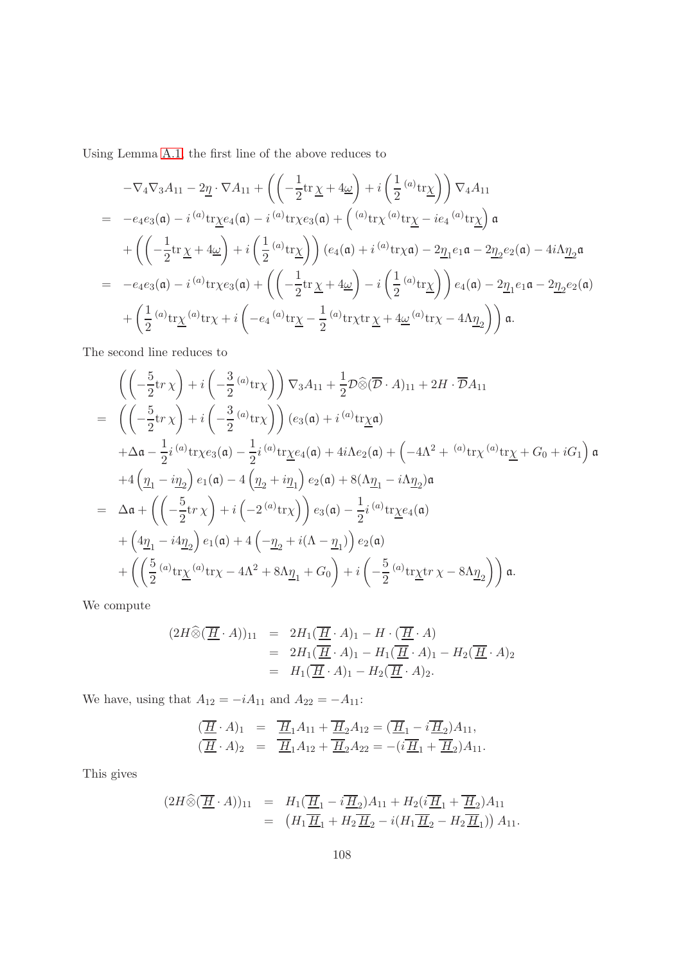Using Lemma [A.1,](#page-103-0) the first line of the above reduces to

$$
-\nabla_4 \nabla_3 A_{11} - 2 \underline{\eta} \cdot \nabla A_{11} + \left( \left( -\frac{1}{2} \text{tr} \underline{\chi} + 4 \underline{\omega} \right) + i \left( \frac{1}{2} {}^{(a)} \text{tr} \underline{\chi} \right) \right) \nabla_4 A_{11}
$$
  
\n
$$
= -e_4 e_3(\mathfrak{a}) - i {}^{(a)} \text{tr} \underline{\chi} e_4(\mathfrak{a}) - i {}^{(a)} \text{tr} \chi e_3(\mathfrak{a}) + \left( {}^{(a)} \text{tr} \chi {}^{(a)} \text{tr} \underline{\chi} - ie_4 {}^{(a)} \text{tr} \underline{\chi} \right) \mathfrak{a}
$$
  
\n
$$
+ \left( \left( -\frac{1}{2} \text{tr} \underline{\chi} + 4 \underline{\omega} \right) + i \left( \frac{1}{2} {}^{(a)} \text{tr} \underline{\chi} \right) \right) (e_4(\mathfrak{a}) + i {}^{(a)} \text{tr} \chi \mathfrak{a}) - 2 \underline{\eta}_1 e_1 \mathfrak{a} - 2 \underline{\eta}_2 e_2(\mathfrak{a}) - 4i \Lambda \underline{\eta}_2 \mathfrak{a}
$$
  
\n
$$
= -e_4 e_3(\mathfrak{a}) - i {}^{(a)} \text{tr} \chi e_3(\mathfrak{a}) + \left( \left( -\frac{1}{2} \text{tr} \underline{\chi} + 4 \underline{\omega} \right) - i \left( \frac{1}{2} {}^{(a)} \text{tr} \underline{\chi} \right) \right) e_4(\mathfrak{a}) - 2 \underline{\eta}_1 e_1 \mathfrak{a} - 2 \underline{\eta}_2 e_2(\mathfrak{a})
$$
  
\n
$$
+ \left( \frac{1}{2} {}^{(a)} \text{tr} \underline{\chi} {}^{(a)} \text{tr} \chi + i \left( -e_4 {}^{(a)} \text{tr} \underline{\chi} - \frac{1}{2} {}^{(a)} \text{tr} \chi \text{tr} \underline{\chi} + 4 \underline{\omega} {}^{(a)} \text{tr} \chi - 4 \Lambda \underline{\eta}_2 \right) \right) \mathfrak{a}.
$$

The second line reduces to

$$
\begin{split}\n&\left(\left(-\frac{5}{2}\mathrm{tr}\,\chi\right)+i\left(-\frac{3}{2}\,^{(a)}\mathrm{tr}\chi\right)\right)\nabla_{3}A_{11}+\frac{1}{2}\mathcal{D}\widehat{\otimes}(\overline{\mathcal{D}}\cdot A)_{11}+2H\cdot\overline{\mathcal{D}}A_{11} \\
&=\left(\left(-\frac{5}{2}\mathrm{tr}\,\chi\right)+i\left(-\frac{3}{2}\,^{(a)}\mathrm{tr}\chi\right)\right)(e_{3}(\mathfrak{a})+i\,^{(a)}\mathrm{tr}\chi\mathfrak{a}) \\
&+\Delta\mathfrak{a}-\frac{1}{2}i\,^{(a)}\mathrm{tr}\chi e_{3}(\mathfrak{a})-\frac{1}{2}i\,^{(a)}\mathrm{tr}\chi e_{4}(\mathfrak{a})+4i\Lambda e_{2}(\mathfrak{a})+\left(-4\Lambda^{2}+\,^{(a)}\mathrm{tr}\chi\,^{(a)}\mathrm{tr}\chi+G_{0}+iG_{1}\right)\mathfrak{a} \\
&+4\left(\underline{\eta}_{1}-i\underline{\eta}_{2}\right)e_{1}(\mathfrak{a})-4\left(\underline{\eta}_{2}+i\underline{\eta}_{1}\right)e_{2}(\mathfrak{a})+8(\Lambda\underline{\eta}_{1}-i\Lambda\underline{\eta}_{2})\mathfrak{a} \\
&=\Delta\mathfrak{a}+\left(\left(-\frac{5}{2}\mathrm{tr}\,\chi\right)+i\left(-2\,^{(a)}\mathrm{tr}\chi\right)\right)e_{3}(\mathfrak{a})-\frac{1}{2}i\,^{(a)}\mathrm{tr}\chi e_{4}(\mathfrak{a}) \\
&+\left(4\underline{\eta}_{1}-i4\underline{\eta}_{2}\right)e_{1}(\mathfrak{a})+4\left(-\underline{\eta}_{2}+i(\Lambda-\underline{\eta}_{1})\right)e_{2}(\mathfrak{a}) \\
&+\left(\left(\frac{5}{2}\,^{(a)}\mathrm{tr}\chi\,^{(a)}\mathrm{tr}\chi-4\Lambda^{2}+8\Lambda\underline{\eta}_{1}+G_{0}\right)+i\left(-\frac{5}{2}\,^{(a)}\mathrm{tr}\chi\mathrm{tr}\,\chi-8\Lambda\underline{\eta}_{2}\right)\right)\mathfrak{a}.\n\end{split}
$$

We compute

$$
(2H\widehat{\otimes}(\overline{\underline{H}}\cdot A))_{11} = 2H_1(\overline{\underline{H}}\cdot A)_1 - H\cdot(\overline{\underline{H}}\cdot A)
$$
  
= 
$$
2H_1(\overline{\underline{H}}\cdot A)_1 - H_1(\overline{\underline{H}}\cdot A)_1 - H_2(\overline{\underline{H}}\cdot A)_2
$$
  
= 
$$
H_1(\overline{\underline{H}}\cdot A)_1 - H_2(\overline{\underline{H}}\cdot A)_2.
$$

We have, using that  $A_{12} = -iA_{11}$  and  $A_{22} = -A_{11}$ :

$$
(\overline{H} \cdot A)_1 = \overline{H}_1 A_{11} + \overline{H}_2 A_{12} = (\overline{H}_1 - i \overline{H}_2) A_{11},
$$
  
\n
$$
(\overline{H} \cdot A)_2 = \overline{H}_1 A_{12} + \overline{H}_2 A_{22} = -(i \overline{H}_1 + \overline{H}_2) A_{11}.
$$

This gives

$$
(2H\widehat{\otimes}(\overline{\underline{H}}\cdot A))_{11} = H_1(\overline{\underline{H}}_1 - i\overline{\underline{H}}_2)A_{11} + H_2(i\overline{\underline{H}}_1 + \overline{\underline{H}}_2)A_{11}
$$
  
= 
$$
(H_1\overline{\underline{H}}_1 + H_2\overline{\underline{H}}_2 - i(H_1\overline{\underline{H}}_2 - H_2\overline{\underline{H}}_1))A_{11}.
$$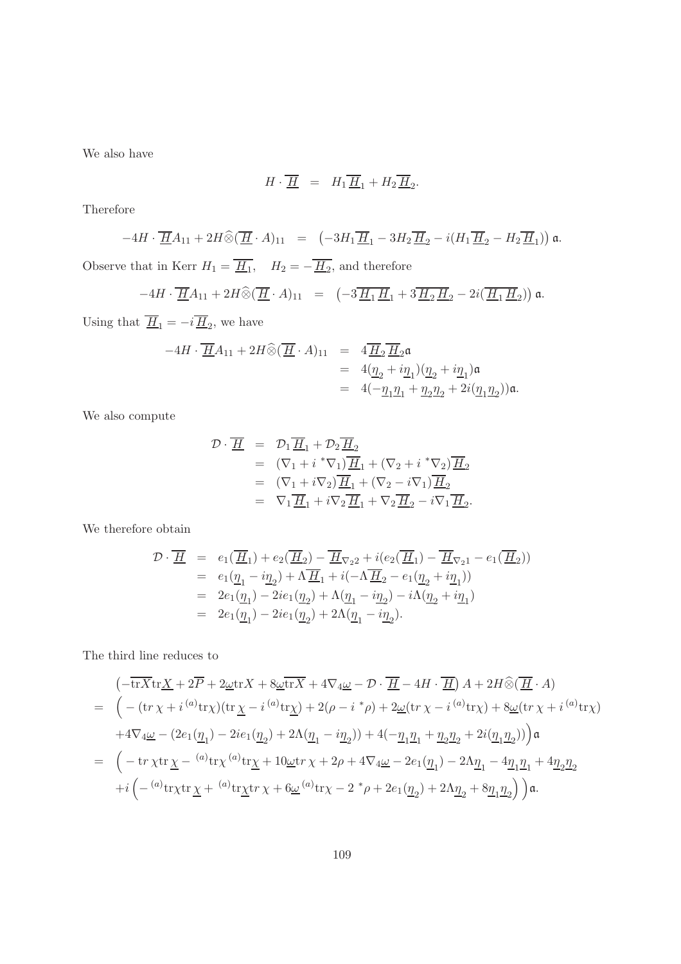We also have

$$
H\cdot \overline{\underline{H}} = H_1 \overline{\underline{H}}_1 + H_2 \overline{\underline{H}}_2.
$$

Therefore

$$
-4H \cdot \overline{\underline{H}}A_{11} + 2H \widehat{\otimes} (\overline{\underline{H}} \cdot A)_{11} = (-3H_1 \overline{\underline{H}}_1 - 3H_2 \overline{\underline{H}}_2 - i(H_1 \overline{\underline{H}}_2 - H_2 \overline{\underline{H}}_1)) \mathfrak{a}.
$$
  
Observe that in Kerr  $H_1 = \overline{\underline{H}}_1$ ,  $H_2 = -\overline{\underline{H}}_2$ , and therefore

$$
-4H\cdot \overline{\underline{H}}A_{11}+2H\widehat{\otimes}(\overline{\underline{H}}\cdot A)_{11}\ =\ \left(-3\overline{\underline{H}_1\,\underline{H}}_1+3\overline{\underline{H}_2\,\underline{H}}_2-2i(\overline{\underline{H}_1\,\underline{H}}_2)\right)\mathfrak{a}.
$$

Using that  $\underline{H}_1 = -i \underline{H}_2$ , we have

$$
\begin{array}{rcl} -4H \cdot \overline{\underline{H}} A_{11} + 2H \widehat{\otimes} (\overline{\underline{H}} \cdot A)_{11} & = & 4 \overline{\underline{H}}_2 \overline{\underline{H}}_2 \mathfrak{a} \\ & = & 4 (\underline{\eta}_2 + i \underline{\eta}_1) (\underline{\eta}_2 + i \underline{\eta}_1) \mathfrak{a} \\ & = & 4 (-\underline{\eta}_1 \underline{\eta}_1 + \underline{\eta}_2 \underline{\eta}_2 + 2i (\underline{\eta}_1 \underline{\eta}_2)) \mathfrak{a}. \end{array}
$$

We also compute

$$
\mathcal{D} \cdot \overline{\underline{H}} = \mathcal{D}_1 \overline{\underline{H}}_1 + \mathcal{D}_2 \overline{\underline{H}}_2
$$
  
\n
$$
= (\nabla_1 + i * \nabla_1) \overline{\underline{H}}_1 + (\nabla_2 + i * \nabla_2) \overline{\underline{H}}_2
$$
  
\n
$$
= (\nabla_1 + i \nabla_2) \overline{\underline{H}}_1 + (\nabla_2 - i \nabla_1) \overline{\underline{H}}_2
$$
  
\n
$$
= \nabla_1 \overline{\underline{H}}_1 + i \nabla_2 \overline{\underline{H}}_1 + \nabla_2 \overline{\underline{H}}_2 - i \nabla_1 \overline{\underline{H}}_2.
$$

We therefore obtain

$$
\begin{array}{rcl} \mathcal{D}\cdot \overline{\underline{H}} & = & e_1(\overline{\underline{H}}_1)+e_2(\overline{\underline{H}}_2)-\overline{\underline{H}}_{\nabla_2 2}+i(e_2(\overline{\underline{H}}_1)-\overline{\underline{H}}_{\nabla_2 1}-e_1(\overline{\underline{H}}_2))\\ & = & e_1(\underline{\eta}_1-i\underline{\eta}_2)+\Lambda\overline{\underline{H}}_1+i(-\Lambda\overline{\underline{H}}_2-e_1(\underline{\eta}_2+i\underline{\eta}_1))\\ & = & 2e_1(\underline{\eta}_1)-2ie_1(\underline{\eta}_2)+\Lambda(\underline{\eta}_1-i\underline{\eta}_2)-i\Lambda(\underline{\eta}_2+i\underline{\eta}_1)\\ & = & 2e_1(\underline{\eta}_1)-2ie_1(\underline{\eta}_2)+2\Lambda(\underline{\eta}_1-i\underline{\eta}_2). \end{array}
$$

The third line reduces to

$$
\begin{split} &\left(-\overline{\mathrm{tr}X}\mathrm{tr}\underline{X}+2\overline{P}+2\underline{\omega}\mathrm{tr}X+8\underline{\omega}\overline{\mathrm{tr}X}+4\nabla_4\underline{\omega}-\mathcal{D}\cdot\overline{\underline{H}}-4H\cdot\overline{\underline{H}}\right)A+2H\widehat{\otimes}(\overline{\underline{H}}\cdot A)\\ &=\ \Big(-(\mathrm{tr}\,\chi+i\,^{(a)}\mathrm{tr}\chi)(\mathrm{tr}\,\underline{\chi}-i\,^{(a)}\mathrm{tr}\underline{\chi})+2(\rho-i\,^*\rho)+2\underline{\omega}(\mathrm{tr}\,\chi-i\,^{(a)}\mathrm{tr}\chi)+8\underline{\omega}(\mathrm{tr}\,\chi+i\,^{(a)}\mathrm{tr}\chi)\\ &+4\nabla_4\underline{\omega}-(2e_1(\underline{\eta}_1)-2ie_1(\underline{\eta}_2)+2\Lambda(\underline{\eta}_1-i\underline{\eta}_2))+4(-\underline{\eta}_1\underline{\eta}_1+\underline{\eta}_2\underline{\eta}_2+2i(\underline{\eta}_1\underline{\eta}_2))\Big)\mathfrak{a}\\ &=\ \Big(-\mathrm{tr}\,\chi\mathrm{tr}\,\underline{\chi}-\,^{(a)}\mathrm{tr}\chi\,^{(a)}\mathrm{tr}\underline{\chi}+10\underline{\omega}\mathrm{tr}\,\chi+2\rho+4\nabla_4\underline{\omega}-2e_1(\underline{\eta}_1)-2\Lambda\underline{\eta}_1-4\underline{\eta}_1\underline{\eta}_1+4\underline{\eta}_2\underline{\eta}_2\\ &+i\left(-\,^{(a)}\mathrm{tr}\chi\mathrm{tr}\,\underline{\chi}+\,^{(a)}\mathrm{tr}\underline{\chi}\mathrm{tr}\,\chi+6\underline{\omega}\,^{(a)}\mathrm{tr}\chi-2\,^*\rho+2e_1(\underline{\eta}_2)+2\Lambda\underline{\eta}_2+8\underline{\eta}_1\underline{\eta}_2\right)\right)\mathfrak{a}. \end{split}
$$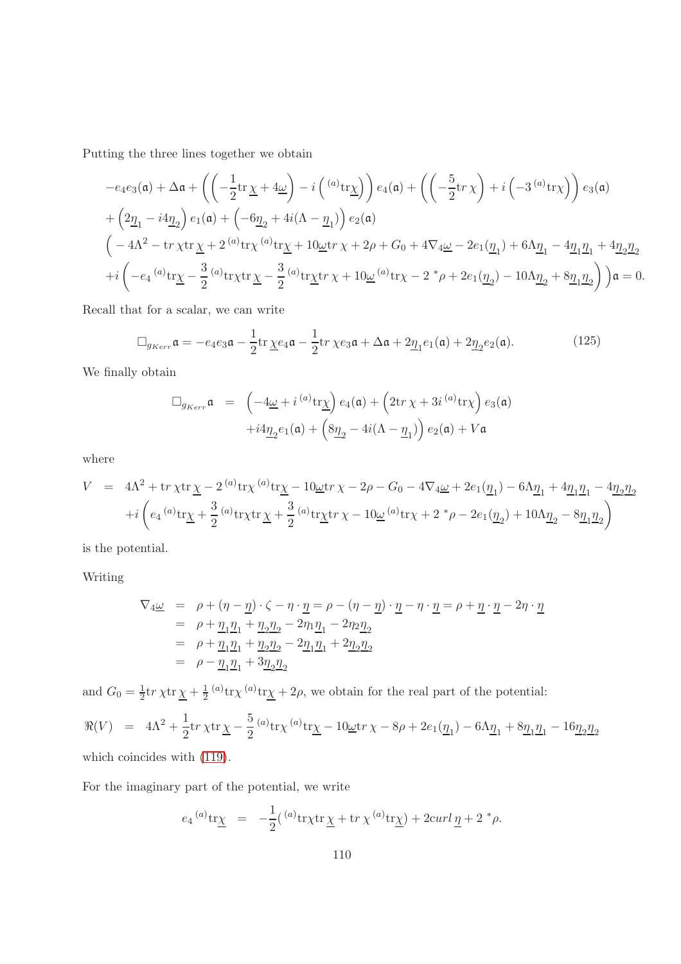Putting the three lines together we obtain

$$
-e_4e_3(\mathfrak{a}) + \Delta \mathfrak{a} + \left( \left( -\frac{1}{2} \text{tr} \underline{\chi} + 4\underline{\omega} \right) - i \left( \begin{array}{c} (a)_{\text{tr}} \\ \underline{\chi} \end{array} \right) e_4(\mathfrak{a}) + \left( \left( -\frac{5}{2} \text{tr} \, \chi \right) + i \left( -3 \begin{array}{c} (a)_{\text{tr}} \\ \chi \end{array} \right) \right) e_3(\mathfrak{a})
$$
  
+ 
$$
\left( 2\underline{\eta}_1 - i4\underline{\eta}_2 \right) e_1(\mathfrak{a}) + \left( -6\underline{\eta}_2 + 4i(\Lambda - \underline{\eta}_1) \right) e_2(\mathfrak{a})
$$
  

$$
\left( -4\Lambda^2 - \text{tr} \, \chi \text{tr} \, \underline{\chi} + 2 \begin{array}{c} (a)_{\text{tr}} \\ \chi \end{array} \right) e_1(\mathfrak{a}) + i \left( 2\underline{\eta}_1 + 4\underline{\eta}_2 \underline{\eta}_2 + 4i(\Lambda - \underline{\eta}_1) \right) e_2(\mathfrak{a})
$$
  
+ 
$$
i \left( -e_4 \begin{array}{c} (a)_{\text{tr}} \\ \chi - \frac{3}{2} \end{array} \right) e_1(\mathfrak{a}) + \chi \text{tr} \, \chi + 10 \underline{\omega} \text{tr} \, \chi + 2\rho + G_0 + 4 \nabla_4 \underline{\omega} - 2e_1(\underline{\eta}_1) + 6 \Lambda \underline{\eta}_1 - 4\underline{\eta}_1 \underline{\eta}_1 + 4\underline{\eta}_2 \underline{\eta}_2
$$
  
+ 
$$
i \left( -e_4 \begin{array}{c} (a)_{\text{tr}} \\ \chi - \frac{3}{2} \end{array} \right) e_1(\mathfrak{a}) + \chi \text{tr} \, \chi - \frac{3}{2} \begin{array}{c} (a)_{\text{tr}} \\ \chi + \chi + 10 \underline{\omega} \end{array} \right) e_1(\mathfrak{a}) + \chi + 2e_1(\underline{\eta}_2) - 10 \Lambda \underline{\eta}_2 + 8\underline{\eta}_1 \underline{\eta}_2 \right) \Big) \
$$

Recall that for a scalar, we can write

$$
\Box_{g_{Kerr}} \mathfrak{a} = -e_4 e_3 \mathfrak{a} - \frac{1}{2} \text{tr} \underline{\chi} e_4 \mathfrak{a} - \frac{1}{2} \text{tr} \chi e_3 \mathfrak{a} + \Delta \mathfrak{a} + 2 \underline{\eta}_1 e_1(\mathfrak{a}) + 2 \underline{\eta}_2 e_2(\mathfrak{a}). \tag{125}
$$

We finally obtain

$$
\begin{array}{lcl} \Box_{g_{Kerr}} \mathfrak{a} & = & \left(-4\underline{\omega} + i \, ^{(a)} \mathrm{tr}\underline{\chi}\right) e_4(\mathfrak{a}) + \left(2\mathrm{tr}\,\chi + 3i \, ^{(a)} \mathrm{tr}\chi\right) e_3(\mathfrak{a}) \\[2mm] & + i4\underline{\eta}_2 e_1(\mathfrak{a}) + \left(8\underline{\eta}_2 - 4i(\Lambda - \underline{\eta}_1)\right) e_2(\mathfrak{a}) + V\mathfrak{a} \end{array}
$$

where

$$
V = 4\Lambda^2 + \text{tr}\,\chi\text{tr}\,\underline{\chi} - 2^{(a)}\text{tr}\chi^{(a)}\text{tr}\underline{\chi} - 10\underline{\omega}\text{tr}\,\chi - 2\rho - G_0 - 4\nabla_4\underline{\omega} + 2e_1(\underline{\eta}_1) - 6\Lambda \underline{\eta}_1 + 4\underline{\eta}_1\underline{\eta}_1 - 4\underline{\eta}_2\underline{\eta}_2
$$
  
+
$$
i\left(e_4^{(a)}\text{tr}\underline{\chi} + \frac{3}{2}^{(a)}\text{tr}\chi\text{tr}\,\underline{\chi} + \frac{3}{2}^{(a)}\text{tr}\underline{\chi}\text{tr}\,\chi - 10\underline{\omega}^{(a)}\text{tr}\chi + 2^*\rho - 2e_1(\underline{\eta}_2) + 10\Lambda \underline{\eta}_2 - 8\underline{\eta}_1\underline{\eta}_2\right)
$$

is the potential.

Writing

$$
\nabla_4 \underline{\omega} = \rho + (\eta - \underline{\eta}) \cdot \zeta - \eta \cdot \underline{\eta} = \rho - (\eta - \underline{\eta}) \cdot \underline{\eta} - \eta \cdot \underline{\eta} = \rho + \underline{\eta} \cdot \underline{\eta} - 2\eta \cdot \underline{\eta}
$$
  
=  $\rho + \underline{\eta}_1 \underline{\eta}_1 + \underline{\eta}_2 \underline{\eta}_2 - 2\eta_1 \underline{\eta}_1 - 2\eta_2 \underline{\eta}_2$   
=  $\rho + \underline{\eta}_1 \underline{\eta}_1 + \underline{\eta}_2 \underline{\eta}_2 - 2\underline{\eta}_1 \underline{\eta}_1 + 2\underline{\eta}_2 \underline{\eta}_2$   
=  $\rho - \underline{\eta}_1 \underline{\eta}_1 + 3\underline{\eta}_2 \underline{\eta}_2$ 

and  $G_0 = \frac{1}{2} \text{tr} \chi \text{tr} \chi + \frac{1}{2} {^{(a)} \text{tr} \chi} {^{(a)} \text{tr} \chi} + 2\rho$ , we obtain for the real part of the potential:

$$
\Re(V) = 4\Lambda^2 + \frac{1}{2} \text{tr} \chi \text{tr} \underline{\chi} - \frac{5}{2} {}^{(a)} \text{tr} \chi {}^{(a)} \text{tr} \underline{\chi} - 10 \underline{\omega} \text{tr} \chi - 8\rho + 2e_1(\underline{\eta}_1) - 6\Lambda \underline{\eta}_1 + 8 \underline{\eta}_1 \underline{\eta}_1 - 16 \underline{\eta}_2 \underline{\eta}_2
$$
\nwhich coincides with (119).

For the imaginary part of the potential, we write

$$
e_4^{(a)} \text{tr}\underline{\chi} = -\frac{1}{2}({}^{(a)} \text{tr}\chi \text{tr}\,\underline{\chi} + \text{tr}\,\chi^{(a)} \text{tr}\underline{\chi}) + 2\text{curl}\,\underline{\eta} + 2 \,^* \rho.
$$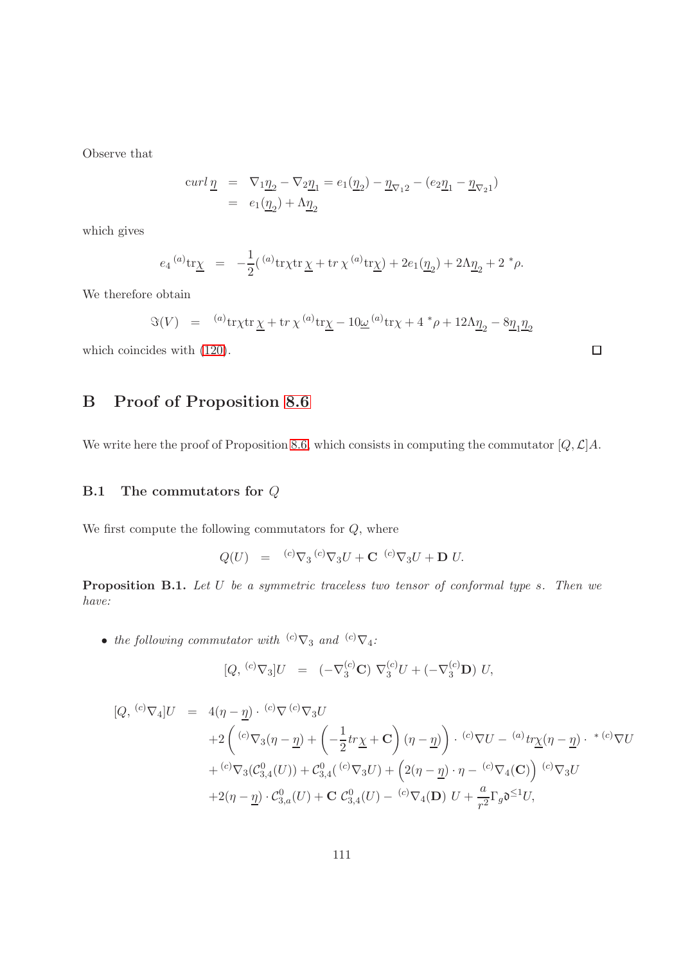Observe that

$$
\begin{array}{lcl} curl \, \underline{\eta} & = & \nabla_1 \underline{\eta}_2 - \nabla_2 \underline{\eta}_1 = e_1(\underline{\eta}_2) - \underline{\eta}_{\nabla_1 2} - (e_2 \underline{\eta}_1 - \underline{\eta}_{\nabla_2 1}) \\ & = & e_1(\underline{\eta}_2) + \Lambda \underline{\eta}_2 \end{array}
$$

which gives

$$
e_4^{(a)} \text{tr}\underline{\chi} = -\frac{1}{2}({}^{(a)} \text{tr}\chi \text{tr}\,\underline{\chi} + \text{tr}\,\chi^{(a)} \text{tr}\underline{\chi}) + 2e_1(\underline{\eta}_2) + 2\Lambda \underline{\eta}_2 + 2 \, {}^*\rho.
$$

We therefore obtain

$$
\Im(V) = {}^{(a)}tr\chi tr \underline{\chi} + tr \, \chi^{(a)}tr \underline{\chi} - 10 \underline{\omega}^{(a)}tr \chi + 4 \, {}^*\rho + 12 \Lambda \underline{\eta}_2 - 8 \underline{\eta}_1 \underline{\eta}_2
$$

 $\Box$ 

which coincides with [\(120\)](#page-101-0).

# B Proof of Proposition [8.6](#page-79-0)

We write here the proof of Proposition [8.6,](#page-79-0) which consists in computing the commutator  $[Q, \mathcal{L}]A$ .

#### B.1 The commutators for Q

We first compute the following commutators for  $Q$ , where

$$
Q(U) = {}^{(c)}\nabla_3 {}^{(c)}\nabla_3 U + \mathbf{C} {}^{(c)}\nabla_3 U + \mathbf{D} U.
$$

<span id="page-110-0"></span>**Proposition B.1.** Let  $U$  be a symmetric traceless two tensor of conformal type s. Then we have:

 $\bullet\;$  the following commutator with  $\;{}^{(c)}\nabla_3\;$  and  $\;{}^{(c)}\nabla_4\!:$ 

$$
[Q, {}^{(c)}\nabla_3]U = (-\nabla_3^{(c)}\mathbf{C}) \nabla_3^{(c)}U + (-\nabla_3^{(c)}\mathbf{D}) U,
$$

$$
[Q, {}^{(c)}\nabla_4]U = 4(\eta - \underline{\eta}) \cdot {}^{(c)}\nabla {}^{(c)}\nabla_3 U
$$
  
+2  $\left({}^{(c)}\nabla_3(\eta - \underline{\eta}) + \left(-\frac{1}{2}tr\underline{\chi} + \mathbf{C}\right)(\eta - \underline{\eta})\right) \cdot {}^{(c)}\nabla U - {}^{(a)}tr\underline{\chi}(\eta - \underline{\eta}) \cdot {}^{*(c)}\nabla U$   
+  ${}^{(c)}\nabla_3(\mathcal{C}_{3,4}^0(U)) + \mathcal{C}_{3,4}^0({}^{(c)}\nabla_3 U) + \left(2(\eta - \underline{\eta}) \cdot \eta - {}^{(c)}\nabla_4(\mathbf{C})\right) {}^{(c)}\nabla_3 U$   
+2(\eta - \underline{\eta}) \cdot \mathcal{C}\_{3,a}^0(U) + \mathbf{C} \mathcal{C}\_{3,4}^0(U) - {}^{(c)}\nabla\_4(\mathbf{D}) U + \frac{a}{r^2}\Gamma\_g \mathfrak{d}^{\leq 1}U,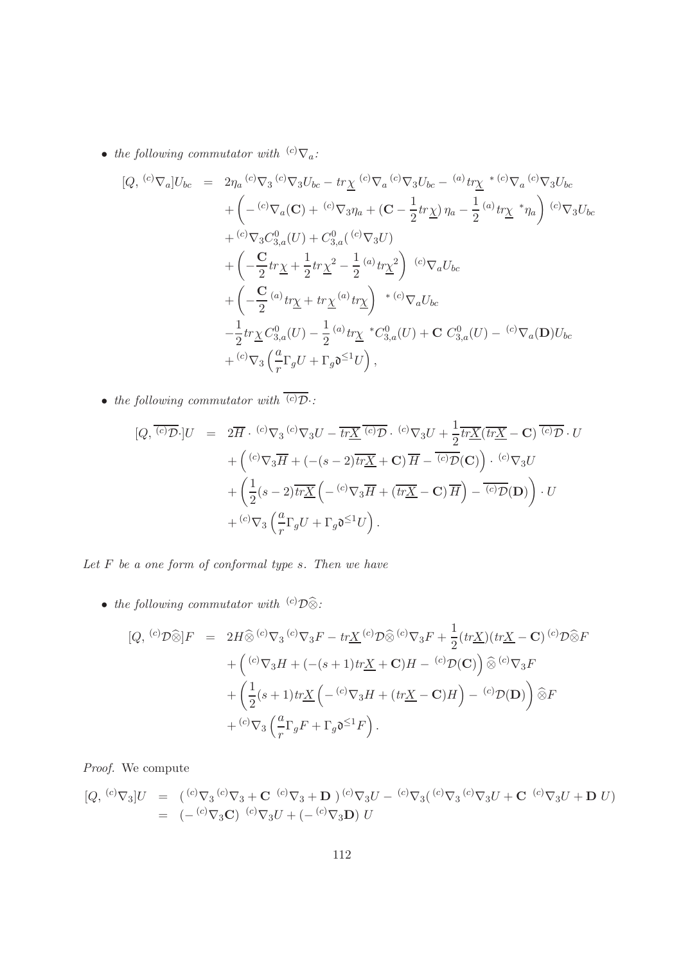• the following commutator with  ${}^{(c)}\nabla_a$ :

$$
[Q, {}^{(c)}\nabla_a]U_{bc} = 2\eta_a {}^{(c)}\nabla_3 {}^{(c)}\nabla_3 U_{bc} - tr\underline{\chi} {}^{(c)}\nabla_a {}^{(c)}\nabla_3 U_{bc} - {}^{(a)}tr\underline{\chi} {}^{* (c)}\nabla_a {}^{(c)}\nabla_3 U_{bc}
$$
  
+  $\left(- {}^{(c)}\nabla_a (\mathbf{C}) + {}^{(c)}\nabla_3 \eta_a + (\mathbf{C} - \frac{1}{2}tr\underline{\chi}) \eta_a - \frac{1}{2} {}^{(a)}tr\underline{\chi} {}^{*} \eta_a\right) {}^{(c)}\nabla_3 U_{bc}$   
+  $\left(- \frac{\mathbf{C}}{2}tr\underline{\chi} + \frac{1}{2}tr\underline{\chi}^2 - \frac{1}{2} {}^{(a)}tr\underline{\chi}^2\right) {}^{(c)}\nabla_a U_{bc}$   
+  $\left(- \frac{\mathbf{C}}{2} {}^{(a)}tr\underline{\chi} + tr\underline{\chi} {}^{(a)}tr\underline{\chi}\right) {}^{* (c)}\nabla_a U_{bc}$   
-  $\frac{1}{2}tr\underline{\chi} C_{3,a}^0(U) - \frac{1}{2} {}^{(a)}tr\underline{\chi} {}^{*}C_{3,a}^0(U) + \mathbf{C} C_{3,a}^0(U) - {}^{(c)}\nabla_a(\mathbf{D})U_{bc}$   
+  $\left({}^{c)}\nabla_3 \left(\frac{a}{r}\Gamma_g U + \Gamma_g \mathfrak{d}^{-1}U\right),\right)$ 

• the following commutator with  $\overline{\langle c \rangle \mathcal{D}}$ .

$$
[Q, \overline{(c)}\overline{\mathcal{D}}]U = 2\overline{H} \cdot {^{(c)}}\nabla_3 {^{(c)}}\nabla_3 U - \overline{tr\underline{X}} \overline{^{(c)}}\overline{\mathcal{D}} \cdot {^{(c)}}\nabla_3 U + \frac{1}{2}\overline{tr\underline{X}} (\overline{tr\underline{X}} - \mathbf{C}) \overline{^{(c)}}\overline{\mathcal{D}} \cdot U
$$
  
+ 
$$
\left({^{(c)}}\nabla_3 \overline{H} + (- (s-2)\overline{tr\underline{X}} + \mathbf{C}) \overline{H} - \overline{^{(c)}}\overline{\mathcal{D}}(\mathbf{C})\right) \cdot {^{(c)}}\nabla_3 U
$$
  
+ 
$$
\left(\frac{1}{2}(s-2)\overline{tr\underline{X}} \left(- {^{(c)}}\nabla_3 \overline{H} + (\overline{tr\underline{X}} - \mathbf{C}) \overline{H}\right) - \overline{^{(c)}}\overline{\mathcal{D}}(\mathbf{D})\right) \cdot U
$$
  
+ 
$$
{^{(c)}}\nabla_3 \left(\frac{a}{r}\Gamma_g U + \Gamma_g \mathfrak{d}^{\leq 1}U\right).
$$

Let  $F$  be a one form of conformal type  $s$ . Then we have

• the following commutator with  $\stackrel{(c)}{\sum}\widehat{\otimes}$ :

$$
[Q, {}^{(c)}\mathcal{D}\widehat{\otimes}]F = 2H\widehat{\otimes} {}^{(c)}\nabla_3 {}^{(c)}\nabla_3 F - tr\underline{X} {}^{(c)}\mathcal{D}\widehat{\otimes} {}^{(c)}\nabla_3 F + \frac{1}{2}(tr\underline{X})(tr\underline{X} - \mathbf{C}) {}^{(c)}\mathcal{D}\widehat{\otimes} F
$$
  
+ 
$$
\left({}^{(c)}\nabla_3 H + (-({s+1})tr\underline{X} + \mathbf{C})H - {}^{(c)}\mathcal{D}(\mathbf{C})\right)\widehat{\otimes} {}^{(c)}\nabla_3 F
$$
  
+ 
$$
\left(\frac{1}{2}({s+1})tr\underline{X} \left(-{}^{(c)}\nabla_3 H + (tr\underline{X} - \mathbf{C})H\right) - {}^{(c)}\mathcal{D}(\mathbf{D})\right)\widehat{\otimes} F
$$
  
+ 
$$
{}^{(c)}\nabla_3 \left(\frac{a}{r}\Gamma_g F + \Gamma_g \mathfrak{d}^{\leq 1}F\right).
$$

Proof. We compute

$$
[Q, {}^{(c)}\nabla_3]U = ({}^{(c)}\nabla_3 {}^{(c)}\nabla_3 + \mathbf{C} {}^{(c)}\nabla_3 + \mathbf{D} {}^{(c)}\nabla_3 U - {}^{(c)}\nabla_3 ({}^{(c)}\nabla_3 {}^{(c)}\nabla_3 U + \mathbf{C} {}^{(c)}\nabla_3 U + \mathbf{D} U)
$$
  
= (-{}^{(c)}\nabla\_3 \mathbf{C}) {}^{(c)}\nabla\_3 U + (-{}^{(c)}\nabla\_3 \mathbf{D}) U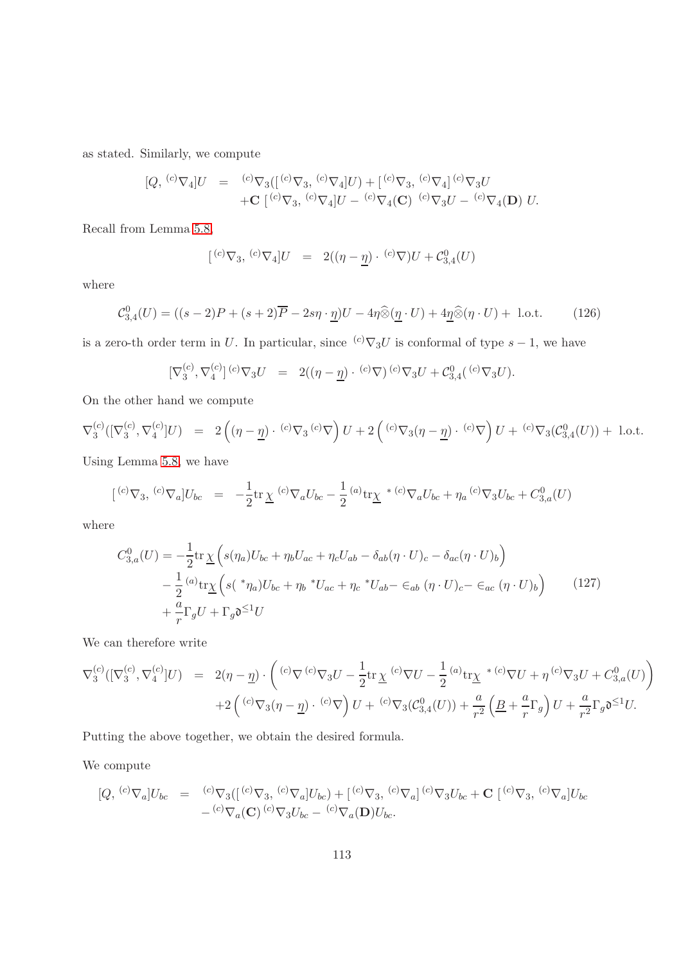as stated. Similarly, we compute

$$
[Q, {}^{(c)}\nabla_4]U = {}^{(c)}\nabla_3([\, {}^{(c)}\nabla_3, {}^{(c)}\nabla_4]U) + [{}^{(c)}\nabla_3, {}^{(c)}\nabla_4] {}^{(c)}\nabla_3 U + \mathbf{C} [{}^{(c)}\nabla_3, {}^{(c)}\nabla_4]U - {}^{(c)}\nabla_4(\mathbf{C}) {}^{(c)}\nabla_3 U - {}^{(c)}\nabla_4(\mathbf{D}) U.
$$

Recall from Lemma [5.8,](#page-62-0)

$$
[{}^{(c)}\nabla_3, {}^{(c)}\nabla_4]U = 2((\eta - \underline{\eta}) \cdot {}^{(c)}\nabla)U + C_{3,4}^0(U)
$$

where

<span id="page-112-0"></span>
$$
\mathcal{C}_{3,4}^0(U) = ((s-2)P + (s+2)\overline{P} - 2s\eta \cdot \underline{\eta})U - 4\eta \widehat{\otimes} (\underline{\eta} \cdot U) + 4\underline{\eta} \widehat{\otimes} (\eta \cdot U) + \text{ l.o.t.}
$$
 (126)

is a zero-th order term in U. In particular, since  ${}^{(c)}\nabla_3U$  is conformal of type  $s-1$ , we have

$$
[\nabla_3^{(c)}, \nabla_4^{(c)}]^{(c)} \nabla_3 U = 2((\eta - \underline{\eta}) \cdot {^{(c)}} \nabla) {^{(c)}} \nabla_3 U + C_{3,4}^0({^{(c)}} \nabla_3 U).
$$

On the other hand we compute

$$
\nabla_3^{(c)}([\nabla_3^{(c)}, \nabla_4^{(c)}]U) = 2((\eta - \underline{\eta}) \cdot {^{(c)}} \nabla_3 {^{(c)}} \nabla) U + 2({^{(c)}} \nabla_3(\eta - \underline{\eta}) \cdot {^{(c)}} \nabla) U + {^{(c)}} \nabla_3(\mathcal{C}_{3,4}^0(U)) + 1. \text{o.t.}
$$

Using Lemma [5.8,](#page-62-0) we have

$$
[{^{(c)}\nabla_3},{^{(c)}\nabla_a}]U_{bc} = -\frac{1}{2}\text{tr}\,\underline{\chi} {^{(c)}\nabla_a U_{bc}} - \frac{1}{2} {^{(a)}\text{tr}\underline{\chi}} {^{*(c)}\nabla_a U_{bc}} + \eta_a {^{(c)}\nabla_3 U_{bc}} + C_{3,a}^0(U)
$$

where

<span id="page-112-1"></span>
$$
C_{3,a}^{0}(U) = -\frac{1}{2} \text{tr} \underline{\chi} \left( s(\eta_a) U_{bc} + \eta_b U_{ac} + \eta_c U_{ab} - \delta_{ab} (\eta \cdot U)_c - \delta_{ac} (\eta \cdot U)_b \right)
$$
  

$$
- \frac{1}{2} {^{(a)}\text{tr} \underline{\chi}} \left( s({^*}\eta_a) U_{bc} + \eta_b {^*}U_{ac} + \eta_c {^*}U_{ab} - \epsilon_{ab} (\eta \cdot U)_c - \epsilon_{ac} (\eta \cdot U)_b \right)
$$
(127)  

$$
+ \frac{a}{r} \Gamma_g U + \Gamma_g \mathfrak{d}^{\leq 1} U
$$

We can therefore write

$$
\nabla_3^{(c)}([\nabla_3^{(c)}, \nabla_4^{(c)}]U) = 2(\eta - \underline{\eta}) \cdot \left( {}^{(c)}\nabla \cdot {}^{(c)}\nabla_3 U - \frac{1}{2} \text{tr} \underline{\chi} {}^{(c)}\nabla U - \frac{1}{2} {}^{(a)}\text{tr}\underline{\chi} {}^{* (c)}\nabla U + \eta {}^{(c)}\nabla_3 U + C_{3,a}^0(U) \right) + 2 \left( {}^{(c)}\nabla_3 (\eta - \underline{\eta}) {}^{c)}\nabla \right) U + {}^{(c)}\nabla_3 (\mathcal{C}_{3,4}^0(U)) + \frac{a}{r^2} \left( \underline{B} + \frac{a}{r} \Gamma_g \right) U + \frac{a}{r^2} \Gamma_g \mathfrak{d}^{\leq 1} U.
$$

Putting the above together, we obtain the desired formula.

We compute

$$
[Q, {}^{(c)}\nabla_a]U_{bc} = {}^{(c)}\nabla_3([{}^{(c)}\nabla_3, {}^{(c)}\nabla_a]U_{bc}) + [{}^{(c)}\nabla_3, {}^{(c)}\nabla_a]{}^{(c)}\nabla_3 U_{bc} + \mathbf{C} [{}^{(c)}\nabla_3, {}^{(c)}\nabla_a]U_{bc} - {}^{(c)}\nabla_a(\mathbf{C}) {}^{(c)}\nabla_3 U_{bc} - {}^{(c)}\nabla_a(\mathbf{D})U_{bc}.
$$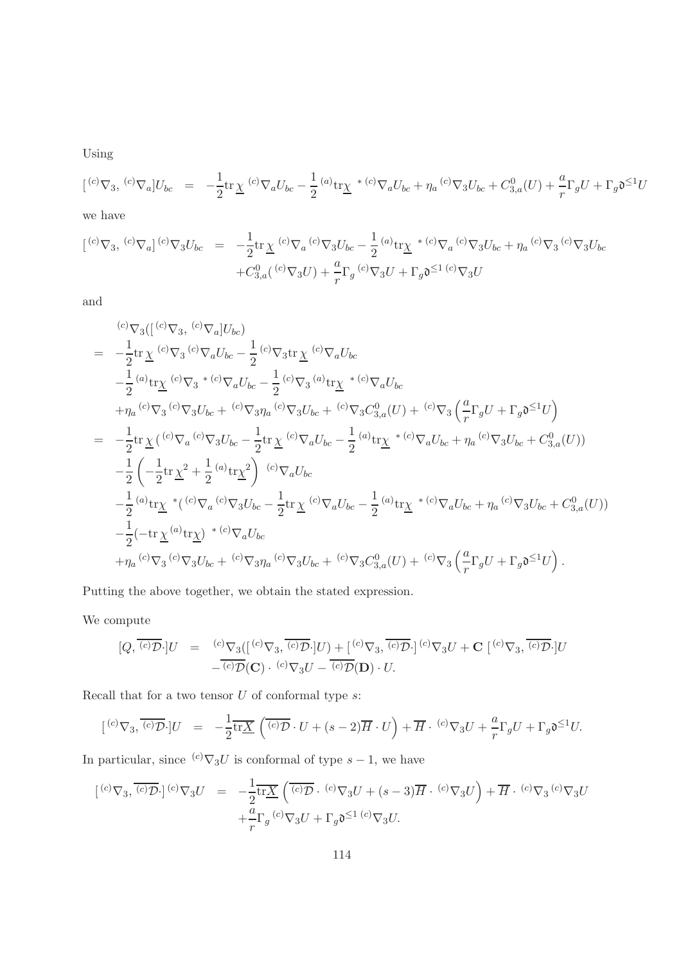Using

$$
[{}^{(c)}\nabla_3, {}^{(c)}\nabla_a]U_{bc} = -\frac{1}{2}\text{tr}\,\underline{\chi}{}^{(c)}\nabla_a U_{bc} - \frac{1}{2}{}^{(a)}\text{tr}\underline{\chi}{}^{*(c)}\nabla_a U_{bc} + \eta_a{}^{(c)}\nabla_3 U_{bc} + C_{3,a}^0(U) + \frac{a}{r}\Gamma_g U + \Gamma_g \mathfrak{d}^{\leq 1}U
$$

we have

$$
\begin{array}{rcl}\n[{}^{(c)}\nabla_3, {}^{(c)}\nabla_a]{}^{(c)}\nabla_3 U_{bc} & = & -\frac{1}{2} \text{tr} \underline{\chi}{}^{(c)}\nabla_a{}^{(c)}\nabla_3 U_{bc} - \frac{1}{2} {}^{(a)}\text{tr} \underline{\chi}{}^{*(c)}\nabla_a{}^{(c)}\nabla_3 U_{bc} + \eta_a{}^{(c)}\nabla_3 U_{bc} \\
& & + C_{3,a}^0({}^{(c)}\nabla_3 U) + \frac{a}{r} \Gamma_g{}^{(c)}\nabla_3 U + \Gamma_g \mathfrak{d}^{\leq 1}{}^{(c)}\nabla_3 U\n\end{array}
$$

and

$$
\begin{split}\n&= -\frac{1}{2} \text{tr} \underline{\chi}{}^{(c)} \nabla_{3}{}^{(c)} \nabla_{a} U_{bc} \\
&= -\frac{1}{2} \text{tr} \underline{\chi}{}^{(c)} \nabla_{3}{}^{(c)} \nabla_{a} U_{bc} - \frac{1}{2}{}^{(c)} \nabla_{3} \text{tr} \underline{\chi}{}^{(c)} \nabla_{a} U_{bc} \\
&- \frac{1}{2} {}^{(a)} \text{tr} \underline{\chi}{}^{(c)} \nabla_{3}{}^{* (c)} \nabla_{a} U_{bc} - \frac{1}{2} {}^{(c)} \nabla_{3}{}^{(a)} \text{tr} \underline{\chi}{}^{* (c)} \nabla_{a} U_{bc} \\
&+ \eta_{a}{}^{(c)} \nabla_{3}{}^{(c)} \nabla_{3} U_{bc} + {}^{(c)} \nabla_{3} \eta_{a}{}^{(c)} \nabla_{3} U_{bc} + {}^{(c)} \nabla_{3} C_{3,a}^{0} (U) + {}^{(c)} \nabla_{3} \left(\frac{a}{r} \Gamma_{g} U + \Gamma_{g} \mathfrak{d}^{\leq 1} U\right) \\
&= -\frac{1}{2} \text{tr} \underline{\chi}{}^{(c)} \nabla_{a}{}^{(c)} \nabla_{3} U_{bc} - \frac{1}{2} \text{tr} \underline{\chi}{}^{(c)} \nabla_{a} U_{bc} - \frac{1}{2} {}^{(a)} \text{tr} \underline{\chi}{}^{* (c)} \nabla_{a} U_{bc} + \eta_{a}{}^{(c)} \nabla_{3} U_{bc} + C_{3,a}^{0} (U)) \\
&- \frac{1}{2} \left(-\frac{1}{2} \text{tr} \underline{\chi}^{2} + \frac{1}{2} {}^{(a)} \text{tr} \underline{\chi}^{2}\right) {}^{(c)} \nabla_{a} U_{bc} \\
&- \frac{1}{2} {}^{(a)} \text{tr} \underline{\chi}{}^{* (c)} \nabla_{a} {}^{(c)} \nabla_{3} U_{bc} - \frac{1}{2} \text{tr} \underline{\chi}{}^{(c)} \nabla_{a} U_{bc} - \frac{1}{2} {}^{(a)} \text{tr} \underline{\chi}{}^{* (c)} \nabla_{a} U
$$

Putting the above together, we obtain the stated expression.

We compute

$$
[Q, \overline{(c)}\overline{\mathcal{D}} \cdot]U = \frac{(c)\nabla_3([\overline{(c)}\nabla_3, \overline{(c)}\overline{\mathcal{D}} \cdot]U) + [\overline{(c)}\nabla_3, \overline{(c)}\overline{\mathcal{D}} \cdot]^{(c)}\nabla_3 U + \mathbf{C} [\overline{(c)}\nabla_3, \overline{(c)}\overline{\mathcal{D}} \cdot]U}{-(c)\mathcal{D}(\mathbf{C}) \cdot (\overline{(c)}\nabla_3 U - \overline{(c)}\overline{\mathcal{D}} \cdot]U}.
$$

Recall that for a two tensor  $U$  of conformal type  $s$ :

$$
[{}^{(c)}\nabla_3,\overline{{}^{(c)}\mathcal{D}}\cdot]U = -\frac{1}{2}\overline{\mathrm{tr}\underline{X}}\left(\overline{{}^{(c)}\mathcal{D}}\cdot U + (s-2)\overline{H}\cdot U\right) + \overline{H}\cdot {}^{(c)}\nabla_3 U + \frac{a}{r}\Gamma_g U + \Gamma_g \mathfrak{d}^{\leq 1}U.
$$

In particular, since  ${}^{(c)}\nabla_3 U$  is conformal of type  $s - 1$ , we have

$$
\begin{array}{rcl}\n\left[ \,^{(c)}\nabla_3, \overline{\,^{(c)}\mathcal{D}} \cdot \right] \,^{(c)}\nabla_3 U & = & -\frac{1}{2} \overline{\text{tr}\underline{X}} \left( \overline{\,^{(c)}\mathcal{D}} \cdot \,^{(c)}\nabla_3 U + (s-3) \overline{H} \cdot \,^{(c)}\nabla_3 U \right) + \overline{H} \cdot \,^{(c)}\nabla_3 U \\
& & + \frac{a}{r} \Gamma_g \,^{(c)}\nabla_3 U + \Gamma_g \mathfrak{d}^{\leq 1} \,^{(c)}\nabla_3 U.\n\end{array}
$$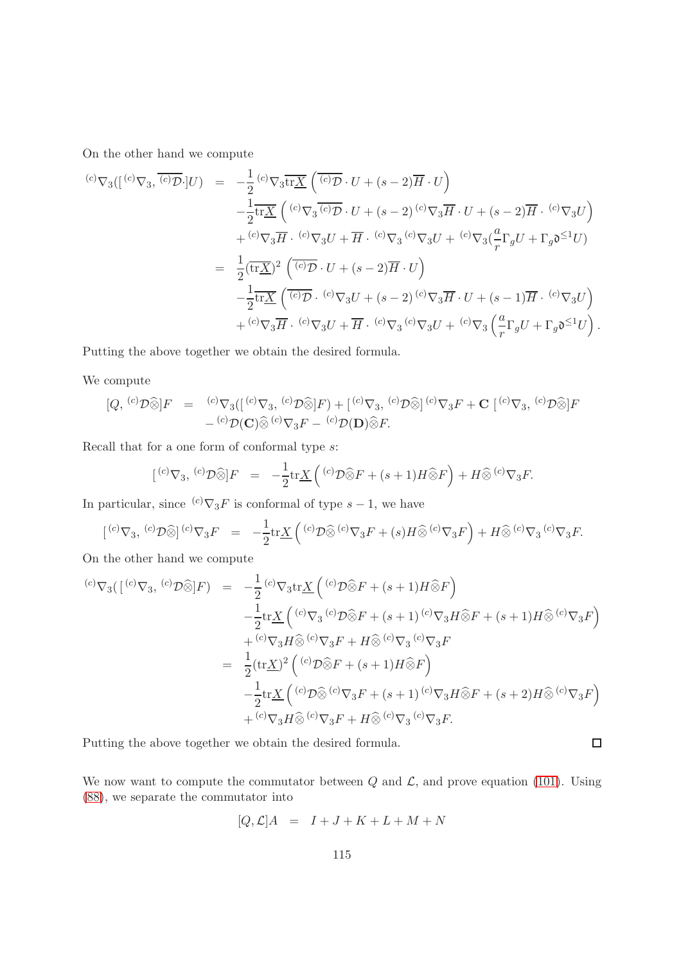On the other hand we compute

$$
\begin{array}{rcl}\n\text{(c)}\nabla_{3}([\ ^{(c)}\nabla_{3}, \overline{(\ ^{c)}\mathcal{D}} \cdot ]U) & = & -\frac{1}{2} \, ^{(c)}\nabla_{3} \overline{\text{tr}\underline{X}} \left( \overline{(\ ^{c)}\mathcal{D}} \cdot U + (s-2) \overline{H} \cdot U \right) \\
& -\frac{1}{2} \overline{\text{tr}\underline{X}} \left( \phantom{(\ ^{(c)}\nabla_{3} \overline{\text{C}} \cdot U + (s-2) \overline{U} \cdot U + (s-2) \overline{H} \cdot U + (s-2) \overline{H} \cdot \phantom{U}^{(c)}\nabla_{3} U \right) \\
& + \, ^{(c)}\nabla_{3} \overline{H} \cdot \phantom{(\ ^{(c)}\nabla_{3} U + \overline{H} \cdot \phantom{U}^{(c)}\nabla_{3} U + \phantom{U}^{(c)}\nabla_{3} \left( \frac{a}{r} \Gamma_{g} U + \Gamma_{g} \mathfrak{d}^{\leq 1} U \right) \\
& = & \frac{1}{2} \left( \overline{\text{tr}\underline{X}} \right)^{2} \left( \overline{\text{tr}\underline{U}} \cdot U + (s-2) \overline{H} \cdot U \right) \\
& -\frac{1}{2} \overline{\text{tr}\underline{X}} \left( \overline{\text{tr}\underline{U}} \cdot \overline{\text{tr}\underline{U}} \cdot \overline{\text{tr}\underline{U}} \cdot \overline{\text{tr}\underline{U}} \right) \\
& + \, ^{(c)}\nabla_{3} \overline{H} \cdot \overline{\text{tr}\underline{U}} \cdot \overline{\text{tr}\underline{U}} \cdot \overline{\text{tr}\underline{U}} \cdot \overline{\text{tr}\underline{U}} \cdot \overline{\text{tr}\underline{U}} \cdot \overline{\text{tr}\underline{U}} \cdot \overline{\text{tr}\underline{U}} \cdot \overline{\text{tr}\underline{U}} \cdot \overline{\text{tr}\underline{U}} \cdot \overline{\text{tr}\underline{U}} \cdot \overline{\text{tr}\underline{U}} \cdot \overline{\text{tr}\underline{U}} \cdot \overline{\text{tr}\underline{U}} \cdot \overline{\text{tr}\underline{U}} \cdot \overline{\text{tr}\
$$

Putting the above together we obtain the desired formula.

We compute

$$
[Q, {}^{(c)}\mathcal{D}\widehat{\otimes}]F = {}^{(c)}\nabla_3([{}^{(c)}\nabla_3, {}^{(c)}\mathcal{D}\widehat{\otimes}]F) + [{}^{(c)}\nabla_3, {}^{(c)}\mathcal{D}\widehat{\otimes}] {}^{(c)}\nabla_3F + \mathbf{C} [{}^{(c)}\nabla_3, {}^{(c)}\mathcal{D}\widehat{\otimes}]F
$$
  

$$
- {}^{(c)}\mathcal{D}(\mathbf{C})\widehat{\otimes} {}^{(c)}\nabla_3F - {}^{(c)}\mathcal{D}(\mathbf{D})\widehat{\otimes}F.
$$

Recall that for a one form of conformal type  $s$ :

$$
[{^{(c)}\nabla_3}, {^{(c)}\mathcal{D}}\widehat{\otimes} ]F = -\frac{1}{2}\text{tr}\underline{X}\left({^{(c)}\mathcal{D}}\widehat{\otimes} F + (s+1)H\widehat{\otimes} F\right) + H\widehat{\otimes} {^{(c)}\nabla_3 F}.
$$

In particular, since  ${}^{(c)}\nabla_3F$  is conformal of type  $s-1$ , we have

$$
\left[ {}^{(c)}\nabla_3, {}^{(c)}\mathcal{D}\widehat{\otimes} \right] {}^{(c)}\nabla_3 F = -\frac{1}{2} \text{tr}\underline{X} \left( {}^{(c)}\mathcal{D}\widehat{\otimes} {}^{(c)}\nabla_3 F + (s)H\widehat{\otimes} {}^{(c)}\nabla_3 F \right) + H\widehat{\otimes} {}^{(c)}\nabla_3 {}^{(c)}\nabla_3 F.
$$

On the other hand we compute

$$
\begin{array}{rcl}\n^{(c)}\nabla_{3}(\lbrack\,^{(c)}\nabla_{3},\,^{(c)}\mathcal{D}\widehat{\otimes}\rbrack F) & = & -\frac{1}{2}\,^{(c)}\nabla_{3}\mathrm{tr}\underline{X}\left(^{(c)}\mathcal{D}\widehat{\otimes}F + (s+1)H\widehat{\otimes}F\right) \\
& & -\frac{1}{2}\mathrm{tr}\underline{X}\left(^{(c)}\nabla_{3}\,^{(c)}\mathcal{D}\widehat{\otimes}F + (s+1)\,^{(c)}\nabla_{3}H\widehat{\otimes}F + (s+1)H\widehat{\otimes}^{(c)}\nabla_{3}F\right) \\
& & + \frac{(c)}{\nabla_{3}H}\widehat{\otimes}^{(c)}\nabla_{3}F + H\widehat{\otimes}^{(c)}\nabla_{3}\,^{(c)}\nabla_{3}F \\
& = & \frac{1}{2}\left(\mathrm{tr}\underline{X}\right)^{2}\left(^{(c)}\mathcal{D}\widehat{\otimes}F + (s+1)H\widehat{\otimes}F\right) \\
& & -\frac{1}{2}\mathrm{tr}\underline{X}\left(^{(c)}\mathcal{D}\widehat{\otimes}^{(c)}\nabla_{3}F + (s+1)\,^{(c)}\nabla_{3}H\widehat{\otimes}F + (s+2)H\widehat{\otimes}^{(c)}\nabla_{3}F\right) \\
& & + \frac{(c)}{\nabla_{3}H}\widehat{\otimes}^{(c)}\nabla_{3}F + H\widehat{\otimes}^{(c)}\nabla_{3}\,^{(c)}\nabla_{3}F.\n\end{array}
$$

Putting the above together we obtain the desired formula.

We now want to compute the commutator between  $Q$  and  $\mathcal{L}$ , and prove equation [\(101\)](#page-79-1). Using [\(88\)](#page-73-0), we separate the commutator into

 $\Box$ 

$$
[Q, \mathcal{L}]A = I + J + K + L + M + N
$$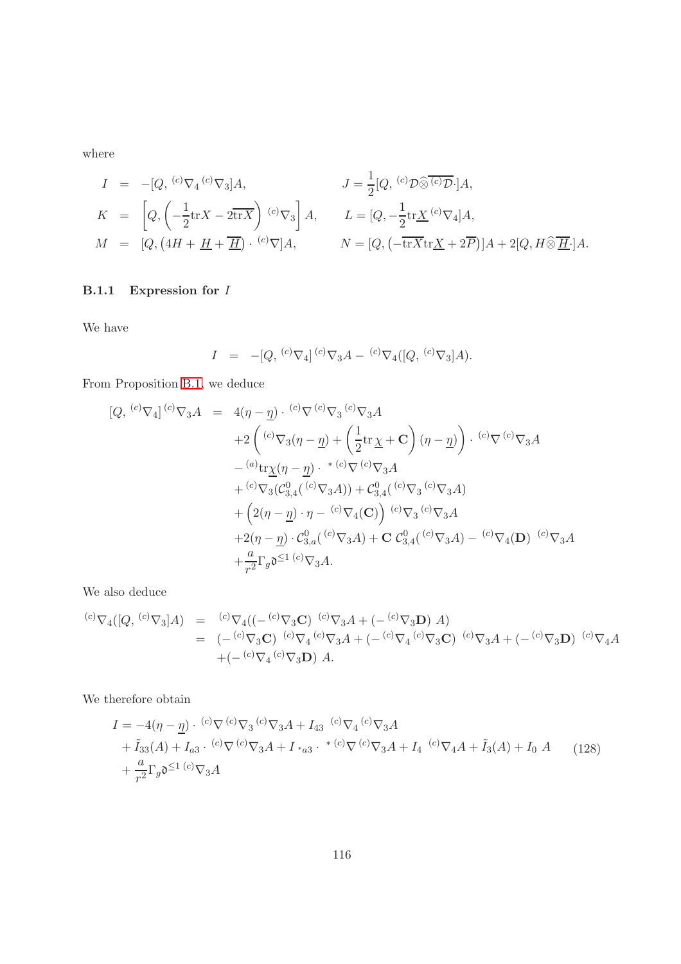$$
I = -[Q, {}^{(c)}\nabla_4 {}^{(c)}\nabla_3]A,
$$
  
\n
$$
J = \frac{1}{2}[Q, {}^{(c)}\mathcal{D}\widehat{\otimes} {}^{(c)}\mathcal{D} \cdot]A,
$$
  
\n
$$
K = \left[Q, \left(-\frac{1}{2}\text{tr}X - 2\overline{\text{tr}X}\right) {}^{(c)}\nabla_3\right]A,
$$
  
\n
$$
L = [Q, -\frac{1}{2}\text{tr}\underline{X} {}^{(c)}\nabla_4]A,
$$
  
\n
$$
M = [Q, (4H + \underline{H} + \overline{\underline{H}}) \cdot {}^{(c)}\nabla]A,
$$
  
\n
$$
N = [Q, \left(-\overline{\text{tr}X}\text{tr}\underline{X} + 2\overline{P}\right)]A + 2[Q, H\widehat{\otimes} \overline{\underline{H}} \cdot]A.
$$

### B.1.1 Expression for I

We have

$$
I = -[Q, {}^{(c)}\nabla_4] {}^{(c)}\nabla_3 A - {}^{(c)}\nabla_4 ([Q, {}^{(c)}\nabla_3]A).
$$

From Proposition [B.1,](#page-110-0) we deduce

$$
[Q, {}^{(c)}\nabla_4] {}^{(c)}\nabla_3 A = 4(\eta - \underline{\eta}) \cdot {}^{(c)}\nabla {}^{(c)}\nabla_3 {}^{(c)}\nabla_3 A + 2 \left( {}^{(c)}\nabla_3 (\eta - \underline{\eta}) + \left( \frac{1}{2} \text{tr} \underline{\chi} + \mathbf{C} \right) (\eta - \underline{\eta}) \right) \cdot {}^{(c)}\nabla {}^{(c)}\nabla_3 A - {}^{(a)}\text{tr}\underline{\chi}(\eta - \underline{\eta}) \cdot {}^{*(c)}\nabla {}^{(c)}\nabla_3 A + {}^{(c)}\nabla_3 (\mathcal{C}_{3,4}^0 ({}^{(c)}\nabla_3 A)) + \mathcal{C}_{3,4}^0 ({}^{(c)}\nabla_3 {}^{(c)}\nabla_3 A) + \left( 2(\eta - \underline{\eta}) \cdot \eta - {}^{(c)}\nabla_4 (\mathbf{C}) \right) {}^{(c)}\nabla_3 {}^{(c)}\nabla_3 A + 2(\eta - \underline{\eta}) \cdot \mathcal{C}_{3,a}^0 ({}^{(c)}\nabla_3 A) + \mathbf{C} \mathcal{C}_{3,4}^0 ({}^{(c)}\nabla_3 A) - {}^{(c)}\nabla_4 (\mathbf{D}) {}^{(c)}\nabla_3 A + \frac{a}{r^2} \Gamma_g \mathfrak{d}^{\leq 1} {}^{(c)}\nabla_3 A.
$$

We also deduce

$$
\begin{array}{rcl}\n^{(c)}\nabla_4([Q, {}^{(c)}\nabla_3]A) & = & {^{(c)}\nabla_4((-{}^{(c)}\nabla_3\mathbf{C})} \ {}^{(c)}\nabla_3A + (-{}^{(c)}\nabla_3\mathbf{D}) \ A) \\
 & = & (-{}^{(c)}\nabla_3\mathbf{C}) \ {}^{(c)}\nabla_4\, {}^{(c)}\nabla_3A + (-{}^{(c)}\nabla_4\, {}^{(c)}\nabla_3\mathbf{C}) \ {}^{(c)}\nabla_3A + (-{}^{(c)}\nabla_3\mathbf{D}) \ {}^{(c)}\nabla_4A \\
 & + (-{}^{(c)}\nabla_4\, {}^{(c)}\nabla_3\mathbf{D}) \ A.\n\end{array}
$$

We therefore obtain

$$
I = -4(\eta - \underline{\eta}) \cdot {^{(c)}\nabla} {^{(c)}\nabla}_3 A + I_{43} {^{(c)}\nabla}_4 {^{(c)}\nabla}_3 A + \tilde{I}_{33}(A) + I_{a3} \cdot {^{(c)}\nabla} {^{(c)}\nabla}_3 A + I_{*a3} \cdot {^{*(c)}\nabla} {^{(c)}\nabla}_3 A + I_4 {^{(c)}\nabla}_4 A + \tilde{I}_3(A) + I_0 A
$$
 (128)  
+  $\frac{a}{r^2} \Gamma_g \mathfrak{d}^{\leq 1} {^{(c)}\nabla}_3 A$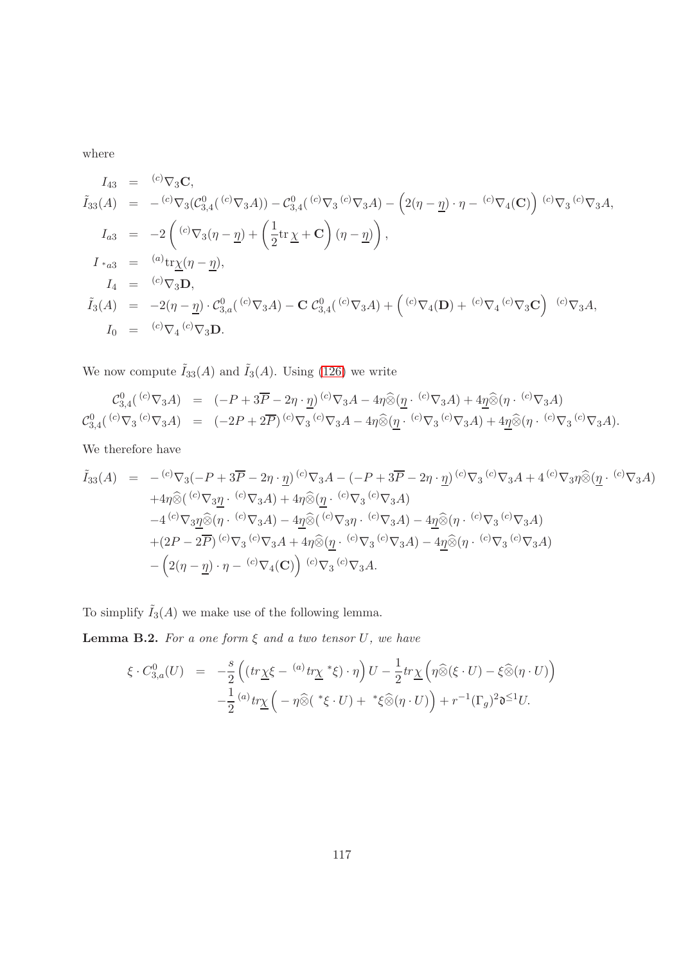$$
I_{43} = {}^{(c)}\nabla_{3} \mathbf{C},
$$
\n
$$
\tilde{I}_{33}(A) = -{}^{(c)}\nabla_{3} (\mathcal{C}_{3,4}^{0}({}^{(c)}\nabla_{3} A)) - \mathcal{C}_{3,4}^{0}({}^{(c)}\nabla_{3} A) - (2(\eta - \underline{\eta}) \cdot \eta - {}^{(c)}\nabla_{4} (\mathbf{C})) {}^{(c)}\nabla_{3} {}^{(c)}\nabla_{3} A,
$$
\n
$$
I_{a3} = -2 \left( {}^{(c)}\nabla_{3} (\eta - \underline{\eta}) + \left( \frac{1}{2} \text{tr} \underline{\chi} + \mathbf{C} \right) (\eta - \underline{\eta}) \right),
$$
\n
$$
I_{*a3} = {}^{(a)}\text{tr} \underline{\chi} (\eta - \underline{\eta}),
$$
\n
$$
I_{4} = {}^{(c)}\nabla_{3} \mathbf{D},
$$
\n
$$
\tilde{I}_{3}(A) = -2(\eta - \underline{\eta}) \cdot \mathcal{C}_{3,a}^{0}({}^{(c)}\nabla_{3} A) - \mathbf{C} \mathcal{C}_{3,4}^{0}({}^{(c)}\nabla_{3} A) + ({}^{(c)}\nabla_{4} (\mathbf{D}) + {}^{(c)}\nabla_{4} {}^{(c)}\nabla_{3} \mathbf{C}) {}^{(c)}\nabla_{3} A,
$$
\n
$$
I_{0} = {}^{(c)}\nabla_{4} {}^{(c)}\nabla_{3} \mathbf{D}.
$$

We now compute  $\tilde{I}_{33}(A)$  and  $\tilde{I}_3(A)$ . Using [\(126\)](#page-112-0) we write

$$
\mathcal{C}_{3,4}^{0}({}^{(c)}\nabla_{3}A) = (-P+3\overline{P}-2\eta \cdot \underline{\eta}){}^{(c)}\nabla_{3}A - 4\eta \widehat{\otimes} (\underline{\eta} \cdot {}^{(c)}\nabla_{3}A) + 4\underline{\eta} \widehat{\otimes} (\eta \cdot {}^{(c)}\nabla_{3}A) \n\mathcal{C}_{3,4}^{0}({}^{(c)}\nabla_{3} {}^{(c)}\nabla_{3}A) = (-2P+2\overline{P}){}^{(c)}\nabla_{3} {}^{(c)}\nabla_{3}A - 4\eta \widehat{\otimes} (\underline{\eta} \cdot {}^{(c)}\nabla_{3}A) + 4\underline{\eta} \widehat{\otimes} (\eta \cdot {}^{(c)}\nabla_{3} {}^{(c)}\nabla_{3}A).
$$

We therefore have

$$
\tilde{I}_{33}(A) = - {^{(c)}} \nabla_3 (-P + 3\overline{P} - 2\eta \cdot \underline{\eta}) {^{(c)}} \nabla_3 A - (-P + 3\overline{P} - 2\eta \cdot \underline{\eta}) {^{(c)}} \nabla_3 {^{(c)}} \nabla_3 A + 4 {^{(c)}} \nabla_3 \eta \widehat{\otimes} (\underline{\eta} \cdot {^{(c)}} \nabla_3 A)
$$
\n
$$
+ 4\eta \widehat{\otimes} ({^{(c)}} \nabla_3 \underline{\eta} \cdot {^{(c)}} \nabla_3 A) + 4\eta \widehat{\otimes} (\underline{\eta} \cdot {^{(c)}} \nabla_3 {^{(c)}} \nabla_3 A)
$$
\n
$$
- 4 {^{(c)}} \nabla_3 \underline{\eta} \widehat{\otimes} (\eta \cdot {^{(c)}} \nabla_3 A) - 4\underline{\eta} \widehat{\otimes} ({^{(c)}} \nabla_3 \eta \cdot {^{(c)}} \nabla_3 A) - 4\underline{\eta} \widehat{\otimes} (\eta \cdot {^{(c)}} \nabla_3 A)
$$
\n
$$
+ (2P - 2\overline{P}) {^{(c)}} \nabla_3 {^{(c)}} \nabla_3 A + 4\eta \widehat{\otimes} (\underline{\eta} \cdot {^{(c)}} \nabla_3 {^{(c)}} \nabla_3 A) - 4\underline{\eta} \widehat{\otimes} (\eta \cdot {^{(c)}} \nabla_3 {^{(c)}} \nabla_3 A)
$$
\n
$$
- \left( 2(\eta - \underline{\eta}) \cdot \eta - {^{(c)}} \nabla_4(\mathbf{C}) \right) {^{(c)}} \nabla_3 {^{(c)}} \nabla_3 A.
$$

To simplify  $\tilde I_3(A)$  we make use of the following lemma.

**Lemma B.2.** For a one form  $\xi$  and a two tensor  $U$ , we have

$$
\xi \cdot C_{3,a}^0(U) = -\frac{s}{2} \left( \left( tr \underline{\chi} \xi - \frac{(a)}{2} tr \underline{\chi} \ast \xi \right) \cdot \eta \right) U - \frac{1}{2} tr \underline{\chi} \left( \eta \widehat{\otimes} (\xi \cdot U) - \xi \widehat{\otimes} (\eta \cdot U) \right) -\frac{1}{2} \frac{(a)}{2} tr \underline{\chi} \left( -\eta \widehat{\otimes} (\ast \xi \cdot U) + \xi \widehat{\otimes} (\eta \cdot U) \right) + r^{-1} (\Gamma_g)^2 \mathfrak{d}^{\leq 1} U.
$$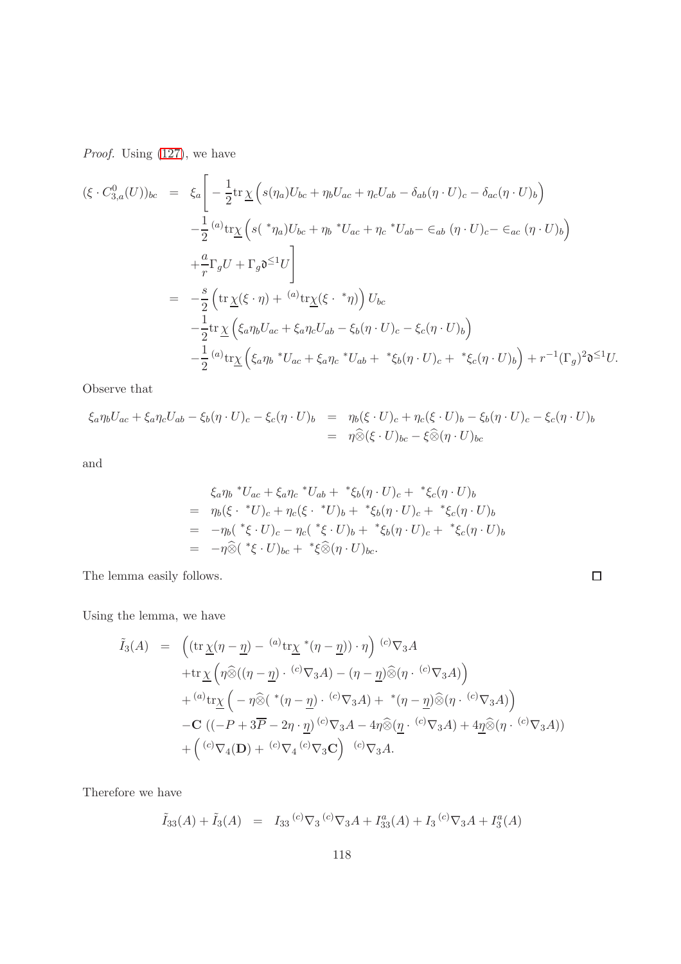Proof. Using  $(127)$ , we have

(ξ · C 0 <sup>3</sup>,a(U))bc = ξ<sup>a</sup> " − 1 2 tr χ s(ηa)Ubc + ηbUac + ηcUab − δab(η · U)<sup>c</sup> − δac(η · U)<sup>b</sup> − 1 2 (a) trχ s( ∗ ηa)Ubc + η<sup>b</sup> <sup>∗</sup>Uac + η<sup>c</sup> <sup>∗</sup>Uab− ∈ab (<sup>η</sup> · <sup>U</sup>)c− ∈ac (<sup>η</sup> · <sup>U</sup>)<sup>b</sup> + a r ΓgU + Γgd <sup>≤</sup>1U # = − s 2 tr <sup>χ</sup>(<sup>ξ</sup> · <sup>η</sup>) + (a) trχ(ξ · ∗ η) Ubc − 1 2 tr χ ξaηbUac + ξaηcUab − ξb(η · U)<sup>c</sup> − ξc(η · U)<sup>b</sup> − 1 2 (a) trχ ξaη<sup>b</sup> <sup>∗</sup>Uac + ξaη<sup>c</sup> <sup>∗</sup>Uab + ∗ ξb(η · U)<sup>c</sup> + ∗ ξc(η · U)<sup>b</sup> + r −1 (Γg) 2 d <sup>≤</sup>1U.

Observe that

$$
\xi_a \eta_b U_{ac} + \xi_a \eta_c U_{ab} - \xi_b (\eta \cdot U)_c - \xi_c (\eta \cdot U)_b = \eta_b (\xi \cdot U)_c + \eta_c (\xi \cdot U)_b - \xi_b (\eta \cdot U)_c - \xi_c (\eta \cdot U)_b
$$
  
=  $\eta \widehat{\otimes} (\xi \cdot U)_{bc} - \xi \widehat{\otimes} (\eta \cdot U)_{bc}$ 

and

$$
\xi_a \eta_b * U_{ac} + \xi_a \eta_c * U_{ab} + * \xi_b (\eta \cdot U)_c + * \xi_c (\eta \cdot U)_b
$$
  
=  $\eta_b (\xi \cdot * U)_c + \eta_c (\xi \cdot * U)_b + * \xi_b (\eta \cdot U)_c + * \xi_c (\eta \cdot U)_b$   
=  $-\eta_b (* \xi \cdot U)_c - \eta_c (* \xi \cdot U)_b + * \xi_b (\eta \cdot U)_c + * \xi_c (\eta \cdot U)_b$   
=  $-\eta \hat{\otimes} (* \xi \cdot U)_{bc} + * \xi \hat{\otimes} (\eta \cdot U)_{bc}.$ 

 $\Box$ 

The lemma easily follows.

Using the lemma, we have

$$
\tilde{I}_{3}(A) = \left( (\operatorname{tr} \underline{\chi}(\eta - \underline{\eta}) - \binom{a}{x} \operatorname{tr} \underline{\chi}^{*}(\eta - \underline{\eta}) ) \cdot \eta \right) \stackrel{(c)}{\nabla_{3} A} \n+ \operatorname{tr} \underline{\chi} \left( \eta \widehat{\otimes} ((\eta - \underline{\eta}) \cdot \binom{c}{x} \nabla_{3} A) - (\eta - \underline{\eta}) \widehat{\otimes} (\eta \cdot \binom{c}{x} \nabla_{3} A) \right) \n+ \binom{a}{x} \operatorname{tr} \underline{\chi} \left( - \eta \widehat{\otimes} (\binom{*}{} (\eta - \underline{\eta}) \cdot \binom{c}{x} \nabla_{3} A) + \binom{*}{} (\eta - \underline{\eta}) \widehat{\otimes} (\eta \cdot \binom{c}{x} \nabla_{3} A) \right) \n- \mathbf{C} \left( (-P + 3\overline{P} - 2\eta \cdot \underline{\eta}) \binom{c}{x} \nabla_{3} A - 4\eta \widehat{\otimes} (\underline{\eta} \cdot \binom{c}{x} \nabla_{3} A) + 4\underline{\eta} \widehat{\otimes} (\eta \cdot \binom{c}{x} \nabla_{3} A) \right) \n+ \left( \binom{c}{x} \nabla_{4} (\mathbf{D}) + \binom{c}{x} \nabla_{4} \binom{c}{x} \nabla_{3} \mathbf{C} \right) \stackrel{(c)}{\nabla_{3} A}.
$$

Therefore we have

$$
\tilde{I}_{33}(A) + \tilde{I}_3(A) = I_{33}^{(c)} \nabla_3^{(c)} \nabla_3 A + I_{33}^{(a)}(A) + I_3^{(c)} \nabla_3 A + I_3^{(a)}(A)
$$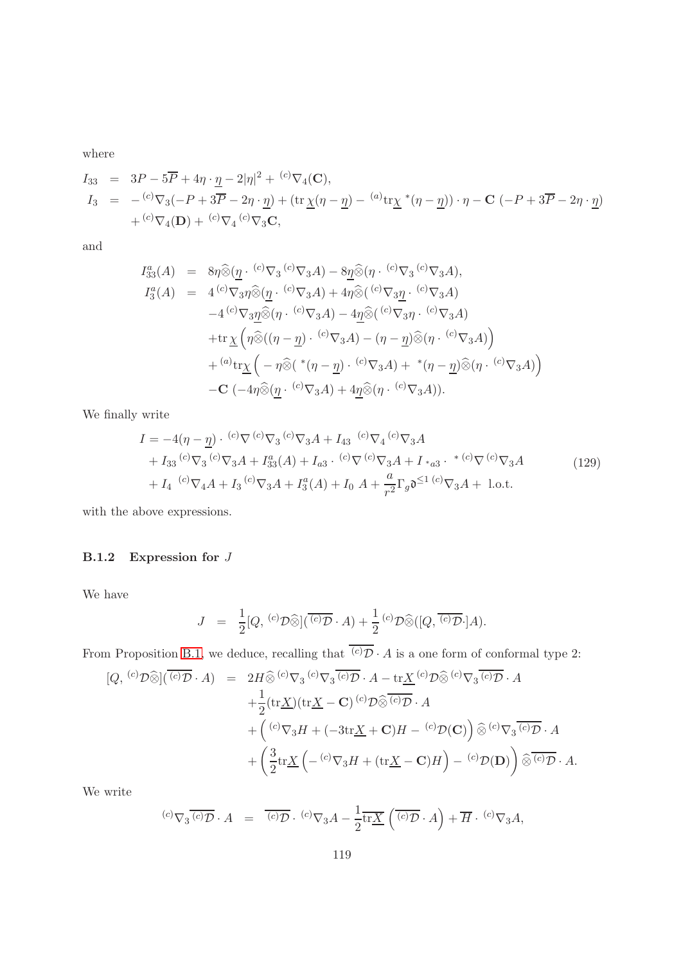$$
I_{33} = 3P - 5\overline{P} + 4\eta \cdot \underline{\eta} - 2|\eta|^2 + {^{(c)}\nabla_4(\mathbf{C})},
$$
  
\n
$$
I_3 = - {^{(c)}\nabla_3(-P + 3\overline{P} - 2\eta \cdot \underline{\eta}) + (\text{tr}\,\underline{\chi}(\eta - \underline{\eta}) - {^{(a)}\text{tr}\,\underline{\chi}} * (\eta - \underline{\eta})) \cdot \eta - \mathbf{C}(-P + 3\overline{P} - 2\eta \cdot \underline{\eta})
$$
  
\n
$$
+ {^{(c)}\nabla_4(\mathbf{D}) + {^{(c)}\nabla_4} {^{(c)}\nabla_3\mathbf{C}},
$$

and

$$
I_3^a(A) = 8\eta \widehat{\otimes} (\underline{\eta} \cdot {^{(c)}\nabla_3} {^{(c)}\nabla_3} A) - 8\underline{\eta} \widehat{\otimes} (\eta \cdot {^{(c)}\nabla_3} {^{(c)}\nabla_3} A),
$$
  
\n
$$
I_3^a(A) = 4 {^{(c)}\nabla_3} \eta \widehat{\otimes} (\underline{\eta} \cdot {^{(c)}\nabla_3} A) + 4\eta \widehat{\otimes} ({^{(c)}\nabla_3} \underline{\eta} \cdot {^{(c)}\nabla_3} A)
$$
  
\n
$$
-4 {^{(c)}\nabla_3} \underline{\eta} \widehat{\otimes} (\eta \cdot {^{(c)}\nabla_3} A) - 4\underline{\eta} \widehat{\otimes} ({^{(c)}\nabla_3} \eta \cdot {^{(c)}\nabla_3} A)
$$
  
\n
$$
+ \text{tr} \chi \left( \eta \widehat{\otimes} ((\eta - \underline{\eta}) \cdot {^{(c)}\nabla_3} A) - (\eta - \underline{\eta}) \widehat{\otimes} (\eta \cdot {^{(c)}\nabla_3} A) \right)
$$
  
\n
$$
+ {^{(a)}\text{tr} \chi \left( - \eta \widehat{\otimes} ({^*(\eta - \underline{\eta}) \cdot {^{(c)}\nabla_3} A) + {^*(\eta - \underline{\eta})} \widehat{\otimes} (\eta \cdot {^{(c)}\nabla_3} A) \right)}
$$
  
\n
$$
- \mathbf{C} \left( -4\eta \widehat{\otimes} (\underline{\eta} \cdot {^{(c)}\nabla_3} A) + 4\underline{\eta} \widehat{\otimes} (\eta \cdot {^{(c)}\nabla_3} A) \right).
$$

We finally write

$$
I = -4(\eta - \underline{\eta}) \cdot {^{(c)}\nabla} {^{(c)}\nabla}_3 {^{(c)}\nabla}_3 A + I_{43} {^{(c)}\nabla}_4 {^{(c)}\nabla}_3 A + I_{33} {^{(c)}\nabla}_3 {^{(c)}\nabla}_3 A + I_{33}^{a}(A) + I_{a3} \cdot {^{(c)}\nabla} {^{(c)}\nabla}_3 A + I_{*a3} \cdot {^{*(c)}\nabla} {^{(c)}\nabla}_3 A + I_4 {^{(c)}\nabla}_4 A + I_3 {^{(c)}\nabla}_3 A + I_3^{a}(A) + I_0 A + \frac{a}{r^2} \Gamma_g \mathfrak{d}^{\leq 1} {^{(c)}\nabla}_3 A + \text{l.o.t.}
$$
\n(129)

with the above expressions.

#### B.1.2 Expression for J

We have

$$
J = \frac{1}{2}[Q, {}^{(c)}\mathcal{D}\widehat{\otimes}](\overline{{}^{(c)}\mathcal{D}} \cdot A) + \frac{1}{2} {}^{(c)}\mathcal{D}\widehat{\otimes}([Q, \overline{{}^{(c)}\mathcal{D}} \cdot]A).
$$

From Proposition [B.1,](#page-110-0) we deduce, recalling that  $\overline{(c)}\overline{D} \cdot A$  is a one form of conformal type 2:

$$
[Q, {}^{(c)}\mathcal{D}\widehat{\otimes}](\overline{{}^{(c)}\mathcal{D}} \cdot A) = 2H \widehat{\otimes} {}^{(c)}\nabla_3 {}^{(c)}\mathcal{D} \cdot A - \text{tr}\underline{X} {}^{(c)}\mathcal{D}\widehat{\otimes} {}^{(c)}\nabla_3 \overline{{}^{(c)}\mathcal{D}} \cdot A + \frac{1}{2} (\text{tr}\underline{X})(\text{tr}\underline{X} - \mathbf{C}) {}^{(c)}\mathcal{D}\widehat{\otimes} {}^{(c)}\overline{\mathcal{D}} \cdot A + \left({}^{(c)}\nabla_3 H + (-3\text{tr}\underline{X} + \mathbf{C})H - {}^{(c)}\mathcal{D}(\mathbf{C})\right) \widehat{\otimes} {}^{(c)}\nabla_3 \overline{{}^{(c)}\mathcal{D}} \cdot A + \left(\frac{3}{2} \text{tr}\underline{X} \left( - {}^{(c)}\nabla_3 H + (\text{tr}\underline{X} - \mathbf{C})H\right) - {}^{(c)}\mathcal{D}(\mathbf{D})\right) \widehat{\otimes} {}^{(c)}\overline{\mathcal{D}} \cdot A.
$$

We write

$$
{}^{(c)}\nabla_3 \overline{{}^{(c)}\mathcal{D}} \cdot A = \overline{{}^{(c)}\mathcal{D}} \cdot {}^{(c)}\nabla_3 A - \frac{1}{2} \overline{\text{tr}\underline{X}} \left( \overline{{}^{(c)}\mathcal{D}} \cdot A \right) + \overline{H} \cdot {}^{(c)}\nabla_3 A,
$$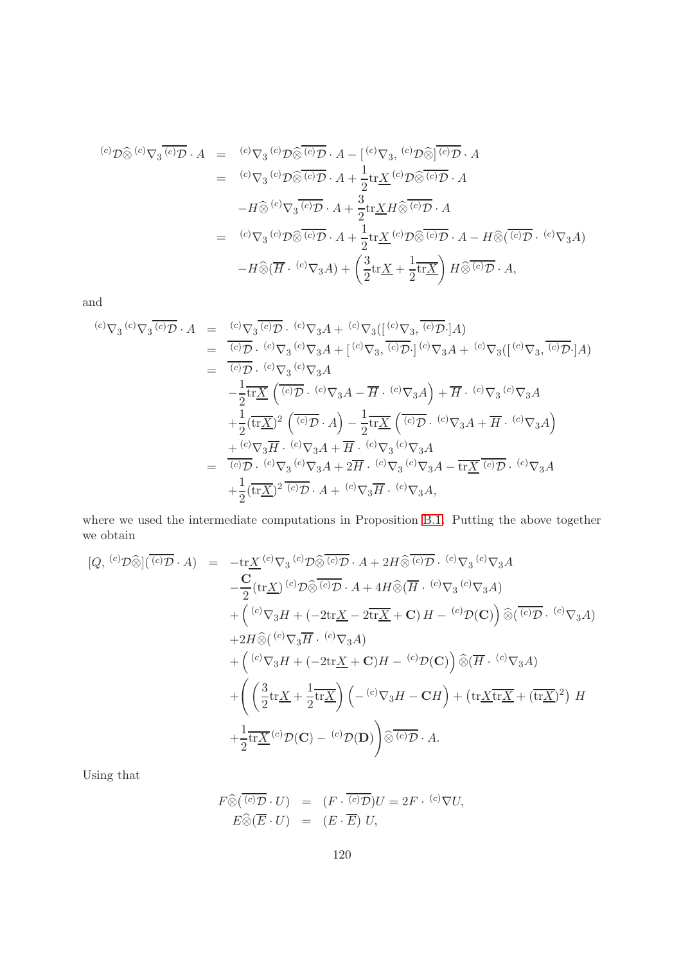$$
\begin{array}{rcl}\n^{(c)}\mathcal{D}\widehat{\otimes}{}^{(c)}\nabla_{3}\overline{(c)}\mathcal{D}\cdot A & = & ^{(c)}\nabla_{3}\,{}^{(c)}\mathcal{D}\widehat{\otimes}\overline{(c)}\mathcal{D}\cdot A - \left[ \begin{matrix}^{(c)}\nabla_{3},\ {^{(c)}\mathcal{D}}\widehat{\otimes}\overline{]} \overline{(c)}\mathcal{D}\cdot A \end{matrix}\right. \\
& = & ^{(c)}\nabla_{3}\,{}^{(c)}\mathcal{D}\widehat{\otimes}\overline{(c)}\mathcal{D}\cdot A + \frac{1}{2}\text{tr}\underline{X}\,{}^{(c)}\mathcal{D}\widehat{\otimes}\overline{(c)}\mathcal{D}\cdot A \\
&- H\widehat{\otimes}{}^{(c)}\nabla_{3}\overline{G}\mathcal{D}\cdot A + \frac{3}{2}\text{tr}\underline{X}\mathcal{H}\widehat{\otimes}\overline{G}\mathcal{D}\cdot A \\
& = & ^{(c)}\nabla_{3}\,{}^{(c)}\mathcal{D}\widehat{\otimes}\overline{(c)}\mathcal{D}\cdot A + \frac{1}{2}\text{tr}\underline{X}\,{}^{(c)}\mathcal{D}\widehat{\otimes}\overline{(c)}\mathcal{D}\cdot A - H\widehat{\otimes}(\overline{G}\mathcal{D}\cdot C)\nabla_{3}A \\
&- H\widehat{\otimes}(\overline{H}\cdot{}^{(c)}\nabla_{3}A) + \left(\frac{3}{2}\text{tr}\underline{X} + \frac{1}{2}\text{tr}\underline{X}\right)H\widehat{\otimes}\overline{G}\mathcal{D}\cdot A,\n\end{array}
$$

and

$$
\begin{array}{rcl}\n^{(c)}\nabla_{3}{}^{(c)}\nabla_{3}{}^{(c)}\overline{\mathcal{D}}\cdot A & = & {^{(c)}\nabla_{3}{}^{(c)}\overline{\mathcal{D}}\cdot (c)\nabla_{3}{}^{(c)}\nabla_{3}{}^{(c)}\nabla_{3}{}^{(c)}\nabla_{3}{}^{(c)}\overline{\mathcal{D}}\cdot]A} \\
 & = & \frac{^{(c)}\overline{\mathcal{D}}\cdot (c)\nabla_{3}{}^{(c)}\nabla_{3}{}^{(c)}\nabla_{3}{}^{(c)}\overline{\mathcal{D}}\cdot]^{(c)}\nabla_{3}{}^{(c)}\overline{\mathcal{D}}\cdot]^{(c)}\nabla_{3}{}^{(c)}\overline{\mathcal{D}}\cdot]^{(c)}\nabla_{3}{}^{(c)}\overline{\mathcal{D}}\cdot]^{(c)}\nabla_{3}{}^{(c)}\overline{\mathcal{D}}\cdot]^{(c)} \\
 & = & \frac{1}{^{(c)}\overline{\mathcal{D}}\cdot (c)\nabla_{3}{}^{(c)}\nabla_{3}{}^{(d)}\nabla_{3}{}^{(d)}\nabla_{3}{}^{(d)}\overline{\mathcal{D}}\cdot]^{(c)}\nabla_{3}{}^{(c)}\overline{\mathcal{D}}\cdot]^{(c)}\nabla_{3}{}^{(c)}\overline{\mathcal{D}}\cdot]^{(c)}\nabla_{3}{}^{(c)}\overline{\mathcal{D}}\cdot]^{(c)}\nabla_{3}{}^{(c)}\nabla_{3}{}^{(c)}\nabla_{3}{}^{(c)}\nabla_{3}{}^{(c)}\nabla_{3}{}^{(c)}\nabla_{3}{}^{(c)}\overline{\mathcal{D}}\cdot]^{(c)}\nabla_{3}{}^{(c)}\overline{\mathcal{D}}\cdot]^{(c)}\nabla_{3}{}^{(c)}\overline{\mathcal{D}}\cdot]^{(c)}\nabla_{3}{}^{(c)}\overline{\mathcal{D}}\cdot]^{(c)}\nabla_{3}{}^{(c)}\nabla_{3}{}^{(c)}\overline{\mathcal{D}}\cdot]^{(c)}\nabla_{3}{}^{(c)}\overline{\mathcal{D}}\cdot]^{(c)}
$$

where we used the intermediate computations in Proposition [B.1.](#page-110-0) Putting the above together we obtain

$$
[Q, {}^{(c)}\mathcal{D}\widehat{\otimes}](\overline{{}^{(c)}\mathcal{D}} \cdot A) = -\text{tr}\underline{X} {}^{(c)}\nabla_3 {}^{(c)}\mathcal{D}\widehat{\otimes} \overline{{}^{(c)}\mathcal{D}} \cdot A + 2H\widehat{\otimes} \overline{{}^{(c)}\mathcal{D}} \cdot {}^{(c)}\nabla_3 {}^{(c)}\nabla_3 A - \frac{\text{C}}{2} (\text{tr}\underline{X}) {}^{(c)}\mathcal{D}\widehat{\otimes} \overline{{}^{(c)}\mathcal{D}} \cdot A + 4H\widehat{\otimes} (\overline{H} \cdot {}^{(c)}\nabla_3 {}^{(c)}\nabla_3 A) + ({}^{(c)}\nabla_3 H + (-2\text{tr}\underline{X} - 2\overline{\text{tr}\underline{X}} + \textbf{C}) H - {}^{(c)}\mathcal{D}(\textbf{C}) \widehat{\otimes} \overline{{}^{(c)}\mathcal{D}} \cdot {}^{(c)}\nabla_3 A) + 2H\widehat{\otimes} ({}^{(c)}\nabla_3 \overline{H} \cdot {}^{(c)}\nabla_3 A) + ({}^{(c)}\nabla_3 H + (-2\text{tr}\underline{X} + \textbf{C})H - {}^{(c)}\mathcal{D}(\textbf{C}) \widehat{\otimes} (\overline{H} \cdot {}^{(c)}\nabla_3 A) + \left( \frac{3}{2} \text{tr}\underline{X} + \frac{1}{2} \text{tr}\underline{X} \right) (-{}^{(c)}\nabla_3 H - \textbf{C}H) + (\text{tr}\underline{X} \overline{\text{tr}\underline{X}} + (\overline{\text{tr}\underline{X}})^2) H + \frac{1}{2} \text{tr}\underline{X} {}^{(c)}\mathcal{D}(\textbf{C}) - {}^{(c)}\mathcal{D}(\textbf{D}) \right) \widehat{\otimes} \overline{{}^{(c)}\mathcal{D}} \cdot A.
$$

Using that

$$
F \widehat{\otimes} (\overline{{}^{(c)}\mathcal{D}} \cdot U) = (F \cdot \overline{{}^{(c)}\mathcal{D}})U = 2F \cdot {}^{(c)}\nabla U,
$$
  

$$
E \widehat{\otimes} (\overline{E} \cdot U) = (E \cdot \overline{E}) U,
$$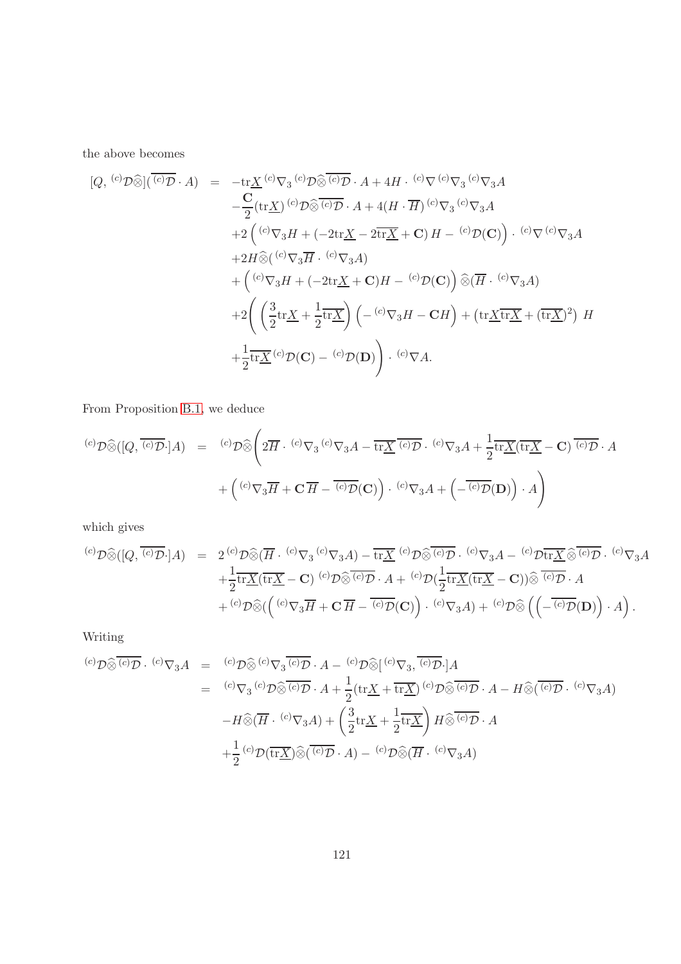the above becomes

$$
[Q, {}^{(c)}\mathcal{D}\widehat{\otimes}](\overline{{}^{(c)}\mathcal{D}} \cdot A) = -\text{tr}\underline{X} {}^{(c)}\nabla_3 {}^{(c)}\mathcal{D}\widehat{\otimes} \overline{{}^{(c)}\mathcal{D}} \cdot A + 4H \cdot {}^{(c)}\nabla {}^{(c)}\nabla_3 {}^{(c)}\nabla_3 A
$$
  
\n
$$
- \frac{\text{C}}{2} (\text{tr}\underline{X}) {}^{(c)}\mathcal{D}\widehat{\otimes} \overline{{}^{(c)}\mathcal{D}} \cdot A + 4(H \cdot \overline{H}) {}^{(c)}\nabla_3 {}^{(c)}\nabla_3 A
$$
  
\n
$$
+ 2\left({}^{(c)}\nabla_3 H + (-2\text{tr}\underline{X} - 2\text{tr}\underline{X} + \mathbf{C}) H - {}^{(c)}\mathcal{D}(\mathbf{C})\right) \cdot {}^{(c)}\nabla {}^{(c)}\nabla_3 A
$$
  
\n
$$
+ 2H\widehat{\otimes} ({}^{(c)}\nabla_3 \overline{H} \cdot {}^{(c)}\nabla_3 A)
$$
  
\n
$$
+ \left({}^{(c)}\nabla_3 H + (-2\text{tr}\underline{X} + \mathbf{C})H - {}^{(c)}\mathcal{D}(\mathbf{C})\right) \widehat{\otimes} (\overline{H} \cdot {}^{(c)}\nabla_3 A)
$$
  
\n
$$
+ 2\left(\left(\frac{3}{2}\text{tr}\underline{X} + \frac{1}{2}\text{tr}\underline{X}\right) \left(- {}^{(c)}\nabla_3 H - \mathbf{C}H\right) + (\text{tr}\underline{X}\overline{\text{tr}\underline{X}} + (\text{tr}\underline{X})^2) H
$$
  
\n
$$
+ \frac{1}{2}\text{tr}\underline{X} {}^{(c)}\mathcal{D}(\mathbf{C}) - {}^{(c)}\mathcal{D}(\mathbf{D})\right) \cdot {}^{(c)}\nabla A.
$$

From Proposition [B.1,](#page-110-0) we deduce

$$
\begin{array}{rcl}\n\text{(c)} \mathcal{D}\widehat{\otimes} ([Q, \overline{C \mathcal{D}} \cdot] A) & = & \text{(c)} \mathcal{D}\widehat{\otimes} \left(2\overline{H} \cdot {}^{(c)}\nabla_3 G^{(c)}\nabla_3 A - \overline{\text{tr}\underline{X}} \overline{C \mathcal{D}} \cdot {}^{(c)}\nabla_3 A + \frac{1}{2} \overline{\text{tr}\underline{X}} (\overline{\text{tr}\underline{X}} - \mathbf{C}) \overline{C \mathcal{D}} \cdot A \\
 & + \left( {}^{(c)}\nabla_3 \overline{H} + \mathbf{C} \, \overline{H} - \overline{C \mathcal{D}} \mathbf{C} \right) \right) \cdot {}^{(c)}\nabla_3 A + \left( -\overline{C \mathcal{D}} (\mathbf{D}) \right) \cdot A\n\end{array}
$$

which gives

$$
\begin{array}{rcl}\n^{(c)}\mathcal{D}\widehat{\otimes} ([Q,\overline{ {}^{(c)}\mathcal{D}} \cdot] A) & = & 2 \, {^{(c)}\mathcal{D}\widehat{\otimes} (\overline{H} \cdot {}^{(c)}\nabla_3 A) - \overline{\text{tr}\underline{X}} \, {}^{(c)}\mathcal{D}\widehat{\otimes} {}^{(c)}\overline{\mathcal{D}} \cdot {}^{(c)}\nabla_3 A - {}^{(c)}\mathcal{D}\overline{\text{tr}\underline{X}} \, \widehat{\otimes} {}^{(c)}\overline{\mathcal{D}} \cdot {}^{(c)}\nabla_3 A \\
 & + \frac{1}{2} \overline{\text{tr}\underline{X}} (\overline{\text{tr}\underline{X}} - \mathbf{C}) \, {}^{(c)}\mathcal{D}\widehat{\otimes} {}^{\overline{(c)}\mathcal{D}} \cdot A + {}^{(c)}\mathcal{D} (\frac{1}{2} \overline{\text{tr}\underline{X}} (\overline{\text{tr}\underline{X}} - \mathbf{C})) \widehat{\otimes} {}^{\overline{(c)}\mathcal{D}} \cdot A \\
 & + {}^{(c)}\mathcal{D}\widehat{\otimes} (\left( {}^{(c)}\nabla_3 \overline{H} + \mathbf{C}\, \overline{H} - {}^{\overline{(c)}\mathcal{D}}(\mathbf{C}) \right) \cdot {}^{(c)}\nabla_3 A) + {}^{(c)}\mathcal{D}\widehat{\otimes} \left( \left( - {}^{\overline{(c)}\mathcal{D}}(\mathbf{D}) \right) \cdot A \right).\n\end{array}
$$

Writing

$$
\begin{array}{rcl}\n^{(c)}\mathcal{D}\widehat{\otimes} \overline{(c)}\mathcal{D} \cdot {^{(c)}}\nabla_3 A & = & {^{(c)}}\mathcal{D}\widehat{\otimes} {^{(c)}}\nabla_3 \overline{{^{(c)}}\mathcal{D}} \cdot A - {^{(c)}}\mathcal{D}\widehat{\otimes} [ {^{(c)}}\nabla_3, \overline{{^{(c)}}\mathcal{D}} \cdot] A \\
& = & {^{(c)}}\nabla_3 {^{(c)}}\mathcal{D}\widehat{\otimes} \overline{{^{(c)}}\mathcal{D}} \cdot A + \frac{1}{2} (\text{tr}\underline{X} + \overline{\text{tr}\underline{X}}) {^{(c)}}\mathcal{D}\widehat{\otimes} \overline{{^{(c)}}\mathcal{D}} \cdot A - H\widehat{\otimes} (\overline{{^{(c)}}\mathcal{D}} \cdot {^{(c)}}\nabla_3 A) \\
&- H\widehat{\otimes} (\overline{H} \cdot {^{(c)}}\nabla_3 A) + \left(\frac{3}{2} \text{tr}\underline{X} + \frac{1}{2} \overline{\text{tr}\underline{X}}\right) H\widehat{\otimes} \overline{{^{(c)}}\mathcal{D}} \cdot A \\
& + \frac{1}{2} {^{(c)}}\mathcal{D} (\overline{\text{tr}\underline{X}}) \widehat{\otimes} (\overline{{^{(c)}}\mathcal{D}} \cdot A) - {^{(c)}}\mathcal{D}\widehat{\otimes} (\overline{H} \cdot {^{(c)}}\nabla_3 A)\n\end{array}
$$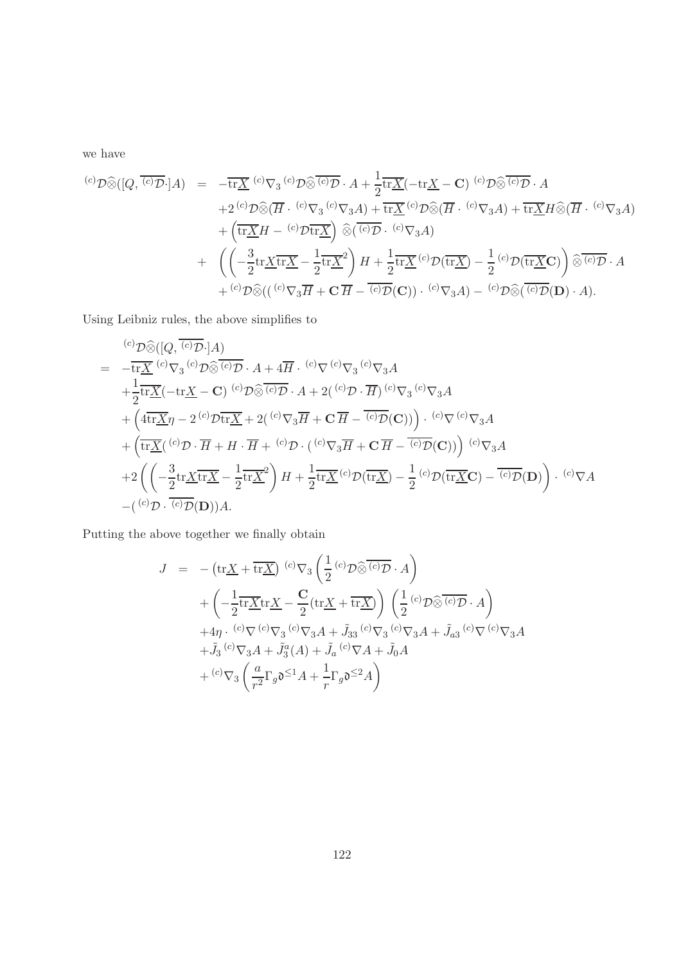we have

$$
\begin{array}{rcl}\n\text{(c)}\mathcal{D}\widehat{\otimes} ([Q,\overline{(^{c)}\mathcal{D}}\cdot] A) &=& -\overline{\text{tr}\underline{X}}\,(^{c)}\nabla_3\,(^{c)}\mathcal{D}\widehat{\otimes}\overline{(^{c)}\mathcal{D}}\cdot A + \frac{1}{2}\overline{\text{tr}\underline{X}}(-\text{tr}\underline{X} - \mathbf{C})\,(^{c)}\mathcal{D}\widehat{\otimes}\overline{(^{c)}\mathcal{D}}\cdot A \\
& &+ 2\,(^{c)}\mathcal{D}\widehat{\otimes}(\overline{H}\cdot~^{(c)}\nabla_3\,A) + \overline{\text{tr}\underline{X}}\,(^{c)}\mathcal{D}\widehat{\otimes}(\overline{H}\cdot~^{(c)}\nabla_3A) + \overline{\text{tr}\underline{X}}H\widehat{\otimes}(\overline{H}\cdot~^{(c)}\nabla_3A) \\
&+ \left(\overline{\text{tr}\underline{X}}H - \,^{(c)}\mathcal{D}\overline{\text{tr}\underline{X}}\right)\widehat{\otimes}(\overline{(^{c)}\mathcal{D}\cdot~^{(c)}\nabla_3A) \\
&+ \left(\left(-\frac{3}{2}\text{tr}\underline{X}\overline{\text{tr}\underline{X}} - \frac{1}{2}\text{tr}\underline{X}^2\right)H + \frac{1}{2}\overline{\text{tr}\underline{X}}\,(^{c)}\mathcal{D}(\overline{\text{tr}\underline{X}}) - \frac{1}{2}\,(^{c)}\mathcal{D}(\overline{\text{tr}\underline{X}}\mathbf{C})\right)\widehat{\otimes}^{\overline{(c)}\mathcal{D}}\cdot A \\
&+ \left(\text{tr}\mathcal{D}\widehat{\otimes}((\overline{(^{c)}\nabla_3\overline{H} + \mathbf{C}\,\overline{H} - \overline{(^{c)}\mathcal{D}}(\mathbf{C}))\cdot~^{(c)}\nabla_3A\right) - \left(\overline{^c}\mathcal{D}\widehat{\otimes}(\overline{(^{c)}\mathcal{D}}(\mathbf{D})\cdot A\right).\n\end{array}
$$

Using Leibniz rules, the above simplifies to

$$
\begin{split}\n& \stackrel{(c)}{\mathcal{D}\widehat{\otimes}}([Q,\overline{ {}^{(c)}\mathcal{D}}\cdot]A) \\
& = -\overline{\text{tr}\underline{X}}\,{}^{(c)}\nabla_3\,{}^{(c)}\mathcal{D}\widehat{\otimes} \,{}^{(c)}\mathcal{D}\cdot A + 4\overline{H}\cdot\,{}^{(c)}\nabla\,{}^{(c)}\nabla_3\,{}^{(c)}\nabla_3A \\
& + \frac{1}{2}\overline{\text{tr}\underline{X}}(-\text{tr}\underline{X} - \mathbf{C})\,{}^{(c)}\mathcal{D}\widehat{\otimes} \,{}^{(c)}\mathcal{D}\cdot A + 2({\,{}^{(c)}\mathcal{D}\cdot H})\,{}^{(c)}\nabla_3\,{}^{(c)}\nabla_3A \\
& + \left(4\overline{\text{tr}\underline{X}}\eta - 2\,{}^{(c)}\mathcal{D}\overline{\text{tr}\underline{X}} + 2({\,{}^{(c)}\nabla_3\overline{H} + \mathbf{C}\,\overline{H} - \,{}^{(c)}\mathcal{D}(\mathbf{C}))}\right)\cdot\,{}^{(c)}\nabla\,{}^{(c)}\nabla_3A \\
& + \left(\overline{\text{tr}\underline{X}}({\,{}^{(c)}\mathcal{D}\cdot\overline{H} + H\cdot\overline{H} + \,{}^{(c)}\mathcal{D}\cdot({\,{}^{(c)}\nabla_3\overline{H} + \mathbf{C}\,\overline{H} - \,{}^{(c)}\mathcal{D}(\mathbf{C}))}\right)\,{}^{(c)}\nabla_3A \\
& + 2\left(\left(-\frac{3}{2}\text{tr}\underline{X}\overline{\text{tr}\underline{X}} - \frac{1}{2}\text{tr}\underline{X}^2\right)H + \frac{1}{2}\text{tr}\underline{X}^{\,(c)}\mathcal{D}(\overline{\text{tr}\underline{X}}) - \frac{1}{2}{\,{}^{(c)}\mathcal{D}(\overline{\text{tr}\underline{X}}\mathbf{C}) - \,{}^{(c)}\mathcal{D}(\mathbf{D})}\right)\cdot\,{}^{(c)}\nabla A \\
&- \left({}^{(c)}\mathcal{D}\cdot\,{}^{(c)}\mathcal{D}(\mathbf{D})\right
$$

Putting the above together we finally obtain

$$
J = -(\text{tr}\underline{X} + \overline{\text{tr}\underline{X}})^{(c)}\nabla_3\left(\frac{1}{2}^{(c)}\mathcal{D}\widehat{\otimes}^{\overline{(c)}\mathcal{D}}\cdot A\right) + \left(-\frac{1}{2}\text{tr}\underline{X}\text{tr}\underline{X} - \frac{C}{2}(\text{tr}\underline{X} + \overline{\text{tr}\underline{X}})\right)\left(\frac{1}{2}^{(c)}\mathcal{D}\widehat{\otimes}^{\overline{(c)}\mathcal{D}}\cdot A\right) + 4\eta \cdot {^{(c)}\nabla^{(c)}\nabla_3}^{(c)}\nabla_3 A + \tilde{J}_{33} {^{(c)}\nabla_3}^{(c)}\nabla_3 A + \tilde{J}_{a3} {^{(c)}\nabla_{(c)}\nabla_3 A} + \tilde{J}_3 {^{(c)}\nabla_3 A + \tilde{J}_3^a(A) + \tilde{J}_a {^{(c)}\nabla A} + \tilde{J}_0^a A + {^{(c)}\nabla_3\left(\frac{a}{r^2}\Gamma_g \mathfrak{d}^{\leq 1} A + \frac{1}{r}\Gamma_g \mathfrak{d}^{\leq 2} A\right)}
$$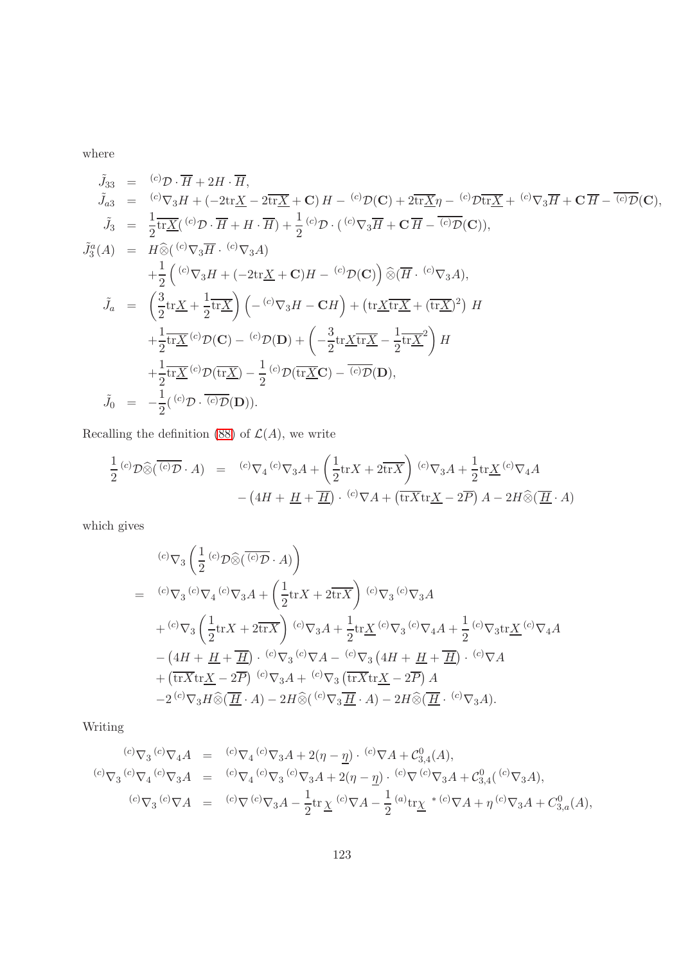$$
\tilde{J}_{33} = {}^{(c)}\mathcal{D} \cdot \overline{H} + 2H \cdot \overline{H},
$$
\n
$$
\tilde{J}_{a3} = {}^{(c)}\nabla_{3}H + (-2\text{tr}\underline{X} - 2\overline{\text{tr}\underline{X}} + \mathbf{C}) H - {}^{(c)}\mathcal{D}(\mathbf{C}) + 2\overline{\text{tr}\underline{X}} \eta - {}^{(c)}\mathcal{D}\overline{\text{tr}\underline{X}} + {}^{(c)}\nabla_{3}\overline{H} + \mathbf{C}\overline{H} - \overline{{}^{(c)}\mathcal{D}}(\mathbf{C}),
$$
\n
$$
\tilde{J}_{3} = \frac{1}{2}\overline{\text{tr}\underline{X}}({}^{(c)}\mathcal{D} \cdot \overline{H} + H \cdot \overline{H}) + \frac{1}{2}({}^{(c)}\mathcal{D} \cdot ({}^{(c)}\nabla_{3}\overline{H} + \mathbf{C}\overline{H} - \overline{{}^{(c)}\mathcal{D}}(\mathbf{C})),
$$
\n
$$
\tilde{J}_{3}^{a}(A) = H \hat{\otimes}({}^{(c)}\nabla_{3}\overline{H} \cdot {}^{(c)}\nabla_{3}A)
$$
\n
$$
+ \frac{1}{2}({}^{(c)}\nabla_{3}H + (-2\text{tr}\underline{X} + \mathbf{C})H - {}^{(c)}\mathcal{D}(\mathbf{C})) \hat{\otimes} (\overline{H} \cdot {}^{(c)}\nabla_{3}A),
$$
\n
$$
\tilde{J}_{a} = \left(\frac{3}{2}\text{tr}\underline{X} + \frac{1}{2}\overline{\text{tr}\underline{X}}\right) (-{}^{(c)}\nabla_{3}H - \mathbf{C}H) + (\text{tr}\underline{X}\overline{\text{tr}\underline{X}} + (\overline{\text{tr}\underline{X}})^{2}) H
$$
\n
$$
+ \frac{1}{2}\overline{\text{tr}\underline{X}}({}^{(c)}\mathcal{D}(\mathbf{C}) - {}^{(c)}\mathcal{D}(\mathbf{D}) + \left(-\frac{3}{2}\text{tr}\underline{X}\overline{\text{tr}\underline{X}} - \frac{1}{2}\overline{\text{tr}\underline{X}}^{2}\right)H
$$

Recalling the definition [\(88\)](#page-73-0) of  $\mathcal{L}(A)$ , we write

$$
\frac{1}{2} (c) \mathcal{D} \widehat{\otimes} (\overline{(c)} \mathcal{D} \cdot A) = (c) \nabla_4 (c) \nabla_3 A + \left( \frac{1}{2} \text{tr} X + 2 \overline{\text{tr} X} \right) (c) \nabla_3 A + \frac{1}{2} \text{tr} \underline{X} (c) \nabla_4 A \n- \left( 4H + \underline{H} + \overline{\underline{H}} \right) \cdot (c) \nabla A + \left( \text{tr} \overline{X} \text{tr} \underline{X} - 2\overline{P} \right) A - 2H \widehat{\otimes} (\overline{\underline{H}} \cdot A)
$$

which gives

$$
\begin{split}\n&^{(c)}\nabla_{3}\left(\frac{1}{2}\,{}^{(c)}\mathcal{D}\widehat{\otimes}(\overline{{}^{(c)}\mathcal{D}}\cdot A)\right) \\
&= \quad {}^{(c)}\nabla_{3}\,{}^{(c)}\nabla_{4}\,{}^{(c)}\nabla_{3}A + \left(\frac{1}{2}\text{tr}X + 2\overline{\text{tr}X}\right)\,{}^{(c)}\nabla_{3}\,{}^{(c)}\nabla_{3}A \\
&+ {}^{(c)}\nabla_{3}\left(\frac{1}{2}\text{tr}X + 2\overline{\text{tr}X}\right)\,{}^{(c)}\nabla_{3}A + \frac{1}{2}\text{tr}\,\underline{X}\,{}^{(c)}\nabla_{3}\,{}^{(c)}\nabla_{4}A + \frac{1}{2}\,{}^{(c)}\nabla_{3}\text{tr}\,\underline{X}\,{}^{(c)}\nabla_{4}A \\
&- \left(4H + \underline{H} + \overline{\underline{H}}\right)\cdot{}^{(c)}\nabla_{3}\,{}^{(c)}\nabla A - \quad{}^{(c)}\nabla_{3}\left(4H + \underline{H} + \overline{\underline{H}}\right)\cdot{}^{(c)}\nabla A \\
&+ \left(\overline{\text{tr}X}\text{tr}\underline{X} - 2\overline{P}\right)\,{}^{(c)}\nabla_{3}A + \quad{}^{(c)}\nabla_{3}\left(\overline{\text{tr}X}\text{tr}\underline{X} - 2\overline{P}\right)A \\
&- 2\,{}^{(c)}\nabla_{3}H\widehat{\otimes}(\overline{\underline{H}}\cdot A) - 2H\widehat{\otimes}\left(\frac{c}{2}\nabla_{3}\overline{\underline{H}}\cdot A\right) - 2H\widehat{\otimes}(\overline{\underline{H}}\cdot{}^{(c)}\nabla_{3}A).\n\end{split}
$$

Writing

$$
\begin{array}{rcl}\n^{(c)}\nabla_3 \,^{(c)}\nabla_4 A & = & {^{(c)}\nabla_4} \,^{(c)}\nabla_3 A + 2(\eta - \underline{\eta}) \cdot {^{(c)}\nabla A} + \mathcal{C}_{3,4}^0(A), \\
^{(c)}\nabla_3 \,^{(c)}\nabla_4 \,^{(c)}\nabla_3 A & = & {^{(c)}\nabla_4} \,^{(c)}\nabla_3 \,^{(c)}\nabla_3 A + 2(\eta - \underline{\eta}) \cdot {^{(c)}\nabla} \,^{(c)}\nabla_3 A + \mathcal{C}_{3,4}^0({^{(c)}\nabla_3 A}), \\
^{(c)}\nabla_3 \,^{(c)}\nabla A & = & {^{(c)}\nabla} \,^{(c)}\nabla_3 A - \frac{1}{2} \text{tr} \,\underline{\chi} \,^{(c)}\nabla A - \frac{1}{2} \,^{(a)}\text{tr}\underline{\chi}^{*(c)}\nabla A + \eta {^{(c)}\nabla_3 A} + \mathcal{C}_{3,a}^0(A),\n\end{array}
$$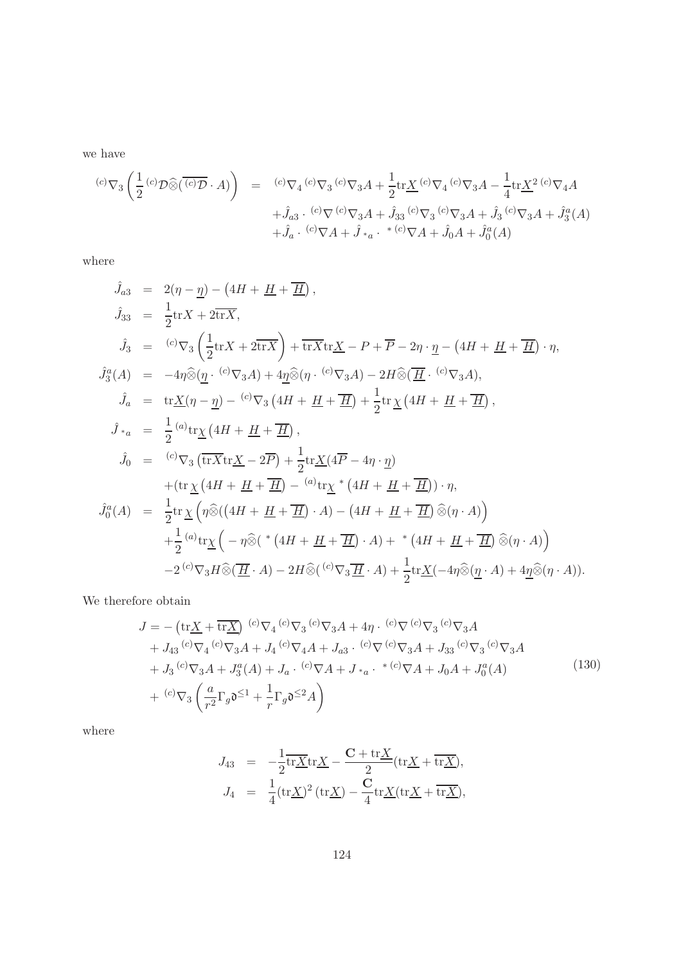we have

$$
\begin{array}{rcl}\n^{(c)}\nabla_{3}\left(\frac{1}{2}\,^{(c)}\mathcal{D}\widehat{\otimes}(\overline{\,^{(c)}\mathcal{D}}\cdot A)\right) & = & ^{(c)}\nabla_{4}\,^{(c)}\nabla_{3}A + \frac{1}{2}\text{tr}\underline{X}^{(c)}\nabla_{4}A^{(c)}\nabla_{3}A - \frac{1}{4}\text{tr}\underline{X}^{2}(c)\nabla_{4}A \\
& & + \hat{J}_{a3}\cdot\frac{^{(c)}\nabla^{(c)}\nabla_{3}A + \hat{J}_{33}(c)\nabla_{3}A + \hat{J}_{3}(c)\nabla_{3}A + \hat{J}_{3}(c)\nabla_{3}A + \hat{J}_{3}^{a}(A) \\
& & + \hat{J}_{a}\cdot\frac{^{(c)}\nabla A + \hat{J}_{*a}\cdot\frac{*}{^{(c)}\nabla A + \hat{J}_{0}A + \hat{J}_{0}^{a}(A)}\n\end{array}
$$

where

$$
\hat{J}_{a3} = 2(\eta - \underline{\eta}) - (4H + \underline{H} + \overline{\underline{H}}),
$$
\n
$$
\hat{J}_{33} = \frac{1}{2} \text{tr} X + 2 \text{tr} \overline{X},
$$
\n
$$
\hat{J}_{3} = {}^{(c)}\nabla_{3} \left( \frac{1}{2} \text{tr} X + 2 \text{tr} \overline{X} \right) + \overline{\text{tr} X} \text{tr} \underline{X} - P + \overline{P} - 2\eta \cdot \underline{\eta} - (4H + \underline{H} + \overline{\underline{H}}) \cdot \eta,
$$
\n
$$
\hat{J}_{3}^{a}(A) = -4\eta \widehat{\otimes} (\underline{\eta} \cdot {^{(c)}\nabla_{3}A}) + 4\underline{\eta} \widehat{\otimes} (\eta \cdot {^{(c)}\nabla_{3}A}) - 2H \widehat{\otimes} (\overline{\underline{H}} \cdot {^{(c)}\nabla_{3}A}),
$$
\n
$$
\hat{J}_{a} = \text{tr} \underline{X} (\eta - \underline{\eta}) - {}^{(c)}\nabla_{3} (4H + \underline{H} + \overline{\underline{H}}) + \frac{1}{2} \text{tr} \underline{\chi} (4H + \underline{H} + \overline{\underline{H}}),
$$
\n
$$
\hat{J}_{*a} = \frac{1}{2} {}^{(a)}\text{tr} \underline{\chi} (4H + \underline{H} + \overline{\underline{H}}),
$$
\n
$$
\hat{J}_{0} = {}^{(c)}\nabla_{3} (\overline{\text{tr} X} \text{tr} \underline{X} - 2\overline{P}) + \frac{1}{2} \text{tr} \underline{X} (4\overline{P} - 4\eta \cdot \underline{\eta})
$$
\n
$$
+ (\text{tr} \underline{\chi} (4H + \underline{H} + \overline{\underline{H}}) - {}^{(a)}\text{tr} \underline{\chi} * (4H + \underline{H} + \overline{\underline{H}})) \cdot \eta,
$$
\n
$$
\hat{J}_{0}^{a}(A) = \frac{1}{2} \text{tr} \underline{\chi} \left( \eta \widehat{\otimes} ((4H + \underline{H} + \overline{\underline{H}}) \cdot A) - (4H + \underline{H} + \
$$

We therefore obtain

$$
J = -\left(\text{tr}\underline{X} + \overline{\text{tr}\underline{X}}\right) {}^{(c)}\nabla_4 {}^{(c)}\nabla_3 {}^{(c)}\nabla_3 A + 4\eta \cdot {}^{(c)}\nabla {}^{(c)}\nabla_3 {}^{(c)}\nabla_3 A + J_{43} {}^{(c)}\nabla_4 {}^{(c)}\nabla_3 A + J_4 {}^{(c)}\nabla_4 A + J_{a3} {}^{(c)}\nabla {}^{(c)}\nabla_3 A + J_{33} {}^{(c)}\nabla_3 {}^{(c)}\nabla_3 A + J_3 {}^{(c)}\nabla_3 A + J_3^a(A) + J_a {}^{(c)}\nabla A + J_{a} {}^{(c)}\nabla A + J_0 A + J_0^a(A) + {}^{(c)}\nabla_3 \left(\frac{a}{r^2} \Gamma_g \mathfrak{d}^{\leq 1} + \frac{1}{r} \Gamma_g \mathfrak{d}^{\leq 2} A\right)
$$
\n(130)

where

$$
J_{43} = -\frac{1}{2}\overline{\text{tr}\underline{X}}\text{tr}\underline{X} - \frac{\mathbf{C} + \text{tr}\underline{X}}{2}(\text{tr}\underline{X} + \overline{\text{tr}\underline{X}}),
$$
  

$$
J_4 = \frac{1}{4}(\text{tr}\underline{X})^2(\text{tr}\underline{X}) - \frac{\mathbf{C}}{4}\text{tr}\underline{X}(\text{tr}\underline{X} + \overline{\text{tr}\underline{X}}),
$$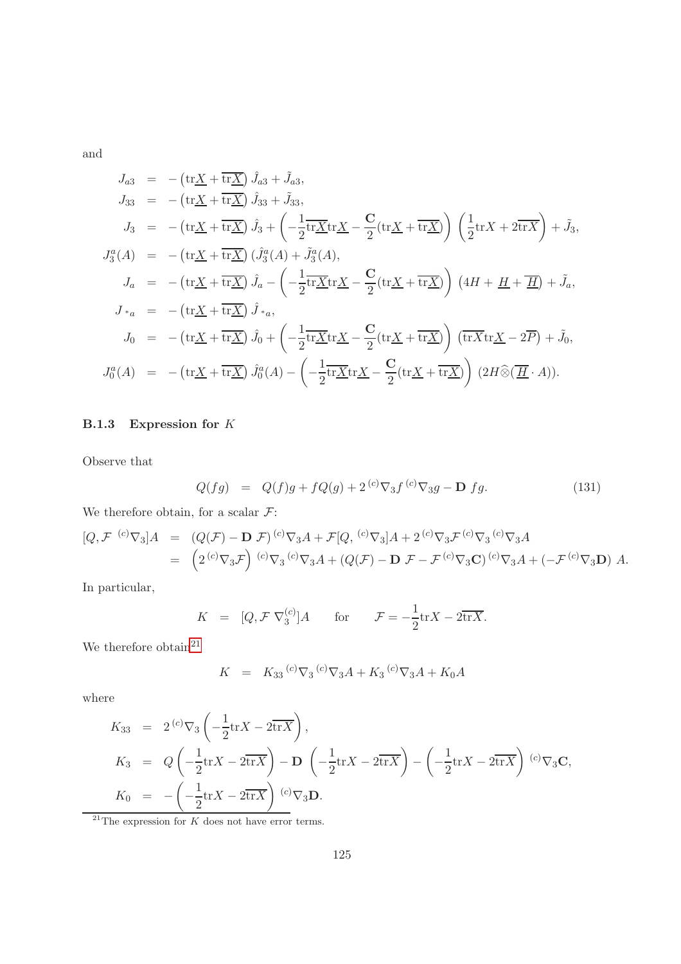and

$$
J_{a3} = -(\text{tr}\underline{X} + \overline{\text{tr}\underline{X}}) \hat{J}_{a3} + \tilde{J}_{a3},
$$
  
\n
$$
J_{33} = -(\text{tr}\underline{X} + \overline{\text{tr}\underline{X}}) \hat{J}_{33} + \tilde{J}_{33},
$$
  
\n
$$
J_{3} = -(\text{tr}\underline{X} + \overline{\text{tr}\underline{X}}) \hat{J}_{3} + \left(-\frac{1}{2}\overline{\text{tr}\underline{X}}\text{tr}\underline{X} - \frac{C}{2}(\text{tr}\underline{X} + \overline{\text{tr}\underline{X}})\right) \left(\frac{1}{2}\text{tr}X + 2\overline{\text{tr}X}\right) + \tilde{J}_{3},
$$
  
\n
$$
J_{3}^{a}(A) = -(\text{tr}\underline{X} + \overline{\text{tr}\underline{X}}) \left(\hat{J}_{3}^{a}(A) + \tilde{J}_{3}^{a}(A),
$$
  
\n
$$
J_{a} = -(\text{tr}\underline{X} + \overline{\text{tr}\underline{X}}) \hat{J}_{a} - \left(-\frac{1}{2}\overline{\text{tr}\underline{X}}\text{tr}\underline{X} - \frac{C}{2}(\text{tr}\underline{X} + \overline{\text{tr}\underline{X}})\right) \left(4H + \underline{H} + \overline{\underline{H}}\right) + \tilde{J}_{a},
$$
  
\n
$$
J_{*a} = -(\text{tr}\underline{X} + \overline{\text{tr}\underline{X}}) \hat{J}_{*a},
$$
  
\n
$$
J_{0} = -(\text{tr}\underline{X} + \overline{\text{tr}\underline{X}}) \hat{J}_{0} + \left(-\frac{1}{2}\overline{\text{tr}\underline{X}}\text{tr}\underline{X} - \frac{C}{2}(\text{tr}\underline{X} + \overline{\text{tr}\underline{X}})\right) \left(\overline{\text{tr}\underline{X}}\text{tr}\underline{X} - 2\overline{P}\right) + \tilde{J}_{0},
$$
  
\n
$$
J_{0}^{a}(A) = -(\text{tr}\underline{X} + \overline{\text{tr}\underline{X}}) \hat{J}_{0}^{a}(A) - \left(-\frac{1}{2}\overline{\text{tr}\underline{
$$

## B.1.3 Expression for K

Observe that

<span id="page-124-1"></span>
$$
Q(fg) = Q(f)g + fQ(g) + 2^{(c)}\nabla_3 f^{(c)}\nabla_3 g - \mathbf{D} f g.
$$
 (131)

We therefore obtain, for a scalar  $\mathcal{F}$ :

$$
[Q, \mathcal{F}^{(c)}\nabla_3]A = (Q(\mathcal{F}) - \mathbf{D}\mathcal{F})^{(c)}\nabla_3 A + \mathcal{F}[Q, {}^{(c)}\nabla_3]A + 2 {}^{(c)}\nabla_3 \mathcal{F}^{(c)}\nabla_3 G^{(c)}\nabla_3 A
$$
  
= 
$$
(2 {}^{(c)}\nabla_3 \mathcal{F}) {}^{(c)}\nabla_3 G^{(c)}\nabla_3 A + (Q(\mathcal{F}) - \mathbf{D}\mathcal{F} - \mathcal{F}^{(c)}\nabla_3 \mathbf{C}) {}^{(c)}\nabla_3 A + (-\mathcal{F}^{(c)}\nabla_3 \mathbf{D}) A.
$$

In particular,

$$
K = [Q, \mathcal{F} \nabla_3^{(c)}] A \quad \text{for} \quad \mathcal{F} = -\frac{1}{2} \text{tr} X - 2\overline{\text{tr} X}.
$$

We therefore obtain  $21$ 

$$
K = K_{33} {}^{(c)}\nabla_3 {}^{(c)}\nabla_3 A + K_3 {}^{(c)}\nabla_3 A + K_0 A
$$

where

$$
K_{33} = 2^{(c)} \nabla_3 \left( -\frac{1}{2} \text{tr} X - 2 \overline{\text{tr} X} \right),
$$
  
\n
$$
K_3 = Q \left( -\frac{1}{2} \text{tr} X - 2 \overline{\text{tr} X} \right) - D \left( -\frac{1}{2} \text{tr} X - 2 \overline{\text{tr} X} \right) - \left( -\frac{1}{2} \text{tr} X - 2 \overline{\text{tr} X} \right)^{(c)} \nabla_3 \mathbf{C},
$$
  
\n
$$
K_0 = -\left( -\frac{1}{2} \text{tr} X - 2 \overline{\text{tr} X} \right)^{(c)} \nabla_3 \mathbf{D}.
$$

<span id="page-124-0"></span> $\frac{21}{21}$ The expression for K does not have error terms.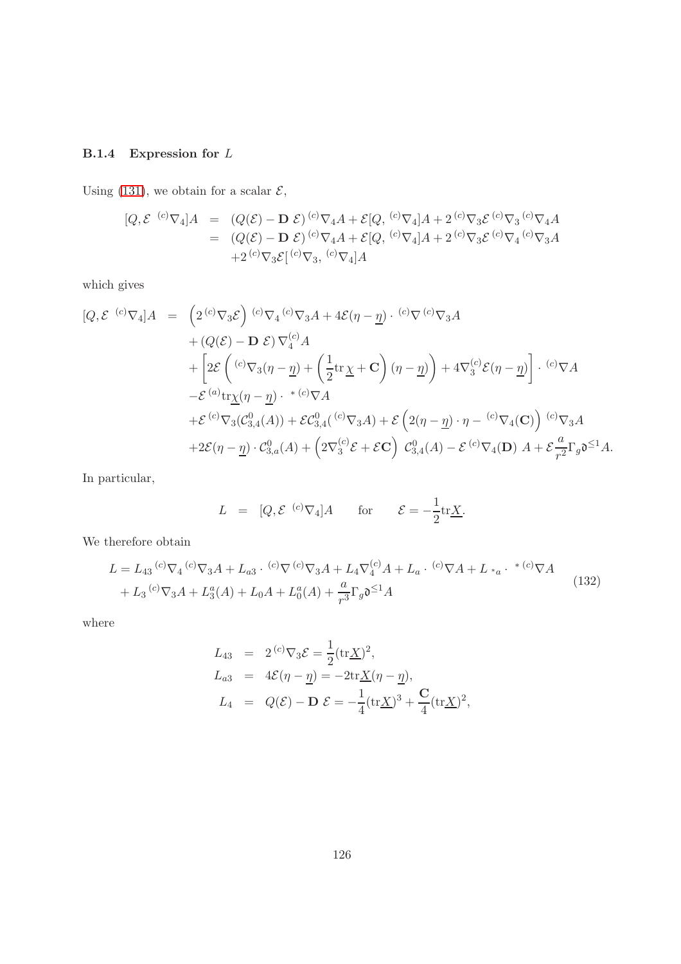## B.1.4 Expression for L

Using [\(131\)](#page-124-1), we obtain for a scalar  $\mathcal{E}$ ,

$$
[Q, \mathcal{E}^{(c)}\nabla_4]A = (Q(\mathcal{E}) - \mathbf{D}\mathcal{E})^{(c)}\nabla_4 A + \mathcal{E}[Q, {}^{(c)}\nabla_4]A + 2 {}^{(c)}\nabla_3 \mathcal{E}^{(c)}\nabla_3 {}^{(c)}\nabla_4 A
$$
  
=  $(Q(\mathcal{E}) - \mathbf{D}\mathcal{E})^{(c)}\nabla_4 A + \mathcal{E}[Q, {}^{(c)}\nabla_4]A + 2 {}^{(c)}\nabla_3 \mathcal{E}^{(c)}\nabla_4 {}^{(c)}\nabla_3 A$   
+  $2 {}^{(c)}\nabla_3 \mathcal{E}[^{(c)}\nabla_3, {}^{(c)}\nabla_4]A$ 

which gives

$$
[Q, \mathcal{E}^{(c)}\nabla_4]A = \left(2^{(c)}\nabla_3 \mathcal{E}\right)^{(c)}\nabla_4^{(c)}\nabla_3 A + 4\mathcal{E}(\eta - \underline{\eta}) \cdot {^{(c)}}\nabla {^{(c)}}\nabla_3 A
$$
  
+ 
$$
\left(2(\mathcal{E}) - \mathbf{D} \mathcal{E}\right)\nabla_4^{(c)}A
$$
  
+ 
$$
\left[2\mathcal{E}\left({^{(c)}}\nabla_3(\eta - \underline{\eta}) + \left(\frac{1}{2}\text{tr}\,\underline{\chi} + \mathbf{C}\right)(\eta - \underline{\eta})\right) + 4\nabla_3^{(c)}\mathcal{E}(\eta - \underline{\eta})\right] \cdot {^{(c)}}\nabla A
$$
  
-
$$
\mathcal{E}^{(a)}\text{tr}\underline{\chi}(\eta - \underline{\eta}) \cdot {^{*(c)}}\nabla A
$$
  
+ 
$$
\mathcal{E}^{(c)}\nabla_3(\mathcal{C}_{3,4}^0(A)) + \mathcal{E}\mathcal{C}_{3,4}^0({^{(c)}}\nabla_3 A) + \mathcal{E}\left(2(\eta - \underline{\eta}) \cdot \eta - {^{(c)}}\nabla_4(\mathbf{C})\right){^{(c)}}\nabla_3 A
$$
  
+ 
$$
2\mathcal{E}(\eta - \underline{\eta}) \cdot \mathcal{C}_{3,a}^0(A) + \left(2\nabla_3^{(c)}\mathcal{E} + \mathcal{E}\mathbf{C}\right)\mathcal{C}_{3,4}^0(A) - \mathcal{E}^{(c)}\nabla_4(\mathbf{D}) A + \mathcal{E}\frac{a}{r^2}\Gamma_g\mathfrak{d}^{\leq 1}A.
$$

In particular,

$$
L = [Q, \mathcal{E}^{(c)} \nabla_4] A \quad \text{for} \quad \mathcal{E} = -\frac{1}{2} \text{tr} \underline{X}.
$$

We therefore obtain

$$
L = L_{43} {}^{(c)}\nabla_4 {}^{(c)}\nabla_3 A + L_{a3} {}^{(c)}\nabla {}^{(c)}\nabla_3 A + L_4 \nabla_4 {}^{(c)}A + L_a {}^{(c)}\nabla A + L*_a {}^{(c)}\nabla A
$$
  
+  $L_3 {}^{(c)}\nabla_3 A + L_3^a(A) + L_0 A + L_0^a(A) + \frac{a}{r^3} \Gamma_g \mathfrak{d}^{\leq 1} A$  (132)

where

$$
L_{43} = 2^{(c)} \nabla_3 \mathcal{E} = \frac{1}{2} (\text{tr} \underline{X})^2,
$$
  
\n
$$
L_{a3} = 4\mathcal{E}(\eta - \underline{\eta}) = -2 \text{tr} \underline{X}(\eta - \underline{\eta}),
$$
  
\n
$$
L_4 = Q(\mathcal{E}) - D \mathcal{E} = -\frac{1}{4} (\text{tr} \underline{X})^3 + \frac{C}{4} (\text{tr} \underline{X})^2,
$$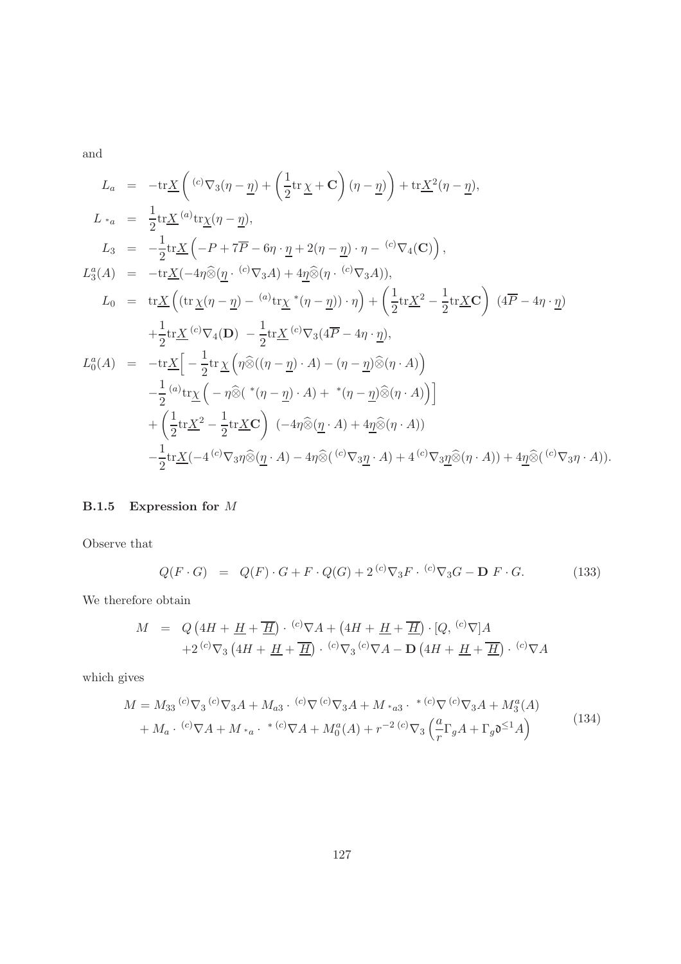and

$$
L_{a} = -\text{tr}\underline{X}\left({}^{(c)}\nabla_{3}(\eta-\underline{\eta})+\left(\frac{1}{2}\text{tr}\,\underline{\chi}+\mathbf{C}\right)(\eta-\underline{\eta})\right)+\text{tr}\underline{X}^{2}(\eta-\underline{\eta}),
$$
  
\n
$$
L_{*a} = \frac{1}{2}\text{tr}\underline{X}^{(a)}\text{tr}\underline{\chi}(\eta-\underline{\eta}),
$$
  
\n
$$
L_{3} = -\frac{1}{2}\text{tr}\underline{X}\left(-P+7\overline{P}-6\eta\cdot\underline{\eta}+2(\eta-\underline{\eta})\cdot\eta-\frac{(c)}{\nabla_{4}(\mathbf{C})}\right),
$$
  
\n
$$
L_{3}^{a}(A) = -\text{tr}\underline{X}(-4\eta\widehat{\otimes}(\underline{\eta}\cdot\frac{(c)}{\nabla_{3}A})+4\underline{\eta}\widehat{\otimes}(\eta\cdot\frac{(c)}{\nabla_{3}A})),
$$
  
\n
$$
L_{0} = \text{tr}\underline{X}\left((\text{tr}\,\underline{\chi}(\eta-\underline{\eta})-\frac{(a)}{\nabla_{3}\chi}^{*}(\eta-\underline{\eta})\right)\cdot\eta\right)+\left(\frac{1}{2}\text{tr}\underline{X}^{2}-\frac{1}{2}\text{tr}\underline{X}\mathbf{C}\right)(4\overline{P}-4\eta\cdot\underline{\eta})
$$
  
\n
$$
+\frac{1}{2}\text{tr}\underline{X}^{(c)}\nabla_{4}(\mathbf{D})-\frac{1}{2}\text{tr}\underline{X}^{(c)}\nabla_{3}(4\overline{P}-4\eta\cdot\underline{\eta}),
$$
  
\n
$$
L_{0}^{a}(A) = -\text{tr}\underline{X}\Big[-\frac{1}{2}\text{tr}\,\underline{\chi}\left(\eta\widehat{\otimes}((\eta-\underline{\eta})\cdot A)-(\eta-\underline{\eta})\widehat{\otimes}(\eta\cdot A)\right)
$$
  
\n
$$
-\frac{1}{2}\frac{(a)}{\nabla_{4}\chi}\Big(-\eta\widehat{\otimes}(*(\eta-\underline{\eta})\cdot A)+*(\eta-\underline{\eta})\widehat{\otimes}(\eta\cdot A)\Big)\Big]
$$
  
\n
$$
+\left(\frac{1}{2}\text{tr}\underline{X}^{2}-
$$

### B.1.5 Expression for M

Observe that

$$
Q(F \cdot G) = Q(F) \cdot G + F \cdot Q(G) + 2^{(c)} \nabla_3 F \cdot {^{(c)} \nabla_3 G} - \mathbf{D} F \cdot G. \tag{133}
$$

We therefore obtain

$$
M = Q\left(4H + \underline{H} + \overline{\underline{H}}\right) \cdot {^{(c)}\nabla A} + \left(4H + \underline{H} + \overline{\underline{H}}\right) \cdot [Q, {^{(c)}\nabla}]A
$$
  
+2<sup>(c)</sup>  $\nabla_3 \left(4H + \underline{H} + \overline{\underline{H}}\right) \cdot {^{(c)}\nabla_3} {^{(c)}\nabla A} - D\left(4H + \underline{H} + \overline{\underline{H}}\right) \cdot {^{(c)}\nabla A}$ 

which gives

$$
M = M_{33} {}^{(c)}\nabla_3 {}^{(c)}\nabla_3 A + M_{a3} {}^{(c)}\nabla_3 A + M_{*a3} {}^{(c)}\nabla_4 A + M_{*a3} {}^{(c)}\nabla_5 A + M_3^a(A) + M_a {}^{(c)}\nabla A + M_{*a} {}^{(c)}\nabla_4 A + M_0^a(A) + r^{-2} {}^{(c)}\nabla_3 \left(\frac{a}{r} \Gamma_g A + \Gamma_g \mathfrak{d}^{\leq 1} A\right)
$$
(134)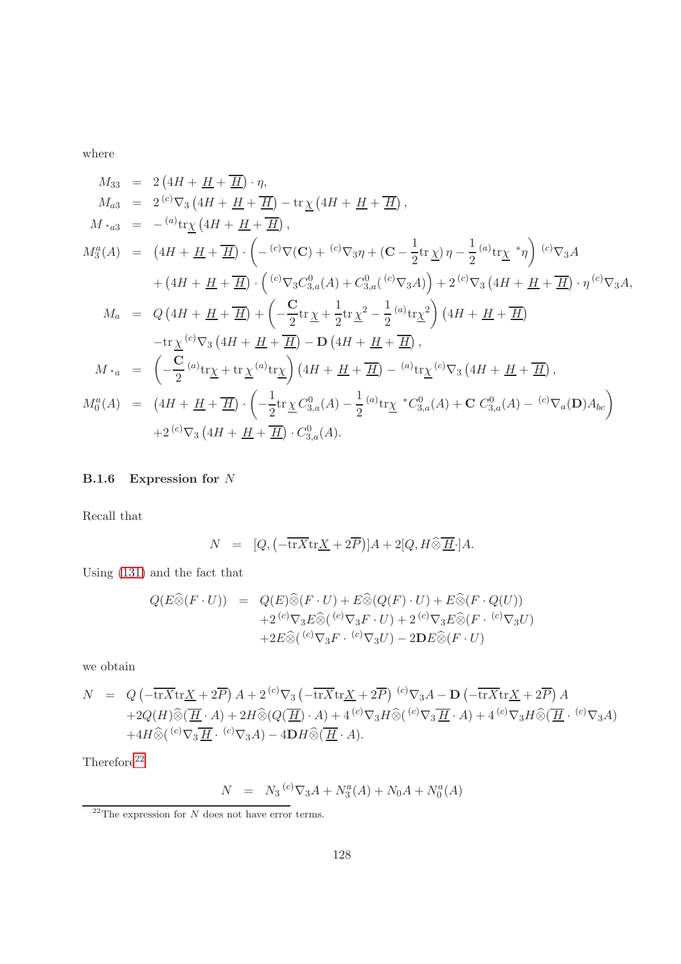$$
M_{33} = 2(4H + \underline{H} + \overline{H}) \cdot \eta,
$$
  
\n
$$
M_{a3} = 2^{(c)} \nabla_3 (4H + \underline{H} + \overline{H}) - \text{tr}\,\underline{\chi} (4H + \underline{H} + \overline{H}),
$$
  
\n
$$
M_{*a3} = -\binom{a}{x} \text{tr}\,\underline{\chi} (4H + \underline{H} + \overline{H}),
$$
  
\n
$$
M_3^a(A) = (4H + \underline{H} + \overline{H}) \cdot \left( -\binom{c}{x} \nabla_1 e^{-x} \nabla_2 \nabla_3 \nabla_1 + (G - \frac{1}{2} \text{tr}\,\underline{\chi}) \eta - \frac{1}{2} \binom{a}{x} \text{tr}\,\underline{\chi}^* \eta \right) \cdot \binom{c}{x} \nabla_3 A
$$
  
\n
$$
+ (4H + \underline{H} + \overline{H}) \cdot \left( \binom{c}{x} \nabla_3 C_{3,a}^0(A) + C_{3,a}^0 \binom{c}{x} \nabla_3 A \right) + 2^{(c)} \nabla_3 (4H + \underline{H} + \overline{H}) \cdot \eta^{(c)} \nabla_3 A,
$$
  
\n
$$
M_a = Q \left( 4H + \underline{H} + \overline{H} \right) + \left( -\frac{C}{2} \text{tr}\,\underline{\chi} + \frac{1}{2} \text{tr}\,\underline{\chi}^2 - \frac{1}{2} \binom{a}{x} \text{tr}\,\underline{\chi}^2 \right) \left( 4H + \underline{H} + \overline{H} \right)
$$
  
\n
$$
- \text{tr}\,\underline{\chi}^{(c)} \nabla_3 \left( 4H + \underline{H} + \overline{H} \right) - \mathbf{D} \left( 4H + \underline{H} + \overline{H} \right),
$$
  
\n
$$
M_{*a} = \left( -\frac{C}{2} \binom{a}{x} \text{tr}\,\underline{\chi} + \text{tr}\,\underline{\chi}^{(a)} \text{tr}\,\underline{\chi} \right) \left( 4H + \underline{H} + \overline{H} \right) - \binom{a}{x} \text{tr
$$

### B.1.6 Expression for N

Recall that

$$
N = [Q, \left(-\overline{\text{tr}X}\text{tr}\underline{X} + 2\overline{P}\right)]A + 2[Q, H \widehat{\otimes} \overline{\underline{H}} \cdot]A.
$$

Using [\(131\)](#page-124-1) and the fact that

$$
Q(E\widehat{\otimes}(F \cdot U)) = Q(E)\widehat{\otimes}(F \cdot U) + E\widehat{\otimes}(Q(F) \cdot U) + E\widehat{\otimes}(F \cdot Q(U))
$$
  
+2<sup>(c)</sup>  $\nabla_3 E\widehat{\otimes} (C\widehat{\otimes}G) + 2(E\widehat{\otimes}G)(C\widehat{\otimes}G) + 2(E\widehat{\otimes}G)(C\widehat{\otimes}G) + 2(E\widehat{\otimes}G)(C\widehat{\otimes}G) + 2(E\widehat{\otimes}G)(C\widehat{\otimes}G) + 2(E\widehat{\otimes}G)(C\widehat{\otimes}G) + 2(E\widehat{\otimes}G)(C\widehat{\otimes}G) + 2(E\widehat{\otimes}G)(C\widehat{\otimes}G) + 2(E\widehat{\otimes}G)(C\widehat{\otimes}G) + 2(E\widehat{\otimes}G)(C\widehat{\otimes}G) + 2(E\widehat{\otimes}G)(C\widehat{\otimes}G) + 2(E\widehat{\otimes}G)(C\widehat{\otimes}G) + 2(E\widehat{\otimes}G)(C\widehat{\otimes}G) + 2(E\widehat{\otimes}G)(C\widehat{\otimes}G) + 2(E\widehat{\otimes}G)(C\widehat{\otimes}G) + 2(E\widehat{\otimes}G)(C\widehat{\otimes}G) + 2(E\widehat{\otimes}G)(C\widehat{\otimes}G) + 2(E\widehat{\otimes}G)(C\widehat{\otimes}G) + 2(E\widehat{\otimes}G)(C\widehat{\otimes}G) + 2(E\widehat{\otimes}G)(C\widehat{\otimes}G) + 2(E\widehat{\otimes}G)(C\widehat{\otimes}G) + 2(E\widehat{\otimes}G)(C\widehat{\otimes}G) + 2(E\widehat{\otimes}G)(C\widehat{\otimes}G) + 2(E\widehat{\otimes}G)(C\widehat{\otimes}G) + 2(E\widehat{\otimes}G)(C\widehat{\otimes}G) + 2(E\widehat{\otimes}G)(C\widehat{\otimes}G) + 2(E\widehat{\otimes}G)(C\widehat{\otimes}G) + 2(E\widehat{\otimes}G)(C\widehat{\otimes}G) + 2(E\widehat{\otimes}G)(C\widehat{\otimes}G) + 2(E\widehat{\otimes}G)(C\$ 

we obtain

$$
N = Q\left(-\overline{\text{tr}X}\text{tr}\underline{X} + 2\overline{P}\right)A + 2^{(c)}\nabla_3\left(-\overline{\text{tr}X}\text{tr}\underline{X} + 2\overline{P}\right)^{(c)}\nabla_3A - \mathbf{D}\left(-\overline{\text{tr}X}\text{tr}\underline{X} + 2\overline{P}\right)A
$$
  
+2Q(H)\widehat{\otimes}(\overline{\underline{H}} \cdot A) + 2H\widehat{\otimes}(Q(\overline{\underline{H}}) \cdot A) + 4^{(c)}\nabla\_3H\widehat{\otimes}({^{(c)}\nabla\_3\overline{\underline{H}} \cdot A}) + 4^{(c)}\nabla\_3H\widehat{\otimes}(\overline{\underline{H}} \cdot {^{(c)}\nabla\_3A})  
+4H\widehat{\otimes}({^{(c)}\nabla\_3\overline{\underline{H}} \cdot {^{(c)}\nabla\_3A}) - 4\mathbf{D}H\widehat{\otimes}(\overline{\underline{H}} \cdot A).

 $\rm{Therefore}^{22}$  $\rm{Therefore}^{22}$  $\rm{Therefore}^{22}$ 

$$
N = N_3 {}^{(c)}\nabla_3 A + N_3^a(A) + N_0 A + N_0^a(A)
$$

<span id="page-127-0"></span> $\overline{a^{22}}$  The expression for  $N$  does not have error terms.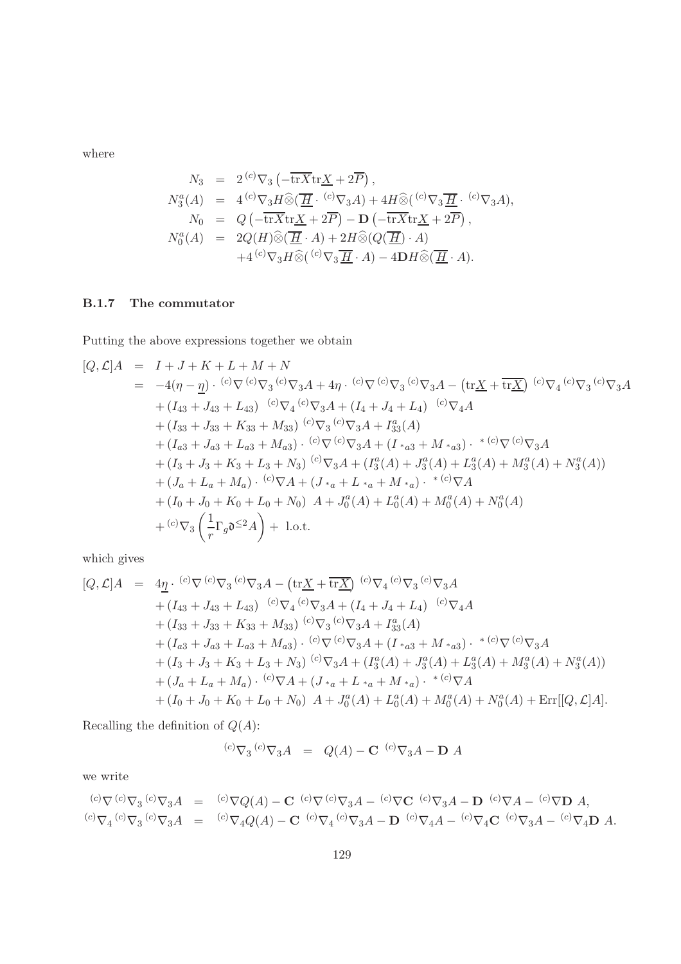$$
N_3 = 2^{(c)} \nabla_3 \left( -\overline{\text{tr}X} \text{tr} \underline{X} + 2\overline{P} \right),
$$
  
\n
$$
N_3^a(A) = 4^{(c)} \nabla_3 H \widehat{\otimes} (\overline{\underline{H}} \cdot {^{(c)}\nabla_3 A} + 4H \widehat{\otimes} ({^{(c)}\nabla_3 \overline{\underline{H}} \cdot {^{(c)}\nabla_3 A}),
$$
  
\n
$$
N_0 = Q \left( -\overline{\text{tr}X} \text{tr} \underline{X} + 2\overline{P} \right) - \mathbf{D} \left( -\overline{\text{tr}X} \text{tr} \underline{X} + 2\overline{P} \right),
$$
  
\n
$$
N_0^a(A) = 2Q(H) \widehat{\otimes} (\overline{\underline{H}} \cdot A) + 2H \widehat{\otimes} (Q(\overline{\underline{H}}) \cdot A)
$$
  
\n
$$
+ 4^{(c)} \nabla_3 H \widehat{\otimes} ({^{(c)}\nabla_3 \overline{\underline{H}} \cdot A}) - 4\mathbf{D} H \widehat{\otimes} (\overline{\underline{H}} \cdot A).
$$

#### B.1.7 The commutator

Putting the above expressions together we obtain

$$
[Q, \mathcal{L}]A = I + J + K + L + M + N
$$
  
\n
$$
= -4(\eta - \underline{\eta}) \cdot {^{(c)}\nabla} {^{(c)}\nabla}_3 A + 4\eta \cdot {^{(c)}\nabla} {^{(c)}\nabla}_3 A - (\text{tr}\underline{X} + \overline{\text{tr}\underline{X}}) {^{(c)}\nabla}_4 {^{(c)}\nabla}_3 A
$$
  
\n
$$
+ (I_{43} + J_{43} + L_{43}) {^{(c)}\nabla}_4 {^{(c)}\nabla}_3 A + (I_4 + J_4 + L_4) {^{(c)}\nabla}_4 A
$$
  
\n
$$
+ (I_{33} + J_{33} + K_{33} + M_{33}) {^{(c)}\nabla}_3 {^{(c)}\nabla}_3 A + I_{33}^a (A)
$$
  
\n
$$
+ (I_{a3} + J_{a3} + L_{a3} + M_{a3}) \cdot {^{(c)}\nabla} {^{(c)}\nabla}_3 A + (I_{*a3} + M_{*a3}) \cdot {^{*(c)}\nabla} {^{(c)}\nabla}_3 A
$$
  
\n
$$
+ (I_3 + J_3 + K_3 + L_3 + N_3) {^{(c)}\nabla}_3 A + (I_3^a (A) + J_3^a (A) + L_3^a (A) + M_3^a (A) + N_3^a (A))
$$
  
\n
$$
+ (J_a + L_a + M_a) \cdot {^{(c)}\nabla}_A + (J_{*a} + L_{*a} + M_{*a}) \cdot {^{*(c)}\nabla}_A
$$
  
\n
$$
+ (I_0 + J_0 + K_0 + L_0 + N_0) A + J_0^a (A) + L_0^a (A) + M_0^a (A) + N_0^a (A)
$$
  
\n
$$
+ {^{(c)}\nabla}_3 \left( \frac{1}{r} \Gamma_g \mathfrak{d}^{ \leq 2} A \right) + 1 \text{.o.t.}
$$

which gives

$$
[Q, \mathcal{L}]A = 4\underline{\eta} \cdot {}^{(c)}\nabla^{(c)}\nabla_{3} A - (\text{tr}\underline{X} + \overline{\text{tr}\underline{X}}) {}^{(c)}\nabla_{4} {}^{(c)}\nabla_{3} A + (I_{43} + J_{43} + L_{43}) {}^{(c)}\nabla_{4} {}^{(c)}\nabla_{3} A + (I_{4} + J_{4} + L_{4}) {}^{(c)}\nabla_{4} A + (I_{33} + J_{33} + K_{33} + M_{33}) {}^{(c)}\nabla_{3} {}^{(c)}\nabla_{3} A + I_{33}^a(A) + (I_{a3} + J_{a3} + L_{a3} + M_{a3}) \cdot {}^{(c)}\nabla^{(c)}\nabla_{3} A + (I_{*a3} + M_{*a3}) \cdot {}^{*}{}^{(c)}\nabla^{(c)}\nabla_{3} A + (I_{3} + J_{3} + K_{3} + L_{3} + N_{3}) {}^{(c)}\nabla_{3} A + (I_{3}^a(A) + J_{3}^a(A) + L_{3}^a(A) + N_{3}^a(A)) + (J_{a} + L_{a} + M_{a}) \cdot {}^{(c)}\nabla A + (J_{*a} + L_{*a} + M_{*a}) \cdot {}^{*}{}^{(c)}\nabla A + (I_{0} + J_{0} + K_{0} + L_{0} + N_{0}) A + J_{0}^a(A) + L_{0}^a(A) + N_{0}^a(A) + N_{0}^a(A) + \text{Err}[[Q, \mathcal{L}]A].
$$

Recalling the definition of  $\mathbb{Q}(A)$ :

$$
{}^{(c)}\nabla_3 \, {}^{(c)}\nabla_3 A = Q(A) - \mathbf{C} \, {}^{(c)}\nabla_3 A - \mathbf{D} \, A
$$

we write

$$
{}^{(c)}\nabla {}^{(c)}\nabla_3 {}^{(c)}\nabla_3 A = {}^{(c)}\nabla Q(A) - \mathbf{C} {}^{(c)}\nabla {}^{(c)}\nabla_3 A - {}^{(c)}\nabla \mathbf{C} {}^{(c)}\nabla_3 A - \mathbf{D} {}^{(c)}\nabla A - {}^{(c)}\nabla \mathbf{D} A,
$$
  

$$
{}^{(c)}\nabla_4 {}^{(c)}\nabla_3 {}^{(c)}\nabla_3 A = {}^{(c)}\nabla_4 Q(A) - \mathbf{C} {}^{(c)}\nabla_4 {}^{(c)}\nabla_3 A - \mathbf{D} {}^{(c)}\nabla_4 A - {}^{(c)}\nabla_4 \mathbf{C} {}^{(c)}\nabla_3 A - {}^{(c)}\nabla_4 \mathbf{D} A.
$$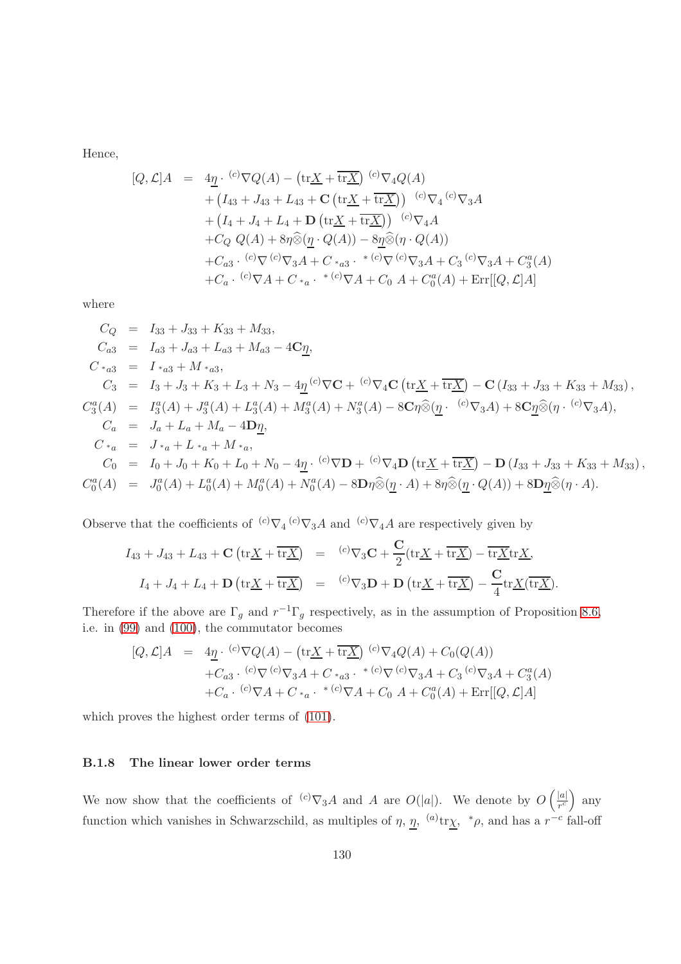Hence,

$$
[Q, \mathcal{L}]A = 4\underline{\eta} \cdot {^{(c)}\nabla Q(A)} - (\text{tr}\underline{X} + \overline{\text{tr}\underline{X}}) {^{(c)}\nabla_4 Q(A)} + (I_{43} + J_{43} + L_{43} + \mathbf{C} (\text{tr}\underline{X} + \overline{\text{tr}\underline{X}})) {^{(c)}\nabla_4} {^{(c)}\nabla_3 A} + (I_4 + J_4 + L_4 + \mathbf{D} (\text{tr}\underline{X} + \overline{\text{tr}\underline{X}})) {^{(c)}\nabla_4 A} + C_Q Q(A) + 8\eta \hat{\otimes} (\underline{\eta} \cdot Q(A)) - 8\underline{\eta} \hat{\otimes} (\eta \cdot Q(A)) + C_{a3} \cdot {^{(c)}\nabla} {^{(c)}\nabla_3 A} + C_{*a3} \cdot {^{*(c)}\nabla} {^{(c)}\nabla_3 A} + C_3 {^{(c)}\nabla_3 A} + C_3^a (A) + C_a \cdot {^{(c)}\nabla A} + C_{*a} \cdot {^{*(c)}\nabla A} + C_0 A + C_0^a (A) + \text{Err}[[Q, \mathcal{L}]A]
$$

where

$$
C_Q = I_{33} + J_{33} + K_{33} + M_{33},
$$
  
\n
$$
C_{a3} = I_{a3} + J_{a3} + L_{a3} + M_{a3} - 4C_{\underline{\eta}},
$$
  
\n
$$
C *_{a3} = I *_{a3} + M *_{a3},
$$
  
\n
$$
C_3 = I_3 + J_3 + K_3 + L_3 + N_3 - 4\underline{\eta}^{(c)}\nabla\mathbf{C} + {^{(c)}\nabla_4\mathbf{C}}\left(\text{tr}\underline{X} + \overline{\text{tr}\underline{X}}\right) - \mathbf{C}\left(I_{33} + J_{33} + K_{33} + M_{33}\right),
$$
  
\n
$$
C_3^a(A) = I_3^a(A) + J_3^a(A) + L_3^a(A) + M_3^a(A) + N_3^a(A) - 8C\eta\hat{\otimes}(\underline{\eta} \cdot {^{(c)}\nabla_3A}) + 8C_{\underline{\eta}}\hat{\otimes}(\eta \cdot {^{(c)}\nabla_3A}),
$$
  
\n
$$
C_a = J_a + L_a + M_a - 4D_{\underline{\eta}},
$$
  
\n
$$
C *_{a} = J *_{a} + L *_{a} + M *_{a},
$$
  
\n
$$
C_0 = I_0 + J_0 + K_0 + L_0 + N_0 - 4\underline{\eta} \cdot {^{(c)}\nabla\mathbf{D}} + {^{(c)}\nabla_4\mathbf{D}}\left(\text{tr}\underline{X} + \overline{\text{tr}\underline{X}}\right) - \mathbf{D}\left(I_{33} + J_{33} + K_{33} + M_{33}\right),
$$
  
\n
$$
C_0^a(A) = J_0^a(A) + L_0^a(A) + M_0^a(A) + N_0^a(A) - 8D\eta\hat{\otimes}(\underline{\eta} \cdot A) + 8\eta\hat{\otimes}(\underline{\eta} \cdot Q(A)) + 8D_{\underline{\eta}}\hat{\otimes}(\eta \cdot A).
$$

Observe that the coefficients of  ${}^{(c)}\nabla_4{}^{(c)}\nabla_3A$  and  ${}^{(c)}\nabla_4A$  are respectively given by

$$
I_{43} + J_{43} + L_{43} + \mathbf{C} \left( \text{tr} \underline{X} + \overline{\text{tr} \underline{X}} \right) = {}^{(c)}\nabla_3 \mathbf{C} + \frac{\mathbf{C}}{2} (\text{tr} \underline{X} + \overline{\text{tr} \underline{X}}) - \overline{\text{tr} \underline{X}} \text{tr} \underline{X},
$$
  

$$
I_4 + J_4 + L_4 + \mathbf{D} \left( \text{tr} \underline{X} + \overline{\text{tr} \underline{X}} \right) = {}^{(c)}\nabla_3 \mathbf{D} + \mathbf{D} \left( \text{tr} \underline{X} + \overline{\text{tr} \underline{X}} \right) - \frac{\mathbf{C}}{4} \text{tr} \underline{X} (\overline{\text{tr} \underline{X}}).
$$

Therefore if the above are  $\Gamma_g$  and  $r^{-1}\Gamma_g$  respectively, as in the assumption of Proposition [8.6,](#page-79-0) i.e. in [\(99\)](#page-79-2) and [\(100\)](#page-79-2), the commutator becomes

$$
[Q, \mathcal{L}]A = 4\underline{\eta} \cdot {^{(c)}}\nabla Q(A) - (\text{tr}\underline{X} + \overline{\text{tr}\underline{X}}) {^{(c)}}\nabla_4 Q(A) + C_0(Q(A))
$$
  
+*C<sub>a3</sub>* \cdot {^{(c)}}\nabla {^{(c)}}\nabla\_3 A + C \*\_{a3} \cdot {^{\*(c)}}\nabla {^{(c)}}\nabla\_3 A + C\_3 {^{(c)}}\nabla\_3 A + C\_3 {^{(d)}}\nabla\_4 A + C\_a \cdot {^{(c)}}\nabla\_4 + C \*\_{a} \cdot {^{\*(c)}}\nabla\_4 + C\_0 A + C\_0^a(A) + \text{Err}[[Q, \mathcal{L}]A]

which proves the highest order terms of [\(101\)](#page-79-1).

#### B.1.8 The linear lower order terms

We now show that the coefficients of  $\binom{c}{x} \nabla_3 A$  and A are  $O(|a|)$ . We denote by  $O\left(\frac{|a|}{r^c}\right)$  $rac{|a|}{r^c}$  any function which vanishes in Schwarzschild, as multiples of  $\eta$ ,  $\eta$ ,  $^{(a)}$ tr $\chi$ ,  $^*\rho$ , and has a  $r^{-c}$  fall-off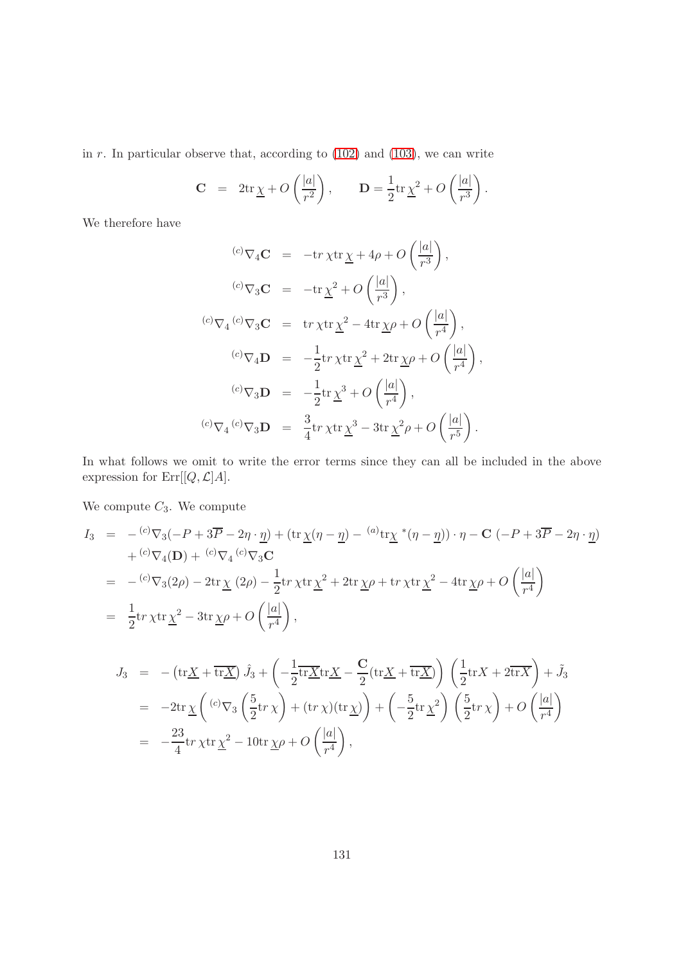in  $r$ . In particular observe that, according to  $(102)$  and  $(103)$ , we can write

$$
\mathbf{C} = 2\mathrm{tr}\underline{\chi} + O\left(\frac{|a|}{r^2}\right), \qquad \mathbf{D} = \frac{1}{2}\mathrm{tr}\underline{\chi}^2 + O\left(\frac{|a|}{r^3}\right).
$$

We therefore have

$$
\begin{array}{rcl}\n^{(c)}\nabla_4 \mathbf{C} &=& -\text{tr}\,\chi \text{tr}\,\underline{\chi} + 4\rho + O\left(\frac{|a|}{r^3}\right), \\
^{(c)}\nabla_3 \mathbf{C} &=& -\text{tr}\,\underline{\chi}^2 + O\left(\frac{|a|}{r^3}\right), \\
^{(c)}\nabla_4 \left(\frac{c}{r^3}\right)\nabla_3 \mathbf{C} &=& \text{tr}\,\chi \text{tr}\,\underline{\chi}^2 - 4\text{tr}\,\underline{\chi}\rho + O\left(\frac{|a|}{r^4}\right), \\
^{(c)}\nabla_4 \mathbf{D} &=& -\frac{1}{2}\text{tr}\,\chi \text{tr}\,\underline{\chi}^2 + 2\text{tr}\,\underline{\chi}\rho + O\left(\frac{|a|}{r^4}\right), \\
^{(c)}\nabla_3 \mathbf{D} &=& -\frac{1}{2}\text{tr}\,\underline{\chi}^3 + O\left(\frac{|a|}{r^4}\right), \\
^{(c)}\nabla_4 \left(\frac{c}{r^3}\right)\nabla_3 \mathbf{D} &=& \frac{3}{4}\text{tr}\,\chi \text{tr}\,\underline{\chi}^3 - 3\text{tr}\,\underline{\chi}^2\rho + O\left(\frac{|a|}{r^5}\right).\n\end{array}
$$

In what follows we omit to write the error terms since they can all be included in the above expression for  $\mathrm{Err}[[Q,\mathcal{L}]A].$ 

We compute  $C_3$ . We compute

$$
I_3 = -\frac{c_0 \nabla_3(-P + 3\overline{P} - 2\eta \cdot \underline{\eta}) + (\text{tr}\,\underline{\chi}(\eta - \underline{\eta}) - \frac{a_0 \tau \chi \cdot \underline{\kappa}(\eta - \underline{\eta}) \cdot \eta - \mathbf{C}(-P + 3\overline{P} - 2\eta \cdot \underline{\eta})}{+ \frac{c_0 \nabla_4(D) + \frac{c_0 \nabla_4(c_0 \nabla_3 \mathbf{C}}{\nabla_3)}
$$
\n
$$
= -\frac{c_0 \nabla_3(2\rho) - 2\text{tr}\,\underline{\chi}(2\rho) - \frac{1}{2}\text{tr}\,\chi \text{tr}\,\underline{\chi}^2 + 2\text{tr}\,\underline{\chi}\rho + \text{tr}\,\chi \text{tr}\,\underline{\chi}^2 - 4\text{tr}\,\underline{\chi}\rho + O\left(\frac{|a|}{r^4}\right)
$$
\n
$$
= \frac{1}{2}\text{tr}\,\chi \text{tr}\,\underline{\chi}^2 - 3\text{tr}\,\underline{\chi}\rho + O\left(\frac{|a|}{r^4}\right),
$$
\n
$$
I_3 = \frac{1}{2}\text{tr}\,\chi \text{tr}\,\underline{\chi}^2 - \frac{1}{2}\text{tr}\,\underline{\chi}\rho + O\left(\frac{|a|}{r^4}\right),
$$
\n
$$
I_4 = \frac{1}{2}\text{tr}\,\chi \text{tr}\,\frac{1}{\sqrt{N}}\,\frac{\partial}{\partial \rho} + \frac{1}{2}\left(\frac{1}{N}\sum_{i=1}^N \nabla_i - \nabla_i\left(\frac{1}{N} + \frac{\nabla_i}{N}\right)\right) \cdot \frac{\partial}{\partial \rho} + \frac{1}{2}\text{tr}\,\frac{\partial}{\partial \rho} + O\left(\frac{|a|}{r^4}\right).
$$

$$
J_3 = -(\text{tr}\underline{X} + \overline{\text{tr}\underline{X}})\hat{J}_3 + \left(-\frac{1}{2}\overline{\text{tr}\underline{X}}\text{tr}\underline{X} - \frac{C}{2}(\text{tr}\underline{X} + \overline{\text{tr}\underline{X}})\right)\left(\frac{1}{2}\text{tr}X + 2\overline{\text{tr}X}\right) + \tilde{J}_3
$$
  
\n
$$
= -2\text{tr}\underline{\chi}\left(\frac{(c)}{\nabla_3}\left(\frac{5}{2}\text{tr}\chi\right) + (\text{tr}\chi)(\text{tr}\underline{\chi})\right) + \left(-\frac{5}{2}\text{tr}\underline{\chi}^2\right)\left(\frac{5}{2}\text{tr}\chi\right) + O\left(\frac{|a|}{r^4}\right)
$$
  
\n
$$
= -\frac{23}{4}\text{tr}\chi\text{tr}\underline{\chi}^2 - 10\text{tr}\underline{\chi}\rho + O\left(\frac{|a|}{r^4}\right),
$$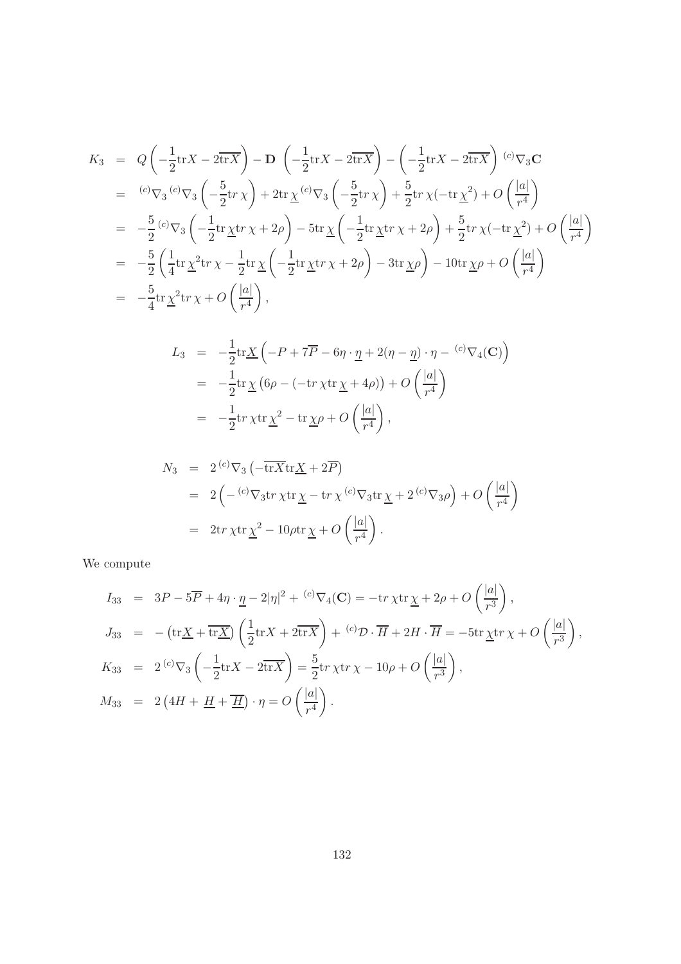$$
K_3 = Q\left(-\frac{1}{2}\text{tr}X - 2\overline{\text{tr}X}\right) - D\left(-\frac{1}{2}\text{tr}X - 2\overline{\text{tr}X}\right) - \left(-\frac{1}{2}\text{tr}X - 2\overline{\text{tr}X}\right)^{(c)}\nabla_3 \mathbf{C}
$$
  
\n
$$
= {}^{(c)}\nabla_3 {}^{(c)}\nabla_3 \left(-\frac{5}{2}\text{tr}\,\chi\right) + 2\text{tr}\,\underline{\chi} {}^{(c)}\nabla_3 \left(-\frac{5}{2}\text{tr}\,\chi\right) + \frac{5}{2}\text{tr}\,\chi(-\text{tr}\,\underline{\chi}^2) + O\left(\frac{|a|}{r^4}\right)
$$
  
\n
$$
= -\frac{5}{2} {}^{(c)}\nabla_3 \left(-\frac{1}{2}\text{tr}\,\underline{\chi}\text{tr}\,\chi + 2\rho\right) - 5\text{tr}\,\underline{\chi} \left(-\frac{1}{2}\text{tr}\,\underline{\chi}\text{tr}\,\chi + 2\rho\right) + \frac{5}{2}\text{tr}\,\chi(-\text{tr}\,\underline{\chi}^2) + O\left(\frac{|a|}{r^4}\right)
$$
  
\n
$$
= -\frac{5}{2} \left(\frac{1}{4}\text{tr}\,\underline{\chi}^2\text{tr}\,\chi - \frac{1}{2}\text{tr}\,\underline{\chi} \left(-\frac{1}{2}\text{tr}\,\underline{\chi}\text{tr}\,\chi + 2\rho\right) - 3\text{tr}\,\underline{\chi}\rho\right) - 10\text{tr}\,\underline{\chi}\rho + O\left(\frac{|a|}{r^4}\right)
$$
  
\n
$$
= -\frac{5}{4}\text{tr}\,\underline{\chi}^2\text{tr}\,\chi + O\left(\frac{|a|}{r^4}\right),
$$

$$
L_3 = -\frac{1}{2} \text{tr} \underline{X} \left( -P + 7\overline{P} - 6\eta \cdot \underline{\eta} + 2(\eta - \underline{\eta}) \cdot \eta - \frac{c}{\nabla_4(\mathbf{C})} \right)
$$
  
= 
$$
-\frac{1}{2} \text{tr} \underline{X} \left( 6\rho - \left( -\text{tr} \chi \text{tr} \underline{\chi} + 4\rho \right) \right) + O \left( \frac{|a|}{r^4} \right)
$$
  
= 
$$
-\frac{1}{2} \text{tr} \chi \text{tr} \underline{\chi}^2 - \text{tr} \underline{\chi} \rho + O \left( \frac{|a|}{r^4} \right),
$$

$$
N_3 = 2^{(c)} \nabla_3 \left( -\overline{\text{tr}X} \text{tr} \underline{X} + 2\overline{P} \right)
$$
  
=  $2 \left( -\frac{(c)}{\nabla_3} \text{tr} \chi \text{tr} \underline{\chi} - \text{tr} \chi \frac{(c)}{\nabla_3} \text{tr} \underline{\chi} + 2 \frac{(c)}{\nabla_3} \rho \right) + O \left( \frac{|a|}{r^4} \right)$   
=  $2 \text{tr} \chi \text{tr} \underline{\chi}^2 - 10 \rho \text{tr} \underline{\chi} + O \left( \frac{|a|}{r^4} \right).$ 

We compute

$$
I_{33} = 3P - 5\overline{P} + 4\eta \cdot \underline{\eta} - 2|\eta|^2 + {^{(c)}\nabla_4(\mathbf{C})} = -\mathrm{tr}\,\chi \mathrm{tr}\,\underline{\chi} + 2\rho + O\left(\frac{|a|}{r^3}\right),
$$
  
\n
$$
J_{33} = -\left(\mathrm{tr}\,\underline{X} + \overline{\mathrm{tr}\,\underline{X}}\right)\left(\frac{1}{2}\mathrm{tr}\,X + 2\overline{\mathrm{tr}\,X}\right) + {^{(c)}\mathcal{D}}\cdot\overline{H} + 2H\cdot\overline{H} = -5\mathrm{tr}\,\underline{\chi}\mathrm{tr}\,\chi + O\left(\frac{|a|}{r^3}\right),
$$
  
\n
$$
K_{33} = 2 {^{(c)}\nabla_3}\left(-\frac{1}{2}\mathrm{tr}\,X - 2\overline{\mathrm{tr}\,X}\right) = \frac{5}{2}\mathrm{tr}\,\chi \mathrm{tr}\,\chi - 10\rho + O\left(\frac{|a|}{r^3}\right),
$$
  
\n
$$
M_{33} = 2\left(4H + \underline{H} + \overline{\underline{H}}\right) \cdot \eta = O\left(\frac{|a|}{r^4}\right).
$$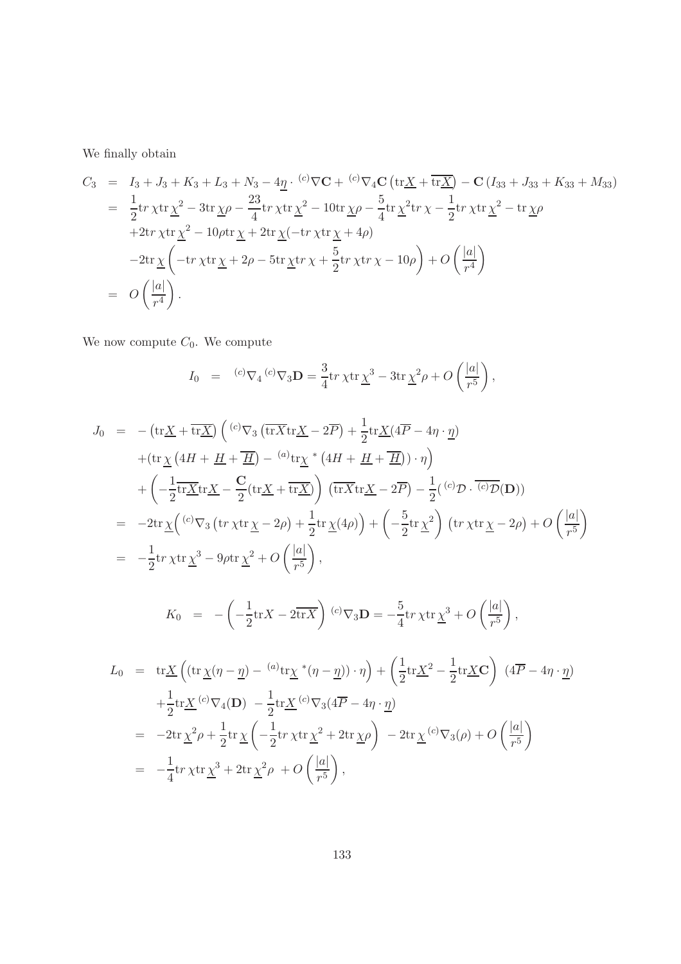We finally obtain

$$
C_3 = I_3 + J_3 + K_3 + L_3 + N_3 - 4\underline{\eta} \cdot {^{(c)}} \nabla \mathbf{C} + {^{(c)}} \nabla_4 \mathbf{C} \left( \text{tr}\underline{X} + \overline{\text{tr}\underline{X}} \right) - \mathbf{C} \left( I_{33} + J_{33} + K_{33} + M_{33} \right)
$$
  
\n
$$
= \frac{1}{2} \text{tr} \chi \text{tr} \underline{\chi}^2 - 3 \text{tr} \underline{\chi} \rho - \frac{23}{4} \text{tr} \chi \text{tr} \underline{\chi}^2 - 10 \text{tr} \underline{\chi} \rho - \frac{5}{4} \text{tr} \underline{\chi}^2 \text{tr} \chi - \frac{1}{2} \text{tr} \chi \text{tr} \underline{\chi}^2 - \text{tr} \underline{\chi} \rho
$$
  
\n
$$
+ 2 \text{tr} \chi \text{tr} \underline{\chi}^2 - 10 \rho \text{tr} \underline{\chi} + 2 \text{tr} \underline{\chi} (-\text{tr} \chi \text{tr} \underline{\chi} + 4\rho)
$$
  
\n
$$
- 2 \text{tr} \underline{\chi} \left( -\text{tr} \chi \text{tr} \underline{\chi} + 2\rho - 5 \text{tr} \underline{\chi} \text{tr} \chi + \frac{5}{2} \text{tr} \chi \text{tr} \chi - 10\rho \right) + O \left( \frac{|a|}{r^4} \right)
$$
  
\n
$$
= O \left( \frac{|a|}{r^4} \right).
$$

We now compute  $C_0$ . We compute

$$
I_0 = {}^{(c)}\nabla_4 {}^{(c)}\nabla_3 {\bf D} = \frac{3}{4} \text{tr} \, \chi \text{tr} \, \underline{\chi}^3 - 3 \text{tr} \, \underline{\chi}^2 \rho + O\left(\frac{|a|}{r^5}\right),
$$

$$
J_0 = -(\text{tr}\underline{X} + \overline{\text{tr}\underline{X}}) \left( {}^{(c)}\nabla_3 \left( \overline{\text{tr}\overline{X}} \text{tr}\underline{X} - 2\overline{P} \right) + \frac{1}{2} \text{tr}\underline{X} (4\overline{P} - 4\eta \cdot \underline{\eta}) \right) + (\text{tr}\underline{\chi} \left( 4H + \underline{H} + \overline{\underline{H}} \right) - {}^{(a)}\text{tr}\underline{\chi} * \left( 4H + \underline{H} + \overline{\underline{H}} \right)) \cdot \eta \right) + \left( -\frac{1}{2} \overline{\text{tr}\underline{X}} \text{tr}\underline{X} - \frac{C}{2} (\text{tr}\underline{X} + \overline{\text{tr}\underline{X}}) \right) \left( \overline{\text{tr}\overline{X}} \text{tr}\underline{X} - 2\overline{P} \right) - \frac{1}{2} ({}^{(c)}\mathcal{D} \cdot \overline{{}^{(c)}\mathcal{D}}(\mathbf{D})) = -2 \text{tr}\underline{\chi} \left( {}^{(c)}\nabla_3 \left( \text{tr}\,\chi \text{tr}\underline{\chi} - 2\rho \right) + \frac{1}{2} \text{tr}\,\underline{\chi} (4\rho) \right) + \left( -\frac{5}{2} \text{tr}\,\underline{\chi}^2 \right) \left( \text{tr}\,\chi \text{tr}\,\underline{\chi} - 2\rho \right) + O \left( \frac{|a|}{r^5} \right) = -\frac{1}{2} \text{tr}\,\chi \text{tr}\,\underline{\chi}^3 - 9\rho \text{tr}\,\underline{\chi}^2 + O \left( \frac{|a|}{r^5} \right),
$$

$$
K_0 = -\left(-\frac{1}{2}\mathrm{tr}X - 2\overline{\mathrm{tr}X}\right) {}^{(c)}\nabla_3 \mathbf{D} = -\frac{5}{4}\mathrm{tr}\,\chi \mathrm{tr}\,\underline{\chi}^3 + O\left(\frac{|a|}{r^5}\right),
$$

$$
L_0 = \text{tr}\underline{X}\left((\text{tr}\,\underline{\chi}(\eta - \underline{\eta}) - \frac{(a)\text{tr}\underline{\chi}}{2}*(\eta - \underline{\eta}))\cdot\eta\right) + \left(\frac{1}{2}\text{tr}\underline{X}^2 - \frac{1}{2}\text{tr}\underline{X}\mathbf{C}\right) (4\overline{P} - 4\eta \cdot \underline{\eta})
$$
  
+ 
$$
\frac{1}{2}\text{tr}\underline{X}^{(c)}\nabla_4(\mathbf{D}) - \frac{1}{2}\text{tr}\underline{X}^{(c)}\nabla_3(4\overline{P} - 4\eta \cdot \underline{\eta})
$$
  
= 
$$
-2\text{tr}\,\underline{\chi}^2\rho + \frac{1}{2}\text{tr}\,\underline{\chi}\left(-\frac{1}{2}\text{tr}\,\chi\text{tr}\,\underline{\chi}^2 + 2\text{tr}\,\underline{\chi}\rho\right) - 2\text{tr}\,\underline{\chi}^{(c)}\nabla_3(\rho) + O\left(\frac{|a|}{r^5}\right)
$$
  
= 
$$
-\frac{1}{4}\text{tr}\,\chi\text{tr}\,\underline{\chi}^3 + 2\text{tr}\,\underline{\chi}^2\rho + O\left(\frac{|a|}{r^5}\right),
$$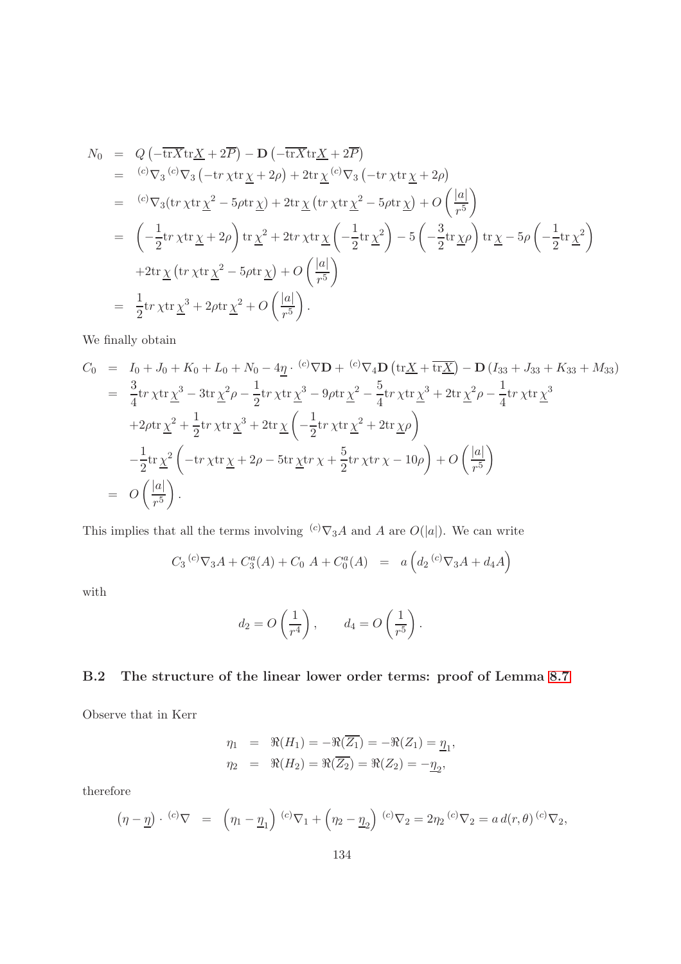$$
N_0 = Q\left(-\overline{\text{tr}X}\text{tr}\underline{X} + 2\overline{P}\right) - D\left(-\overline{\text{tr}X}\text{tr}\underline{X} + 2\overline{P}\right)
$$
  
\n
$$
= {^{(c)}\nabla_3} {^{(c)}\nabla_3} \left(-\text{tr}\,\chi\text{tr}\,\underline{\chi} + 2\rho\right) + 2\text{tr}\,\underline{\chi} {^{(c)}\nabla_3} \left(-\text{tr}\,\chi\text{tr}\,\underline{\chi} + 2\rho\right)
$$
  
\n
$$
= {^{(c)}\nabla_3} (\text{tr}\,\chi\text{tr}\,\underline{\chi}^2 - 5\rho\text{tr}\,\underline{\chi}) + 2\text{tr}\,\underline{\chi} \left(\text{tr}\,\chi\text{tr}\,\underline{\chi}^2 - 5\rho\text{tr}\,\underline{\chi}\right) + O\left(\frac{|a|}{r^5}\right)
$$
  
\n
$$
= \left(-\frac{1}{2}\text{tr}\,\chi\text{tr}\,\underline{\chi} + 2\rho\right) \text{tr}\,\underline{\chi}^2 + 2\text{tr}\,\chi\text{tr}\,\underline{\chi} \left(-\frac{1}{2}\text{tr}\,\underline{\chi}^2\right) - 5\left(-\frac{3}{2}\text{tr}\,\underline{\chi}\rho\right) \text{tr}\,\underline{\chi} - 5\rho\left(-\frac{1}{2}\text{tr}\,\underline{\chi}^2\right)
$$
  
\n
$$
+ 2\text{tr}\,\underline{\chi} \left(\text{tr}\,\chi\text{tr}\,\underline{\chi}^2 - 5\rho\text{tr}\,\underline{\chi}\right) + O\left(\frac{|a|}{r^5}\right)
$$
  
\n
$$
= \frac{1}{2}\text{tr}\,\chi\text{tr}\,\underline{\chi}^3 + 2\rho\text{tr}\,\underline{\chi}^2 + O\left(\frac{|a|}{r^5}\right).
$$

We finally obtain

$$
C_0 = I_0 + J_0 + K_0 + L_0 + N_0 - 4\underline{\eta} \cdot {^{(c)}}\nabla \mathbf{D} + {^{(c)}}\nabla_4 \mathbf{D} (\text{tr}\underline{X} + \overline{\text{tr}\underline{X}}) - \mathbf{D} (I_{33} + J_{33} + K_{33} + M_{33})
$$
  
\n
$$
= \frac{3}{4} \text{tr}\,\chi \text{tr}\,\underline{\chi}^3 - 3 \text{tr}\,\underline{\chi}^2 \rho - \frac{1}{2} \text{tr}\,\chi \text{tr}\,\underline{\chi}^3 - 9\rho \text{tr}\,\underline{\chi}^2 - \frac{5}{4} \text{tr}\,\chi \text{tr}\,\underline{\chi}^3 + 2 \text{tr}\,\underline{\chi}^2 \rho - \frac{1}{4} \text{tr}\,\chi \text{tr}\,\underline{\chi}^3
$$
  
\n
$$
+ 2\rho \text{tr}\,\underline{\chi}^2 + \frac{1}{2} \text{tr}\,\chi \text{tr}\,\underline{\chi}^3 + 2 \text{tr}\,\underline{\chi} \left( -\frac{1}{2} \text{tr}\,\chi \text{tr}\,\underline{\chi}^2 + 2 \text{tr}\,\underline{\chi} \rho \right)
$$
  
\n
$$
- \frac{1}{2} \text{tr}\,\underline{\chi}^2 \left( -\text{tr}\,\chi \text{tr}\,\underline{\chi} + 2\rho - 5 \text{tr}\,\underline{\chi} \text{tr}\,\chi + \frac{5}{2} \text{tr}\,\chi \text{tr}\,\chi - 10\rho \right) + O\left( \frac{|a|}{r^5} \right)
$$
  
\n
$$
= O\left( \frac{|a|}{r^5} \right).
$$

This implies that all the terms involving  $(c) \nabla_3 A$  and A are  $O(|a|)$ . We can write

$$
C_3^{(c)} \nabla_3 A + C_3^a(A) + C_0^a(A) = a \left( d_2^{(c)} \nabla_3 A + d_4 A \right)
$$

with

$$
d_2 = O\left(\frac{1}{r^4}\right), \qquad d_4 = O\left(\frac{1}{r^5}\right).
$$

### B.2 The structure of the linear lower order terms: proof of Lemma [8.7](#page-80-1)

Observe that in Kerr

$$
\eta_1 = \Re(H_1) = -\Re(\overline{Z_1}) = -\Re(Z_1) = \underline{\eta}_1, \n\eta_2 = \Re(H_2) = \Re(\overline{Z_2}) = \Re(Z_2) = -\underline{\eta}_2,
$$

therefore

$$
(\eta - \underline{\eta}) \cdot {}^{(c)}\nabla = (\eta_1 - \underline{\eta}_1) {}^{(c)}\nabla_1 + (\eta_2 - \underline{\eta}_2) {}^{(c)}\nabla_2 = 2\eta_2 {}^{(c)}\nabla_2 = a d(r, \theta) {}^{(c)}\nabla_2,
$$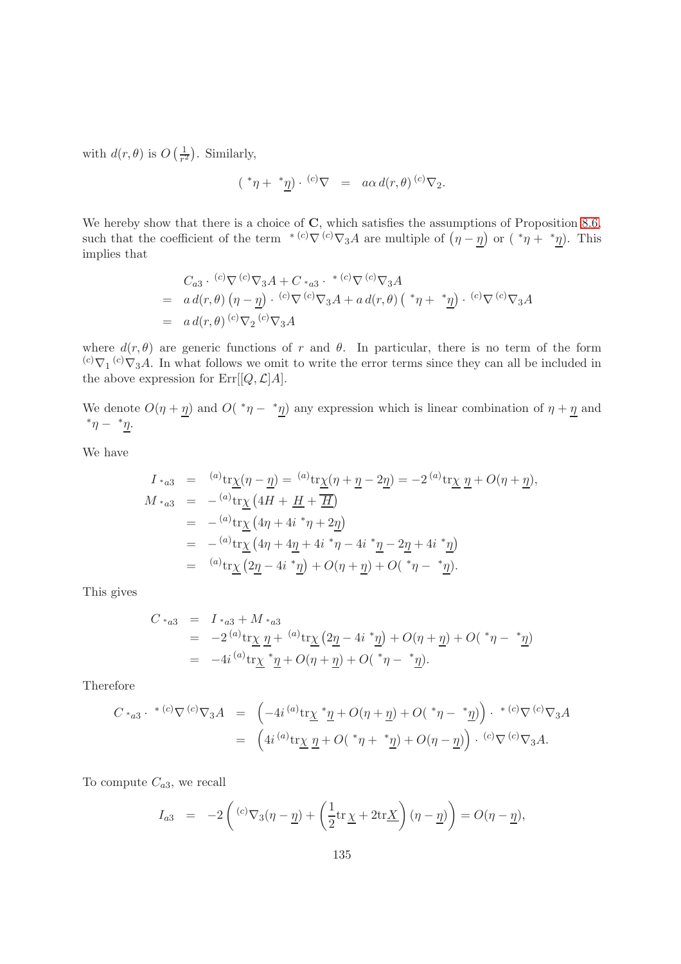with  $d(r, \theta)$  is  $O\left(\frac{1}{r^2}\right)$  $\frac{1}{r^2}$ ). Similarly,

$$
(*\eta + *\underline{\eta}) \cdot {}^{(c)}\nabla = a\alpha d(r,\theta) {}^{(c)}\nabla_2.
$$

We hereby show that there is a choice of  $C$ , which satisfies the assumptions of Proposition [8.6,](#page-79-0) such that the coefficient of the term <sup>\*</sup><sup>(c)</sup> $\nabla$ <sup>(c)</sup> $\nabla_3 A$  are multiple of  $(\eta - \eta)$  or  $(*\eta + * \eta)$ . This implies that

$$
C_{a3} \cdot {}^{(c)}\nabla {}^{(c)}\nabla_3 A + C \cdot {}_{a3} \cdot {}^{*(c)}\nabla {}^{(c)}\nabla_3 A
$$
  
=  $a d(r, \theta) (\eta - \eta) \cdot {}^{(c)}\nabla {}^{(c)}\nabla_3 A + a d(r, \theta) ({}^*\eta + {}^*\underline{\eta}) \cdot {}^{(c)}\nabla {}^{(c)}\nabla_3 A$   
=  $a d(r, \theta) {}^{(c)}\nabla_2 {}^{(c)}\nabla_3 A$ 

where  $d(r, \theta)$  are generic functions of r and  $\theta$ . In particular, there is no term of the form  $^{(c)}\nabla_1^{(c)}\nabla_3A$ . In what follows we omit to write the error terms since they can all be included in the above expression for  $\mathrm{Err}[[Q,\mathcal{L}]A].$ 

We denote  $O(\eta + \underline{\eta})$  and  $O(*\eta - * \underline{\eta})$  any expression which is linear combination of  $\eta + \underline{\eta}$  and  $*\eta - *\eta$ .

We have

$$
I *_{a3} = {}^{(a)}tr \chi(\eta - \underline{\eta}) = {}^{(a)}tr \chi(\eta + \underline{\eta} - 2\underline{\eta}) = -2 {}^{(a)}tr \chi \underline{\eta} + O(\eta + \underline{\eta}),
$$
  
\n
$$
M *_{a3} = - {}^{(a)}tr \chi (4H + \underline{H} + \overline{\underline{H}})
$$
  
\n
$$
= - {}^{(a)}tr \chi (4\eta + 4i * \eta + 2\underline{\eta})
$$
  
\n
$$
= - {}^{(a)}tr \chi (4\eta + 4\underline{\eta} + 4i * \eta - 4i * \underline{\eta} - 2\underline{\eta} + 4i * \underline{\eta})
$$
  
\n
$$
= {}^{(a)}tr \chi (2\underline{\eta} - 4i * \underline{\eta}) + O(\eta + \underline{\eta}) + O(*\eta - * \underline{\eta}).
$$

This gives

$$
C *_{a3} = I *_{a3} + M *_{a3}
$$
  
=  $-2^{(a)} \text{tr}\chi \eta + {^{(a)} \text{tr}\chi (2\eta - 4i * \eta) + O(\eta + \eta) + O(*\eta - * \eta)$   
=  $-4i {^{(a)} \text{tr}\chi * \eta + O(\eta + \eta) + O(*\eta - * \eta)}$ .

Therefore

$$
C *_{a3} \cdot {}^{*(c)}\nabla {}^{(c)}\nabla_3 A = \left(-4i {}^{(a)}\text{tr}\underline{\chi} {}^{*}\underline{\eta} + O(\eta + \underline{\eta}) + O({}^{*}\eta - {}^{*}\underline{\eta})\right) \cdot {}^{*(c)}\nabla {}^{(c)}\nabla_3 A
$$
  
= 
$$
\left(4i {}^{(a)}\text{tr}\underline{\chi} \underline{\eta} + O({}^{*}\eta + {}^{*}\underline{\eta}) + O(\eta - \underline{\eta})\right) \cdot {}^{(c)}\nabla {}^{(c)}\nabla_3 A.
$$

To compute  $C_{a3}$ , we recall

$$
I_{a3} = -2\left( {}^{(c)}\nabla_3(\eta - \underline{\eta}) + \left(\frac{1}{2}\text{tr}\,\underline{\chi} + 2\text{tr}\underline{X}\right)(\eta - \underline{\eta})\right) = O(\eta - \underline{\eta}),
$$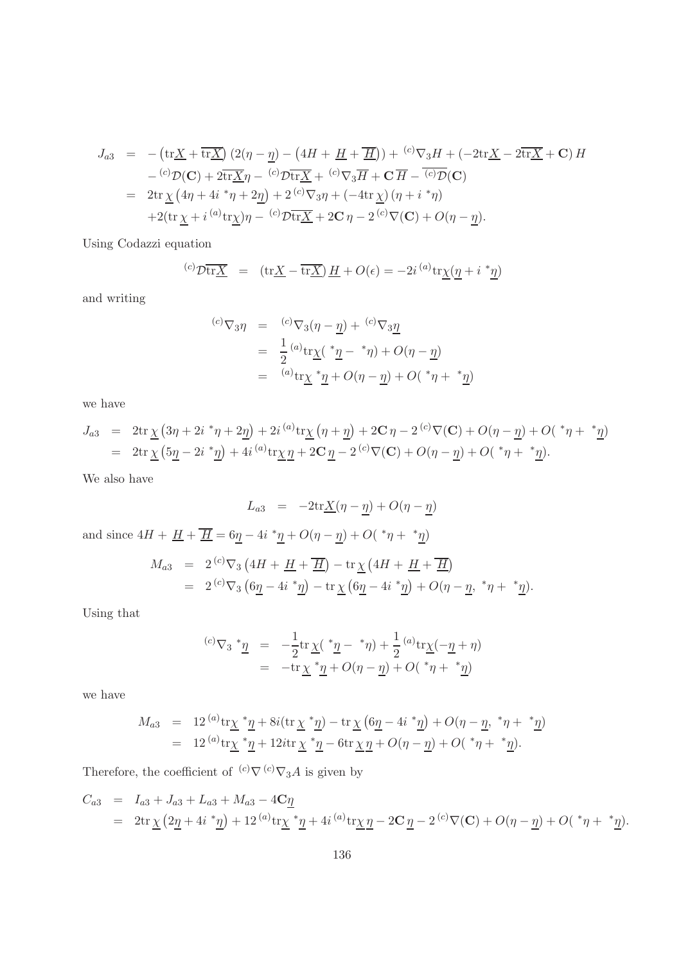$$
J_{a3} = -(\text{tr}\underline{X} + \overline{\text{tr}\underline{X}}) (2(\eta - \underline{\eta}) - (4H + \underline{H} + \overline{\underline{H}})) + {^{(c)}\nabla_3 H} + (-2\text{tr}\underline{X} - 2\overline{\text{tr}\underline{X}} + \mathbf{C}) H
$$
  

$$
- {^{(c)}\mathcal{D}(\mathbf{C})} + 2\overline{\text{tr}\underline{X}}\eta - {^{(c)}\mathcal{D}\overline{\text{tr}\underline{X}}} + {^{(c)}\nabla_3 \overline{H}} + \mathbf{C}\overline{H} - {^{(c)}\mathcal{D}(\mathbf{C})}
$$
  

$$
= 2\text{tr}\underline{\chi} (4\eta + 4i^*\eta + 2\underline{\eta}) + 2 {^{(c)}\nabla_3 \eta} + (-4\text{tr}\underline{\chi}) (\eta + i^*\eta)
$$
  

$$
+ 2(\text{tr}\underline{\chi} + i {^{(a)}\text{tr}\underline{\chi}})\eta - {^{(c)}\mathcal{D}\overline{\text{tr}\underline{X}}} + 2\mathbf{C}\eta - 2 {^{(c)}\nabla(\mathbf{C})} + O(\eta - \underline{\eta}).
$$

Using Codazzi equation

$$
{}^{(c)}\mathcal{D}\overline{\text{tr}\underline{X}} = (\text{tr}\underline{X} - \overline{\text{tr}\underline{X}})\,\underline{H} + O(\epsilon) = -2i \, {}^{(a)}\text{tr}\underline{\chi}(\underline{\eta} + i \, {}^*\underline{\eta})
$$

and writing

$$
\begin{array}{rcl}\n^{(c)}\nabla_3 \eta & = & {^{(c)}\nabla_3(\eta - \underline{\eta}) + {^{(c)}\nabla_3 \underline{\eta}} } \\
& = & \frac{1}{2} {^{(a)}\text{tr}\underline{\chi}}({^{*}\underline{\eta} - {^{*}\eta}}) + O(\eta - \underline{\eta}) \\
& = & {^{(a)}\text{tr}\underline{\chi}} {^{*}\underline{\eta}} + O(\eta - \underline{\eta}) + O({^{*}\eta} + {^{*}\underline{\eta}})\n\end{array}
$$

we have

$$
J_{a3} = 2\text{tr}\underline{\chi} (3\eta + 2i \, {}^{*}\eta + 2\underline{\eta}) + 2i \, {}^{(a)}\text{tr}\underline{\chi} (\eta + \underline{\eta}) + 2\mathbf{C}\,\eta - 2 \, {}^{(c)}\nabla(\mathbf{C}) + O(\eta - \underline{\eta}) + O( {}^{*}\eta + {}^{*}\underline{\eta})
$$
  
=  $2\text{tr}\,\underline{\chi} (5\underline{\eta} - 2i \, {}^{*}\underline{\eta}) + 4i \, {}^{(a)}\text{tr}\underline{\chi} \,\underline{\eta} + 2\mathbf{C}\,\underline{\eta} - 2 \, {}^{(c)}\nabla(\mathbf{C}) + O(\eta - \underline{\eta}) + O( {}^{*}\eta + {}^{*}\underline{\eta}).$ 

We also have

$$
L_{a3} = -2\text{tr}\underline{X}(\eta - \underline{\eta}) + O(\eta - \underline{\eta})
$$

and since  $4H + \underline{H} + \overline{\underline{H}} = 6\underline{\eta} - 4i \sqrt[*]{\eta} + O(\eta - \underline{\eta}) + O(\sqrt[*]{\eta} + \sqrt[*]{\eta})$ 

$$
M_{a3} = 2^{(c)} \nabla_3 \left( 4H + \underline{H} + \overline{\underline{H}} \right) - \text{tr} \underline{\chi} \left( 4H + \underline{H} + \overline{\underline{H}} \right)
$$
  
= 2<sup>(c)</sup>  $\nabla_3 \left( 6\underline{\eta} - 4i \overline{\eta} \right) - \text{tr} \underline{\chi} \left( 6\underline{\eta} - 4i \overline{\eta} \right) + O(\eta - \underline{\eta}, \overline{\eta} + \overline{\eta}).$ 

Using that

$$
\begin{array}{rcl}\n^{(c)}\nabla_3 \,^*\underline{\eta} &=& -\frac{1}{2} \text{tr} \,\underline{\chi}(\,^*\underline{\eta} - \,^*\eta) + \frac{1}{2} \,^{(a)} \text{tr}\underline{\chi}(-\underline{\eta} + \eta) \\
&=& -\text{tr} \,\underline{\chi} \,^*\underline{\eta} + O(\eta - \underline{\eta}) + O(\,^*\eta + \,^*\underline{\eta})\n\end{array}
$$

we have

$$
M_{a3} = 12^{(a)} \text{tr}\chi \, {}^{*}\underline{\eta} + 8i(\text{tr}\,\chi \, {}^{*}\underline{\eta}) - \text{tr}\,\chi \left(6\underline{\eta} - 4i \, {}^{*}\underline{\eta}\right) + O(\eta - \underline{\eta}, \, {}^{*}\eta + {}^{*}\underline{\eta})
$$
  
= 12^{(a)} \text{tr}\chi \, {}^{\*}\underline{\eta} + 12i\text{tr}\,\chi \, {}^{\*}\underline{\eta} - 6\text{tr}\,\chi \,\underline{\eta} + O(\eta - \underline{\eta}) + O\left(\, {}^{\*}\eta + {}^{\*}\underline{\eta}\right).

Therefore, the coefficient of  $\ ^{(c)}\nabla\ ^{(c)}\nabla_3 A$  is given by

$$
C_{a3} = I_{a3} + J_{a3} + L_{a3} + M_{a3} - 4C_{\underline{\eta}}
$$
  
=  $2 \text{tr} \underline{\chi} (2\underline{\eta} + 4i \underline{\ }^* \underline{\eta}) + 12^{(a)} \text{tr} \underline{\chi}^* \underline{\eta} + 4i^{(a)} \text{tr} \underline{\chi} \underline{\eta} - 2C_{\underline{\eta}} - 2^{(c)} \nabla(\mathbf{C}) + O(\eta - \underline{\eta}) + O(\underline{\ }^* \eta + \underline{\ }^* \underline{\eta}).$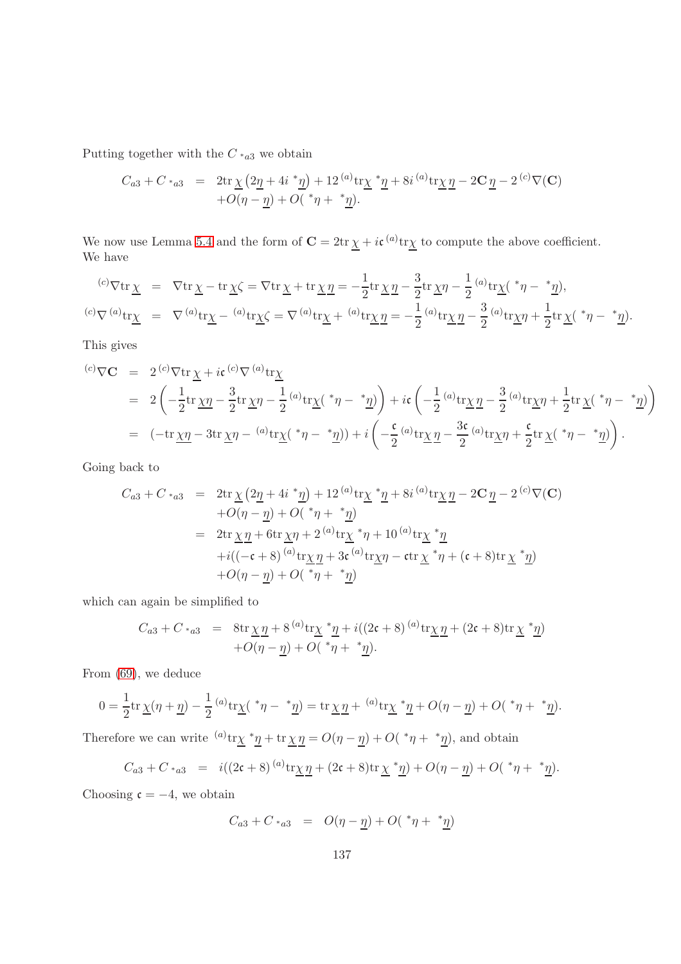Putting together with the  $C \cdot_{a3}$  we obtain

$$
C_{a3} + C_{*a3} = 2\text{tr}\underline{\chi} (2\underline{\eta} + 4i \underline{r}\underline{\eta}) + 12^{(a)}\text{tr}\underline{\chi} \underline{r}\underline{\eta} + 8i^{(a)}\text{tr}\underline{\chi} \underline{\eta} - 2C \underline{\eta} - 2^{(c)}\nabla(\mathbf{C}) + O(\eta - \underline{\eta}) + O(\underline{r}\eta + \underline{r}\underline{\eta}).
$$

We now use Lemma [5.4](#page-56-0) and the form of  $C = 2tr \chi + i\mathfrak{c}^{(a)}tr\chi$  to compute the above coefficient. We have

$$
{}^{(c)}\nabla \text{tr}\underline{\chi} = \nabla \text{tr}\underline{\chi} - \text{tr}\underline{\chi}\zeta = \nabla \text{tr}\underline{\chi} + \text{tr}\underline{\chi}\underline{\eta} = -\frac{1}{2}\text{tr}\underline{\chi}\underline{\eta} - \frac{3}{2}\text{tr}\underline{\chi}\eta - \frac{1}{2}{}^{(a)}\text{tr}\underline{\chi}({}^*\eta - {}^*\underline{\eta}),
$$
  

$$
{}^{(c)}\nabla {}^{(a)}\text{tr}\underline{\chi} = \nabla {}^{(a)}\text{tr}\underline{\chi} - {}^{(a)}\text{tr}\underline{\chi}\zeta = \nabla {}^{(a)}\text{tr}\underline{\chi} + {}^{(a)}\text{tr}\underline{\chi}\underline{\eta} = -\frac{1}{2}{}^{(a)}\text{tr}\underline{\chi}\underline{\eta} - \frac{3}{2}{}^{(a)}\text{tr}\underline{\chi}\eta + \frac{1}{2}\text{tr}\underline{\chi}({}^*\eta - {}^*\underline{\eta}).
$$

This gives

$$
\begin{split}\n\text{(c)} \nabla \mathbf{C} &= 2 \, \text{(c)} \nabla \text{tr} \, \underline{\chi} + i \mathfrak{c} \, \text{(c)} \nabla \, \text{(a)} \, \text{tr} \underline{\chi} \\
&= 2 \left( -\frac{1}{2} \text{tr} \, \underline{\chi} \eta - \frac{3}{2} \text{tr} \, \underline{\chi} \eta - \frac{1}{2} \, \text{(a)} \, \text{tr} \underline{\chi} \left( \, ^* \eta - \, ^* \underline{\eta} \right) \right) + i \mathfrak{c} \left( -\frac{1}{2} \, \text{(a)} \, \text{tr} \underline{\chi} \, \underline{\eta} - \frac{3}{2} \, \text{(a)} \, \text{tr} \underline{\chi} \eta + \frac{1}{2} \text{tr} \, \underline{\chi} \left( \, ^* \eta - \, ^* \underline{\eta} \right) \right) \\
&= \left( -\text{tr} \, \underline{\chi} \eta - 3 \text{tr} \, \underline{\chi} \eta - \, \text{(a)} \, \text{tr} \underline{\chi} \left( \, ^* \eta - \, ^* \underline{\eta} \right) \right) + i \left( -\frac{\mathfrak{c}}{2} \, \text{(a)} \, \text{tr} \underline{\chi} \, \underline{\eta} - \frac{3 \mathfrak{c}}{2} \, \text{(a)} \, \text{tr} \underline{\chi} \eta + \frac{\mathfrak{c}}{2} \text{tr} \, \underline{\chi} \left( \, ^* \eta - \, ^* \underline{\eta} \right) \right).\n\end{split}
$$

Going back to

$$
C_{a3} + C_{*a3} = 2\text{tr}\,\underline{\chi}\left(2\underline{\eta} + 4i \, {}^{*}\underline{\eta}\right) + 12 \, {}^{(a)}\text{tr}\underline{\chi} \, {}^{*}\underline{\eta} + 8i \, {}^{(a)}\text{tr}\underline{\chi} \, \underline{\eta} - 2\mathbf{C} \, \underline{\eta} - 2 \, {}^{(c)}\nabla(\mathbf{C})
$$
  
+
$$
O(\eta - \underline{\eta}) + O(\, {}^{*}\eta + {}^{*}\underline{\eta})
$$
  
= 
$$
2\text{tr}\,\underline{\chi}\,\underline{\eta} + 6\text{tr}\,\underline{\chi}\eta + 2 \, {}^{(a)}\text{tr}\underline{\chi} \, {}^{*}\eta + 10 \, {}^{(a)}\text{tr}\underline{\chi} \, {}^{*}\underline{\eta}
$$
  
+
$$
i((-\mathfrak{c} + 8) \, {}^{(a)}\text{tr}\underline{\chi}\,\underline{\eta} + 3\mathfrak{c} \, {}^{(a)}\text{tr}\underline{\chi}\eta - \mathfrak{c}\text{tr}\,\underline{\chi} \, {}^{*}\eta + (\mathfrak{c} + 8)\text{tr}\,\underline{\chi} \, {}^{*}\underline{\eta})
$$
  
+
$$
O(\eta - \underline{\eta}) + O(\, {}^{*}\eta + {}^{*}\underline{\eta})
$$

which can again be simplified to

$$
C_{a3} + C_{a3} = 8 \text{tr} \underline{\chi} \underline{\eta} + 8^{(a)} \text{tr} \underline{\chi} * \underline{\eta} + i((2\mathfrak{c} + 8)^{(a)} \text{tr} \underline{\chi} \underline{\eta} + (2\mathfrak{c} + 8) \text{tr} \underline{\chi} * \underline{\eta})
$$
  
+  $O(\eta - \underline{\eta}) + O(*\eta + * \underline{\eta}).$ 

From [\(69\)](#page-56-1), we deduce

$$
0 = \frac{1}{2} \text{tr} \underline{\chi}(\eta + \underline{\eta}) - \frac{1}{2} {}^{(a)} \text{tr} \underline{\chi}({^*}\eta - {^*}\underline{\eta}) = \text{tr} \underline{\chi} \underline{\eta} + {}^{(a)} \text{tr} \underline{\chi} {^*}\underline{\eta} + O(\eta - \underline{\eta}) + O({^*}\eta + {^*}\underline{\eta}).
$$

Therefore we can write  ${}^{(a)}tr \chi * \underline{\eta} + tr \chi \underline{\eta} = O(\eta - \underline{\eta}) + O(*\eta + * \underline{\eta})$ , and obtain

$$
C_{a3} + C_{*a3} = i((2\mathfrak{c} + 8)^{(a)} tr \underline{\chi} \underline{\eta} + (2\mathfrak{c} + 8) tr \underline{\chi} * \underline{\eta}) + O(\eta - \underline{\eta}) + O(*\eta + * \underline{\eta}).
$$

Choosing  $c = -4$ , we obtain

$$
C_{a3} + C \cdot_{a3} = O(\eta - \underline{\eta}) + O(\sqrt[*]{\eta} + \sqrt[*]{\eta})
$$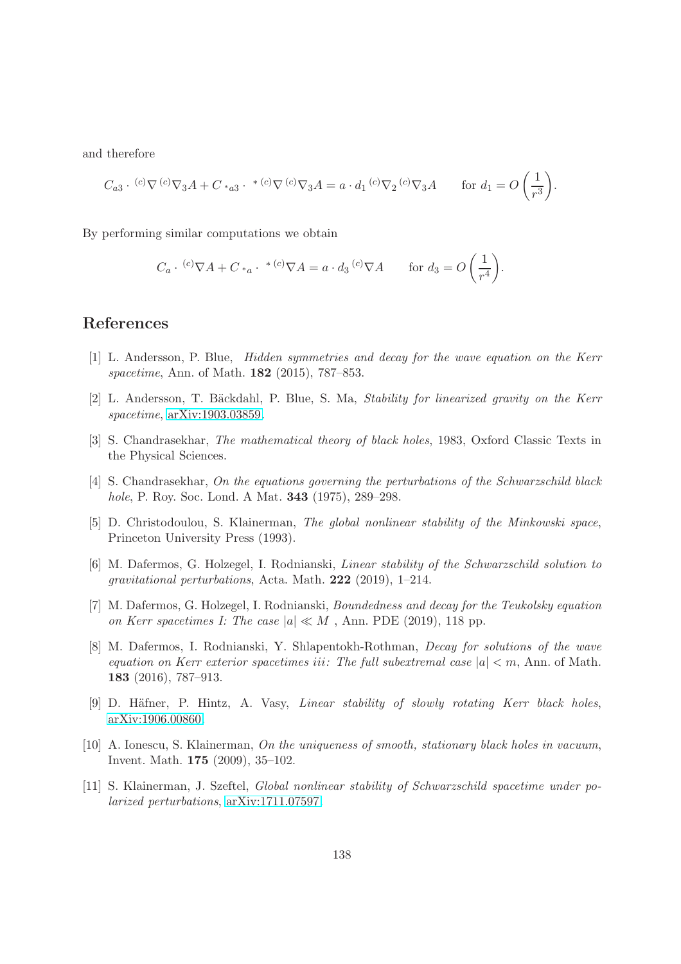and therefore

$$
C_{a3} \cdot {}^{(c)}\nabla {}^{(c)}\nabla_3 A + C \cdot {}_{a3} \cdot {}^{*}{}^{(c)}\nabla {}^{(c)}\nabla_3 A = a \cdot d_1 {}^{(c)}\nabla_2 {}^{(c)}\nabla_3 A \qquad \text{for } d_1 = O\left(\frac{1}{r^3}\right).
$$

By performing similar computations we obtain

$$
C_a \cdot {}^{(c)}\nabla A + C *_a \cdot {}^{*(c)}\nabla A = a \cdot d_3 {}^{(c)}\nabla A \quad \text{for } d_3 = O\left(\frac{1}{r^4}\right).
$$

#### References

- [1] L. Andersson, P. Blue, Hidden symmetries and decay for the wave equation on the Kerr spacetime, Ann. of Math. **182** (2015), 787-853.
- [2] L. Andersson, T. Bäckdahl, P. Blue, S. Ma, Stability for linearized gravity on the Kerr spacetime, [arXiv:1903.03859.](http://arxiv.org/abs/1903.03859)
- [3] S. Chandrasekhar, The mathematical theory of black holes, 1983, Oxford Classic Texts in the Physical Sciences.
- [4] S. Chandrasekhar, On the equations governing the perturbations of the Schwarzschild black hole, P. Roy. Soc. Lond. A Mat. 343 (1975), 289–298.
- [5] D. Christodoulou, S. Klainerman, The global nonlinear stability of the Minkowski space, Princeton University Press (1993).
- [6] M. Dafermos, G. Holzegel, I. Rodnianski, Linear stability of the Schwarzschild solution to gravitational perturbations, Acta. Math. 222 (2019), 1–214.
- [7] M. Dafermos, G. Holzegel, I. Rodnianski, Boundedness and decay for the Teukolsky equation on Kerr spacetimes I: The case  $|a| \ll M$ , Ann. PDE (2019), 118 pp.
- [8] M. Dafermos, I. Rodnianski, Y. Shlapentokh-Rothman, Decay for solutions of the wave equation on Kerr exterior spacetimes iii: The full subextremal case  $|a| < m$ , Ann. of Math. 183 (2016), 787–913.
- [9] D. Häfner, P. Hintz, A. Vasy, *Linear stability of slowly rotating Kerr black holes*, [arXiv:1906.00860.](http://arxiv.org/abs/1906.00860)
- [10] A. Ionescu, S. Klainerman, On the uniqueness of smooth, stationary black holes in vacuum, Invent. Math. 175 (2009), 35–102.
- [11] S. Klainerman, J. Szeftel, Global nonlinear stability of Schwarzschild spacetime under polarized perturbations, [arXiv:1711.07597.](http://arxiv.org/abs/1711.07597)